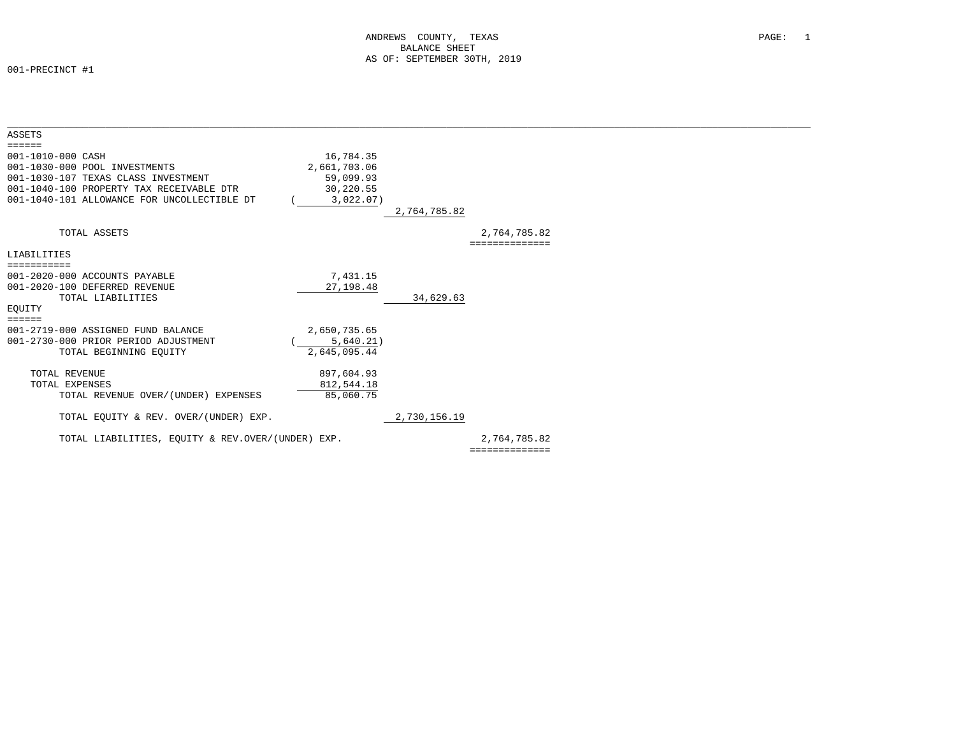| <b>ASSETS</b>                                     |              |              |                |  |
|---------------------------------------------------|--------------|--------------|----------------|--|
| $=$ $=$ $=$ $=$ $=$                               |              |              |                |  |
| 001-1010-000 CASH                                 | 16,784.35    |              |                |  |
| 001-1030-000 POOL INVESTMENTS                     | 2,661,703.06 |              |                |  |
| 001-1030-107 TEXAS CLASS INVESTMENT               | 59,099.93    |              |                |  |
| 001-1040-100 PROPERTY TAX RECEIVABLE DTR          | 30,220.55    |              |                |  |
| 001-1040-101 ALLOWANCE FOR UNCOLLECTIBLE DT       | 3,022.07)    |              |                |  |
|                                                   |              | 2,764,785.82 |                |  |
| TOTAL ASSETS                                      |              |              | 2,764,785.82   |  |
|                                                   |              |              |                |  |
| LIABILITIES                                       |              |              |                |  |
| ===========                                       |              |              |                |  |
| 001-2020-000 ACCOUNTS PAYABLE                     | 7,431.15     |              |                |  |
| 001-2020-100 DEFERRED REVENUE                     | 27, 198.48   |              |                |  |
| TOTAL LIABILITIES                                 |              | 34,629.63    |                |  |
| EOUITY                                            |              |              |                |  |
| $\equiv \equiv \equiv \equiv \equiv \equiv$       |              |              |                |  |
| 001-2719-000 ASSIGNED FUND BALANCE                | 2,650,735.65 |              |                |  |
| 001-2730-000 PRIOR PERIOD ADJUSTMENT              | 5,640.21)    |              |                |  |
| TOTAL BEGINNING EQUITY                            | 2,645,095.44 |              |                |  |
| TOTAL REVENUE                                     | 897,604.93   |              |                |  |
| TOTAL EXPENSES                                    | 812,544.18   |              |                |  |
| TOTAL REVENUE OVER/(UNDER) EXPENSES               | 85,060.75    |              |                |  |
|                                                   |              |              |                |  |
| TOTAL EQUITY & REV. OVER/(UNDER) EXP.             |              | 2,730,156.19 |                |  |
| TOTAL LIABILITIES, EOUITY & REV.OVER/(UNDER) EXP. |              |              | 2,764,785.82   |  |
|                                                   |              |              | ============== |  |
|                                                   |              |              |                |  |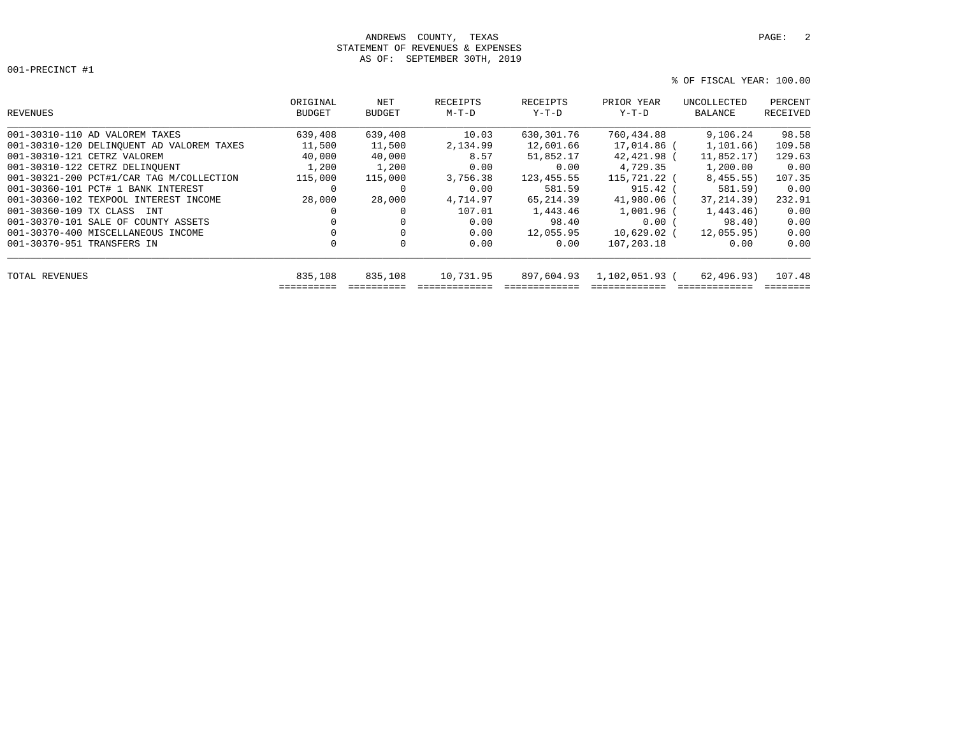## ANDREWS COUNTY, TEXAS **PAGE:** 2 STATEMENT OF REVENUES & EXPENSES AS OF: SEPTEMBER 30TH, 2019

| REVENUES                                  | ORIGINAL<br><b>BUDGET</b> | NET<br><b>BUDGET</b> | RECEIPTS<br>$M-T-D$ | RECEIPTS<br>$Y-T-D$ | PRIOR YEAR<br>$Y-T-D$ | UNCOLLECTED<br>BALANCE | PERCENT<br>RECEIVED |
|-------------------------------------------|---------------------------|----------------------|---------------------|---------------------|-----------------------|------------------------|---------------------|
| 001-30310-110 AD VALOREM TAXES            | 639,408                   | 639,408              | 10.03               | 630,301.76          | 760,434.88            | 9.106.24               | 98.58               |
| 001-30310-120 DELINQUENT AD VALOREM TAXES | 11,500                    | 11,500               | 2,134.99            | 12,601.66           | 17,014.86 (           | 1,101.66)              | 109.58              |
| 001-30310-121 CETRZ VALOREM               | 40,000                    | 40,000               | 8.57                | 51,852.17           | 42,421.98 (           | 11,852.17              | 129.63              |
| 001-30310-122 CETRZ DELINQUENT            | 1,200                     | 1,200                | 0.00                | 0.00                | 4,729.35              | 1,200.00               | 0.00                |
| 001-30321-200 PCT#1/CAR TAG M/COLLECTION  | 115,000                   | 115,000              | 3,756.38            | 123,455.55          | 115,721.22 (          | 8,455.55)              | 107.35              |
| 001-30360-101 PCT# 1 BANK INTEREST        | 0                         | 0                    | 0.00                | 581.59              | $915.42$ (            | 581.59)                | 0.00                |
| 001-30360-102 TEXPOOL INTEREST INCOME     | 28,000                    | 28,000               | 4,714.97            | 65,214.39           | 41,980.06 (           | 37,214.39)             | 232.91              |
| 001-30360-109 TX CLASS INT                | $\Omega$                  |                      | 107.01              | 1,443.46            | 1,001.96 (            | 1,443.46)              | 0.00                |
| 001-30370-101 SALE OF COUNTY ASSETS       |                           |                      | 0.00                | 98.40               | 0.00(                 | 98.40)                 | 0.00                |
| 001-30370-400 MISCELLANEOUS INCOME        | 0                         |                      | 0.00                | 12,055.95           | $10,629.02$ (         | 12,055.95)             | 0.00                |
| 001-30370-951 TRANSFERS IN                | 0                         | $\Omega$             | 0.00                | 0.00                | 107,203.18            | 0.00                   | 0.00                |
| TOTAL REVENUES                            | 835,108                   | 835,108              | 10,731.95           | 897,604.93          | 1,102,051.93 (        | 62,496.93)             | 107.48              |
|                                           |                           |                      |                     |                     |                       |                        |                     |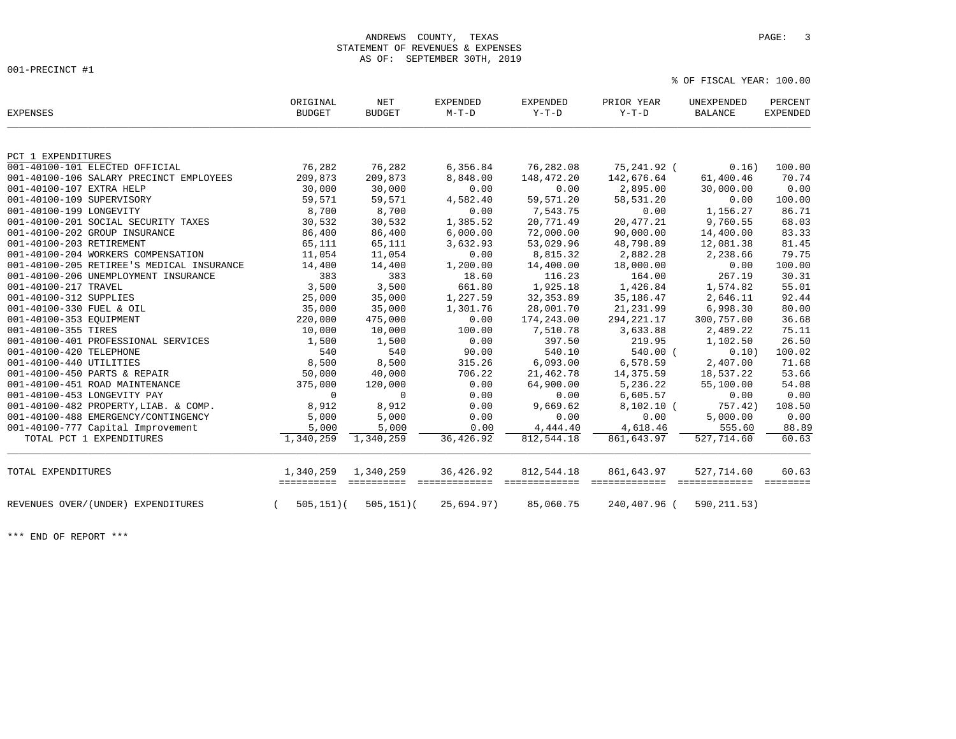% OF FISCAL YEAR: 100.00

| <b>EXPENSES</b>                           | ORIGINAL<br><b>BUDGET</b> | NET<br><b>BUDGET</b>          | <b>EXPENDED</b><br>$M-T-D$       | <b>EXPENDED</b><br>$Y-T-D$ | PRIOR YEAR<br>$Y-T-D$       | UNEXPENDED<br><b>BALANCE</b>       | PERCENT<br><b>EXPENDED</b> |
|-------------------------------------------|---------------------------|-------------------------------|----------------------------------|----------------------------|-----------------------------|------------------------------------|----------------------------|
| PCT 1 EXPENDITURES                        |                           |                               |                                  |                            |                             |                                    |                            |
| 001-40100-101 ELECTED OFFICIAL            | 76,282                    | 76,282                        | 6,356.84                         | 76,282.08                  | 75,241.92 (                 | 0.16)                              | 100.00                     |
| 001-40100-106 SALARY PRECINCT EMPLOYEES   | 209,873                   | 209,873                       | 8,848.00                         | 148,472.20                 | 142,676.64                  | 61,400.46                          | 70.74                      |
| 001-40100-107 EXTRA HELP                  | 30,000                    | 30,000                        | 0.00                             | 0.00                       | 2,895.00                    | 30,000.00                          | 0.00                       |
| 001-40100-109 SUPERVISORY                 | 59,571                    | 59,571                        | 4,582.40                         | 59,571.20                  | 58,531.20                   | 0.00                               | 100.00                     |
| 001-40100-199 LONGEVITY                   | 8,700                     | 8,700                         | 0.00                             | 7,543.75                   | 0.00                        | 1,156.27                           | 86.71                      |
| 001-40100-201 SOCIAL SECURITY TAXES       | 30,532                    | 30,532                        | 1,385.52                         | 20,771.49                  | 20,477.21                   | 9,760.55                           | 68.03                      |
| 001-40100-202 GROUP INSURANCE             | 86,400                    | 86,400                        | 6,000.00                         | 72,000.00                  | 90,000.00                   | 14,400.00                          | 83.33                      |
| 001-40100-203 RETIREMENT                  | 65,111                    | 65,111                        | 3,632.93                         | 53,029.96                  | 48,798.89                   | 12,081.38                          | 81.45                      |
| 001-40100-204 WORKERS COMPENSATION        | 11,054                    | 11,054                        | 0.00                             | 8,815.32                   | 2,882.28                    | 2,238.66                           | 79.75                      |
| 001-40100-205 RETIREE'S MEDICAL INSURANCE | 14,400                    | 14,400                        | 1,200.00                         | 14,400.00                  | 18,000.00                   | 0.00                               | 100.00                     |
| 001-40100-206 UNEMPLOYMENT INSURANCE      | 383                       | 383                           | 18.60                            | 116.23                     | 164.00                      | 267.19                             | 30.31                      |
| 001-40100-217 TRAVEL                      | 3,500                     | 3,500                         | 661.80                           | 1,925.18                   | 1,426.84                    | 1,574.82                           | 55.01                      |
| 001-40100-312 SUPPLIES                    | 25,000                    | 35,000                        | 1,227.59                         | 32, 353.89                 | 35,186.47                   | 2,646.11                           | 92.44                      |
| 001-40100-330 FUEL & OIL                  | 35,000                    | 35,000                        | 1,301.76                         | 28,001.70                  | 21,231.99                   | 6,998.30                           | 80.00                      |
| 001-40100-353 EQUIPMENT                   | 220,000                   | 475,000                       | 0.00                             | 174,243.00                 | 294, 221. 17                | 300,757.00                         | 36.68                      |
| 001-40100-355 TIRES                       | 10,000                    | 10,000                        | 100.00                           | 7,510.78                   | 3,633.88                    | 2,489.22                           | 75.11                      |
| 001-40100-401 PROFESSIONAL SERVICES       | 1,500                     | 1,500                         | 0.00                             | 397.50                     | 219.95                      | 1,102.50                           | 26.50                      |
| 001-40100-420 TELEPHONE                   | 540                       | 540                           | 90.00                            | 540.10                     | 540.00 (                    | 0.10)                              | 100.02                     |
| 001-40100-440 UTILITIES                   | 8,500                     | 8,500                         | 315.26                           | 6,093.00                   | 6,578.59                    | 2,407.00                           | 71.68                      |
| 001-40100-450 PARTS & REPAIR              | 50,000                    | 40,000                        | 706.22                           | 21,462.78                  | 14,375.59                   | 18,537.22                          | 53.66                      |
| 001-40100-451 ROAD MAINTENANCE            | 375,000                   | 120,000                       | 0.00                             | 64,900.00                  | 5,236.22                    | 55,100.00                          | 54.08                      |
| 001-40100-453 LONGEVITY PAY               | $\mathbf 0$               | $\Omega$                      | 0.00                             | 0.00                       | 6,605.57                    | 0.00                               | 0.00                       |
| 001-40100-482 PROPERTY, LIAB. & COMP.     | 8,912                     | 8,912                         | 0.00                             | 9,669.62                   | $8,102.10$ (                | 757.42)                            | 108.50                     |
| 001-40100-488 EMERGENCY/CONTINGENCY       | 5,000                     | 5,000                         | 0.00                             | 0.00                       | 0.00                        | 5,000.00                           | 0.00                       |
| 001-40100-777 Capital Improvement         | 5,000                     | 5,000                         | 0.00                             | 4,444.40                   | 4,618.46                    | 555.60                             | 88.89                      |
| TOTAL PCT 1 EXPENDITURES                  | 1,340,259                 | 1,340,259                     | 36,426.92                        | 812,544.18                 | 861,643.97                  | 527,714.60                         | 60.63                      |
| TOTAL EXPENDITURES                        | 1,340,259<br>==========   | 1,340,259<br><b>EEEEEEEEE</b> | 36,426.92<br><b>Beseessesses</b> | 812,544.18                 | 861,643.97<br>seesseesseess | 527,714.60<br><b>ESSESSSSSSSSS</b> | 60.63                      |
| REVENUES OVER/(UNDER) EXPENDITURES        | $505, 151)$ (             | $505, 151)$ (                 | 25,694.97)                       | 85,060.75                  | 240,407.96 (                | 590, 211.53)                       |                            |

\*\*\* END OF REPORT \*\*\*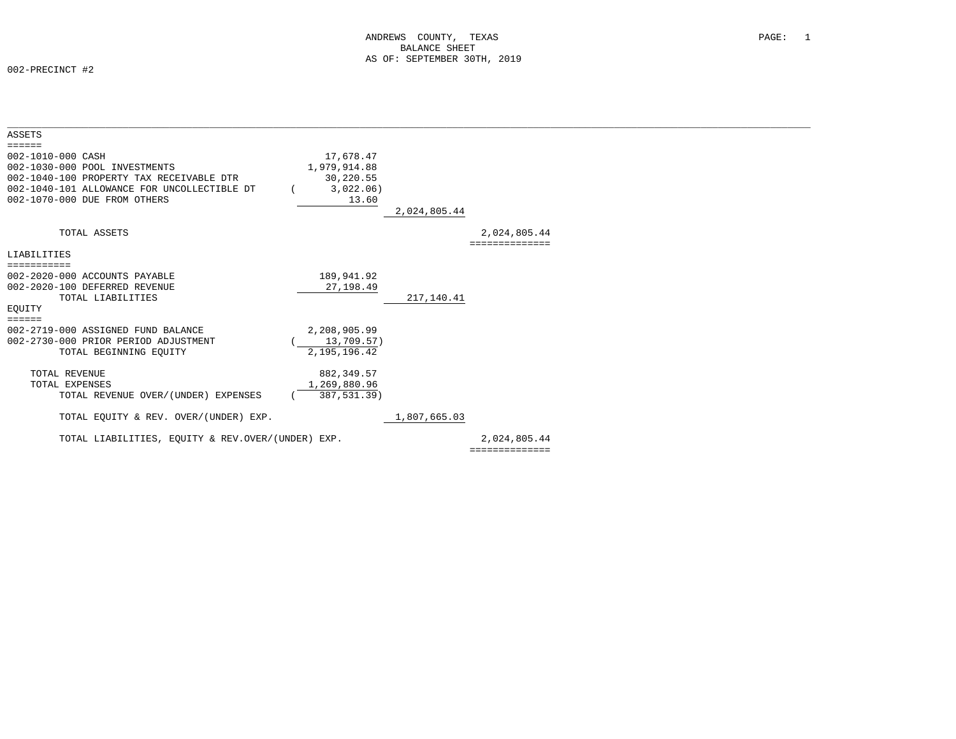| <b>ASSETS</b>                                     |                 |              |                |  |
|---------------------------------------------------|-----------------|--------------|----------------|--|
| $=$ = = = = =                                     |                 |              |                |  |
| 002-1010-000 CASH                                 | 17,678.47       |              |                |  |
| 002-1030-000 POOL INVESTMENTS                     | 1,979,914.88    |              |                |  |
| 002-1040-100 PROPERTY TAX RECEIVABLE DTR          | 30,220.55       |              |                |  |
| 002-1040-101 ALLOWANCE FOR UNCOLLECTIBLE DT       | 3,022.06)       |              |                |  |
| 002-1070-000 DUE FROM OTHERS                      | 13.60           |              |                |  |
|                                                   |                 | 2,024,805.44 |                |  |
| TOTAL ASSETS                                      |                 |              | 2,024,805.44   |  |
|                                                   |                 |              | ============== |  |
| LIABILITIES                                       |                 |              |                |  |
| ===========                                       |                 |              |                |  |
| 002-2020-000 ACCOUNTS PAYABLE                     | 189,941.92      |              |                |  |
| 002-2020-100 DEFERRED REVENUE                     | 27, 198.49      |              |                |  |
| TOTAL LIABILITIES                                 |                 | 217,140.41   |                |  |
| EOUITY                                            |                 |              |                |  |
| $=$ $=$ $=$ $=$ $=$                               |                 |              |                |  |
| 002-2719-000 ASSIGNED FUND BALANCE                | 2,208,905.99    |              |                |  |
| 002-2730-000 PRIOR PERIOD ADJUSTMENT              | 13,709.57)      |              |                |  |
| TOTAL BEGINNING EQUITY                            | 2, 195, 196. 42 |              |                |  |
| TOTAL REVENUE                                     | 882, 349.57     |              |                |  |
| TOTAL EXPENSES                                    | 1,269,880.96    |              |                |  |
| TOTAL REVENUE OVER/(UNDER) EXPENSES               | 387,531.39)     |              |                |  |
|                                                   |                 |              |                |  |
| TOTAL EQUITY & REV. OVER/(UNDER) EXP.             |                 | 1,807,665.03 |                |  |
| TOTAL LIABILITIES, EOUITY & REV.OVER/(UNDER) EXP. |                 |              | 2,024,805.44   |  |
|                                                   |                 |              | ============== |  |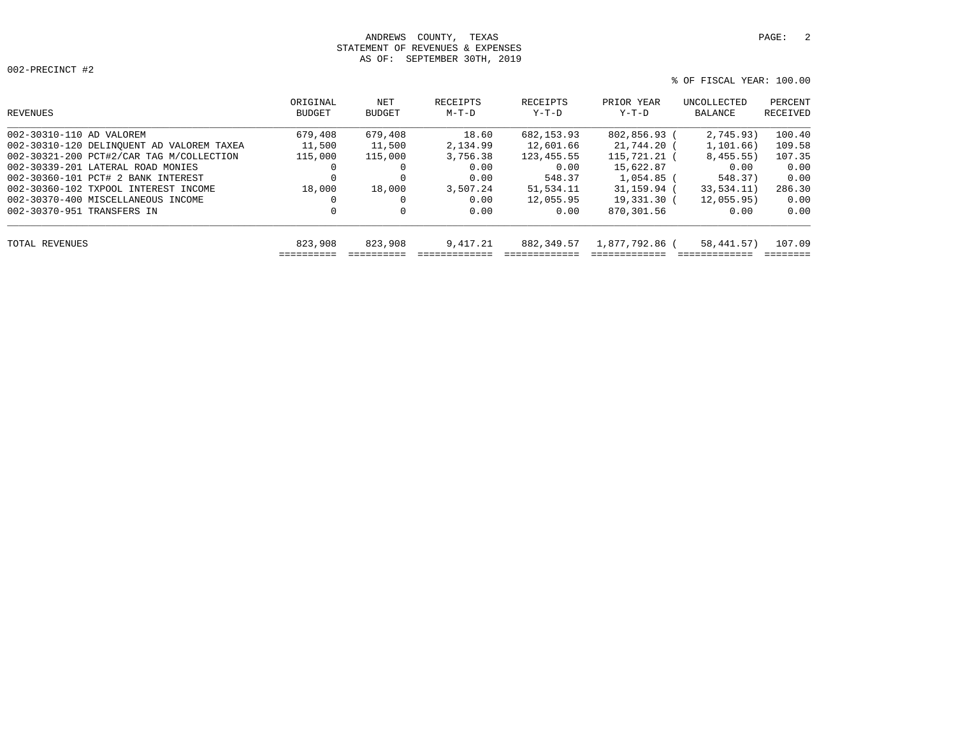# ANDREWS COUNTY, TEXAS **PAGE:** 2 STATEMENT OF REVENUES & EXPENSES AS OF: SEPTEMBER 30TH, 2019

```
 % OF FISCAL YEAR: 100.00
```

| REVENUES                                  | ORIGINAL<br>BUDGET | NET<br><b>BUDGET</b> | RECEIPTS<br>$M-T-D$ | RECEIPTS<br>Y-T-D | PRIOR YEAR<br>Y-T-D | UNCOLLECTED<br>BALANCE | PERCENT<br>RECEIVED |
|-------------------------------------------|--------------------|----------------------|---------------------|-------------------|---------------------|------------------------|---------------------|
| 002-30310-110 AD VALOREM                  | 679,408            | 679,408              | 18.60               | 682,153.93        | 802,856.93 (        | 2.745.93)              | 100.40              |
| 002-30310-120 DELINOUENT AD VALOREM TAXEA | 11,500             | 11,500               | 2,134.99            | 12,601.66         | 21,744.20 (         | 1, 101, 66)            | 109.58              |
| 002-30321-200 PCT#2/CAR TAG M/COLLECTION  | 115,000            | 115,000              | 3,756.38            | 123, 455. 55      | $115.721.21$ (      | 8,455.55)              | 107.35              |
| 002-30339-201 LATERAL ROAD MONIES         | 0                  |                      | 0.00                | 0.00              | 15,622.87           | 0.00                   | 0.00                |
| 002-30360-101 PCT# 2 BANK INTEREST        | 0                  |                      | 0.00                | 548.37            | $1.054.85$ (        | 548.37)                | 0.00                |
| 002-30360-102 TXPOOL INTEREST INCOME      | 18,000             | 18,000               | 3,507.24            | 51,534.11         | 31,159.94           | 33, 534, 11)           | 286.30              |
| 002-30370-400 MISCELLANEOUS INCOME        | 0                  |                      | 0.00                | 12,055.95         | 19,331.30 (         | 12.055.95)             | 0.00                |
| 002-30370-951 TRANSFERS IN                | 0                  | 0                    | 0.00                | 0.00              | 870,301.56          | 0.00                   | 0.00                |
| TOTAL REVENUES                            | 823,908            | 823,908              | 9,417.21            | 882, 349, 57      | 1,877,792.86 (      | 58, 441, 57)           | 107.09              |
|                                           |                    |                      |                     |                   |                     |                        |                     |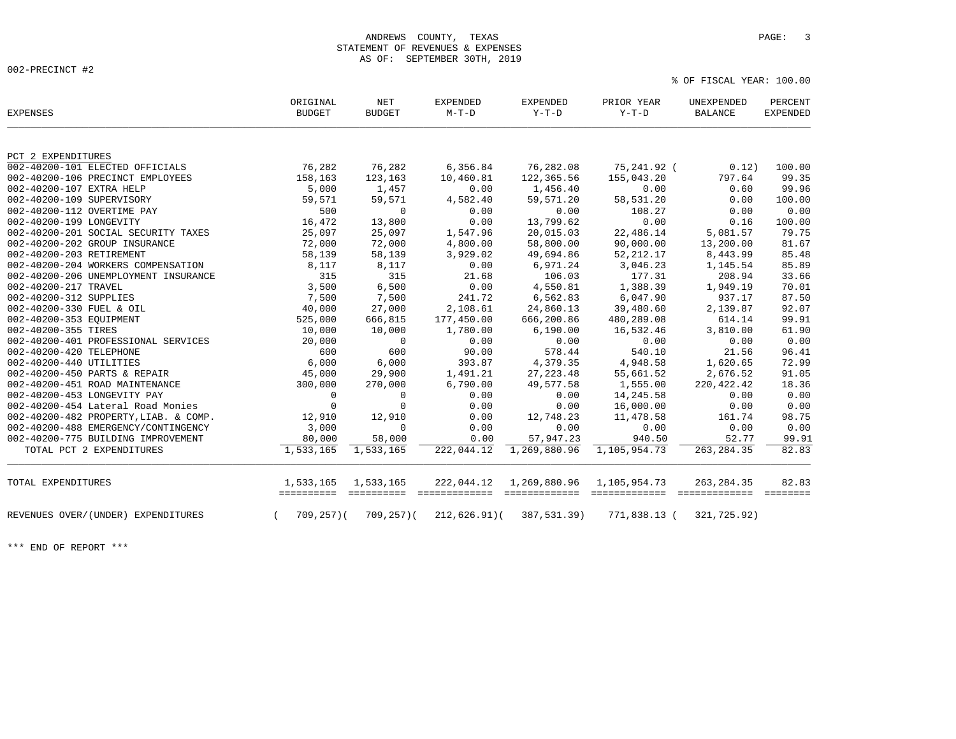% OF FISCAL YEAR: 100.00

| <b>EXPENSES</b>                       | ORIGINAL<br><b>BUDGET</b> | $\operatorname{NET}$<br><b>BUDGET</b> | <b>EXPENDED</b><br>$M-T-D$  | <b>EXPENDED</b><br>$Y-T-D$    | PRIOR YEAR<br>$Y-T-D$         | UNEXPENDED<br><b>BALANCE</b> | PERCENT<br><b>EXPENDED</b> |
|---------------------------------------|---------------------------|---------------------------------------|-----------------------------|-------------------------------|-------------------------------|------------------------------|----------------------------|
| PCT 2 EXPENDITURES                    |                           |                                       |                             |                               |                               |                              |                            |
| 002-40200-101 ELECTED OFFICIALS       | 76,282                    | 76,282                                | 6,356.84                    | 76,282.08                     | 75,241.92 (                   | 0.12)                        | 100.00                     |
| 002-40200-106 PRECINCT EMPLOYEES      | 158,163                   | 123,163                               | 10,460.81                   | 122,365.56                    | 155,043.20                    | 797.64                       | 99.35                      |
| 002-40200-107 EXTRA HELP              | 5,000                     | 1,457                                 | 0.00                        | 1,456.40                      | 0.00                          | 0.60                         | 99.96                      |
| 002-40200-109 SUPERVISORY             | 59,571                    | 59,571                                | 4,582.40                    | 59,571.20                     | 58,531.20                     | 0.00                         | 100.00                     |
| 002-40200-112 OVERTIME PAY            | 500                       | $\mathbf 0$                           | 0.00                        | 0.00                          | 108.27                        | 0.00                         | 0.00                       |
| 002-40200-199 LONGEVITY               | 16,472                    | 13,800                                | 0.00                        | 13,799.62                     | 0.00                          | 0.16                         | 100.00                     |
| 002-40200-201 SOCIAL SECURITY TAXES   | 25,097                    | 25,097                                | 1,547.96                    | 20,015.03                     | 22,486.14                     | 5,081.57                     | 79.75                      |
| 002-40200-202 GROUP INSURANCE         | 72,000                    | 72,000                                | 4,800.00                    | 58,800.00                     | 90,000.00                     | 13,200.00                    | 81.67                      |
| 002-40200-203 RETIREMENT              | 58,139                    | 58,139                                | 3,929.02                    | 49,694.86                     | 52, 212.17                    | 8,443.99                     | 85.48                      |
| 002-40200-204 WORKERS COMPENSATION    | 8,117                     | 8,117                                 | 0.00                        | 6,971.24                      | 3,046.23                      | 1,145.54                     | 85.89                      |
| 002-40200-206 UNEMPLOYMENT INSURANCE  | 315                       | 315                                   | 21.68                       | 106.03                        | 177.31                        | 208.94                       | 33.66                      |
| 002-40200-217 TRAVEL                  | 3,500                     | 6,500                                 | 0.00                        | 4,550.81                      | 1,388.39                      | 1,949.19                     | 70.01                      |
| 002-40200-312 SUPPLIES                | 7,500                     | 7,500                                 | 241.72                      | 6,562.83                      | 6,047.90                      | 937.17                       | 87.50                      |
| 002-40200-330 FUEL & OIL              | 40,000                    | 27,000                                | 2,108.61                    | 24,860.13                     | 39,480.60                     | 2,139.87                     | 92.07                      |
| 002-40200-353 EQUIPMENT               | 525,000                   | 666,815                               | 177,450.00                  | 666,200.86                    | 480,289.08                    | 614.14                       | 99.91                      |
| 002-40200-355 TIRES                   | 10,000                    | 10,000                                | 1,780.00                    | 6,190.00                      | 16,532.46                     | 3,810.00                     | 61.90                      |
| 002-40200-401 PROFESSIONAL SERVICES   | 20,000                    | $\mathbf 0$                           | 0.00                        | 0.00                          | 0.00                          | 0.00                         | 0.00                       |
| 002-40200-420 TELEPHONE               | 600                       | 600                                   | 90.00                       | 578.44                        | 540.10                        | 21.56                        | 96.41                      |
| 002-40200-440 UTILITIES               | 6,000                     | 6,000                                 | 393.87                      | 4,379.35                      | 4,948.58                      | 1,620.65                     | 72.99                      |
| 002-40200-450 PARTS & REPAIR          | 45,000                    | 29,900                                | 1,491.21                    | 27, 223.48                    | 55,661.52                     | 2,676.52                     | 91.05                      |
| 002-40200-451 ROAD MAINTENANCE        | 300,000                   | 270,000                               | 6,790.00                    | 49,577.58                     | 1,555.00                      | 220, 422.42                  | 18.36                      |
| 002-40200-453 LONGEVITY PAY           | 0                         | 0                                     | 0.00                        | 0.00                          | 14,245.58                     | 0.00                         | 0.00                       |
| 002-40200-454 Lateral Road Monies     | $\mathbf 0$               | $\mathbf 0$                           | 0.00                        | 0.00                          | 16,000.00                     | 0.00                         | 0.00                       |
| 002-40200-482 PROPERTY, LIAB. & COMP. | 12,910                    | 12,910                                | 0.00                        | 12,748.23                     | 11,478.58                     | 161.74                       | 98.75                      |
| 002-40200-488 EMERGENCY/CONTINGENCY   | 3,000                     | $\Omega$                              | 0.00                        | 0.00                          | 0.00                          | 0.00                         | 0.00                       |
| 002-40200-775 BUILDING IMPROVEMENT    | 80,000                    | 58,000                                | 0.00                        | 57,947.23                     | 940.50                        | 52.77                        | 99.91                      |
| TOTAL PCT 2 EXPENDITURES              | 1,533,165                 | 1,533,165                             | 222,044.12                  | 1,269,880.96                  | 1,105,954.73                  | 263, 284.35                  | 82.83                      |
| TOTAL EXPENDITURES                    | 1,533,165<br>==========   | 1,533,165<br>==========               | 222,044.12<br>============= | 1,269,880.96<br>============= | 1,105,954.73<br>============= | 263, 284.35<br>============= | 82.83                      |
| REVENUES OVER/(UNDER) EXPENDITURES    | $709, 257$ ) (            | $709, 257)$ (                         | $212,626.91$ (              | 387,531.39)                   | 771,838.13 (                  | 321,725.92)                  |                            |

\*\*\* END OF REPORT \*\*\*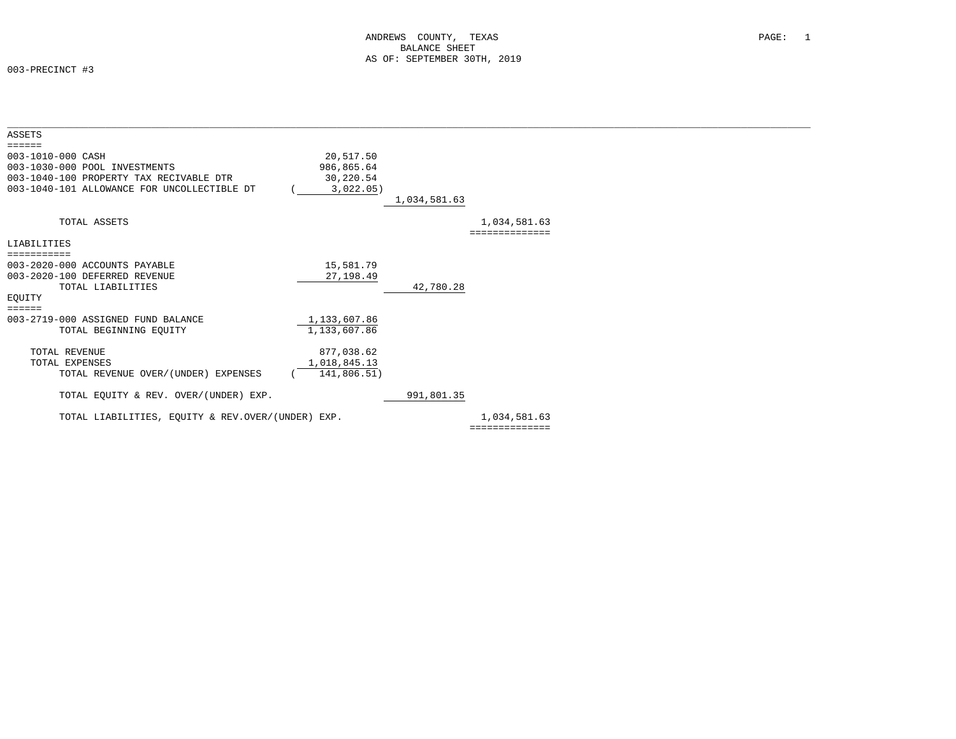| ASSETS                                            |              |              |                |  |
|---------------------------------------------------|--------------|--------------|----------------|--|
| $=$ $=$ $=$ $=$ $=$                               |              |              |                |  |
| 003-1010-000 CASH                                 | 20,517.50    |              |                |  |
| 003-1030-000 POOL INVESTMENTS                     | 986,865.64   |              |                |  |
| 003-1040-100 PROPERTY TAX RECIVABLE DTR           | 30,220.54    |              |                |  |
| 003-1040-101 ALLOWANCE FOR UNCOLLECTIBLE DT       | 3,022.05)    |              |                |  |
|                                                   |              | 1,034,581.63 |                |  |
|                                                   |              |              |                |  |
| TOTAL ASSETS                                      |              |              | 1,034,581.63   |  |
|                                                   |              |              | ============== |  |
| LIABILITIES                                       |              |              |                |  |
| ===========                                       |              |              |                |  |
| 003-2020-000 ACCOUNTS PAYABLE                     | 15,581.79    |              |                |  |
| 003-2020-100 DEFERRED REVENUE                     | 27, 198.49   |              |                |  |
| TOTAL LIABILITIES                                 |              | 42,780.28    |                |  |
| EOUITY                                            |              |              |                |  |
| $=$ $=$ $=$ $=$ $=$                               |              |              |                |  |
| 003-2719-000 ASSIGNED FUND BALANCE                | 1,133,607.86 |              |                |  |
| TOTAL BEGINNING EQUITY                            | 1,133,607.86 |              |                |  |
|                                                   |              |              |                |  |
| <b>TOTAL REVENUE</b>                              | 877,038.62   |              |                |  |
| TOTAL EXPENSES                                    | 1,018,845.13 |              |                |  |
| TOTAL REVENUE OVER/(UNDER) EXPENSES               | 141,806.51)  |              |                |  |
|                                                   |              |              |                |  |
| TOTAL EQUITY & REV. OVER/(UNDER) EXP.             |              | 991,801.35   |                |  |
|                                                   |              |              |                |  |
| TOTAL LIABILITIES, EQUITY & REV.OVER/(UNDER) EXP. |              |              | 1,034,581.63   |  |
|                                                   |              |              | ============== |  |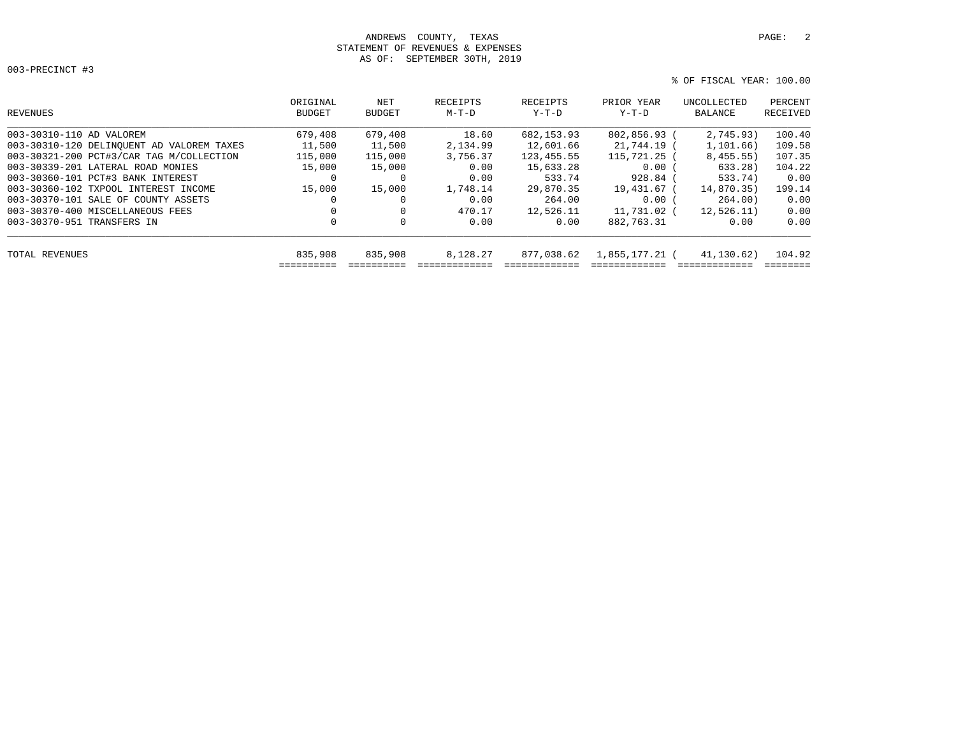## ANDREWS COUNTY, TEXAS **PAGE:** 2 STATEMENT OF REVENUES & EXPENSES AS OF: SEPTEMBER 30TH, 2019

```
 % OF FISCAL YEAR: 100.00
```

| REVENUES                                  | ORIGINAL<br>BUDGET | NET<br><b>BUDGET</b> | RECEIPTS<br>$M-T-D$ | RECEIPTS<br>$Y-T-D$ | PRIOR YEAR<br>Y-T-D | UNCOLLECTED<br>BALANCE | PERCENT<br>RECEIVED |
|-------------------------------------------|--------------------|----------------------|---------------------|---------------------|---------------------|------------------------|---------------------|
| 003-30310-110 AD VALOREM                  | 679,408            | 679,408              | 18.60               | 682, 153.93         | 802,856.93 (        | 2,745.93)              | 100.40              |
| 003-30310-120 DELINQUENT AD VALOREM TAXES | 11,500             | 11,500               | 2,134.99            | 12,601.66           | 21,744.19 (         | 1,101.66)              | 109.58              |
| 003-30321-200 PCT#3/CAR TAG M/COLLECTION  | 115,000            | 115,000              | 3,756.37            | 123, 455.55         | $115.721.25$ (      | 8,455.55)              | 107.35              |
| 003-30339-201 LATERAL ROAD MONIES         | 15,000             | 15,000               | 0.00                | 15,633.28           | 0.00(               | 633.28)                | 104.22              |
| 003-30360-101 PCT#3 BANK INTEREST         | 0                  | $\mathbf{0}$         | 0.00                | 533.74              | $928.84$ (          | 533.74)                | 0.00                |
| 003-30360-102 TXPOOL INTEREST INCOME      | 15,000             | 15,000               | 1,748.14            | 29,870.35           | 19,431.67 (         | 14,870.35)             | 199.14              |
| 003-30370-101 SALE OF COUNTY ASSETS       |                    |                      | 0.00                | 264.00              | 0.00(               | 264.00)                | 0.00                |
| 003-30370-400 MISCELLANEOUS FEES          |                    | $\Omega$             | 470.17              | 12,526.11           | 11,731.02 (         | 12,526,11)             | 0.00                |
| 003-30370-951 TRANSFERS IN                | $\mathbf 0$        | $\mathbf{0}$         | 0.00                | 0.00                | 882,763.31          | 0.00                   | 0.00                |
| TOTAL REVENUES                            | 835,908            | 835,908              | 8,128.27            | 877,038.62          | 1,855,177.21 (      | 41,130.62)             | 104.92              |
|                                           |                    |                      |                     |                     |                     |                        |                     |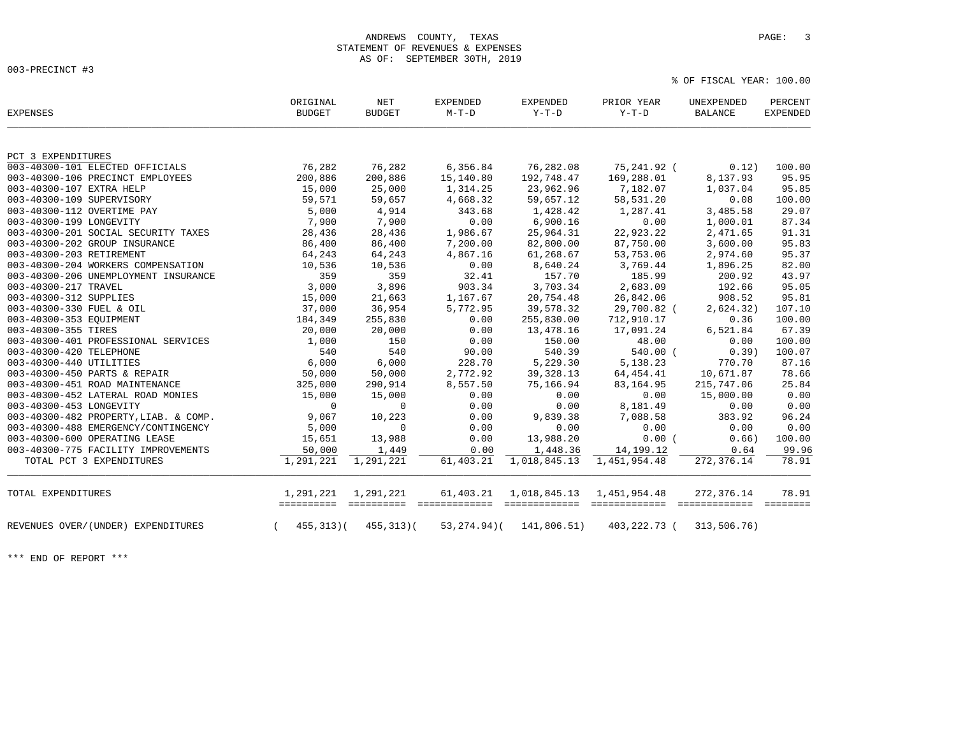% OF FISCAL YEAR: 100.00

| <b>EXPENSES</b>                       | ORIGINAL<br><b>BUDGET</b> | <b>NET</b><br><b>BUDGET</b> | <b>EXPENDED</b><br>$M-T-D$ | <b>EXPENDED</b><br>Y-T-D | PRIOR YEAR<br>$Y-T-D$ | UNEXPENDED<br><b>BALANCE</b> | PERCENT<br><b>EXPENDED</b> |
|---------------------------------------|---------------------------|-----------------------------|----------------------------|--------------------------|-----------------------|------------------------------|----------------------------|
| PCT 3 EXPENDITURES                    |                           |                             |                            |                          |                       |                              |                            |
| 003-40300-101 ELECTED OFFICIALS       | 76,282                    | 76,282                      | 6,356.84                   | 76,282.08                | 75,241.92 (           | 0.12)                        | 100.00                     |
| 003-40300-106 PRECINCT EMPLOYEES      | 200,886                   | 200,886                     | 15,140.80                  | 192,748.47               | 169,288.01            | 8,137.93                     | 95.95                      |
| 003-40300-107 EXTRA HELP              | 15,000                    | 25,000                      | 1,314.25                   | 23,962.96                | 7,182.07              | 1,037.04                     | 95.85                      |
| 003-40300-109 SUPERVISORY             | 59,571                    | 59,657                      | 4,668.32                   | 59,657.12                | 58,531.20             | 0.08                         | 100.00                     |
| 003-40300-112 OVERTIME PAY            | 5,000                     | 4,914                       | 343.68                     | 1,428.42                 | 1,287.41              | 3,485.58                     | 29.07                      |
| 003-40300-199 LONGEVITY               | 7,900                     | 7,900                       | 0.00                       | 6,900.16                 | 0.00                  | 1,000.01                     | 87.34                      |
| 003-40300-201 SOCIAL SECURITY TAXES   | 28,436                    | 28,436                      | 1,986.67                   | 25,964.31                | 22,923.22             | 2,471.65                     | 91.31                      |
| 003-40300-202 GROUP INSURANCE         | 86,400                    | 86,400                      | 7,200.00                   | 82,800.00                | 87,750.00             | 3,600.00                     | 95.83                      |
| 003-40300-203 RETIREMENT              | 64,243                    | 64,243                      | 4,867.16                   | 61,268.67                | 53,753.06             | 2,974.60                     | 95.37                      |
| 003-40300-204 WORKERS COMPENSATION    | 10,536                    | 10,536                      | 0.00                       | 8,640.24                 | 3,769.44              | 1,896.25                     | 82.00                      |
| 003-40300-206 UNEMPLOYMENT INSURANCE  | 359                       | 359                         | 32.41                      | 157.70                   | 185.99                | 200.92                       | 43.97                      |
| 003-40300-217 TRAVEL                  | 3,000                     | 3,896                       | 903.34                     | 3,703.34                 | 2,683.09              | 192.66                       | 95.05                      |
| 003-40300-312 SUPPLIES                | 15,000                    | 21,663                      | 1,167.67                   | 20,754.48                | 26,842.06             | 908.52                       | 95.81                      |
| 003-40300-330 FUEL & OIL              | 37,000                    | 36,954                      | 5,772.95                   | 39,578.32                | 29,700.82 (           | 2,624.32)                    | 107.10                     |
| 003-40300-353 EQUIPMENT               | 184,349                   | 255,830                     | 0.00                       | 255,830.00               | 712,910.17            | 0.36                         | 100.00                     |
| 003-40300-355 TIRES                   | 20,000                    | 20,000                      | 0.00                       | 13,478.16                | 17,091.24             | 6,521.84                     | 67.39                      |
| 003-40300-401 PROFESSIONAL SERVICES   | 1,000                     | 150                         | 0.00                       | 150.00                   | 48.00                 | 0.00                         | 100.00                     |
| 003-40300-420 TELEPHONE               | 540                       | 540                         | 90.00                      | 540.39                   | $540.00$ (            | 0.39                         | 100.07                     |
| 003-40300-440 UTILITIES               | 6,000                     | 6,000                       | 228.70                     | 5,229.30                 | 5,138.23              | 770.70                       | 87.16                      |
| 003-40300-450 PARTS & REPAIR          | 50,000                    | 50,000                      | 2,772.92                   | 39, 328.13               | 64,454.41             | 10,671.87                    | 78.66                      |
| 003-40300-451 ROAD MAINTENANCE        | 325,000                   | 290,914                     | 8,557.50                   | 75,166.94                | 83, 164.95            | 215,747.06                   | 25.84                      |
| 003-40300-452 LATERAL ROAD MONIES     | 15,000                    | 15,000                      | 0.00                       | 0.00                     | 0.00                  | 15,000.00                    | 0.00                       |
| 003-40300-453 LONGEVITY               | $\mathbf 0$               | $\mathbf 0$                 | 0.00                       | 0.00                     | 8,181.49              | 0.00                         | 0.00                       |
| 003-40300-482 PROPERTY, LIAB. & COMP. | 9,067                     | 10,223                      | 0.00                       | 9,839.38                 | 7,088.58              | 383.92                       | 96.24                      |
| 003-40300-488 EMERGENCY/CONTINGENCY   | 5,000                     | $\Omega$                    | 0.00                       | 0.00                     | 0.00                  | 0.00                         | 0.00                       |
| 003-40300-600 OPERATING LEASE         | 15,651                    | 13,988                      | 0.00                       | 13,988.20                | 0.00(                 | 0.66)                        | 100.00                     |
| 003-40300-775 FACILITY IMPROVEMENTS   | 50,000                    | 1,449                       | 0.00                       | 1,448.36                 | 14, 199. 12           | 0.64                         | 99.96                      |
| TOTAL PCT 3 EXPENDITURES              | 1,291,221                 | 1,291,221                   | 61,403.21                  | 1,018,845.13             | 1,451,954.48          | 272,376.14                   | 78.91                      |
| TOTAL EXPENDITURES                    | 1,291,221                 | 1,291,221<br>==========     | 61,403.21                  | 1,018,845.13             | 1,451,954.48          | 272,376.14<br>seesseesseess  | 78.91<br>========          |
| REVENUES OVER/(UNDER) EXPENDITURES    | 455,313)(                 | $455, 313$ )(               | $53, 274.94$ )(            | 141,806.51)              | 403,222.73 (          | 313,506.76)                  |                            |

\*\*\* END OF REPORT \*\*\*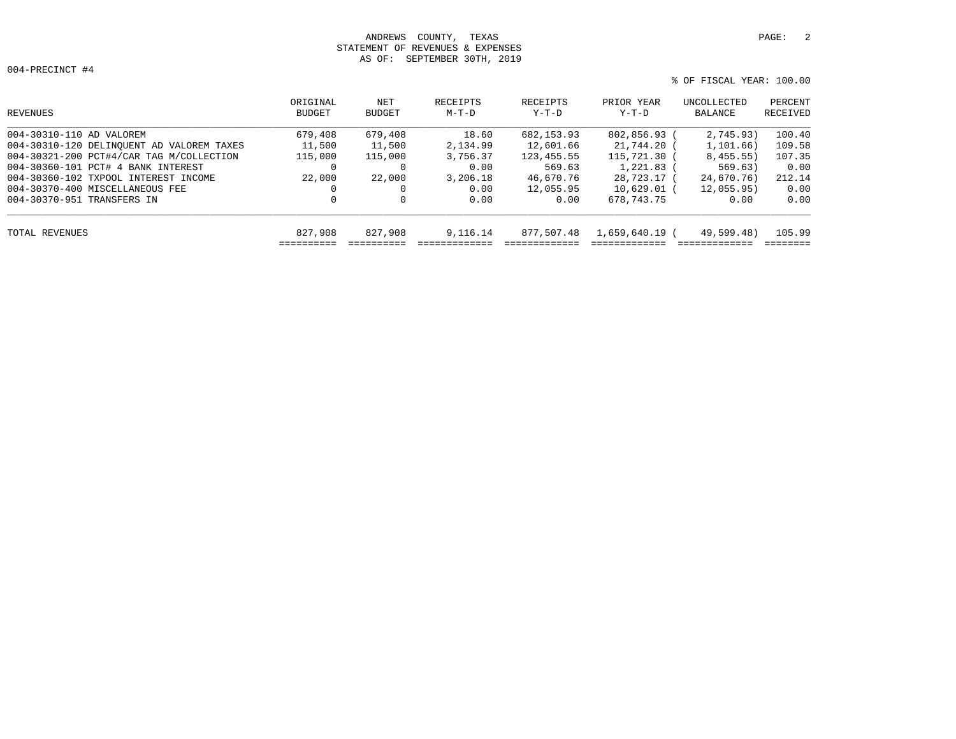# ANDREWS COUNTY, TEXAS **PAGE:** 2 STATEMENT OF REVENUES & EXPENSES AS OF: SEPTEMBER 30TH, 2019

004-PRECINCT #4

| PERCENT<br>RECEIVED   | UNCOLLECTED<br>BALANCE | PRIOR YEAR<br>$Y-T-D$ | RECEIPTS<br>$Y-T-D$ | RECEIPTS<br>M-T-D | NET<br>BUDGET | ORIGINAL<br>BUDGET | REVENUES                                  |
|-----------------------|------------------------|-----------------------|---------------------|-------------------|---------------|--------------------|-------------------------------------------|
| 100.40<br>2,745.93)   |                        | 802,856.93            | 682, 153.93         | 18.60             | 679,408       | 679,408            | 004-30310-110 AD VALOREM                  |
| 1, 101, 66)<br>109.58 |                        | 21,744.20 (           | 12,601.66           | 2,134.99          | 11,500        | 11,500             | 004-30310-120 DELINQUENT AD VALOREM TAXES |
| 8,455.55)<br>107.35   |                        | 115,721.30 (          | 123, 455.55         | 3,756.37          | 115,000       | 115,000            | 004-30321-200 PCT#4/CAR TAG M/COLLECTION  |
| 569.63)<br>0.00       |                        | $1,221.83$ (          | 569.63              | 0.00              |               | 0                  | 004-30360-101 PCT# 4 BANK INTEREST        |
| 212.14                | 24,670.76)             | 28,723.17 (           | 46,670.76           | 3,206.18          | 22,000        | 22,000             | 004-30360-102 TXPOOL INTEREST INCOME      |
| 0.00                  | 12.055.95              | $10.629.01$ (         | 12,055.95           | 0.00              |               | 0                  | 004-30370-400 MISCELLANEOUS FEE           |
| 0.00<br>0.00          |                        | 678,743.75            | 0.00                | 0.00              | 0             | 0                  | 004-30370-951 TRANSFERS IN                |
| 105.99                | 49,599.48)             | 1,659,640.19 (        | 877,507.48          | 9,116.14          | 827,908       | 827,908            | TOTAL REVENUES                            |
|                       |                        |                       |                     |                   |               | ==========         |                                           |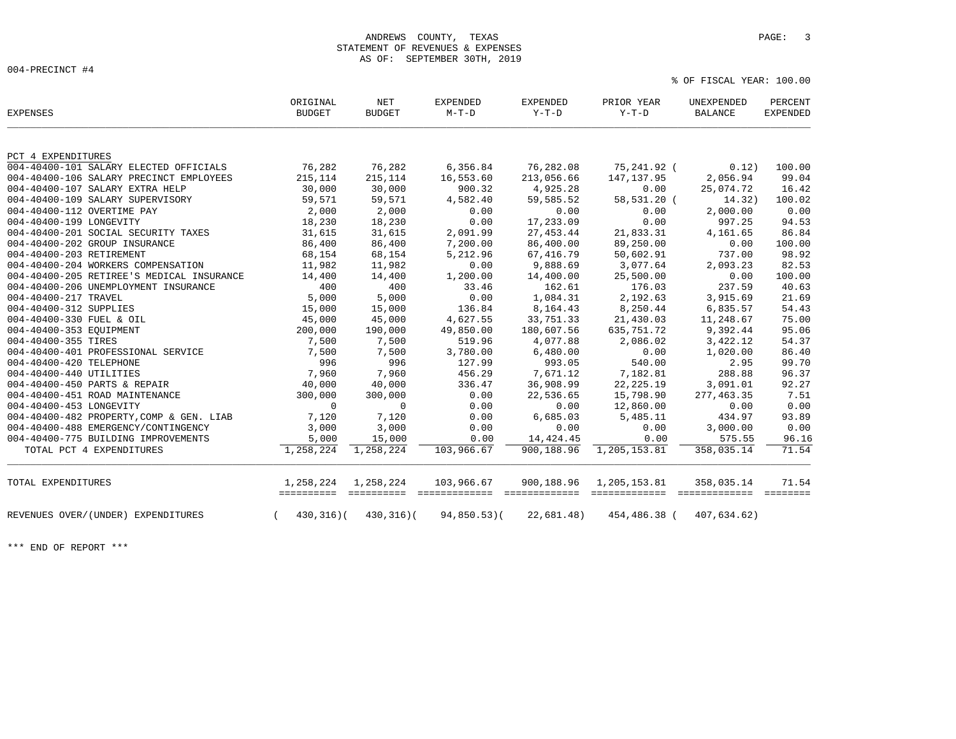% OF FISCAL YEAR: 100.00

| <b>EXPENSES</b>                           | ORIGINAL<br><b>BUDGET</b> | NET<br><b>BUDGET</b>    | <b>EXPENDED</b><br>$M-T-D$  | EXPENDED<br>$Y-T-D$         | PRIOR YEAR<br>$Y-T-D$ | UNEXPENDED<br>BALANCE | PERCENT<br><b>EXPENDED</b> |
|-------------------------------------------|---------------------------|-------------------------|-----------------------------|-----------------------------|-----------------------|-----------------------|----------------------------|
| PCT 4 EXPENDITURES                        |                           |                         |                             |                             |                       |                       |                            |
| 004-40400-101 SALARY ELECTED OFFICIALS    | 76,282                    | 76,282                  | 6,356.84                    | 76,282.08                   | 75,241.92 (           | 0.12)                 | 100.00                     |
| 004-40400-106 SALARY PRECINCT EMPLOYEES   | 215,114                   | 215,114                 | 16,553.60                   | 213,056.66                  | 147, 137.95           | 2,056.94              | 99.04                      |
| 004-40400-107 SALARY EXTRA HELP           | 30,000                    | 30,000                  | 900.32                      | 4,925.28                    | 0.00                  | 25,074.72             | 16.42                      |
| 004-40400-109 SALARY SUPERVISORY          | 59,571                    | 59,571                  | 4,582.40                    | 59,585.52                   | 58,531.20 (           | 14.32)                | 100.02                     |
| 004-40400-112 OVERTIME PAY                | 2,000                     | 2,000                   | 0.00                        | 0.00                        | 0.00                  | 2,000.00              | 0.00                       |
| 004-40400-199 LONGEVITY                   | 18,230                    | 18,230                  | 0.00                        | 17,233.09                   | 0.00                  | 997.25                | 94.53                      |
| 004-40400-201 SOCIAL SECURITY TAXES       | 31,615                    | 31,615                  | 2,091.99                    | 27, 453.44                  | 21,833.31             | 4,161.65              | 86.84                      |
| 004-40400-202 GROUP INSURANCE             | 86,400                    | 86,400                  | 7,200.00                    | 86,400.00                   | 89,250.00             | 0.00                  | 100.00                     |
| 004-40400-203 RETIREMENT                  | 68,154                    | 68,154                  | 5,212.96                    | 67, 416.79                  | 50,602.91             | 737.00                | 98.92                      |
| 004-40400-204 WORKERS COMPENSATION        | 11,982                    | 11,982                  | 0.00                        | 9,888.69                    | 3,077.64              | 2,093.23              | 82.53                      |
| 004-40400-205 RETIREE'S MEDICAL INSURANCE | 14,400                    | 14,400                  | 1,200.00                    | 14,400.00                   | 25,500.00             | 0.00                  | 100.00                     |
| 004-40400-206 UNEMPLOYMENT INSURANCE      | 400                       | 400                     | 33.46                       | 162.61                      | 176.03                | 237.59                | 40.63                      |
| 004-40400-217 TRAVEL                      | 5,000                     | 5,000                   | 0.00                        | 1,084.31                    | 2,192.63              | 3,915.69              | 21.69                      |
| 004-40400-312 SUPPLIES                    | 15,000                    | 15,000                  | 136.84                      | 8,164.43                    | 8,250.44              | 6,835.57              | 54.43                      |
| 004-40400-330 FUEL & OIL                  | 45,000                    | 45,000                  | 4,627.55                    | 33,751.33                   | 21,430.03             | 11,248.67             | 75.00                      |
| 004-40400-353 EQUIPMENT                   | 200,000                   | 190,000                 | 49,850.00                   | 180,607.56                  | 635,751.72            | 9,392.44              | 95.06                      |
| 004-40400-355 TIRES                       | 7,500                     | 7,500                   | 519.96                      | 4,077.88                    | 2,086.02              | 3,422.12              | 54.37                      |
| 004-40400-401 PROFESSIONAL SERVICE        | 7,500                     | 7,500                   | 3,780.00                    | 6,480.00                    | 0.00                  | 1,020.00              | 86.40                      |
| 004-40400-420 TELEPHONE                   | 996                       | 996                     | 127.99                      | 993.05                      | 540.00                | 2.95                  | 99.70                      |
| 004-40400-440 UTILITIES                   | 7,960                     | 7,960                   | 456.29                      | 7,671.12                    | 7,182.81              | 288.88                | 96.37                      |
| 004-40400-450 PARTS & REPAIR              | 40,000                    | 40,000                  | 336.47                      | 36,908.99                   | 22, 225. 19           | 3,091.01              | 92.27                      |
| 004-40400-451 ROAD MAINTENANCE            | 300,000                   | 300,000                 | 0.00                        | 22,536.65                   | 15,798.90             | 277, 463.35           | 7.51                       |
| 004-40400-453 LONGEVITY                   | $\mathbf 0$               | $\Omega$                | 0.00                        | 0.00                        | 12,860.00             | 0.00                  | 0.00                       |
| 004-40400-482 PROPERTY, COMP & GEN. LIAB  | 7,120                     | 7,120                   | 0.00                        | 6,685.03                    | 5,485.11              | 434.97                | 93.89                      |
| 004-40400-488 EMERGENCY/CONTINGENCY       | 3,000                     | 3,000                   | 0.00                        | 0.00                        | 0.00                  | 3,000.00              | 0.00                       |
| 004-40400-775 BUILDING IMPROVEMENTS       | 5,000                     | 15,000                  | 0.00                        | 14,424.45                   | 0.00                  | 575.55                | 96.16                      |
| TOTAL PCT 4 EXPENDITURES                  | 1,258,224                 | 1,258,224               | 103,966.67                  | 900,188.96                  | 1,205,153.81          | 358,035.14            | 71.54                      |
| TOTAL EXPENDITURES                        | 1,258,224                 | 1,258,224<br>========== | 103,966.67<br>============= | 900,188.96<br>============= | 1,205,153.81          | 358,035.14<br>eeeeeee | 71.54                      |
| REVENUES OVER/(UNDER) EXPENDITURES        | $430, 316$ )(             | $430, 316$ (            | $94,850.53$ (               | 22,681.48)                  | 454,486.38 (          | 407,634.62)           |                            |

\*\*\* END OF REPORT \*\*\*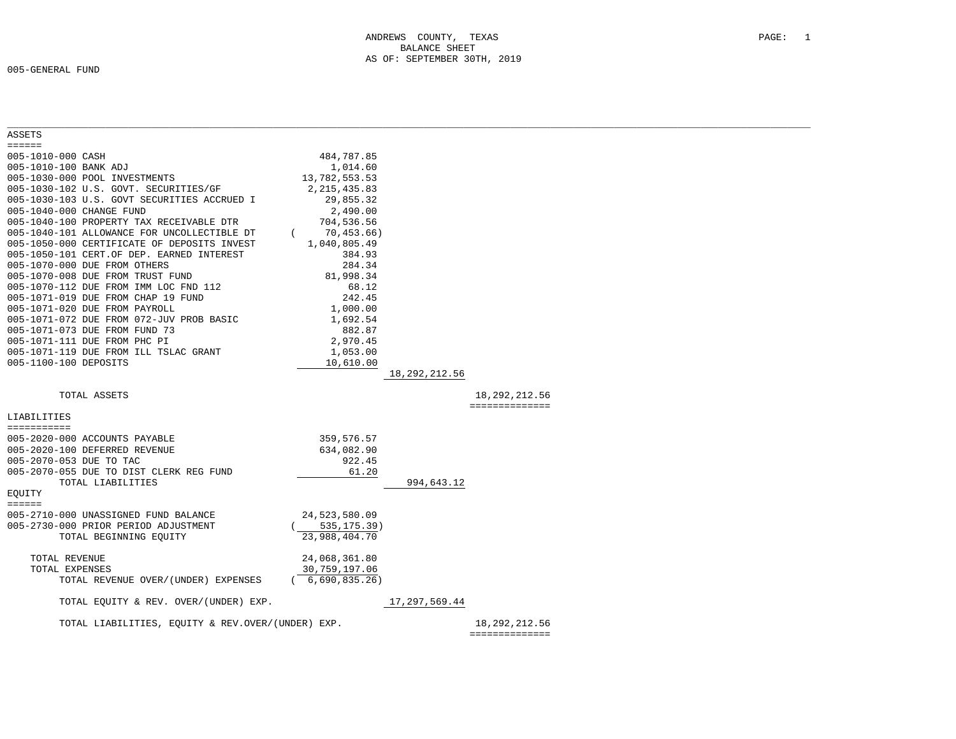| ASSETS                                            |                |               |                 |  |
|---------------------------------------------------|----------------|---------------|-----------------|--|
| $=$ = = = = =                                     |                |               |                 |  |
| 005-1010-000 CASH                                 | 484,787.85     |               |                 |  |
| 005-1010-100 BANK ADJ                             | 1,014.60       |               |                 |  |
| 005-1030-000 POOL INVESTMENTS                     | 13,782,553.53  |               |                 |  |
| 005-1030-102 U.S. GOVT. SECURITIES/GF             | 2, 215, 435.83 |               |                 |  |
| 005-1030-103 U.S. GOVT SECURITIES ACCRUED I       | 29,855.32      |               |                 |  |
| 005-1040-000 CHANGE FUND                          | 2,490.00       |               |                 |  |
| 005-1040-100 PROPERTY TAX RECEIVABLE DTR          | 704,536.56     |               |                 |  |
| 005-1040-101 ALLOWANCE FOR UNCOLLECTIBLE DT       | 70,453.66)     |               |                 |  |
| 005-1050-000 CERTIFICATE OF DEPOSITS INVEST       | 1,040,805.49   |               |                 |  |
| 005-1050-101 CERT.OF DEP. EARNED INTEREST         | 384.93         |               |                 |  |
| 005-1070-000 DUE FROM OTHERS                      | 284.34         |               |                 |  |
| 005-1070-008 DUE FROM TRUST FUND                  | 81,998.34      |               |                 |  |
| 005-1070-112 DUE FROM IMM LOC FND 112             | 68.12          |               |                 |  |
| 005-1071-019 DUE FROM CHAP 19 FUND                | 242.45         |               |                 |  |
| 005-1071-020 DUE FROM PAYROLL                     | 1,000.00       |               |                 |  |
| 005-1071-072 DUE FROM 072-JUV PROB BASIC          | 1,692.54       |               |                 |  |
| 005-1071-073 DUE FROM FUND 73                     | 882.87         |               |                 |  |
| 005-1071-111 DUE FROM PHC PI                      | 2,970.45       |               |                 |  |
| 005-1071-119 DUE FROM ILL TSLAC GRANT             | 1,053.00       |               |                 |  |
| 005-1100-100 DEPOSITS                             | 10,610.00      |               |                 |  |
|                                                   |                | 18,292,212.56 |                 |  |
| TOTAL ASSETS                                      |                |               | 18, 292, 212.56 |  |
|                                                   |                |               | ==============  |  |
| LIABILITIES                                       |                |               |                 |  |
| ===========                                       |                |               |                 |  |
| 005-2020-000 ACCOUNTS PAYABLE                     | 359,576.57     |               |                 |  |
| 005-2020-100 DEFERRED REVENUE                     | 634,082.90     |               |                 |  |
| 005-2070-053 DUE TO TAC                           | 922.45         |               |                 |  |
| 005-2070-055 DUE TO DIST CLERK REG FUND           | 61.20          |               |                 |  |
| TOTAL LIABILITIES                                 |                | 994,643.12    |                 |  |
| EOUITY                                            |                |               |                 |  |
| $=$ = = = = =                                     |                |               |                 |  |
| 005-2710-000 UNASSIGNED FUND BALANCE              | 24,523,580.09  |               |                 |  |
| 005-2730-000 PRIOR PERIOD ADJUSTMENT              | 535,175.39)    |               |                 |  |
| TOTAL BEGINNING EQUITY                            | 23,988,404.70  |               |                 |  |
|                                                   |                |               |                 |  |
| TOTAL REVENUE                                     | 24,068,361.80  |               |                 |  |
| TOTAL EXPENSES                                    | 30,759,197.06  |               |                 |  |
| TOTAL REVENUE OVER/(UNDER) EXPENSES               | (6,690,835.26) |               |                 |  |
|                                                   |                |               |                 |  |
| TOTAL EQUITY & REV. OVER/(UNDER) EXP.             |                | 17,297,569.44 |                 |  |
|                                                   |                |               |                 |  |
|                                                   |                |               |                 |  |
| TOTAL LIABILITIES, EQUITY & REV.OVER/(UNDER) EXP. |                |               | 18, 292, 212.56 |  |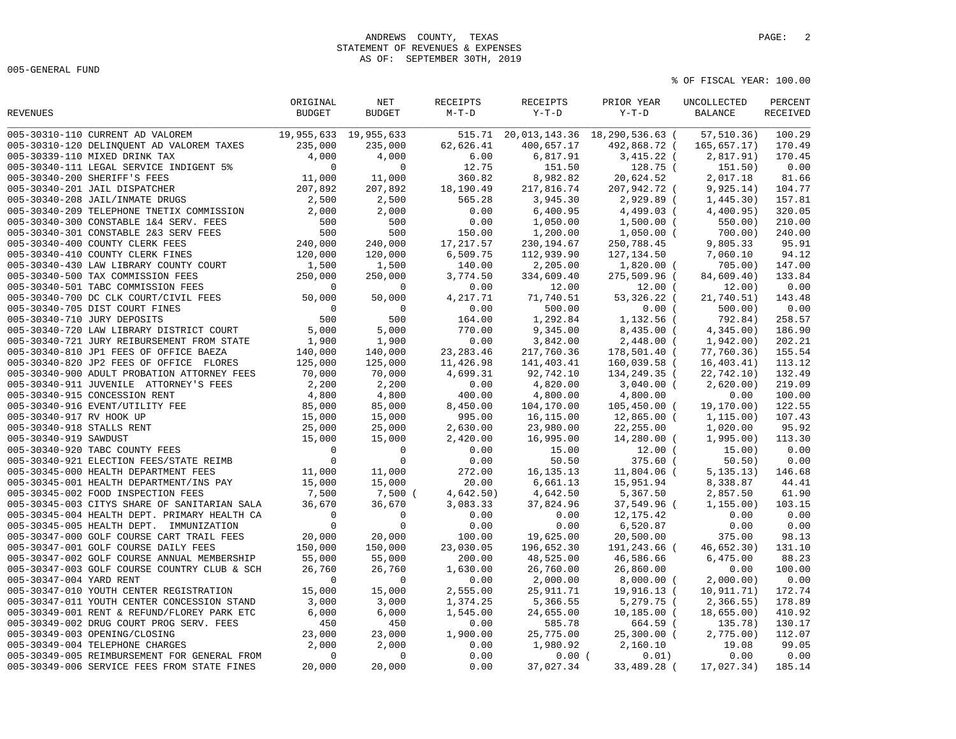005-GENERAL FUND

|                         |                                                                                                                                                                                                                                             | ORIGINAL                | NET           | RECEIPTS   | RECEIPTS    | PRIOR YEAR                                      | UNCOLLECTED              | PERCENT         |
|-------------------------|---------------------------------------------------------------------------------------------------------------------------------------------------------------------------------------------------------------------------------------------|-------------------------|---------------|------------|-------------|-------------------------------------------------|--------------------------|-----------------|
| REVENUES                |                                                                                                                                                                                                                                             | <b>BUDGET</b>           | <b>BUDGET</b> | $M-T-D$    | $Y-T-D$     | $Y-T-D$                                         | <b>BALANCE</b>           | <b>RECEIVED</b> |
|                         | 005-30310-110 CURRENT AD VALOREM 19,955,633 19,955,633                                                                                                                                                                                      |                         |               |            |             | 515.71 20,013,143.36 18,290,536.63 ( 57,510.36) |                          | 100.29          |
|                         | 005-30310-120 DELINQUENT AD VALOREM TAXES                                                                                                                                                                                                   | 235,000                 | 235,000       | 62,626.41  | 400,657.17  |                                                 | 492,868.72 ( 165,657.17) | 170.49          |
|                         | 005-30339-110 MIXED DRINK TAX                                                                                                                                                                                                               | 4,000                   | 4,000         | 6.00       | 6,817.91    | $3,415.22$ (                                    | 2,817.91)                | 170.45          |
|                         | 005-30340-111 LEGAL SERVICE INDIGENT 5%                                                                                                                                                                                                     | $\mathbf 0$             | $\mathbf 0$   | 12.75      | 151.50      | 128.75 (                                        | 151.50)                  | 0.00            |
|                         | 005-30340-200 SHERIFF'S FEES                                                                                                                                                                                                                | 11,000                  | 11,000        | 360.82     | 8,982.82    | 20,624.52                                       | 2,017.18                 | 81.66           |
|                         | 005-30340-201 JAIL DISPATCHER                                                                                                                                                                                                               | 207,892                 | 207,892       | 18,190.49  | 217,816.74  | 207,942.72 (                                    | 9,925.14)                | 104.77          |
|                         | 005-30340-208 JAIL/INMATE DRUGS                                                                                                                                                                                                             | 2,500                   | 2,500         | 565.28     | 3,945.30    | 2,929.89 (                                      | 1,445.30)                | 157.81          |
|                         |                                                                                                                                                                                                                                             | 2,000                   | 2,000         | 0.00       | 6,400.95    | 4,499.03 (                                      | 4,400.95)                | 320.05          |
|                         | 005-30340-206 0ALD/INTALL FORT<br>005-30340-209 TELEPHONE TNETIX COMMISSION<br>005-30340-300 CONSTABLE 1&4 SERV. FEES                                                                                                                       | 500                     | 500           | 0.00       | 1,050.00    | $1,500.00$ (                                    | 550.00)                  | 210.00          |
|                         | 005-30340-301 CONSTABLE 2&3 SERV FEES                                                                                                                                                                                                       | 500<br>$500$<br>240,000 | 500           | 150.00     | 1,200.00    | $1,050.00$ (                                    | 700.00                   | 240.00          |
|                         | 005-30340-400 COUNTY CLERK FEES                                                                                                                                                                                                             |                         | 240,000       | 17,217.57  | 230, 194.67 | 250,788.45                                      | 9,805.33                 | 95.91           |
|                         | 005-30340-410 COUNTY CLERK FINES                                                                                                                                                                                                            |                         | 120,000       | 6,509.75   | 112,939.90  | 127,134.50                                      | 7,060.10                 | 94.12           |
|                         |                                                                                                                                                                                                                                             |                         | 1,500         | 140.00     | 2,205.00    | 1,820.00 (                                      | 705.00)                  | 147.00          |
|                         |                                                                                                                                                                                                                                             |                         | 250,000       | 3,774.50   | 334,609.40  | 275,509.96 (                                    | 84,609.40)               | 133.84          |
|                         | 005-30340-410 COUNTY CLERK FINES<br>005-30340-430 LAW LIBRARY COUNTY COURT<br>005-30340-500 TAX COMMISSION FEES<br>005-30340-501 TABC COMMISSION FEES<br>005-30340-700 DC CLK COURT/CIVIL FEES<br>50,000                                    |                         | $\mathbf 0$   | 0.00       | 12.00       | $12.00$ (                                       | 12,00)                   | 0.00            |
|                         |                                                                                                                                                                                                                                             |                         | 50,000        | 4,217.71   | 71,740.51   | 53,326.22 (                                     | 21,740.51)               | 143.48          |
|                         | 005-30340-705 DIST COURT FINES                                                                                                                                                                                                              | $\Omega$                | $\Omega$      | 0.00       | 500.00      | 0.00(                                           | 500.00                   | 0.00            |
|                         | 005-30340-710 JURY DEPOSITS                                                                                                                                                                                                                 | 500                     | 500           | 164.00     | 1,292.84    | 1,132.56 (                                      | 792.84)                  | 258.57          |
|                         | 005-30340-720 LAW LIBRARY DISTRICT COURT                                                                                                                                                                                                    | 5,000                   | 5,000         | 770.00     | 9,345.00    | $8,435.00$ (                                    | 4,345.00                 | 186.90          |
|                         | 005-30340-721 JURY REIBURSEMENT FROM STATE                                                                                                                                                                                                  | 1,900                   | 1,900         | 0.00       | 3,842.00    | $2,448.00$ (                                    | 1,942.00)                | 202.21          |
|                         | 005-30340-810 JP1 FEES OF OFFICE BAEZA                                                                                                                                                                                                      | 140,000                 | 140,000       | 23, 283.46 | 217,760.36  | 178,501.40 (                                    | 77,760.36)               | 155.54          |
|                         | 005-30340-820 JP2 FEES OF OFFICE FLORES                                                                                                                                                                                                     | 125,000                 | 125,000       | 11,426.98  | 141,403.41  | 160,039.58 (                                    | 16, 403.41)              | 113.12          |
|                         | 005-30340-900 ADULT PROBATION ATTORNEY FEES                                                                                                                                                                                                 | 70,000                  | 70,000        | 4,699.31   | 92,742.10   | 134,249.35 (                                    | 22,742.10)               | 132.49          |
|                         | WORLED ATTORNEY'S FEES<br>105-30340-915 CONCESSION RENT<br>105-30340-917 RV HOOK UP<br>105-30340-917 RV HOOK UP<br>105-30340-918 STALLS RENT<br>105-30340-919 SAWDUST<br>105-30340-920 TABC COUNTY FEES<br>15-30340-921 ELECTION FEES/STATE | 2,200                   | 2,200         | 0.00       | 4,820.00    | $3,040.00$ (                                    | 2,620.00)                | 219.09          |
|                         |                                                                                                                                                                                                                                             | 4,800                   | 4,800         | 400.00     | 4,800.00    | 4,800.00                                        | 0.00                     | 100.00          |
|                         |                                                                                                                                                                                                                                             | 85,000                  | 85,000        | 8,450.00   | 104,170.00  | 105,450.00 (                                    | 19,170.00)               | 122.55          |
|                         |                                                                                                                                                                                                                                             | 15,000                  | 15,000        | 995.00     | 16,115.00   | 12,865.00 (                                     | 1, 115.00)               | 107.43          |
|                         |                                                                                                                                                                                                                                             | 25,000                  | 25,000        | 2,630.00   | 23,980.00   | 22,255.00                                       | 1,020.00                 | 95.92           |
|                         |                                                                                                                                                                                                                                             | 15,000                  | 15,000        | 2,420.00   | 16,995.00   | 14,280.00 (                                     | 1,995.00)                | 113.30          |
|                         |                                                                                                                                                                                                                                             | $\Omega$                | $\Omega$      | 0.00       | 15.00       | $12.00$ (                                       | 15.00)                   | 0.00            |
|                         |                                                                                                                                                                                                                                             | $\mathbf 0$             | $\mathbf 0$   | 0.00       | 50.50       | $375.60$ (                                      | 50.50)                   | 0.00            |
|                         |                                                                                                                                                                                                                                             | 11,000                  | 11,000        | 272.00     | 16, 135. 13 | 11,804.06 (                                     | 5, 135.13)               | 146.68          |
|                         | 005-30345-001 HEALTH DEPARTMENT/INS PAY                                                                                                                                                                                                     | 15,000                  | 15,000        | 20.00      | 6,661.13    | 15,951.94                                       | 8,338.87                 | 44.41           |
|                         | 005-30345-002 FOOD INSPECTION FEES                                                                                                                                                                                                          | 7,500                   | 7,500 (       | 4,642.50)  | 4,642.50    | 5,367.50                                        | 2,857.50                 | 61.90           |
|                         | 005-30345-003 CITYS SHARE OF SANITARIAN SALA                                                                                                                                                                                                | 36,670                  | 36,670        | 3,083.33   | 37,824.96   | 37,549.96 (                                     | 1, 155.00)               | 103.15          |
|                         | 005-30345-004 HEALTH DEPT. PRIMARY HEALTH CA                                                                                                                                                                                                | $\mathbf 0$             | $\Omega$      | 0.00       | 0.00        | 12,175.42                                       | 0.00                     | 0.00            |
|                         | 005-30345-005 HEALTH DEPT. IMMUNIZATION                                                                                                                                                                                                     | $\mathbf 0$             | $\mathbf 0$   | 0.00       | 0.00        | 6,520.87                                        | 0.00                     | 0.00            |
|                         | 005-30347-000 GOLF COURSE CART TRAIL FEES                                                                                                                                                                                                   | 20,000                  | 20,000        | 100.00     | 19,625.00   | 20,500.00                                       | 375.00                   | 98.13           |
|                         | 005-30347-001 GOLF COURSE DAILY FEES                                                                                                                                                                                                        | 150,000                 | 150,000       | 23,030.05  | 196,652.30  | 191,243.66 (                                    | 46,652.30)               | 131.10          |
|                         | 005-30347-002 GOLF COURSE ANNUAL MEMBERSHIP                                                                                                                                                                                                 | 55,000                  | 55,000        | 200.00     | 48,525.00   | 46,586.66                                       | 6,475.00                 | 88.23           |
|                         | 005-30347-003 GOLF COURSE COUNTRY CLUB & SCH                                                                                                                                                                                                | 26,760                  | 26,760        | 1,630.00   | 26,760.00   | 26,860.00                                       | 0.00                     | 100.00          |
| 005-30347-004 YARD RENT |                                                                                                                                                                                                                                             | $\mathbf 0$             | $\mathbf 0$   | 0.00       | 2,000.00    | $8,000.00$ (                                    | 2,000.00)                | 0.00            |
|                         | 005-30347-010 YOUTH CENTER REGISTRATION                                                                                                                                                                                                     | 15,000                  | 15,000        | 2,555.00   | 25, 911.71  | 19,916.13 (                                     | 10, 911, 71)             | 172.74          |
|                         | 005-30347-011 YOUTH CENTER CONCESSION STAND                                                                                                                                                                                                 | 3,000                   | 3,000         | 1,374.25   | 5,366.55    | 5,279.75 (                                      | 2,366.55)                | 178.89          |
|                         | 005-30349-001 RENT & REFUND/FLOREY PARK ETC                                                                                                                                                                                                 | 6,000                   | 6,000         | 1,545.00   | 24,655.00   | $10, 185.00$ (                                  | 18,655.00)               | 410.92          |
|                         | 005-30349-002 DRUG COURT PROG SERV. FEES                                                                                                                                                                                                    | 450                     | 450           | 0.00       | 585.78      | 664.59 (                                        | 135.78)                  | 130.17          |
|                         | 005-30349-003 OPENING/CLOSING                                                                                                                                                                                                               | 23,000                  | 23,000        | 1,900.00   | 25,775.00   | $25,300.00$ (                                   | 2,775.00)                | 112.07          |
|                         | 005-30349-004 TELEPHONE CHARGES                                                                                                                                                                                                             | 2,000                   | 2,000         | 0.00       | 1,980.92    | 2,160.10                                        | 19.08                    | 99.05           |
|                         | 005-30349-005 REIMBURSEMENT FOR GENERAL FROM                                                                                                                                                                                                | $\mathbf 0$             | $\mathbf 0$   | 0.00       | 0.00(       | 0.01)                                           | 0.00                     | 0.00            |
|                         | 005-30349-006 SERVICE FEES FROM STATE FINES                                                                                                                                                                                                 | 20,000                  | 20,000        | 0.00       | 37,027.34   | 33,489.28 (                                     | 17,027.34)               | 185.14          |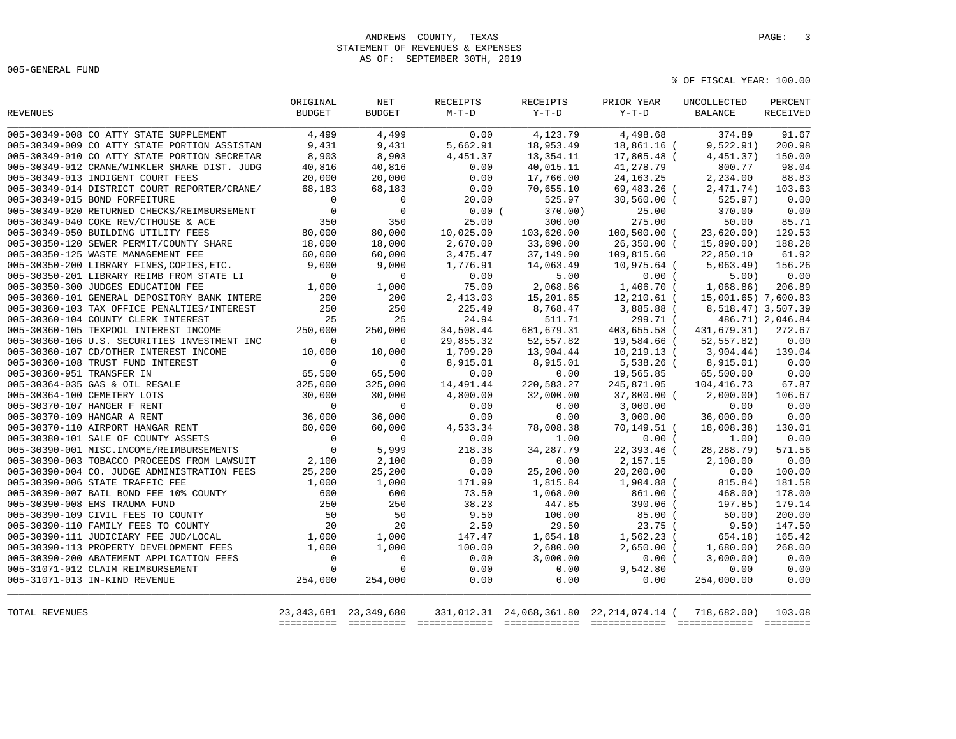# ANDREWS COUNTY, TEXAS **PAGE:** 3 STATEMENT OF REVENUES & EXPENSES AS OF: SEPTEMBER 30TH, 2019

005-GENERAL FUND

|                                              | ORIGINAL       | <b>NET</b>                | RECEIPTS  | <b>RECEIPTS</b> | PRIOR YEAR                                           | UNCOLLECTED         | PERCENT          |
|----------------------------------------------|----------------|---------------------------|-----------|-----------------|------------------------------------------------------|---------------------|------------------|
| <b>REVENUES</b>                              | <b>BUDGET</b>  | <b>BUDGET</b>             | $M-T-D$   | $Y-T-D$         | $Y-T-D$                                              | <b>BALANCE</b>      | RECEIVED         |
| 005-30349-008 CO ATTY STATE SUPPLEMENT       | 4,499          | 4,499                     | 0.00      | 4,123.79        | 4,498.68                                             | 374.89              | 91.67            |
| 005-30349-009 CO ATTY STATE PORTION ASSISTAN | 9,431          | 9,431                     | 5,662.91  | 18,953.49       | 18,861.16 (                                          | 9,522.91)           | 200.98           |
| 005-30349-010 CO ATTY STATE PORTION SECRETAR | 8,903          | 8,903                     | 4,451.37  | 13, 354. 11     | 17,805.48 (                                          | 4,451.37)           | 150.00           |
| 005-30349-012 CRANE/WINKLER SHARE DIST. JUDG | 40,816         | 40,816                    | 0.00      | 40,015.11       | 41,278.79                                            | 800.77              | 98.04            |
| 005-30349-013 INDIGENT COURT FEES            | 20,000         | 20,000                    | 0.00      | 17,766.00       | 24, 163. 25                                          | 2,234.00            | 88.83            |
| 005-30349-014 DISTRICT COURT REPORTER/CRANE/ | 68,183         | 68,183                    | 0.00      | 70,655.10       | 69,483.26 (                                          | 2,471.74)           | 103.63           |
| 005-30349-015 BOND FORFEITURE                | $\overline{0}$ | $\mathbf 0$               | 20.00     | 525.97          | $30,560.00$ (                                        | 525.97)             | 0.00             |
| 005-30349-020 RETURNED CHECKS/REIMBURSEMENT  | $\Omega$       | $\mathbf 0$               | 0.00(     | 370.00)         | 25.00                                                | 370.00              | 0.00             |
| 005-30349-040 COKE REV/CTHOUSE & ACE         | 350            | 350                       | 25.00     | 300.00          | 275.00                                               | 50.00               | 85.71            |
| 005-30349-050 BUILDING UTILITY FEES          | 80,000         | 80,000                    | 10,025.00 | 103,620.00      | 100,500.00 (                                         | 23,620.00           | 129.53           |
| 005-30350-120 SEWER PERMIT/COUNTY SHARE      | 18,000         | 18,000                    | 2,670.00  | 33,890.00       | 26,350.00 (                                          | 15,890.00)          | 188.28           |
| 005-30350-125 WASTE MANAGEMENT FEE           | 60,000         | 60,000                    | 3,475.47  | 37,149.90       | 109,815.60                                           | 22,850.10           | 61.92            |
| 005-30350-200 LIBRARY FINES, COPIES, ETC.    | 9,000          | 9,000                     | 1,776.91  | 14,063.49       | 10,975.64 (                                          | 5,063.49)           | 156.26           |
| 005-30350-201 LIBRARY REIMB FROM STATE LI    | $\Omega$       | $\mathbf 0$               | 0.00      | 5.00            | 0.00(                                                | 5.00)               | 0.00             |
| 005-30350-300 JUDGES EDUCATION FEE           | 1,000          | 1,000                     | 75.00     | 2,068.86        | 1,406.70 (                                           | 1,068.86)           | 206.89           |
| 005-30360-101 GENERAL DEPOSITORY BANK INTERE | 200            | 200                       | 2,413.03  | 15,201.65       | 12,210.61 (                                          | 15,001.65) 7,600.83 |                  |
| 005-30360-103 TAX OFFICE PENALTIES/INTEREST  | 250            | 250                       | 225.49    | 8,768.47        | 3,885.88 (                                           | 8,518.47) 3,507.39  |                  |
| 005-30360-104 COUNTY CLERK INTEREST          | 25             | 25                        | 24.94     | 511.71          | 299.71 (                                             |                     | 486.71) 2,046.84 |
| 005-30360-105 TEXPOOL INTEREST INCOME        | 250,000        | 250,000                   | 34,508.44 | 681, 679.31     | 403,655.58 (                                         | 431,679.31)         | 272.67           |
| 005-30360-106 U.S. SECURITIES INVESTMENT INC | $\Omega$       | $\Omega$                  | 29,855.32 | 52,557.82       | 19,584.66 (                                          | 52,557.82)          | 0.00             |
| 005-30360-107 CD/OTHER INTEREST INCOME       | 10,000         | 10,000                    | 1,709.20  | 13,904.44       | $10, 219.13$ (                                       | 3,904.44)           | 139.04           |
| 005-30360-108 TRUST FUND INTEREST            | $\Omega$       | $\Omega$                  | 8,915.01  | 8,915.01        | 5,538.26 (                                           | 8,915.01)           | 0.00             |
| 005-30360-951 TRANSFER IN                    | 65,500         | 65,500                    | 0.00      | 0.00            | 19,565.85                                            | 65,500.00           | 0.00             |
| 005-30364-035 GAS & OIL RESALE               | 325,000        | 325,000                   | 14,491.44 | 220,583.27      | 245,871.05                                           | 104,416.73          | 67.87            |
| 005-30364-100 CEMETERY LOTS                  | 30,000         | 30,000                    | 4,800.00  | 32,000.00       | 37,800.00 (                                          | 2,000.00)           | 106.67           |
| 005-30370-107 HANGER F RENT                  | $\Omega$       | $\Omega$                  | 0.00      | 0.00            | 3,000.00                                             | 0.00                | 0.00             |
| 005-30370-109 HANGAR A RENT                  | 36,000         | 36,000                    | 0.00      | 0.00            | 3,000.00                                             | 36,000.00           | 0.00             |
| 005-30370-110 AIRPORT HANGAR RENT            | 60,000         | 60,000                    | 4,533.34  | 78,008.38       | 70,149.51 (                                          | 18,008.38)          | 130.01           |
| 005-30380-101 SALE OF COUNTY ASSETS          | $\mathbf 0$    | $\mathbf 0$               | 0.00      | 1.00            | 0.00(                                                | 1.00)               | 0.00             |
| 005-30390-001 MISC. INCOME/REIMBURSEMENTS    | $\Omega$       | 5,999                     | 218.38    | 34, 287. 79     | 22,393.46 (                                          | 28, 288. 79)        | 571.56           |
| 005-30390-003 TOBACCO PROCEEDS FROM LAWSUIT  | 2,100          | 2,100                     | 0.00      | 0.00            | 2,157.15                                             | 2,100.00            | 0.00             |
| 005-30390-004 CO. JUDGE ADMINISTRATION FEES  | 25,200         | 25,200                    | 0.00      | 25,200.00       | 20,200.00                                            | 0.00                | 100.00           |
| 005-30390-006 STATE TRAFFIC FEE              | 1,000          | 1,000                     | 171.99    | 1,815.84        | 1,904.88 (                                           | 815.84)             | 181.58           |
| 005-30390-007 BAIL BOND FEE 10% COUNTY       | 600            | 600                       | 73.50     | 1,068.00        | 861.00 (                                             | 468.00)             | 178.00           |
| 005-30390-008 EMS TRAUMA FUND                | 250            | 250                       | 38.23     | 447.85          | 390.06 (                                             | 197.85)             | 179.14           |
| 005-30390-109 CIVIL FEES TO COUNTY           | 50             | 50                        | 9.50      | 100.00          | 85.00(                                               | 50.00)              | 200.00           |
| 005-30390-110 FAMILY FEES TO COUNTY          | 20             | 20                        | 2.50      | 29.50           | $23.75$ (                                            | 9.50)               | 147.50           |
| 005-30390-111 JUDICIARY FEE JUD/LOCAL        | 1,000          | 1,000                     | 147.47    | 1,654.18        | $1,562.23$ (                                         | 654.18)             | 165.42           |
| 005-30390-113 PROPERTY DEVELOPMENT FEES      | 1,000          | 1,000                     | 100.00    | 2,680.00        | $2,650.00$ (                                         | 1,680.00)           | 268.00           |
| 005-30390-200 ABATEMENT APPLICATION FEES     | $\overline{0}$ | $\mathbf 0$               | 0.00      | 3,000.00        | 0.00(                                                | 3,000.00)           | 0.00             |
| 005-31071-012 CLAIM REIMBURSEMENT            | $\Omega$       | $\mathbf 0$               | 0.00      | 0.00            | 9,542.80                                             | 0.00                | 0.00             |
| 005-31071-013 IN-KIND REVENUE                | 254,000        | 254,000                   | 0.00      | 0.00            | 0.00                                                 | 254,000.00          | 0.00             |
| TOTAL REVENUES                               |                | 23, 343, 681 23, 349, 680 |           |                 | 331,012.31 24,068,361.80 22,214,074.14 ( 718,682.00) |                     | 103.08           |
|                                              |                |                           |           |                 |                                                      |                     |                  |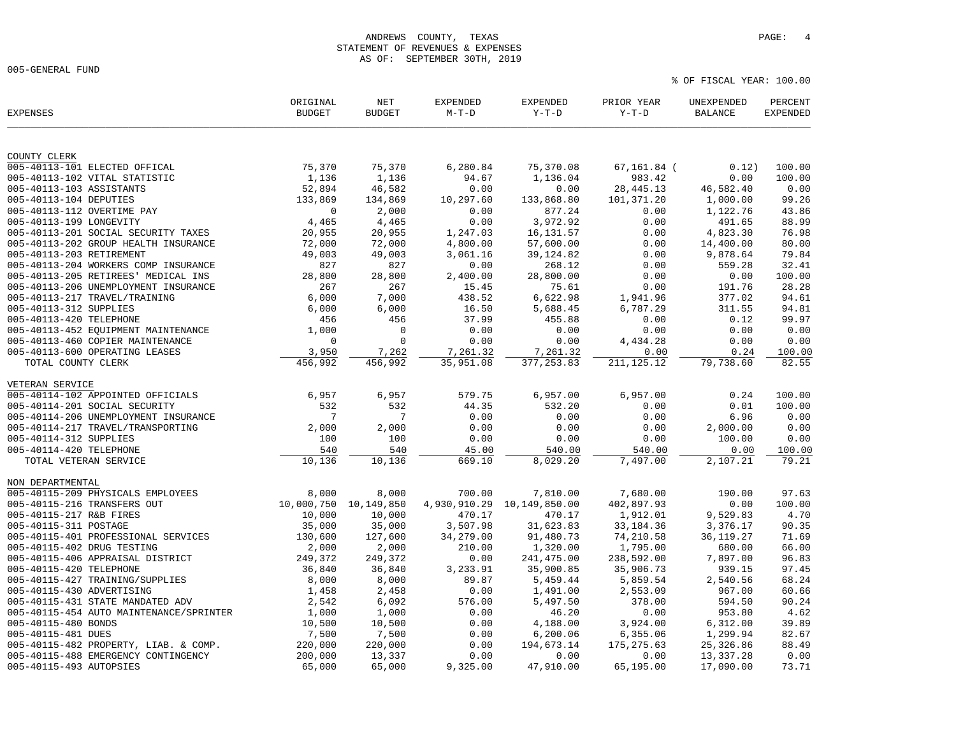## ANDREWS COUNTY, TEXAS **PAGE:** 4 STATEMENT OF REVENUES & EXPENSES AS OF: SEPTEMBER 30TH, 2019

005-GENERAL FUND

| <b>EXPENSES</b>                         | ORIGINAL<br><b>BUDGET</b> | NET<br><b>BUDGET</b> | <b>EXPENDED</b><br>$M-T-D$ | EXPENDED<br>$Y-T-D$ | PRIOR YEAR<br>$Y-T-D$ | UNEXPENDED<br><b>BALANCE</b> | PERCENT<br><b>EXPENDED</b> |
|-----------------------------------------|---------------------------|----------------------|----------------------------|---------------------|-----------------------|------------------------------|----------------------------|
|                                         |                           |                      |                            |                     |                       |                              |                            |
| COUNTY CLERK                            |                           |                      |                            |                     |                       |                              |                            |
| 005-40113-101 ELECTED OFFICAL           | 75,370                    | 75,370               | 6,280.84                   | 75,370.08           | $67, 161.84$ (        | 0.12)                        | 100.00                     |
| 005-40113-102 VITAL STATISTIC           | 1,136                     | 1,136                | 94.67                      | 1,136.04            | 983.42                | 0.00                         | 100.00                     |
| 005-40113-103 ASSISTANTS                | 52,894                    | 46,582               | 0.00                       | 0.00                | 28, 445. 13           | 46,582.40                    | 0.00                       |
| 005-40113-104 DEPUTIES                  | 133,869                   | 134,869              | 10,297.60                  | 133,868.80          | 101,371.20            | 1,000.00                     | 99.26                      |
| 005-40113-112 OVERTIME PAY              | $\mathbf 0$               | 2,000                | 0.00                       | 877.24              | 0.00                  | 1,122.76                     | 43.86                      |
| 005-40113-199 LONGEVITY                 | 4,465                     | 4,465                | 0.00                       | 3,972.92            | 0.00                  | 491.65                       | 88.99                      |
| 005-40113-201 SOCIAL SECURITY TAXES     | 20,955                    | 20,955               | 1,247.03                   | 16, 131.57          | 0.00                  | 4,823.30                     | 76.98                      |
| 005-40113-202 GROUP HEALTH INSURANCE    | 72,000                    | 72,000               | 4,800.00                   | 57,600.00           | 0.00                  | 14,400.00                    | 80.00                      |
| 005-40113-203 RETIREMENT                | 49,003                    | 49,003               | 3,061.16                   | 39, 124.82          | 0.00                  | 9,878.64                     | 79.84                      |
| 005-40113-204 WORKERS COMP INSURANCE    | 827                       | 827                  | 0.00                       | 268.12              | 0.00                  | 559.28                       | 32.41                      |
| 005-40113-205 RETIREES' MEDICAL INS     | 28,800                    | 28,800               | 2,400.00                   | 28,800.00           | 0.00                  | 0.00                         | 100.00                     |
| 005-40113-206 UNEMPLOYMENT INSURANCE    | 267                       | 267                  | 15.45                      | 75.61               | 0.00                  | 191.76                       | 28.28                      |
| 005-40113-217 TRAVEL/TRAINING           | 6,000                     | 7,000                | 438.52                     | 6,622.98            | 1,941.96              | 377.02                       | 94.61                      |
| 005-40113-312 SUPPLIES                  | 6,000                     | 6,000                | 16.50                      | 5,688.45            | 6,787.29              | 311.55                       | 94.81                      |
| 005-40113-420 TELEPHONE                 | 456                       | 456                  | 37.99                      | 455.88              | 0.00                  | 0.12                         | 99.97                      |
| 005-40113-452 EQUIPMENT MAINTENANCE     | 1,000                     | 0                    | 0.00                       | 0.00                | 0.00                  | 0.00                         | 0.00                       |
| 005-40113-460 COPIER MAINTENANCE        | $\mathbf 0$               | $\mathbf 0$          | 0.00                       | 0.00                | 4,434.28              | 0.00                         | 0.00                       |
| 005-40113-600 OPERATING LEASES          | 3,950                     | 7,262                | 7,261.32                   | 7,261.32            | 0.00                  | 0.24                         | 100.00                     |
| TOTAL COUNTY CLERK                      | 456,992                   | 456,992              | 35,951.08                  | 377, 253.83         | 211, 125. 12          | 79,738.60                    | 82.55                      |
| VETERAN SERVICE                         |                           |                      |                            |                     |                       |                              |                            |
| 005-40114-102 APPOINTED OFFICIALS       | 6,957                     | 6,957                | 579.75                     | 6,957.00            | 6,957.00              | 0.24                         | 100.00                     |
| 005-40114-201 SOCIAL SECURITY           | 532                       | 532                  | 44.35                      | 532.20              | 0.00                  | 0.01                         | 100.00                     |
| 005-40114-206 UNEMPLOYMENT INSURANCE    | $7\phantom{.0}$           | 7                    | 0.00                       | 0.00                | 0.00                  | 6.96                         | 0.00                       |
| 005-40114-217 TRAVEL/TRANSPORTING       | 2,000                     | 2,000                | 0.00                       | 0.00                | 0.00                  | 2,000.00                     | 0.00                       |
| 005-40114-312 SUPPLIES                  | 100                       | 100                  | 0.00                       | 0.00                | 0.00                  | 100.00                       | 0.00                       |
| 005-40114-420 TELEPHONE                 | 540                       | 540                  | 45.00                      | 540.00              | 540.00                | 0.00                         | 100.00                     |
| TOTAL VETERAN SERVICE                   | 10,136                    | 10,136               | 669.10                     | 8,029.20            | 7,497.00              | 2,107.21                     | 79.21                      |
|                                         |                           |                      |                            |                     |                       |                              |                            |
| NON DEPARTMENTAL                        |                           |                      |                            |                     |                       |                              |                            |
| 005-40115-209 PHYSICALS EMPLOYEES       | 8,000                     | 8,000                | 700.00                     | 7,810.00            | 7,680.00              | 190.00                       | 97.63                      |
| 005-40115-216 TRANSFERS OUT             | 10,000,750                | 10,149,850           | 4,930,910.29               | 10,149,850.00       | 402,897.93            | 0.00                         | 100.00                     |
| 005-40115-217 R&B FIRES                 | 10,000                    | 10,000               | 470.17                     | 470.17              | 1,912.01              | 9,529.83                     | 4.70                       |
| 005-40115-311 POSTAGE                   | 35,000                    | 35,000               | 3,507.98                   | 31,623.83           | 33, 184. 36           | 3,376.17                     | 90.35                      |
| 005-40115-401 PROFESSIONAL SERVICES     | 130,600                   | 127,600              | 34,279.00                  | 91,480.73           | 74,210.58             | 36, 119. 27                  | 71.69                      |
| 005-40115-402 DRUG TESTING              | 2,000                     | 2,000                | 210.00                     | 1,320.00            | 1,795.00              | 680.00                       | 66.00                      |
| 005-40115-406 APPRAISAL DISTRICT        | 249,372                   | 249,372              | 0.00                       | 241, 475.00         | 238,592.00            | 7,897.00                     | 96.83                      |
| 005-40115-420 TELEPHONE                 | 36,840                    | 36,840               | 3,233.91                   | 35,900.85           | 35,906.73             | 939.15                       | 97.45                      |
| 005-40115-427 TRAINING/SUPPLIES         | 8,000                     | 8,000                | 89.87                      | 5,459.44            | 5,859.54              | 2,540.56                     | 68.24                      |
| 005-40115-430 ADVERTISING               | 1,458                     | 2,458                | 0.00                       | 1,491.00            | 2,553.09              | 967.00                       | 60.66                      |
| 005-40115-431 STATE MANDATED ADV        | 2,542                     | 6,092                | 576.00                     | 5,497.50            | 378.00                | 594.50                       | 90.24                      |
| 005-40115-454 AUTO MAINTENANCE/SPRINTER | 1,000                     | 1,000                | 0.00                       | 46.20               | 0.00                  | 953.80                       | 4.62                       |
| 005-40115-480 BONDS                     | 10,500                    | 10,500               | 0.00                       | 4,188.00            | 3,924.00              | 6,312.00                     | 39.89                      |
| 005-40115-481 DUES                      | 7,500                     | 7,500                | 0.00                       | 6, 200.06           | 6,355.06              | 1,299.94                     | 82.67                      |
| 005-40115-482 PROPERTY, LIAB. & COMP.   | 220,000                   | 220,000              | 0.00                       | 194,673.14          | 175, 275.63           | 25,326.86                    | 88.49                      |
| 005-40115-488 EMERGENCY CONTINGENCY     | 200,000                   | 13,337               | 0.00                       | 0.00                | 0.00                  | 13,337.28                    | 0.00                       |
| 005-40115-493 AUTOPSIES                 | 65,000                    | 65,000               | 9,325.00                   | 47,910.00           | 65,195.00             | 17,090.00                    | 73.71                      |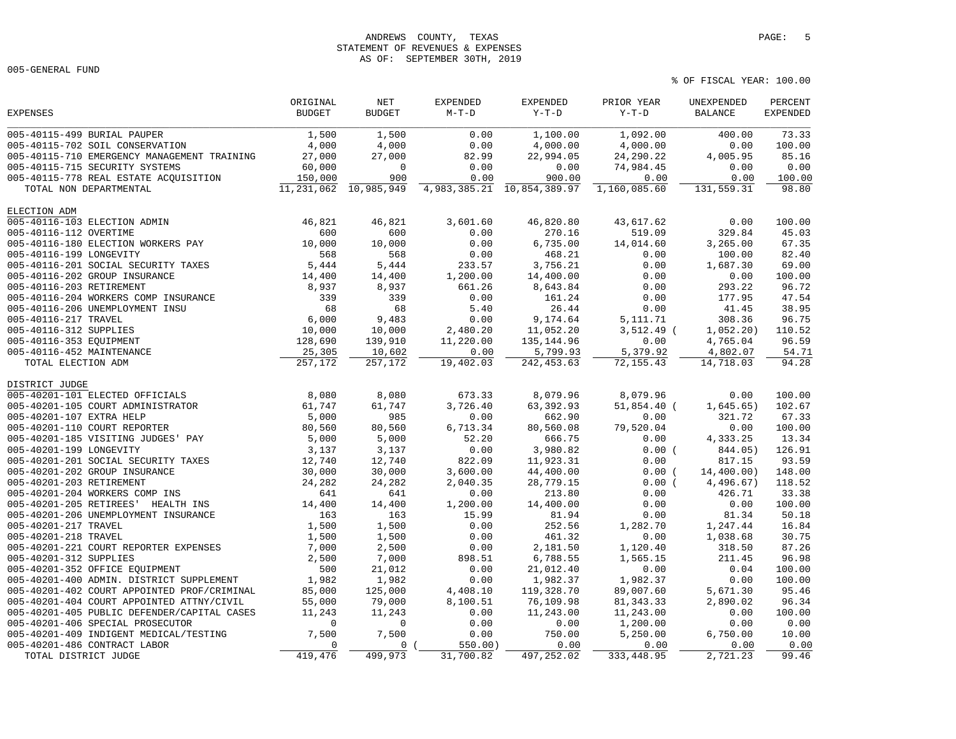# ANDREWS COUNTY, TEXAS **PAGE:** 5 STATEMENT OF REVENUES & EXPENSES AS OF: SEPTEMBER 30TH, 2019

005-GENERAL FUND

|                                             | ORIGINAL      | $\operatorname{NET}$ | <b>EXPENDED</b> | EXPENDED                         | PRIOR YEAR    | UNEXPENDED     | PERCENT         |
|---------------------------------------------|---------------|----------------------|-----------------|----------------------------------|---------------|----------------|-----------------|
| <b>EXPENSES</b>                             | <b>BUDGET</b> | <b>BUDGET</b>        | $M-T-D$         | $Y-T-D$                          | $Y-T-D$       | <b>BALANCE</b> | <b>EXPENDED</b> |
| 005-40115-499 BURIAL PAUPER                 | 1,500         | 1,500                | 0.00            | 1,100.00                         | 1,092.00      | 400.00         | 73.33           |
| 005-40115-702 SOIL CONSERVATION             | 4,000         | 4,000                | 0.00            | 4,000.00                         | 4,000.00      | 0.00           | 100.00          |
| 005-40115-710 EMERGENCY MANAGEMENT TRAINING | 27,000        | 27,000               | 82.99           | 22,994.05                        | 24,290.22     | 4,005.95       | 85.16           |
| 005-40115-715 SECURITY SYSTEMS              | 60,000        | $\mathbf 0$          | 0.00            | 0.00                             | 74,984.45     | 0.00           | 0.00            |
| 005-40115-778 REAL ESTATE ACOUISITION       | 150,000       | 900                  | 0.00            | 900.00                           | 0.00          | 0.00           | 100.00          |
| TOTAL NON DEPARTMENTAL                      | 11, 231, 062  | 10,985,949           |                 | 4, 983, 385. 21 10, 854, 389. 97 | 1,160,085.60  | 131,559.31     | 98.80           |
| ELECTION ADM                                |               |                      |                 |                                  |               |                |                 |
| 005-40116-103 ELECTION ADMIN                | 46,821        | 46,821               | 3,601.60        | 46,820.80                        | 43,617.62     | 0.00           | 100.00          |
| 005-40116-112 OVERTIME                      | 600           | 600                  | 0.00            | 270.16                           | 519.09        | 329.84         | 45.03           |
| 005-40116-180 ELECTION WORKERS PAY          | 10,000        | 10,000               | 0.00            | 6,735.00                         | 14,014.60     | 3,265.00       | 67.35           |
| 005-40116-199 LONGEVITY                     | 568           | 568                  | 0.00            | 468.21                           | 0.00          | 100.00         | 82.40           |
| 005-40116-201 SOCIAL SECURITY TAXES         | 5,444         | 5,444                | 233.57          | 3,756.21                         | 0.00          | 1,687.30       | 69.00           |
| 005-40116-202 GROUP INSURANCE               | 14,400        | 14,400               | 1,200.00        | 14,400.00                        | 0.00          | 0.00           | 100.00          |
| 005-40116-203 RETIREMENT                    | 8,937         | 8,937                | 661.26          | 8,643.84                         | 0.00          | 293.22         | 96.72           |
| 005-40116-204 WORKERS COMP INSURANCE        | 339           | 339                  | 0.00            | 161.24                           | 0.00          | 177.95         | 47.54           |
| 005-40116-206 UNEMPLOYMENT INSU             | 68            | 68                   | 5.40            | 26.44                            | 0.00          | 41.45          | 38.95           |
| 005-40116-217 TRAVEL                        | 6,000         | 9,483                | 0.00            | 9,174.64                         | 5, 111.71     | 308.36         | 96.75           |
| 005-40116-312 SUPPLIES                      | 10,000        | 10,000               | 2,480.20        | 11,052.20                        | $3,512.49$ (  | 1,052.20)      | 110.52          |
| 005-40116-353 EQUIPMENT                     | 128,690       | 139,910              | 11,220.00       | 135, 144.96                      | 0.00          | 4,765.04       | 96.59           |
| 005-40116-452 MAINTENANCE                   | 25,305        | 10,602               | 0.00            | 5,799.93                         | 5,379.92      | 4,802.07       | 54.71           |
| TOTAL ELECTION ADM                          | 257,172       | 257,172              | 19,402.03       | 242, 453.63                      | 72, 155.43    | 14,718.03      | 94.28           |
| DISTRICT JUDGE                              |               |                      |                 |                                  |               |                |                 |
| 005-40201-101 ELECTED OFFICIALS             | 8,080         | 8,080                | 673.33          | 8,079.96                         | 8,079.96      | 0.00           | 100.00          |
| 005-40201-105 COURT ADMINISTRATOR           | 61,747        | 61,747               | 3,726.40        | 63, 392.93                       | $51,854.40$ ( | 1,645.65)      | 102.67          |
| 005-40201-107 EXTRA HELP                    | 5,000         | 985                  | 0.00            | 662.90                           | 0.00          | 321.72         | 67.33           |
| 005-40201-110 COURT REPORTER                | 80,560        | 80,560               | 6,713.34        | 80,560.08                        | 79,520.04     | 0.00           | 100.00          |
| 005-40201-185 VISITING JUDGES' PAY          | 5,000         | 5,000                | 52.20           | 666.75                           | 0.00          | 4,333.25       | 13.34           |
| 005-40201-199 LONGEVITY                     | 3,137         | 3,137                | 0.00            | 3,980.82                         | 0.00(         | 844.05)        | 126.91          |
| 005-40201-201 SOCIAL SECURITY TAXES         | 12,740        | 12,740               | 822.09          | 11,923.31                        | 0.00          | 817.15         | 93.59           |
| 005-40201-202 GROUP INSURANCE               | 30,000        | 30,000               | 3,600.00        | 44,400.00                        | 0.00(         | 14,400.00)     | 148.00          |
| 005-40201-203 RETIREMENT                    | 24,282        | 24,282               | 2,040.35        | 28,779.15                        | 0.00(         | 4,496.67)      | 118.52          |
| 005-40201-204 WORKERS COMP INS              | 641           | 641                  | 0.00            | 213.80                           | 0.00          | 426.71         | 33.38           |
| 005-40201-205 RETIREES' HEALTH INS          | 14,400        | 14,400               | 1,200.00        | 14,400.00                        | 0.00          | 0.00           | 100.00          |
| 005-40201-206 UNEMPLOYMENT INSURANCE        | 163           | 163                  | 15.99           | 81.94                            | 0.00          | 81.34          | 50.18           |
| 005-40201-217 TRAVEL                        | 1,500         | 1,500                | 0.00            | 252.56                           | 1,282.70      | 1,247.44       | 16.84           |
| 005-40201-218 TRAVEL                        | 1,500         | 1,500                | 0.00            | 461.32                           | 0.00          | 1,038.68       | 30.75           |
| 005-40201-221 COURT REPORTER EXPENSES       | 7,000         | 2,500                | 0.00            | 2,181.50                         | 1,120.40      | 318.50         | 87.26           |
| 005-40201-312 SUPPLIES                      | 2,500         | 7,000                | 898.51          | 6,788.55                         | 1,565.15      | 211.45         | 96.98           |
| 005-40201-352 OFFICE EQUIPMENT              | 500           | 21,012               | 0.00            | 21,012.40                        | 0.00          | 0.04           | 100.00          |
| 005-40201-400 ADMIN. DISTRICT SUPPLEMENT    | 1,982         | 1,982                | 0.00            | 1,982.37                         | 1,982.37      | 0.00           | 100.00          |
| 005-40201-402 COURT APPOINTED PROF/CRIMINAL | 85,000        | 125,000              | 4,408.10        | 119,328.70                       | 89,007.60     | 5,671.30       | 95.46           |
| 005-40201-404 COURT APPOINTED ATTNY/CIVIL   | 55,000        | 79,000               | 8,100.51        | 76,109.98                        | 81, 343.33    | 2,890.02       | 96.34           |
| 005-40201-405 PUBLIC DEFENDER/CAPITAL CASES | 11,243        | 11,243               | 0.00            | 11,243.00                        | 11,243.00     | 0.00           | 100.00          |
| 005-40201-406 SPECIAL PROSECUTOR            | $\mathbf 0$   | $\mathbf 0$          | 0.00            | 0.00                             | 1,200.00      | 0.00           | 0.00            |
| 005-40201-409 INDIGENT MEDICAL/TESTING      | 7,500         | 7,500                | 0.00            | 750.00                           | 5,250.00      | 6,750.00       | 10.00           |
| 005-40201-486 CONTRACT LABOR                | $\mathbf 0$   | $\mathbf 0$          | 550.00)         | 0.00                             | 0.00          | 0.00           | 0.00            |
| TOTAL DISTRICT JUDGE                        | 419,476       | 499,973              | 31,700.82       | 497,252.02                       | 333, 448.95   | 2,721.23       | 99.46           |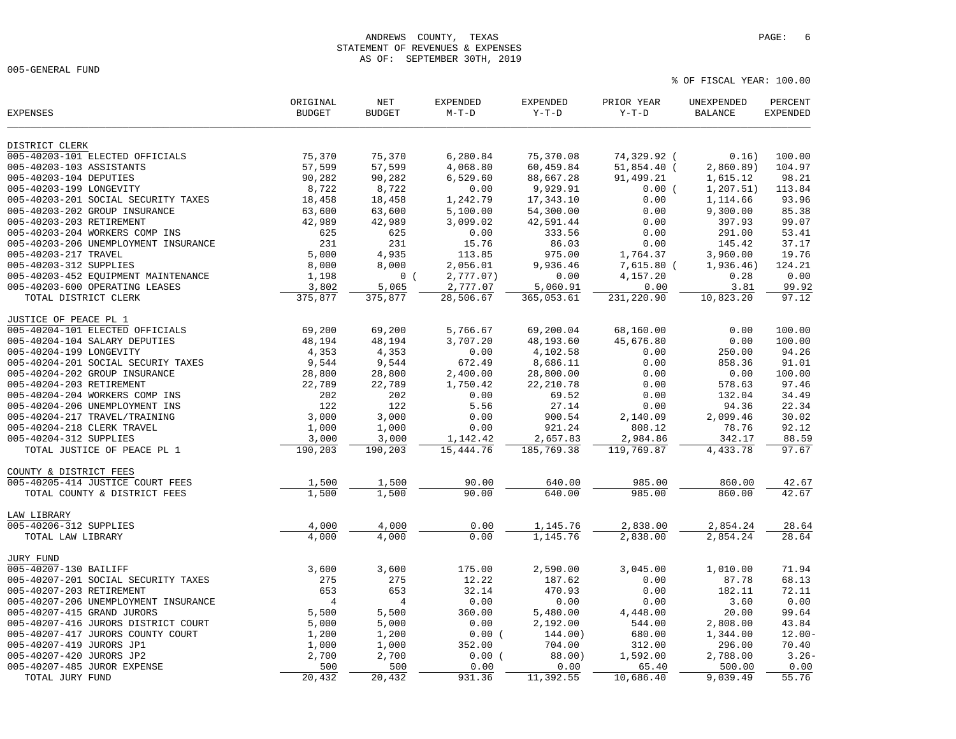#### ANDREWS COUNTY, TEXAS **PAGE:** 6 STATEMENT OF REVENUES & EXPENSES AS OF: SEPTEMBER 30TH, 2019

005-GENERAL FUND

| <b>EXPENSES</b>                           | ORIGINAL<br><b>BUDGET</b> | <b>NET</b><br><b>BUDGET</b> | <b>EXPENDED</b><br>$M-T-D$ | <b>EXPENDED</b><br>$Y-T-D$ | PRIOR YEAR<br>$Y-T-D$ | UNEXPENDED<br>BALANCE | PERCENT<br><b>EXPENDED</b> |
|-------------------------------------------|---------------------------|-----------------------------|----------------------------|----------------------------|-----------------------|-----------------------|----------------------------|
| DISTRICT CLERK                            |                           |                             |                            |                            |                       |                       |                            |
| 005-40203-101 ELECTED OFFICIALS           | 75,370                    | 75,370                      | 6,280.84                   | 75,370.08                  | 74,329.92 (           | 0.16)                 | 100.00                     |
| 005-40203-103 ASSISTANTS                  | 57,599                    | 57,599                      | 4,068.80                   | 60,459.84                  | 51,854.40 (           | 2,860.89)             | 104.97                     |
| 005-40203-104 DEPUTIES                    | 90,282                    | 90,282                      | 6,529.60                   | 88,667.28                  | 91,499.21             | 1,615.12              | 98.21                      |
| 005-40203-199 LONGEVITY                   | 8,722                     | 8,722                       | 0.00                       | 9,929.91                   | 0.00(                 | 1, 207.51)            | 113.84                     |
| 005-40203-201 SOCIAL SECURITY TAXES       | 18,458                    | 18,458                      | 1,242.79                   | 17,343.10                  | 0.00                  | 1,114.66              | 93.96                      |
| 005-40203-202 GROUP INSURANCE             | 63,600                    | 63,600                      | 5,100.00                   | 54,300.00                  | 0.00                  | 9,300.00              | 85.38                      |
| 005-40203-203 RETIREMENT                  | 42,989                    | 42,989                      | 3,099.02                   | 42,591.44                  | 0.00                  | 397.93                | 99.07                      |
| 005-40203-204 WORKERS COMP INS            | 625                       | 625                         | 0.00                       | 333.56                     | 0.00                  | 291.00                | 53.41                      |
| 005-40203-206 UNEMPLOYMENT INSURANCE      | 231                       | 231                         | 15.76                      | 86.03                      | 0.00                  | 145.42                | 37.17                      |
| 005-40203-217 TRAVEL                      | 5,000                     | 4,935                       | 113.85                     | 975.00                     | 1,764.37              | 3,960.00              | 19.76                      |
| 005-40203-312 SUPPLIES                    | 8,000                     | 8,000                       | 2,056.01                   | 9,936.46                   | 7,615.80 (            | 1,936.46)             | 124.21                     |
| 005-40203-452 EQUIPMENT MAINTENANCE       | 1,198                     | 0(                          | 2,777.07)                  | 0.00                       | 4,157.20              | 0.28                  | 0.00                       |
| 005-40203-600 OPERATING LEASES            | 3,802                     | 5,065                       | 2,777.07                   | 5,060.91                   | 0.00                  | 3.81                  | 99.92                      |
| TOTAL DISTRICT CLERK                      | 375,877                   | 375,877                     | 28,506.67                  | 365,053.61                 | 231,220.90            | 10,823.20             | 97.12                      |
| JUSTICE OF PEACE PL 1                     |                           |                             |                            |                            |                       |                       |                            |
| 005-40204-101 ELECTED OFFICIALS           | 69,200                    | 69,200                      | 5,766.67                   | 69,200.04                  | 68,160.00             | 0.00                  | 100.00                     |
| 005-40204-104 SALARY DEPUTIES             | 48,194                    | 48,194                      | 3,707.20                   | 48,193.60                  | 45,676.80             | 0.00                  | 100.00                     |
| 005-40204-199 LONGEVITY                   | 4,353                     | 4,353                       | 0.00                       | 4,102.58                   | 0.00                  | 250.00                | 94.26                      |
| 005-40204-201 SOCIAL SECURIY TAXES        | 9,544                     | 9,544                       | 672.49                     | 8,686.11                   | 0.00                  | 858.36                | 91.01                      |
| 005-40204-202 GROUP INSURANCE             | 28,800                    | 28,800                      | 2,400.00                   | 28,800.00                  | 0.00                  | 0.00                  | 100.00                     |
| 005-40204-203 RETIREMENT                  | 22,789                    | 22,789                      | 1,750.42                   | 22, 210.78                 | 0.00                  | 578.63                | 97.46                      |
| 005-40204-204 WORKERS COMP INS            | 202                       | 202                         | 0.00                       | 69.52                      | 0.00                  | 132.04                | 34.49                      |
| 005-40204-206 UNEMPLOYMENT INS            | 122                       | 122                         | 5.56                       | 27.14                      | 0.00                  | 94.36                 | 22.34                      |
| 005-40204-217 TRAVEL/TRAINING             | 3,000                     | 3,000                       | 0.00                       | 900.54                     | 2,140.09              | 2,099.46              | 30.02                      |
| 005-40204-218 CLERK TRAVEL                | 1,000                     | 1,000                       | 0.00                       | 921.24                     | 808.12                | 78.76                 | 92.12                      |
| 005-40204-312 SUPPLIES                    | 3,000                     | 3,000                       | 1,142.42                   | 2,657.83                   | 2,984.86              | 342.17                | 88.59                      |
| TOTAL JUSTICE OF PEACE PL 1               | 190,203                   | 190,203                     | 15,444.76                  | 185,769.38                 | 119,769.87            | 4,433.78              | 97.67                      |
| COUNTY & DISTRICT FEES                    |                           |                             |                            |                            |                       |                       |                            |
| 005-40205-414 JUSTICE COURT FEES          | 1,500                     | 1,500                       | 90.00                      | 640.00                     | 985.00                | 860.00                | 42.67                      |
| TOTAL COUNTY & DISTRICT FEES              | 1,500                     | 1,500                       | 90.00                      | 640.00                     | 985.00                | 860.00                | 42.67                      |
| LAW LIBRARY                               |                           |                             |                            |                            |                       |                       |                            |
| 005-40206-312 SUPPLIES                    | 4,000                     | 4,000                       | 0.00                       | 1,145.76                   | 2,838.00              | 2,854.24              | 28.64                      |
| TOTAL LAW LIBRARY                         | 4,000                     | 4,000                       | 0.00                       | 1,145.76                   | 2,838.00              | 2,854.24              | 28.64                      |
| <b>JURY FUND</b><br>005-40207-130 BAILIFF |                           |                             |                            |                            |                       |                       | 71.94                      |
| 005-40207-201 SOCIAL SECURITY TAXES       | 3,600<br>275              | 3,600<br>275                | 175.00<br>12.22            | 2,590.00<br>187.62         | 3,045.00<br>0.00      | 1,010.00<br>87.78     | 68.13                      |
|                                           | 653                       |                             | 32.14                      |                            |                       |                       | 72.11                      |
| 005-40207-203 RETIREMENT                  |                           | 653                         |                            | 470.93                     | 0.00                  | 182.11                |                            |
| 005-40207-206 UNEMPLOYMENT INSURANCE      | 4                         | $\overline{4}$              | 0.00                       | 0.00                       | 0.00                  | 3.60                  | 0.00                       |
| 005-40207-415 GRAND JURORS                | 5,500                     | 5,500                       | 360.00                     | 5,480.00                   | 4,448.00              | 20.00                 | 99.64                      |
| 005-40207-416 JURORS DISTRICT COURT       | 5,000                     | 5,000                       | 0.00                       | 2,192.00                   | 544.00                | 2,808.00              | 43.84                      |
| 005-40207-417 JURORS COUNTY COURT         | 1,200                     | 1,200                       | 0.00(                      | 144.00)                    | 680.00                | 1,344.00              | 12.00                      |
| 005-40207-419 JURORS JP1                  | 1,000                     | 1,000                       | 352.00                     | 704.00                     | 312.00                | 296.00                | 70.40                      |
| 005-40207-420 JURORS JP2                  | 2,700                     | 2,700                       | 0.00(                      | 88.00)                     | 1,592.00              | 2,788.00              | $3.26 -$                   |
| 005-40207-485 JUROR EXPENSE               | 500                       | 500                         | 0.00                       | 0.00                       | 65.40                 | 500.00                | 0.00                       |
| TOTAL JURY FUND                           | 20,432                    | 20,432                      | 931.36                     | 11,392.55                  | 10,686.40             | 9,039.49              | 55.76                      |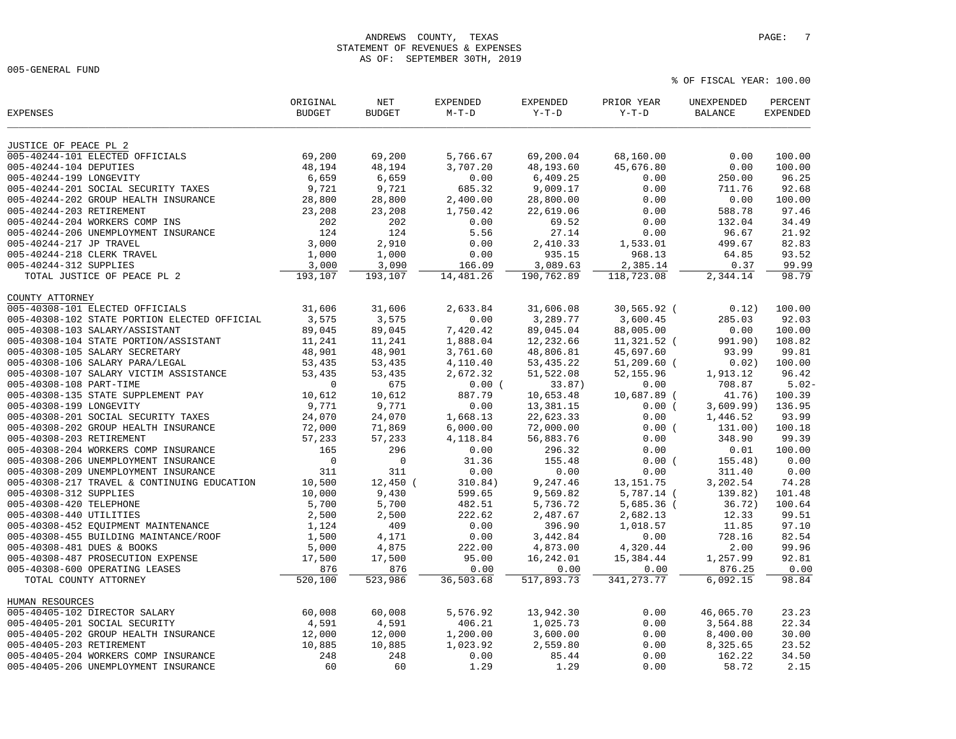## ANDREWS COUNTY, TEXAS **PAGE:** 7 STATEMENT OF REVENUES & EXPENSES AS OF: SEPTEMBER 30TH, 2019

005-GENERAL FUND

| JUSTICE OF PEACE PL 2<br>005-40244-101 ELECTED OFFICIALS<br>69,200<br>69,200<br>5,766.67<br>69,200.04<br>68,160.00<br>0.00<br>100.00<br>005-40244-104 DEPUTIES<br>48,194<br>48,194<br>3,707.20<br>48,193.60<br>45,676.80<br>0.00<br>100.00<br>005-40244-199 LONGEVITY<br>6,659<br>6,659<br>0.00<br>0.00<br>96.25<br>6,409.25<br>250.00<br>005-40244-201 SOCIAL SECURITY TAXES<br>9,721<br>9,721<br>685.32<br>9,009.17<br>0.00<br>92.68<br>711.76<br>005-40244-202 GROUP HEALTH INSURANCE<br>28,800<br>28,800<br>2,400.00<br>28,800.00<br>0.00<br>0.00<br>100.00<br>005-40244-203 RETIREMENT<br>97.46<br>23,208<br>23,208<br>1,750.42<br>22,619.06<br>0.00<br>588.78<br>005-40244-204 WORKERS COMP INS<br>202<br>202<br>0.00<br>69.52<br>0.00<br>132.04<br>34.49<br>124<br>27.14<br>21.92<br>005-40244-206 UNEMPLOYMENT INSURANCE<br>124<br>5.56<br>0.00<br>96.67<br>3,000<br>2,910<br>82.83<br>005-40244-217 JP TRAVEL<br>0.00<br>2,410.33<br>1,533.01<br>499.67<br>005-40244-218 CLERK TRAVEL<br>1,000<br>1,000<br>0.00<br>935.15<br>968.13<br>64.85<br>93.52<br>005-40244-312 SUPPLIES<br>3,000<br>3,090<br>3,089.63<br>2,385.14<br>0.37<br>99.99<br>166.09<br>193,107<br>190,762.89<br>118,723.08<br>98.79<br>TOTAL JUSTICE OF PEACE PL 2<br>193,107<br>14,481.26<br>2,344.14<br>COUNTY ATTORNEY<br>005-40308-101 ELECTED OFFICIALS<br>31,606<br>31,606<br>2,633.84<br>31,606.08<br>30,565.92 (<br>0.12)<br>100.00<br>3,575<br>3,575<br>3,289.77<br>3,600.45<br>005-40308-102 STATE PORTION ELECTED OFFICIAL<br>0.00<br>285.03<br>92.03<br>005-40308-103 SALARY/ASSISTANT<br>89,045<br>89,045<br>7,420.42<br>89,045.04<br>88,005.00<br>100.00<br>0.00<br>005-40308-104 STATE PORTION/ASSISTANT<br>11,241<br>11,241<br>1,888.04<br>12,232.66<br>11,321.52 (<br>108.82<br>991.90)<br>48,806.81<br>99.81<br>005-40308-105 SALARY SECRETARY<br>48,901<br>48,901<br>3,761.60<br>45,697.60<br>93.99<br>005-40308-106 SALARY PARA/LEGAL<br>53,435<br>4,110.40<br>53, 435.22<br>$51, 209.60$ (<br>0.02)<br>100.00<br>53,435<br>005-40308-107 SALARY VICTIM ASSISTANCE<br>53,435<br>53,435<br>2,672.32<br>51,522.08<br>52,155.96<br>96.42<br>1,913.12<br>675<br>5.02<br>005-40308-108 PART-TIME<br>$\mathbf 0$<br>0.00(<br>33.87)<br>0.00<br>708.87<br>005-40308-135 STATE SUPPLEMENT PAY<br>10,612<br>10,612<br>887.79<br>10,653.48<br>10,687.89 (<br>41.76)<br>100.39<br>005-40308-199 LONGEVITY<br>9,771<br>9,771<br>0.00<br>13, 381. 15<br>136.95<br>0.00(<br>3,609.99)<br>005-40308-201 SOCIAL SECURITY TAXES<br>24,070<br>24,070<br>1,668.13<br>22,623.33<br>0.00<br>93.99<br>1,446.52<br>005-40308-202 GROUP HEALTH INSURANCE<br>72,000<br>71,869<br>6,000.00<br>72,000.00<br>0.00(<br>131.00)<br>100.18<br>99.39<br>005-40308-203 RETIREMENT<br>56,883.76<br>0.00<br>57,233<br>57,233<br>4,118.84<br>348.90<br>005-40308-204 WORKERS COMP INSURANCE<br>296<br>0.00<br>0.00<br>0.01<br>100.00<br>165<br>296.32<br>005-40308-206 UNEMPLOYMENT INSURANCE<br>$\mathbf 0$<br>$\mathbf 0$<br>31.36<br>155.48<br>0.00<br>0.00(<br>155.48)<br>311<br>311<br>0.00<br>0.00<br>005-40308-209 UNEMPLOYMENT INSURANCE<br>0.00<br>0.00<br>311.40<br>005-40308-217 TRAVEL & CONTINUING EDUCATION<br>10,500<br>$12,450$ (<br>74.28<br>310.84)<br>9,247.46<br>13, 151. 75<br>3,202.54<br>005-40308-312 SUPPLIES<br>10,000<br>9,430<br>9,569.82<br>5,787.14 (<br>101.48<br>599.65<br>139.82)<br>005-40308-420 TELEPHONE<br>5,700<br>5,700<br>482.51<br>5,736.72<br>$5,685.36$ (<br>36.72)<br>100.64<br>99.51<br>005-40308-440 UTILITIES<br>2,500<br>2,500<br>222.62<br>2,487.67<br>2,682.13<br>12.33<br>005-40308-452 EQUIPMENT MAINTENANCE<br>1,124<br>409<br>0.00<br>396.90<br>1,018.57<br>11.85<br>97.10<br>82.54<br>005-40308-455 BUILDING MAINTANCE/ROOF<br>1,500<br>4,171<br>0.00<br>3,442.84<br>0.00<br>728.16<br>99.96<br>005-40308-481 DUES & BOOKS<br>5,000<br>4,875<br>222.00<br>4,873.00<br>4,320.44<br>2.00<br>005-40308-487 PROSECUTION EXPENSE<br>17,500<br>17,500<br>95.00<br>16,242.01<br>15,384.44<br>1,257.99<br>92.81<br>876<br>876<br>0.00<br>005-40308-600 OPERATING LEASES<br>0.00<br>0.00<br>0.00<br>876.25<br>TOTAL COUNTY ATTORNEY<br>520,100<br>523,986<br>36,503.68<br>517,893.73<br>341, 273. 77<br>6,092.15<br>98.84<br>HUMAN RESOURCES<br>005-40405-102 DIRECTOR SALARY<br>60,008<br>60,008<br>5,576.92<br>13,942.30<br>0.00<br>46,065.70<br>23.23<br>005-40405-201 SOCIAL SECURITY<br>4,591<br>4,591<br>406.21<br>1,025.73<br>0.00<br>3,564.88<br>22.34<br>005-40405-202 GROUP HEALTH INSURANCE<br>12,000<br>12,000<br>1,200.00<br>3,600.00<br>0.00<br>8,400.00<br>30.00<br>23.52<br>005-40405-203 RETIREMENT<br>10,885<br>10,885<br>1,023.92<br>2,559.80<br>0.00<br>8,325.65<br>005-40405-204 WORKERS COMP INSURANCE<br>248<br>248<br>0.00<br>85.44<br>0.00<br>162.22<br>34.50<br>1.29<br>005-40405-206 UNEMPLOYMENT INSURANCE<br>60<br>60<br>1.29<br>0.00<br>58.72<br>2.15 | <b>EXPENSES</b> | ORIGINAL<br><b>BUDGET</b> | NET<br><b>BUDGET</b> | <b>EXPENDED</b><br>$M-T-D$ | <b>EXPENDED</b><br>$Y-T-D$ | PRIOR YEAR<br>$Y-T-D$ | UNEXPENDED<br><b>BALANCE</b> | PERCENT<br><b>EXPENDED</b> |
|----------------------------------------------------------------------------------------------------------------------------------------------------------------------------------------------------------------------------------------------------------------------------------------------------------------------------------------------------------------------------------------------------------------------------------------------------------------------------------------------------------------------------------------------------------------------------------------------------------------------------------------------------------------------------------------------------------------------------------------------------------------------------------------------------------------------------------------------------------------------------------------------------------------------------------------------------------------------------------------------------------------------------------------------------------------------------------------------------------------------------------------------------------------------------------------------------------------------------------------------------------------------------------------------------------------------------------------------------------------------------------------------------------------------------------------------------------------------------------------------------------------------------------------------------------------------------------------------------------------------------------------------------------------------------------------------------------------------------------------------------------------------------------------------------------------------------------------------------------------------------------------------------------------------------------------------------------------------------------------------------------------------------------------------------------------------------------------------------------------------------------------------------------------------------------------------------------------------------------------------------------------------------------------------------------------------------------------------------------------------------------------------------------------------------------------------------------------------------------------------------------------------------------------------------------------------------------------------------------------------------------------------------------------------------------------------------------------------------------------------------------------------------------------------------------------------------------------------------------------------------------------------------------------------------------------------------------------------------------------------------------------------------------------------------------------------------------------------------------------------------------------------------------------------------------------------------------------------------------------------------------------------------------------------------------------------------------------------------------------------------------------------------------------------------------------------------------------------------------------------------------------------------------------------------------------------------------------------------------------------------------------------------------------------------------------------------------------------------------------------------------------------------------------------------------------------------------------------------------------------------------------------------------------------------------------------------------------------------------------------------------------------------------------------------------------------------------------------------------------------------------------------------------------------------------------------------------------------------------------------------------------------------------------------------------------------------------------------------------------------------------------------------------------------------------------------------------------------------------------------------------------------------------------------------------------------------------------------------------------------------------------------------------------------------------------------------------------------------------------------------------------------------------------------------------------------------------------------------------------------------------------------|-----------------|---------------------------|----------------------|----------------------------|----------------------------|-----------------------|------------------------------|----------------------------|
|                                                                                                                                                                                                                                                                                                                                                                                                                                                                                                                                                                                                                                                                                                                                                                                                                                                                                                                                                                                                                                                                                                                                                                                                                                                                                                                                                                                                                                                                                                                                                                                                                                                                                                                                                                                                                                                                                                                                                                                                                                                                                                                                                                                                                                                                                                                                                                                                                                                                                                                                                                                                                                                                                                                                                                                                                                                                                                                                                                                                                                                                                                                                                                                                                                                                                                                                                                                                                                                                                                                                                                                                                                                                                                                                                                                                                                                                                                                                                                                                                                                                                                                                                                                                                                                                                                                                                                                                                                                                                                                                                                                                                                                                                                                                                                                                                                                                                              |                 |                           |                      |                            |                            |                       |                              |                            |
|                                                                                                                                                                                                                                                                                                                                                                                                                                                                                                                                                                                                                                                                                                                                                                                                                                                                                                                                                                                                                                                                                                                                                                                                                                                                                                                                                                                                                                                                                                                                                                                                                                                                                                                                                                                                                                                                                                                                                                                                                                                                                                                                                                                                                                                                                                                                                                                                                                                                                                                                                                                                                                                                                                                                                                                                                                                                                                                                                                                                                                                                                                                                                                                                                                                                                                                                                                                                                                                                                                                                                                                                                                                                                                                                                                                                                                                                                                                                                                                                                                                                                                                                                                                                                                                                                                                                                                                                                                                                                                                                                                                                                                                                                                                                                                                                                                                                                              |                 |                           |                      |                            |                            |                       |                              |                            |
|                                                                                                                                                                                                                                                                                                                                                                                                                                                                                                                                                                                                                                                                                                                                                                                                                                                                                                                                                                                                                                                                                                                                                                                                                                                                                                                                                                                                                                                                                                                                                                                                                                                                                                                                                                                                                                                                                                                                                                                                                                                                                                                                                                                                                                                                                                                                                                                                                                                                                                                                                                                                                                                                                                                                                                                                                                                                                                                                                                                                                                                                                                                                                                                                                                                                                                                                                                                                                                                                                                                                                                                                                                                                                                                                                                                                                                                                                                                                                                                                                                                                                                                                                                                                                                                                                                                                                                                                                                                                                                                                                                                                                                                                                                                                                                                                                                                                                              |                 |                           |                      |                            |                            |                       |                              |                            |
|                                                                                                                                                                                                                                                                                                                                                                                                                                                                                                                                                                                                                                                                                                                                                                                                                                                                                                                                                                                                                                                                                                                                                                                                                                                                                                                                                                                                                                                                                                                                                                                                                                                                                                                                                                                                                                                                                                                                                                                                                                                                                                                                                                                                                                                                                                                                                                                                                                                                                                                                                                                                                                                                                                                                                                                                                                                                                                                                                                                                                                                                                                                                                                                                                                                                                                                                                                                                                                                                                                                                                                                                                                                                                                                                                                                                                                                                                                                                                                                                                                                                                                                                                                                                                                                                                                                                                                                                                                                                                                                                                                                                                                                                                                                                                                                                                                                                                              |                 |                           |                      |                            |                            |                       |                              |                            |
|                                                                                                                                                                                                                                                                                                                                                                                                                                                                                                                                                                                                                                                                                                                                                                                                                                                                                                                                                                                                                                                                                                                                                                                                                                                                                                                                                                                                                                                                                                                                                                                                                                                                                                                                                                                                                                                                                                                                                                                                                                                                                                                                                                                                                                                                                                                                                                                                                                                                                                                                                                                                                                                                                                                                                                                                                                                                                                                                                                                                                                                                                                                                                                                                                                                                                                                                                                                                                                                                                                                                                                                                                                                                                                                                                                                                                                                                                                                                                                                                                                                                                                                                                                                                                                                                                                                                                                                                                                                                                                                                                                                                                                                                                                                                                                                                                                                                                              |                 |                           |                      |                            |                            |                       |                              |                            |
|                                                                                                                                                                                                                                                                                                                                                                                                                                                                                                                                                                                                                                                                                                                                                                                                                                                                                                                                                                                                                                                                                                                                                                                                                                                                                                                                                                                                                                                                                                                                                                                                                                                                                                                                                                                                                                                                                                                                                                                                                                                                                                                                                                                                                                                                                                                                                                                                                                                                                                                                                                                                                                                                                                                                                                                                                                                                                                                                                                                                                                                                                                                                                                                                                                                                                                                                                                                                                                                                                                                                                                                                                                                                                                                                                                                                                                                                                                                                                                                                                                                                                                                                                                                                                                                                                                                                                                                                                                                                                                                                                                                                                                                                                                                                                                                                                                                                                              |                 |                           |                      |                            |                            |                       |                              |                            |
|                                                                                                                                                                                                                                                                                                                                                                                                                                                                                                                                                                                                                                                                                                                                                                                                                                                                                                                                                                                                                                                                                                                                                                                                                                                                                                                                                                                                                                                                                                                                                                                                                                                                                                                                                                                                                                                                                                                                                                                                                                                                                                                                                                                                                                                                                                                                                                                                                                                                                                                                                                                                                                                                                                                                                                                                                                                                                                                                                                                                                                                                                                                                                                                                                                                                                                                                                                                                                                                                                                                                                                                                                                                                                                                                                                                                                                                                                                                                                                                                                                                                                                                                                                                                                                                                                                                                                                                                                                                                                                                                                                                                                                                                                                                                                                                                                                                                                              |                 |                           |                      |                            |                            |                       |                              |                            |
|                                                                                                                                                                                                                                                                                                                                                                                                                                                                                                                                                                                                                                                                                                                                                                                                                                                                                                                                                                                                                                                                                                                                                                                                                                                                                                                                                                                                                                                                                                                                                                                                                                                                                                                                                                                                                                                                                                                                                                                                                                                                                                                                                                                                                                                                                                                                                                                                                                                                                                                                                                                                                                                                                                                                                                                                                                                                                                                                                                                                                                                                                                                                                                                                                                                                                                                                                                                                                                                                                                                                                                                                                                                                                                                                                                                                                                                                                                                                                                                                                                                                                                                                                                                                                                                                                                                                                                                                                                                                                                                                                                                                                                                                                                                                                                                                                                                                                              |                 |                           |                      |                            |                            |                       |                              |                            |
|                                                                                                                                                                                                                                                                                                                                                                                                                                                                                                                                                                                                                                                                                                                                                                                                                                                                                                                                                                                                                                                                                                                                                                                                                                                                                                                                                                                                                                                                                                                                                                                                                                                                                                                                                                                                                                                                                                                                                                                                                                                                                                                                                                                                                                                                                                                                                                                                                                                                                                                                                                                                                                                                                                                                                                                                                                                                                                                                                                                                                                                                                                                                                                                                                                                                                                                                                                                                                                                                                                                                                                                                                                                                                                                                                                                                                                                                                                                                                                                                                                                                                                                                                                                                                                                                                                                                                                                                                                                                                                                                                                                                                                                                                                                                                                                                                                                                                              |                 |                           |                      |                            |                            |                       |                              |                            |
|                                                                                                                                                                                                                                                                                                                                                                                                                                                                                                                                                                                                                                                                                                                                                                                                                                                                                                                                                                                                                                                                                                                                                                                                                                                                                                                                                                                                                                                                                                                                                                                                                                                                                                                                                                                                                                                                                                                                                                                                                                                                                                                                                                                                                                                                                                                                                                                                                                                                                                                                                                                                                                                                                                                                                                                                                                                                                                                                                                                                                                                                                                                                                                                                                                                                                                                                                                                                                                                                                                                                                                                                                                                                                                                                                                                                                                                                                                                                                                                                                                                                                                                                                                                                                                                                                                                                                                                                                                                                                                                                                                                                                                                                                                                                                                                                                                                                                              |                 |                           |                      |                            |                            |                       |                              |                            |
|                                                                                                                                                                                                                                                                                                                                                                                                                                                                                                                                                                                                                                                                                                                                                                                                                                                                                                                                                                                                                                                                                                                                                                                                                                                                                                                                                                                                                                                                                                                                                                                                                                                                                                                                                                                                                                                                                                                                                                                                                                                                                                                                                                                                                                                                                                                                                                                                                                                                                                                                                                                                                                                                                                                                                                                                                                                                                                                                                                                                                                                                                                                                                                                                                                                                                                                                                                                                                                                                                                                                                                                                                                                                                                                                                                                                                                                                                                                                                                                                                                                                                                                                                                                                                                                                                                                                                                                                                                                                                                                                                                                                                                                                                                                                                                                                                                                                                              |                 |                           |                      |                            |                            |                       |                              |                            |
|                                                                                                                                                                                                                                                                                                                                                                                                                                                                                                                                                                                                                                                                                                                                                                                                                                                                                                                                                                                                                                                                                                                                                                                                                                                                                                                                                                                                                                                                                                                                                                                                                                                                                                                                                                                                                                                                                                                                                                                                                                                                                                                                                                                                                                                                                                                                                                                                                                                                                                                                                                                                                                                                                                                                                                                                                                                                                                                                                                                                                                                                                                                                                                                                                                                                                                                                                                                                                                                                                                                                                                                                                                                                                                                                                                                                                                                                                                                                                                                                                                                                                                                                                                                                                                                                                                                                                                                                                                                                                                                                                                                                                                                                                                                                                                                                                                                                                              |                 |                           |                      |                            |                            |                       |                              |                            |
|                                                                                                                                                                                                                                                                                                                                                                                                                                                                                                                                                                                                                                                                                                                                                                                                                                                                                                                                                                                                                                                                                                                                                                                                                                                                                                                                                                                                                                                                                                                                                                                                                                                                                                                                                                                                                                                                                                                                                                                                                                                                                                                                                                                                                                                                                                                                                                                                                                                                                                                                                                                                                                                                                                                                                                                                                                                                                                                                                                                                                                                                                                                                                                                                                                                                                                                                                                                                                                                                                                                                                                                                                                                                                                                                                                                                                                                                                                                                                                                                                                                                                                                                                                                                                                                                                                                                                                                                                                                                                                                                                                                                                                                                                                                                                                                                                                                                                              |                 |                           |                      |                            |                            |                       |                              |                            |
|                                                                                                                                                                                                                                                                                                                                                                                                                                                                                                                                                                                                                                                                                                                                                                                                                                                                                                                                                                                                                                                                                                                                                                                                                                                                                                                                                                                                                                                                                                                                                                                                                                                                                                                                                                                                                                                                                                                                                                                                                                                                                                                                                                                                                                                                                                                                                                                                                                                                                                                                                                                                                                                                                                                                                                                                                                                                                                                                                                                                                                                                                                                                                                                                                                                                                                                                                                                                                                                                                                                                                                                                                                                                                                                                                                                                                                                                                                                                                                                                                                                                                                                                                                                                                                                                                                                                                                                                                                                                                                                                                                                                                                                                                                                                                                                                                                                                                              |                 |                           |                      |                            |                            |                       |                              |                            |
|                                                                                                                                                                                                                                                                                                                                                                                                                                                                                                                                                                                                                                                                                                                                                                                                                                                                                                                                                                                                                                                                                                                                                                                                                                                                                                                                                                                                                                                                                                                                                                                                                                                                                                                                                                                                                                                                                                                                                                                                                                                                                                                                                                                                                                                                                                                                                                                                                                                                                                                                                                                                                                                                                                                                                                                                                                                                                                                                                                                                                                                                                                                                                                                                                                                                                                                                                                                                                                                                                                                                                                                                                                                                                                                                                                                                                                                                                                                                                                                                                                                                                                                                                                                                                                                                                                                                                                                                                                                                                                                                                                                                                                                                                                                                                                                                                                                                                              |                 |                           |                      |                            |                            |                       |                              |                            |
|                                                                                                                                                                                                                                                                                                                                                                                                                                                                                                                                                                                                                                                                                                                                                                                                                                                                                                                                                                                                                                                                                                                                                                                                                                                                                                                                                                                                                                                                                                                                                                                                                                                                                                                                                                                                                                                                                                                                                                                                                                                                                                                                                                                                                                                                                                                                                                                                                                                                                                                                                                                                                                                                                                                                                                                                                                                                                                                                                                                                                                                                                                                                                                                                                                                                                                                                                                                                                                                                                                                                                                                                                                                                                                                                                                                                                                                                                                                                                                                                                                                                                                                                                                                                                                                                                                                                                                                                                                                                                                                                                                                                                                                                                                                                                                                                                                                                                              |                 |                           |                      |                            |                            |                       |                              |                            |
|                                                                                                                                                                                                                                                                                                                                                                                                                                                                                                                                                                                                                                                                                                                                                                                                                                                                                                                                                                                                                                                                                                                                                                                                                                                                                                                                                                                                                                                                                                                                                                                                                                                                                                                                                                                                                                                                                                                                                                                                                                                                                                                                                                                                                                                                                                                                                                                                                                                                                                                                                                                                                                                                                                                                                                                                                                                                                                                                                                                                                                                                                                                                                                                                                                                                                                                                                                                                                                                                                                                                                                                                                                                                                                                                                                                                                                                                                                                                                                                                                                                                                                                                                                                                                                                                                                                                                                                                                                                                                                                                                                                                                                                                                                                                                                                                                                                                                              |                 |                           |                      |                            |                            |                       |                              |                            |
|                                                                                                                                                                                                                                                                                                                                                                                                                                                                                                                                                                                                                                                                                                                                                                                                                                                                                                                                                                                                                                                                                                                                                                                                                                                                                                                                                                                                                                                                                                                                                                                                                                                                                                                                                                                                                                                                                                                                                                                                                                                                                                                                                                                                                                                                                                                                                                                                                                                                                                                                                                                                                                                                                                                                                                                                                                                                                                                                                                                                                                                                                                                                                                                                                                                                                                                                                                                                                                                                                                                                                                                                                                                                                                                                                                                                                                                                                                                                                                                                                                                                                                                                                                                                                                                                                                                                                                                                                                                                                                                                                                                                                                                                                                                                                                                                                                                                                              |                 |                           |                      |                            |                            |                       |                              |                            |
|                                                                                                                                                                                                                                                                                                                                                                                                                                                                                                                                                                                                                                                                                                                                                                                                                                                                                                                                                                                                                                                                                                                                                                                                                                                                                                                                                                                                                                                                                                                                                                                                                                                                                                                                                                                                                                                                                                                                                                                                                                                                                                                                                                                                                                                                                                                                                                                                                                                                                                                                                                                                                                                                                                                                                                                                                                                                                                                                                                                                                                                                                                                                                                                                                                                                                                                                                                                                                                                                                                                                                                                                                                                                                                                                                                                                                                                                                                                                                                                                                                                                                                                                                                                                                                                                                                                                                                                                                                                                                                                                                                                                                                                                                                                                                                                                                                                                                              |                 |                           |                      |                            |                            |                       |                              |                            |
|                                                                                                                                                                                                                                                                                                                                                                                                                                                                                                                                                                                                                                                                                                                                                                                                                                                                                                                                                                                                                                                                                                                                                                                                                                                                                                                                                                                                                                                                                                                                                                                                                                                                                                                                                                                                                                                                                                                                                                                                                                                                                                                                                                                                                                                                                                                                                                                                                                                                                                                                                                                                                                                                                                                                                                                                                                                                                                                                                                                                                                                                                                                                                                                                                                                                                                                                                                                                                                                                                                                                                                                                                                                                                                                                                                                                                                                                                                                                                                                                                                                                                                                                                                                                                                                                                                                                                                                                                                                                                                                                                                                                                                                                                                                                                                                                                                                                                              |                 |                           |                      |                            |                            |                       |                              |                            |
|                                                                                                                                                                                                                                                                                                                                                                                                                                                                                                                                                                                                                                                                                                                                                                                                                                                                                                                                                                                                                                                                                                                                                                                                                                                                                                                                                                                                                                                                                                                                                                                                                                                                                                                                                                                                                                                                                                                                                                                                                                                                                                                                                                                                                                                                                                                                                                                                                                                                                                                                                                                                                                                                                                                                                                                                                                                                                                                                                                                                                                                                                                                                                                                                                                                                                                                                                                                                                                                                                                                                                                                                                                                                                                                                                                                                                                                                                                                                                                                                                                                                                                                                                                                                                                                                                                                                                                                                                                                                                                                                                                                                                                                                                                                                                                                                                                                                                              |                 |                           |                      |                            |                            |                       |                              |                            |
|                                                                                                                                                                                                                                                                                                                                                                                                                                                                                                                                                                                                                                                                                                                                                                                                                                                                                                                                                                                                                                                                                                                                                                                                                                                                                                                                                                                                                                                                                                                                                                                                                                                                                                                                                                                                                                                                                                                                                                                                                                                                                                                                                                                                                                                                                                                                                                                                                                                                                                                                                                                                                                                                                                                                                                                                                                                                                                                                                                                                                                                                                                                                                                                                                                                                                                                                                                                                                                                                                                                                                                                                                                                                                                                                                                                                                                                                                                                                                                                                                                                                                                                                                                                                                                                                                                                                                                                                                                                                                                                                                                                                                                                                                                                                                                                                                                                                                              |                 |                           |                      |                            |                            |                       |                              |                            |
|                                                                                                                                                                                                                                                                                                                                                                                                                                                                                                                                                                                                                                                                                                                                                                                                                                                                                                                                                                                                                                                                                                                                                                                                                                                                                                                                                                                                                                                                                                                                                                                                                                                                                                                                                                                                                                                                                                                                                                                                                                                                                                                                                                                                                                                                                                                                                                                                                                                                                                                                                                                                                                                                                                                                                                                                                                                                                                                                                                                                                                                                                                                                                                                                                                                                                                                                                                                                                                                                                                                                                                                                                                                                                                                                                                                                                                                                                                                                                                                                                                                                                                                                                                                                                                                                                                                                                                                                                                                                                                                                                                                                                                                                                                                                                                                                                                                                                              |                 |                           |                      |                            |                            |                       |                              |                            |
|                                                                                                                                                                                                                                                                                                                                                                                                                                                                                                                                                                                                                                                                                                                                                                                                                                                                                                                                                                                                                                                                                                                                                                                                                                                                                                                                                                                                                                                                                                                                                                                                                                                                                                                                                                                                                                                                                                                                                                                                                                                                                                                                                                                                                                                                                                                                                                                                                                                                                                                                                                                                                                                                                                                                                                                                                                                                                                                                                                                                                                                                                                                                                                                                                                                                                                                                                                                                                                                                                                                                                                                                                                                                                                                                                                                                                                                                                                                                                                                                                                                                                                                                                                                                                                                                                                                                                                                                                                                                                                                                                                                                                                                                                                                                                                                                                                                                                              |                 |                           |                      |                            |                            |                       |                              |                            |
|                                                                                                                                                                                                                                                                                                                                                                                                                                                                                                                                                                                                                                                                                                                                                                                                                                                                                                                                                                                                                                                                                                                                                                                                                                                                                                                                                                                                                                                                                                                                                                                                                                                                                                                                                                                                                                                                                                                                                                                                                                                                                                                                                                                                                                                                                                                                                                                                                                                                                                                                                                                                                                                                                                                                                                                                                                                                                                                                                                                                                                                                                                                                                                                                                                                                                                                                                                                                                                                                                                                                                                                                                                                                                                                                                                                                                                                                                                                                                                                                                                                                                                                                                                                                                                                                                                                                                                                                                                                                                                                                                                                                                                                                                                                                                                                                                                                                                              |                 |                           |                      |                            |                            |                       |                              |                            |
|                                                                                                                                                                                                                                                                                                                                                                                                                                                                                                                                                                                                                                                                                                                                                                                                                                                                                                                                                                                                                                                                                                                                                                                                                                                                                                                                                                                                                                                                                                                                                                                                                                                                                                                                                                                                                                                                                                                                                                                                                                                                                                                                                                                                                                                                                                                                                                                                                                                                                                                                                                                                                                                                                                                                                                                                                                                                                                                                                                                                                                                                                                                                                                                                                                                                                                                                                                                                                                                                                                                                                                                                                                                                                                                                                                                                                                                                                                                                                                                                                                                                                                                                                                                                                                                                                                                                                                                                                                                                                                                                                                                                                                                                                                                                                                                                                                                                                              |                 |                           |                      |                            |                            |                       |                              |                            |
|                                                                                                                                                                                                                                                                                                                                                                                                                                                                                                                                                                                                                                                                                                                                                                                                                                                                                                                                                                                                                                                                                                                                                                                                                                                                                                                                                                                                                                                                                                                                                                                                                                                                                                                                                                                                                                                                                                                                                                                                                                                                                                                                                                                                                                                                                                                                                                                                                                                                                                                                                                                                                                                                                                                                                                                                                                                                                                                                                                                                                                                                                                                                                                                                                                                                                                                                                                                                                                                                                                                                                                                                                                                                                                                                                                                                                                                                                                                                                                                                                                                                                                                                                                                                                                                                                                                                                                                                                                                                                                                                                                                                                                                                                                                                                                                                                                                                                              |                 |                           |                      |                            |                            |                       |                              |                            |
|                                                                                                                                                                                                                                                                                                                                                                                                                                                                                                                                                                                                                                                                                                                                                                                                                                                                                                                                                                                                                                                                                                                                                                                                                                                                                                                                                                                                                                                                                                                                                                                                                                                                                                                                                                                                                                                                                                                                                                                                                                                                                                                                                                                                                                                                                                                                                                                                                                                                                                                                                                                                                                                                                                                                                                                                                                                                                                                                                                                                                                                                                                                                                                                                                                                                                                                                                                                                                                                                                                                                                                                                                                                                                                                                                                                                                                                                                                                                                                                                                                                                                                                                                                                                                                                                                                                                                                                                                                                                                                                                                                                                                                                                                                                                                                                                                                                                                              |                 |                           |                      |                            |                            |                       |                              |                            |
|                                                                                                                                                                                                                                                                                                                                                                                                                                                                                                                                                                                                                                                                                                                                                                                                                                                                                                                                                                                                                                                                                                                                                                                                                                                                                                                                                                                                                                                                                                                                                                                                                                                                                                                                                                                                                                                                                                                                                                                                                                                                                                                                                                                                                                                                                                                                                                                                                                                                                                                                                                                                                                                                                                                                                                                                                                                                                                                                                                                                                                                                                                                                                                                                                                                                                                                                                                                                                                                                                                                                                                                                                                                                                                                                                                                                                                                                                                                                                                                                                                                                                                                                                                                                                                                                                                                                                                                                                                                                                                                                                                                                                                                                                                                                                                                                                                                                                              |                 |                           |                      |                            |                            |                       |                              |                            |
|                                                                                                                                                                                                                                                                                                                                                                                                                                                                                                                                                                                                                                                                                                                                                                                                                                                                                                                                                                                                                                                                                                                                                                                                                                                                                                                                                                                                                                                                                                                                                                                                                                                                                                                                                                                                                                                                                                                                                                                                                                                                                                                                                                                                                                                                                                                                                                                                                                                                                                                                                                                                                                                                                                                                                                                                                                                                                                                                                                                                                                                                                                                                                                                                                                                                                                                                                                                                                                                                                                                                                                                                                                                                                                                                                                                                                                                                                                                                                                                                                                                                                                                                                                                                                                                                                                                                                                                                                                                                                                                                                                                                                                                                                                                                                                                                                                                                                              |                 |                           |                      |                            |                            |                       |                              |                            |
|                                                                                                                                                                                                                                                                                                                                                                                                                                                                                                                                                                                                                                                                                                                                                                                                                                                                                                                                                                                                                                                                                                                                                                                                                                                                                                                                                                                                                                                                                                                                                                                                                                                                                                                                                                                                                                                                                                                                                                                                                                                                                                                                                                                                                                                                                                                                                                                                                                                                                                                                                                                                                                                                                                                                                                                                                                                                                                                                                                                                                                                                                                                                                                                                                                                                                                                                                                                                                                                                                                                                                                                                                                                                                                                                                                                                                                                                                                                                                                                                                                                                                                                                                                                                                                                                                                                                                                                                                                                                                                                                                                                                                                                                                                                                                                                                                                                                                              |                 |                           |                      |                            |                            |                       |                              |                            |
|                                                                                                                                                                                                                                                                                                                                                                                                                                                                                                                                                                                                                                                                                                                                                                                                                                                                                                                                                                                                                                                                                                                                                                                                                                                                                                                                                                                                                                                                                                                                                                                                                                                                                                                                                                                                                                                                                                                                                                                                                                                                                                                                                                                                                                                                                                                                                                                                                                                                                                                                                                                                                                                                                                                                                                                                                                                                                                                                                                                                                                                                                                                                                                                                                                                                                                                                                                                                                                                                                                                                                                                                                                                                                                                                                                                                                                                                                                                                                                                                                                                                                                                                                                                                                                                                                                                                                                                                                                                                                                                                                                                                                                                                                                                                                                                                                                                                                              |                 |                           |                      |                            |                            |                       |                              |                            |
|                                                                                                                                                                                                                                                                                                                                                                                                                                                                                                                                                                                                                                                                                                                                                                                                                                                                                                                                                                                                                                                                                                                                                                                                                                                                                                                                                                                                                                                                                                                                                                                                                                                                                                                                                                                                                                                                                                                                                                                                                                                                                                                                                                                                                                                                                                                                                                                                                                                                                                                                                                                                                                                                                                                                                                                                                                                                                                                                                                                                                                                                                                                                                                                                                                                                                                                                                                                                                                                                                                                                                                                                                                                                                                                                                                                                                                                                                                                                                                                                                                                                                                                                                                                                                                                                                                                                                                                                                                                                                                                                                                                                                                                                                                                                                                                                                                                                                              |                 |                           |                      |                            |                            |                       |                              |                            |
|                                                                                                                                                                                                                                                                                                                                                                                                                                                                                                                                                                                                                                                                                                                                                                                                                                                                                                                                                                                                                                                                                                                                                                                                                                                                                                                                                                                                                                                                                                                                                                                                                                                                                                                                                                                                                                                                                                                                                                                                                                                                                                                                                                                                                                                                                                                                                                                                                                                                                                                                                                                                                                                                                                                                                                                                                                                                                                                                                                                                                                                                                                                                                                                                                                                                                                                                                                                                                                                                                                                                                                                                                                                                                                                                                                                                                                                                                                                                                                                                                                                                                                                                                                                                                                                                                                                                                                                                                                                                                                                                                                                                                                                                                                                                                                                                                                                                                              |                 |                           |                      |                            |                            |                       |                              |                            |
|                                                                                                                                                                                                                                                                                                                                                                                                                                                                                                                                                                                                                                                                                                                                                                                                                                                                                                                                                                                                                                                                                                                                                                                                                                                                                                                                                                                                                                                                                                                                                                                                                                                                                                                                                                                                                                                                                                                                                                                                                                                                                                                                                                                                                                                                                                                                                                                                                                                                                                                                                                                                                                                                                                                                                                                                                                                                                                                                                                                                                                                                                                                                                                                                                                                                                                                                                                                                                                                                                                                                                                                                                                                                                                                                                                                                                                                                                                                                                                                                                                                                                                                                                                                                                                                                                                                                                                                                                                                                                                                                                                                                                                                                                                                                                                                                                                                                                              |                 |                           |                      |                            |                            |                       |                              |                            |
|                                                                                                                                                                                                                                                                                                                                                                                                                                                                                                                                                                                                                                                                                                                                                                                                                                                                                                                                                                                                                                                                                                                                                                                                                                                                                                                                                                                                                                                                                                                                                                                                                                                                                                                                                                                                                                                                                                                                                                                                                                                                                                                                                                                                                                                                                                                                                                                                                                                                                                                                                                                                                                                                                                                                                                                                                                                                                                                                                                                                                                                                                                                                                                                                                                                                                                                                                                                                                                                                                                                                                                                                                                                                                                                                                                                                                                                                                                                                                                                                                                                                                                                                                                                                                                                                                                                                                                                                                                                                                                                                                                                                                                                                                                                                                                                                                                                                                              |                 |                           |                      |                            |                            |                       |                              |                            |
|                                                                                                                                                                                                                                                                                                                                                                                                                                                                                                                                                                                                                                                                                                                                                                                                                                                                                                                                                                                                                                                                                                                                                                                                                                                                                                                                                                                                                                                                                                                                                                                                                                                                                                                                                                                                                                                                                                                                                                                                                                                                                                                                                                                                                                                                                                                                                                                                                                                                                                                                                                                                                                                                                                                                                                                                                                                                                                                                                                                                                                                                                                                                                                                                                                                                                                                                                                                                                                                                                                                                                                                                                                                                                                                                                                                                                                                                                                                                                                                                                                                                                                                                                                                                                                                                                                                                                                                                                                                                                                                                                                                                                                                                                                                                                                                                                                                                                              |                 |                           |                      |                            |                            |                       |                              |                            |
|                                                                                                                                                                                                                                                                                                                                                                                                                                                                                                                                                                                                                                                                                                                                                                                                                                                                                                                                                                                                                                                                                                                                                                                                                                                                                                                                                                                                                                                                                                                                                                                                                                                                                                                                                                                                                                                                                                                                                                                                                                                                                                                                                                                                                                                                                                                                                                                                                                                                                                                                                                                                                                                                                                                                                                                                                                                                                                                                                                                                                                                                                                                                                                                                                                                                                                                                                                                                                                                                                                                                                                                                                                                                                                                                                                                                                                                                                                                                                                                                                                                                                                                                                                                                                                                                                                                                                                                                                                                                                                                                                                                                                                                                                                                                                                                                                                                                                              |                 |                           |                      |                            |                            |                       |                              |                            |
|                                                                                                                                                                                                                                                                                                                                                                                                                                                                                                                                                                                                                                                                                                                                                                                                                                                                                                                                                                                                                                                                                                                                                                                                                                                                                                                                                                                                                                                                                                                                                                                                                                                                                                                                                                                                                                                                                                                                                                                                                                                                                                                                                                                                                                                                                                                                                                                                                                                                                                                                                                                                                                                                                                                                                                                                                                                                                                                                                                                                                                                                                                                                                                                                                                                                                                                                                                                                                                                                                                                                                                                                                                                                                                                                                                                                                                                                                                                                                                                                                                                                                                                                                                                                                                                                                                                                                                                                                                                                                                                                                                                                                                                                                                                                                                                                                                                                                              |                 |                           |                      |                            |                            |                       |                              |                            |
|                                                                                                                                                                                                                                                                                                                                                                                                                                                                                                                                                                                                                                                                                                                                                                                                                                                                                                                                                                                                                                                                                                                                                                                                                                                                                                                                                                                                                                                                                                                                                                                                                                                                                                                                                                                                                                                                                                                                                                                                                                                                                                                                                                                                                                                                                                                                                                                                                                                                                                                                                                                                                                                                                                                                                                                                                                                                                                                                                                                                                                                                                                                                                                                                                                                                                                                                                                                                                                                                                                                                                                                                                                                                                                                                                                                                                                                                                                                                                                                                                                                                                                                                                                                                                                                                                                                                                                                                                                                                                                                                                                                                                                                                                                                                                                                                                                                                                              |                 |                           |                      |                            |                            |                       |                              |                            |
|                                                                                                                                                                                                                                                                                                                                                                                                                                                                                                                                                                                                                                                                                                                                                                                                                                                                                                                                                                                                                                                                                                                                                                                                                                                                                                                                                                                                                                                                                                                                                                                                                                                                                                                                                                                                                                                                                                                                                                                                                                                                                                                                                                                                                                                                                                                                                                                                                                                                                                                                                                                                                                                                                                                                                                                                                                                                                                                                                                                                                                                                                                                                                                                                                                                                                                                                                                                                                                                                                                                                                                                                                                                                                                                                                                                                                                                                                                                                                                                                                                                                                                                                                                                                                                                                                                                                                                                                                                                                                                                                                                                                                                                                                                                                                                                                                                                                                              |                 |                           |                      |                            |                            |                       |                              |                            |
|                                                                                                                                                                                                                                                                                                                                                                                                                                                                                                                                                                                                                                                                                                                                                                                                                                                                                                                                                                                                                                                                                                                                                                                                                                                                                                                                                                                                                                                                                                                                                                                                                                                                                                                                                                                                                                                                                                                                                                                                                                                                                                                                                                                                                                                                                                                                                                                                                                                                                                                                                                                                                                                                                                                                                                                                                                                                                                                                                                                                                                                                                                                                                                                                                                                                                                                                                                                                                                                                                                                                                                                                                                                                                                                                                                                                                                                                                                                                                                                                                                                                                                                                                                                                                                                                                                                                                                                                                                                                                                                                                                                                                                                                                                                                                                                                                                                                                              |                 |                           |                      |                            |                            |                       |                              |                            |
|                                                                                                                                                                                                                                                                                                                                                                                                                                                                                                                                                                                                                                                                                                                                                                                                                                                                                                                                                                                                                                                                                                                                                                                                                                                                                                                                                                                                                                                                                                                                                                                                                                                                                                                                                                                                                                                                                                                                                                                                                                                                                                                                                                                                                                                                                                                                                                                                                                                                                                                                                                                                                                                                                                                                                                                                                                                                                                                                                                                                                                                                                                                                                                                                                                                                                                                                                                                                                                                                                                                                                                                                                                                                                                                                                                                                                                                                                                                                                                                                                                                                                                                                                                                                                                                                                                                                                                                                                                                                                                                                                                                                                                                                                                                                                                                                                                                                                              |                 |                           |                      |                            |                            |                       |                              |                            |
|                                                                                                                                                                                                                                                                                                                                                                                                                                                                                                                                                                                                                                                                                                                                                                                                                                                                                                                                                                                                                                                                                                                                                                                                                                                                                                                                                                                                                                                                                                                                                                                                                                                                                                                                                                                                                                                                                                                                                                                                                                                                                                                                                                                                                                                                                                                                                                                                                                                                                                                                                                                                                                                                                                                                                                                                                                                                                                                                                                                                                                                                                                                                                                                                                                                                                                                                                                                                                                                                                                                                                                                                                                                                                                                                                                                                                                                                                                                                                                                                                                                                                                                                                                                                                                                                                                                                                                                                                                                                                                                                                                                                                                                                                                                                                                                                                                                                                              |                 |                           |                      |                            |                            |                       |                              |                            |
|                                                                                                                                                                                                                                                                                                                                                                                                                                                                                                                                                                                                                                                                                                                                                                                                                                                                                                                                                                                                                                                                                                                                                                                                                                                                                                                                                                                                                                                                                                                                                                                                                                                                                                                                                                                                                                                                                                                                                                                                                                                                                                                                                                                                                                                                                                                                                                                                                                                                                                                                                                                                                                                                                                                                                                                                                                                                                                                                                                                                                                                                                                                                                                                                                                                                                                                                                                                                                                                                                                                                                                                                                                                                                                                                                                                                                                                                                                                                                                                                                                                                                                                                                                                                                                                                                                                                                                                                                                                                                                                                                                                                                                                                                                                                                                                                                                                                                              |                 |                           |                      |                            |                            |                       |                              |                            |
|                                                                                                                                                                                                                                                                                                                                                                                                                                                                                                                                                                                                                                                                                                                                                                                                                                                                                                                                                                                                                                                                                                                                                                                                                                                                                                                                                                                                                                                                                                                                                                                                                                                                                                                                                                                                                                                                                                                                                                                                                                                                                                                                                                                                                                                                                                                                                                                                                                                                                                                                                                                                                                                                                                                                                                                                                                                                                                                                                                                                                                                                                                                                                                                                                                                                                                                                                                                                                                                                                                                                                                                                                                                                                                                                                                                                                                                                                                                                                                                                                                                                                                                                                                                                                                                                                                                                                                                                                                                                                                                                                                                                                                                                                                                                                                                                                                                                                              |                 |                           |                      |                            |                            |                       |                              |                            |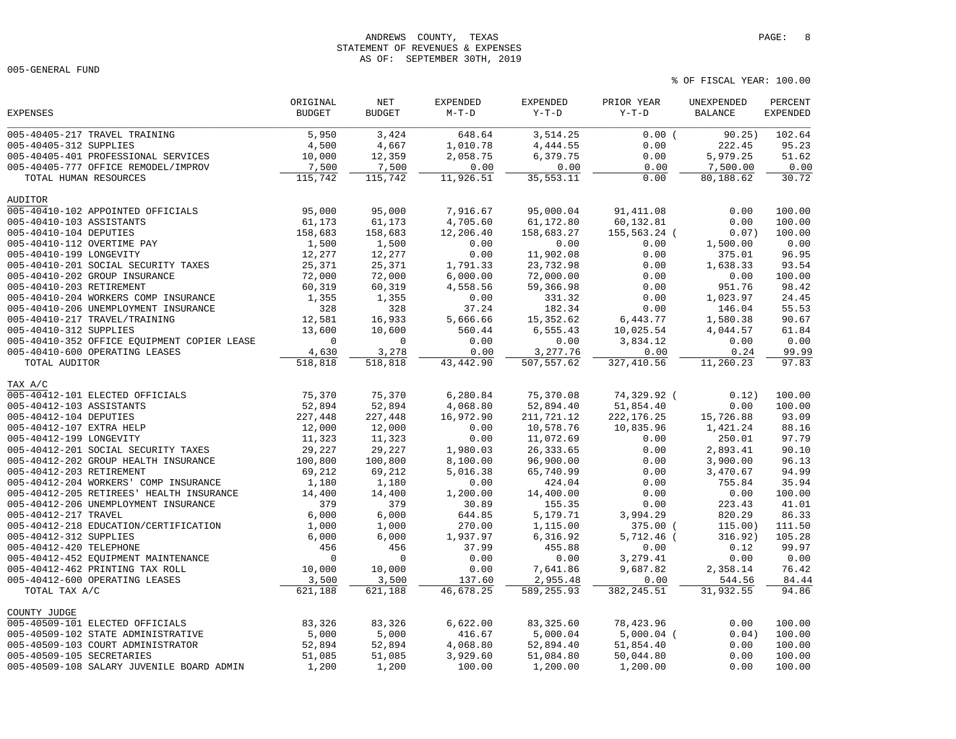# ANDREWS COUNTY, TEXAS **PAGE:** 8 STATEMENT OF REVENUES & EXPENSES AS OF: SEPTEMBER 30TH, 2019

005-GENERAL FUND

|                                             | ORIGINAL      | $\operatorname{NET}$ | <b>EXPENDED</b> | <b>EXPENDED</b> | PRIOR YEAR   | UNEXPENDED     | PERCENT          |
|---------------------------------------------|---------------|----------------------|-----------------|-----------------|--------------|----------------|------------------|
| <b>EXPENSES</b>                             | <b>BUDGET</b> | <b>BUDGET</b>        | $M-T-D$         | $Y-T-D$         | $Y-T-D$      | <b>BALANCE</b> | <b>EXPENDED</b>  |
| 005-40405-217 TRAVEL TRAINING               | 5,950         | 3,424                | 648.64          | 3,514.25        | 0.00(        | 90.25)         | 102.64           |
| 005-40405-312 SUPPLIES                      | 4,500         | 4,667                | 1,010.78        | 4,444.55        | 0.00         | 222.45         | 95.23            |
| 005-40405-401 PROFESSIONAL SERVICES         | 10,000        | 12,359               | 2,058.75        | 6,379.75        | 0.00         | 5,979.25       | 51.62            |
| 005-40405-777 OFFICE REMODEL/IMPROV         | 7,500         | 7,500                | 0.00            | 0.00            | 0.00         | 7,500.00       | 0.00             |
| TOTAL HUMAN RESOURCES                       | 115,742       | 115,742              | 11,926.51       | 35, 553. 11     | 0.00         | 80,188.62      | 30.72            |
| <b>AUDITOR</b>                              |               |                      |                 |                 |              |                |                  |
| 005-40410-102 APPOINTED OFFICIALS           | 95,000        | 95,000               | 7,916.67        | 95,000.04       | 91,411.08    | 0.00           | 100.00           |
| 005-40410-103 ASSISTANTS                    | 61,173        | 61,173               | 4,705.60        | 61,172.80       | 60,132.81    | 0.00           | 100.00           |
| 005-40410-104 DEPUTIES                      | 158,683       | 158,683              | 12,206.40       | 158,683.27      | 155,563.24 ( | 0.07)          | 100.00           |
| 005-40410-112 OVERTIME PAY                  | 1,500         | 1,500                | 0.00            | 0.00            | 0.00         | 1,500.00       | 0.00             |
| 005-40410-199 LONGEVITY                     | 12,277        | 12,277               | 0.00            | 11,902.08       | 0.00         | 375.01         | 96.95            |
| 005-40410-201 SOCIAL SECURITY TAXES         | 25,371        | 25,371               | 1,791.33        | 23,732.98       | 0.00         | 1,638.33       | 93.54            |
| 005-40410-202 GROUP INSURANCE               | 72,000        | 72,000               | 6,000.00        | 72,000.00       | 0.00         | 0.00           | 100.00           |
| 005-40410-203 RETIREMENT                    | 60,319        | 60,319               | 4,558.56        | 59,366.98       | 0.00         | 951.76         | 98.42            |
| 005-40410-204 WORKERS COMP INSURANCE        | 1,355         | 1,355                | 0.00            | 331.32          | 0.00         | 1,023.97       | 24.45            |
| 005-40410-206 UNEMPLOYMENT INSURANCE        | 328           | 328                  | 37.24           | 182.34          | 0.00         | 146.04         | 55.53            |
| 005-40410-217 TRAVEL/TRAINING               | 12,581        | 16,933               | 5,666.66        | 15,352.62       | 6,443.77     | 1,580.38       | 90.67            |
| 005-40410-312 SUPPLIES                      | 13,600        | 10,600               | 560.44          | 6,555.43        | 10,025.54    | 4,044.57       | 61.84            |
| 005-40410-352 OFFICE EQUIPMENT COPIER LEASE | $\mathbf 0$   | $\mathbf 0$          | 0.00            | 0.00            | 3,834.12     | 0.00           | 0.00             |
| 005-40410-600 OPERATING LEASES              | 4,630         | 3,278                | 0.00            | 3,277.76        | 0.00         | 0.24           | 99.99            |
| TOTAL AUDITOR                               | 518,818       | 518,818              | 43,442.90       | 507,557.62      | 327,410.56   | 11,260.23      | 97.83            |
|                                             |               |                      |                 |                 |              |                |                  |
| TAX A/C                                     | 75,370        |                      |                 |                 |              |                |                  |
| 005-40412-101 ELECTED OFFICIALS             |               | 75,370<br>52,894     | 6,280.84        | 75,370.08       | 74,329.92 (  | 0.12)          | 100.00<br>100.00 |
| 005-40412-103 ASSISTANTS                    | 52,894        |                      | 4,068.80        | 52,894.40       | 51,854.40    | 0.00           |                  |
| 005-40412-104 DEPUTIES                      | 227,448       | 227,448              | 16,972.90       | 211,721.12      | 222, 176.25  | 15,726.88      | 93.09            |
| 005-40412-107 EXTRA HELP                    | 12,000        | 12,000               | 0.00            | 10,578.76       | 10,835.96    | 1,421.24       | 88.16            |
| 005-40412-199 LONGEVITY                     | 11,323        | 11,323               | 0.00            | 11,072.69       | 0.00         | 250.01         | 97.79            |
| 005-40412-201 SOCIAL SECURITY TAXES         | 29,227        | 29,227               | 1,980.03        | 26, 333.65      | 0.00         | 2,893.41       | 90.10            |
| 005-40412-202 GROUP HEALTH INSURANCE        | 100,800       | 100,800              | 8,100.00        | 96,900.00       | 0.00         | 3,900.00       | 96.13            |
| 005-40412-203 RETIREMENT                    | 69,212        | 69,212               | 5,016.38        | 65,740.99       | 0.00         | 3,470.67       | 94.99            |
| 005-40412-204 WORKERS' COMP INSURANCE       | 1,180         | 1,180                | 0.00            | 424.04          | 0.00         | 755.84         | 35.94            |
| 005-40412-205 RETIREES' HEALTH INSURANCE    | 14,400        | 14,400               | 1,200.00        | 14,400.00       | 0.00         | 0.00           | 100.00           |
| 005-40412-206 UNEMPLOYMENT INSURANCE        | 379           | 379                  | 30.89           | 155.35          | 0.00         | 223.43         | 41.01            |
| 005-40412-217 TRAVEL                        | 6,000         | 6,000                | 644.85          | 5,179.71        | 3,994.29     | 820.29         | 86.33            |
| 005-40412-218 EDUCATION/CERTIFICATION       | 1,000         | 1,000                | 270.00          | 1,115.00        | 375.00 (     | 115.00)        | 111.50           |
| 005-40412-312 SUPPLIES                      | 6,000         | 6,000                | 1,937.97        | 6,316.92        | $5,712.46$ ( | 316.92)        | 105.28           |
| 005-40412-420 TELEPHONE                     | 456           | 456                  | 37.99           | 455.88          | 0.00         | 0.12           | 99.97            |
| 005-40412-452 EQUIPMENT MAINTENANCE         | $\mathbf 0$   | $\overline{0}$       | 0.00            | 0.00            | 3,279.41     | 0.00           | 0.00             |
| 005-40412-462 PRINTING TAX ROLL             | 10,000        | 10,000               | 0.00            | 7,641.86        | 9,687.82     | 2,358.14       | 76.42            |
| 005-40412-600 OPERATING LEASES              | 3,500         | 3,500                | 137.60          | 2,955.48        | 0.00         | 544.56         | 84.44            |
| TOTAL TAX A/C                               | 621,188       | 621,188              | 46,678.25       | 589,255.93      | 382, 245.51  | 31,932.55      | 94.86            |
| COUNTY JUDGE                                |               |                      |                 |                 |              |                |                  |
| 005-40509-101 ELECTED OFFICIALS             | 83,326        | 83,326               | 6,622.00        | 83, 325.60      | 78,423.96    | 0.00           | 100.00           |
| 005-40509-102 STATE ADMINISTRATIVE          | 5,000         | 5,000                | 416.67          | 5,000.04        | $5,000.04$ ( | 0.04)          | 100.00           |
| 005-40509-103 COURT ADMINISTRATOR           | 52,894        | 52,894               | 4,068.80        | 52,894.40       | 51,854.40    | 0.00           | 100.00           |
| 005-40509-105 SECRETARIES                   | 51,085        | 51,085               | 3,929.60        | 51,084.80       | 50,044.80    | 0.00           | 100.00           |
| 005-40509-108 SALARY JUVENILE BOARD ADMIN   | 1,200         | 1,200                | 100.00          | 1,200.00        | 1,200.00     | 0.00           | 100.00           |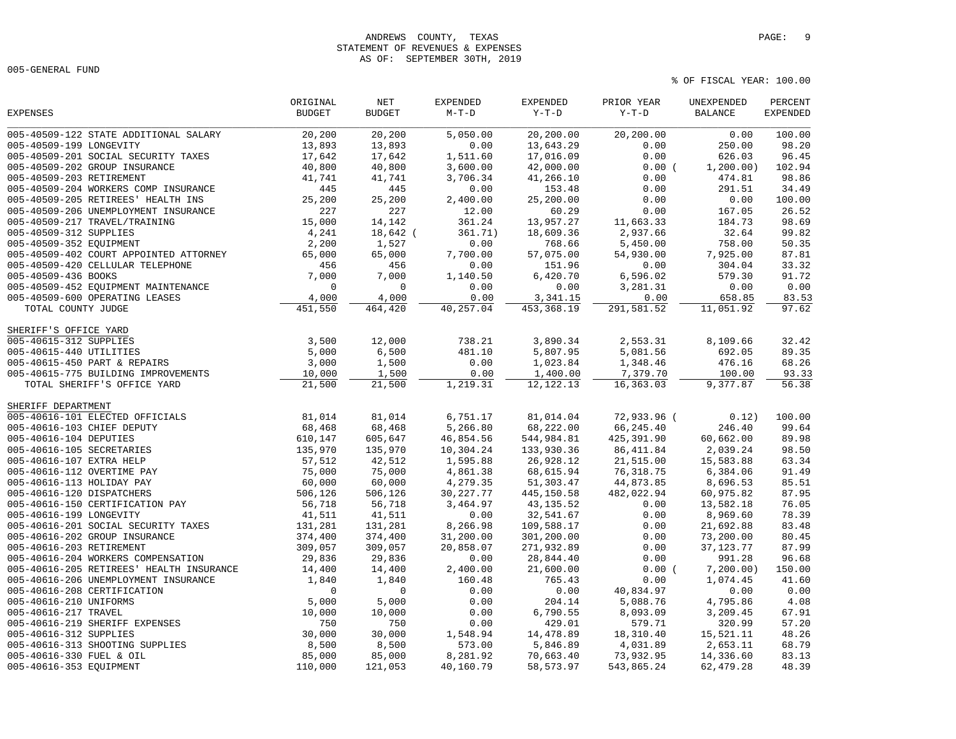## ANDREWS COUNTY, TEXAS **PAGE:** 9 STATEMENT OF REVENUES & EXPENSES AS OF: SEPTEMBER 30TH, 2019

005-GENERAL FUND

|                                          | ORIGINAL      | $\operatorname{NET}$ | <b>EXPENDED</b> | EXPENDED    | PRIOR YEAR  | UNEXPENDED     | PERCENT         |
|------------------------------------------|---------------|----------------------|-----------------|-------------|-------------|----------------|-----------------|
| <b>EXPENSES</b>                          | <b>BUDGET</b> | <b>BUDGET</b>        | $M-T-D$         | $Y-T-D$     | $Y-T-D$     | <b>BALANCE</b> | <b>EXPENDED</b> |
| 005-40509-122 STATE ADDITIONAL SALARY    | 20,200        | 20,200               | 5,050.00        | 20,200.00   | 20,200.00   | 0.00           | 100.00          |
| 005-40509-199 LONGEVITY                  | 13,893        | 13,893               | 0.00            | 13,643.29   | 0.00        | 250.00         | 98.20           |
| 005-40509-201 SOCIAL SECURITY TAXES      | 17,642        | 17,642               | 1,511.60        | 17,016.09   | 0.00        | 626.03         | 96.45           |
| 005-40509-202 GROUP INSURANCE            | 40,800        | 40,800               | 3,600.00        | 42,000.00   | 0.00(       | 1, 200.00)     | 102.94          |
| 005-40509-203 RETIREMENT                 | 41,741        | 41,741               | 3,706.34        | 41,266.10   | 0.00        | 474.81         | 98.86           |
| 005-40509-204 WORKERS COMP INSURANCE     | 445           | 445                  | 0.00            | 153.48      | 0.00        | 291.51         | 34.49           |
| 005-40509-205 RETIREES' HEALTH INS       | 25,200        | 25,200               | 2,400.00        | 25,200.00   | 0.00        | 0.00           | 100.00          |
| 005-40509-206 UNEMPLOYMENT INSURANCE     | 227           | 227                  | 12.00           | 60.29       | 0.00        | 167.05         | 26.52           |
| 005-40509-217 TRAVEL/TRAINING            | 15,000        | 14,142               | 361.24          | 13,957.27   | 11,663.33   | 184.73         | 98.69           |
| 005-40509-312 SUPPLIES                   | 4,241         | 18,642 (             | 361.71)         | 18,609.36   | 2,937.66    | 32.64          | 99.82           |
| 005-40509-352 EQUIPMENT                  | 2,200         | 1,527                | 0.00            | 768.66      | 5,450.00    | 758.00         | 50.35           |
| 005-40509-402 COURT APPOINTED ATTORNEY   | 65,000        | 65,000               | 7,700.00        | 57,075.00   | 54,930.00   | 7,925.00       | 87.81           |
| 005-40509-420 CELLULAR TELEPHONE         | 456           | 456                  | 0.00            | 151.96      | 0.00        | 304.04         | 33.32           |
| 005-40509-436 BOOKS                      | 7,000         | 7,000                | 1,140.50        | 6,420.70    | 6,596.02    | 579.30         | 91.72           |
| 005-40509-452 EQUIPMENT MAINTENANCE      | $\mathsf 0$   | $\mathbb O$          | 0.00            | 0.00        | 3,281.31    | 0.00           | 0.00            |
| 005-40509-600 OPERATING LEASES           | 4,000         | 4,000                | 0.00            | 3,341.15    | 0.00        | 658.85         | 83.53           |
| TOTAL COUNTY JUDGE                       | 451,550       | 464,420              | 40,257.04       | 453, 368.19 | 291,581.52  | 11,051.92      | 97.62           |
| SHERIFF'S OFFICE YARD                    |               |                      |                 |             |             |                |                 |
| 005-40615-312 SUPPLIES                   | 3,500         | 12,000               | 738.21          | 3,890.34    | 2,553.31    | 8,109.66       | 32.42           |
| 005-40615-440 UTILITIES                  | 5,000         | 6,500                | 481.10          | 5,807.95    | 5,081.56    | 692.05         | 89.35           |
| 005-40615-450 PART & REPAIRS             | 3,000         | 1,500                | 0.00            | 1,023.84    | 1,348.46    | 476.16         | 68.26           |
| 005-40615-775 BUILDING IMPROVEMENTS      | 10,000        | 1,500                | 0.00            | 1,400.00    | 7,379.70    | 100.00         | 93.33           |
| TOTAL SHERIFF'S OFFICE YARD              | 21,500        | 21,500               | 1,219.31        | 12, 122. 13 | 16,363.03   | 9,377.87       | 56.38           |
| SHERIFF DEPARTMENT                       |               |                      |                 |             |             |                |                 |
| 005-40616-101 ELECTED OFFICIALS          | 81,014        | 81,014               | 6,751.17        | 81,014.04   | 72,933.96 ( | 0.12)          | 100.00          |
| 005-40616-103 CHIEF DEPUTY               | 68,468        | 68,468               | 5,266.80        | 68,222.00   | 66,245.40   | 246.40         | 99.64           |
| 005-40616-104 DEPUTIES                   | 610,147       | 605,647              | 46,854.56       | 544,984.81  | 425,391.90  | 60,662.00      | 89.98           |
| 005-40616-105 SECRETARIES                | 135,970       | 135,970              | 10,304.24       | 133,930.36  | 86, 411.84  | 2,039.24       | 98.50           |
| 005-40616-107 EXTRA HELP                 | 57,512        | 42,512               | 1,595.88        | 26,928.12   | 21,515.00   | 15,583.88      | 63.34           |
| 005-40616-112 OVERTIME PAY               | 75,000        | 75,000               | 4,861.38        | 68,615.94   | 76,318.75   | 6,384.06       | 91.49           |
| 005-40616-113 HOLIDAY PAY                | 60,000        | 60,000               | 4,279.35        | 51,303.47   | 44,873.85   | 8,696.53       | 85.51           |
| 005-40616-120 DISPATCHERS                | 506,126       | 506,126              | 30, 227. 77     | 445,150.58  | 482,022.94  | 60,975.82      | 87.95           |
| 005-40616-150 CERTIFICATION PAY          | 56,718        | 56,718               | 3,464.97        | 43, 135.52  | 0.00        | 13,582.18      | 76.05           |
| 005-40616-199 LONGEVITY                  | 41,511        | 41,511               | 0.00            | 32,541.67   | 0.00        | 8,969.60       | 78.39           |
| 005-40616-201 SOCIAL SECURITY TAXES      | 131,281       | 131,281              | 8,266.98        | 109,588.17  | 0.00        | 21,692.88      | 83.48           |
| 005-40616-202 GROUP INSURANCE            | 374,400       | 374,400              | 31,200.00       | 301,200.00  | 0.00        | 73,200.00      | 80.45           |
| 005-40616-203 RETIREMENT                 | 309,057       | 309,057              | 20,858.07       | 271,932.89  | 0.00        | 37, 123. 77    | 87.99           |
| 005-40616-204 WORKERS COMPENSATION       | 29,836        | 29,836               | 0.00            | 28,844.40   | 0.00        | 991.28         | 96.68           |
| 005-40616-205 RETIREES' HEALTH INSURANCE | 14,400        | 14,400               | 2,400.00        | 21,600.00   | $0.00$ (    | 7, 200.00)     | 150.00          |
| 005-40616-206 UNEMPLOYMENT INSURANCE     | 1,840         | 1,840                | 160.48          | 765.43      | 0.00        | 1,074.45       | 41.60           |
| 005-40616-208 CERTIFICATION              | $\mathbf 0$   | $\mathbf 0$          | 0.00            | 0.00        | 40,834.97   | 0.00           | 0.00            |
| 005-40616-210 UNIFORMS                   | 5,000         | 5,000                | 0.00            | 204.14      | 5,088.76    | 4,795.86       | 4.08            |
| 005-40616-217 TRAVEL                     | 10,000        | 10,000               | 0.00            | 6,790.55    | 8,093.09    | 3,209.45       | 67.91           |
| 005-40616-219 SHERIFF EXPENSES           | 750           | 750                  | 0.00            | 429.01      | 579.71      | 320.99         | 57.20           |
| 005-40616-312 SUPPLIES                   | 30,000        | 30,000               | 1,548.94        | 14,478.89   | 18,310.40   | 15,521.11      | 48.26           |
| 005-40616-313 SHOOTING SUPPLIES          | 8,500         | 8,500                | 573.00          | 5,846.89    | 4,031.89    | 2,653.11       | 68.79           |
| 005-40616-330 FUEL & OIL                 |               |                      | 8,281.92        |             |             |                | 83.13           |
|                                          | 85,000        | 85,000               |                 | 70,663.40   | 73,932.95   | 14,336.60      |                 |
| 005-40616-353 EQUIPMENT                  | 110,000       | 121,053              | 40,160.79       | 58, 573.97  | 543,865.24  | 62, 479.28     | 48.39           |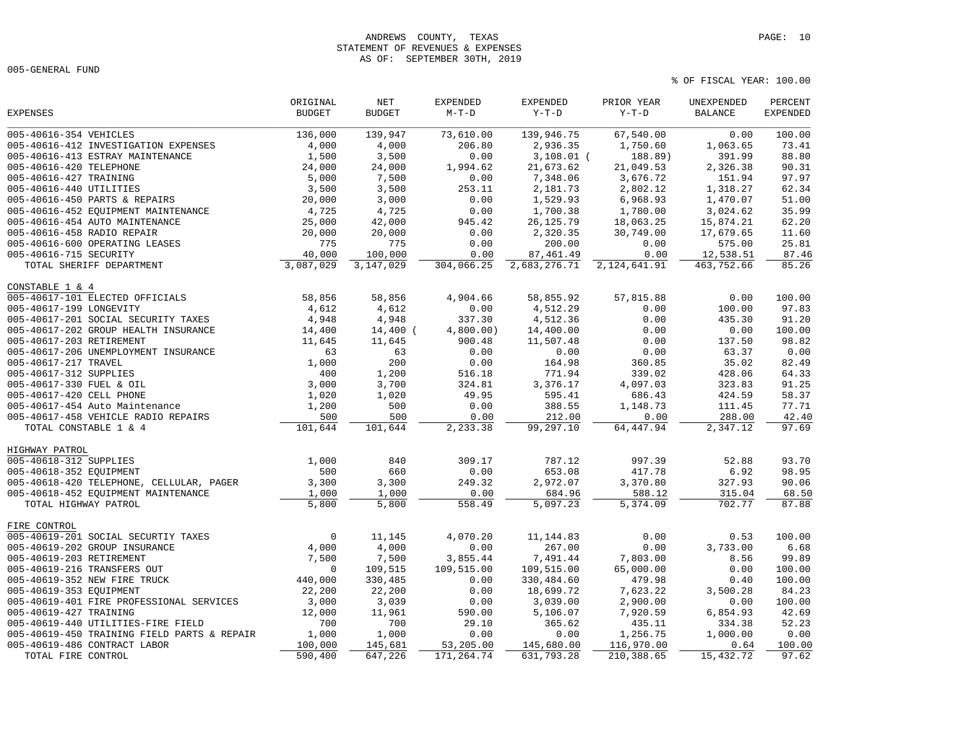# ANDREWS COUNTY, TEXAS **PAGE:** 10 STATEMENT OF REVENUES & EXPENSES AS OF: SEPTEMBER 30TH, 2019

005-GENERAL FUND

|                                             | ORIGINAL      | NET           | <b>EXPENDED</b> | <b>EXPENDED</b> | PRIOR YEAR     | UNEXPENDED     | PERCENT         |
|---------------------------------------------|---------------|---------------|-----------------|-----------------|----------------|----------------|-----------------|
| EXPENSES                                    | <b>BUDGET</b> | <b>BUDGET</b> | $M-T-D$         | $Y-T-D$         | $Y-T-D$        | <b>BALANCE</b> | <b>EXPENDED</b> |
| 005-40616-354 VEHICLES                      | 136,000       | 139,947       | 73,610.00       | 139,946.75      | 67,540.00      | 0.00           | 100.00          |
| 005-40616-412 INVESTIGATION EXPENSES        | 4,000         | 4,000         | 206.80          | 2,936.35        | 1,750.60       | 1,063.65       | 73.41           |
| 005-40616-413 ESTRAY MAINTENANCE            | 1,500         | 3,500         | 0.00            | $3,108.01$ (    | 188.89)        | 391.99         | 88.80           |
| 005-40616-420 TELEPHONE                     | 24,000        | 24,000        | 1,994.62        | 21,673.62       | 21,049.53      | 2,326.38       | 90.31           |
| 005-40616-427 TRAINING                      | 5,000         | 7,500         | 0.00            | 7,348.06        | 3,676.72       | 151.94         | 97.97           |
| 005-40616-440 UTILITIES                     | 3,500         | 3,500         | 253.11          | 2,181.73        | 2,802.12       | 1,318.27       | 62.34           |
| 005-40616-450 PARTS & REPAIRS               | 20,000        | 3,000         | 0.00            | 1,529.93        | 6,968.93       | 1,470.07       | 51.00           |
| 005-40616-452 EQUIPMENT MAINTENANCE         | 4,725         | 4,725         | 0.00            | 1,700.38        | 1,780.00       | 3,024.62       | 35.99           |
| 005-40616-454 AUTO MAINTENANCE              | 25,000        | 42,000        | 945.42          | 26, 125.79      | 18,063.25      | 15,874.21      | 62.20           |
| 005-40616-458 RADIO REPAIR                  | 20,000        | 20,000        | 0.00            | 2,320.35        | 30,749.00      | 17,679.65      | 11.60           |
| 005-40616-600 OPERATING LEASES              | 775           | 775           | 0.00            | 200.00          | 0.00           | 575.00         | 25.81           |
| 005-40616-715 SECURITY                      | 40,000        | 100,000       | 0.00            | 87, 461.49      | 0.00           | 12,538.51      | 87.46           |
| TOTAL SHERIFF DEPARTMENT                    | 3,087,029     | 3,147,029     | 304,066.25      | 2,683,276.71    | 2, 124, 641.91 | 463,752.66     | 85.26           |
| CONSTABLE 1 & 4                             |               |               |                 |                 |                |                |                 |
| 005-40617-101 ELECTED OFFICIALS             | 58,856        | 58,856        | 4,904.66        | 58,855.92       | 57,815.88      | 0.00           | 100.00          |
| 005-40617-199 LONGEVITY                     | 4,612         | 4,612         | 0.00            | 4,512.29        | 0.00           | 100.00         | 97.83           |
| 005-40617-201 SOCIAL SECURITY TAXES         | 4,948         | 4,948         | 337.30          | 4,512.36        | 0.00           | 435.30         | 91.20           |
| 005-40617-202 GROUP HEALTH INSURANCE        | 14,400        | $14,400$ (    | 4,800.00)       | 14,400.00       | 0.00           | 0.00           | 100.00          |
| 005-40617-203 RETIREMENT                    | 11,645        | 11,645        | 900.48          | 11,507.48       | 0.00           | 137.50         | 98.82           |
| 005-40617-206 UNEMPLOYMENT INSURANCE        | 63            | 63            | 0.00            | 0.00            | 0.00           | 63.37          | 0.00            |
| 005-40617-217 TRAVEL                        | 1,000         | 200           | 0.00            | 164.98          | 360.85         | 35.02          | 82.49           |
| 005-40617-312 SUPPLIES                      | 400           | 1,200         | 516.18          | 771.94          | 339.02         | 428.06         | 64.33           |
| 005-40617-330 FUEL & OIL                    | 3,000         | 3,700         | 324.81          | 3,376.17        | 4,097.03       | 323.83         | 91.25           |
| 005-40617-420 CELL PHONE                    | 1,020         | 1,020         | 49.95           | 595.41          | 686.43         | 424.59         | 58.37           |
| 005-40617-454 Auto Maintenance              | 1,200         | 500           | 0.00            | 388.55          | 1,148.73       | 111.45         | 77.71           |
| 005-40617-458 VEHICLE RADIO REPAIRS         | 500           | 500           | 0.00            | 212.00          | 0.00           | 288.00         | 42.40           |
| TOTAL CONSTABLE 1 & 4                       | 101,644       | 101,644       | 2,233.38        | 99,297.10       | 64,447.94      | 2,347.12       | 97.69           |
| HIGHWAY PATROL                              |               |               |                 |                 |                |                |                 |
| 005-40618-312 SUPPLIES                      | 1,000         | 840           | 309.17          | 787.12          | 997.39         | 52.88          | 93.70           |
| 005-40618-352 EQUIPMENT                     | 500           | 660           | 0.00            | 653.08          | 417.78         | 6.92           | 98.95           |
| 005-40618-420 TELEPHONE, CELLULAR, PAGER    | 3,300         | 3,300         | 249.32          | 2,972.07        | 3,370.80       | 327.93         | 90.06           |
| 005-40618-452 EQUIPMENT MAINTENANCE         | 1,000         | 1,000         | 0.00            | 684.96          | 588.12         | 315.04         | 68.50           |
| TOTAL HIGHWAY PATROL                        | 5,800         | 5,800         | 558.49          | 5,097.23        | 5,374.09       | 702.77         | 87.88           |
| FIRE CONTROL                                |               |               |                 |                 |                |                |                 |
| 005-40619-201 SOCIAL SECURTIY TAXES         | $\Omega$      | 11,145        | 4,070.20        | 11, 144.83      | 0.00           | 0.53           | 100.00          |
| 005-40619-202 GROUP INSURANCE               | 4,000         | 4,000         | 0.00            | 267.00          | 0.00           | 3,733.00       | 6.68            |
| 005-40619-203 RETIREMENT                    | 7,500         | 7,500         | 3,855.44        | 7,491.44        | 7,803.00       | 8.56           | 99.89           |
| 005-40619-216 TRANSFERS OUT                 | $\mathbf 0$   | 109,515       | 109,515.00      | 109,515.00      | 65,000.00      | 0.00           | 100.00          |
| 005-40619-352 NEW FIRE TRUCK                | 440,000       | 330,485       | 0.00            | 330,484.60      | 479.98         | 0.40           | 100.00          |
| 005-40619-353 EQUIPMENT                     | 22,200        | 22,200        | 0.00            | 18,699.72       | 7,623.22       | 3,500.28       | 84.23           |
| 005-40619-401 FIRE PROFESSIONAL SERVICES    | 3,000         | 3,039         | 0.00            | 3,039.00        | 2,900.00       | 0.00           | 100.00          |
| 005-40619-427 TRAINING                      | 12,000        | 11,961        | 590.00          | 5,106.07        | 7,920.59       | 6,854.93       | 42.69           |
| 005-40619-440 UTILITIES-FIRE FIELD          | 700           | 700           | 29.10           | 365.62          | 435.11         | 334.38         | 52.23           |
| 005-40619-450 TRAINING FIELD PARTS & REPAIR | 1,000         | 1,000         | 0.00            | 0.00            | 1,256.75       | 1,000.00       | 0.00            |
| 005-40619-486 CONTRACT LABOR                | 100,000       | 145,681       | 53,205.00       | 145,680.00      | 116,970.00     | 0.64           | 100.00          |
| TOTAL FIRE CONTROL                          | 590,400       | 647,226       | 171,264.74      | 631,793.28      | 210,388.65     | 15,432.72      | 97.62           |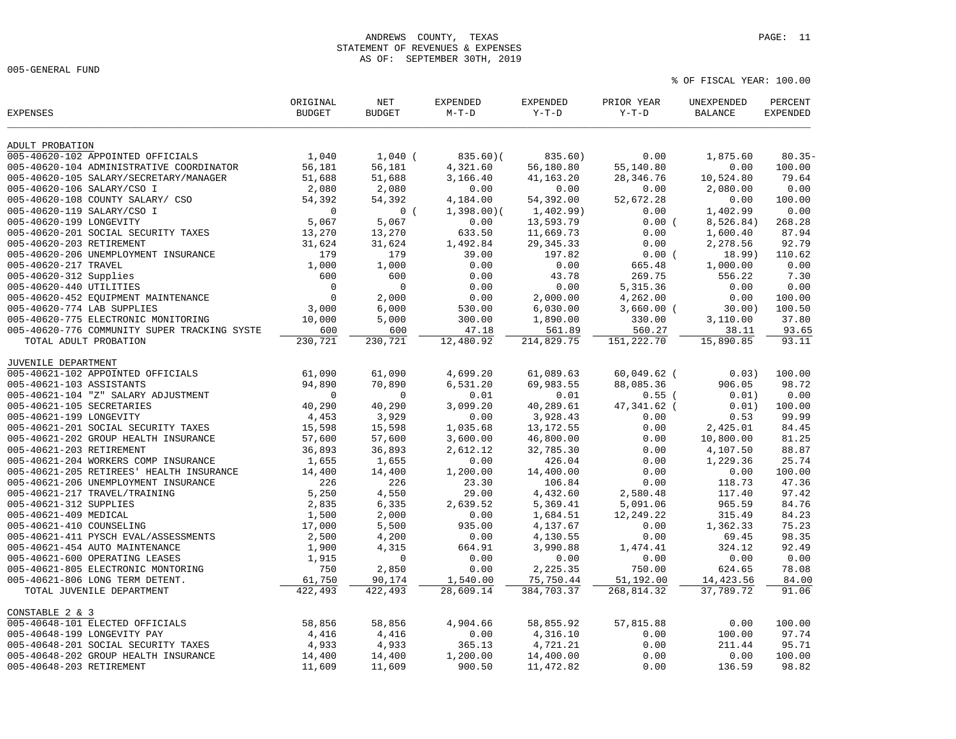# ANDREWS COUNTY, TEXAS **PAGE:** 11 STATEMENT OF REVENUES & EXPENSES AS OF: SEPTEMBER 30TH, 2019

005-GENERAL FUND

| <b>EXPENSES</b>                              | ORIGINAL<br><b>BUDGET</b> | NET<br><b>BUDGET</b> | <b>EXPENDED</b><br>$M-T-D$ | <b>EXPENDED</b><br>$Y-T-D$ | PRIOR YEAR<br>$Y-T-D$ | UNEXPENDED<br><b>BALANCE</b> | PERCENT<br><b>EXPENDED</b> |
|----------------------------------------------|---------------------------|----------------------|----------------------------|----------------------------|-----------------------|------------------------------|----------------------------|
| ADULT PROBATION                              |                           |                      |                            |                            |                       |                              |                            |
| 005-40620-102 APPOINTED OFFICIALS            | 1,040                     | $1,040$ (            | $835.60$ $($               | 835.60)                    | 0.00                  | 1,875.60                     | $80.35 -$                  |
| 005-40620-104 ADMINISTRATIVE COORDINATOR     | 56,181                    | 56,181               | 4,321.60                   | 56,180.80                  | 55,140.80             | 0.00                         | 100.00                     |
| 005-40620-105 SALARY/SECRETARY/MANAGER       | 51,688                    | 51,688               | 3,166.40                   | 41, 163. 20                | 28,346.76             | 10,524.80                    | 79.64                      |
| 005-40620-106 SALARY/CSO I                   | 2,080                     | 2,080                | 0.00                       | 0.00                       | 0.00                  | 2,080.00                     | 0.00                       |
| 005-40620-108 COUNTY SALARY/ CSO             | 54,392                    | 54,392               | 4,184.00                   | 54,392.00                  | 52,672.28             | 0.00                         | 100.00                     |
| 005-40620-119 SALARY/CSO I                   | $\mathbf 0$               | 0(                   | 1,398.00(                  | 1,402.99)                  | 0.00                  | 1,402.99                     | 0.00                       |
| 005-40620-199 LONGEVITY                      | 5,067                     | 5,067                | 0.00                       | 13,593.79                  | 0.00(                 | 8,526.84)                    | 268.28                     |
| 005-40620-201 SOCIAL SECURITY TAXES          | 13,270                    | 13,270               | 633.50                     | 11,669.73                  | 0.00                  | 1,600.40                     | 87.94                      |
| 005-40620-203 RETIREMENT                     | 31,624                    | 31,624               | 1,492.84                   | 29, 345.33                 | 0.00                  | 2,278.56                     | 92.79                      |
| 005-40620-206 UNEMPLOYMENT INSURANCE         | 179                       | 179                  | 39.00                      | 197.82                     | 0.00(                 | 18.99)                       | 110.62                     |
| 005-40620-217 TRAVEL                         | 1,000                     | 1,000                | 0.00                       | 0.00                       | 665.48                | 1,000.00                     | 0.00                       |
| 005-40620-312 Supplies                       | 600                       | 600                  | 0.00                       | 43.78                      | 269.75                | 556.22                       | 7.30                       |
| 005-40620-440 UTILITIES                      | $\mathbf 0$               | $\mathbf 0$          | 0.00                       | 0.00                       | 5,315.36              | 0.00                         | 0.00                       |
| 005-40620-452 EQUIPMENT MAINTENANCE          | $\mathbf 0$               | 2,000                | 0.00                       | 2,000.00                   | 4,262.00              | 0.00                         | 100.00                     |
| 005-40620-774 LAB SUPPLIES                   | 3,000                     | 6,000                | 530.00                     | 6,030.00                   | $3,660.00$ (          | 30.00)                       | 100.50                     |
| 005-40620-775 ELECTRONIC MONITORING          | 10,000                    | 5,000                | 300.00                     | 1,890.00                   | 330.00                | 3,110.00                     | 37.80                      |
| 005-40620-776 COMMUNITY SUPER TRACKING SYSTE | 600                       | 600                  | 47.18                      | 561.89                     | 560.27                | 38.11                        | 93.65                      |
| TOTAL ADULT PROBATION                        | 230,721                   | 230,721              | 12,480.92                  | 214,829.75                 | 151,222.70            | 15,890.85                    | 93.11                      |
| JUVENILE DEPARTMENT                          |                           |                      |                            |                            |                       |                              |                            |
| 005-40621-102 APPOINTED OFFICIALS            | 61,090                    | 61,090               | 4,699.20                   | 61,089.63                  | $60,049.62$ (         | 0.03)                        | 100.00                     |
| 005-40621-103 ASSISTANTS                     | 94,890                    | 70,890               | 6,531.20                   | 69,983.55                  | 88,085.36             | 906.05                       | 98.72                      |
| 005-40621-104 "Z" SALARY ADJUSTMENT          | $\mathbf 0$               | $\overline{0}$       | 0.01                       | 0.01                       | $0.55$ (              | 0.01)                        | 0.00                       |
| 005-40621-105 SECRETARIES                    | 40,290                    | 40,290               | 3,099.20                   | 40,289.61                  | 47,341.62 (           | 0.01)                        | 100.00                     |
| 005-40621-199 LONGEVITY                      | 4,453                     | 3,929                | 0.00                       | 3,928.43                   | 0.00                  | 0.53                         | 99.99                      |
| 005-40621-201 SOCIAL SECURITY TAXES          | 15,598                    | 15,598               | 1,035.68                   | 13, 172.55                 | 0.00                  | 2,425.01                     | 84.45                      |
| 005-40621-202 GROUP HEALTH INSURANCE         | 57,600                    | 57,600               | 3,600.00                   | 46,800.00                  | 0.00                  | 10,800.00                    | 81.25                      |
| 005-40621-203 RETIREMENT                     | 36,893                    | 36,893               | 2,612.12                   | 32,785.30                  | 0.00                  | 4,107.50                     | 88.87                      |
| 005-40621-204 WORKERS COMP INSURANCE         | 1,655                     | 1,655                | 0.00                       | 426.04                     | 0.00                  | 1,229.36                     | 25.74                      |
| 005-40621-205 RETIREES' HEALTH INSURANCE     | 14,400                    | 14,400               | 1,200.00                   | 14,400.00                  | 0.00                  | 0.00                         | 100.00                     |
| 005-40621-206 UNEMPLOYMENT INSURANCE         | 226                       | 226                  | 23.30                      | 106.84                     | 0.00                  | 118.73                       | 47.36                      |
| 005-40621-217 TRAVEL/TRAINING                | 5,250                     | 4,550                | 29.00                      | 4,432.60                   | 2,580.48              | 117.40                       | 97.42                      |
| 005-40621-312 SUPPLIES                       | 2,835                     | 6,335                | 2,639.52                   | 5,369.41                   | 5,091.06              | 965.59                       | 84.76                      |
| 005-40621-409 MEDICAL                        | 1,500                     | 2,000                | 0.00                       | 1,684.51                   | 12,249.22             | 315.49                       | 84.23                      |
| 005-40621-410 COUNSELING                     | 17,000                    | 5,500                | 935.00                     | 4,137.67                   | 0.00                  | 1,362.33                     | 75.23                      |
| 005-40621-411 PYSCH EVAL/ASSESSMENTS         | 2,500                     | 4,200                | 0.00                       | 4,130.55                   | 0.00                  | 69.45                        | 98.35                      |
| 005-40621-454 AUTO MAINTENANCE               | 1,900                     | 4,315                | 664.91                     | 3,990.88                   | 1,474.41              | 324.12                       | 92.49                      |
| 005-40621-600 OPERATING LEASES               | 1,915                     | $\mathbf 0$          | 0.00                       | 0.00                       | 0.00                  | 0.00                         | 0.00                       |
| 005-40621-805 ELECTRONIC MONTORING           | 750                       | 2,850                | 0.00                       | 2,225.35                   | 750.00                | 624.65                       | 78.08                      |
| 005-40621-806 LONG TERM DETENT.              | 61,750                    | 90,174               | 1,540.00                   | 75,750.44                  | 51,192.00             | 14,423.56                    | 84.00                      |
| TOTAL JUVENILE DEPARTMENT                    | 422,493                   | 422,493              | 28,609.14                  | 384,703.37                 | 268,814.32            | 37,789.72                    | 91.06                      |
| CONSTABLE 2 & 3                              |                           |                      |                            |                            |                       |                              |                            |
| 005-40648-101 ELECTED OFFICIALS              | 58,856                    | 58,856               | 4,904.66                   | 58,855.92                  | 57,815.88             | 0.00                         | 100.00                     |
| 005-40648-199 LONGEVITY PAY                  | 4,416                     | 4,416                | 0.00                       | 4,316.10                   | 0.00                  | 100.00                       | 97.74                      |
| 005-40648-201 SOCIAL SECURITY TAXES          | 4,933                     | 4,933                | 365.13                     | 4,721.21                   | 0.00                  | 211.44                       | 95.71                      |
| 005-40648-202 GROUP HEALTH INSURANCE         | 14,400                    | 14,400               | 1,200.00                   | 14,400.00                  | 0.00                  | 0.00                         | 100.00                     |
| 005-40648-203 RETIREMENT                     | 11,609                    | 11,609               | 900.50                     | 11, 472.82                 | 0.00                  | 136.59                       | 98.82                      |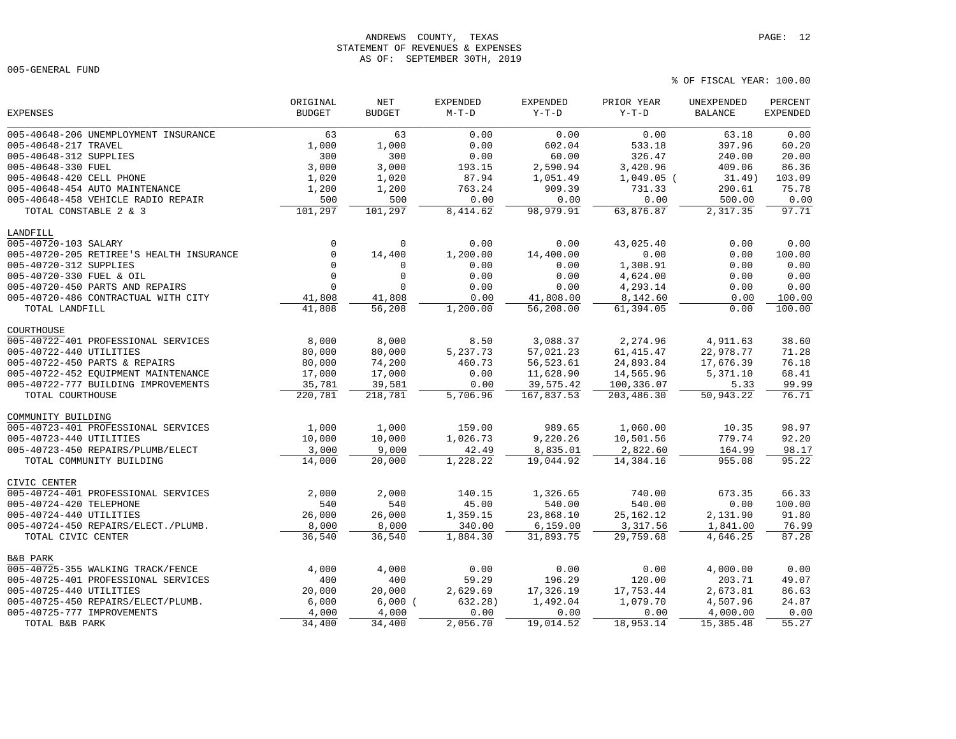# ANDREWS COUNTY, TEXAS PAGE: 12 STATEMENT OF REVENUES & EXPENSES AS OF: SEPTEMBER 30TH, 2019

005-GENERAL FUND

|                                          | ORIGINAL      | NET           | <b>EXPENDED</b> | <b>EXPENDED</b> | PRIOR YEAR   | UNEXPENDED     | PERCENT         |
|------------------------------------------|---------------|---------------|-----------------|-----------------|--------------|----------------|-----------------|
| <b>EXPENSES</b>                          | <b>BUDGET</b> | <b>BUDGET</b> | $M-T-D$         | $Y-T-D$         | $Y-T-D$      | <b>BALANCE</b> | <b>EXPENDED</b> |
| 005-40648-206 UNEMPLOYMENT INSURANCE     | 63            | 63            | 0.00            | 0.00            | 0.00         | 63.18          | 0.00            |
| 005-40648-217 TRAVEL                     | 1,000         | 1,000         | 0.00            | 602.04          | 533.18       | 397.96         | 60.20           |
| 005-40648-312 SUPPLIES                   | 300           | 300           | 0.00            | 60.00           | 326.47       | 240.00         | 20.00           |
| 005-40648-330 FUEL                       | 3,000         | 3,000         | 193.15          | 2,590.94        | 3,420.96     | 409.06         | 86.36           |
| 005-40648-420 CELL PHONE                 | 1,020         | 1,020         | 87.94           | 1,051.49        | $1,049.05$ ( | 31.49)         | 103.09          |
| 005-40648-454 AUTO MAINTENANCE           | 1,200         | 1,200         | 763.24          | 909.39          | 731.33       | 290.61         | 75.78           |
| 005-40648-458 VEHICLE RADIO REPAIR       | 500           | 500           | 0.00            | 0.00            | 0.00         | 500.00         | 0.00            |
| TOTAL CONSTABLE 2 & 3                    | 101,297       | 101,297       | 8,414.62        | 98,979.91       | 63,876.87    | 2,317.35       | 97.71           |
| LANDFILL                                 |               |               |                 |                 |              |                |                 |
| 005-40720-103 SALARY                     | $\mathbf 0$   | $\mathbf 0$   | 0.00            | 0.00            | 43,025.40    | 0.00           | 0.00            |
| 005-40720-205 RETIREE'S HEALTH INSURANCE | $\mathbf 0$   | 14,400        | 1,200.00        | 14,400.00       | 0.00         | 0.00           | 100.00          |
| 005-40720-312 SUPPLIES                   | $\Omega$      | 0             | 0.00            | 0.00            | 1,308.91     | 0.00           | 0.00            |
| 005-40720-330 FUEL & OIL                 | $\mathbf{0}$  | $\mathbf 0$   | 0.00            | 0.00            | 4,624.00     | 0.00           | 0.00            |
| 005-40720-450 PARTS AND REPAIRS          | $\mathbf{0}$  | $\Omega$      | 0.00            | 0.00            | 4,293.14     | 0.00           | 0.00            |
| 005-40720-486 CONTRACTUAL WITH CITY      | 41,808        | 41,808        | 0.00            | 41,808.00       | 8,142.60     | 0.00           | 100.00          |
| TOTAL LANDFILL                           | 41,808        | 56,208        | 1,200.00        | 56,208.00       | 61,394.05    | 0.00           | 100.00          |
| COURTHOUSE                               |               |               |                 |                 |              |                |                 |
| 005-40722-401 PROFESSIONAL SERVICES      | 8,000         | 8,000         | 8.50            | 3,088.37        | 2,274.96     | 4,911.63       | 38.60           |
| 005-40722-440 UTILITIES                  | 80,000        | 80,000        | 5,237.73        | 57,021.23       | 61, 415.47   | 22,978.77      | 71.28           |
| 005-40722-450 PARTS & REPAIRS            | 80,000        | 74,200        | 460.73          | 56,523.61       | 24,893.84    | 17,676.39      | 76.18           |
| 005-40722-452 EQUIPMENT MAINTENANCE      | 17,000        | 17,000        | 0.00            | 11,628.90       | 14,565.96    | 5,371.10       | 68.41           |
| 005-40722-777 BUILDING IMPROVEMENTS      | 35,781        | 39,581        | 0.00            | 39,575.42       | 100,336.07   | 5.33           | 99.99           |
| TOTAL COURTHOUSE                         | 220,781       | 218,781       | 5,706.96        | 167,837.53      | 203,486.30   | 50,943.22      | 76.71           |
| COMMUNITY BUILDING                       |               |               |                 |                 |              |                |                 |
| 005-40723-401 PROFESSIONAL SERVICES      | 1,000         | 1,000         | 159.00          | 989.65          | 1,060.00     | 10.35          | 98.97           |
| 005-40723-440 UTILITIES                  | 10,000        | 10,000        | 1,026.73        | 9,220.26        | 10,501.56    | 779.74         | 92.20           |
| 005-40723-450 REPAIRS/PLUMB/ELECT        | 3,000         | 9,000         | 42.49           | 8,835.01        | 2,822.60     | 164.99         | 98.17           |
| TOTAL COMMUNITY BUILDING                 | 14,000        | 20,000        | 1,228.22        | 19,044.92       | 14,384.16    | 955.08         | 95.22           |
| CIVIC CENTER                             |               |               |                 |                 |              |                |                 |
| 005-40724-401 PROFESSIONAL SERVICES      | 2,000         | 2,000         | 140.15          | 1,326.65        | 740.00       | 673.35         | 66.33           |
| 005-40724-420 TELEPHONE                  | 540           | 540           | 45.00           | 540.00          | 540.00       | 0.00           | 100.00          |
| 005-40724-440 UTILITIES                  | 26,000        | 26,000        | 1,359.15        | 23,868.10       | 25, 162. 12  | 2,131.90       | 91.80           |
| 005-40724-450 REPAIRS/ELECT./PLUMB.      | 8,000         | 8,000         | 340.00          | 6, 159.00       | 3,317.56     | 1,841.00       | 76.99           |
| TOTAL CIVIC CENTER                       | 36,540        | 36,540        | 1,884.30        | 31,893.75       | 29,759.68    | 4,646.25       | 87.28           |
| <b>B&amp;B PARK</b>                      |               |               |                 |                 |              |                |                 |
| 005-40725-355 WALKING TRACK/FENCE        | 4,000         | 4,000         | 0.00            | 0.00            | 0.00         | 4,000.00       | 0.00            |
| 005-40725-401 PROFESSIONAL SERVICES      | 400           | 400           | 59.29           | 196.29          | 120.00       | 203.71         | 49.07           |
| 005-40725-440 UTILITIES                  | 20,000        | 20,000        | 2,629.69        | 17,326.19       | 17,753.44    | 2,673.81       | 86.63           |
| 005-40725-450 REPAIRS/ELECT/PLUMB.       | 6,000         | 6,000         | 632.28)         | 1,492.04        | 1,079.70     | 4,507.96       | 24.87           |
| 005-40725-777 IMPROVEMENTS               | 4,000         | 4,000         | 0.00            | 0.00            | 0.00         | 4,000.00       | 0.00            |
| TOTAL B&B PARK                           | 34,400        | 34, 400       | 2,056.70        | 19,014.52       | 18,953.14    | 15,385.48      | 55.27           |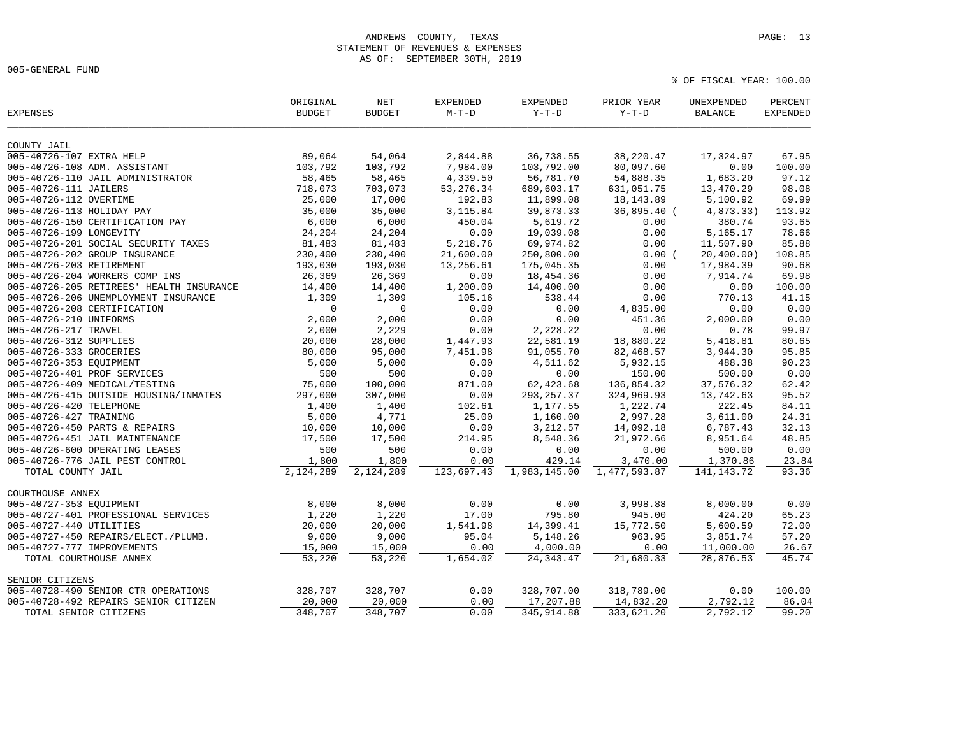005-GENERAL FUND

| <b>EXPENSES</b>                          | ORIGINAL<br><b>BUDGET</b> | $\operatorname{NET}$<br><b>BUDGET</b> | <b>EXPENDED</b><br>$M-T-D$ | <b>EXPENDED</b><br>$Y-T-D$ | PRIOR YEAR<br>$Y-T-D$ | UNEXPENDED<br><b>BALANCE</b> | PERCENT<br><b>EXPENDED</b> |
|------------------------------------------|---------------------------|---------------------------------------|----------------------------|----------------------------|-----------------------|------------------------------|----------------------------|
| COUNTY JAIL                              |                           |                                       |                            |                            |                       |                              |                            |
| 005-40726-107 EXTRA HELP                 | 89,064                    | 54,064                                | 2,844.88                   | 36,738.55                  | 38,220.47             | 17,324.97                    | 67.95                      |
| 005-40726-108 ADM. ASSISTANT             | 103,792                   | 103,792                               | 7,984.00                   | 103,792.00                 | 80,097.60             | 0.00                         | 100.00                     |
| 005-40726-110 JAIL ADMINISTRATOR         | 58,465                    | 58,465                                | 4,339.50                   | 56,781.70                  | 54,888.35             | 1,683.20                     | 97.12                      |
| 005-40726-111 JAILERS                    | 718,073                   | 703,073                               | 53, 276.34                 | 689,603.17                 | 631,051.75            | 13,470.29                    | 98.08                      |
| 005-40726-112 OVERTIME                   | 25,000                    | 17,000                                | 192.83                     | 11,899.08                  | 18, 143.89            | 5,100.92                     | 69.99                      |
| 005-40726-113 HOLIDAY PAY                | 35,000                    | 35,000                                | 3,115.84                   | 39,873.33                  | 36,895.40 (           | 4,873.33)                    | 113.92                     |
| 005-40726-150 CERTIFICATION PAY          | 6,000                     | 6,000                                 | 450.04                     | 5,619.72                   | 0.00                  | 380.74                       | 93.65                      |
| 005-40726-199 LONGEVITY                  | 24,204                    | 24,204                                | 0.00                       | 19,039.08                  | 0.00                  | 5,165.17                     | 78.66                      |
| 005-40726-201 SOCIAL SECURITY TAXES      | 81,483                    | 81,483                                | 5,218.76                   | 69,974.82                  | 0.00                  | 11,507.90                    | 85.88                      |
| 005-40726-202 GROUP INSURANCE            | 230,400                   | 230,400                               | 21,600.00                  | 250,800.00                 | 0.00(                 | 20,400.00)                   | 108.85                     |
| 005-40726-203 RETIREMENT                 | 193,030                   | 193,030                               | 13,256.61                  | 175,045.35                 | 0.00                  | 17,984.39                    | 90.68                      |
| 005-40726-204 WORKERS COMP INS           | 26,369                    | 26,369                                | 0.00                       | 18,454.36                  | 0.00                  | 7,914.74                     | 69.98                      |
| 005-40726-205 RETIREES' HEALTH INSURANCE | 14,400                    | 14,400                                | 1,200.00                   | 14,400.00                  | 0.00                  | 0.00                         | 100.00                     |
| 005-40726-206 UNEMPLOYMENT INSURANCE     | 1,309                     | 1,309                                 | 105.16                     | 538.44                     | 0.00                  | 770.13                       | 41.15                      |
| 005-40726-208 CERTIFICATION              | $\mathbf 0$               | $\mathbf 0$                           | 0.00                       | 0.00                       |                       | 0.00                         | 0.00                       |
| 005-40726-210 UNIFORMS                   | 2,000                     | 2,000                                 | 0.00                       | 0.00                       | 4,835.00<br>451.36    | 2,000.00                     | 0.00                       |
| 005-40726-217 TRAVEL                     | 2,000                     | 2,229                                 | 0.00                       | 2,228.22                   | 0.00                  | 0.78                         | 99.97                      |
|                                          |                           |                                       |                            |                            |                       |                              |                            |
| 005-40726-312 SUPPLIES                   | 20,000                    | 28,000                                | 1,447.93                   | 22,581.19                  | 18,880.22             | 5,418.81                     | 80.65<br>95.85             |
| 005-40726-333 GROCERIES                  | 80,000                    | 95,000                                | 7,451.98                   | 91,055.70                  | 82,468.57             | 3,944.30                     |                            |
| 005-40726-353 EQUIPMENT                  | 5,000                     | 5,000                                 | 0.00                       | 4,511.62                   | 5,932.15              | 488.38                       | 90.23                      |
| 005-40726-401 PROF SERVICES              | 500                       | 500                                   | 0.00                       | 0.00                       | 150.00                | 500.00                       | 0.00                       |
| 005-40726-409 MEDICAL/TESTING            | 75,000                    | 100,000                               | 871.00                     | 62, 423.68                 | 136,854.32            | 37,576.32                    | 62.42                      |
| 005-40726-415 OUTSIDE HOUSING/INMATES    | 297,000                   | 307,000                               | 0.00                       | 293, 257.37                | 324,969.93            | 13,742.63                    | 95.52                      |
| 005-40726-420 TELEPHONE                  | 1,400                     | 1,400                                 | 102.61                     | 1,177.55                   | 1,222.74              | 222.45                       | 84.11                      |
| 005-40726-427 TRAINING                   | 5,000                     | 4,771                                 | 25.00                      | 1,160.00                   | 2,997.28              | 3,611.00                     | 24.31                      |
| 005-40726-450 PARTS & REPAIRS            | 10,000                    | 10,000                                | 0.00                       | 3, 212.57                  | 14,092.18             | 6,787.43                     | 32.13                      |
| 005-40726-451 JAIL MAINTENANCE           | 17,500                    | 17,500                                | 214.95                     | 8,548.36                   | 21,972.66             | 8,951.64                     | 48.85                      |
| 005-40726-600 OPERATING LEASES           | 500                       | 500                                   | 0.00                       | 0.00                       | 0.00                  | 500.00                       | 0.00                       |
| 005-40726-776 JAIL PEST CONTROL          | 1,800                     | 1,800                                 | 0.00                       | 429.14                     | 3,470.00              | 1,370.86                     | 23.84                      |
| TOTAL COUNTY JAIL                        | 2,124,289                 | 2,124,289                             | 123,697.43                 | 1,983,145.00               | 1,477,593.87          | 141, 143. 72                 | 93.36                      |
| COURTHOUSE ANNEX                         |                           |                                       |                            |                            |                       |                              |                            |
| 005-40727-353 EQUIPMENT                  | 8,000                     | 8,000                                 | 0.00                       | 0.00                       | 3,998.88              | 8,000.00                     | 0.00                       |
| 005-40727-401 PROFESSIONAL SERVICES      | 1,220                     | 1,220                                 | 17.00                      | 795.80                     | 945.00                | 424.20                       | 65.23                      |
| 005-40727-440 UTILITIES                  | 20,000                    | 20,000                                | 1,541.98                   | 14,399.41                  | 15,772.50             | 5,600.59                     | 72.00                      |
| 005-40727-450 REPAIRS/ELECT./PLUMB.      | 9,000                     | 9,000                                 | 95.04                      | 5,148.26                   | 963.95                | 3,851.74                     | 57.20                      |
| 005-40727-777 IMPROVEMENTS               | 15,000                    | 15,000                                | 0.00                       | 4,000.00                   | 0.00                  | 11,000.00                    | 26.67                      |
| TOTAL COURTHOUSE ANNEX                   | 53,220                    | 53,220                                | 1,654.02                   | 24, 343.47                 | 21,680.33             | 28,876.53                    | 45.74                      |
| SENIOR CITIZENS                          |                           |                                       |                            |                            |                       |                              |                            |
| 005-40728-490 SENIOR CTR OPERATIONS      | 328,707                   | 328,707                               | 0.00                       | 328,707.00                 | 318,789.00            | 0.00                         | 100.00                     |
| 005-40728-492 REPAIRS SENIOR CITIZEN     | 20,000                    | 20,000                                | 0.00                       | 17,207.88                  | 14,832.20             | 2,792.12                     | 86.04                      |
| TOTAL SENIOR CITIZENS                    | 348,707                   | 348,707                               | 0.00                       | 345, 914.88                | 333,621.20            | 2,792.12                     | 99.20                      |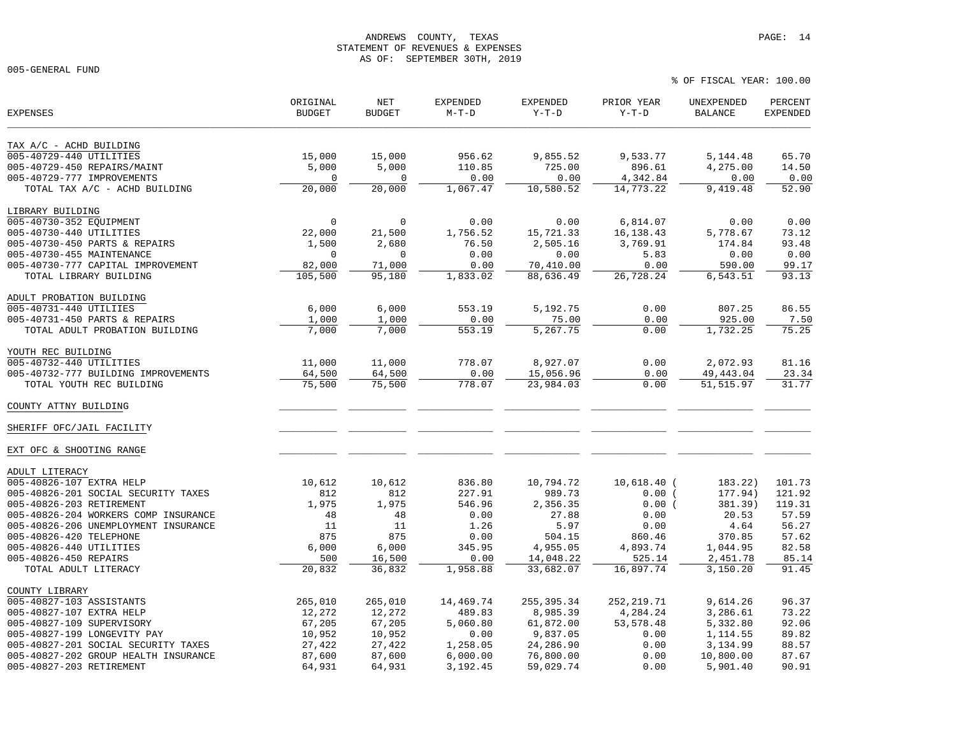# ANDREWS COUNTY, TEXAS **PAGE:** 14 STATEMENT OF REVENUES & EXPENSES AS OF: SEPTEMBER 30TH, 2019

005-GENERAL FUND

| <b>EXPENSES</b>                      | ORIGINAL<br><b>BUDGET</b> | NET<br><b>BUDGET</b> | <b>EXPENDED</b><br>$M-T-D$ | <b>EXPENDED</b><br>$Y-T-D$ | PRIOR YEAR<br>$Y-T-D$ | UNEXPENDED<br><b>BALANCE</b> | PERCENT<br><b>EXPENDED</b> |
|--------------------------------------|---------------------------|----------------------|----------------------------|----------------------------|-----------------------|------------------------------|----------------------------|
| TAX A/C - ACHD BUILDING              |                           |                      |                            |                            |                       |                              |                            |
| 005-40729-440 UTILITIES              | 15,000                    | 15,000               | 956.62                     | 9,855.52                   | 9,533.77              | 5,144.48                     | 65.70                      |
| 005-40729-450 REPAIRS/MAINT          | 5,000                     | 5,000                | 110.85                     | 725.00                     | 896.61                | 4,275.00                     | 14.50                      |
| 005-40729-777 IMPROVEMENTS           | 0                         | $\mathbf 0$          | 0.00                       | 0.00                       | 4,342.84              | 0.00                         | 0.00                       |
| TOTAL TAX A/C - ACHD BUILDING        | 20,000                    | 20,000               | 1,067.47                   | 10,580.52                  | 14,773.22             | 9,419.48                     | 52.90                      |
| LIBRARY BUILDING                     |                           |                      |                            |                            |                       |                              |                            |
| 005-40730-352 EQUIPMENT              | $\mathbf 0$               | $\mathbf 0$          | 0.00                       | 0.00                       | 6,814.07              | 0.00                         | 0.00                       |
| 005-40730-440 UTILITIES              | 22,000                    | 21,500               | 1,756.52                   | 15,721.33                  | 16, 138. 43           | 5,778.67                     | 73.12                      |
| 005-40730-450 PARTS & REPAIRS        | 1,500                     | 2,680                | 76.50                      | 2,505.16                   | 3,769.91              | 174.84                       | 93.48                      |
| 005-40730-455 MAINTENANCE            | $\mathbf 0$               | $\mathbf{0}$         | 0.00                       | 0.00                       | 5.83                  | 0.00                         | 0.00                       |
| 005-40730-777 CAPITAL IMPROVEMENT    | 82,000                    | 71,000               | 0.00                       | 70,410.00                  | 0.00                  | 590.00                       | 99.17                      |
| TOTAL LIBRARY BUILDING               | 105,500                   | 95,180               | 1,833.02                   | 88,636.49                  | 26,728.24             | 6,543.51                     | 93.13                      |
| ADULT PROBATION BUILDING             |                           |                      |                            |                            |                       |                              |                            |
| 005-40731-440 UTILIIES               | 6,000                     | 6,000                | 553.19                     | 5,192.75                   | 0.00                  | 807.25                       | 86.55                      |
| 005-40731-450 PARTS & REPAIRS        | 1,000                     | 1,000                | 0.00                       | 75.00                      | 0.00                  | 925.00                       | 7.50                       |
| TOTAL ADULT PROBATION BUILDING       | 7,000                     | 7,000                | 553.19                     | 5,267.75                   | 0.00                  | 1,732.25                     | 75.25                      |
| YOUTH REC BUILDING                   |                           |                      |                            |                            |                       |                              |                            |
| 005-40732-440 UTILITIES              | 11,000                    | 11,000               | 778.07                     | 8,927.07                   | 0.00                  | 2,072.93                     | 81.16                      |
| 005-40732-777 BUILDING IMPROVEMENTS  | 64,500                    | 64,500               | 0.00                       | 15,056.96                  | 0.00                  | 49, 443.04                   | 23.34                      |
| TOTAL YOUTH REC BUILDING             | 75,500                    | 75,500               | 778.07                     | 23,984.03                  | 0.00                  | 51, 515.97                   | 31.77                      |
| COUNTY ATTNY BUILDING                |                           |                      |                            |                            |                       |                              |                            |
| SHERIFF OFC/JAIL FACILITY            |                           |                      |                            |                            |                       |                              |                            |
| EXT OFC & SHOOTING RANGE             |                           |                      |                            |                            |                       |                              |                            |
| ADULT LITERACY                       |                           |                      |                            |                            |                       |                              |                            |
| 005-40826-107 EXTRA HELP             | 10,612                    | 10,612               | 836.80                     | 10,794.72                  | $10,618.40$ (         | 183.22)                      | 101.73                     |
| 005-40826-201 SOCIAL SECURITY TAXES  | 812                       | 812                  | 227.91                     | 989.73                     | 0.00(                 | 177.94)                      | 121.92                     |
| 005-40826-203 RETIREMENT             | 1,975                     | 1,975                | 546.96                     | 2,356.35                   | 0.00(                 | 381.39)                      | 119.31                     |
| 005-40826-204 WORKERS COMP INSURANCE | 48                        | 48                   | 0.00                       | 27.88                      | 0.00                  | 20.53                        | 57.59                      |
| 005-40826-206 UNEMPLOYMENT INSURANCE | 11                        | 11                   | 1.26                       | 5.97                       | 0.00                  | 4.64                         | 56.27                      |
| 005-40826-420 TELEPHONE              | 875                       | 875                  | 0.00                       | 504.15                     | 860.46                | 370.85                       | 57.62                      |
| 005-40826-440 UTILITIES              | 6,000                     | 6,000                | 345.95                     | 4,955.05                   | 4,893.74              | 1,044.95                     | 82.58                      |
| 005-40826-450 REPAIRS                | 500                       | 16,500               | 0.00                       | 14,048.22                  | 525.14                | 2,451.78                     | 85.14                      |
| TOTAL ADULT LITERACY                 | 20,832                    | 36,832               | 1,958.88                   | 33,682.07                  | 16,897.74             | 3,150.20                     | 91.45                      |
| COUNTY LIBRARY                       |                           |                      |                            |                            |                       |                              |                            |
| 005-40827-103 ASSISTANTS             | 265,010                   | 265,010              | 14,469.74                  | 255, 395.34                | 252, 219.71           | 9,614.26                     | 96.37                      |
| 005-40827-107 EXTRA HELP             | 12,272                    | 12,272               | 489.83                     | 8,985.39                   | 4,284.24              | 3,286.61                     | 73.22                      |
| 005-40827-109 SUPERVISORY            | 67,205                    | 67,205               | 5,060.80                   | 61,872.00                  | 53, 578.48            | 5,332.80                     | 92.06                      |
| 005-40827-199 LONGEVITY PAY          | 10,952                    | 10,952               | 0.00                       | 9,837.05                   | 0.00                  | 1,114.55                     | 89.82                      |
| 005-40827-201 SOCIAL SECURITY TAXES  | 27,422                    | 27,422               | 1,258.05                   | 24,286.90                  | 0.00                  | 3,134.99                     | 88.57                      |
| 005-40827-202 GROUP HEALTH INSURANCE | 87,600                    | 87,600               | 6,000.00                   | 76,800.00                  | 0.00                  | 10,800.00                    | 87.67                      |
| 005-40827-203 RETIREMENT             | 64,931                    | 64,931               | 3,192.45                   | 59,029.74                  | 0.00                  | 5,901.40                     | 90.91                      |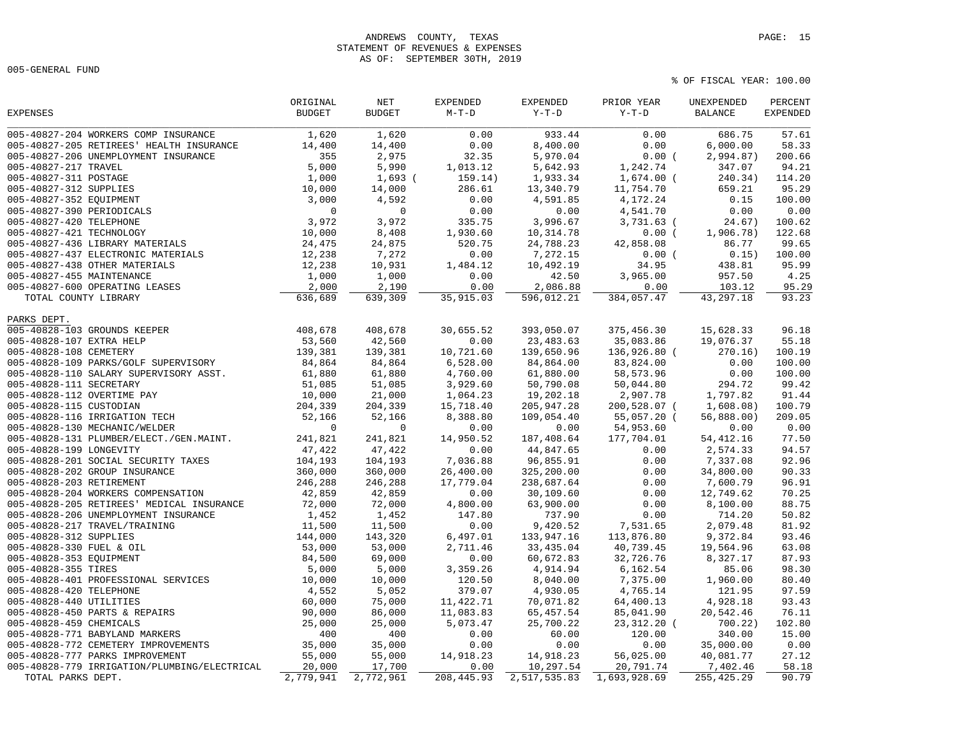## ANDREWS COUNTY, TEXAS **PAGE:** 15 STATEMENT OF REVENUES & EXPENSES AS OF: SEPTEMBER 30TH, 2019

005-GENERAL FUND

| <b>BUDGET</b><br><b>BUDGET</b><br>$M-T-D$<br>$Y-T-D$<br>$Y-T-D$<br><b>BALANCE</b><br><b>EXPENDED</b><br>005-40827-204 WORKERS COMP INSURANCE<br>933.44<br>57.61<br>1,620<br>1,620<br>0.00<br>0.00<br>686.75<br>0.00<br>8,400.00<br>0.00<br>6,000.00<br>58.33<br>005-40827-205 RETIREES' HEALTH INSURANCE<br>14,400<br>14,400<br>2,975<br>32.35<br>200.66<br>005-40827-206 UNEMPLOYMENT INSURANCE<br>355<br>5,970.04<br>0.00(<br>2,994.87)<br>5,000<br>005-40827-217 TRAVEL<br>5,990<br>1,013.12<br>5,642.93<br>1,242.74<br>347.07<br>94.21<br>005-40827-311 POSTAGE<br>1,000<br>1,933.34<br>$1,674.00$ (<br>240.34)<br>114.20<br>$1,693$ (<br>159.14)<br>005-40827-312 SUPPLIES<br>10,000<br>14,000<br>286.61<br>13,340.79<br>11,754.70<br>659.21<br>95.29<br>0.00<br>0.15<br>100.00<br>005-40827-352 EQUIPMENT<br>3,000<br>4,592<br>4,591.85<br>4,172.24<br>$\mathbf 0$<br>0.00<br>0.00<br>0.00<br>005-40827-390 PERIODICALS<br>$\mathbf 0$<br>0.00<br>4,541.70<br>005-40827-420 TELEPHONE<br>3,972<br>3,972<br>335.75<br>3,996.67<br>3,731.63 (<br>24.67)<br>100.62<br>005-40827-421 TECHNOLOGY<br>10,000<br>8,408<br>10,314.78<br>122.68<br>1,930.60<br>0.00(<br>1,906.78)<br>005-40827-436 LIBRARY MATERIALS<br>24,475<br>24,875<br>520.75<br>24,788.23<br>42,858.08<br>86.77<br>99.65<br>005-40827-437 ELECTRONIC MATERIALS<br>12,238<br>7,272<br>7,272.15<br>0.15)<br>100.00<br>0.00<br>0.00(<br>12,238<br>10,492.19<br>95.99<br>005-40827-438 OTHER MATERIALS<br>10,931<br>1,484.12<br>34.95<br>438.81<br>1,000<br>1,000<br>0.00<br>4.25<br>005-40827-455 MAINTENANCE<br>42.50<br>3,965.00<br>957.50<br>95.29<br>005-40827-600 OPERATING LEASES<br>2,000<br>2,190<br>0.00<br>2,086.88<br>0.00<br>103.12<br>636,689<br>35,915.03<br>384,057.47<br>43, 297.18<br>93.23<br>639,309<br>596,012.21<br>TOTAL COUNTY LIBRARY<br>005-40828-103 GROUNDS KEEPER<br>408,678<br>408,678<br>30,655.52<br>393,050.07<br>375,456.30<br>15,628.33<br>96.18<br>42,560<br>0.00<br>23, 483.63<br>35,083.86<br>55.18<br>005-40828-107 EXTRA HELP<br>53,560<br>19,076.37<br>139,381<br>139,381<br>10,721.60<br>139,650.96<br>136,926.80 (<br>100.19<br>005-40828-108 CEMETERY<br>270.16)<br>005-40828-109 PARKS/GOLF SUPERVISORY<br>84,864<br>84,864<br>6,528.00<br>84,864.00<br>83,824.00<br>0.00<br>100.00<br>61,880<br>61,880<br>61,880.00<br>58,573.96<br>0.00<br>100.00<br>005-40828-110 SALARY SUPERVISORY ASST.<br>4,760.00<br>005-40828-111 SECRETARY<br>51,085<br>51,085<br>3,929.60<br>50,790.08<br>50,044.80<br>294.72<br>99.42<br>005-40828-112 OVERTIME PAY<br>19,202.18<br>1,797.82<br>91.44<br>10,000<br>21,000<br>1,064.23<br>2,907.78<br>100.79<br>005-40828-115 CUSTODIAN<br>204,339<br>204,339<br>15,718.40<br>205, 947.28<br>200,528.07 (<br>1,608.08)<br>005-40828-116 IRRIGATION TECH<br>52,166<br>52,166<br>8,388.80<br>109,054.40<br>55,057.20 (<br>56,888.00)<br>209.05<br>0.00<br>005-40828-130 MECHANIC/WELDER<br>$\mathbf 0$<br>$\overline{0}$<br>0.00<br>54,953.60<br>0.00<br>0.00<br>77.50<br>241,821<br>241,821<br>14,950.52<br>187,408.64<br>177,704.01<br>005-40828-131 PLUMBER/ELECT./GEN.MAINT.<br>54, 412.16<br>005-40828-199 LONGEVITY<br>47,422<br>47,422<br>0.00<br>44,847.65<br>2,574.33<br>94.57<br>0.00<br>104,193<br>104,193<br>96,855.91<br>92.96<br>7,036.88<br>0.00<br>7,337.08<br>360,000<br>360,000<br>90.33<br>26,400.00<br>325,200.00<br>0.00<br>34,800.00<br>96.91<br>246,288<br>246,288<br>17,779.04<br>238,687.64<br>0.00<br>7,600.79<br>42,859<br>42,859<br>70.25<br>005-40828-204 WORKERS COMPENSATION<br>30,109.60<br>0.00<br>12,749.62<br>0.00<br>72,000<br>72,000<br>4,800.00<br>63,900.00<br>0.00<br>8,100.00<br>88.75<br>1,452<br>1,452<br>50.82<br>147.80<br>737.90<br>0.00<br>714.20<br>9,420.52<br>2,079.48<br>81.92<br>11,500<br>11,500<br>0.00<br>7,531.65<br>113,876.80<br>93.46<br>144,000<br>143,320<br>6,497.01<br>133,947.16<br>9,372.84<br>63.08<br>53,000<br>53,000<br>2,711.46<br>33,435.04<br>40,739.45<br>19,564.96<br>84,500<br>69,000<br>60,672.83<br>32,726.76<br>8,327.17<br>87.93<br>0.00<br>98.30<br>5,000<br>5,000<br>4,914.94<br>6,162.54<br>3,359.26<br>85.06<br>10,000<br>8,040.00<br>7,375.00<br>1,960.00<br>80.40<br>10,000<br>120.50<br>4,552<br>5,052<br>379.07<br>4,930.05<br>4,765.14<br>121.95<br>97.59<br>64,400.13<br>93.43<br>60,000<br>75,000<br>11,422.71<br>70,071.82<br>4,928.18<br>90,000<br>86,000<br>11,083.83<br>65, 457.54<br>85,041.90<br>20,542.46<br>76.11<br>25,000<br>25,000<br>5,073.47<br>25,700.22<br>102.80<br>23,312.20 (<br>700.22)<br>15.00<br>400<br>400<br>60.00<br>120.00<br>340.00<br>0.00<br>35,000<br>0.00<br>35,000<br>0.00<br>0.00<br>0.00<br>35,000.00<br>27.12<br>55,000<br>55,000<br>14,918.23<br>14,918.23<br>56,025.00<br>40,081.77<br>58.18<br>20,000<br>17,700<br>0.00<br>10,297.54<br>20,791.74<br>7,402.46<br>2,779,941<br>208, 445.93<br>90.79<br>2,772,961<br>2,517,535.83<br>1,693,928.69<br>255, 425.29<br>TOTAL PARKS DEPT. |                                              | ORIGINAL | NET | <b>EXPENDED</b> | EXPENDED | PRIOR YEAR | UNEXPENDED | PERCENT |
|---------------------------------------------------------------------------------------------------------------------------------------------------------------------------------------------------------------------------------------------------------------------------------------------------------------------------------------------------------------------------------------------------------------------------------------------------------------------------------------------------------------------------------------------------------------------------------------------------------------------------------------------------------------------------------------------------------------------------------------------------------------------------------------------------------------------------------------------------------------------------------------------------------------------------------------------------------------------------------------------------------------------------------------------------------------------------------------------------------------------------------------------------------------------------------------------------------------------------------------------------------------------------------------------------------------------------------------------------------------------------------------------------------------------------------------------------------------------------------------------------------------------------------------------------------------------------------------------------------------------------------------------------------------------------------------------------------------------------------------------------------------------------------------------------------------------------------------------------------------------------------------------------------------------------------------------------------------------------------------------------------------------------------------------------------------------------------------------------------------------------------------------------------------------------------------------------------------------------------------------------------------------------------------------------------------------------------------------------------------------------------------------------------------------------------------------------------------------------------------------------------------------------------------------------------------------------------------------------------------------------------------------------------------------------------------------------------------------------------------------------------------------------------------------------------------------------------------------------------------------------------------------------------------------------------------------------------------------------------------------------------------------------------------------------------------------------------------------------------------------------------------------------------------------------------------------------------------------------------------------------------------------------------------------------------------------------------------------------------------------------------------------------------------------------------------------------------------------------------------------------------------------------------------------------------------------------------------------------------------------------------------------------------------------------------------------------------------------------------------------------------------------------------------------------------------------------------------------------------------------------------------------------------------------------------------------------------------------------------------------------------------------------------------------------------------------------------------------------------------------------------------------------------------------------------------------------------------------------------------------------------------------------------------------------------------------------------------------------------------------------------------------------------------------------------------------------------------------------------------------------------------------------------------------------------------------------------------------------------------------------------------------------------------------------------------------------------------------------------------------------------------------------------------------------------------------------------------------------------------------------------------------------------------------------------------------------------|----------------------------------------------|----------|-----|-----------------|----------|------------|------------|---------|
|                                                                                                                                                                                                                                                                                                                                                                                                                                                                                                                                                                                                                                                                                                                                                                                                                                                                                                                                                                                                                                                                                                                                                                                                                                                                                                                                                                                                                                                                                                                                                                                                                                                                                                                                                                                                                                                                                                                                                                                                                                                                                                                                                                                                                                                                                                                                                                                                                                                                                                                                                                                                                                                                                                                                                                                                                                                                                                                                                                                                                                                                                                                                                                                                                                                                                                                                                                                                                                                                                                                                                                                                                                                                                                                                                                                                                                                                                                                                                                                                                                                                                                                                                                                                                                                                                                                                                                                                                                                                                                                                                                                                                                                                                                                                                                                                                                                                                                                                                         | <b>EXPENSES</b>                              |          |     |                 |          |            |            |         |
|                                                                                                                                                                                                                                                                                                                                                                                                                                                                                                                                                                                                                                                                                                                                                                                                                                                                                                                                                                                                                                                                                                                                                                                                                                                                                                                                                                                                                                                                                                                                                                                                                                                                                                                                                                                                                                                                                                                                                                                                                                                                                                                                                                                                                                                                                                                                                                                                                                                                                                                                                                                                                                                                                                                                                                                                                                                                                                                                                                                                                                                                                                                                                                                                                                                                                                                                                                                                                                                                                                                                                                                                                                                                                                                                                                                                                                                                                                                                                                                                                                                                                                                                                                                                                                                                                                                                                                                                                                                                                                                                                                                                                                                                                                                                                                                                                                                                                                                                                         |                                              |          |     |                 |          |            |            |         |
|                                                                                                                                                                                                                                                                                                                                                                                                                                                                                                                                                                                                                                                                                                                                                                                                                                                                                                                                                                                                                                                                                                                                                                                                                                                                                                                                                                                                                                                                                                                                                                                                                                                                                                                                                                                                                                                                                                                                                                                                                                                                                                                                                                                                                                                                                                                                                                                                                                                                                                                                                                                                                                                                                                                                                                                                                                                                                                                                                                                                                                                                                                                                                                                                                                                                                                                                                                                                                                                                                                                                                                                                                                                                                                                                                                                                                                                                                                                                                                                                                                                                                                                                                                                                                                                                                                                                                                                                                                                                                                                                                                                                                                                                                                                                                                                                                                                                                                                                                         |                                              |          |     |                 |          |            |            |         |
|                                                                                                                                                                                                                                                                                                                                                                                                                                                                                                                                                                                                                                                                                                                                                                                                                                                                                                                                                                                                                                                                                                                                                                                                                                                                                                                                                                                                                                                                                                                                                                                                                                                                                                                                                                                                                                                                                                                                                                                                                                                                                                                                                                                                                                                                                                                                                                                                                                                                                                                                                                                                                                                                                                                                                                                                                                                                                                                                                                                                                                                                                                                                                                                                                                                                                                                                                                                                                                                                                                                                                                                                                                                                                                                                                                                                                                                                                                                                                                                                                                                                                                                                                                                                                                                                                                                                                                                                                                                                                                                                                                                                                                                                                                                                                                                                                                                                                                                                                         |                                              |          |     |                 |          |            |            |         |
|                                                                                                                                                                                                                                                                                                                                                                                                                                                                                                                                                                                                                                                                                                                                                                                                                                                                                                                                                                                                                                                                                                                                                                                                                                                                                                                                                                                                                                                                                                                                                                                                                                                                                                                                                                                                                                                                                                                                                                                                                                                                                                                                                                                                                                                                                                                                                                                                                                                                                                                                                                                                                                                                                                                                                                                                                                                                                                                                                                                                                                                                                                                                                                                                                                                                                                                                                                                                                                                                                                                                                                                                                                                                                                                                                                                                                                                                                                                                                                                                                                                                                                                                                                                                                                                                                                                                                                                                                                                                                                                                                                                                                                                                                                                                                                                                                                                                                                                                                         |                                              |          |     |                 |          |            |            |         |
|                                                                                                                                                                                                                                                                                                                                                                                                                                                                                                                                                                                                                                                                                                                                                                                                                                                                                                                                                                                                                                                                                                                                                                                                                                                                                                                                                                                                                                                                                                                                                                                                                                                                                                                                                                                                                                                                                                                                                                                                                                                                                                                                                                                                                                                                                                                                                                                                                                                                                                                                                                                                                                                                                                                                                                                                                                                                                                                                                                                                                                                                                                                                                                                                                                                                                                                                                                                                                                                                                                                                                                                                                                                                                                                                                                                                                                                                                                                                                                                                                                                                                                                                                                                                                                                                                                                                                                                                                                                                                                                                                                                                                                                                                                                                                                                                                                                                                                                                                         |                                              |          |     |                 |          |            |            |         |
|                                                                                                                                                                                                                                                                                                                                                                                                                                                                                                                                                                                                                                                                                                                                                                                                                                                                                                                                                                                                                                                                                                                                                                                                                                                                                                                                                                                                                                                                                                                                                                                                                                                                                                                                                                                                                                                                                                                                                                                                                                                                                                                                                                                                                                                                                                                                                                                                                                                                                                                                                                                                                                                                                                                                                                                                                                                                                                                                                                                                                                                                                                                                                                                                                                                                                                                                                                                                                                                                                                                                                                                                                                                                                                                                                                                                                                                                                                                                                                                                                                                                                                                                                                                                                                                                                                                                                                                                                                                                                                                                                                                                                                                                                                                                                                                                                                                                                                                                                         |                                              |          |     |                 |          |            |            |         |
|                                                                                                                                                                                                                                                                                                                                                                                                                                                                                                                                                                                                                                                                                                                                                                                                                                                                                                                                                                                                                                                                                                                                                                                                                                                                                                                                                                                                                                                                                                                                                                                                                                                                                                                                                                                                                                                                                                                                                                                                                                                                                                                                                                                                                                                                                                                                                                                                                                                                                                                                                                                                                                                                                                                                                                                                                                                                                                                                                                                                                                                                                                                                                                                                                                                                                                                                                                                                                                                                                                                                                                                                                                                                                                                                                                                                                                                                                                                                                                                                                                                                                                                                                                                                                                                                                                                                                                                                                                                                                                                                                                                                                                                                                                                                                                                                                                                                                                                                                         |                                              |          |     |                 |          |            |            |         |
|                                                                                                                                                                                                                                                                                                                                                                                                                                                                                                                                                                                                                                                                                                                                                                                                                                                                                                                                                                                                                                                                                                                                                                                                                                                                                                                                                                                                                                                                                                                                                                                                                                                                                                                                                                                                                                                                                                                                                                                                                                                                                                                                                                                                                                                                                                                                                                                                                                                                                                                                                                                                                                                                                                                                                                                                                                                                                                                                                                                                                                                                                                                                                                                                                                                                                                                                                                                                                                                                                                                                                                                                                                                                                                                                                                                                                                                                                                                                                                                                                                                                                                                                                                                                                                                                                                                                                                                                                                                                                                                                                                                                                                                                                                                                                                                                                                                                                                                                                         |                                              |          |     |                 |          |            |            |         |
|                                                                                                                                                                                                                                                                                                                                                                                                                                                                                                                                                                                                                                                                                                                                                                                                                                                                                                                                                                                                                                                                                                                                                                                                                                                                                                                                                                                                                                                                                                                                                                                                                                                                                                                                                                                                                                                                                                                                                                                                                                                                                                                                                                                                                                                                                                                                                                                                                                                                                                                                                                                                                                                                                                                                                                                                                                                                                                                                                                                                                                                                                                                                                                                                                                                                                                                                                                                                                                                                                                                                                                                                                                                                                                                                                                                                                                                                                                                                                                                                                                                                                                                                                                                                                                                                                                                                                                                                                                                                                                                                                                                                                                                                                                                                                                                                                                                                                                                                                         |                                              |          |     |                 |          |            |            |         |
|                                                                                                                                                                                                                                                                                                                                                                                                                                                                                                                                                                                                                                                                                                                                                                                                                                                                                                                                                                                                                                                                                                                                                                                                                                                                                                                                                                                                                                                                                                                                                                                                                                                                                                                                                                                                                                                                                                                                                                                                                                                                                                                                                                                                                                                                                                                                                                                                                                                                                                                                                                                                                                                                                                                                                                                                                                                                                                                                                                                                                                                                                                                                                                                                                                                                                                                                                                                                                                                                                                                                                                                                                                                                                                                                                                                                                                                                                                                                                                                                                                                                                                                                                                                                                                                                                                                                                                                                                                                                                                                                                                                                                                                                                                                                                                                                                                                                                                                                                         |                                              |          |     |                 |          |            |            |         |
|                                                                                                                                                                                                                                                                                                                                                                                                                                                                                                                                                                                                                                                                                                                                                                                                                                                                                                                                                                                                                                                                                                                                                                                                                                                                                                                                                                                                                                                                                                                                                                                                                                                                                                                                                                                                                                                                                                                                                                                                                                                                                                                                                                                                                                                                                                                                                                                                                                                                                                                                                                                                                                                                                                                                                                                                                                                                                                                                                                                                                                                                                                                                                                                                                                                                                                                                                                                                                                                                                                                                                                                                                                                                                                                                                                                                                                                                                                                                                                                                                                                                                                                                                                                                                                                                                                                                                                                                                                                                                                                                                                                                                                                                                                                                                                                                                                                                                                                                                         |                                              |          |     |                 |          |            |            |         |
|                                                                                                                                                                                                                                                                                                                                                                                                                                                                                                                                                                                                                                                                                                                                                                                                                                                                                                                                                                                                                                                                                                                                                                                                                                                                                                                                                                                                                                                                                                                                                                                                                                                                                                                                                                                                                                                                                                                                                                                                                                                                                                                                                                                                                                                                                                                                                                                                                                                                                                                                                                                                                                                                                                                                                                                                                                                                                                                                                                                                                                                                                                                                                                                                                                                                                                                                                                                                                                                                                                                                                                                                                                                                                                                                                                                                                                                                                                                                                                                                                                                                                                                                                                                                                                                                                                                                                                                                                                                                                                                                                                                                                                                                                                                                                                                                                                                                                                                                                         |                                              |          |     |                 |          |            |            |         |
|                                                                                                                                                                                                                                                                                                                                                                                                                                                                                                                                                                                                                                                                                                                                                                                                                                                                                                                                                                                                                                                                                                                                                                                                                                                                                                                                                                                                                                                                                                                                                                                                                                                                                                                                                                                                                                                                                                                                                                                                                                                                                                                                                                                                                                                                                                                                                                                                                                                                                                                                                                                                                                                                                                                                                                                                                                                                                                                                                                                                                                                                                                                                                                                                                                                                                                                                                                                                                                                                                                                                                                                                                                                                                                                                                                                                                                                                                                                                                                                                                                                                                                                                                                                                                                                                                                                                                                                                                                                                                                                                                                                                                                                                                                                                                                                                                                                                                                                                                         |                                              |          |     |                 |          |            |            |         |
|                                                                                                                                                                                                                                                                                                                                                                                                                                                                                                                                                                                                                                                                                                                                                                                                                                                                                                                                                                                                                                                                                                                                                                                                                                                                                                                                                                                                                                                                                                                                                                                                                                                                                                                                                                                                                                                                                                                                                                                                                                                                                                                                                                                                                                                                                                                                                                                                                                                                                                                                                                                                                                                                                                                                                                                                                                                                                                                                                                                                                                                                                                                                                                                                                                                                                                                                                                                                                                                                                                                                                                                                                                                                                                                                                                                                                                                                                                                                                                                                                                                                                                                                                                                                                                                                                                                                                                                                                                                                                                                                                                                                                                                                                                                                                                                                                                                                                                                                                         |                                              |          |     |                 |          |            |            |         |
|                                                                                                                                                                                                                                                                                                                                                                                                                                                                                                                                                                                                                                                                                                                                                                                                                                                                                                                                                                                                                                                                                                                                                                                                                                                                                                                                                                                                                                                                                                                                                                                                                                                                                                                                                                                                                                                                                                                                                                                                                                                                                                                                                                                                                                                                                                                                                                                                                                                                                                                                                                                                                                                                                                                                                                                                                                                                                                                                                                                                                                                                                                                                                                                                                                                                                                                                                                                                                                                                                                                                                                                                                                                                                                                                                                                                                                                                                                                                                                                                                                                                                                                                                                                                                                                                                                                                                                                                                                                                                                                                                                                                                                                                                                                                                                                                                                                                                                                                                         |                                              |          |     |                 |          |            |            |         |
|                                                                                                                                                                                                                                                                                                                                                                                                                                                                                                                                                                                                                                                                                                                                                                                                                                                                                                                                                                                                                                                                                                                                                                                                                                                                                                                                                                                                                                                                                                                                                                                                                                                                                                                                                                                                                                                                                                                                                                                                                                                                                                                                                                                                                                                                                                                                                                                                                                                                                                                                                                                                                                                                                                                                                                                                                                                                                                                                                                                                                                                                                                                                                                                                                                                                                                                                                                                                                                                                                                                                                                                                                                                                                                                                                                                                                                                                                                                                                                                                                                                                                                                                                                                                                                                                                                                                                                                                                                                                                                                                                                                                                                                                                                                                                                                                                                                                                                                                                         |                                              |          |     |                 |          |            |            |         |
|                                                                                                                                                                                                                                                                                                                                                                                                                                                                                                                                                                                                                                                                                                                                                                                                                                                                                                                                                                                                                                                                                                                                                                                                                                                                                                                                                                                                                                                                                                                                                                                                                                                                                                                                                                                                                                                                                                                                                                                                                                                                                                                                                                                                                                                                                                                                                                                                                                                                                                                                                                                                                                                                                                                                                                                                                                                                                                                                                                                                                                                                                                                                                                                                                                                                                                                                                                                                                                                                                                                                                                                                                                                                                                                                                                                                                                                                                                                                                                                                                                                                                                                                                                                                                                                                                                                                                                                                                                                                                                                                                                                                                                                                                                                                                                                                                                                                                                                                                         |                                              |          |     |                 |          |            |            |         |
|                                                                                                                                                                                                                                                                                                                                                                                                                                                                                                                                                                                                                                                                                                                                                                                                                                                                                                                                                                                                                                                                                                                                                                                                                                                                                                                                                                                                                                                                                                                                                                                                                                                                                                                                                                                                                                                                                                                                                                                                                                                                                                                                                                                                                                                                                                                                                                                                                                                                                                                                                                                                                                                                                                                                                                                                                                                                                                                                                                                                                                                                                                                                                                                                                                                                                                                                                                                                                                                                                                                                                                                                                                                                                                                                                                                                                                                                                                                                                                                                                                                                                                                                                                                                                                                                                                                                                                                                                                                                                                                                                                                                                                                                                                                                                                                                                                                                                                                                                         | PARKS DEPT.                                  |          |     |                 |          |            |            |         |
|                                                                                                                                                                                                                                                                                                                                                                                                                                                                                                                                                                                                                                                                                                                                                                                                                                                                                                                                                                                                                                                                                                                                                                                                                                                                                                                                                                                                                                                                                                                                                                                                                                                                                                                                                                                                                                                                                                                                                                                                                                                                                                                                                                                                                                                                                                                                                                                                                                                                                                                                                                                                                                                                                                                                                                                                                                                                                                                                                                                                                                                                                                                                                                                                                                                                                                                                                                                                                                                                                                                                                                                                                                                                                                                                                                                                                                                                                                                                                                                                                                                                                                                                                                                                                                                                                                                                                                                                                                                                                                                                                                                                                                                                                                                                                                                                                                                                                                                                                         |                                              |          |     |                 |          |            |            |         |
|                                                                                                                                                                                                                                                                                                                                                                                                                                                                                                                                                                                                                                                                                                                                                                                                                                                                                                                                                                                                                                                                                                                                                                                                                                                                                                                                                                                                                                                                                                                                                                                                                                                                                                                                                                                                                                                                                                                                                                                                                                                                                                                                                                                                                                                                                                                                                                                                                                                                                                                                                                                                                                                                                                                                                                                                                                                                                                                                                                                                                                                                                                                                                                                                                                                                                                                                                                                                                                                                                                                                                                                                                                                                                                                                                                                                                                                                                                                                                                                                                                                                                                                                                                                                                                                                                                                                                                                                                                                                                                                                                                                                                                                                                                                                                                                                                                                                                                                                                         |                                              |          |     |                 |          |            |            |         |
|                                                                                                                                                                                                                                                                                                                                                                                                                                                                                                                                                                                                                                                                                                                                                                                                                                                                                                                                                                                                                                                                                                                                                                                                                                                                                                                                                                                                                                                                                                                                                                                                                                                                                                                                                                                                                                                                                                                                                                                                                                                                                                                                                                                                                                                                                                                                                                                                                                                                                                                                                                                                                                                                                                                                                                                                                                                                                                                                                                                                                                                                                                                                                                                                                                                                                                                                                                                                                                                                                                                                                                                                                                                                                                                                                                                                                                                                                                                                                                                                                                                                                                                                                                                                                                                                                                                                                                                                                                                                                                                                                                                                                                                                                                                                                                                                                                                                                                                                                         |                                              |          |     |                 |          |            |            |         |
|                                                                                                                                                                                                                                                                                                                                                                                                                                                                                                                                                                                                                                                                                                                                                                                                                                                                                                                                                                                                                                                                                                                                                                                                                                                                                                                                                                                                                                                                                                                                                                                                                                                                                                                                                                                                                                                                                                                                                                                                                                                                                                                                                                                                                                                                                                                                                                                                                                                                                                                                                                                                                                                                                                                                                                                                                                                                                                                                                                                                                                                                                                                                                                                                                                                                                                                                                                                                                                                                                                                                                                                                                                                                                                                                                                                                                                                                                                                                                                                                                                                                                                                                                                                                                                                                                                                                                                                                                                                                                                                                                                                                                                                                                                                                                                                                                                                                                                                                                         |                                              |          |     |                 |          |            |            |         |
|                                                                                                                                                                                                                                                                                                                                                                                                                                                                                                                                                                                                                                                                                                                                                                                                                                                                                                                                                                                                                                                                                                                                                                                                                                                                                                                                                                                                                                                                                                                                                                                                                                                                                                                                                                                                                                                                                                                                                                                                                                                                                                                                                                                                                                                                                                                                                                                                                                                                                                                                                                                                                                                                                                                                                                                                                                                                                                                                                                                                                                                                                                                                                                                                                                                                                                                                                                                                                                                                                                                                                                                                                                                                                                                                                                                                                                                                                                                                                                                                                                                                                                                                                                                                                                                                                                                                                                                                                                                                                                                                                                                                                                                                                                                                                                                                                                                                                                                                                         |                                              |          |     |                 |          |            |            |         |
|                                                                                                                                                                                                                                                                                                                                                                                                                                                                                                                                                                                                                                                                                                                                                                                                                                                                                                                                                                                                                                                                                                                                                                                                                                                                                                                                                                                                                                                                                                                                                                                                                                                                                                                                                                                                                                                                                                                                                                                                                                                                                                                                                                                                                                                                                                                                                                                                                                                                                                                                                                                                                                                                                                                                                                                                                                                                                                                                                                                                                                                                                                                                                                                                                                                                                                                                                                                                                                                                                                                                                                                                                                                                                                                                                                                                                                                                                                                                                                                                                                                                                                                                                                                                                                                                                                                                                                                                                                                                                                                                                                                                                                                                                                                                                                                                                                                                                                                                                         |                                              |          |     |                 |          |            |            |         |
|                                                                                                                                                                                                                                                                                                                                                                                                                                                                                                                                                                                                                                                                                                                                                                                                                                                                                                                                                                                                                                                                                                                                                                                                                                                                                                                                                                                                                                                                                                                                                                                                                                                                                                                                                                                                                                                                                                                                                                                                                                                                                                                                                                                                                                                                                                                                                                                                                                                                                                                                                                                                                                                                                                                                                                                                                                                                                                                                                                                                                                                                                                                                                                                                                                                                                                                                                                                                                                                                                                                                                                                                                                                                                                                                                                                                                                                                                                                                                                                                                                                                                                                                                                                                                                                                                                                                                                                                                                                                                                                                                                                                                                                                                                                                                                                                                                                                                                                                                         |                                              |          |     |                 |          |            |            |         |
|                                                                                                                                                                                                                                                                                                                                                                                                                                                                                                                                                                                                                                                                                                                                                                                                                                                                                                                                                                                                                                                                                                                                                                                                                                                                                                                                                                                                                                                                                                                                                                                                                                                                                                                                                                                                                                                                                                                                                                                                                                                                                                                                                                                                                                                                                                                                                                                                                                                                                                                                                                                                                                                                                                                                                                                                                                                                                                                                                                                                                                                                                                                                                                                                                                                                                                                                                                                                                                                                                                                                                                                                                                                                                                                                                                                                                                                                                                                                                                                                                                                                                                                                                                                                                                                                                                                                                                                                                                                                                                                                                                                                                                                                                                                                                                                                                                                                                                                                                         |                                              |          |     |                 |          |            |            |         |
|                                                                                                                                                                                                                                                                                                                                                                                                                                                                                                                                                                                                                                                                                                                                                                                                                                                                                                                                                                                                                                                                                                                                                                                                                                                                                                                                                                                                                                                                                                                                                                                                                                                                                                                                                                                                                                                                                                                                                                                                                                                                                                                                                                                                                                                                                                                                                                                                                                                                                                                                                                                                                                                                                                                                                                                                                                                                                                                                                                                                                                                                                                                                                                                                                                                                                                                                                                                                                                                                                                                                                                                                                                                                                                                                                                                                                                                                                                                                                                                                                                                                                                                                                                                                                                                                                                                                                                                                                                                                                                                                                                                                                                                                                                                                                                                                                                                                                                                                                         |                                              |          |     |                 |          |            |            |         |
|                                                                                                                                                                                                                                                                                                                                                                                                                                                                                                                                                                                                                                                                                                                                                                                                                                                                                                                                                                                                                                                                                                                                                                                                                                                                                                                                                                                                                                                                                                                                                                                                                                                                                                                                                                                                                                                                                                                                                                                                                                                                                                                                                                                                                                                                                                                                                                                                                                                                                                                                                                                                                                                                                                                                                                                                                                                                                                                                                                                                                                                                                                                                                                                                                                                                                                                                                                                                                                                                                                                                                                                                                                                                                                                                                                                                                                                                                                                                                                                                                                                                                                                                                                                                                                                                                                                                                                                                                                                                                                                                                                                                                                                                                                                                                                                                                                                                                                                                                         |                                              |          |     |                 |          |            |            |         |
|                                                                                                                                                                                                                                                                                                                                                                                                                                                                                                                                                                                                                                                                                                                                                                                                                                                                                                                                                                                                                                                                                                                                                                                                                                                                                                                                                                                                                                                                                                                                                                                                                                                                                                                                                                                                                                                                                                                                                                                                                                                                                                                                                                                                                                                                                                                                                                                                                                                                                                                                                                                                                                                                                                                                                                                                                                                                                                                                                                                                                                                                                                                                                                                                                                                                                                                                                                                                                                                                                                                                                                                                                                                                                                                                                                                                                                                                                                                                                                                                                                                                                                                                                                                                                                                                                                                                                                                                                                                                                                                                                                                                                                                                                                                                                                                                                                                                                                                                                         |                                              |          |     |                 |          |            |            |         |
|                                                                                                                                                                                                                                                                                                                                                                                                                                                                                                                                                                                                                                                                                                                                                                                                                                                                                                                                                                                                                                                                                                                                                                                                                                                                                                                                                                                                                                                                                                                                                                                                                                                                                                                                                                                                                                                                                                                                                                                                                                                                                                                                                                                                                                                                                                                                                                                                                                                                                                                                                                                                                                                                                                                                                                                                                                                                                                                                                                                                                                                                                                                                                                                                                                                                                                                                                                                                                                                                                                                                                                                                                                                                                                                                                                                                                                                                                                                                                                                                                                                                                                                                                                                                                                                                                                                                                                                                                                                                                                                                                                                                                                                                                                                                                                                                                                                                                                                                                         |                                              |          |     |                 |          |            |            |         |
|                                                                                                                                                                                                                                                                                                                                                                                                                                                                                                                                                                                                                                                                                                                                                                                                                                                                                                                                                                                                                                                                                                                                                                                                                                                                                                                                                                                                                                                                                                                                                                                                                                                                                                                                                                                                                                                                                                                                                                                                                                                                                                                                                                                                                                                                                                                                                                                                                                                                                                                                                                                                                                                                                                                                                                                                                                                                                                                                                                                                                                                                                                                                                                                                                                                                                                                                                                                                                                                                                                                                                                                                                                                                                                                                                                                                                                                                                                                                                                                                                                                                                                                                                                                                                                                                                                                                                                                                                                                                                                                                                                                                                                                                                                                                                                                                                                                                                                                                                         | 005-40828-201 SOCIAL SECURITY TAXES          |          |     |                 |          |            |            |         |
|                                                                                                                                                                                                                                                                                                                                                                                                                                                                                                                                                                                                                                                                                                                                                                                                                                                                                                                                                                                                                                                                                                                                                                                                                                                                                                                                                                                                                                                                                                                                                                                                                                                                                                                                                                                                                                                                                                                                                                                                                                                                                                                                                                                                                                                                                                                                                                                                                                                                                                                                                                                                                                                                                                                                                                                                                                                                                                                                                                                                                                                                                                                                                                                                                                                                                                                                                                                                                                                                                                                                                                                                                                                                                                                                                                                                                                                                                                                                                                                                                                                                                                                                                                                                                                                                                                                                                                                                                                                                                                                                                                                                                                                                                                                                                                                                                                                                                                                                                         | 005-40828-202 GROUP INSURANCE                |          |     |                 |          |            |            |         |
|                                                                                                                                                                                                                                                                                                                                                                                                                                                                                                                                                                                                                                                                                                                                                                                                                                                                                                                                                                                                                                                                                                                                                                                                                                                                                                                                                                                                                                                                                                                                                                                                                                                                                                                                                                                                                                                                                                                                                                                                                                                                                                                                                                                                                                                                                                                                                                                                                                                                                                                                                                                                                                                                                                                                                                                                                                                                                                                                                                                                                                                                                                                                                                                                                                                                                                                                                                                                                                                                                                                                                                                                                                                                                                                                                                                                                                                                                                                                                                                                                                                                                                                                                                                                                                                                                                                                                                                                                                                                                                                                                                                                                                                                                                                                                                                                                                                                                                                                                         | 005-40828-203 RETIREMENT                     |          |     |                 |          |            |            |         |
|                                                                                                                                                                                                                                                                                                                                                                                                                                                                                                                                                                                                                                                                                                                                                                                                                                                                                                                                                                                                                                                                                                                                                                                                                                                                                                                                                                                                                                                                                                                                                                                                                                                                                                                                                                                                                                                                                                                                                                                                                                                                                                                                                                                                                                                                                                                                                                                                                                                                                                                                                                                                                                                                                                                                                                                                                                                                                                                                                                                                                                                                                                                                                                                                                                                                                                                                                                                                                                                                                                                                                                                                                                                                                                                                                                                                                                                                                                                                                                                                                                                                                                                                                                                                                                                                                                                                                                                                                                                                                                                                                                                                                                                                                                                                                                                                                                                                                                                                                         |                                              |          |     |                 |          |            |            |         |
|                                                                                                                                                                                                                                                                                                                                                                                                                                                                                                                                                                                                                                                                                                                                                                                                                                                                                                                                                                                                                                                                                                                                                                                                                                                                                                                                                                                                                                                                                                                                                                                                                                                                                                                                                                                                                                                                                                                                                                                                                                                                                                                                                                                                                                                                                                                                                                                                                                                                                                                                                                                                                                                                                                                                                                                                                                                                                                                                                                                                                                                                                                                                                                                                                                                                                                                                                                                                                                                                                                                                                                                                                                                                                                                                                                                                                                                                                                                                                                                                                                                                                                                                                                                                                                                                                                                                                                                                                                                                                                                                                                                                                                                                                                                                                                                                                                                                                                                                                         | 005-40828-205 RETIREES' MEDICAL INSURANCE    |          |     |                 |          |            |            |         |
|                                                                                                                                                                                                                                                                                                                                                                                                                                                                                                                                                                                                                                                                                                                                                                                                                                                                                                                                                                                                                                                                                                                                                                                                                                                                                                                                                                                                                                                                                                                                                                                                                                                                                                                                                                                                                                                                                                                                                                                                                                                                                                                                                                                                                                                                                                                                                                                                                                                                                                                                                                                                                                                                                                                                                                                                                                                                                                                                                                                                                                                                                                                                                                                                                                                                                                                                                                                                                                                                                                                                                                                                                                                                                                                                                                                                                                                                                                                                                                                                                                                                                                                                                                                                                                                                                                                                                                                                                                                                                                                                                                                                                                                                                                                                                                                                                                                                                                                                                         | 005-40828-206 UNEMPLOYMENT INSURANCE         |          |     |                 |          |            |            |         |
|                                                                                                                                                                                                                                                                                                                                                                                                                                                                                                                                                                                                                                                                                                                                                                                                                                                                                                                                                                                                                                                                                                                                                                                                                                                                                                                                                                                                                                                                                                                                                                                                                                                                                                                                                                                                                                                                                                                                                                                                                                                                                                                                                                                                                                                                                                                                                                                                                                                                                                                                                                                                                                                                                                                                                                                                                                                                                                                                                                                                                                                                                                                                                                                                                                                                                                                                                                                                                                                                                                                                                                                                                                                                                                                                                                                                                                                                                                                                                                                                                                                                                                                                                                                                                                                                                                                                                                                                                                                                                                                                                                                                                                                                                                                                                                                                                                                                                                                                                         | 005-40828-217 TRAVEL/TRAINING                |          |     |                 |          |            |            |         |
|                                                                                                                                                                                                                                                                                                                                                                                                                                                                                                                                                                                                                                                                                                                                                                                                                                                                                                                                                                                                                                                                                                                                                                                                                                                                                                                                                                                                                                                                                                                                                                                                                                                                                                                                                                                                                                                                                                                                                                                                                                                                                                                                                                                                                                                                                                                                                                                                                                                                                                                                                                                                                                                                                                                                                                                                                                                                                                                                                                                                                                                                                                                                                                                                                                                                                                                                                                                                                                                                                                                                                                                                                                                                                                                                                                                                                                                                                                                                                                                                                                                                                                                                                                                                                                                                                                                                                                                                                                                                                                                                                                                                                                                                                                                                                                                                                                                                                                                                                         | 005-40828-312 SUPPLIES                       |          |     |                 |          |            |            |         |
|                                                                                                                                                                                                                                                                                                                                                                                                                                                                                                                                                                                                                                                                                                                                                                                                                                                                                                                                                                                                                                                                                                                                                                                                                                                                                                                                                                                                                                                                                                                                                                                                                                                                                                                                                                                                                                                                                                                                                                                                                                                                                                                                                                                                                                                                                                                                                                                                                                                                                                                                                                                                                                                                                                                                                                                                                                                                                                                                                                                                                                                                                                                                                                                                                                                                                                                                                                                                                                                                                                                                                                                                                                                                                                                                                                                                                                                                                                                                                                                                                                                                                                                                                                                                                                                                                                                                                                                                                                                                                                                                                                                                                                                                                                                                                                                                                                                                                                                                                         | 005-40828-330 FUEL & OIL                     |          |     |                 |          |            |            |         |
|                                                                                                                                                                                                                                                                                                                                                                                                                                                                                                                                                                                                                                                                                                                                                                                                                                                                                                                                                                                                                                                                                                                                                                                                                                                                                                                                                                                                                                                                                                                                                                                                                                                                                                                                                                                                                                                                                                                                                                                                                                                                                                                                                                                                                                                                                                                                                                                                                                                                                                                                                                                                                                                                                                                                                                                                                                                                                                                                                                                                                                                                                                                                                                                                                                                                                                                                                                                                                                                                                                                                                                                                                                                                                                                                                                                                                                                                                                                                                                                                                                                                                                                                                                                                                                                                                                                                                                                                                                                                                                                                                                                                                                                                                                                                                                                                                                                                                                                                                         | 005-40828-353 EQUIPMENT                      |          |     |                 |          |            |            |         |
|                                                                                                                                                                                                                                                                                                                                                                                                                                                                                                                                                                                                                                                                                                                                                                                                                                                                                                                                                                                                                                                                                                                                                                                                                                                                                                                                                                                                                                                                                                                                                                                                                                                                                                                                                                                                                                                                                                                                                                                                                                                                                                                                                                                                                                                                                                                                                                                                                                                                                                                                                                                                                                                                                                                                                                                                                                                                                                                                                                                                                                                                                                                                                                                                                                                                                                                                                                                                                                                                                                                                                                                                                                                                                                                                                                                                                                                                                                                                                                                                                                                                                                                                                                                                                                                                                                                                                                                                                                                                                                                                                                                                                                                                                                                                                                                                                                                                                                                                                         | 005-40828-355 TIRES                          |          |     |                 |          |            |            |         |
|                                                                                                                                                                                                                                                                                                                                                                                                                                                                                                                                                                                                                                                                                                                                                                                                                                                                                                                                                                                                                                                                                                                                                                                                                                                                                                                                                                                                                                                                                                                                                                                                                                                                                                                                                                                                                                                                                                                                                                                                                                                                                                                                                                                                                                                                                                                                                                                                                                                                                                                                                                                                                                                                                                                                                                                                                                                                                                                                                                                                                                                                                                                                                                                                                                                                                                                                                                                                                                                                                                                                                                                                                                                                                                                                                                                                                                                                                                                                                                                                                                                                                                                                                                                                                                                                                                                                                                                                                                                                                                                                                                                                                                                                                                                                                                                                                                                                                                                                                         | 005-40828-401 PROFESSIONAL SERVICES          |          |     |                 |          |            |            |         |
|                                                                                                                                                                                                                                                                                                                                                                                                                                                                                                                                                                                                                                                                                                                                                                                                                                                                                                                                                                                                                                                                                                                                                                                                                                                                                                                                                                                                                                                                                                                                                                                                                                                                                                                                                                                                                                                                                                                                                                                                                                                                                                                                                                                                                                                                                                                                                                                                                                                                                                                                                                                                                                                                                                                                                                                                                                                                                                                                                                                                                                                                                                                                                                                                                                                                                                                                                                                                                                                                                                                                                                                                                                                                                                                                                                                                                                                                                                                                                                                                                                                                                                                                                                                                                                                                                                                                                                                                                                                                                                                                                                                                                                                                                                                                                                                                                                                                                                                                                         | 005-40828-420 TELEPHONE                      |          |     |                 |          |            |            |         |
|                                                                                                                                                                                                                                                                                                                                                                                                                                                                                                                                                                                                                                                                                                                                                                                                                                                                                                                                                                                                                                                                                                                                                                                                                                                                                                                                                                                                                                                                                                                                                                                                                                                                                                                                                                                                                                                                                                                                                                                                                                                                                                                                                                                                                                                                                                                                                                                                                                                                                                                                                                                                                                                                                                                                                                                                                                                                                                                                                                                                                                                                                                                                                                                                                                                                                                                                                                                                                                                                                                                                                                                                                                                                                                                                                                                                                                                                                                                                                                                                                                                                                                                                                                                                                                                                                                                                                                                                                                                                                                                                                                                                                                                                                                                                                                                                                                                                                                                                                         | 005-40828-440 UTILITIES                      |          |     |                 |          |            |            |         |
|                                                                                                                                                                                                                                                                                                                                                                                                                                                                                                                                                                                                                                                                                                                                                                                                                                                                                                                                                                                                                                                                                                                                                                                                                                                                                                                                                                                                                                                                                                                                                                                                                                                                                                                                                                                                                                                                                                                                                                                                                                                                                                                                                                                                                                                                                                                                                                                                                                                                                                                                                                                                                                                                                                                                                                                                                                                                                                                                                                                                                                                                                                                                                                                                                                                                                                                                                                                                                                                                                                                                                                                                                                                                                                                                                                                                                                                                                                                                                                                                                                                                                                                                                                                                                                                                                                                                                                                                                                                                                                                                                                                                                                                                                                                                                                                                                                                                                                                                                         | 005-40828-450 PARTS & REPAIRS                |          |     |                 |          |            |            |         |
|                                                                                                                                                                                                                                                                                                                                                                                                                                                                                                                                                                                                                                                                                                                                                                                                                                                                                                                                                                                                                                                                                                                                                                                                                                                                                                                                                                                                                                                                                                                                                                                                                                                                                                                                                                                                                                                                                                                                                                                                                                                                                                                                                                                                                                                                                                                                                                                                                                                                                                                                                                                                                                                                                                                                                                                                                                                                                                                                                                                                                                                                                                                                                                                                                                                                                                                                                                                                                                                                                                                                                                                                                                                                                                                                                                                                                                                                                                                                                                                                                                                                                                                                                                                                                                                                                                                                                                                                                                                                                                                                                                                                                                                                                                                                                                                                                                                                                                                                                         | 005-40828-459 CHEMICALS                      |          |     |                 |          |            |            |         |
|                                                                                                                                                                                                                                                                                                                                                                                                                                                                                                                                                                                                                                                                                                                                                                                                                                                                                                                                                                                                                                                                                                                                                                                                                                                                                                                                                                                                                                                                                                                                                                                                                                                                                                                                                                                                                                                                                                                                                                                                                                                                                                                                                                                                                                                                                                                                                                                                                                                                                                                                                                                                                                                                                                                                                                                                                                                                                                                                                                                                                                                                                                                                                                                                                                                                                                                                                                                                                                                                                                                                                                                                                                                                                                                                                                                                                                                                                                                                                                                                                                                                                                                                                                                                                                                                                                                                                                                                                                                                                                                                                                                                                                                                                                                                                                                                                                                                                                                                                         | 005-40828-771 BABYLAND MARKERS               |          |     |                 |          |            |            |         |
|                                                                                                                                                                                                                                                                                                                                                                                                                                                                                                                                                                                                                                                                                                                                                                                                                                                                                                                                                                                                                                                                                                                                                                                                                                                                                                                                                                                                                                                                                                                                                                                                                                                                                                                                                                                                                                                                                                                                                                                                                                                                                                                                                                                                                                                                                                                                                                                                                                                                                                                                                                                                                                                                                                                                                                                                                                                                                                                                                                                                                                                                                                                                                                                                                                                                                                                                                                                                                                                                                                                                                                                                                                                                                                                                                                                                                                                                                                                                                                                                                                                                                                                                                                                                                                                                                                                                                                                                                                                                                                                                                                                                                                                                                                                                                                                                                                                                                                                                                         | 005-40828-772 CEMETERY IMPROVEMENTS          |          |     |                 |          |            |            |         |
|                                                                                                                                                                                                                                                                                                                                                                                                                                                                                                                                                                                                                                                                                                                                                                                                                                                                                                                                                                                                                                                                                                                                                                                                                                                                                                                                                                                                                                                                                                                                                                                                                                                                                                                                                                                                                                                                                                                                                                                                                                                                                                                                                                                                                                                                                                                                                                                                                                                                                                                                                                                                                                                                                                                                                                                                                                                                                                                                                                                                                                                                                                                                                                                                                                                                                                                                                                                                                                                                                                                                                                                                                                                                                                                                                                                                                                                                                                                                                                                                                                                                                                                                                                                                                                                                                                                                                                                                                                                                                                                                                                                                                                                                                                                                                                                                                                                                                                                                                         | 005-40828-777 PARKS IMPROVEMENT              |          |     |                 |          |            |            |         |
|                                                                                                                                                                                                                                                                                                                                                                                                                                                                                                                                                                                                                                                                                                                                                                                                                                                                                                                                                                                                                                                                                                                                                                                                                                                                                                                                                                                                                                                                                                                                                                                                                                                                                                                                                                                                                                                                                                                                                                                                                                                                                                                                                                                                                                                                                                                                                                                                                                                                                                                                                                                                                                                                                                                                                                                                                                                                                                                                                                                                                                                                                                                                                                                                                                                                                                                                                                                                                                                                                                                                                                                                                                                                                                                                                                                                                                                                                                                                                                                                                                                                                                                                                                                                                                                                                                                                                                                                                                                                                                                                                                                                                                                                                                                                                                                                                                                                                                                                                         | 005-40828-779 IRRIGATION/PLUMBING/ELECTRICAL |          |     |                 |          |            |            |         |
|                                                                                                                                                                                                                                                                                                                                                                                                                                                                                                                                                                                                                                                                                                                                                                                                                                                                                                                                                                                                                                                                                                                                                                                                                                                                                                                                                                                                                                                                                                                                                                                                                                                                                                                                                                                                                                                                                                                                                                                                                                                                                                                                                                                                                                                                                                                                                                                                                                                                                                                                                                                                                                                                                                                                                                                                                                                                                                                                                                                                                                                                                                                                                                                                                                                                                                                                                                                                                                                                                                                                                                                                                                                                                                                                                                                                                                                                                                                                                                                                                                                                                                                                                                                                                                                                                                                                                                                                                                                                                                                                                                                                                                                                                                                                                                                                                                                                                                                                                         |                                              |          |     |                 |          |            |            |         |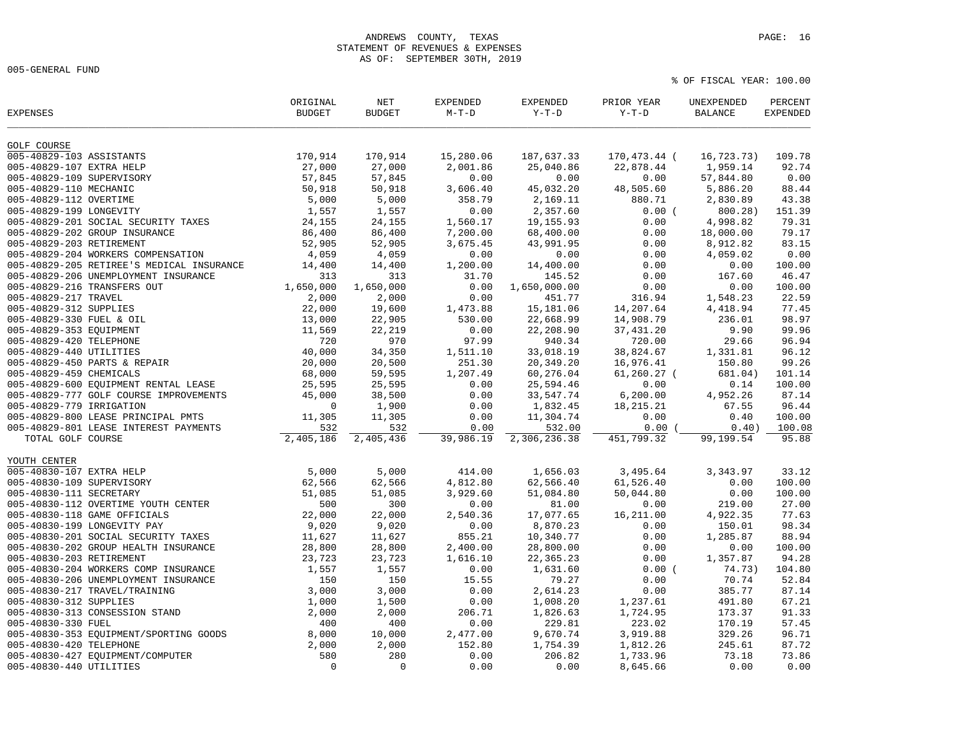005-GENERAL FUND

| <b>EXPENSES</b>           |                                           | ORIGINAL<br><b>BUDGET</b> | $\operatorname{NET}$<br><b>BUDGET</b> | <b>EXPENDED</b><br>$M-T-D$ | <b>EXPENDED</b><br>$Y-T-D$ | PRIOR YEAR<br>$Y-T-D$ | UNEXPENDED<br><b>BALANCE</b> | PERCENT<br><b>EXPENDED</b> |
|---------------------------|-------------------------------------------|---------------------------|---------------------------------------|----------------------------|----------------------------|-----------------------|------------------------------|----------------------------|
| <b>GOLF COURSE</b>        |                                           |                           |                                       |                            |                            |                       |                              |                            |
| 005-40829-103 ASSISTANTS  |                                           | 170,914                   | 170,914                               | 15,280.06                  | 187,637.33                 | 170,473.44 (          | 16,723.73)                   | 109.78                     |
| 005-40829-107 EXTRA HELP  |                                           | 27,000                    | 27,000                                | 2,001.86                   | 25,040.86                  | 22,878.44             | 1,959.14                     | 92.74                      |
| 005-40829-109 SUPERVISORY |                                           | 57,845                    | 57,845                                | 0.00                       | 0.00                       | 0.00                  | 57,844.80                    | 0.00                       |
| 005-40829-110 MECHANIC    |                                           | 50,918                    | 50,918                                | 3,606.40                   | 45,032.20                  | 48,505.60             | 5,886.20                     | 88.44                      |
| 005-40829-112 OVERTIME    |                                           | 5,000                     | 5,000                                 | 358.79                     | 2,169.11                   | 880.71                | 2,830.89                     | 43.38                      |
| 005-40829-199 LONGEVITY   |                                           | 1,557                     | 1,557                                 | 0.00                       | 2,357.60                   | 0.00(                 | 800.28)                      | 151.39                     |
|                           | 005-40829-201 SOCIAL SECURITY TAXES       | 24,155                    | 24,155                                | 1,560.17                   | 19,155.93                  | 0.00                  | 4,998.82                     | 79.31                      |
|                           | 005-40829-202 GROUP INSURANCE             | 86,400                    | 86,400                                | 7,200.00                   | 68,400.00                  | 0.00                  | 18,000.00                    | 79.17                      |
| 005-40829-203 RETIREMENT  |                                           | 52,905                    | 52,905                                | 3,675.45                   | 43,991.95                  | 0.00                  | 8,912.82                     | 83.15                      |
|                           | 005-40829-204 WORKERS COMPENSATION        | 4,059                     | 4,059                                 | 0.00                       | 0.00                       | 0.00                  | 4,059.02                     | 0.00                       |
|                           | 005-40829-205 RETIREE'S MEDICAL INSURANCE | 14,400                    | 14,400                                | 1,200.00                   | 14,400.00                  | 0.00                  | 0.00                         | 100.00                     |
|                           | 005-40829-206 UNEMPLOYMENT INSURANCE      | 313                       | 313                                   | 31.70                      | 145.52                     | 0.00                  | 167.60                       | 46.47                      |
|                           | 005-40829-216 TRANSFERS OUT               | 1,650,000                 | 1,650,000                             | 0.00                       | 1,650,000.00               | 0.00                  | 0.00                         | 100.00                     |
| 005-40829-217 TRAVEL      |                                           | 2,000                     | 2,000                                 | 0.00                       | 451.77                     | 316.94                | 1,548.23                     | 22.59                      |
| 005-40829-312 SUPPLIES    |                                           | 22,000                    | 19,600                                | 1,473.88                   | 15,181.06                  | 14,207.64             | 4,418.94                     | 77.45                      |
| 005-40829-330 FUEL & OIL  |                                           | 13,000                    | 22,905                                | 530.00                     | 22,668.99                  | 14,908.79             | 236.01                       | 98.97                      |
| 005-40829-353 EQUIPMENT   |                                           | 11,569                    | 22,219                                | 0.00                       | 22,208.90                  | 37, 431.20            | 9.90                         | 99.96                      |
| 005-40829-420 TELEPHONE   |                                           | 720                       | 970                                   | 97.99                      | 940.34                     | 720.00                | 29.66                        | 96.94                      |
| 005-40829-440 UTILITIES   |                                           | 40,000                    | 34,350                                | 1,511.10                   | 33,018.19                  | 38,824.67             | 1,331.81                     | 96.12                      |
|                           | 005-40829-450 PARTS & REPAIR              | 20,000                    | 20,500                                | 251.30                     | 20,349.20                  | 16,976.41             | 150.80                       | 99.26                      |
| 005-40829-459 CHEMICALS   |                                           | 68,000                    | 59,595                                | 1,207.49                   | 60,276.04                  | $61, 260.27$ (        | 681.04)                      | 101.14                     |
|                           | 005-40829-600 EQUIPMENT RENTAL LEASE      | 25,595                    | 25,595                                | 0.00                       | 25,594.46                  | 0.00                  | 0.14                         | 100.00                     |
|                           | 005-40829-777 GOLF COURSE IMPROVEMENTS    | 45,000                    | 38,500                                | 0.00                       | 33,547.74                  | 6, 200.00             | 4,952.26                     | 87.14                      |
| 005-40829-779 IRRIGATION  |                                           | $\mathbf 0$               | 1,900                                 | 0.00                       | 1,832.45                   | 18, 215. 21           | 67.55                        | 96.44                      |
|                           | 005-40829-800 LEASE PRINCIPAL PMTS        | 11,305                    | 11,305                                | 0.00                       | 11,304.74                  | 0.00                  | 0.40                         | 100.00                     |
|                           | 005-40829-801 LEASE INTEREST PAYMENTS     | 532                       | 532                                   | 0.00                       | 532.00                     | 0.00(                 | 0.40)                        | 100.08                     |
| TOTAL GOLF COURSE         |                                           | 2,405,186                 | 2,405,436                             | 39,986.19                  | 2,306,236.38               | 451,799.32            | 99,199.54                    | 95.88                      |
|                           |                                           |                           |                                       |                            |                            |                       |                              |                            |
| YOUTH CENTER              |                                           |                           |                                       |                            |                            |                       |                              |                            |
| 005-40830-107 EXTRA HELP  |                                           | 5,000                     | 5,000                                 | 414.00                     | 1,656.03                   | 3,495.64              | 3,343.97                     | 33.12                      |
| 005-40830-109 SUPERVISORY |                                           | 62,566                    | 62,566                                | 4,812.80                   | 62,566.40                  | 61,526.40             | 0.00                         | 100.00                     |
| 005-40830-111 SECRETARY   |                                           | 51,085                    | 51,085                                | 3,929.60                   | 51,084.80                  | 50,044.80             | 0.00                         | 100.00                     |
|                           | 005-40830-112 OVERTIME YOUTH CENTER       | 500                       | 300                                   | 0.00                       | 81.00                      | 0.00                  | 219.00                       | 27.00                      |
|                           | 005-40830-118 GAME OFFICIALS              | 22,000                    | 22,000                                | 2,540.36                   | 17,077.65                  | 16,211.00             | 4,922.35                     | 77.63                      |
|                           | 005-40830-199 LONGEVITY PAY               | 9,020                     | 9,020                                 | 0.00                       | 8,870.23                   | 0.00                  | 150.01                       | 98.34                      |
|                           | 005-40830-201 SOCIAL SECURITY TAXES       | 11,627                    | 11,627                                | 855.21                     | 10,340.77                  | 0.00                  | 1,285.87                     | 88.94                      |
|                           | 005-40830-202 GROUP HEALTH INSURANCE      | 28,800                    | 28,800                                | 2,400.00                   | 28,800.00                  | 0.00                  | 0.00                         | 100.00                     |
| 005-40830-203 RETIREMENT  |                                           | 23,723                    | 23,723                                | 1,616.10                   | 22, 365.23                 | 0.00                  | 1,357.87                     | 94.28                      |
|                           | 005-40830-204 WORKERS COMP INSURANCE      | 1,557                     | 1,557                                 | 0.00                       | 1,631.60                   | 0.00(                 | 74.73)                       | 104.80                     |
|                           | 005-40830-206 UNEMPLOYMENT INSURANCE      | 150                       | 150                                   | 15.55                      | 79.27                      | 0.00                  | 70.74                        | 52.84                      |
|                           | 005-40830-217 TRAVEL/TRAINING             | 3,000                     | 3,000                                 | 0.00                       | 2,614.23                   | 0.00                  | 385.77                       | 87.14                      |
| 005-40830-312 SUPPLIES    |                                           | 1,000                     | 1,500                                 | 0.00                       | 1,008.20                   | 1,237.61              | 491.80                       | 67.21                      |
|                           | 005-40830-313 CONSESSION STAND            | 2,000                     | 2,000                                 | 206.71                     | 1,826.63                   | 1,724.95              | 173.37                       | 91.33                      |
| 005-40830-330 FUEL        |                                           | 400                       | 400                                   | 0.00                       | 229.81                     | 223.02                | 170.19                       | 57.45                      |
|                           | 005-40830-353 EQUIPMENT/SPORTING GOODS    | 8,000                     | 10,000                                | 2,477.00                   | 9,670.74                   | 3,919.88              | 329.26                       | 96.71                      |
| 005-40830-420 TELEPHONE   |                                           | 2,000                     | 2,000                                 | 152.80                     | 1,754.39                   | 1,812.26              | 245.61                       | 87.72                      |
|                           | 005-40830-427 EQUIPMENT/COMPUTER          | 580                       | 280                                   | 0.00                       | 206.82                     | 1,733.96              | 73.18                        | 73.86                      |
| 005-40830-440 UTILITIES   |                                           | $\Omega$                  | $\Omega$                              | 0.00                       | 0.00                       | 8,645.66              | 0.00                         | 0.00                       |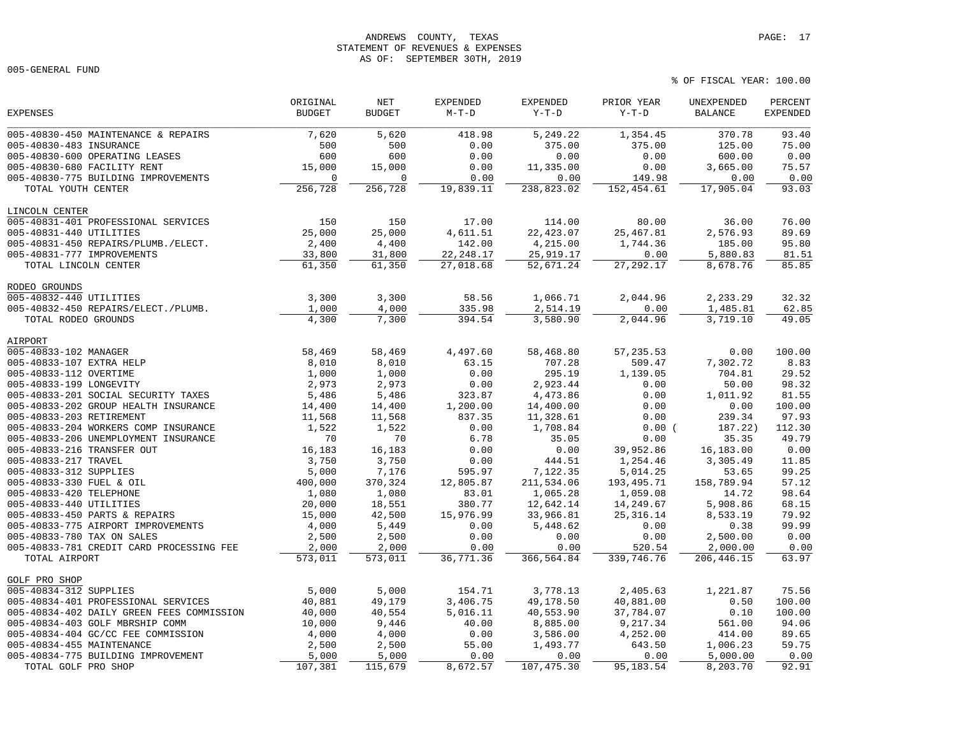# ANDREWS COUNTY, TEXAS **PAGE:** 17 STATEMENT OF REVENUES & EXPENSES AS OF: SEPTEMBER 30TH, 2019

005-GENERAL FUND

|                                           | ORIGINAL      | NET           | <b>EXPENDED</b> | <b>EXPENDED</b> | PRIOR YEAR  | UNEXPENDED     | PERCENT         |
|-------------------------------------------|---------------|---------------|-----------------|-----------------|-------------|----------------|-----------------|
| <b>EXPENSES</b>                           | <b>BUDGET</b> | <b>BUDGET</b> | $M-T-D$         | $Y-T-D$         | $Y-T-D$     | <b>BALANCE</b> | <b>EXPENDED</b> |
| 005-40830-450 MAINTENANCE & REPAIRS       | 7,620         | 5,620         | 418.98          | 5,249.22        | 1,354.45    | 370.78         | 93.40           |
| 005-40830-483 INSURANCE                   | 500           | 500           | 0.00            | 375.00          | 375.00      | 125.00         | 75.00           |
| 005-40830-600 OPERATING LEASES            | 600           | 600           | 0.00            | 0.00            | 0.00        | 600.00         | 0.00            |
| 005-40830-680 FACILITY RENT               | 15,000        | 15,000        | 0.00            | 11,335.00       | 0.00        | 3,665.00       | 75.57           |
| 005-40830-775 BUILDING IMPROVEMENTS       | $\Omega$      | $\Omega$      | 0.00            | 0.00            | 149.98      | 0.00           | 0.00            |
| TOTAL YOUTH CENTER                        | 256,728       | 256,728       | 19,839.11       | 238,823.02      | 152,454.61  | 17,905.04      | 93.03           |
| LINCOLN CENTER                            |               |               |                 |                 |             |                |                 |
| 005-40831-401 PROFESSIONAL SERVICES       | 150           | 150           | 17.00           | 114.00          | 80.00       | 36.00          | 76.00           |
| 005-40831-440 UTILITIES                   | 25,000        | 25,000        | 4,611.51        | 22, 423.07      | 25, 467.81  | 2,576.93       | 89.69           |
| 005-40831-450 REPAIRS/PLUMB./ELECT.       | 2,400         | 4,400         | 142.00          | 4,215.00        | 1,744.36    | 185.00         | 95.80           |
| 005-40831-777 IMPROVEMENTS                | 33,800        | 31,800        | 22, 248.17      | 25,919.17       | 0.00        | 5,880.83       | 81.51           |
| TOTAL LINCOLN CENTER                      | 61,350        | 61,350        | 27,018.68       | 52,671.24       | 27, 292. 17 | 8,678.76       | 85.85           |
| RODEO GROUNDS                             |               |               |                 |                 |             |                |                 |
| 005-40832-440 UTILITIES                   | 3,300         | 3,300         | 58.56           | 1,066.71        | 2,044.96    | 2,233.29       | 32.32           |
| 005-40832-450 REPAIRS/ELECT./PLUMB.       | 1,000         | 4,000         | 335.98          | 2,514.19        | 0.00        | 1,485.81       | 62.85           |
| TOTAL RODEO GROUNDS                       | 4,300         | 7,300         | 394.54          | 3,580.90        | 2,044.96    | 3,719.10       | 49.05           |
| AIRPORT                                   |               |               |                 |                 |             |                |                 |
| 005-40833-102 MANAGER                     | 58,469        | 58,469        | 4,497.60        | 58,468.80       | 57, 235.53  | 0.00           | 100.00          |
| 005-40833-107 EXTRA HELP                  | 8,010         | 8,010         | 63.15           | 707.28          | 509.47      | 7,302.72       | 8.83            |
| 005-40833-112 OVERTIME                    | 1,000         | 1,000         | 0.00            | 295.19          | 1,139.05    | 704.81         | 29.52           |
| 005-40833-199 LONGEVITY                   | 2,973         | 2,973         | 0.00            | 2,923.44        | 0.00        | 50.00          | 98.32           |
| 005-40833-201 SOCIAL SECURITY TAXES       | 5,486         | 5,486         | 323.87          | 4,473.86        | 0.00        | 1,011.92       | 81.55           |
| 005-40833-202 GROUP HEALTH INSURANCE      | 14,400        | 14,400        | 1,200.00        | 14,400.00       | 0.00        | 0.00           | 100.00          |
| 005-40833-203 RETIREMENT                  | 11,568        | 11,568        | 837.35          | 11,328.61       | 0.00        | 239.34         | 97.93           |
| 005-40833-204 WORKERS COMP INSURANCE      | 1,522         | 1,522         | 0.00            | 1,708.84        | 0.00(       | 187.22)        | 112.30          |
| 005-40833-206 UNEMPLOYMENT INSURANCE      | 70            | 70            | 6.78            | 35.05           | 0.00        | 35.35          | 49.79           |
| 005-40833-216 TRANSFER OUT                | 16,183        | 16,183        | 0.00            | 0.00            | 39,952.86   | 16,183.00      | 0.00            |
| 005-40833-217 TRAVEL                      | 3,750         | 3,750         | 0.00            | 444.51          | 1,254.46    | 3,305.49       | 11.85           |
| 005-40833-312 SUPPLIES                    | 5,000         | 7,176         | 595.97          | 7,122.35        | 5,014.25    | 53.65          | 99.25           |
| 005-40833-330 FUEL & OIL                  | 400,000       | 370,324       | 12,805.87       | 211,534.06      | 193,495.71  | 158,789.94     | 57.12           |
| 005-40833-420 TELEPHONE                   | 1,080         | 1,080         | 83.01           | 1,065.28        | 1,059.08    | 14.72          | 98.64           |
| 005-40833-440 UTILITIES                   | 20,000        | 18,551        | 380.77          | 12,642.14       | 14,249.67   | 5,908.86       | 68.15           |
| 005-40833-450 PARTS & REPAIRS             | 15,000        | 42,500        | 15,976.99       | 33,966.81       | 25, 316. 14 | 8,533.19       | 79.92           |
| 005-40833-775 AIRPORT IMPROVEMENTS        | 4,000         | 5,449         | 0.00            | 5,448.62        | 0.00        | 0.38           | 99.99           |
| 005-40833-780 TAX ON SALES                | 2,500         | 2,500         | 0.00            | 0.00            | 0.00        | 2,500.00       | 0.00            |
| 005-40833-781 CREDIT CARD PROCESSING FEE  | 2,000         | 2,000         | 0.00            | 0.00            | 520.54      | 2,000.00       | 0.00            |
| TOTAL AIRPORT                             | 573,011       | 573,011       | 36,771.36       | 366,564.84      | 339,746.76  | 206, 446.15    | 63.97           |
| GOLF PRO SHOP                             |               |               |                 |                 |             |                |                 |
| 005-40834-312 SUPPLIES                    | 5,000         | 5,000         | 154.71          | 3,778.13        | 2,405.63    | 1,221.87       | 75.56           |
| 005-40834-401 PROFESSIONAL SERVICES       | 40,881        | 49,179        | 3,406.75        | 49,178.50       | 40,881.00   | 0.50           | 100.00          |
| 005-40834-402 DAILY GREEN FEES COMMISSION | 40,000        | 40,554        | 5,016.11        | 40,553.90       | 37,784.07   | 0.10           | 100.00          |
| 005-40834-403 GOLF MBRSHIP COMM           | 10,000        | 9,446         | 40.00           | 8,885.00        | 9,217.34    | 561.00         | 94.06           |
| 005-40834-404 GC/CC FEE COMMISSION        | 4,000         | 4,000         | 0.00            | 3,586.00        | 4,252.00    | 414.00         | 89.65           |
| 005-40834-455 MAINTENANCE                 | 2,500         | 2,500         | 55.00           | 1,493.77        | 643.50      | 1,006.23       | 59.75           |
| 005-40834-775 BUILDING IMPROVEMENT        | 5,000         | 5,000         | 0.00            | 0.00            | 0.00        | 5,000.00       | 0.00            |
| TOTAL GOLF PRO SHOP                       | 107,381       | 115,679       | 8,672.57        | 107, 475.30     | 95, 183.54  | 8,203.70       | 92.91           |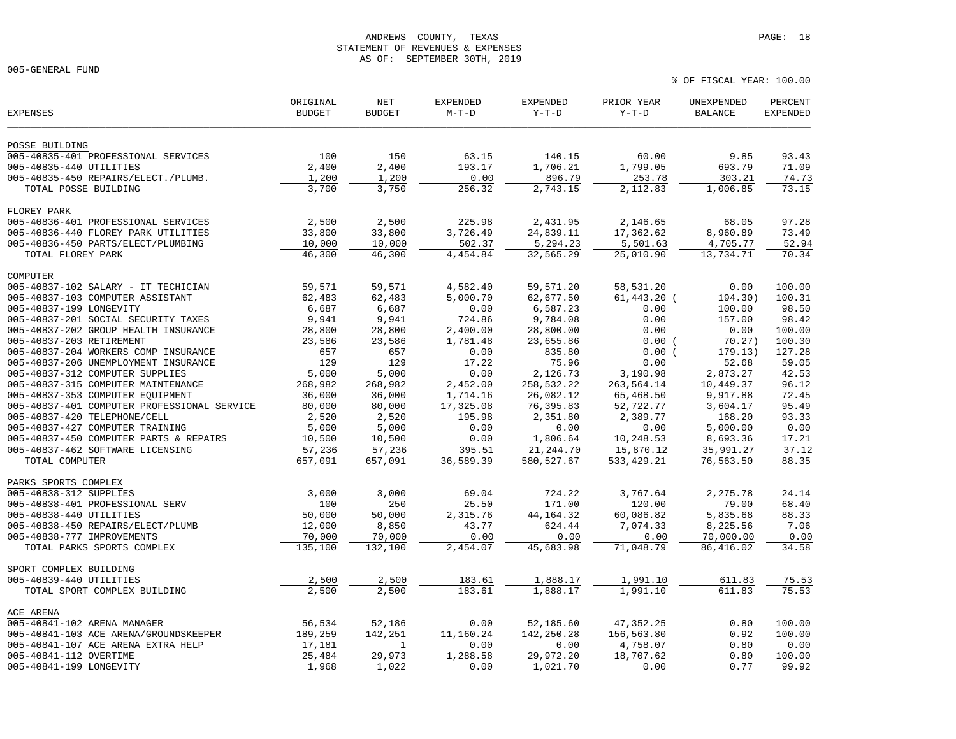005-GENERAL FUND

| POSSE BUILDING<br>005-40835-401 PROFESSIONAL SERVICES<br>100<br>63.15<br>140.15<br>60.00<br>93.43<br>150<br>9.85<br>2,400<br>2,400<br>1,706.21<br>1,799.05<br>693.79<br>71.09<br>005-40835-440 UTILITIES<br>193.17<br>005-40835-450 REPAIRS/ELECT./PLUMB.<br>1,200<br>1,200<br>0.00<br>896.79<br>253.78<br>303.21<br>74.73<br>3,700<br>3,750<br>73.15<br>256.32<br>2,743.15<br>2,112.83<br>1,006.85<br>TOTAL POSSE BUILDING<br>FLOREY PARK<br>005-40836-401 PROFESSIONAL SERVICES<br>2,500<br>225.98<br>2,431.95<br>2,146.65<br>68.05<br>97.28<br>2,500<br>33,800<br>33,800<br>3,726.49<br>24,839.11<br>17,362.62<br>8,960.89<br>73.49<br>005-40836-440 FLOREY PARK UTILITIES<br>005-40836-450 PARTS/ELECT/PLUMBING<br>10,000<br>10,000<br>502.37<br>5,294.23<br>5,501.63<br>52.94<br>4,705.77<br>46,300<br>46,300<br>4,454.84<br>32,565.29<br>25,010.90<br>13,734.71<br>70.34<br>TOTAL FLOREY PARK<br>COMPUTER<br>005-40837-102 SALARY - IT TECHICIAN<br>59,571<br>59,571<br>59,571.20<br>58,531.20<br>0.00<br>100.00<br>4,582.40<br>62,483<br>$61,443.20$ (<br>005-40837-103 COMPUTER ASSISTANT<br>62,483<br>5,000.70<br>62,677.50<br>194.30)<br>100.31<br>005-40837-199 LONGEVITY<br>6,687<br>6,687<br>0.00<br>6,587.23<br>0.00<br>98.50<br>100.00<br>005-40837-201 SOCIAL SECURITY TAXES<br>9,941<br>0.00<br>157.00<br>98.42<br>9,941<br>724.86<br>9,784.08<br>005-40837-202 GROUP HEALTH INSURANCE<br>28,800.00<br>0.00<br>0.00<br>100.00<br>28,800<br>28,800<br>2,400.00<br>005-40837-203 RETIREMENT<br>23,586<br>23,586<br>100.30<br>1,781.48<br>23,655.86<br>0.00(<br>70.27)<br>005-40837-204 WORKERS COMP INSURANCE<br>657<br>657<br>0.00<br>835.80<br>0.00(<br>179.13)<br>127.28<br>005-40837-206 UNEMPLOYMENT INSURANCE<br>129<br>129<br>17.22<br>0.00<br>52.68<br>59.05<br>75.96<br>005-40837-312 COMPUTER SUPPLIES<br>42.53<br>5,000<br>5,000<br>0.00<br>2,126.73<br>3,190.98<br>2,873.27<br>005-40837-315 COMPUTER MAINTENANCE<br>96.12<br>268,982<br>268,982<br>2,452.00<br>258,532.22<br>263,564.14<br>10,449.37<br>005-40837-353 COMPUTER EQUIPMENT<br>36,000<br>36,000<br>26,082.12<br>65,468.50<br>72.45<br>1,714.16<br>9,917.88<br>005-40837-401 COMPUTER PROFESSIONAL SERVICE<br>80,000<br>76,395.83<br>95.49<br>80,000<br>17,325.08<br>52,722.77<br>3,604.17<br>93.33<br>005-40837-420 TELEPHONE/CELL<br>2,351.80<br>2,389.77<br>168.20<br>2,520<br>2,520<br>195.98<br>005-40837-427 COMPUTER TRAINING<br>5,000<br>0.00<br>5,000.00<br>0.00<br>5,000<br>0.00<br>0.00<br>005-40837-450 COMPUTER PARTS & REPAIRS<br>10,500<br>10,500<br>0.00<br>1,806.64<br>10,248.53<br>8,693.36<br>17.21<br>37.12<br>005-40837-462 SOFTWARE LICENSING<br>57,236<br>57,236<br>395.51<br>21, 244.70<br>15,870.12<br>35,991.27<br>36,589.39<br>580, 527.67<br>88.35<br>TOTAL COMPUTER<br>657,091<br>657,091<br>533, 429.21<br>76,563.50<br>PARKS SPORTS COMPLEX<br>005-40838-312 SUPPLIES<br>3,000<br>3,000<br>69.04<br>724.22<br>3,767.64<br>2,275.78<br>24.14<br>005-40838-401 PROFESSIONAL SERV<br>100<br>250<br>25.50<br>171.00<br>120.00<br>79.00<br>68.40<br>005-40838-440 UTILITIES<br>50,000<br>50,000<br>60,086.82<br>5,835.68<br>88.33<br>2,315.76<br>44, 164. 32<br>005-40838-450 REPAIRS/ELECT/PLUMB<br>12,000<br>8,850<br>43.77<br>624.44<br>7,074.33<br>8,225.56<br>7.06<br>005-40838-777 IMPROVEMENTS<br>0.00<br>70,000<br>70,000<br>0.00<br>0.00<br>0.00<br>70,000.00<br>135,100<br>TOTAL PARKS SPORTS COMPLEX<br>132,100<br>2,454.07<br>45,683.98<br>71,048.79<br>86,416.02<br>34.58<br>SPORT COMPLEX BUILDING<br>005-40839-440 UTILITIES<br>2,500<br>2,500<br>183.61<br>1,888.17<br>1,991.10<br>611.83<br>75.53<br>2,500<br>2,500<br>183.61<br>1,888.17<br>1,991.10<br>611.83<br>75.53<br>TOTAL SPORT COMPLEX BUILDING<br>ACE ARENA<br>005-40841-102 ARENA MANAGER<br>56,534<br>52,186<br>52,185.60<br>47, 352. 25<br>0.80<br>100.00<br>0.00<br>005-40841-103 ACE ARENA/GROUNDSKEEPER<br>189,259<br>142,251<br>11,160.24<br>142,250.28<br>156,563.80<br>0.92<br>100.00<br>0.80<br>005-40841-107 ACE ARENA EXTRA HELP<br>17,181<br>0.00<br>0.00<br>4,758.07<br>0.00<br>$\mathbf{1}$<br>29,973<br>005-40841-112 OVERTIME<br>25,484<br>1,288.58<br>29,972.20<br>18,707.62<br>0.80<br>100.00<br>005-40841-199 LONGEVITY<br>0.77<br>99.92<br>1,968<br>1,022<br>0.00<br>1,021.70<br>0.00 | <b>EXPENSES</b> | ORIGINAL<br><b>BUDGET</b> | <b>NET</b><br><b>BUDGET</b> | <b>EXPENDED</b><br>$M-T-D$ | <b>EXPENDED</b><br>$Y-T-D$ | PRIOR YEAR<br>$Y-T-D$ | UNEXPENDED<br><b>BALANCE</b> | PERCENT<br><b>EXPENDED</b> |
|---------------------------------------------------------------------------------------------------------------------------------------------------------------------------------------------------------------------------------------------------------------------------------------------------------------------------------------------------------------------------------------------------------------------------------------------------------------------------------------------------------------------------------------------------------------------------------------------------------------------------------------------------------------------------------------------------------------------------------------------------------------------------------------------------------------------------------------------------------------------------------------------------------------------------------------------------------------------------------------------------------------------------------------------------------------------------------------------------------------------------------------------------------------------------------------------------------------------------------------------------------------------------------------------------------------------------------------------------------------------------------------------------------------------------------------------------------------------------------------------------------------------------------------------------------------------------------------------------------------------------------------------------------------------------------------------------------------------------------------------------------------------------------------------------------------------------------------------------------------------------------------------------------------------------------------------------------------------------------------------------------------------------------------------------------------------------------------------------------------------------------------------------------------------------------------------------------------------------------------------------------------------------------------------------------------------------------------------------------------------------------------------------------------------------------------------------------------------------------------------------------------------------------------------------------------------------------------------------------------------------------------------------------------------------------------------------------------------------------------------------------------------------------------------------------------------------------------------------------------------------------------------------------------------------------------------------------------------------------------------------------------------------------------------------------------------------------------------------------------------------------------------------------------------------------------------------------------------------------------------------------------------------------------------------------------------------------------------------------------------------------------------------------------------------------------------------------------------------------------------------------------------------------------------------------------------------------------------------------------------------------------------------------------------------------------------------------------------------------------------------------------------------------------------------------------------------------------------------------------------------------------------------------------------------------------------------------------------------------------------------------------------------------------------------------------------------------------------------------------------------------------------------------------------------------------------------------------------------------------------------------------------------------------------------------|-----------------|---------------------------|-----------------------------|----------------------------|----------------------------|-----------------------|------------------------------|----------------------------|
|                                                                                                                                                                                                                                                                                                                                                                                                                                                                                                                                                                                                                                                                                                                                                                                                                                                                                                                                                                                                                                                                                                                                                                                                                                                                                                                                                                                                                                                                                                                                                                                                                                                                                                                                                                                                                                                                                                                                                                                                                                                                                                                                                                                                                                                                                                                                                                                                                                                                                                                                                                                                                                                                                                                                                                                                                                                                                                                                                                                                                                                                                                                                                                                                                                                                                                                                                                                                                                                                                                                                                                                                                                                                                                                                                                                                                                                                                                                                                                                                                                                                                                                                                                                                                                                                                                         |                 |                           |                             |                            |                            |                       |                              |                            |
|                                                                                                                                                                                                                                                                                                                                                                                                                                                                                                                                                                                                                                                                                                                                                                                                                                                                                                                                                                                                                                                                                                                                                                                                                                                                                                                                                                                                                                                                                                                                                                                                                                                                                                                                                                                                                                                                                                                                                                                                                                                                                                                                                                                                                                                                                                                                                                                                                                                                                                                                                                                                                                                                                                                                                                                                                                                                                                                                                                                                                                                                                                                                                                                                                                                                                                                                                                                                                                                                                                                                                                                                                                                                                                                                                                                                                                                                                                                                                                                                                                                                                                                                                                                                                                                                                                         |                 |                           |                             |                            |                            |                       |                              |                            |
|                                                                                                                                                                                                                                                                                                                                                                                                                                                                                                                                                                                                                                                                                                                                                                                                                                                                                                                                                                                                                                                                                                                                                                                                                                                                                                                                                                                                                                                                                                                                                                                                                                                                                                                                                                                                                                                                                                                                                                                                                                                                                                                                                                                                                                                                                                                                                                                                                                                                                                                                                                                                                                                                                                                                                                                                                                                                                                                                                                                                                                                                                                                                                                                                                                                                                                                                                                                                                                                                                                                                                                                                                                                                                                                                                                                                                                                                                                                                                                                                                                                                                                                                                                                                                                                                                                         |                 |                           |                             |                            |                            |                       |                              |                            |
|                                                                                                                                                                                                                                                                                                                                                                                                                                                                                                                                                                                                                                                                                                                                                                                                                                                                                                                                                                                                                                                                                                                                                                                                                                                                                                                                                                                                                                                                                                                                                                                                                                                                                                                                                                                                                                                                                                                                                                                                                                                                                                                                                                                                                                                                                                                                                                                                                                                                                                                                                                                                                                                                                                                                                                                                                                                                                                                                                                                                                                                                                                                                                                                                                                                                                                                                                                                                                                                                                                                                                                                                                                                                                                                                                                                                                                                                                                                                                                                                                                                                                                                                                                                                                                                                                                         |                 |                           |                             |                            |                            |                       |                              |                            |
|                                                                                                                                                                                                                                                                                                                                                                                                                                                                                                                                                                                                                                                                                                                                                                                                                                                                                                                                                                                                                                                                                                                                                                                                                                                                                                                                                                                                                                                                                                                                                                                                                                                                                                                                                                                                                                                                                                                                                                                                                                                                                                                                                                                                                                                                                                                                                                                                                                                                                                                                                                                                                                                                                                                                                                                                                                                                                                                                                                                                                                                                                                                                                                                                                                                                                                                                                                                                                                                                                                                                                                                                                                                                                                                                                                                                                                                                                                                                                                                                                                                                                                                                                                                                                                                                                                         |                 |                           |                             |                            |                            |                       |                              |                            |
|                                                                                                                                                                                                                                                                                                                                                                                                                                                                                                                                                                                                                                                                                                                                                                                                                                                                                                                                                                                                                                                                                                                                                                                                                                                                                                                                                                                                                                                                                                                                                                                                                                                                                                                                                                                                                                                                                                                                                                                                                                                                                                                                                                                                                                                                                                                                                                                                                                                                                                                                                                                                                                                                                                                                                                                                                                                                                                                                                                                                                                                                                                                                                                                                                                                                                                                                                                                                                                                                                                                                                                                                                                                                                                                                                                                                                                                                                                                                                                                                                                                                                                                                                                                                                                                                                                         |                 |                           |                             |                            |                            |                       |                              |                            |
|                                                                                                                                                                                                                                                                                                                                                                                                                                                                                                                                                                                                                                                                                                                                                                                                                                                                                                                                                                                                                                                                                                                                                                                                                                                                                                                                                                                                                                                                                                                                                                                                                                                                                                                                                                                                                                                                                                                                                                                                                                                                                                                                                                                                                                                                                                                                                                                                                                                                                                                                                                                                                                                                                                                                                                                                                                                                                                                                                                                                                                                                                                                                                                                                                                                                                                                                                                                                                                                                                                                                                                                                                                                                                                                                                                                                                                                                                                                                                                                                                                                                                                                                                                                                                                                                                                         |                 |                           |                             |                            |                            |                       |                              |                            |
|                                                                                                                                                                                                                                                                                                                                                                                                                                                                                                                                                                                                                                                                                                                                                                                                                                                                                                                                                                                                                                                                                                                                                                                                                                                                                                                                                                                                                                                                                                                                                                                                                                                                                                                                                                                                                                                                                                                                                                                                                                                                                                                                                                                                                                                                                                                                                                                                                                                                                                                                                                                                                                                                                                                                                                                                                                                                                                                                                                                                                                                                                                                                                                                                                                                                                                                                                                                                                                                                                                                                                                                                                                                                                                                                                                                                                                                                                                                                                                                                                                                                                                                                                                                                                                                                                                         |                 |                           |                             |                            |                            |                       |                              |                            |
|                                                                                                                                                                                                                                                                                                                                                                                                                                                                                                                                                                                                                                                                                                                                                                                                                                                                                                                                                                                                                                                                                                                                                                                                                                                                                                                                                                                                                                                                                                                                                                                                                                                                                                                                                                                                                                                                                                                                                                                                                                                                                                                                                                                                                                                                                                                                                                                                                                                                                                                                                                                                                                                                                                                                                                                                                                                                                                                                                                                                                                                                                                                                                                                                                                                                                                                                                                                                                                                                                                                                                                                                                                                                                                                                                                                                                                                                                                                                                                                                                                                                                                                                                                                                                                                                                                         |                 |                           |                             |                            |                            |                       |                              |                            |
|                                                                                                                                                                                                                                                                                                                                                                                                                                                                                                                                                                                                                                                                                                                                                                                                                                                                                                                                                                                                                                                                                                                                                                                                                                                                                                                                                                                                                                                                                                                                                                                                                                                                                                                                                                                                                                                                                                                                                                                                                                                                                                                                                                                                                                                                                                                                                                                                                                                                                                                                                                                                                                                                                                                                                                                                                                                                                                                                                                                                                                                                                                                                                                                                                                                                                                                                                                                                                                                                                                                                                                                                                                                                                                                                                                                                                                                                                                                                                                                                                                                                                                                                                                                                                                                                                                         |                 |                           |                             |                            |                            |                       |                              |                            |
|                                                                                                                                                                                                                                                                                                                                                                                                                                                                                                                                                                                                                                                                                                                                                                                                                                                                                                                                                                                                                                                                                                                                                                                                                                                                                                                                                                                                                                                                                                                                                                                                                                                                                                                                                                                                                                                                                                                                                                                                                                                                                                                                                                                                                                                                                                                                                                                                                                                                                                                                                                                                                                                                                                                                                                                                                                                                                                                                                                                                                                                                                                                                                                                                                                                                                                                                                                                                                                                                                                                                                                                                                                                                                                                                                                                                                                                                                                                                                                                                                                                                                                                                                                                                                                                                                                         |                 |                           |                             |                            |                            |                       |                              |                            |
|                                                                                                                                                                                                                                                                                                                                                                                                                                                                                                                                                                                                                                                                                                                                                                                                                                                                                                                                                                                                                                                                                                                                                                                                                                                                                                                                                                                                                                                                                                                                                                                                                                                                                                                                                                                                                                                                                                                                                                                                                                                                                                                                                                                                                                                                                                                                                                                                                                                                                                                                                                                                                                                                                                                                                                                                                                                                                                                                                                                                                                                                                                                                                                                                                                                                                                                                                                                                                                                                                                                                                                                                                                                                                                                                                                                                                                                                                                                                                                                                                                                                                                                                                                                                                                                                                                         |                 |                           |                             |                            |                            |                       |                              |                            |
|                                                                                                                                                                                                                                                                                                                                                                                                                                                                                                                                                                                                                                                                                                                                                                                                                                                                                                                                                                                                                                                                                                                                                                                                                                                                                                                                                                                                                                                                                                                                                                                                                                                                                                                                                                                                                                                                                                                                                                                                                                                                                                                                                                                                                                                                                                                                                                                                                                                                                                                                                                                                                                                                                                                                                                                                                                                                                                                                                                                                                                                                                                                                                                                                                                                                                                                                                                                                                                                                                                                                                                                                                                                                                                                                                                                                                                                                                                                                                                                                                                                                                                                                                                                                                                                                                                         |                 |                           |                             |                            |                            |                       |                              |                            |
|                                                                                                                                                                                                                                                                                                                                                                                                                                                                                                                                                                                                                                                                                                                                                                                                                                                                                                                                                                                                                                                                                                                                                                                                                                                                                                                                                                                                                                                                                                                                                                                                                                                                                                                                                                                                                                                                                                                                                                                                                                                                                                                                                                                                                                                                                                                                                                                                                                                                                                                                                                                                                                                                                                                                                                                                                                                                                                                                                                                                                                                                                                                                                                                                                                                                                                                                                                                                                                                                                                                                                                                                                                                                                                                                                                                                                                                                                                                                                                                                                                                                                                                                                                                                                                                                                                         |                 |                           |                             |                            |                            |                       |                              |                            |
|                                                                                                                                                                                                                                                                                                                                                                                                                                                                                                                                                                                                                                                                                                                                                                                                                                                                                                                                                                                                                                                                                                                                                                                                                                                                                                                                                                                                                                                                                                                                                                                                                                                                                                                                                                                                                                                                                                                                                                                                                                                                                                                                                                                                                                                                                                                                                                                                                                                                                                                                                                                                                                                                                                                                                                                                                                                                                                                                                                                                                                                                                                                                                                                                                                                                                                                                                                                                                                                                                                                                                                                                                                                                                                                                                                                                                                                                                                                                                                                                                                                                                                                                                                                                                                                                                                         |                 |                           |                             |                            |                            |                       |                              |                            |
|                                                                                                                                                                                                                                                                                                                                                                                                                                                                                                                                                                                                                                                                                                                                                                                                                                                                                                                                                                                                                                                                                                                                                                                                                                                                                                                                                                                                                                                                                                                                                                                                                                                                                                                                                                                                                                                                                                                                                                                                                                                                                                                                                                                                                                                                                                                                                                                                                                                                                                                                                                                                                                                                                                                                                                                                                                                                                                                                                                                                                                                                                                                                                                                                                                                                                                                                                                                                                                                                                                                                                                                                                                                                                                                                                                                                                                                                                                                                                                                                                                                                                                                                                                                                                                                                                                         |                 |                           |                             |                            |                            |                       |                              |                            |
|                                                                                                                                                                                                                                                                                                                                                                                                                                                                                                                                                                                                                                                                                                                                                                                                                                                                                                                                                                                                                                                                                                                                                                                                                                                                                                                                                                                                                                                                                                                                                                                                                                                                                                                                                                                                                                                                                                                                                                                                                                                                                                                                                                                                                                                                                                                                                                                                                                                                                                                                                                                                                                                                                                                                                                                                                                                                                                                                                                                                                                                                                                                                                                                                                                                                                                                                                                                                                                                                                                                                                                                                                                                                                                                                                                                                                                                                                                                                                                                                                                                                                                                                                                                                                                                                                                         |                 |                           |                             |                            |                            |                       |                              |                            |
|                                                                                                                                                                                                                                                                                                                                                                                                                                                                                                                                                                                                                                                                                                                                                                                                                                                                                                                                                                                                                                                                                                                                                                                                                                                                                                                                                                                                                                                                                                                                                                                                                                                                                                                                                                                                                                                                                                                                                                                                                                                                                                                                                                                                                                                                                                                                                                                                                                                                                                                                                                                                                                                                                                                                                                                                                                                                                                                                                                                                                                                                                                                                                                                                                                                                                                                                                                                                                                                                                                                                                                                                                                                                                                                                                                                                                                                                                                                                                                                                                                                                                                                                                                                                                                                                                                         |                 |                           |                             |                            |                            |                       |                              |                            |
|                                                                                                                                                                                                                                                                                                                                                                                                                                                                                                                                                                                                                                                                                                                                                                                                                                                                                                                                                                                                                                                                                                                                                                                                                                                                                                                                                                                                                                                                                                                                                                                                                                                                                                                                                                                                                                                                                                                                                                                                                                                                                                                                                                                                                                                                                                                                                                                                                                                                                                                                                                                                                                                                                                                                                                                                                                                                                                                                                                                                                                                                                                                                                                                                                                                                                                                                                                                                                                                                                                                                                                                                                                                                                                                                                                                                                                                                                                                                                                                                                                                                                                                                                                                                                                                                                                         |                 |                           |                             |                            |                            |                       |                              |                            |
|                                                                                                                                                                                                                                                                                                                                                                                                                                                                                                                                                                                                                                                                                                                                                                                                                                                                                                                                                                                                                                                                                                                                                                                                                                                                                                                                                                                                                                                                                                                                                                                                                                                                                                                                                                                                                                                                                                                                                                                                                                                                                                                                                                                                                                                                                                                                                                                                                                                                                                                                                                                                                                                                                                                                                                                                                                                                                                                                                                                                                                                                                                                                                                                                                                                                                                                                                                                                                                                                                                                                                                                                                                                                                                                                                                                                                                                                                                                                                                                                                                                                                                                                                                                                                                                                                                         |                 |                           |                             |                            |                            |                       |                              |                            |
|                                                                                                                                                                                                                                                                                                                                                                                                                                                                                                                                                                                                                                                                                                                                                                                                                                                                                                                                                                                                                                                                                                                                                                                                                                                                                                                                                                                                                                                                                                                                                                                                                                                                                                                                                                                                                                                                                                                                                                                                                                                                                                                                                                                                                                                                                                                                                                                                                                                                                                                                                                                                                                                                                                                                                                                                                                                                                                                                                                                                                                                                                                                                                                                                                                                                                                                                                                                                                                                                                                                                                                                                                                                                                                                                                                                                                                                                                                                                                                                                                                                                                                                                                                                                                                                                                                         |                 |                           |                             |                            |                            |                       |                              |                            |
|                                                                                                                                                                                                                                                                                                                                                                                                                                                                                                                                                                                                                                                                                                                                                                                                                                                                                                                                                                                                                                                                                                                                                                                                                                                                                                                                                                                                                                                                                                                                                                                                                                                                                                                                                                                                                                                                                                                                                                                                                                                                                                                                                                                                                                                                                                                                                                                                                                                                                                                                                                                                                                                                                                                                                                                                                                                                                                                                                                                                                                                                                                                                                                                                                                                                                                                                                                                                                                                                                                                                                                                                                                                                                                                                                                                                                                                                                                                                                                                                                                                                                                                                                                                                                                                                                                         |                 |                           |                             |                            |                            |                       |                              |                            |
|                                                                                                                                                                                                                                                                                                                                                                                                                                                                                                                                                                                                                                                                                                                                                                                                                                                                                                                                                                                                                                                                                                                                                                                                                                                                                                                                                                                                                                                                                                                                                                                                                                                                                                                                                                                                                                                                                                                                                                                                                                                                                                                                                                                                                                                                                                                                                                                                                                                                                                                                                                                                                                                                                                                                                                                                                                                                                                                                                                                                                                                                                                                                                                                                                                                                                                                                                                                                                                                                                                                                                                                                                                                                                                                                                                                                                                                                                                                                                                                                                                                                                                                                                                                                                                                                                                         |                 |                           |                             |                            |                            |                       |                              |                            |
|                                                                                                                                                                                                                                                                                                                                                                                                                                                                                                                                                                                                                                                                                                                                                                                                                                                                                                                                                                                                                                                                                                                                                                                                                                                                                                                                                                                                                                                                                                                                                                                                                                                                                                                                                                                                                                                                                                                                                                                                                                                                                                                                                                                                                                                                                                                                                                                                                                                                                                                                                                                                                                                                                                                                                                                                                                                                                                                                                                                                                                                                                                                                                                                                                                                                                                                                                                                                                                                                                                                                                                                                                                                                                                                                                                                                                                                                                                                                                                                                                                                                                                                                                                                                                                                                                                         |                 |                           |                             |                            |                            |                       |                              |                            |
|                                                                                                                                                                                                                                                                                                                                                                                                                                                                                                                                                                                                                                                                                                                                                                                                                                                                                                                                                                                                                                                                                                                                                                                                                                                                                                                                                                                                                                                                                                                                                                                                                                                                                                                                                                                                                                                                                                                                                                                                                                                                                                                                                                                                                                                                                                                                                                                                                                                                                                                                                                                                                                                                                                                                                                                                                                                                                                                                                                                                                                                                                                                                                                                                                                                                                                                                                                                                                                                                                                                                                                                                                                                                                                                                                                                                                                                                                                                                                                                                                                                                                                                                                                                                                                                                                                         |                 |                           |                             |                            |                            |                       |                              |                            |
|                                                                                                                                                                                                                                                                                                                                                                                                                                                                                                                                                                                                                                                                                                                                                                                                                                                                                                                                                                                                                                                                                                                                                                                                                                                                                                                                                                                                                                                                                                                                                                                                                                                                                                                                                                                                                                                                                                                                                                                                                                                                                                                                                                                                                                                                                                                                                                                                                                                                                                                                                                                                                                                                                                                                                                                                                                                                                                                                                                                                                                                                                                                                                                                                                                                                                                                                                                                                                                                                                                                                                                                                                                                                                                                                                                                                                                                                                                                                                                                                                                                                                                                                                                                                                                                                                                         |                 |                           |                             |                            |                            |                       |                              |                            |
|                                                                                                                                                                                                                                                                                                                                                                                                                                                                                                                                                                                                                                                                                                                                                                                                                                                                                                                                                                                                                                                                                                                                                                                                                                                                                                                                                                                                                                                                                                                                                                                                                                                                                                                                                                                                                                                                                                                                                                                                                                                                                                                                                                                                                                                                                                                                                                                                                                                                                                                                                                                                                                                                                                                                                                                                                                                                                                                                                                                                                                                                                                                                                                                                                                                                                                                                                                                                                                                                                                                                                                                                                                                                                                                                                                                                                                                                                                                                                                                                                                                                                                                                                                                                                                                                                                         |                 |                           |                             |                            |                            |                       |                              |                            |
|                                                                                                                                                                                                                                                                                                                                                                                                                                                                                                                                                                                                                                                                                                                                                                                                                                                                                                                                                                                                                                                                                                                                                                                                                                                                                                                                                                                                                                                                                                                                                                                                                                                                                                                                                                                                                                                                                                                                                                                                                                                                                                                                                                                                                                                                                                                                                                                                                                                                                                                                                                                                                                                                                                                                                                                                                                                                                                                                                                                                                                                                                                                                                                                                                                                                                                                                                                                                                                                                                                                                                                                                                                                                                                                                                                                                                                                                                                                                                                                                                                                                                                                                                                                                                                                                                                         |                 |                           |                             |                            |                            |                       |                              |                            |
|                                                                                                                                                                                                                                                                                                                                                                                                                                                                                                                                                                                                                                                                                                                                                                                                                                                                                                                                                                                                                                                                                                                                                                                                                                                                                                                                                                                                                                                                                                                                                                                                                                                                                                                                                                                                                                                                                                                                                                                                                                                                                                                                                                                                                                                                                                                                                                                                                                                                                                                                                                                                                                                                                                                                                                                                                                                                                                                                                                                                                                                                                                                                                                                                                                                                                                                                                                                                                                                                                                                                                                                                                                                                                                                                                                                                                                                                                                                                                                                                                                                                                                                                                                                                                                                                                                         |                 |                           |                             |                            |                            |                       |                              |                            |
|                                                                                                                                                                                                                                                                                                                                                                                                                                                                                                                                                                                                                                                                                                                                                                                                                                                                                                                                                                                                                                                                                                                                                                                                                                                                                                                                                                                                                                                                                                                                                                                                                                                                                                                                                                                                                                                                                                                                                                                                                                                                                                                                                                                                                                                                                                                                                                                                                                                                                                                                                                                                                                                                                                                                                                                                                                                                                                                                                                                                                                                                                                                                                                                                                                                                                                                                                                                                                                                                                                                                                                                                                                                                                                                                                                                                                                                                                                                                                                                                                                                                                                                                                                                                                                                                                                         |                 |                           |                             |                            |                            |                       |                              |                            |
|                                                                                                                                                                                                                                                                                                                                                                                                                                                                                                                                                                                                                                                                                                                                                                                                                                                                                                                                                                                                                                                                                                                                                                                                                                                                                                                                                                                                                                                                                                                                                                                                                                                                                                                                                                                                                                                                                                                                                                                                                                                                                                                                                                                                                                                                                                                                                                                                                                                                                                                                                                                                                                                                                                                                                                                                                                                                                                                                                                                                                                                                                                                                                                                                                                                                                                                                                                                                                                                                                                                                                                                                                                                                                                                                                                                                                                                                                                                                                                                                                                                                                                                                                                                                                                                                                                         |                 |                           |                             |                            |                            |                       |                              |                            |
|                                                                                                                                                                                                                                                                                                                                                                                                                                                                                                                                                                                                                                                                                                                                                                                                                                                                                                                                                                                                                                                                                                                                                                                                                                                                                                                                                                                                                                                                                                                                                                                                                                                                                                                                                                                                                                                                                                                                                                                                                                                                                                                                                                                                                                                                                                                                                                                                                                                                                                                                                                                                                                                                                                                                                                                                                                                                                                                                                                                                                                                                                                                                                                                                                                                                                                                                                                                                                                                                                                                                                                                                                                                                                                                                                                                                                                                                                                                                                                                                                                                                                                                                                                                                                                                                                                         |                 |                           |                             |                            |                            |                       |                              |                            |
|                                                                                                                                                                                                                                                                                                                                                                                                                                                                                                                                                                                                                                                                                                                                                                                                                                                                                                                                                                                                                                                                                                                                                                                                                                                                                                                                                                                                                                                                                                                                                                                                                                                                                                                                                                                                                                                                                                                                                                                                                                                                                                                                                                                                                                                                                                                                                                                                                                                                                                                                                                                                                                                                                                                                                                                                                                                                                                                                                                                                                                                                                                                                                                                                                                                                                                                                                                                                                                                                                                                                                                                                                                                                                                                                                                                                                                                                                                                                                                                                                                                                                                                                                                                                                                                                                                         |                 |                           |                             |                            |                            |                       |                              |                            |
|                                                                                                                                                                                                                                                                                                                                                                                                                                                                                                                                                                                                                                                                                                                                                                                                                                                                                                                                                                                                                                                                                                                                                                                                                                                                                                                                                                                                                                                                                                                                                                                                                                                                                                                                                                                                                                                                                                                                                                                                                                                                                                                                                                                                                                                                                                                                                                                                                                                                                                                                                                                                                                                                                                                                                                                                                                                                                                                                                                                                                                                                                                                                                                                                                                                                                                                                                                                                                                                                                                                                                                                                                                                                                                                                                                                                                                                                                                                                                                                                                                                                                                                                                                                                                                                                                                         |                 |                           |                             |                            |                            |                       |                              |                            |
|                                                                                                                                                                                                                                                                                                                                                                                                                                                                                                                                                                                                                                                                                                                                                                                                                                                                                                                                                                                                                                                                                                                                                                                                                                                                                                                                                                                                                                                                                                                                                                                                                                                                                                                                                                                                                                                                                                                                                                                                                                                                                                                                                                                                                                                                                                                                                                                                                                                                                                                                                                                                                                                                                                                                                                                                                                                                                                                                                                                                                                                                                                                                                                                                                                                                                                                                                                                                                                                                                                                                                                                                                                                                                                                                                                                                                                                                                                                                                                                                                                                                                                                                                                                                                                                                                                         |                 |                           |                             |                            |                            |                       |                              |                            |
|                                                                                                                                                                                                                                                                                                                                                                                                                                                                                                                                                                                                                                                                                                                                                                                                                                                                                                                                                                                                                                                                                                                                                                                                                                                                                                                                                                                                                                                                                                                                                                                                                                                                                                                                                                                                                                                                                                                                                                                                                                                                                                                                                                                                                                                                                                                                                                                                                                                                                                                                                                                                                                                                                                                                                                                                                                                                                                                                                                                                                                                                                                                                                                                                                                                                                                                                                                                                                                                                                                                                                                                                                                                                                                                                                                                                                                                                                                                                                                                                                                                                                                                                                                                                                                                                                                         |                 |                           |                             |                            |                            |                       |                              |                            |
|                                                                                                                                                                                                                                                                                                                                                                                                                                                                                                                                                                                                                                                                                                                                                                                                                                                                                                                                                                                                                                                                                                                                                                                                                                                                                                                                                                                                                                                                                                                                                                                                                                                                                                                                                                                                                                                                                                                                                                                                                                                                                                                                                                                                                                                                                                                                                                                                                                                                                                                                                                                                                                                                                                                                                                                                                                                                                                                                                                                                                                                                                                                                                                                                                                                                                                                                                                                                                                                                                                                                                                                                                                                                                                                                                                                                                                                                                                                                                                                                                                                                                                                                                                                                                                                                                                         |                 |                           |                             |                            |                            |                       |                              |                            |
|                                                                                                                                                                                                                                                                                                                                                                                                                                                                                                                                                                                                                                                                                                                                                                                                                                                                                                                                                                                                                                                                                                                                                                                                                                                                                                                                                                                                                                                                                                                                                                                                                                                                                                                                                                                                                                                                                                                                                                                                                                                                                                                                                                                                                                                                                                                                                                                                                                                                                                                                                                                                                                                                                                                                                                                                                                                                                                                                                                                                                                                                                                                                                                                                                                                                                                                                                                                                                                                                                                                                                                                                                                                                                                                                                                                                                                                                                                                                                                                                                                                                                                                                                                                                                                                                                                         |                 |                           |                             |                            |                            |                       |                              |                            |
|                                                                                                                                                                                                                                                                                                                                                                                                                                                                                                                                                                                                                                                                                                                                                                                                                                                                                                                                                                                                                                                                                                                                                                                                                                                                                                                                                                                                                                                                                                                                                                                                                                                                                                                                                                                                                                                                                                                                                                                                                                                                                                                                                                                                                                                                                                                                                                                                                                                                                                                                                                                                                                                                                                                                                                                                                                                                                                                                                                                                                                                                                                                                                                                                                                                                                                                                                                                                                                                                                                                                                                                                                                                                                                                                                                                                                                                                                                                                                                                                                                                                                                                                                                                                                                                                                                         |                 |                           |                             |                            |                            |                       |                              |                            |
|                                                                                                                                                                                                                                                                                                                                                                                                                                                                                                                                                                                                                                                                                                                                                                                                                                                                                                                                                                                                                                                                                                                                                                                                                                                                                                                                                                                                                                                                                                                                                                                                                                                                                                                                                                                                                                                                                                                                                                                                                                                                                                                                                                                                                                                                                                                                                                                                                                                                                                                                                                                                                                                                                                                                                                                                                                                                                                                                                                                                                                                                                                                                                                                                                                                                                                                                                                                                                                                                                                                                                                                                                                                                                                                                                                                                                                                                                                                                                                                                                                                                                                                                                                                                                                                                                                         |                 |                           |                             |                            |                            |                       |                              |                            |
|                                                                                                                                                                                                                                                                                                                                                                                                                                                                                                                                                                                                                                                                                                                                                                                                                                                                                                                                                                                                                                                                                                                                                                                                                                                                                                                                                                                                                                                                                                                                                                                                                                                                                                                                                                                                                                                                                                                                                                                                                                                                                                                                                                                                                                                                                                                                                                                                                                                                                                                                                                                                                                                                                                                                                                                                                                                                                                                                                                                                                                                                                                                                                                                                                                                                                                                                                                                                                                                                                                                                                                                                                                                                                                                                                                                                                                                                                                                                                                                                                                                                                                                                                                                                                                                                                                         |                 |                           |                             |                            |                            |                       |                              |                            |
|                                                                                                                                                                                                                                                                                                                                                                                                                                                                                                                                                                                                                                                                                                                                                                                                                                                                                                                                                                                                                                                                                                                                                                                                                                                                                                                                                                                                                                                                                                                                                                                                                                                                                                                                                                                                                                                                                                                                                                                                                                                                                                                                                                                                                                                                                                                                                                                                                                                                                                                                                                                                                                                                                                                                                                                                                                                                                                                                                                                                                                                                                                                                                                                                                                                                                                                                                                                                                                                                                                                                                                                                                                                                                                                                                                                                                                                                                                                                                                                                                                                                                                                                                                                                                                                                                                         |                 |                           |                             |                            |                            |                       |                              |                            |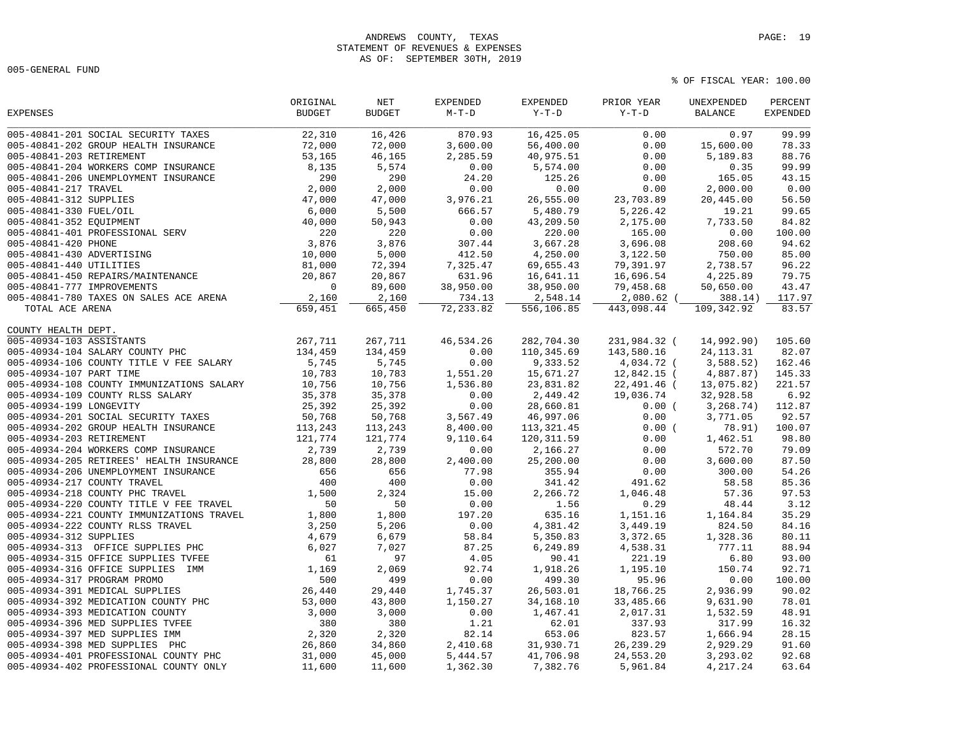## ANDREWS COUNTY, TEXAS **PAGE:** 19 STATEMENT OF REVENUES & EXPENSES AS OF: SEPTEMBER 30TH, 2019

005-GENERAL FUND

|                                           | ORIGINAL      | $\operatorname{NET}$ | <b>EXPENDED</b> | EXPENDED    | PRIOR YEAR   | UNEXPENDED     | PERCENT         |
|-------------------------------------------|---------------|----------------------|-----------------|-------------|--------------|----------------|-----------------|
| <b>EXPENSES</b>                           | <b>BUDGET</b> | <b>BUDGET</b>        | $M-T-D$         | $Y-T-D$     | $Y-T-D$      | <b>BALANCE</b> | <b>EXPENDED</b> |
| 005-40841-201 SOCIAL SECURITY TAXES       | 22,310        | 16,426               | 870.93          | 16,425.05   | 0.00         | 0.97           | 99.99           |
| 005-40841-202 GROUP HEALTH INSURANCE      | 72,000        | 72,000               | 3,600.00        | 56,400.00   | 0.00         | 15,600.00      | 78.33           |
| 005-40841-203 RETIREMENT                  | 53,165        | 46,165               | 2,285.59        | 40,975.51   | 0.00         | 5,189.83       | 88.76           |
| 005-40841-204 WORKERS COMP INSURANCE      | 8,135         | 5,574                | 0.00            | 5,574.00    | 0.00         | 0.35           | 99.99           |
| 005-40841-206 UNEMPLOYMENT INSURANCE      | 290           | 290                  | 24.20           | 125.26      | 0.00         | 165.05         | 43.15           |
| 005-40841-217 TRAVEL                      | 2,000         | 2,000                | 0.00            | 0.00        | 0.00         | 2,000.00       | 0.00            |
| 005-40841-312 SUPPLIES                    | 47,000        | 47,000               | 3,976.21        | 26,555.00   | 23,703.89    | 20,445.00      | 56.50           |
| 005-40841-330 FUEL/OIL                    | 6,000         | 5,500                | 666.57          | 5,480.79    | 5,226.42     | 19.21          | 99.65           |
| 005-40841-352 EQUIPMENT                   | 40,000        | 50,943               | 0.00            | 43,209.50   | 2,175.00     | 7,733.50       | 84.82           |
| 005-40841-401 PROFESSIONAL SERV           | 220           | 220                  | 0.00            | 220.00      | 165.00       | 0.00           | 100.00          |
| 005-40841-420 PHONE                       | 3,876         | 3,876                | 307.44          | 3,667.28    | 3,696.08     | 208.60         | 94.62           |
| 005-40841-430 ADVERTISING                 | 10,000        | 5,000                | 412.50          | 4,250.00    | 3,122.50     | 750.00         | 85.00           |
| 005-40841-440 UTILITIES                   | 81,000        | 72,394               | 7,325.47        | 69,655.43   | 79,391.97    | 2,738.57       | 96.22           |
| 005-40841-450 REPAIRS/MAINTENANCE         | 20,867        | 20,867               | 631.96          | 16,641.11   | 16,696.54    | 4,225.89       | 79.75           |
| 005-40841-777 IMPROVEMENTS                | $\mathbf 0$   | 89,600               | 38,950.00       | 38,950.00   | 79,458.68    | 50,650.00      | 43.47           |
| 005-40841-780 TAXES ON SALES ACE ARENA    | 2,160         | 2,160                | 734.13          | 2,548.14    | 2,080.62 (   | 388.14)        | 117.97          |
| TOTAL ACE ARENA                           | 659,451       | 665,450              | 72, 233.82      | 556,106.85  | 443,098.44   | 109,342.92     | 83.57           |
| COUNTY HEALTH DEPT.                       |               |                      |                 |             |              |                |                 |
| 005-40934-103 ASSISTANTS                  | 267,711       | 267,711              | 46,534.26       | 282,704.30  | 231,984.32 ( | 14,992.90)     | 105.60          |
| 005-40934-104 SALARY COUNTY PHC           | 134,459       | 134,459              | 0.00            | 110,345.69  | 143,580.16   | 24, 113. 31    | 82.07           |
| 005-40934-106 COUNTY TITLE V FEE SALARY   | 5,745         | 5,745                | 0.00            | 9,333.52    | 4,034.72 (   | 3,588.52)      | 162.46          |
| 005-40934-107 PART TIME                   | 10,783        | 10,783               | 1,551.20        | 15,671.27   | 12,842.15 (  | 4,887.87)      | 145.33          |
| 005-40934-108 COUNTY IMMUNIZATIONS SALARY | 10,756        | 10,756               | 1,536.80        | 23,831.82   | 22,491.46 (  | 13,075.82)     | 221.57          |
| 005-40934-109 COUNTY RLSS SALARY          | 35,378        | 35,378               | 0.00            | 2,449.42    | 19,036.74    | 32,928.58      | 6.92            |
| 005-40934-199 LONGEVITY                   | 25,392        | 25,392               | 0.00            | 28,660.81   | 0.00(        | 3, 268.74)     | 112.87          |
| 005-40934-201 SOCIAL SECURITY TAXES       | 50,768        | 50,768               | 3,567.49        | 46,997.06   | 0.00         | 3,771.05       | 92.57           |
| 005-40934-202 GROUP HEALTH INSURANCE      | 113,243       | 113,243              | 8,400.00        | 113, 321.45 | 0.00(        | 78.91)         | 100.07          |
| 005-40934-203 RETIREMENT                  | 121,774       | 121,774              | 9,110.64        | 120, 311.59 | 0.00         | 1,462.51       | 98.80           |
| 005-40934-204 WORKERS COMP INSURANCE      | 2,739         | 2,739                | 0.00            | 2,166.27    | 0.00         | 572.70         | 79.09           |
| 005-40934-205 RETIREES' HEALTH INSURANCE  | 28,800        | 28,800               | 2,400.00        | 25,200.00   | 0.00         | 3,600.00       | 87.50           |
| 005-40934-206 UNEMPLOYMENT INSURANCE      | 656           | 656                  | 77.98           | 355.94      | 0.00         | 300.00         | 54.26           |
| 005-40934-217 COUNTY TRAVEL               | 400           | 400                  | 0.00            | 341.42      | 491.62       | 58.58          | 85.36           |
| 005-40934-218 COUNTY PHC TRAVEL           | 1,500         | 2,324                | 15.00           | 2,266.72    | 1,046.48     | 57.36          | 97.53           |
| 005-40934-220 COUNTY TITLE V FEE TRAVEL   | 50            | 50                   | 0.00            | 1.56        | 0.29         | 48.44          | 3.12            |
| 005-40934-221 COUNTY IMMUNIZATIONS TRAVEL | 1,800         | 1,800                | 197.20          | 635.16      | 1,151.16     | 1,164.84       | 35.29           |
| 005-40934-222 COUNTY RLSS TRAVEL          | 3,250         | 5,206                | 0.00            | 4,381.42    | 3,449.19     | 824.50         | 84.16           |
| 005-40934-312 SUPPLIES                    | 4,679         | 6,679                | 58.84           | 5,350.83    | 3,372.65     | 1,328.36       | 80.11           |
| 005-40934-313 OFFICE SUPPLIES PHC         | 6,027         | 7,027                | 87.25           | 6,249.89    | 4,538.31     | 777.11         | 88.94           |
| 005-40934-315 OFFICE SUPPLIES TVFEE       | 61            | 97                   | 4.05            | 90.41       | 221.19       | 6.80           | 93.00           |
| 005-40934-316 OFFICE SUPPLIES IMM         | 1,169         | 2,069                | 92.74           | 1,918.26    | 1,195.10     | 150.74         | 92.71           |
| 005-40934-317 PROGRAM PROMO               | 500           | 499                  | 0.00            | 499.30      | 95.96        | 0.00           | 100.00          |
| 005-40934-391 MEDICAL SUPPLIES            | 26,440        | 29,440               | 1,745.37        | 26,503.01   | 18,766.25    | 2,936.99       | 90.02           |
| 005-40934-392 MEDICATION COUNTY PHC       | 53,000        | 43,800               | 1,150.27        | 34, 168. 10 | 33,485.66    | 9,631.90       | 78.01           |
| 005-40934-393 MEDICATION COUNTY           | 3,000         | 3,000                | 0.00            | 1,467.41    | 2,017.31     | 1,532.59       | 48.91           |
| 005-40934-396 MED SUPPLIES TVFEE          | 380           | 380                  | 1.21            | 62.01       | 337.93       | 317.99         | 16.32           |
| 005-40934-397 MED SUPPLIES IMM            | 2,320         | 2,320                | 82.14           | 653.06      | 823.57       | 1,666.94       | 28.15           |
| 005-40934-398 MED SUPPLIES PHC            | 26,860        | 34,860               | 2,410.68        | 31,930.71   | 26, 239. 29  | 2,929.29       | 91.60           |
| 005-40934-401 PROFESSIONAL COUNTY PHC     | 31,000        | 45,000               | 5,444.57        | 41,706.98   | 24,553.20    | 3,293.02       | 92.68           |
| 005-40934-402 PROFESSIONAL COUNTY ONLY    | 11,600        | 11,600               | 1,362.30        | 7,382.76    | 5,961.84     | 4,217.24       | 63.64           |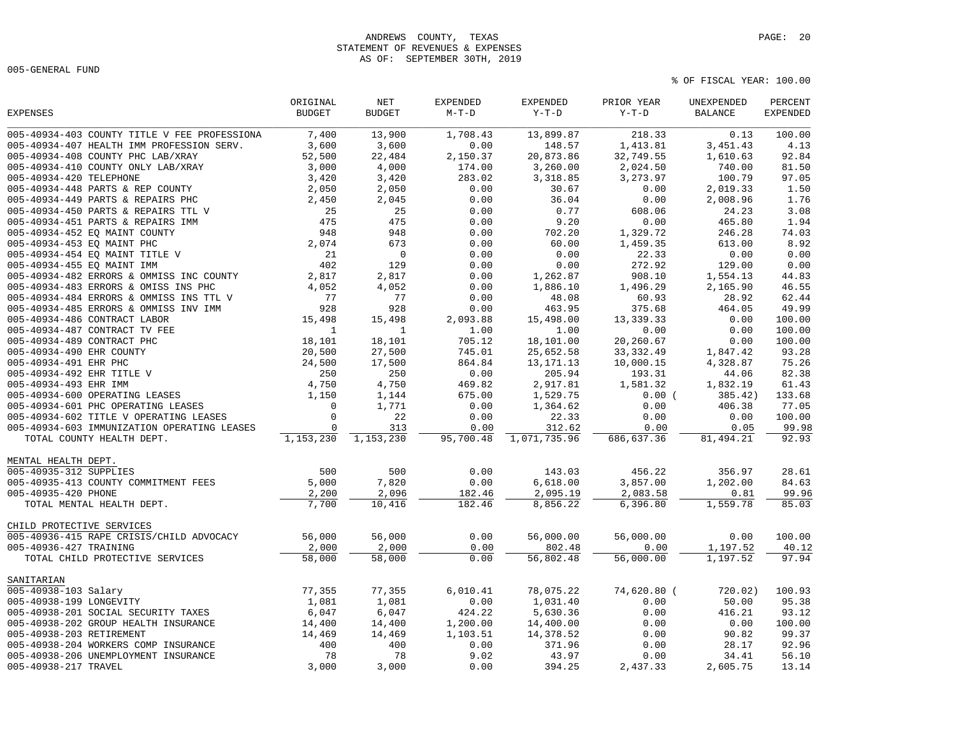# ANDREWS COUNTY, TEXAS **PAGE:** 20 STATEMENT OF REVENUES & EXPENSES AS OF: SEPTEMBER 30TH, 2019

005-GENERAL FUND

| <b>EXPENSES</b>                              | ORIGINAL<br><b>BUDGET</b> | NET<br><b>BUDGET</b> | <b>EXPENDED</b><br>$M-T-D$ | EXPENDED<br>$Y-T-D$ | PRIOR YEAR<br>$Y-T-D$ | UNEXPENDED<br><b>BALANCE</b> | PERCENT<br><b>EXPENDED</b> |
|----------------------------------------------|---------------------------|----------------------|----------------------------|---------------------|-----------------------|------------------------------|----------------------------|
| 005-40934-403 COUNTY TITLE V FEE PROFESSIONA | 7,400                     | 13,900               | 1,708.43                   | 13,899.87           | 218.33                | 0.13                         | 100.00                     |
| 005-40934-407 HEALTH IMM PROFESSION SERV.    | 3,600                     | 3,600                | 0.00                       | 148.57              | 1,413.81              | 3,451.43                     | 4.13                       |
| 005-40934-408 COUNTY PHC LAB/XRAY            | 52,500                    | 22,484               | 2,150.37                   | 20,873.86           | 32,749.55             | 1,610.63                     | 92.84                      |
| 005-40934-410 COUNTY ONLY LAB/XRAY           | 3,000                     | 4,000                | 174.00                     | 3,260.00            | 2,024.50              | 740.00                       | 81.50                      |
| 005-40934-420 TELEPHONE                      | 3,420                     | 3,420                | 283.02                     | 3,318.85            | 3,273.97              | 100.79                       | 97.05                      |
| 005-40934-448 PARTS & REP COUNTY             | 2,050                     | 2,050                | 0.00                       | 30.67               | 0.00                  | 2,019.33                     | 1.50                       |
| 005-40934-449 PARTS & REPAIRS PHC            | 2,450                     | 2,045                | 0.00                       | 36.04               | 0.00                  | 2,008.96                     | 1.76                       |
| 005-40934-450 PARTS & REPAIRS TTL V          | 25                        | 25                   | 0.00                       | 0.77                | 608.06                | 24.23                        | 3.08                       |
| 005-40934-451 PARTS & REPAIRS IMM            | 475                       | 475                  | 0.00                       | 9.20                | 0.00                  | 465.80                       | 1.94                       |
| 005-40934-452 EQ MAINT COUNTY                | 948                       | 948                  | 0.00                       | 702.20              | 1,329.72              | 246.28                       | 74.03                      |
| 005-40934-453 EO MAINT PHC                   | 2,074                     | 673                  | 0.00                       | 60.00               | 1,459.35              | 613.00                       | 8.92                       |
| 005-40934-454 EQ MAINT TITLE V               | 21                        | $\mathbf 0$          | 0.00                       | 0.00                | 22.33                 | 0.00                         | 0.00                       |
| 005-40934-455 EQ MAINT IMM                   | 402                       | 129                  | 0.00                       | 0.00                | 272.92                | 129.00                       | 0.00                       |
| 005-40934-482 ERRORS & OMMISS INC COUNTY     | 2,817                     | 2,817                | 0.00                       | 1,262.87            | 908.10                | 1,554.13                     | 44.83                      |
| 005-40934-483 ERRORS & OMISS INS PHC         | 4,052                     | 4,052                | 0.00                       | 1,886.10            | 1,496.29              | 2,165.90                     | 46.55                      |
| 005-40934-484 ERRORS & OMMISS INS TTL V      | 77                        | 77                   | 0.00                       | 48.08               | 60.93                 | 28.92                        | 62.44                      |
| 005-40934-485 ERRORS & OMMISS INV IMM        | 928                       | 928                  | 0.00                       | 463.95              | 375.68                | 464.05                       | 49.99                      |
| 005-40934-486 CONTRACT LABOR                 | 15,498                    | 15,498               | 2,093.88                   | 15,498.00           | 13,339.33             | 0.00                         | 100.00                     |
| 005-40934-487 CONTRACT TV FEE                | $\mathbf{1}$              | $\mathbf{1}$         | 1.00                       | 1.00                | 0.00                  | 0.00                         | 100.00                     |
| 005-40934-489 CONTRACT PHC                   | 18,101                    | 18,101               | 705.12                     | 18,101.00           | 20,260.67             | 0.00                         | 100.00                     |
| 005-40934-490 EHR COUNTY                     | 20,500                    | 27,500               | 745.01                     | 25,652.58           | 33, 332.49            | 1,847.42                     | 93.28                      |
| 005-40934-491 EHR PHC                        | 24,500                    | 17,500               | 864.84                     | 13, 171. 13         | 10,000.15             | 4,328.87                     | 75.26                      |
| 005-40934-492 EHR TITLE V                    | 250                       | 250                  | 0.00                       | 205.94              | 193.31                | 44.06                        | 82.38                      |
| 005-40934-493 EHR IMM                        | 4,750                     | 4,750                | 469.82                     | 2,917.81            | 1,581.32              | 1,832.19                     | 61.43                      |
| 005-40934-600 OPERATING LEASES               | 1,150                     | 1,144                | 675.00                     | 1,529.75            | 0.00(                 | 385.42)                      | 133.68                     |
| 005-40934-601 PHC OPERATING LEASES           | $\mathbf 0$               | 1,771                | 0.00                       | 1,364.62            | 0.00                  | 406.38                       | 77.05                      |
| 005-40934-602 TITLE V OPERATING LEASES       | $\mathbf 0$               | 22                   | 0.00                       | 22.33               | 0.00                  | 0.00                         | 100.00                     |
| 005-40934-603 IMMUNIZATION OPERATING LEASES  | $\Omega$                  | 313                  | 0.00                       | 312.62              | 0.00                  | 0.05                         | 99.98                      |
| TOTAL COUNTY HEALTH DEPT.                    | 1,153,230                 | 1,153,230            | 95,700.48                  | 1,071,735.96        | 686,637.36            | 81,494.21                    | 92.93                      |
| MENTAL HEALTH DEPT.                          |                           |                      |                            |                     |                       |                              |                            |
| 005-40935-312 SUPPLIES                       | 500                       | 500                  | 0.00                       | 143.03              | 456.22                | 356.97                       | 28.61                      |
| 005-40935-413 COUNTY COMMITMENT FEES         | 5,000                     | 7,820                | 0.00                       | 6,618.00            | 3,857.00              | 1,202.00                     | 84.63                      |
| 005-40935-420 PHONE                          | 2,200                     | 2,096                | 182.46                     | 2,095.19            | 2,083.58              | 0.81                         | 99.96                      |
| TOTAL MENTAL HEALTH DEPT.                    | 7,700                     | 10,416               | 182.46                     | 8,856.22            | 6,396.80              | 1,559.78                     | 85.03                      |
| CHILD PROTECTIVE SERVICES                    |                           |                      |                            |                     |                       |                              |                            |
| 005-40936-415 RAPE CRISIS/CHILD ADVOCACY     | 56,000                    | 56,000               | 0.00                       | 56,000.00           | 56,000.00             | 0.00                         | 100.00                     |
| 005-40936-427 TRAINING                       | 2,000                     | 2,000                | 0.00                       | 802.48              | 0.00                  | 1,197.52                     | 40.12                      |
| TOTAL CHILD PROTECTIVE SERVICES              | 58,000                    | 58,000               | 0.00                       | 56,802.48           | 56,000.00             | 1,197.52                     | 97.94                      |
| SANITARIAN                                   |                           |                      |                            |                     |                       |                              |                            |
| 005-40938-103 Salary                         | 77,355                    | 77,355               | 6,010.41                   | 78,075.22           | 74,620.80 (           | 720.02)                      | 100.93                     |
| 005-40938-199 LONGEVITY                      | 1,081                     | 1,081                | 0.00                       | 1,031.40            | 0.00                  | 50.00                        | 95.38                      |
| 005-40938-201 SOCIAL SECURITY TAXES          | 6,047                     | 6,047                | 424.22                     | 5,630.36            | 0.00                  | 416.21                       | 93.12                      |
| 005-40938-202 GROUP HEALTH INSURANCE         | 14,400                    | 14,400               | 1,200.00                   | 14,400.00           | 0.00                  | 0.00                         | 100.00                     |
| 005-40938-203 RETIREMENT                     | 14,469                    | 14,469               | 1,103.51                   | 14,378.52           | 0.00                  | 90.82                        | 99.37                      |
| 005-40938-204 WORKERS COMP INSURANCE         | 400                       | 400                  | 0.00                       | 371.96              | 0.00                  | 28.17                        | 92.96                      |
| 005-40938-206 UNEMPLOYMENT INSURANCE         | 78                        | 78                   | 9.02                       | 43.97               | 0.00                  | 34.41                        | 56.10                      |
| 005-40938-217 TRAVEL                         | 3,000                     | 3,000                | 0.00                       | 394.25              | 2,437.33              | 2,605.75                     | 13.14                      |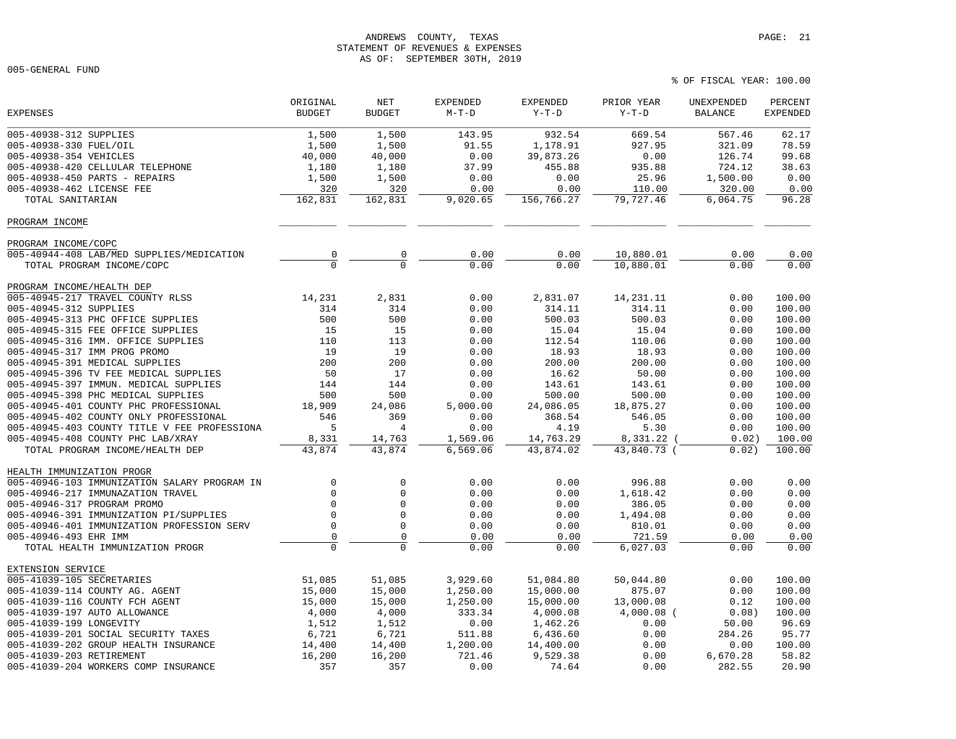## ANDREWS COUNTY, TEXAS **PAGE:** 21 STATEMENT OF REVENUES & EXPENSES AS OF: SEPTEMBER 30TH, 2019

005-GENERAL FUND

|                                              | ORIGINAL       | NET            | <b>EXPENDED</b> | <b>EXPENDED</b> | PRIOR YEAR   | UNEXPENDED     | PERCENT         |
|----------------------------------------------|----------------|----------------|-----------------|-----------------|--------------|----------------|-----------------|
| <b>EXPENSES</b>                              | <b>BUDGET</b>  | <b>BUDGET</b>  | $M-T-D$         | $Y-T-D$         | $Y-T-D$      | <b>BALANCE</b> | <b>EXPENDED</b> |
| 005-40938-312 SUPPLIES                       | 1,500          | 1,500          | 143.95          | 932.54          | 669.54       | 567.46         | 62.17           |
| 005-40938-330 FUEL/OIL                       | 1,500          | 1,500          | 91.55           | 1,178.91        | 927.95       | 321.09         | 78.59           |
| 005-40938-354 VEHICLES                       | 40,000         | 40,000         | 0.00            | 39,873.26       | 0.00         | 126.74         | 99.68           |
| 005-40938-420 CELLULAR TELEPHONE             | 1,180          | 1,180          | 37.99           | 455.88          | 935.88       | 724.12         | 38.63           |
| 005-40938-450 PARTS - REPAIRS                | 1,500          | 1,500          | 0.00            | 0.00            | 25.96        | 1,500.00       | 0.00            |
| 005-40938-462 LICENSE FEE                    | 320            | 320            | 0.00            | 0.00            | 110.00       | 320.00         | 0.00            |
| TOTAL SANITARIAN                             | 162,831        | 162,831        | 9,020.65        | 156,766.27      | 79,727.46    | 6,064.75       | 96.28           |
| PROGRAM INCOME                               |                |                |                 |                 |              |                |                 |
| PROGRAM INCOME/COPC                          |                |                |                 |                 |              |                |                 |
| 005-40944-408 LAB/MED SUPPLIES/MEDICATION    | 0              | 0              | 0.00            | 0.00            | 10,880.01    | 0.00           | 0.00            |
| TOTAL PROGRAM INCOME/COPC                    | $\overline{0}$ | $\overline{0}$ | 0.00            | 0.00            | 10,880.01    | 0.00           | 0.00            |
| PROGRAM INCOME/HEALTH DEP                    |                |                |                 |                 |              |                |                 |
| 005-40945-217 TRAVEL COUNTY RLSS             | 14,231         | 2,831          | 0.00            | 2,831.07        | 14,231.11    | 0.00           | 100.00          |
| 005-40945-312 SUPPLIES                       | 314            | 314            | 0.00            | 314.11          | 314.11       | 0.00           | 100.00          |
| 005-40945-313 PHC OFFICE SUPPLIES            | 500            | 500            | 0.00            | 500.03          | 500.03       | 0.00           | 100.00          |
| 005-40945-315 FEE OFFICE SUPPLIES            | 15             | 15             | 0.00            | 15.04           | 15.04        | 0.00           | 100.00          |
| 005-40945-316 IMM. OFFICE SUPPLIES           | 110            | 113            | 0.00            | 112.54          | 110.06       | 0.00           | 100.00          |
| 005-40945-317 IMM PROG PROMO                 | 19             | 19             | 0.00            | 18.93           | 18.93        | 0.00           | 100.00          |
| 005-40945-391 MEDICAL SUPPLIES               | 200            | 200            | 0.00            | 200.00          | 200.00       | 0.00           | 100.00          |
| 005-40945-396 TV FEE MEDICAL SUPPLIES        | 50             | 17             | 0.00            | 16.62           | 50.00        | 0.00           | 100.00          |
| 005-40945-397 IMMUN. MEDICAL SUPPLIES        | 144            | 144            | 0.00            | 143.61          | 143.61       | 0.00           | 100.00          |
| 005-40945-398 PHC MEDICAL SUPPLIES           | 500            | 500            | 0.00            | 500.00          | 500.00       | 0.00           | 100.00          |
| 005-40945-401 COUNTY PHC PROFESSIONAL        | 18,909         | 24,086         | 5,000.00        | 24,086.05       | 18,875.27    | 0.00           | 100.00          |
| 005-40945-402 COUNTY ONLY PROFESSIONAL       | 546            | 369            | 0.00            | 368.54          | 546.05       | 0.00           | 100.00          |
| 005-40945-403 COUNTY TITLE V FEE PROFESSIONA | 5              | 4              | 0.00            | 4.19            | 5.30         | 0.00           | 100.00          |
| 005-40945-408 COUNTY PHC LAB/XRAY            | 8,331          | 14,763         | 1,569.06        | 14,763.29       | 8,331.22 (   | 0.02)          | 100.00          |
| TOTAL PROGRAM INCOME/HEALTH DEP              | 43,874         | 43,874         | 6,569.06        | 43,874.02       | 43,840.73 (  | 0.02)          | 100.00          |
| HEALTH IMMUNIZATION PROGR                    |                |                |                 |                 |              |                |                 |
| 005-40946-103 IMMUNIZATION SALARY PROGRAM IN | $\mathbf 0$    | $\mathbf 0$    | 0.00            | 0.00            | 996.88       | 0.00           | 0.00            |
| 005-40946-217 IMMUNAZATION TRAVEL            | $\Omega$       | $\mathbf 0$    | 0.00            | 0.00            | 1,618.42     | 0.00           | 0.00            |
| 005-40946-317 PROGRAM PROMO                  | $\mathbf 0$    | $\mathbf 0$    | 0.00            | 0.00            | 386.05       | 0.00           | 0.00            |
| 005-40946-391 IMMUNIZATION PI/SUPPLIES       | $\Omega$       | $\mathbf 0$    | 0.00            | 0.00            | 1,494.08     | 0.00           | 0.00            |
| 005-40946-401 IMMUNIZATION PROFESSION SERV   | $\mathbf 0$    | $\Omega$       | 0.00            | 0.00            | 810.01       | 0.00           | 0.00            |
| 005-40946-493 EHR IMM                        | $\mathsf 0$    | $\Omega$       | 0.00            | 0.00            | 721.59       | 0.00           | 0.00            |
| TOTAL HEALTH IMMUNIZATION PROGR              | $\Omega$       | $\Omega$       | 0.00            | 0.00            | 6,027.03     | 0.00           | 0.00            |
| EXTENSION SERVICE                            |                |                |                 |                 |              |                |                 |
| 005-41039-105 SECRETARIES                    | 51,085         | 51,085         | 3,929.60        | 51,084.80       | 50,044.80    | 0.00           | 100.00          |
| 005-41039-114 COUNTY AG. AGENT               | 15,000         | 15,000         | 1,250.00        | 15,000.00       | 875.07       | 0.00           | 100.00          |
| 005-41039-116 COUNTY FCH AGENT               | 15,000         | 15,000         | 1,250.00        | 15,000.00       | 13,000.08    | 0.12           | 100.00          |
| 005-41039-197 AUTO ALLOWANCE                 | 4,000          | 4,000          | 333.34          | 4,000.08        | $4,000.08$ ( | 0.08)          | 100.00          |
| 005-41039-199 LONGEVITY                      | 1,512          | 1,512          | 0.00            | 1,462.26        | 0.00         | 50.00          | 96.69           |
| 005-41039-201 SOCIAL SECURITY TAXES          | 6,721          | 6,721          | 511.88          | 6,436.60        | 0.00         | 284.26         | 95.77           |
| 005-41039-202 GROUP HEALTH INSURANCE         | 14,400         | 14,400         | 1,200.00        | 14,400.00       | 0.00         | 0.00           | 100.00          |
| 005-41039-203 RETIREMENT                     | 16,200         | 16,200         | 721.46          | 9,529.38        | 0.00         | 6,670.28       | 58.82           |
| 005-41039-204 WORKERS COMP INSURANCE         | 357            | 357            | 0.00            | 74.64           | 0.00         | 282.55         | 20.90           |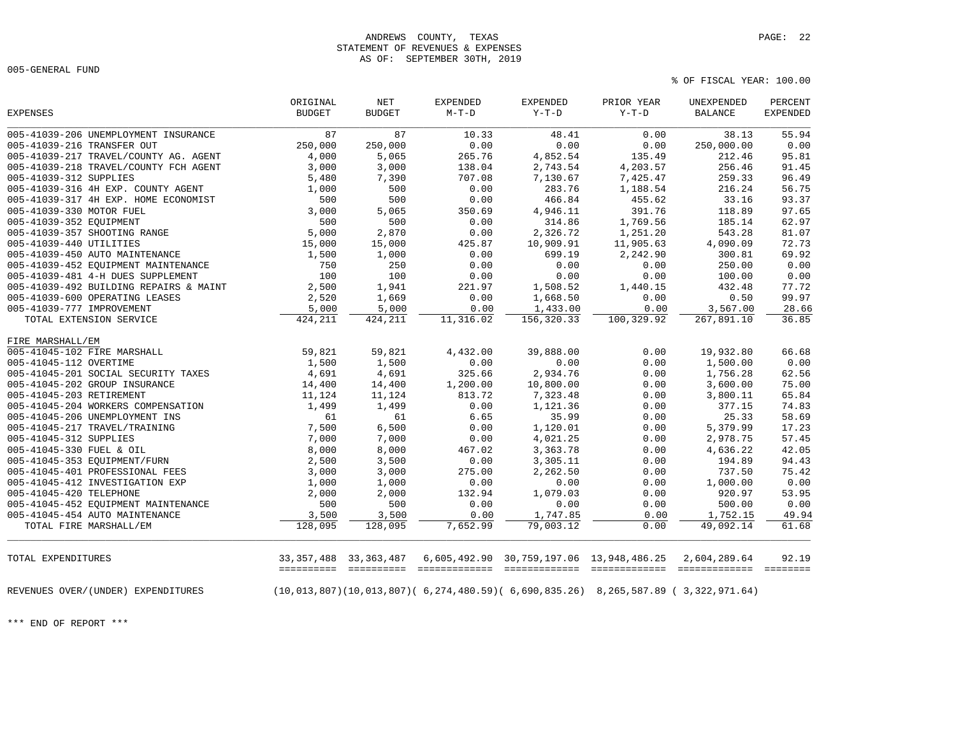## ANDREWS COUNTY, TEXAS **PAGE:** 22 STATEMENT OF REVENUES & EXPENSES AS OF: SEPTEMBER 30TH, 2019

005-GENERAL FUND

% OF FISCAL YEAR: 100.00

| <b>EXPENSES</b>                        | ORIGINAL<br><b>BUDGET</b> | NET<br><b>BUDGET</b>             | <b>EXPENDED</b><br>$M-T-D$    | EXPENDED<br>$Y-T-D$ | PRIOR YEAR<br>$Y-T-D$                                                                                       | UNEXPENDED<br><b>BALANCE</b>  | PERCENT<br><b>EXPENDED</b> |
|----------------------------------------|---------------------------|----------------------------------|-------------------------------|---------------------|-------------------------------------------------------------------------------------------------------------|-------------------------------|----------------------------|
| 005-41039-206 UNEMPLOYMENT INSURANCE   | 87                        | 87                               | 10.33                         | 48.41               | 0.00                                                                                                        | 38.13                         | 55.94                      |
| 005-41039-216 TRANSFER OUT             | 250,000                   | 250,000                          | 0.00                          | 0.00                | 0.00                                                                                                        | 250,000.00                    | 0.00                       |
| 005-41039-217 TRAVEL/COUNTY AG. AGENT  | 4,000                     | 5,065                            | 265.76                        | 4,852.54            | 135.49                                                                                                      | 212.46                        | 95.81                      |
| 005-41039-218 TRAVEL/COUNTY FCH AGENT  | 3,000                     | 3,000                            | 138.04                        | 2,743.54            | 4,203.57                                                                                                    | 256.46                        | 91.45                      |
| 005-41039-312 SUPPLIES                 | 5,480                     | 7,390                            | 707.08                        | 7,130.67            | 7,425.47                                                                                                    | 259.33                        | 96.49                      |
| 005-41039-316 4H EXP. COUNTY AGENT     | 1,000                     | 500                              | 0.00                          | 283.76              | 1,188.54                                                                                                    | 216.24                        | 56.75                      |
| 005-41039-317 4H EXP. HOME ECONOMIST   | 500                       | 500                              | 0.00                          | 466.84              | 455.62                                                                                                      | 33.16                         | 93.37                      |
| 005-41039-330 MOTOR FUEL               | 3,000                     | 5,065                            | 350.69                        | 4,946.11            | 391.76                                                                                                      | 118.89                        | 97.65                      |
| 005-41039-352 EOUIPMENT                | 500                       | 500                              | 0.00                          | 314.86              | 1,769.56                                                                                                    | 185.14                        | 62.97                      |
| 005-41039-357 SHOOTING RANGE           | 5,000                     | 2,870                            | 0.00                          | 2,326.72            | 1,251.20                                                                                                    | 543.28                        | 81.07                      |
| 005-41039-440 UTILITIES                | 15,000                    | 15,000                           | 425.87                        | 10,909.91           | 11,905.63                                                                                                   | 4,090.09                      | 72.73                      |
| 005-41039-450 AUTO MAINTENANCE         | 1,500                     | 1,000                            | 0.00                          | 699.19              | 2,242.90                                                                                                    | 300.81                        | 69.92                      |
| 005-41039-452 EQUIPMENT MAINTENANCE    | 750                       | 250                              | 0.00                          | 0.00                | 0.00                                                                                                        | 250.00                        | 0.00                       |
| 005-41039-481 4-H DUES SUPPLEMENT      | 100                       | 100                              | 0.00                          | 0.00                | 0.00                                                                                                        | 100.00                        | 0.00                       |
| 005-41039-492 BUILDING REPAIRS & MAINT | 2,500                     | 1,941                            | 221.97                        | 1,508.52            | 1,440.15                                                                                                    | 432.48                        | 77.72                      |
| 005-41039-600 OPERATING LEASES         | 2,520                     | 1,669                            | 0.00                          | 1,668.50            | 0.00                                                                                                        | 0.50                          | 99.97                      |
| 005-41039-777 IMPROVEMENT              | 5,000                     | 5,000                            | 0.00                          | 1,433.00            | 0.00                                                                                                        | 3,567.00                      | 28.66                      |
| TOTAL EXTENSION SERVICE                | 424,211                   | 424,211                          | 11,316.02                     | 156,320.33          | 100,329.92                                                                                                  | 267,891.10                    | 36.85                      |
| FIRE MARSHALL/EM                       |                           |                                  |                               |                     |                                                                                                             |                               |                            |
| 005-41045-102 FIRE MARSHALL            | 59,821                    | 59,821                           | 4,432.00                      | 39,888.00           | 0.00                                                                                                        | 19,932.80                     | 66.68                      |
| 005-41045-112 OVERTIME                 | 1,500                     | 1,500                            | 0.00                          | 0.00                | 0.00                                                                                                        | 1,500.00                      | 0.00                       |
| 005-41045-201 SOCIAL SECURITY TAXES    | 4,691                     | 4,691                            | 325.66                        | 2,934.76            | 0.00                                                                                                        | 1,756.28                      | 62.56                      |
| 005-41045-202 GROUP INSURANCE          | 14,400                    | 14,400                           | 1,200.00                      | 10,800.00           | 0.00                                                                                                        | 3,600.00                      | 75.00                      |
| 005-41045-203 RETIREMENT               | 11,124                    | 11,124                           | 813.72                        | 7,323.48            | 0.00                                                                                                        | 3,800.11                      | 65.84                      |
| 005-41045-204 WORKERS COMPENSATION     | 1,499                     | 1,499                            | 0.00                          | 1,121.36            | 0.00                                                                                                        | 377.15                        | 74.83                      |
| 005-41045-206 UNEMPLOYMENT INS         | 61                        | 61                               | 6.65                          | 35.99               | 0.00                                                                                                        | 25.33                         | 58.69                      |
| 005-41045-217 TRAVEL/TRAINING          | 7,500                     | 6,500                            | 0.00                          | 1,120.01            | 0.00                                                                                                        | 5,379.99                      | 17.23                      |
| 005-41045-312 SUPPLIES                 | 7,000                     | 7,000                            | 0.00                          | 4,021.25            | 0.00                                                                                                        | 2,978.75                      | 57.45                      |
| 005-41045-330 FUEL & OIL               | 8,000                     | 8,000                            | 467.02                        | 3, 363. 78          | 0.00                                                                                                        | 4,636.22                      | 42.05                      |
| 005-41045-353 EQUIPMENT/FURN           | 2,500                     | 3,500                            | 0.00                          | 3,305.11            | 0.00                                                                                                        | 194.89                        | 94.43                      |
| 005-41045-401 PROFESSIONAL FEES        | 3,000                     | 3,000                            | 275.00                        | 2,262.50            | 0.00                                                                                                        | 737.50                        | 75.42                      |
| 005-41045-412 INVESTIGATION EXP        | 1,000                     | 1,000                            | 0.00                          | 0.00                | 0.00                                                                                                        | 1,000.00                      | 0.00                       |
| 005-41045-420 TELEPHONE                | 2,000                     | 2,000                            | 132.94                        | 1,079.03            | 0.00                                                                                                        | 920.97                        | 53.95                      |
| 005-41045-452 EQUIPMENT MAINTENANCE    | 500                       | 500                              | 0.00                          | 0.00                | 0.00                                                                                                        | 500.00                        | 0.00                       |
| 005-41045-454 AUTO MAINTENANCE         | 3,500                     | 3,500                            | 0.00                          | 1,747.85            | 0.00                                                                                                        | 1,752.15                      | 49.94                      |
| TOTAL FIRE MARSHALL/EM                 | 128,095                   | 128,095                          | 7,652.99                      | 79,003.12           | 0.00                                                                                                        | 49,092.14                     | 61.68                      |
| TOTAL EXPENDITURES                     | 33,357,488<br>==========  | 33, 363, 487<br><b>EEEEEEEEE</b> | 6,605,492.90<br>============= | =============       | 30, 759, 197.06 13, 948, 486.25<br>=============                                                            | 2,604,289.64<br>============= | 92.19<br><b>Concert</b>    |
| REVENUES OVER/(UNDER) EXPENDITURES     |                           |                                  |                               |                     | $(10, 013, 807)$ $(10, 013, 807)$ $(6, 274, 480.59)$ $(6, 690, 835.26)$ $8, 265, 587.89$ $(3, 322, 971.64)$ |                               |                            |

\*\*\* END OF REPORT \*\*\*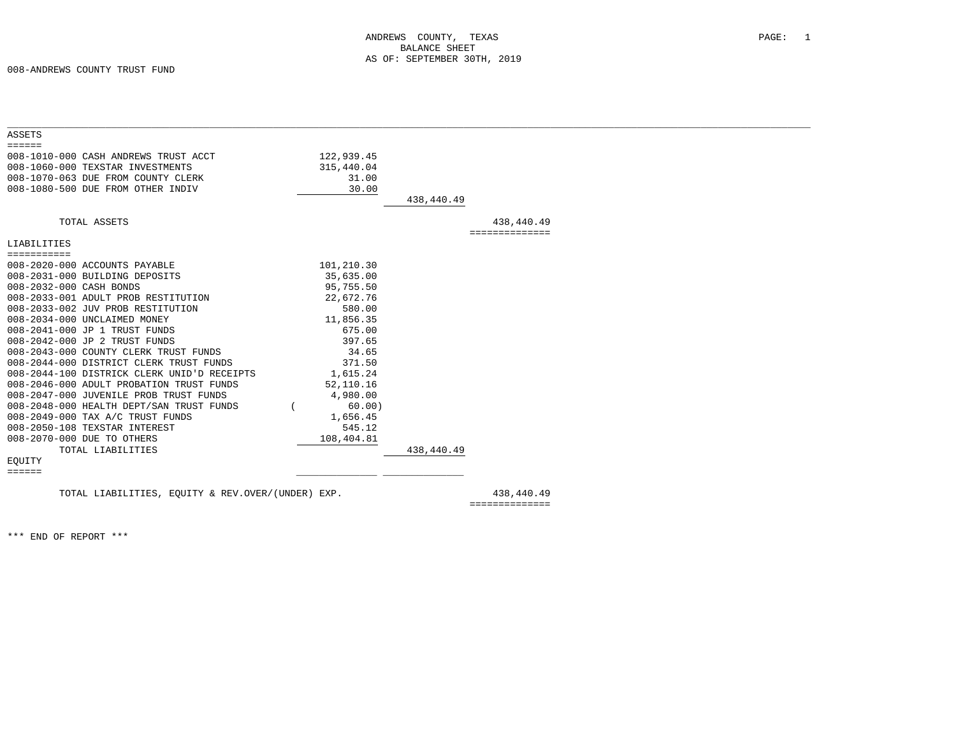008-ANDREWS COUNTY TRUST FUND

| <b>ASSETS</b><br>$=$ $=$ $=$ $=$ $=$<br>008-1010-000 CASH ANDREWS TRUST ACCT<br>122,939.45<br>008-1060-000 TEXSTAR INVESTMENTS<br>315,440.04<br>008-1070-063 DUE FROM COUNTY CLERK<br>31.00<br>008-1080-500 DUE FROM OTHER INDIV<br>30.00<br>438,440.49<br>TOTAL ASSETS<br>438,440.49<br>==============<br>LIABILITIES<br>===========<br>101,210.30<br>008-2020-000 ACCOUNTS PAYABLE<br>008-2031-000 BUILDING DEPOSITS<br>35,635.00<br>008-2032-000 CASH BONDS<br>95,755.50<br>008-2033-001 ADULT PROB RESTITUTION<br>22,672.76<br>008-2033-002 JUV PROB RESTITUTION<br>580.00<br>008-2034-000 UNCLAIMED MONEY<br>11,856.35<br>008-2041-000 JP 1 TRUST FUNDS<br>675.00<br>008-2042-000 JP 2 TRUST FUNDS<br>397.65<br>34.65<br>008-2043-000 COUNTY CLERK TRUST FUNDS<br>008-2044-000 DISTRICT CLERK TRUST FUNDS<br>371.50<br>008-2044-100 DISTRICK CLERK UNID'D RECEIPTS<br>1,615.24<br>008-2046-000 ADULT PROBATION TRUST FUNDS<br>52,110.16<br>008-2047-000 JUVENILE PROB TRUST FUNDS<br>4,980.00<br>008-2048-000 HEALTH DEPT/SAN TRUST FUNDS<br>60.00)<br>008-2049-000 TAX A/C TRUST FUNDS<br>1,656.45<br>008-2050-108 TEXSTAR INTEREST<br>545.12<br>008-2070-000 DUE TO OTHERS<br>108,404.81<br>TOTAL LIABILITIES<br>438,440.49<br>EQUITY |                                             |  |  |  |
|----------------------------------------------------------------------------------------------------------------------------------------------------------------------------------------------------------------------------------------------------------------------------------------------------------------------------------------------------------------------------------------------------------------------------------------------------------------------------------------------------------------------------------------------------------------------------------------------------------------------------------------------------------------------------------------------------------------------------------------------------------------------------------------------------------------------------------------------------------------------------------------------------------------------------------------------------------------------------------------------------------------------------------------------------------------------------------------------------------------------------------------------------------------------------------------------------------------------------------------------|---------------------------------------------|--|--|--|
|                                                                                                                                                                                                                                                                                                                                                                                                                                                                                                                                                                                                                                                                                                                                                                                                                                                                                                                                                                                                                                                                                                                                                                                                                                              |                                             |  |  |  |
|                                                                                                                                                                                                                                                                                                                                                                                                                                                                                                                                                                                                                                                                                                                                                                                                                                                                                                                                                                                                                                                                                                                                                                                                                                              |                                             |  |  |  |
|                                                                                                                                                                                                                                                                                                                                                                                                                                                                                                                                                                                                                                                                                                                                                                                                                                                                                                                                                                                                                                                                                                                                                                                                                                              |                                             |  |  |  |
|                                                                                                                                                                                                                                                                                                                                                                                                                                                                                                                                                                                                                                                                                                                                                                                                                                                                                                                                                                                                                                                                                                                                                                                                                                              |                                             |  |  |  |
|                                                                                                                                                                                                                                                                                                                                                                                                                                                                                                                                                                                                                                                                                                                                                                                                                                                                                                                                                                                                                                                                                                                                                                                                                                              |                                             |  |  |  |
|                                                                                                                                                                                                                                                                                                                                                                                                                                                                                                                                                                                                                                                                                                                                                                                                                                                                                                                                                                                                                                                                                                                                                                                                                                              |                                             |  |  |  |
|                                                                                                                                                                                                                                                                                                                                                                                                                                                                                                                                                                                                                                                                                                                                                                                                                                                                                                                                                                                                                                                                                                                                                                                                                                              |                                             |  |  |  |
|                                                                                                                                                                                                                                                                                                                                                                                                                                                                                                                                                                                                                                                                                                                                                                                                                                                                                                                                                                                                                                                                                                                                                                                                                                              |                                             |  |  |  |
|                                                                                                                                                                                                                                                                                                                                                                                                                                                                                                                                                                                                                                                                                                                                                                                                                                                                                                                                                                                                                                                                                                                                                                                                                                              |                                             |  |  |  |
|                                                                                                                                                                                                                                                                                                                                                                                                                                                                                                                                                                                                                                                                                                                                                                                                                                                                                                                                                                                                                                                                                                                                                                                                                                              |                                             |  |  |  |
|                                                                                                                                                                                                                                                                                                                                                                                                                                                                                                                                                                                                                                                                                                                                                                                                                                                                                                                                                                                                                                                                                                                                                                                                                                              |                                             |  |  |  |
|                                                                                                                                                                                                                                                                                                                                                                                                                                                                                                                                                                                                                                                                                                                                                                                                                                                                                                                                                                                                                                                                                                                                                                                                                                              |                                             |  |  |  |
|                                                                                                                                                                                                                                                                                                                                                                                                                                                                                                                                                                                                                                                                                                                                                                                                                                                                                                                                                                                                                                                                                                                                                                                                                                              |                                             |  |  |  |
|                                                                                                                                                                                                                                                                                                                                                                                                                                                                                                                                                                                                                                                                                                                                                                                                                                                                                                                                                                                                                                                                                                                                                                                                                                              |                                             |  |  |  |
|                                                                                                                                                                                                                                                                                                                                                                                                                                                                                                                                                                                                                                                                                                                                                                                                                                                                                                                                                                                                                                                                                                                                                                                                                                              |                                             |  |  |  |
|                                                                                                                                                                                                                                                                                                                                                                                                                                                                                                                                                                                                                                                                                                                                                                                                                                                                                                                                                                                                                                                                                                                                                                                                                                              |                                             |  |  |  |
|                                                                                                                                                                                                                                                                                                                                                                                                                                                                                                                                                                                                                                                                                                                                                                                                                                                                                                                                                                                                                                                                                                                                                                                                                                              |                                             |  |  |  |
|                                                                                                                                                                                                                                                                                                                                                                                                                                                                                                                                                                                                                                                                                                                                                                                                                                                                                                                                                                                                                                                                                                                                                                                                                                              |                                             |  |  |  |
|                                                                                                                                                                                                                                                                                                                                                                                                                                                                                                                                                                                                                                                                                                                                                                                                                                                                                                                                                                                                                                                                                                                                                                                                                                              |                                             |  |  |  |
|                                                                                                                                                                                                                                                                                                                                                                                                                                                                                                                                                                                                                                                                                                                                                                                                                                                                                                                                                                                                                                                                                                                                                                                                                                              |                                             |  |  |  |
|                                                                                                                                                                                                                                                                                                                                                                                                                                                                                                                                                                                                                                                                                                                                                                                                                                                                                                                                                                                                                                                                                                                                                                                                                                              |                                             |  |  |  |
|                                                                                                                                                                                                                                                                                                                                                                                                                                                                                                                                                                                                                                                                                                                                                                                                                                                                                                                                                                                                                                                                                                                                                                                                                                              |                                             |  |  |  |
|                                                                                                                                                                                                                                                                                                                                                                                                                                                                                                                                                                                                                                                                                                                                                                                                                                                                                                                                                                                                                                                                                                                                                                                                                                              |                                             |  |  |  |
|                                                                                                                                                                                                                                                                                                                                                                                                                                                                                                                                                                                                                                                                                                                                                                                                                                                                                                                                                                                                                                                                                                                                                                                                                                              |                                             |  |  |  |
|                                                                                                                                                                                                                                                                                                                                                                                                                                                                                                                                                                                                                                                                                                                                                                                                                                                                                                                                                                                                                                                                                                                                                                                                                                              |                                             |  |  |  |
|                                                                                                                                                                                                                                                                                                                                                                                                                                                                                                                                                                                                                                                                                                                                                                                                                                                                                                                                                                                                                                                                                                                                                                                                                                              |                                             |  |  |  |
|                                                                                                                                                                                                                                                                                                                                                                                                                                                                                                                                                                                                                                                                                                                                                                                                                                                                                                                                                                                                                                                                                                                                                                                                                                              |                                             |  |  |  |
|                                                                                                                                                                                                                                                                                                                                                                                                                                                                                                                                                                                                                                                                                                                                                                                                                                                                                                                                                                                                                                                                                                                                                                                                                                              |                                             |  |  |  |
|                                                                                                                                                                                                                                                                                                                                                                                                                                                                                                                                                                                                                                                                                                                                                                                                                                                                                                                                                                                                                                                                                                                                                                                                                                              |                                             |  |  |  |
|                                                                                                                                                                                                                                                                                                                                                                                                                                                                                                                                                                                                                                                                                                                                                                                                                                                                                                                                                                                                                                                                                                                                                                                                                                              |                                             |  |  |  |
|                                                                                                                                                                                                                                                                                                                                                                                                                                                                                                                                                                                                                                                                                                                                                                                                                                                                                                                                                                                                                                                                                                                                                                                                                                              | $\equiv \equiv \equiv \equiv \equiv \equiv$ |  |  |  |
|                                                                                                                                                                                                                                                                                                                                                                                                                                                                                                                                                                                                                                                                                                                                                                                                                                                                                                                                                                                                                                                                                                                                                                                                                                              |                                             |  |  |  |
| 438,440.49<br>TOTAL LIABILITIES, EOUITY & REV.OVER/(UNDER) EXP.                                                                                                                                                                                                                                                                                                                                                                                                                                                                                                                                                                                                                                                                                                                                                                                                                                                                                                                                                                                                                                                                                                                                                                              |                                             |  |  |  |

==============

\*\*\* END OF REPORT \*\*\*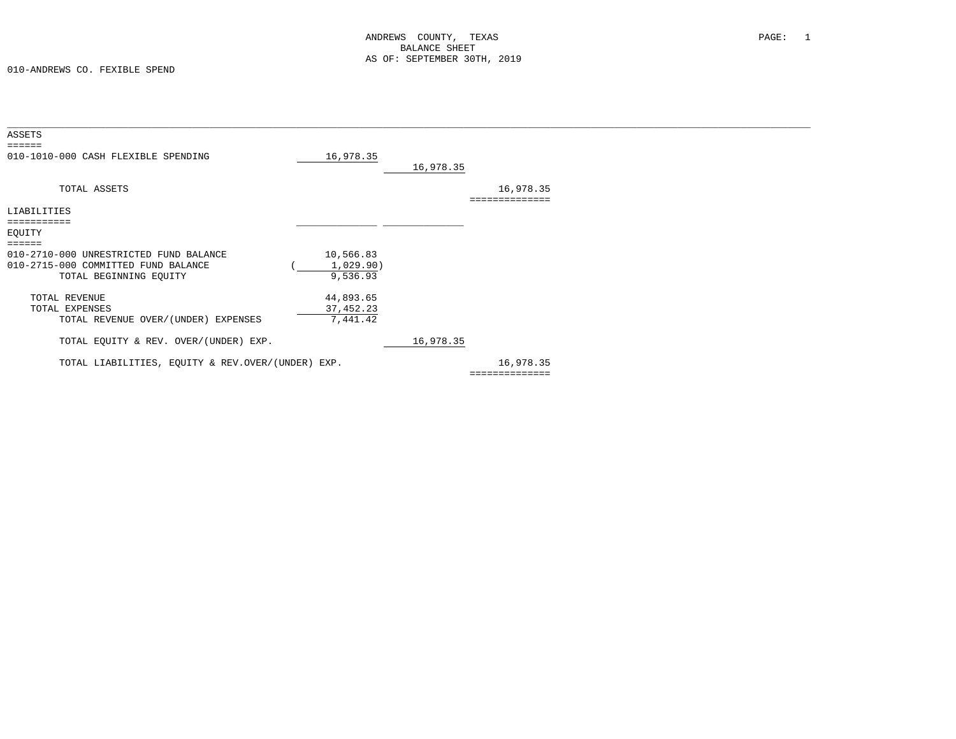010-ANDREWS CO. FEXIBLE SPEND

| 16,978.35                                         |                                                                           |           |                |  |
|---------------------------------------------------|---------------------------------------------------------------------------|-----------|----------------|--|
|                                                   | 16,978.35                                                                 |           |                |  |
|                                                   |                                                                           | 16,978.35 |                |  |
|                                                   |                                                                           |           |                |  |
|                                                   |                                                                           |           |                |  |
|                                                   |                                                                           |           |                |  |
|                                                   |                                                                           |           |                |  |
|                                                   |                                                                           |           |                |  |
|                                                   |                                                                           |           |                |  |
|                                                   |                                                                           |           |                |  |
|                                                   |                                                                           |           |                |  |
|                                                   |                                                                           |           |                |  |
|                                                   |                                                                           |           |                |  |
|                                                   |                                                                           |           |                |  |
|                                                   |                                                                           |           |                |  |
|                                                   |                                                                           |           |                |  |
|                                                   |                                                                           |           |                |  |
|                                                   |                                                                           |           |                |  |
| TOTAL LIABILITIES, EQUITY & REV.OVER/(UNDER) EXP. |                                                                           | 16,978.35 |                |  |
|                                                   |                                                                           |           |                |  |
|                                                   | 10,566.83<br>1,029.90)<br>9,536.93<br>44,893.65<br>37, 452.23<br>7,441.42 | 16,978.35 | ============== |  |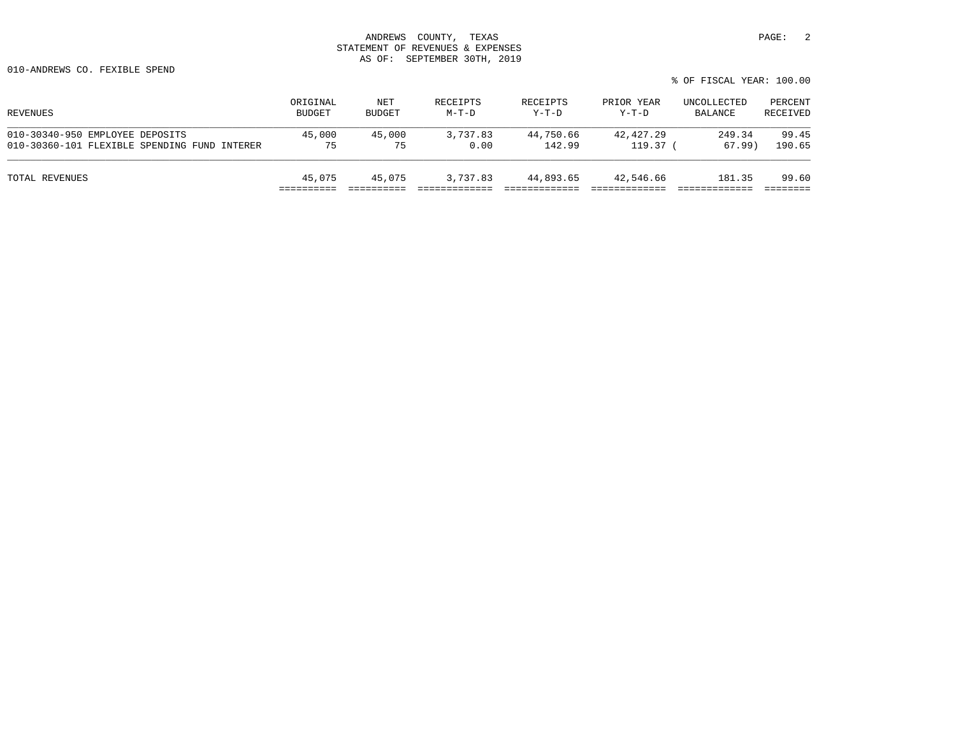010-ANDREWS CO. FEXIBLE SPEND

|                                              |                           |                      |                     |                     |                       | % OF FISCAL YEAR: 100.00 |                     |
|----------------------------------------------|---------------------------|----------------------|---------------------|---------------------|-----------------------|--------------------------|---------------------|
| REVENUES                                     | ORIGINAL<br><b>BUDGET</b> | NET<br><b>BUDGET</b> | RECEIPTS<br>$M-T-D$ | RECEIPTS<br>$Y-T-D$ | PRIOR YEAR<br>$Y-T-D$ | UNCOLLECTED<br>BALANCE   | PERCENT<br>RECEIVED |
| 010-30340-950 EMPLOYEE DEPOSITS              | 45,000                    | 45,000               | 3,737.83            | 44,750.66           | 42,427.29             | 249.34                   | 99.45               |
| 010-30360-101 FLEXIBLE SPENDING FUND INTERER | 75                        | 75                   | 0.00                | 142.99              | 119.37 <sub>0</sub>   | 67.99)                   | 190.65              |

TOTAL REVENUES 45,075 45,075 3,737.83 44,893.65 42,546.66 181.35 99.60 ========== ========== ============= ============= ============= ============= ========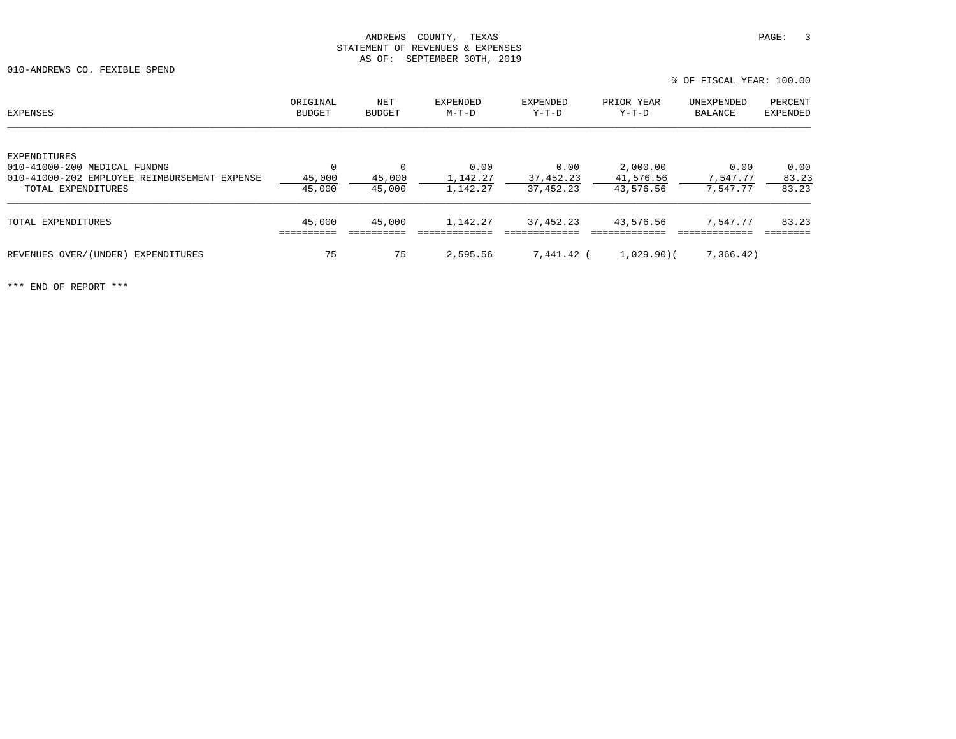010-ANDREWS CO. FEXIBLE SPEND

| <b>EXPENSES</b>                                                              | ORIGINAL<br><b>BUDGET</b> | NET<br><b>BUDGET</b> | EXPENDED<br>$M-T-D$ | EXPENDED<br>$Y-T-D$ | PRIOR YEAR<br>$Y-T-D$ | UNEXPENDED<br>BALANCE | PERCENT<br>EXPENDED |
|------------------------------------------------------------------------------|---------------------------|----------------------|---------------------|---------------------|-----------------------|-----------------------|---------------------|
| EXPENDITURES                                                                 |                           | $\Omega$             |                     |                     |                       |                       |                     |
| 010-41000-200 MEDICAL FUNDNG<br>010-41000-202 EMPLOYEE REIMBURSEMENT EXPENSE | $\mathbf 0$<br>45,000     | 45,000               | 0.00<br>1,142.27    | 0.00<br>37,452.23   | 2,000.00<br>41,576.56 | 0.00<br>7,547.77      | 0.00<br>83.23       |
| TOTAL EXPENDITURES                                                           | 45,000                    | 45,000               | 1,142.27            | 37, 452.23          | 43,576.56             | 7,547.77              | 83.23               |
| TOTAL EXPENDITURES                                                           | 45,000                    | 45,000               | 1,142.27            | 37,452.23           | 43,576.56             | 7,547.77              | 83.23               |
| REVENUES OVER/(UNDER)<br>EXPENDITURES                                        | 75                        | 75                   | 2,595.56            | 7,441.42 (          | 1,029,90              | 7,366.42)             |                     |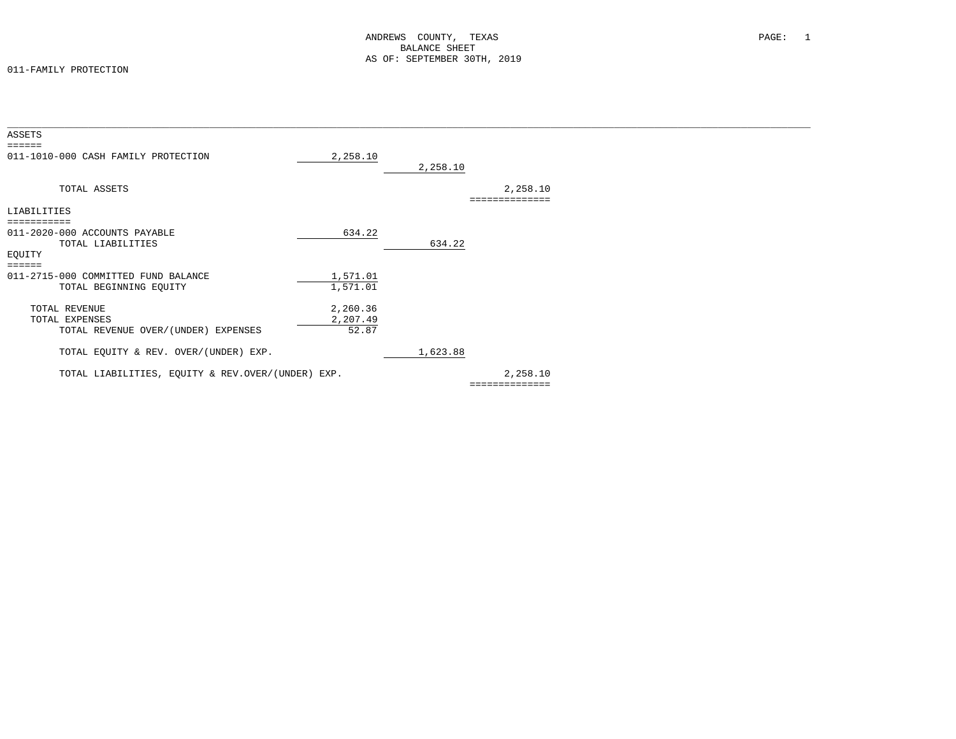#### 011-FAMILY PROTECTION

| ASSETS                                                        |                      |          |                            |  |
|---------------------------------------------------------------|----------------------|----------|----------------------------|--|
| ======<br>011-1010-000 CASH FAMILY PROTECTION                 | 2,258.10             | 2,258.10 |                            |  |
| TOTAL ASSETS                                                  |                      |          | 2,258.10<br>============== |  |
| LIABILITIES                                                   |                      |          |                            |  |
| ===========                                                   |                      |          |                            |  |
| 011-2020-000 ACCOUNTS PAYABLE<br>TOTAL LIABILITIES<br>EQUITY  | 634.22               | 634.22   |                            |  |
| ======                                                        |                      |          |                            |  |
| 011-2715-000 COMMITTED FUND BALANCE<br>TOTAL BEGINNING EQUITY | 1,571.01<br>1,571.01 |          |                            |  |
| TOTAL REVENUE                                                 | 2,260.36             |          |                            |  |
| TOTAL EXPENSES                                                | 2,207.49             |          |                            |  |
| TOTAL REVENUE OVER/(UNDER) EXPENSES                           | 52.87                |          |                            |  |
| TOTAL EQUITY & REV. OVER/(UNDER) EXP.                         |                      | 1,623.88 |                            |  |
| TOTAL LIABILITIES, EQUITY & REV.OVER/(UNDER) EXP.             |                      |          | 2,258.10                   |  |
|                                                               |                      |          | ==============             |  |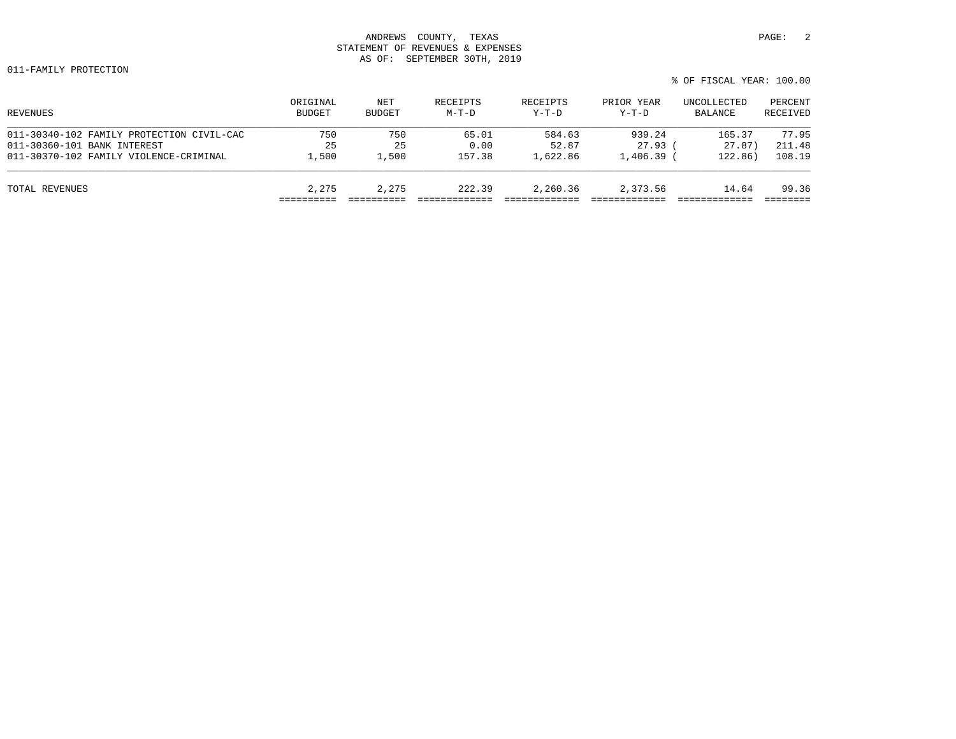011-FAMILY PROTECTION

| REVENUES                                  | ORIGINAL<br><b>BUDGET</b> | NET<br><b>BUDGET</b> | RECEIPTS<br>$M-T-D$ | RECEIPTS<br>$Y-T-D$ | PRIOR YEAR<br>$Y-T-D$ | UNCOLLECTED<br>BALANCE | PERCENT<br>RECEIVED |
|-------------------------------------------|---------------------------|----------------------|---------------------|---------------------|-----------------------|------------------------|---------------------|
| 011-30340-102 FAMILY PROTECTION CIVIL-CAC | 750                       | 750                  | 65.01               | 584.63              | 939.24                | 165.37                 | 77.95               |
| 011-30360-101 BANK INTEREST               | 25                        | 25                   | 0.00                | 52.87               | $27.93$ (             | 27.87)                 | 211.48              |
| 011-30370-102 FAMILY VIOLENCE-CRIMINAL    | 1,500                     | $\perp$ ,500         | 157.38              | 1,622.86            | $1,406.39$ (          | 122.86)                | 108.19              |
| TOTAL REVENUES                            | 2,275                     | 2,275                | 222.39              | 2,260.36            | 2,373.56              | 14.64                  | 99.36               |
|                                           |                           |                      |                     |                     |                       |                        |                     |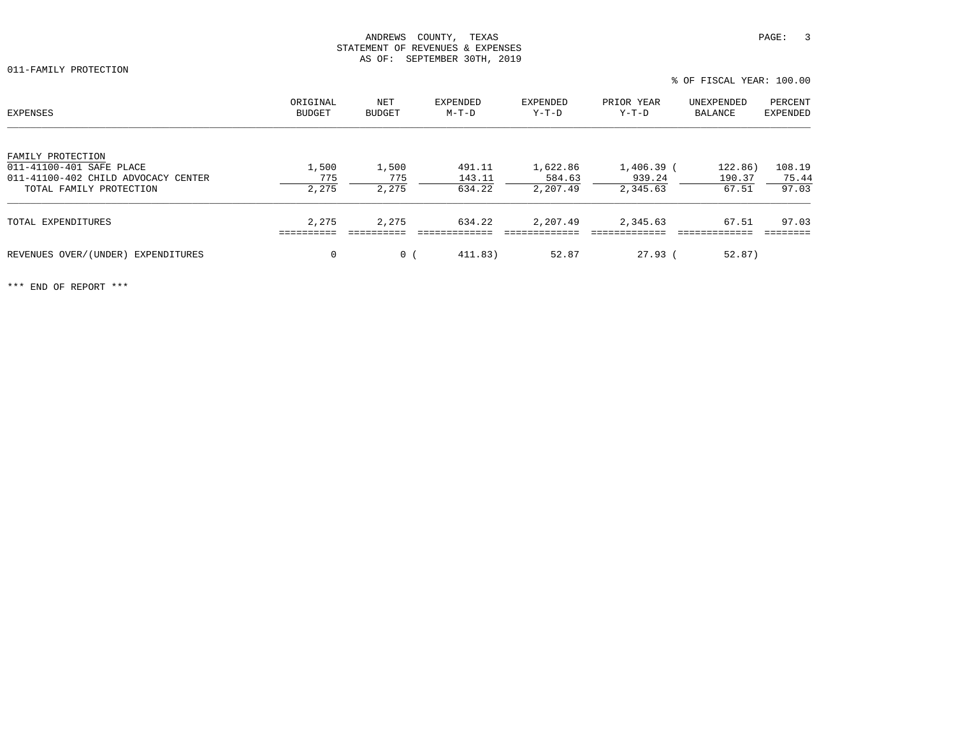% OF FISCAL YEAR: 100.00

| EXPENSES                            | ORIGINAL<br>BUDGET | NET<br>BUDGET  | EXPENDED<br>M-T-D | EXPENDED<br>$Y-T-D$ | PRIOR YEAR<br>Y-T-D | UNEXPENDED<br>BALANCE | PERCENT<br>EXPENDED |
|-------------------------------------|--------------------|----------------|-------------------|---------------------|---------------------|-----------------------|---------------------|
| FAMILY PROTECTION                   |                    |                |                   |                     |                     |                       |                     |
| 011-41100-401 SAFE PLACE            | 1,500              | 1,500          | 491.11            | 1,622.86            | 1,406.39 (          | 122.86)               | 108.19              |
| 011-41100-402 CHILD ADVOCACY CENTER | 775                | 775            | 143.11            | 584.63              | 939.24              | 190.37                | 75.44               |
| TOTAL FAMILY PROTECTION             | 2,275              | 2,275          | 634.22            | 2,207.49            | 2,345.63            | 67.51                 | 97.03               |
| TOTAL EXPENDITURES                  | 2,275              | 2,275          | 634.22            | 2,207.49            | 2,345.63            | 67.51                 | 97.03               |
|                                     |                    |                |                   |                     |                     |                       |                     |
| REVENUES OVER/(UNDER) EXPENDITURES  | $\mathbf 0$        | $\overline{0}$ | 411.83)           | 52.87               | 27.93(              | 52.87)                |                     |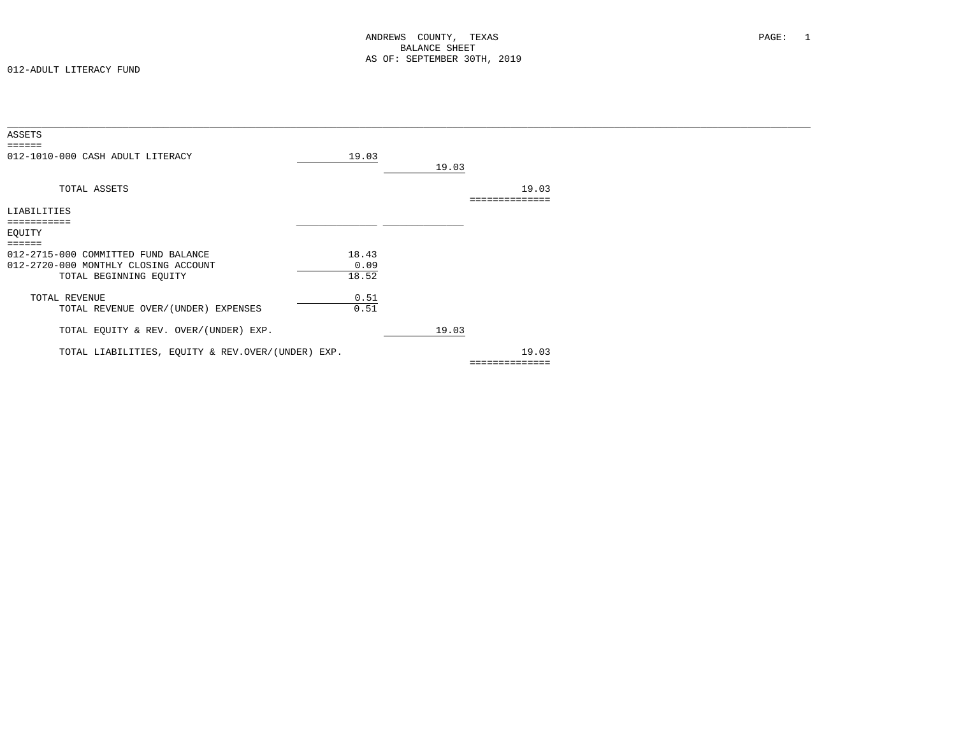| ASSETS                                                                      |               |       |                |  |
|-----------------------------------------------------------------------------|---------------|-------|----------------|--|
| 012-1010-000 CASH ADULT LITERACY                                            | 19.03         | 19.03 |                |  |
| TOTAL ASSETS                                                                |               |       | 19.03          |  |
| LIABILITIES                                                                 |               |       |                |  |
| ==========                                                                  |               |       |                |  |
| EQUITY                                                                      |               |       |                |  |
| ======                                                                      |               |       |                |  |
| 012-2715-000 COMMITTED FUND BALANCE<br>012-2720-000 MONTHLY CLOSING ACCOUNT | 18.43<br>0.09 |       |                |  |
| TOTAL BEGINNING EQUITY                                                      | 18.52         |       |                |  |
| TOTAL REVENUE                                                               | 0.51          |       |                |  |
| TOTAL REVENUE OVER/(UNDER) EXPENSES                                         | 0.51          |       |                |  |
| TOTAL EQUITY & REV. OVER/(UNDER) EXP.                                       |               | 19.03 |                |  |
| TOTAL LIABILITIES, EQUITY & REV.OVER/(UNDER) EXP.                           |               |       | 19.03          |  |
|                                                                             |               |       | ============== |  |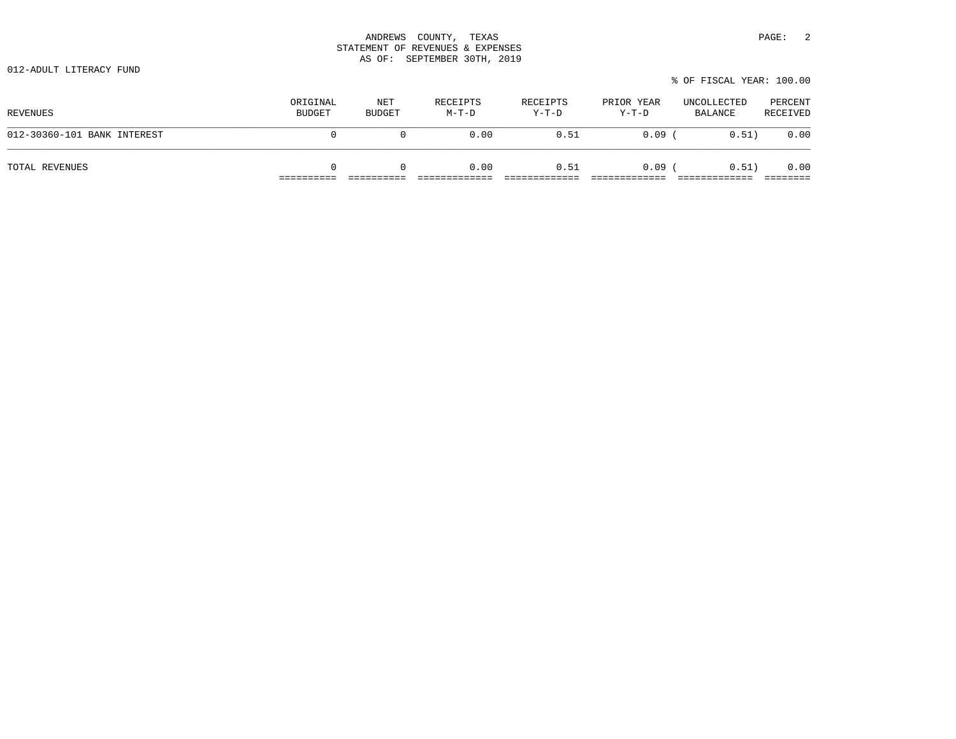012-ADULT LITERACY FUND

|                             |                           |                      |                     |                     |                       | % OF FISCAL YEAR: 100.00 |                     |
|-----------------------------|---------------------------|----------------------|---------------------|---------------------|-----------------------|--------------------------|---------------------|
| REVENUES                    | ORIGINAL<br><b>BUDGET</b> | NET<br><b>BUDGET</b> | RECEIPTS<br>$M-T-D$ | RECEIPTS<br>$Y-T-D$ | PRIOR YEAR<br>$Y-T-D$ | UNCOLLECTED<br>BALANCE   | PERCENT<br>RECEIVED |
| 012-30360-101 BANK INTEREST | 0                         |                      | 0.00                | 0.51                | 0.09                  | 0.51)                    | 0.00                |
| TOTAL REVENUES              | $\Omega$                  |                      | 0.00                | 0.51                | 0.09                  | 0.51)                    | 0.00                |

 $.00$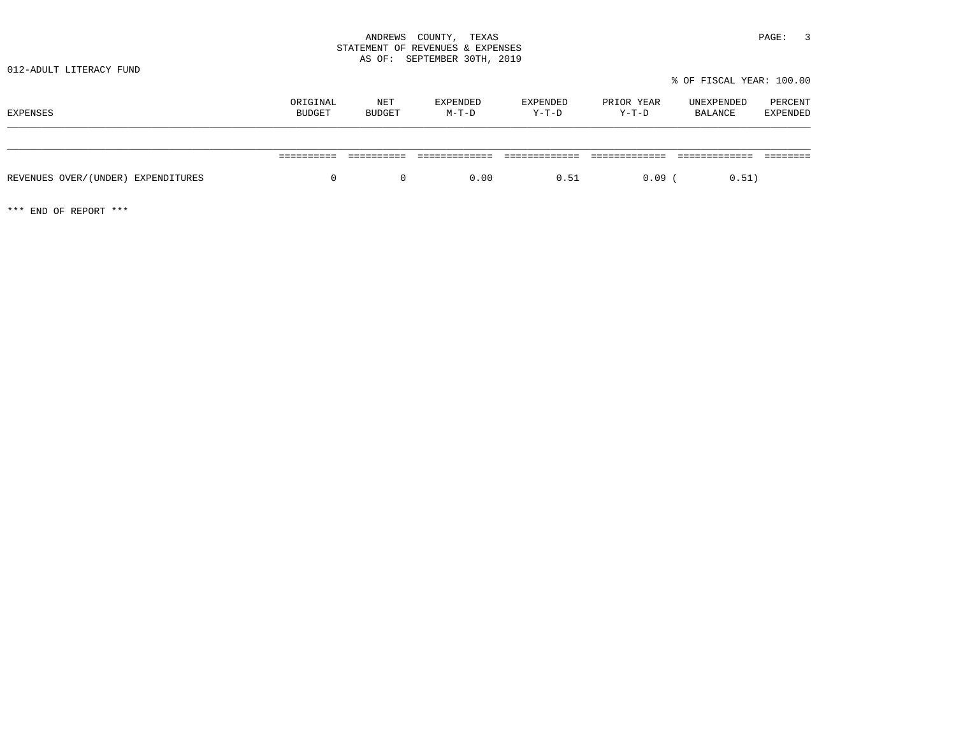| PAGE: |  |
|-------|--|
|-------|--|

|                                    |                           |               |                     |                     |                       | % OF FISCAL YEAR: 100.00     |                            |
|------------------------------------|---------------------------|---------------|---------------------|---------------------|-----------------------|------------------------------|----------------------------|
| EXPENSES                           | ORIGINAL<br><b>BUDGET</b> | NET<br>BUDGET | EXPENDED<br>$M-T-D$ | EXPENDED<br>$Y-T-D$ | PRIOR YEAR<br>$Y-T-D$ | UNEXPENDED<br><b>BALANCE</b> | PERCENT<br><b>EXPENDED</b> |
|                                    |                           |               |                     |                     |                       |                              |                            |
|                                    |                           |               |                     |                     |                       |                              |                            |
| REVENUES OVER/(UNDER) EXPENDITURES | 0                         | $\mathbf{0}$  | 0.00                | 0.51                | 0.09                  | 0.51)                        |                            |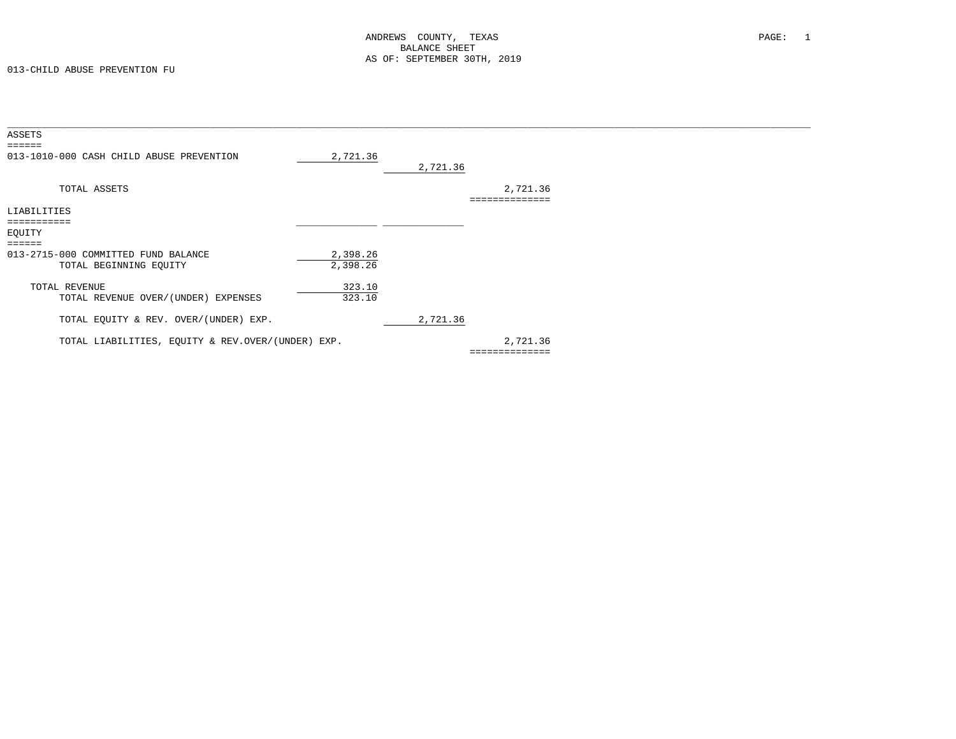| 2,721.36                                          | 2,721.36         |             |  |
|---------------------------------------------------|------------------|-------------|--|
|                                                   |                  | 2,721.36    |  |
|                                                   |                  |             |  |
|                                                   |                  |             |  |
|                                                   |                  |             |  |
|                                                   |                  |             |  |
| 2,398.26                                          |                  |             |  |
| 2,398.26                                          |                  |             |  |
|                                                   |                  |             |  |
|                                                   |                  |             |  |
|                                                   |                  |             |  |
|                                                   | 2,721.36         |             |  |
| TOTAL LIABILITIES, EQUITY & REV.OVER/(UNDER) EXP. |                  | 2,721.36    |  |
|                                                   |                  | =========== |  |
|                                                   | 323.10<br>323.10 |             |  |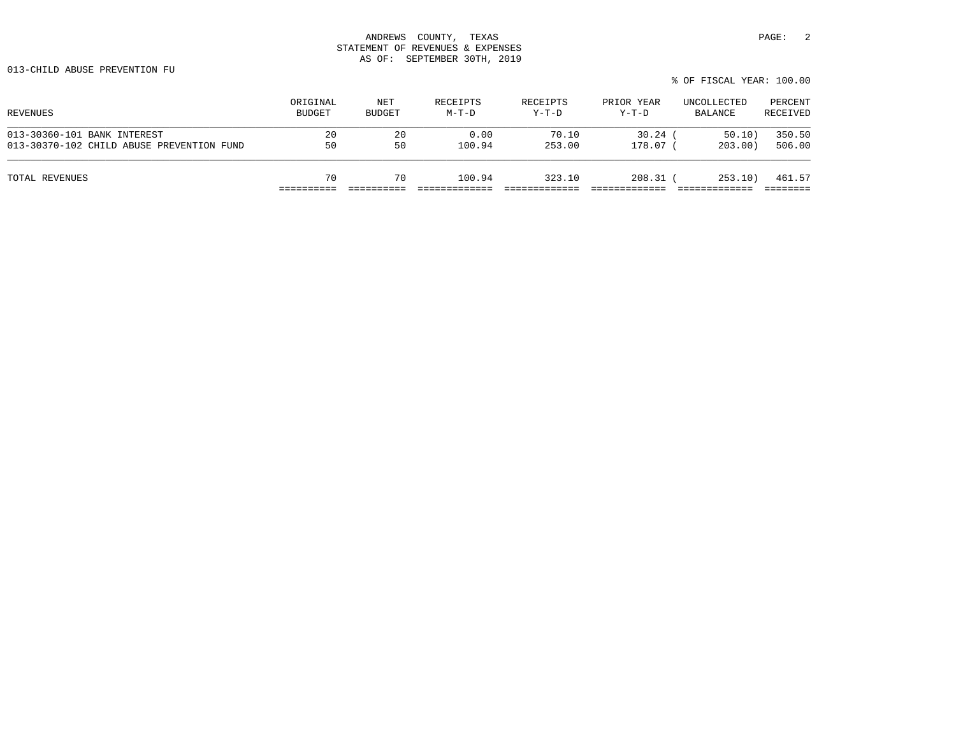013-CHILD ABUSE PREVENTION FU

| REVENUES                                  | ORIGINAL<br><b>BUDGET</b> | NET<br><b>BUDGET</b> | RECEIPTS<br>$M-T-D$ | RECEIPTS<br>Y-T-D | PRIOR YEAR<br>Y-T-D | UNCOLLECTED<br>BALANCE | PERCENT<br>RECEIVED |
|-------------------------------------------|---------------------------|----------------------|---------------------|-------------------|---------------------|------------------------|---------------------|
| 013-30360-101 BANK INTEREST               | 20                        | 20                   | 0.00                | 70.10             | 30.24               | 50.10                  | 350.50              |
| 013-30370-102 CHILD ABUSE PREVENTION FUND | 50                        | 50                   | 100.94              | 253.00            | 178.07 (            | 203.00                 | 506.00              |
| TOTAL REVENUES                            | 70                        | 70                   | 100.94              | 323.10            | $208.31$ (          | 253.10                 | 461.57              |
|                                           |                           |                      |                     |                   |                     |                        |                     |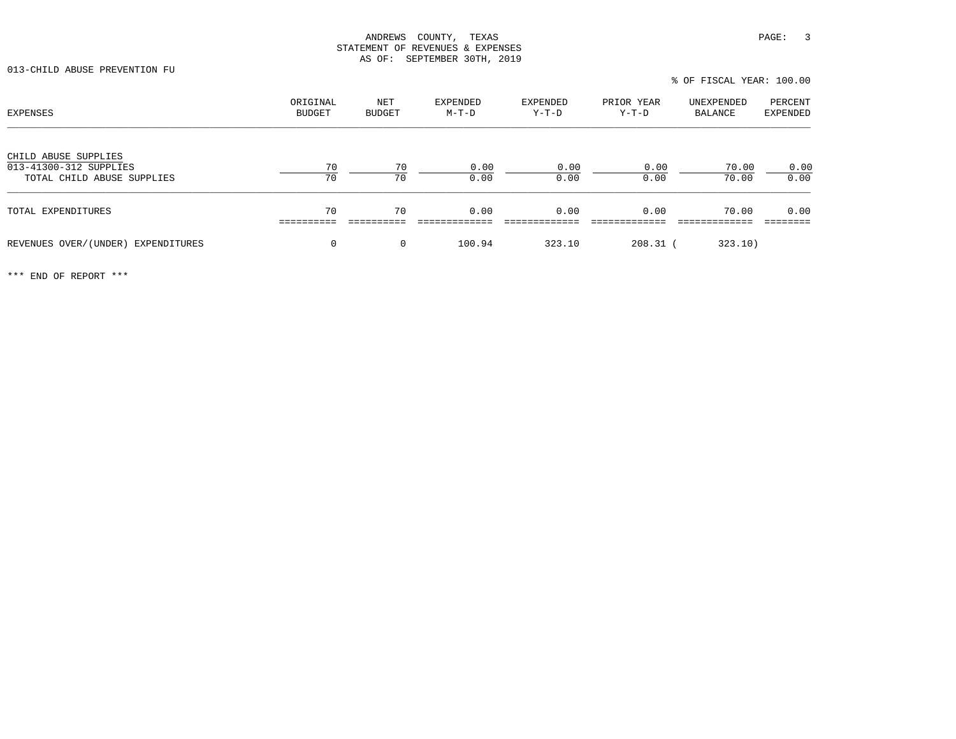013-CHILD ABUSE PREVENTION FU

| <b>EXPENSES</b>                                                              | ORIGINAL<br>BUDGET | NET<br><b>BUDGET</b> | EXPENDED<br>$M-T-D$ | EXPENDED<br>$Y-T-D$ | PRIOR YEAR<br>$Y-T-D$ | UNEXPENDED<br>BALANCE | PERCENT<br>EXPENDED |
|------------------------------------------------------------------------------|--------------------|----------------------|---------------------|---------------------|-----------------------|-----------------------|---------------------|
| CHILD ABUSE SUPPLIES<br>013-41300-312 SUPPLIES<br>TOTAL CHILD ABUSE SUPPLIES | 70<br>70           | 70<br>70             | 0.00<br>0.00        | 0.00<br>0.00        | 0.00<br>0.00          | 70.00<br>70.00        | 0.00<br>0.00        |
| TOTAL EXPENDITURES                                                           | 70                 | 70                   | 0.00                | 0.00                | 0.00                  | 70.00                 | 0.00                |
| REVENUES OVER/(UNDER) EXPENDITURES                                           | 0                  | $\Omega$             | 100.94              | 323.10              | $208.31$ (            | 323.10)               |                     |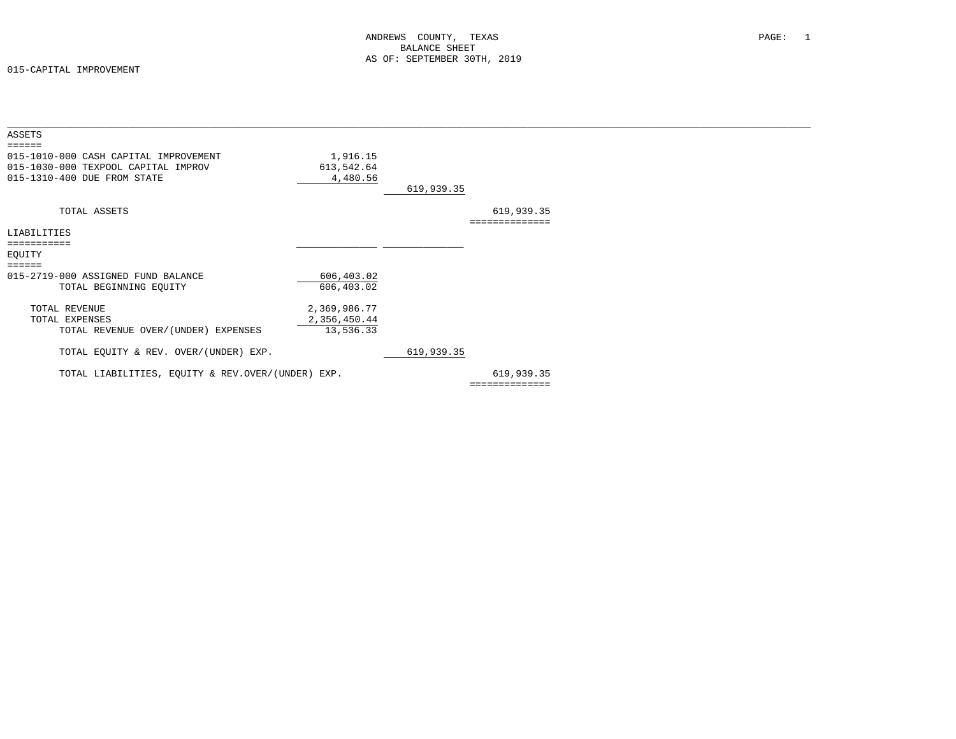| ASSETS                                            |              |            |                |  |
|---------------------------------------------------|--------------|------------|----------------|--|
| ======                                            |              |            |                |  |
| 015-1010-000 CASH CAPITAL IMPROVEMENT             | 1,916.15     |            |                |  |
| 015-1030-000 TEXPOOL CAPITAL IMPROV               | 613,542.64   |            |                |  |
| 015-1310-400 DUE FROM STATE                       | 4,480.56     |            |                |  |
|                                                   |              | 619,939.35 |                |  |
| TOTAL ASSETS                                      |              |            | 619,939.35     |  |
|                                                   |              |            | -------------- |  |
| LIABILITIES                                       |              |            |                |  |
| ===========                                       |              |            |                |  |
| EQUITY                                            |              |            |                |  |
| ======                                            |              |            |                |  |
| 015-2719-000 ASSIGNED FUND BALANCE                | 606,403.02   |            |                |  |
| TOTAL BEGINNING EQUITY                            | 606,403.02   |            |                |  |
| TOTAL REVENUE                                     | 2,369,986.77 |            |                |  |
| TOTAL EXPENSES                                    | 2,356,450.44 |            |                |  |
| TOTAL REVENUE OVER/(UNDER) EXPENSES               | 13,536.33    |            |                |  |
| TOTAL EQUITY & REV. OVER/(UNDER) EXP.             |              | 619,939.35 |                |  |
|                                                   |              |            |                |  |
| TOTAL LIABILITIES, EQUITY & REV.OVER/(UNDER) EXP. |              |            | 619,939.35     |  |
|                                                   |              |            | ============== |  |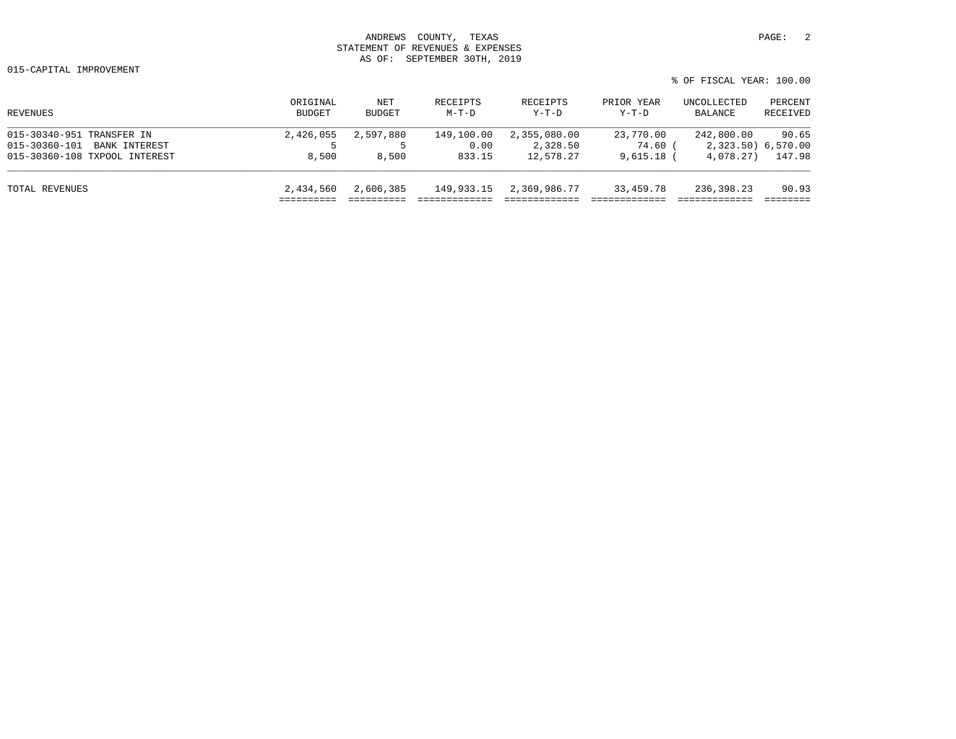|                                |                    |                      |                     |                     |                     | % OF FISCAL YEAR: 100.00 |                     |  |
|--------------------------------|--------------------|----------------------|---------------------|---------------------|---------------------|--------------------------|---------------------|--|
| REVENUES                       | ORIGINAL<br>BUDGET | NET<br><b>BUDGET</b> | RECEIPTS<br>$M-T-D$ | RECEIPTS<br>$Y-T-D$ | PRIOR YEAR<br>Y-T-D | UNCOLLECTED<br>BALANCE   | PERCENT<br>RECEIVED |  |
| 015-30340-951 TRANSFER IN      | 2,426,055          | 2,597,880            | 149,100.00          | 2,355,080.00        | 23,770.00           | 242,800.00               | 90.65               |  |
| BANK INTEREST<br>015-30360-101 |                    |                      | 0.00                | 2,328.50            | 74.60 (             | 2,323.50) 6,570.00       |                     |  |
| 015-30360-108 TXPOOL INTEREST  | 8,500              | 8,500                | 833.15              | 12,578.27           | $9.615.18$ (        | 4,078.27)                | 147.98              |  |
| TOTAL REVENUES                 | 2,434,560          | 2,606,385            | 149,933.15          | 2,369,986.77        | 33,459.78           | 236,398.23               | 90.93               |  |
|                                |                    |                      |                     |                     |                     |                          |                     |  |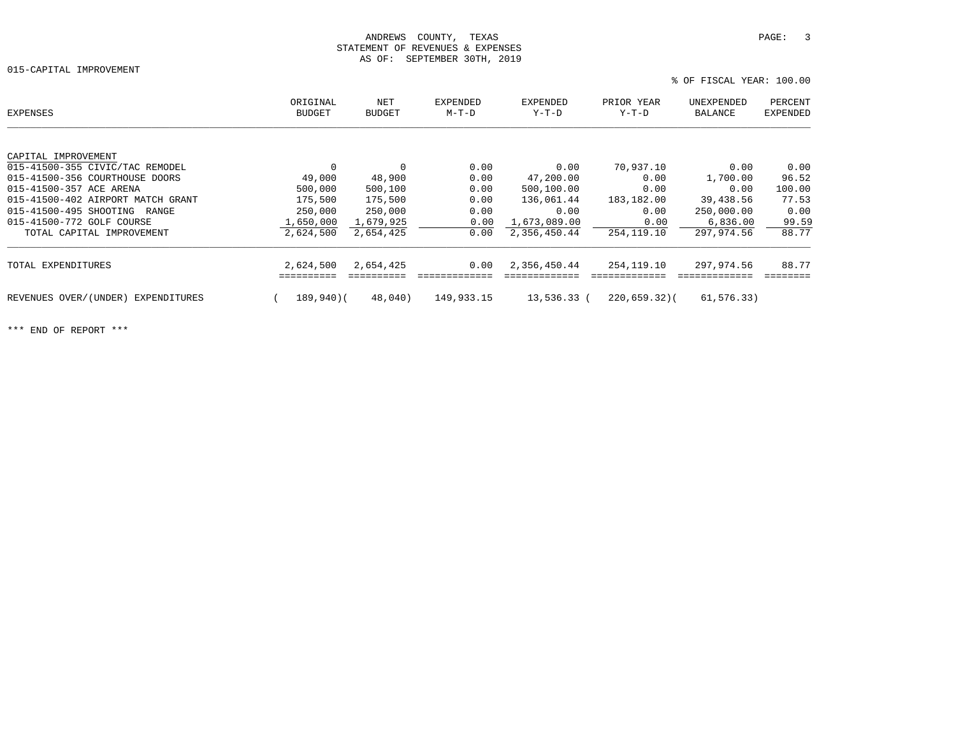015-CAPITAL IMPROVEMENT

 ORIGINAL NET EXPENDED EXPENDED PRIOR YEAR UNEXPENDED PERCENTEXPENSES BUDGET BUDGET M-T-D Y-T-D Y-T-D BALANCE EXPENDEDCAPITAL IMPROVEMENT 015-41500-355 CIVIC/TAC REMODEL 0 0 0.00 0.90 70,937.10 0.00 0.00 015-41500-356 COURTHOUSE DOORS 49,000 48,900 0.00 47,200.00 0.00 1,700.00 96.52 015-41500-357 ACE ARENA 500,000 500,100 0.00 500,100.00 0.00 0.00 100.00 015-41500-402 AIRPORT MATCH GRANT 175,500 175,500 175,500 0.00 136,061.44 183,182.00 39,438.56 77.53<br>015-41500-495 SHOOTING RANGE 250,000 250,000 0.00 0.00 0.00 0.00 250,000.00 0.00 015-41500-495 SHOOTING RANGE  $\begin{array}{cccccccc} 250,000 & 250,000 & 250,000 & 0.00 & 0.00 & 0.00 & 0.00 & 250,000.00 & 0.00 & 0.00 & 0.00 & 0.00 & 0.00 & 0.00 & 0.00 & 0.00 & 0.00 & 0.00 & 0.00 & 0.00 & 0.00 & 0.00 & 0.00 & 0.00 & 0.00 & 0.00 & 0.00 & 0.00 &$ 015-41500-772 GOLF COURSE  $1,650,000$   $1,679,925$   $0.00$   $1,673,089.00$   $0.00$   $0.00$   $0.00$   $0.00$   $0.836.00$   $99.59$  TOTAL CAPITAL IMPROVEMENT 2,624,500 2,654,425 0.00 2,356,450.44 254,119.10 297,974.56 88.77 TOTAL EXPENDITURES 2,624,500 2,654,425 0.00 2,356,450.44 254,119.10 297,974.56 88.77 ========== ========== ============= ============= ============= ============= ======== REVENUES OVER/(UNDER) EXPENDITURES ( 189,940)( 48,040) 149,933.15 13,536.33 ( 220,659.32)( 61,576.33)

\*\*\* END OF REPORT \*\*\*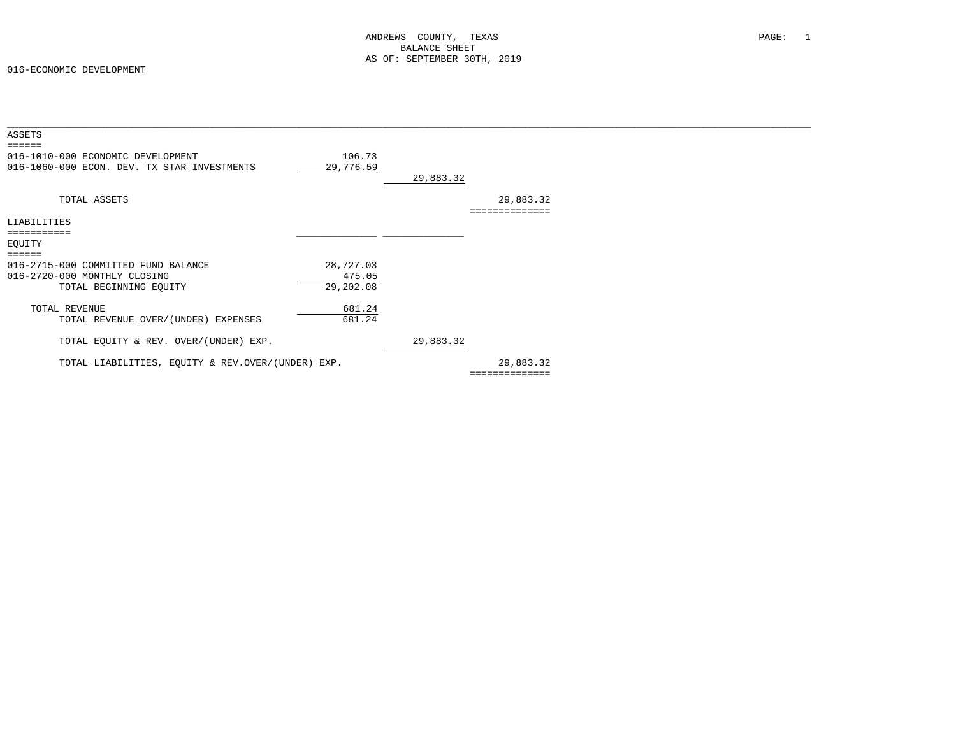| ASSETS                                                                                        |                                  |           |                             |  |
|-----------------------------------------------------------------------------------------------|----------------------------------|-----------|-----------------------------|--|
| 016-1010-000 ECONOMIC DEVELOPMENT<br>016-1060-000 ECON. DEV. TX STAR INVESTMENTS              | 106.73<br>29,776.59              | 29,883.32 |                             |  |
| TOTAL ASSETS                                                                                  |                                  |           | 29,883.32<br>============== |  |
| LIABILITIES                                                                                   |                                  |           |                             |  |
| ===========<br>EQUITY<br>======                                                               |                                  |           |                             |  |
| 016-2715-000 COMMITTED FUND BALANCE<br>016-2720-000 MONTHLY CLOSING<br>TOTAL BEGINNING EQUITY | 28,727.03<br>475.05<br>29,202.08 |           |                             |  |
| TOTAL REVENUE<br>TOTAL REVENUE OVER/(UNDER) EXPENSES                                          | 681.24<br>681.24                 |           |                             |  |
| TOTAL EQUITY & REV. OVER/(UNDER) EXP.                                                         |                                  | 29,883.32 |                             |  |
| TOTAL LIABILITIES, EQUITY & REV.OVER/(UNDER) EXP.                                             |                                  |           | 29,883.32<br>============== |  |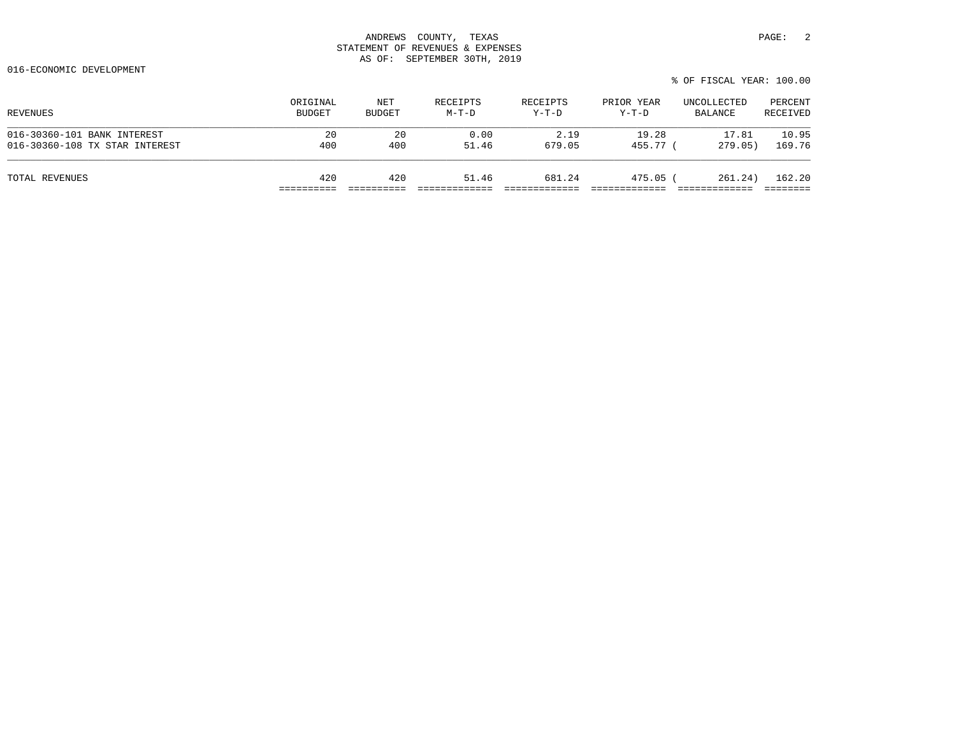|                                |                           |                      |                   |                     |                       | % OF FISCAL YEAR: 100.00 |                     |
|--------------------------------|---------------------------|----------------------|-------------------|---------------------|-----------------------|--------------------------|---------------------|
| REVENUES                       | ORIGINAL<br><b>BUDGET</b> | NET<br><b>BUDGET</b> | RECEIPTS<br>M-T-D | RECEIPTS<br>$Y-T-D$ | PRIOR YEAR<br>$Y-T-D$ | UNCOLLECTED<br>BALANCE   | PERCENT<br>RECEIVED |
| 016-30360-101 BANK INTEREST    | 20                        | 20                   | 0.00              | 2.19                | 19.28                 | 17.81                    | 10.95               |
| 016-30360-108 TX STAR INTEREST | 400                       | 400                  | 51.46             | 679.05              | 455.77 (              | 279.05)                  | 169.76              |
|                                |                           |                      |                   |                     |                       |                          |                     |

TOTAL REVENUES 420 420 51.46 681.24 475.05 ( 261.24) 162.20 ========== ========== ============= ============= ============= ============= ========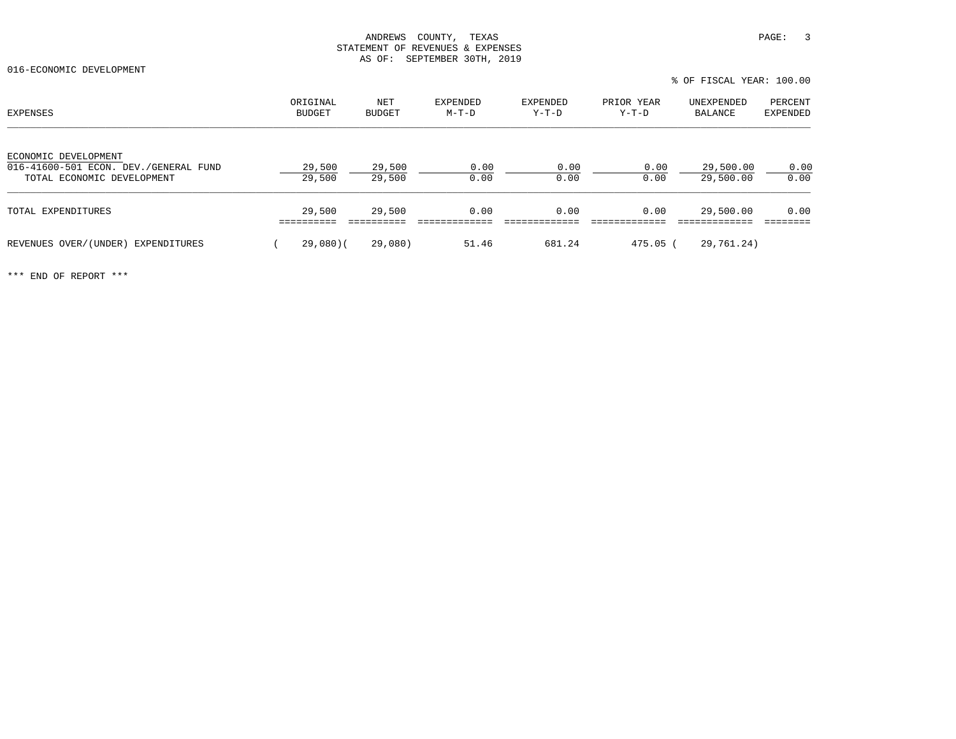016-ECONOMIC DEVELOPMENT

% OF FISCAL YEAR: 100.00

| EXPENSES                                                                                    | ORIGINAL<br><b>BUDGET</b> | NET<br><b>BUDGET</b> | <b>EXPENDED</b><br>$M-T-D$ | EXPENDED<br>$Y-T-D$ | PRIOR YEAR<br>Y-T-D | UNEXPENDED<br>BALANCE  | PERCENT<br><b>EXPENDED</b> |
|---------------------------------------------------------------------------------------------|---------------------------|----------------------|----------------------------|---------------------|---------------------|------------------------|----------------------------|
| ECONOMIC DEVELOPMENT<br>016-41600-501 ECON. DEV./GENERAL FUND<br>TOTAL ECONOMIC DEVELOPMENT | 29,500<br>29,500          | 29,500<br>29,500     | 0.00<br>0.00               | 0.00<br>0.00        | 0.00<br>0.00        | 29,500.00<br>29,500.00 | 0.00<br>0.00               |
| TOTAL EXPENDITURES                                                                          | 29,500                    | 29,500               | 0.00                       | 0.00                | 0.00                | 29,500.00              | 0.00                       |
| REVENUES OVER/(UNDER) EXPENDITURES                                                          | 29,080(                   | 29,080)              | 51.46                      | 681.24              | $475.05$ (          | 29,761.24)             |                            |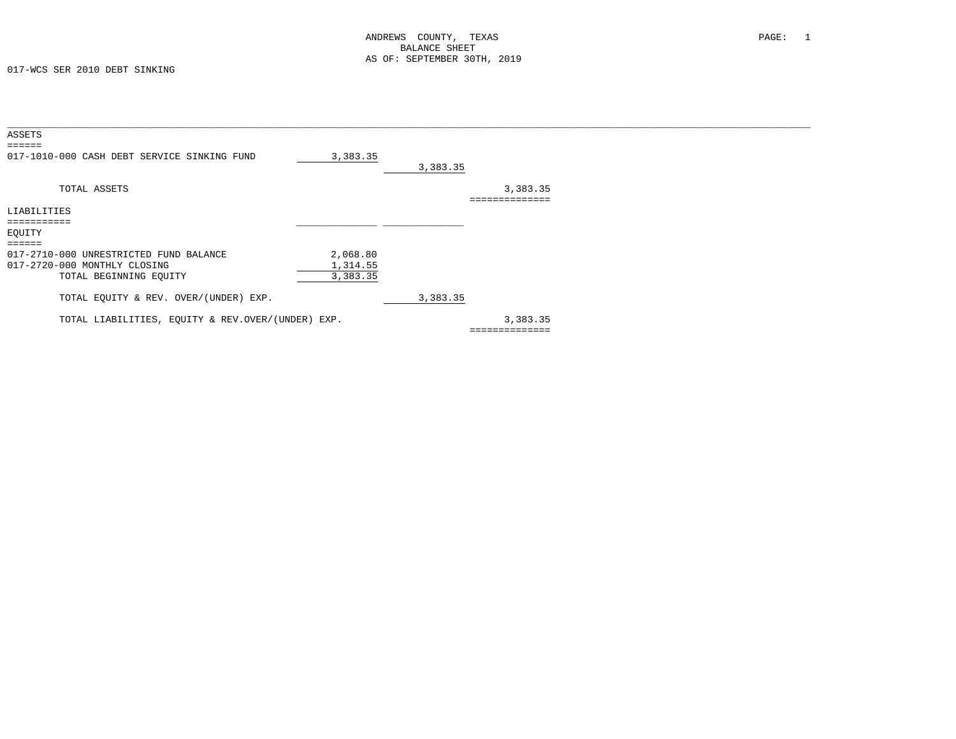017-WCS SER 2010 DEBT SINKING

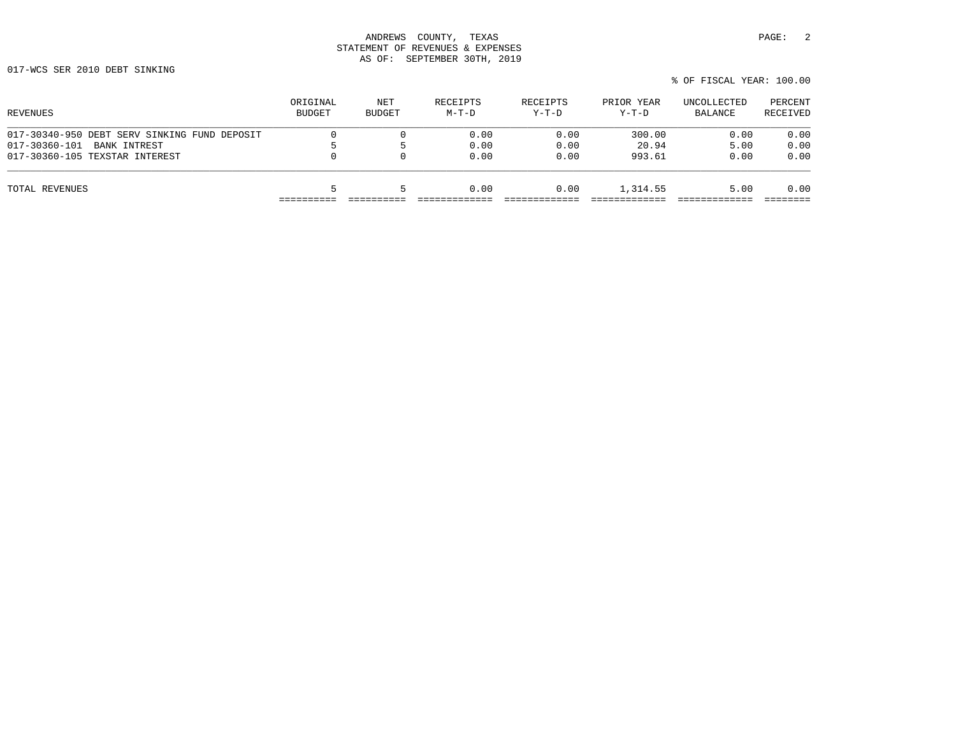017-WCS SER 2010 DEBT SINKING

| ORIGINAL<br>BUDGET | NET<br>BUDGET | RECEIPTS<br>$M-T-D$ | RECEIPTS<br>$Y-T-D$ | PRIOR YEAR<br>$Y-T-D$ | UNCOLLECTED<br>BALANCE | PERCENT<br>RECEIVED |
|--------------------|---------------|---------------------|---------------------|-----------------------|------------------------|---------------------|
|                    |               | 0.00                | 0.00                | 300.00                | 0.00                   | 0.00                |
|                    |               | 0.00                | 0.00                | 20.94                 | 5.00                   | 0.00                |
| 0                  |               | 0.00                | 0.00                | 993.61                | 0.00                   | 0.00                |
|                    |               | 0.00                | 0.00                | 1,314.55              | 5.00                   | 0.00                |
|                    |               |                     |                     |                       |                        |                     |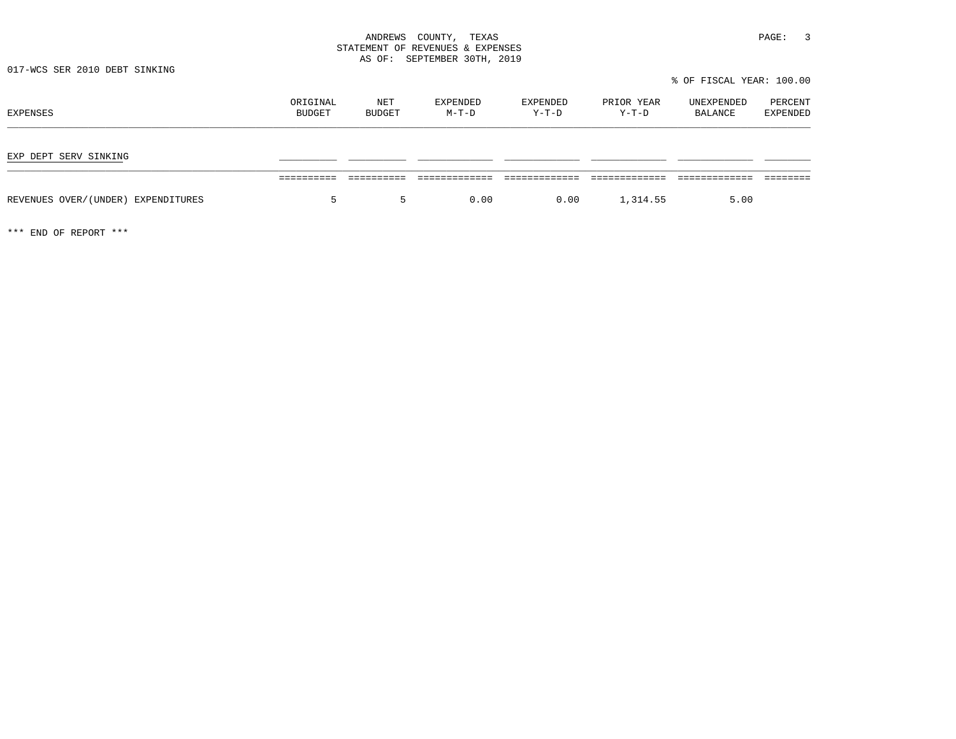017-WCS SER 2010 DEBT SINKING

% OF FISCAL YEAR: 100.00

| EXPENSES                           | ORIGINAL<br>BUDGET | NET<br><b>BUDGET</b> | EXPENDED<br>$M-T-D$ | EXPENDED<br>Y-T-D | PRIOR YEAR<br>$Y-T-D$ | UNEXPENDED<br>BALANCE | PERCENT<br><b>EXPENDED</b> |
|------------------------------------|--------------------|----------------------|---------------------|-------------------|-----------------------|-----------------------|----------------------------|
| EXP DEPT SERV SINKING              |                    |                      |                     |                   |                       |                       |                            |
|                                    |                    |                      |                     |                   |                       |                       |                            |
| REVENUES OVER/(UNDER) EXPENDITURES | 5                  | 5                    | 0.00                | 0.00              | 1,314.55              | 5.00                  |                            |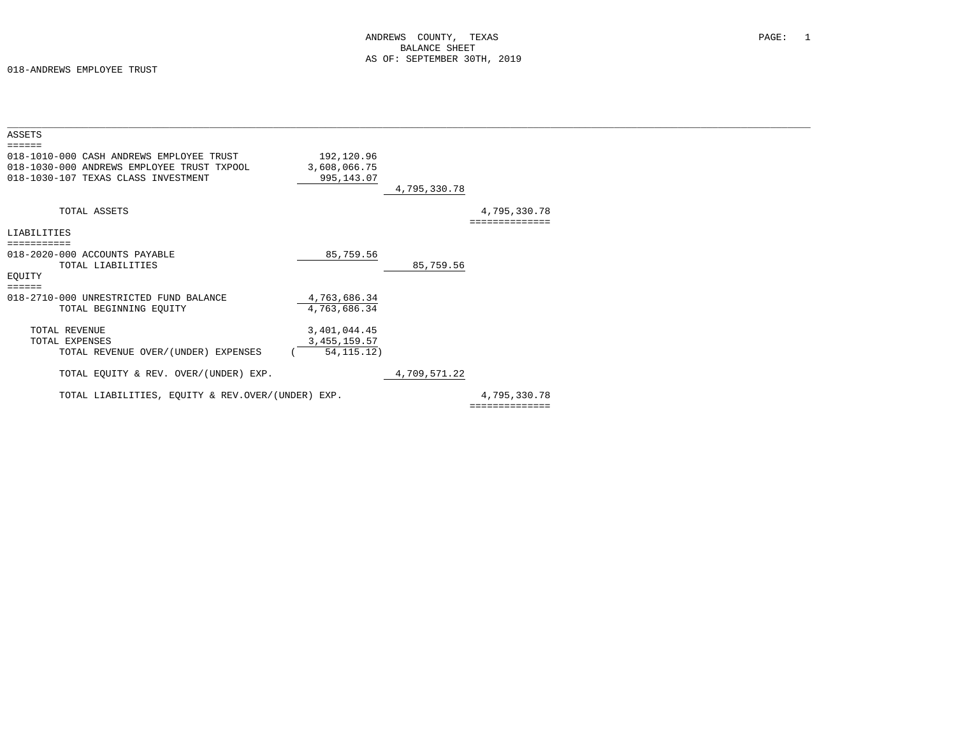| ASSETS                                                                                                                                           |                                          |              |                |  |
|--------------------------------------------------------------------------------------------------------------------------------------------------|------------------------------------------|--------------|----------------|--|
| $= = = = = = =$<br>018-1010-000 CASH ANDREWS EMPLOYEE TRUST<br>018-1030-000 ANDREWS EMPLOYEE TRUST TXPOOL<br>018-1030-107 TEXAS CLASS INVESTMENT | 192,120.96<br>3,608,066.75<br>995,143.07 |              |                |  |
|                                                                                                                                                  |                                          | 4,795,330.78 |                |  |
| TOTAL ASSETS                                                                                                                                     |                                          |              | 4,795,330.78   |  |
| LIABILITIES                                                                                                                                      |                                          |              |                |  |
|                                                                                                                                                  |                                          |              |                |  |
| 018-2020-000 ACCOUNTS PAYABLE                                                                                                                    | 85,759.56                                |              |                |  |
| TOTAL LIABILITIES                                                                                                                                |                                          | 85,759.56    |                |  |
| EQUITY                                                                                                                                           |                                          |              |                |  |
| $\equiv \equiv \equiv \equiv \equiv \equiv$                                                                                                      |                                          |              |                |  |
| 018-2710-000 UNRESTRICTED FUND BALANCE<br>TOTAL BEGINNING EQUITY                                                                                 | 4,763,686.34<br>4,763,686.34             |              |                |  |
|                                                                                                                                                  |                                          |              |                |  |
| TOTAL REVENUE                                                                                                                                    | 3,401,044.45                             |              |                |  |
| TOTAL EXPENSES                                                                                                                                   | 3, 455, 159.57                           |              |                |  |
| TOTAL REVENUE OVER/(UNDER) EXPENSES                                                                                                              | 54, 115.12)                              |              |                |  |
|                                                                                                                                                  |                                          |              |                |  |
| TOTAL EQUITY & REV. OVER/(UNDER) EXP.                                                                                                            |                                          | 4,709,571.22 |                |  |
|                                                                                                                                                  |                                          |              |                |  |
| TOTAL LIABILITIES, EQUITY & REV.OVER/(UNDER) EXP.                                                                                                |                                          |              | 4,795,330.78   |  |
|                                                                                                                                                  |                                          |              | ============== |  |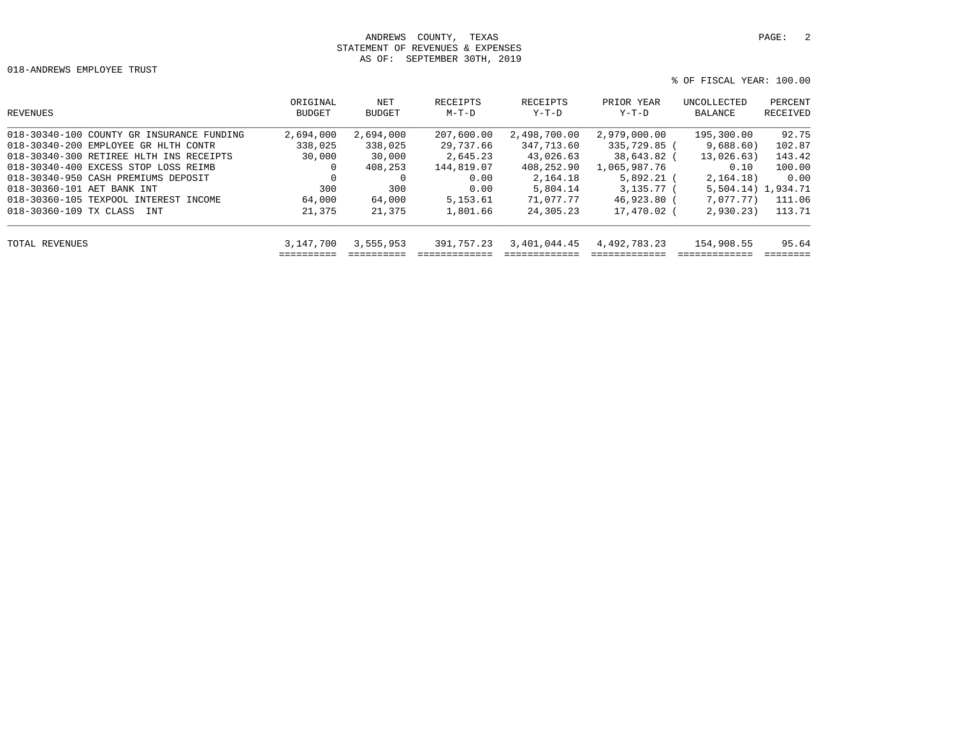018-ANDREWS EMPLOYEE TRUST

```
 % OF FISCAL YEAR: 100.00
```

| REVENUES                                  | ORIGINAL<br><b>BUDGET</b> | NET<br><b>BUDGET</b> | RECEIPTS<br>M-T-D | RECEIPTS<br>Y-T-D | PRIOR YEAR<br>Y-T-D | UNCOLLECTED<br>BALANCE | PERCENT<br>RECEIVED |
|-------------------------------------------|---------------------------|----------------------|-------------------|-------------------|---------------------|------------------------|---------------------|
| 018-30340-100 COUNTY GR INSURANCE FUNDING | 2,694,000                 | 2,694,000            | 207,600.00        | 2,498,700.00      | 2,979,000.00        | 195,300.00             | 92.75               |
| 018-30340-200 EMPLOYEE GR HLTH CONTR      | 338,025                   | 338,025              | 29,737.66         | 347,713.60        | 335,729.85 (        | 9,688.60)              | 102.87              |
| 018-30340-300 RETIREE HLTH INS RECEIPTS   | 30,000                    | 30,000               | 2,645.23          | 43,026.63         | 38,643.82 (         | 13,026.63)             | 143.42              |
| 018-30340-400 EXCESS STOP LOSS REIMB      | $\Omega$                  | 408,253              | 144,819.07        | 408,252.90        | 1,065,987.76        | 0.10                   | 100.00              |
| 018-30340-950 CASH PREMIUMS DEPOSIT       | $\Omega$                  | $\Omega$             | 0.00              | 2,164.18          | $5.892.21$ (        | 2,164.18)              | 0.00                |
| 018-30360-101 AET BANK INT                | 300                       | 300                  | 0.00              | 5,804.14          | $3.135.77$ (        | 5,504.14) 1,934.71     |                     |
| 018-30360-105 TEXPOOL INTEREST INCOME     | 64,000                    | 64,000               | 5, 153.61         | 71,077.77         | 46,923.80 (         | 7,077,77)              | 111.06              |
| 018-30360-109 TX CLASS<br><b>TNT</b>      | 21,375                    | 21,375               | 1,801.66          | 24, 305. 23       | 17,470.02 (         | 2,930,23)              | 113.71              |
| TOTAL REVENUES                            | 3,147,700                 | 3,555,953            | 391,757.23        | 3,401,044.45      | 4,492,783.23        | 154,908.55             | 95.64               |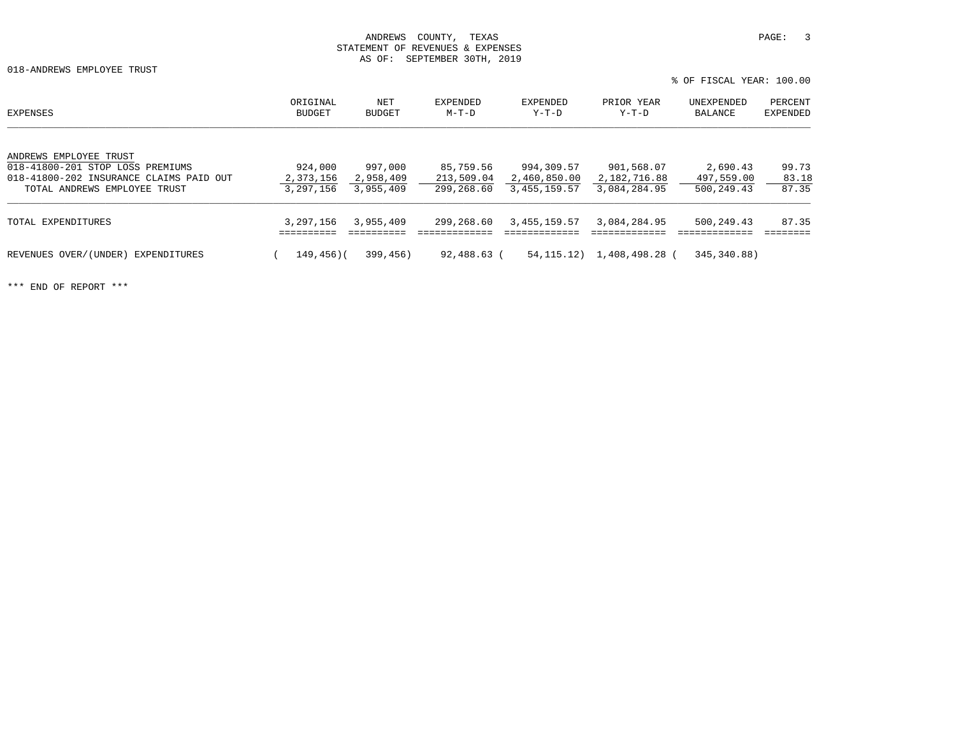018-ANDREWS EMPLOYEE TRUST

% OF FISCAL YEAR: 100.00

| EXPENSES                                                                                                                              | ORIGINAL<br><b>BUDGET</b>         | NET<br><b>BUDGET</b>              | EXPENDED<br>$M-T-D$                   | EXPENDED<br>Y-T-D                          | PRIOR YEAR<br>$Y-T-D$                      | UNEXPENDED<br>BALANCE                | PERCENT<br><b>EXPENDED</b> |
|---------------------------------------------------------------------------------------------------------------------------------------|-----------------------------------|-----------------------------------|---------------------------------------|--------------------------------------------|--------------------------------------------|--------------------------------------|----------------------------|
| ANDREWS EMPLOYEE TRUST<br>018-41800-201 STOP LOSS PREMIUMS<br>018-41800-202 INSURANCE CLAIMS PAID OUT<br>TOTAL ANDREWS EMPLOYEE TRUST | 924,000<br>2,373,156<br>3,297,156 | 997,000<br>2,958,409<br>3,955,409 | 85,759.56<br>213,509.04<br>299,268.60 | 994,309.57<br>2,460,850.00<br>3,455,159.57 | 901,568.07<br>2,182,716.88<br>3,084,284.95 | 2,690.43<br>497,559.00<br>500,249.43 | 99.73<br>83.18<br>87.35    |
| TOTAL EXPENDITURES                                                                                                                    | 3,297,156                         | 3,955,409                         | 299,268.60                            | 3,455,159.57                               | 3,084,284.95                               | 500,249.43                           | 87.35                      |
| REVENUES OVER/(UNDER)<br>EXPENDITURES                                                                                                 | 149,456)(                         | 399,456)                          | 92,488.63 (                           | 54, 115, 12)                               | 1,408,498.28 (                             | 345,340.88)                          |                            |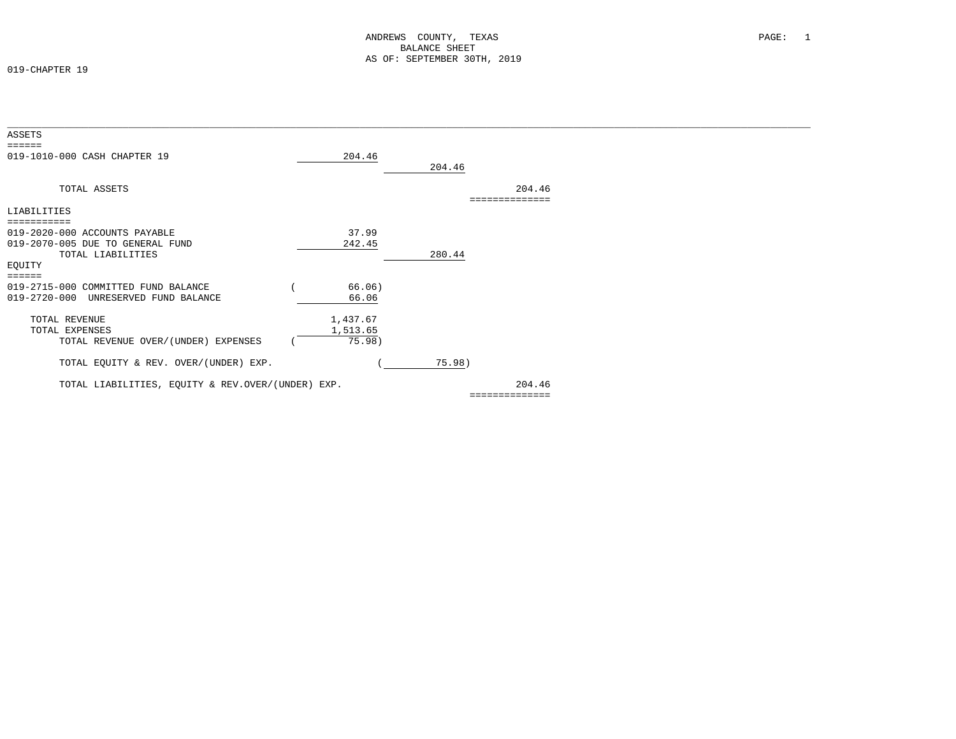019-CHAPTER 19

| ASSETS                                            |          |                |  |
|---------------------------------------------------|----------|----------------|--|
| $=$ $=$ $=$ $=$ $=$                               |          |                |  |
| 019-1010-000 CASH CHAPTER 19                      | 204.46   |                |  |
|                                                   |          | 204.46         |  |
|                                                   |          |                |  |
| TOTAL ASSETS                                      |          | 204.46         |  |
|                                                   |          |                |  |
| LIABILITIES                                       |          |                |  |
|                                                   |          |                |  |
| 019-2020-000 ACCOUNTS PAYABLE                     | 37.99    |                |  |
| 019-2070-005 DUE TO GENERAL FUND                  | 242.45   |                |  |
| TOTAL LIABILITIES                                 |          | 280.44         |  |
| EQUITY                                            |          |                |  |
| $=$ $=$ $=$ $=$ $=$                               |          |                |  |
| 019-2715-000 COMMITTED FUND BALANCE               | 66.06)   |                |  |
| $019 - 2720 - 000$<br>UNRESERVED FUND BALANCE     | 66.06    |                |  |
|                                                   |          |                |  |
| TOTAL REVENUE                                     | 1,437.67 |                |  |
| TOTAL EXPENSES                                    | 1,513.65 |                |  |
| TOTAL REVENUE OVER/(UNDER) EXPENSES               | 75.98)   |                |  |
|                                                   |          |                |  |
| TOTAL EQUITY & REV. OVER/(UNDER) EXP.             |          | 75.98)         |  |
|                                                   |          |                |  |
| TOTAL LIABILITIES, EQUITY & REV.OVER/(UNDER) EXP. |          | 204.46         |  |
|                                                   |          | ============== |  |
|                                                   |          |                |  |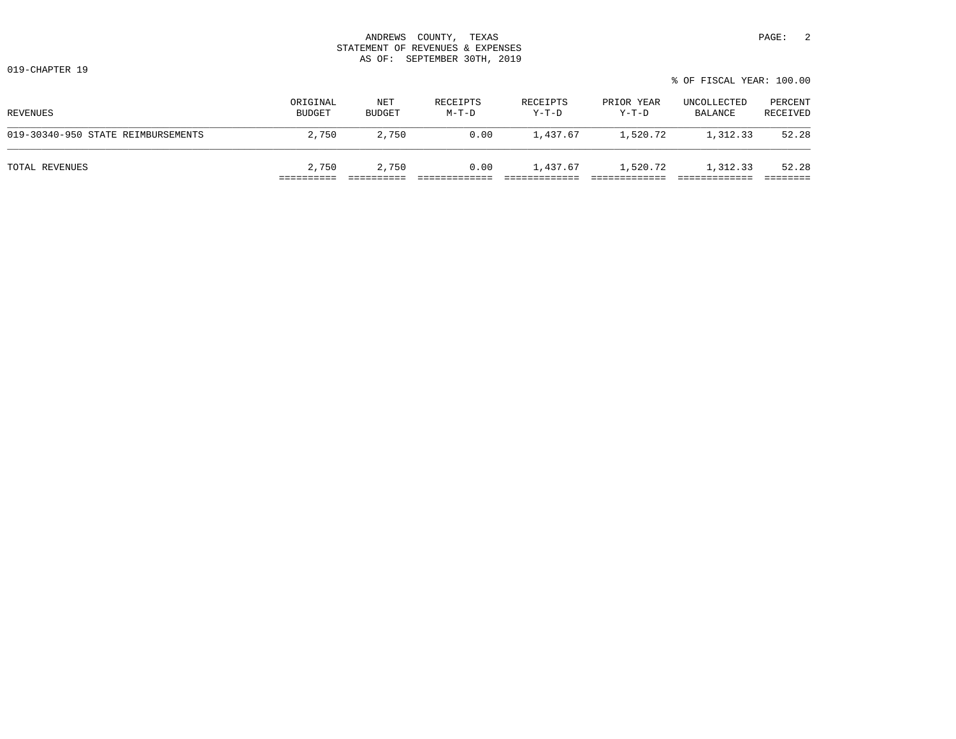| 3700777<br>ANDREWS          | PAGE<br>TEXAS<br>'OUNTY                                                                                                                      |  |
|-----------------------------|----------------------------------------------------------------------------------------------------------------------------------------------|--|
| STATEMENT<br>OF.            | REVENUES &<br>EXPENSES                                                                                                                       |  |
| OF:<br>$\overline{2}$<br>טב | 30mu<br>SEPTEMBER<br>2019<br>the contract of the contract of the contract of the contract of the contract of the contract of the contract of |  |

019-CHAPTER 19

|                                    |                           |                      |                     |                     |                       | 0 UL 11UUILLI 11LIILI TUU OU |                     |
|------------------------------------|---------------------------|----------------------|---------------------|---------------------|-----------------------|------------------------------|---------------------|
| REVENUES                           | ORIGINAL<br><b>BUDGET</b> | NET<br><b>BUDGET</b> | RECEIPTS<br>$M-T-D$ | RECEIPTS<br>$Y-T-D$ | PRIOR YEAR<br>$Y-T-D$ | UNCOLLECTED<br>BALANCE       | PERCENT<br>RECEIVED |
| 019-30340-950 STATE REIMBURSEMENTS | 2,750                     | 2,750                | 0.00                | 1,437.67            | 1,520.72              | 1,312.33                     | 52.28               |
| TOTAL REVENUES                     | 2,750                     | 2,750                | 0.00                | 1,437.67            | 1,520.72              | 1,312.33                     | 52.28               |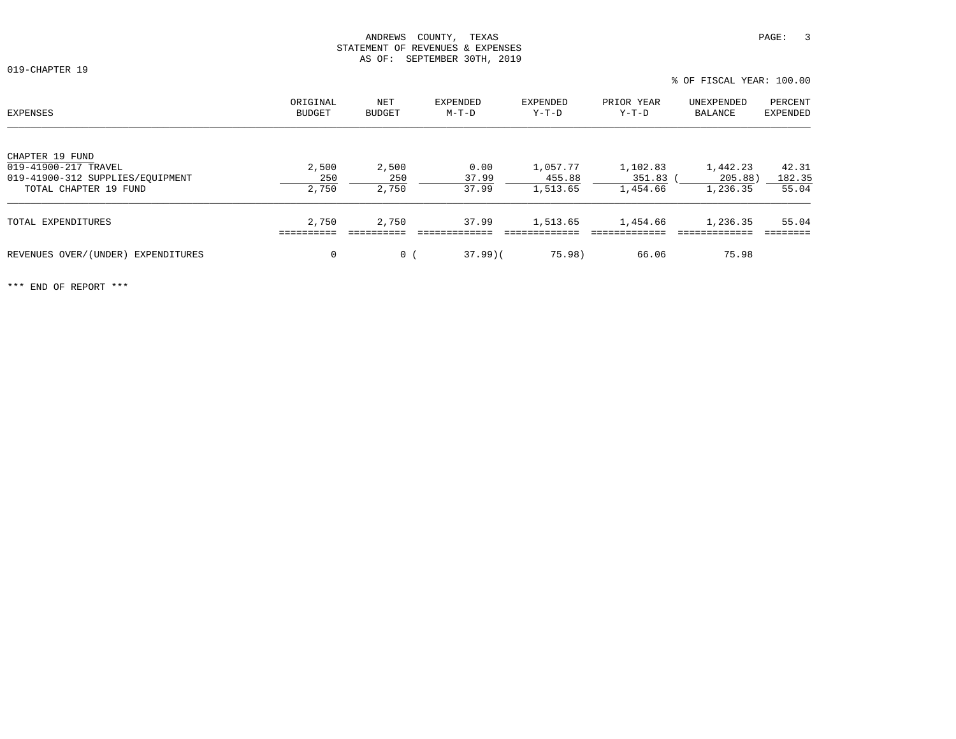019-CHAPTER 19

| EXPENSES                           | ORIGINAL<br><b>BUDGET</b> | NET<br>BUDGET  | EXPENDED<br>$M-T-D$ | EXPENDED<br>$Y-T-D$ | PRIOR YEAR<br>$Y-T-D$ | UNEXPENDED<br>BALANCE | PERCENT<br><b>EXPENDED</b> |
|------------------------------------|---------------------------|----------------|---------------------|---------------------|-----------------------|-----------------------|----------------------------|
| CHAPTER 19 FUND                    |                           |                |                     |                     |                       |                       |                            |
| 019-41900-217 TRAVEL               | 2,500                     | 2,500          | 0.00                | 1,057.77            | 1,102.83              | 1,442.23              | 42.31                      |
| 019-41900-312 SUPPLIES/EOUIPMENT   | 250                       | 250            | 37.99               | 455.88              | 351.83                | 205.88)               | 182.35                     |
| TOTAL CHAPTER 19 FUND              | 2,750                     | 2,750          | 37.99               | 1,513.65            | 1,454.66              | 1,236.35              | 55.04                      |
| TOTAL EXPENDITURES                 | 2,750                     | 2,750          | 37.99               | 1,513.65            | 1,454.66              | 1,236.35              | 55.04                      |
|                                    |                           |                |                     |                     |                       |                       |                            |
| REVENUES OVER/(UNDER) EXPENDITURES | 0                         | 0 <sup>1</sup> | $37.99$ )(          | 75.98)              | 66.06                 | 75.98                 |                            |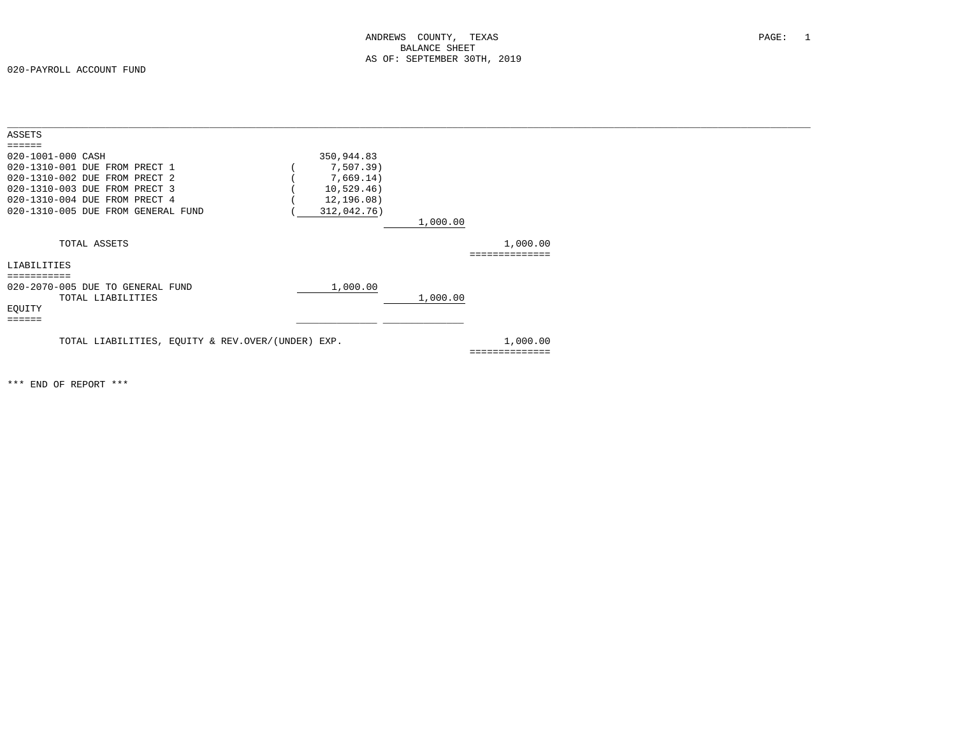020-PAYROLL ACCOUNT FUND

| ASSETS                             |                                                   |             |          |                |  |
|------------------------------------|---------------------------------------------------|-------------|----------|----------------|--|
| $=$ = = = = =                      |                                                   |             |          |                |  |
| 020-1001-000 CASH                  |                                                   | 350,944.83  |          |                |  |
| 020-1310-001 DUE FROM PRECT 1      |                                                   | 7,507.39)   |          |                |  |
| 020-1310-002 DUE FROM PRECT 2      |                                                   | 7,669.14)   |          |                |  |
| 020-1310-003 DUE FROM PRECT 3      |                                                   | 10,529.46)  |          |                |  |
| 020-1310-004 DUE FROM PRECT 4      |                                                   | 12,196.08)  |          |                |  |
| 020-1310-005 DUE FROM GENERAL FUND |                                                   | 312,042.76) |          |                |  |
|                                    |                                                   |             | 1,000.00 |                |  |
|                                    |                                                   |             |          |                |  |
| TOTAL ASSETS                       |                                                   |             |          | 1,000.00       |  |
|                                    |                                                   |             |          | ============== |  |
| LIABILITIES                        |                                                   |             |          |                |  |
| ===========                        |                                                   |             |          |                |  |
| 020-2070-005 DUE TO GENERAL FUND   |                                                   | 1,000.00    |          |                |  |
| TOTAL LIABILITIES                  |                                                   |             | 1,000.00 |                |  |
| EQUITY                             |                                                   |             |          |                |  |
| $= 2222222$                        |                                                   |             |          |                |  |
|                                    |                                                   |             |          |                |  |
|                                    | TOTAL LIABILITIES, EQUITY & REV.OVER/(UNDER) EXP. |             |          | 1,000.00       |  |
|                                    |                                                   |             |          | ============== |  |
|                                    |                                                   |             |          |                |  |
|                                    |                                                   |             |          |                |  |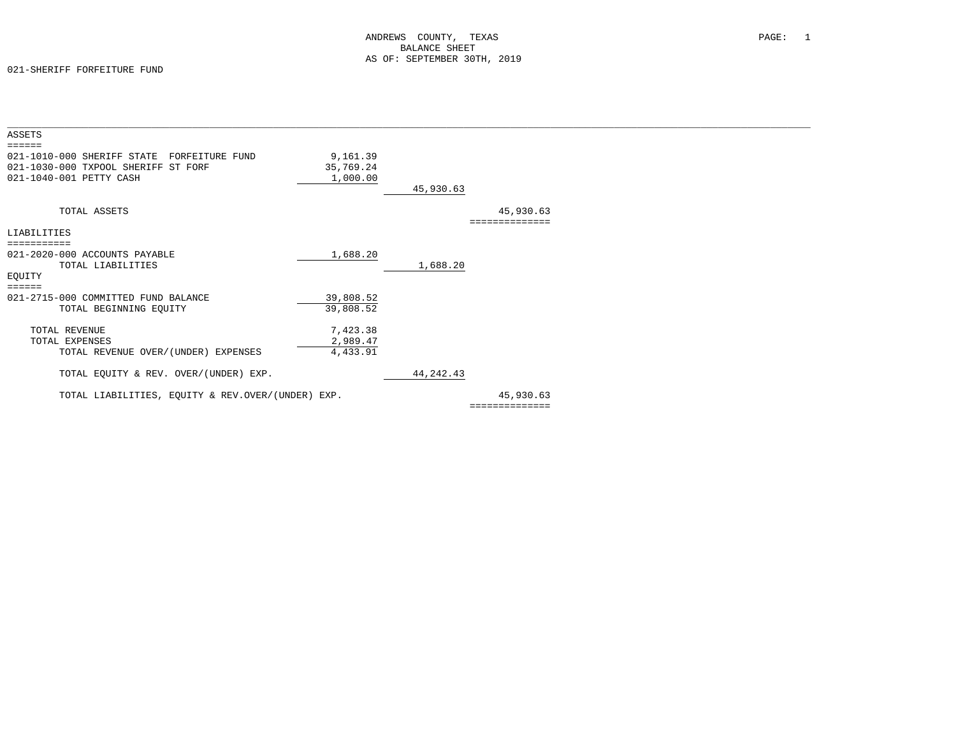| ASSETS                                            |           |             |                |  |
|---------------------------------------------------|-----------|-------------|----------------|--|
|                                                   |           |             |                |  |
| 021-1010-000 SHERIFF STATE<br>FORFEITURE FUND     | 9,161.39  |             |                |  |
| 021-1030-000 TXPOOL SHERIFF ST FORF               | 35,769.24 |             |                |  |
| 021-1040-001 PETTY CASH                           | 1,000.00  |             |                |  |
|                                                   |           | 45,930.63   |                |  |
|                                                   |           |             |                |  |
| TOTAL ASSETS                                      |           |             | 45,930.63      |  |
|                                                   |           |             | ============== |  |
| LIABILITIES                                       |           |             |                |  |
|                                                   |           |             |                |  |
| 021-2020-000 ACCOUNTS PAYABLE                     | 1,688.20  |             |                |  |
| TOTAL LIABILITIES                                 |           | 1,688.20    |                |  |
| EQUITY                                            |           |             |                |  |
| ======                                            |           |             |                |  |
| 021-2715-000 COMMITTED FUND BALANCE               | 39,808.52 |             |                |  |
| TOTAL BEGINNING EQUITY                            | 39,808.52 |             |                |  |
|                                                   |           |             |                |  |
| TOTAL REVENUE                                     | 7,423.38  |             |                |  |
| TOTAL EXPENSES                                    | 2,989.47  |             |                |  |
| TOTAL REVENUE OVER/(UNDER) EXPENSES               | 4,433.91  |             |                |  |
|                                                   |           |             |                |  |
| TOTAL EQUITY & REV. OVER/(UNDER) EXP.             |           | 44, 242. 43 |                |  |
|                                                   |           |             |                |  |
| TOTAL LIABILITIES, EQUITY & REV.OVER/(UNDER) EXP. |           |             | 45,930.63      |  |
|                                                   |           |             | ============== |  |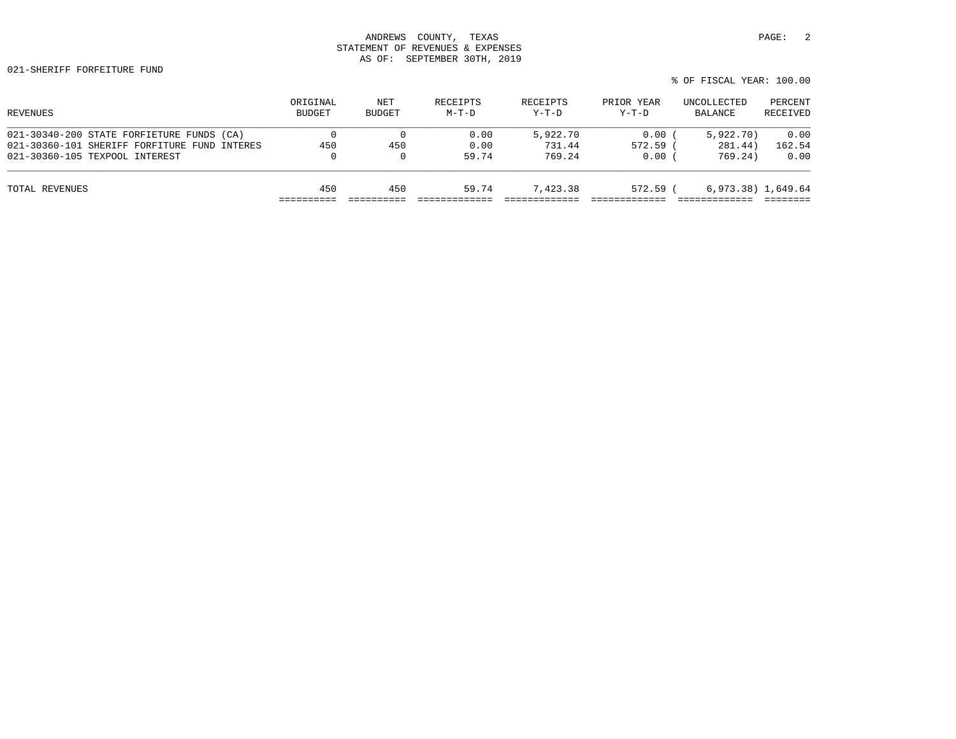| REVENUES                                     | ORIGINAL<br><b>BUDGET</b> | NET<br><b>BUDGET</b> | RECEIPTS<br>$M-T-D$ | RECEIPTS<br>$Y-T-D$ | PRIOR YEAR<br>$Y-T-D$ | UNCOLLECTED<br>BALANCE | PERCENT<br>RECEIVED |
|----------------------------------------------|---------------------------|----------------------|---------------------|---------------------|-----------------------|------------------------|---------------------|
| 021-30340-200 STATE FORFIETURE FUNDS (CA)    |                           |                      | 0.00                | 5,922.70            | 0.00                  | 5,922,70)              | 0.00                |
| 021-30360-101 SHERIFF FORFITURE FUND INTERES | 450                       | 450                  | 0.00                | 731.44              | $572.59$ (            | 281.44)                | 162.54              |
| 021-30360-105 TEXPOOL INTEREST               | 0                         | $\Omega$             | 59.74               | 769.24              | 0.00                  | 769.24)                | 0.00                |
| TOTAL REVENUES                               | 450                       | 450                  | 59.74               | 7,423.38            | 572.59 (              | 6,973.38) 1,649.64     |                     |
|                                              |                           |                      |                     |                     |                       |                        |                     |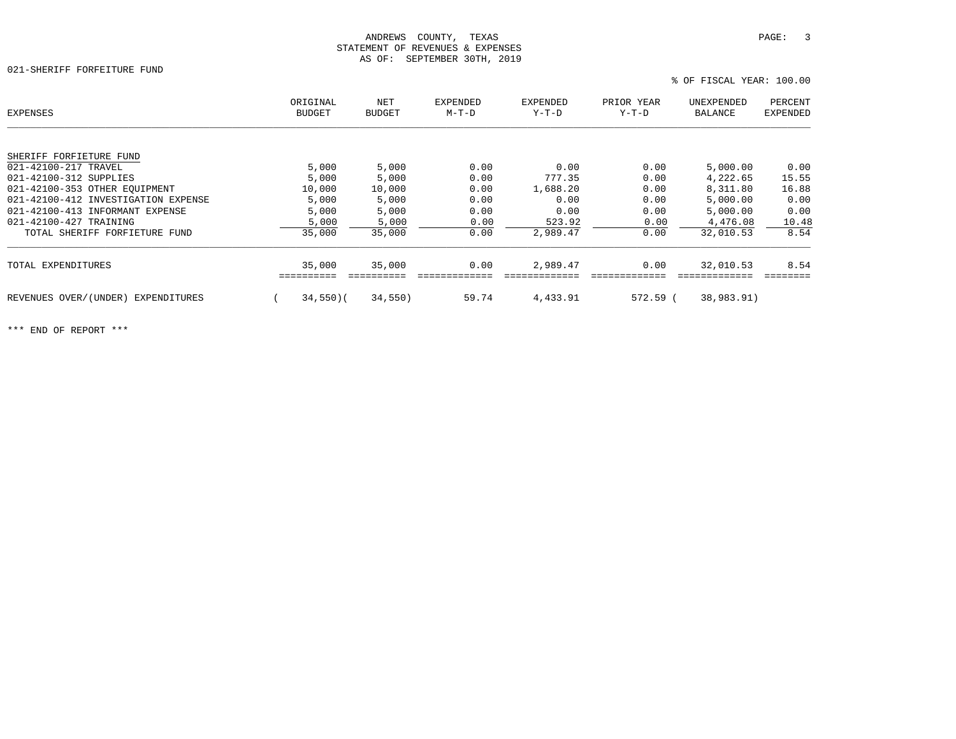021-SHERIFF FORFEITURE FUND

% OF FISCAL YEAR: 100.00

| EXPENSES                              | ORIGINAL<br><b>BUDGET</b> | NET<br><b>BUDGET</b> | <b>EXPENDED</b><br>M-T-D | EXPENDED<br>$Y-T-D$ | PRIOR YEAR<br>Y-T-D | UNEXPENDED<br>BALANCE | PERCENT<br>EXPENDED |
|---------------------------------------|---------------------------|----------------------|--------------------------|---------------------|---------------------|-----------------------|---------------------|
|                                       |                           |                      |                          |                     |                     |                       |                     |
| SHERIFF FORFIETURE FUND               |                           |                      |                          |                     |                     |                       |                     |
| 021-42100-217 TRAVEL                  | 5,000                     | 5,000                | 0.00                     | 0.00                | 0.00                | 5,000.00              | 0.00                |
| 021-42100-312 SUPPLIES                | 5,000                     | 5,000                | 0.00                     | 777.35              | 0.00                | 4,222.65              | 15.55               |
| 021-42100-353 OTHER EOUIPMENT         | 10,000                    | 10,000               | 0.00                     | 1,688.20            | 0.00                | 8,311.80              | 16.88               |
| 021-42100-412 INVESTIGATION EXPENSE   | 5,000                     | 5,000                | 0.00                     | 0.00                | 0.00                | 5,000.00              | 0.00                |
| 021-42100-413 INFORMANT EXPENSE       | 5,000                     | 5,000                | 0.00                     | 0.00                | 0.00                | 5,000.00              | 0.00                |
| 021-42100-427 TRAINING                | 5,000                     | 5,000                | 0.00                     | 523.92              | 0.00                | 4,476.08              | 10.48               |
| TOTAL SHERIFF FORFIETURE FUND         | 35,000                    | 35,000               | 0.00                     | 2,989.47            | 0.00                | 32,010.53             | 8.54                |
| TOTAL EXPENDITURES                    | 35,000                    | 35,000               | 0.00                     | 2,989.47            | 0.00                | 32,010.53             | 8.54                |
| REVENUES OVER/(UNDER)<br>EXPENDITURES | $34,550$ )(               | 34,550)              | 59.74                    | 4,433.91            | $572.59$ (          | 38,983.91)            |                     |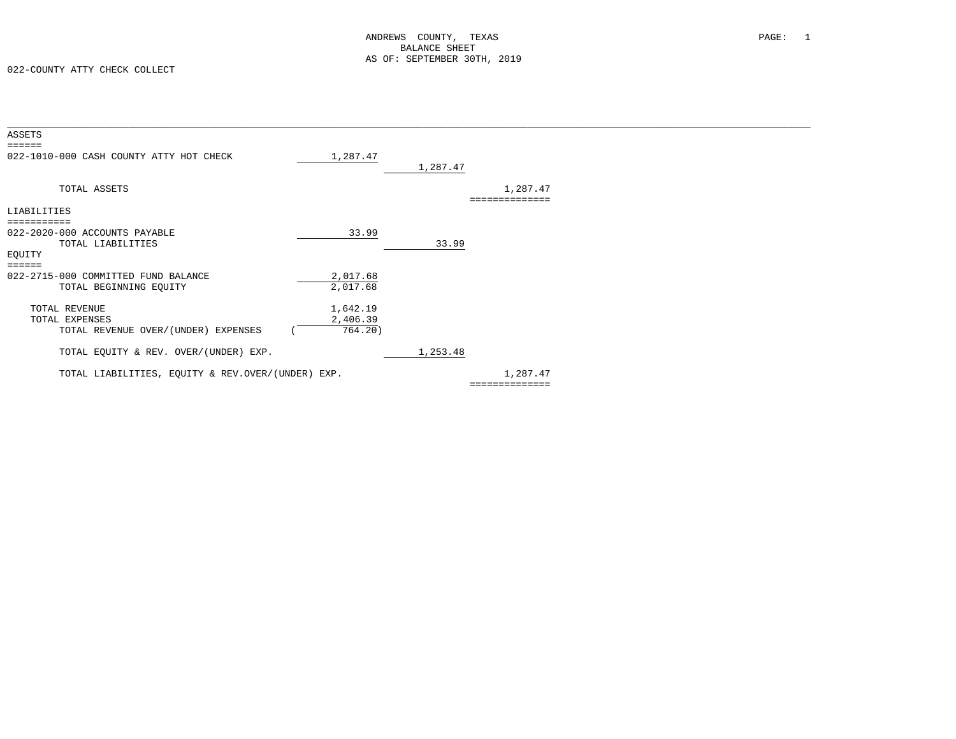| 1,287.47                                          | 1,287.47 |          |                |  |
|---------------------------------------------------|----------|----------|----------------|--|
|                                                   |          | 1,287.47 |                |  |
|                                                   |          |          |                |  |
| 33.99                                             | 33.99    |          |                |  |
| 2,017.68<br>2,017.68                              |          |          |                |  |
| 1,642.19<br>2,406.39<br>764.20)                   |          |          |                |  |
|                                                   | 1,253.48 |          |                |  |
| TOTAL LIABILITIES, EQUITY & REV.OVER/(UNDER) EXP. |          | 1,287.47 |                |  |
|                                                   |          |          | ============== |  |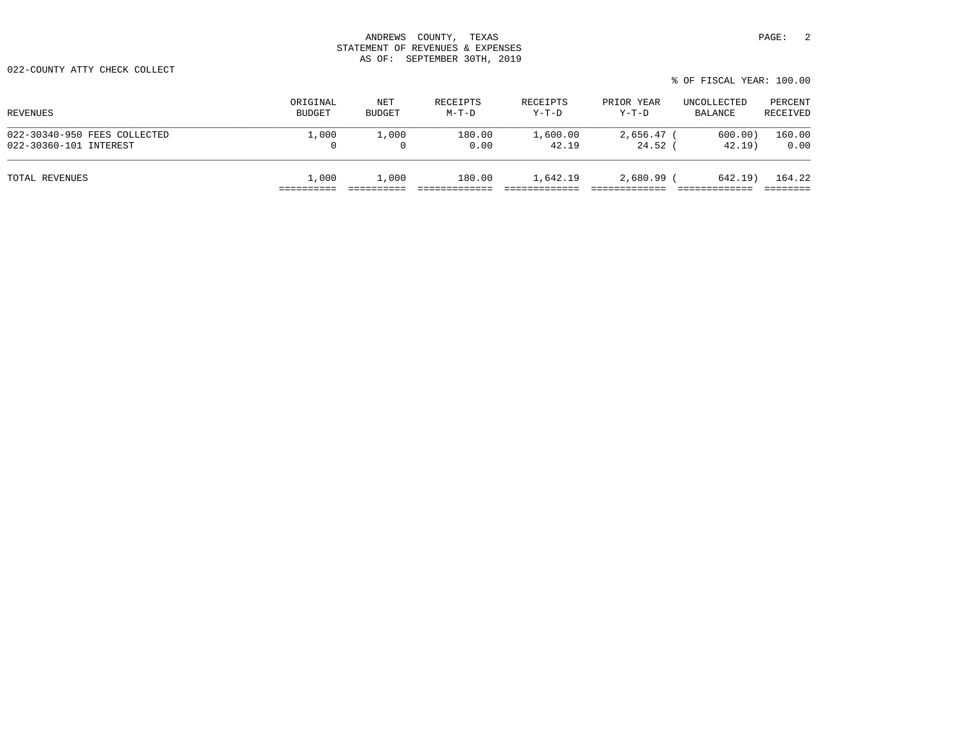022-COUNTY ATTY CHECK COLLECT

| REVENUES                     | ORIGINAL      | NET      | RECEIPTS | RECEIPTS | PRIOR YEAR   | UNCOLLECTED | PERCENT  |
|------------------------------|---------------|----------|----------|----------|--------------|-------------|----------|
|                              | <b>BUDGET</b> | BUDGET   | $M-T-D$  | Y-T-D    | Y-T-D        | BALANCE     | RECEIVED |
| 022-30340-950 FEES COLLECTED | 1,000         | 1,000    | 180.00   | 1,600.00 | $2.656.47$ ( | 600.00)     | 160.00   |
| 022-30360-101 INTEREST       | 0             | $\Omega$ | 0.00     | 42.19    | $24.52$ (    | 42.19       | 0.00     |
| TOTAL REVENUES               | 1,000         | 1,000    | 180.00   | 1,642.19 | 2,680.99 (   | 642.19      | 164.22   |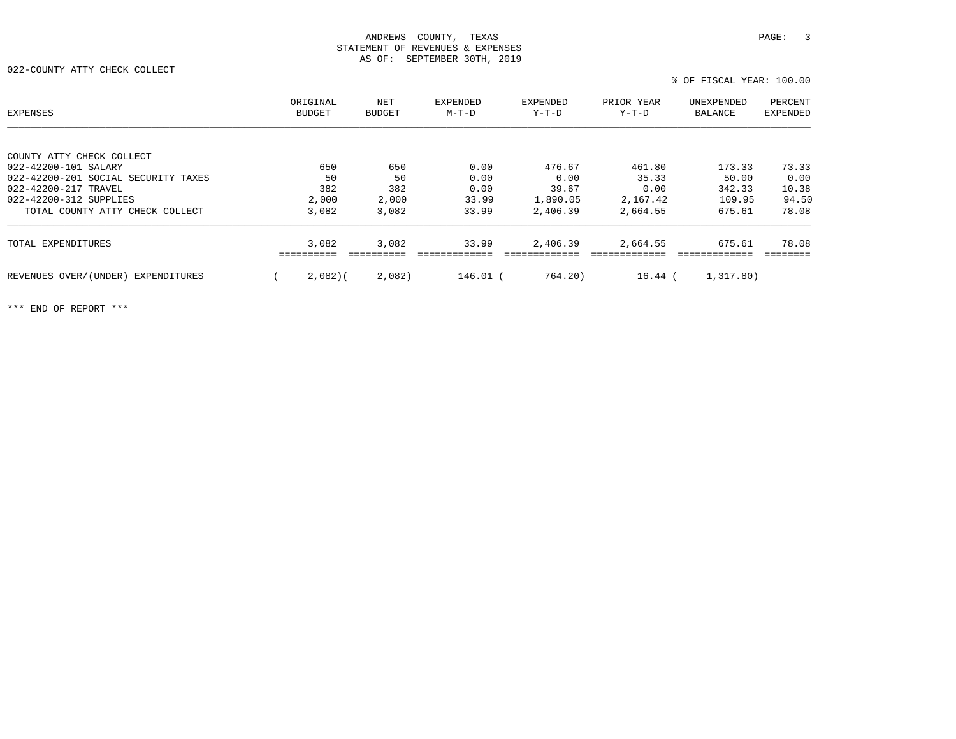022-COUNTY ATTY CHECK COLLECT

% OF FISCAL YEAR: 100.00

| EXPENSES                            | ORIGINAL<br>BUDGET | NET<br><b>BUDGET</b> | EXPENDED<br>$M-T-D$ | <b>EXPENDED</b><br>Y-T-D | PRIOR YEAR<br>Y-T-D | UNEXPENDED<br>BALANCE | PERCENT<br><b>EXPENDED</b> |
|-------------------------------------|--------------------|----------------------|---------------------|--------------------------|---------------------|-----------------------|----------------------------|
|                                     |                    |                      |                     |                          |                     |                       |                            |
| COUNTY ATTY CHECK COLLECT           |                    |                      |                     |                          |                     |                       |                            |
| 022-42200-101 SALARY                | 650                | 650                  | 0.00                | 476.67                   | 461.80              | 173.33                | 73.33                      |
| 022-42200-201 SOCIAL SECURITY TAXES | 50                 | 50                   | 0.00                | 0.00                     | 35.33               | 50.00                 | 0.00                       |
| 022-42200-217 TRAVEL                | 382                | 382                  | 0.00                | 39.67                    | 0.00                | 342.33                | 10.38                      |
| 022-42200-312 SUPPLIES              | 2,000              | 2,000                | 33.99               | 1,890.05                 | 2,167.42            | 109.95                | 94.50                      |
| TOTAL COUNTY ATTY CHECK COLLECT     | 3,082              | 3,082                | 33.99               | 2,406.39                 | 2,664.55            | 675.61                | 78.08                      |
| TOTAL EXPENDITURES                  | 3,082              | 3,082                | 33.99               | 2,406.39                 | 2,664.55            | 675.61                | 78.08                      |
|                                     |                    |                      |                     |                          |                     |                       |                            |
| REVENUES OVER/(UNDER) EXPENDITURES  | 2,082(             | 2,082)               | 146.01 (            | 764.20)                  | $16.44$ (           | 1,317.80)             |                            |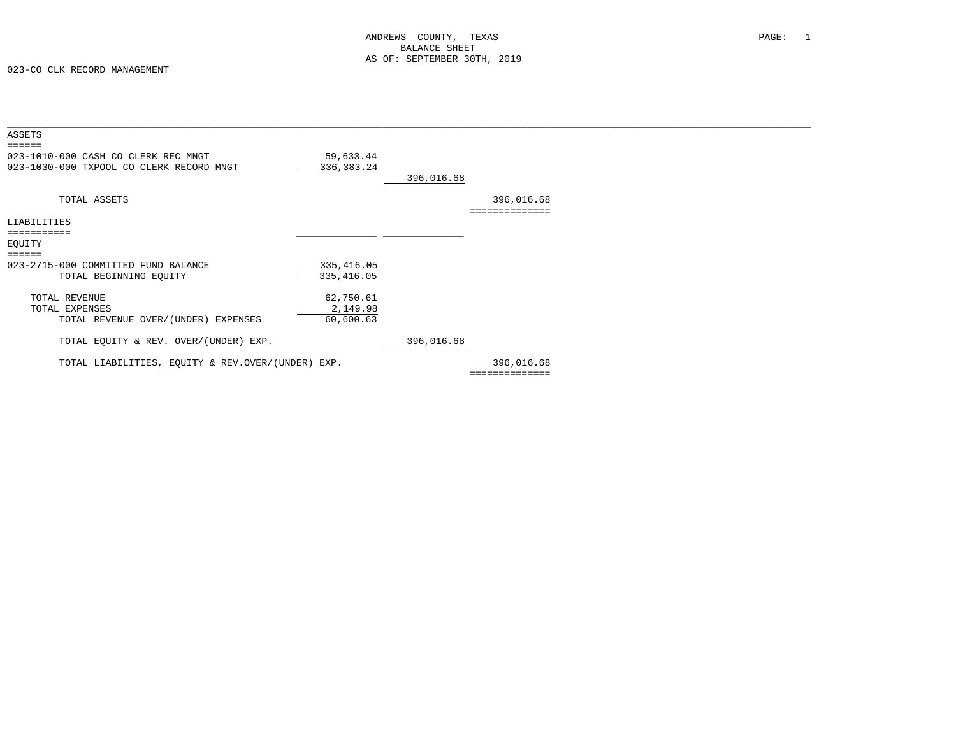| ASSETS<br>======                                                                |                           |            |                              |  |
|---------------------------------------------------------------------------------|---------------------------|------------|------------------------------|--|
| 023-1010-000 CASH CO CLERK REC MNGT<br>023-1030-000 TXPOOL CO CLERK RECORD MNGT | 59,633.44<br>336, 383. 24 | 396,016.68 |                              |  |
| TOTAL ASSETS                                                                    |                           |            | 396,016.68<br>============== |  |
| LIABILITIES                                                                     |                           |            |                              |  |
| ===========                                                                     |                           |            |                              |  |
| EQUITY                                                                          |                           |            |                              |  |
| $=$ $=$ $=$ $=$ $=$                                                             |                           |            |                              |  |
| 023-2715-000 COMMITTED FUND BALANCE                                             | 335, 416.05               |            |                              |  |
| TOTAL BEGINNING EQUITY                                                          | 335, 416.05               |            |                              |  |
| TOTAL REVENUE                                                                   | 62,750.61                 |            |                              |  |
| TOTAL EXPENSES                                                                  | 2,149.98                  |            |                              |  |
| TOTAL REVENUE OVER/(UNDER) EXPENSES                                             | 60,600.63                 |            |                              |  |
| TOTAL EQUITY & REV. OVER/(UNDER) EXP.                                           |                           | 396,016.68 |                              |  |
| TOTAL LIABILITIES, EQUITY & REV.OVER/(UNDER) EXP.                               |                           |            | 396,016.68                   |  |
|                                                                                 |                           |            | ==============               |  |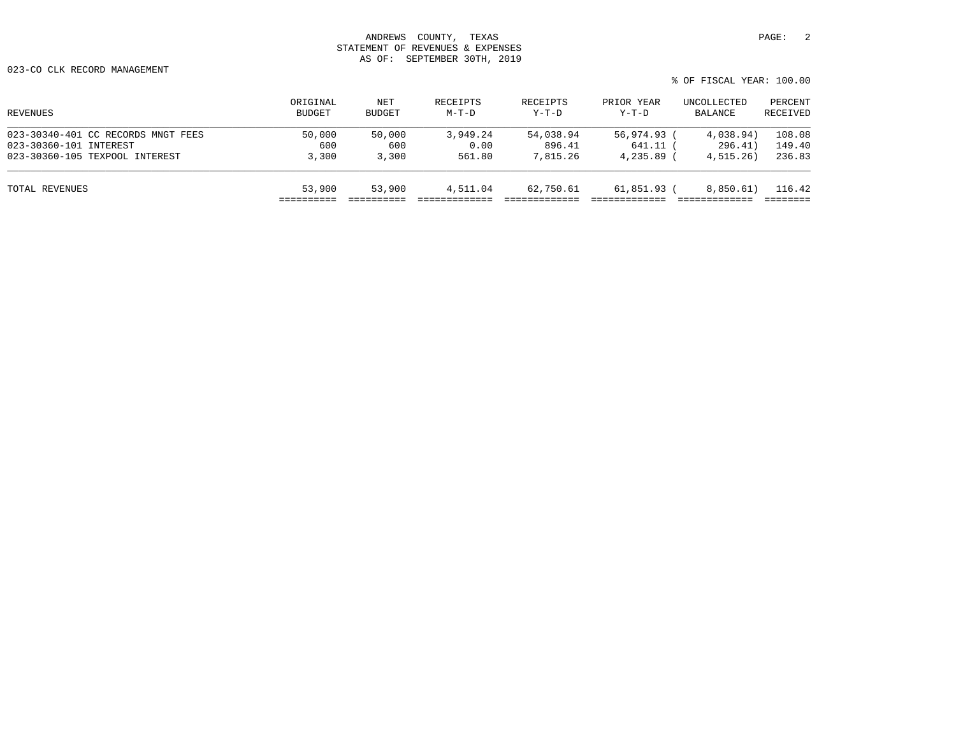| REVENUES                           | ORIGINAL<br><b>BUDGET</b> | NET<br><b>BUDGET</b> | RECEIPTS<br>$M-T-D$ | RECEIPTS<br>$Y-T-D$ | PRIOR YEAR<br>Y-T-D | UNCOLLECTED<br>BALANCE | PERCENT<br>RECEIVED |
|------------------------------------|---------------------------|----------------------|---------------------|---------------------|---------------------|------------------------|---------------------|
| 023-30340-401 CC RECORDS MNGT FEES | 50,000                    | 50,000               | 3,949.24            | 54,038.94           | 56,974.93 (         | 4,038.94)              | 108.08              |
| 023-30360-101 INTEREST             | 600                       | 600                  | 0.00                | 896.41              | 641.11 (            | 296.41)                | 149.40              |
| 023-30360-105 TEXPOOL INTEREST     | 3,300                     | 3,300                | 561.80              | 7,815.26            | $4,235.89$ (        | 4,515.26)              | 236.83              |
| TOTAL REVENUES                     | 53,900                    | 53,900               | 4,511.04            | 62,750.61           | 61,851.93 (         | 8,850.61)              | 116.42              |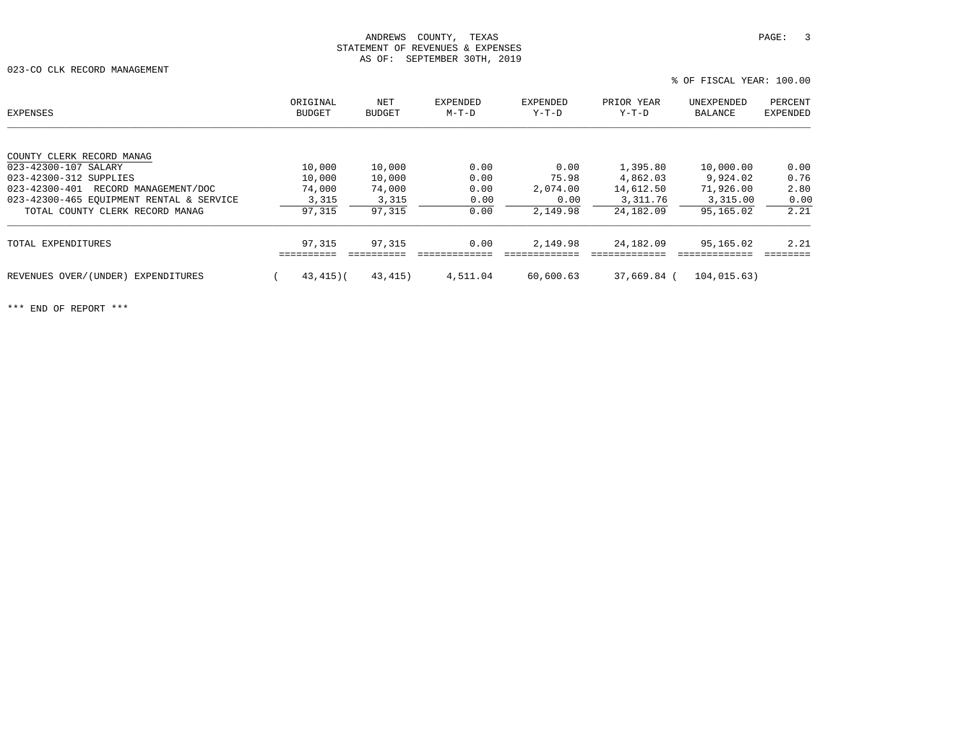023-CO CLK RECORD MANAGEMENT

 ORIGINAL NET EXPENDED EXPENDED PRIOR YEAR UNEXPENDED PERCENTPERCENT EXPENSES BUDGET BUDGET M-T-D Y-T-D Y-T-D BALANCE EXPENDEDCOUNTY CLERK RECORD MANAG  $\overline{023-42300-107}$  SALARY  $\overline{023-42300-107}$  SALARY  $\overline{0.00}$   $\overline{0.00}$   $\overline{0.00}$   $\overline{0.00}$   $\overline{0.00}$   $\overline{0.00}$   $\overline{0.00}$   $\overline{0.00}$   $\overline{0.00}$   $\overline{0.00}$   $\overline{0.00}$   $\overline{0.00}$   $\overline{0.00}$   $\overline{0.00$ 023-42300-312 SUPPLIES 10,000 10,000 0.00 75.98 4,862.03 9,924.02 0.76 023-42300-401 RECORD MANAGEMENT/DOC 74,000 74,000 0.00 2,074.00 14,612.50 71,926.00 2.80 023-42300-465 EQUIPMENT RENTAL & SERVICE  $\frac{3,315}{97,315}$   $\frac{3,315}{97,315}$   $\frac{3,315}{97,315}$   $\frac{0.00}{0.00}$   $\frac{0.00}{2,149.98}$   $\frac{3,311.76}{24,182.09}$   $\frac{3,315.00}{95,165.02}$   $\frac{0.00}{2.21}$ TOTAL COUNTY CLERK RECORD MANAG 97,315 97,315 0.00 2,149.98 24,182.09 95,165.02 2.21 TOTAL EXPENDITURES 97,315 97,315 0.00 2,149.98 24,182.09 95,165.02 2.21 ========== ========== ============= ============= ============= ============= ========

REVENUES OVER/(UNDER) EXPENDITURES ( 43,415)( 43,415) 4,511.04 60,600.63 37,669.84 ( 104,015.63)

\*\*\* END OF REPORT \*\*\*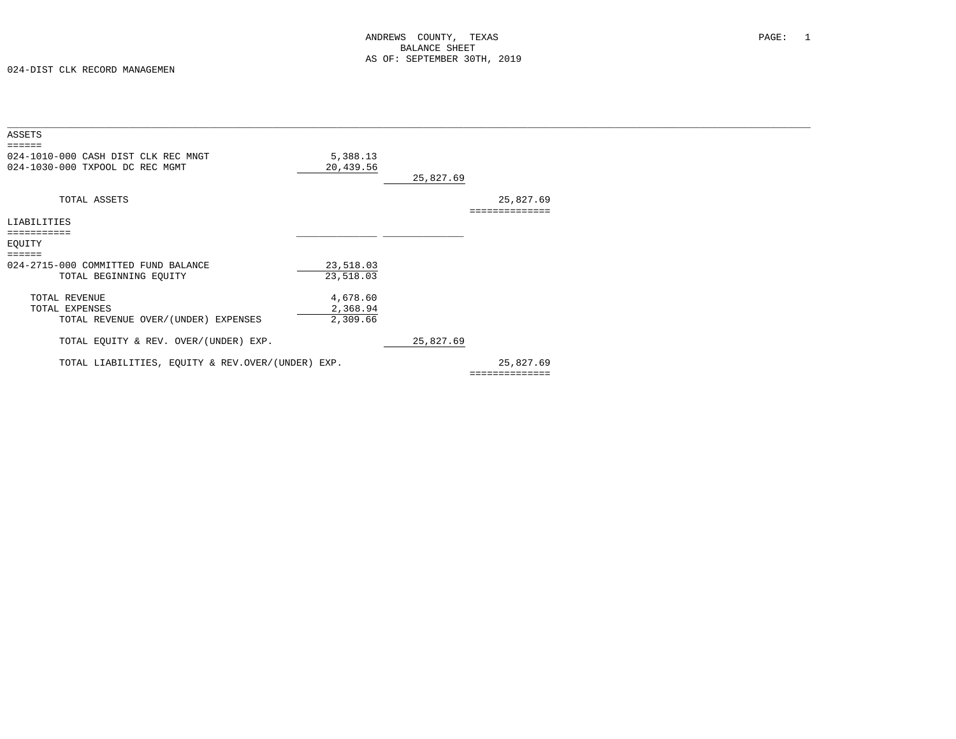| ASSETS                                                                                        |                       |           |                           |  |
|-----------------------------------------------------------------------------------------------|-----------------------|-----------|---------------------------|--|
| $=$ $=$ $=$ $=$ $=$<br>024-1010-000 CASH DIST CLK REC MNGT<br>024-1030-000 TXPOOL DC REC MGMT | 5,388.13<br>20,439.56 | 25,827.69 |                           |  |
| TOTAL ASSETS                                                                                  |                       |           | 25,827.69<br>============ |  |
| LIABILITIES                                                                                   |                       |           |                           |  |
| ===========                                                                                   |                       |           |                           |  |
| EQUITY                                                                                        |                       |           |                           |  |
| ======                                                                                        |                       |           |                           |  |
| 024-2715-000 COMMITTED FUND BALANCE                                                           | 23,518.03             |           |                           |  |
| TOTAL BEGINNING EQUITY                                                                        | 23,518.03             |           |                           |  |
| TOTAL REVENUE                                                                                 | 4,678.60              |           |                           |  |
| TOTAL EXPENSES                                                                                | 2,368.94              |           |                           |  |
| TOTAL REVENUE OVER/(UNDER) EXPENSES                                                           | 2,309.66              |           |                           |  |
| TOTAL EQUITY & REV. OVER/(UNDER) EXP.                                                         |                       | 25,827.69 |                           |  |
| TOTAL LIABILITIES, EQUITY & REV.OVER/(UNDER) EXP.                                             |                       |           | 25,827.69                 |  |
|                                                                                               |                       |           | ==============            |  |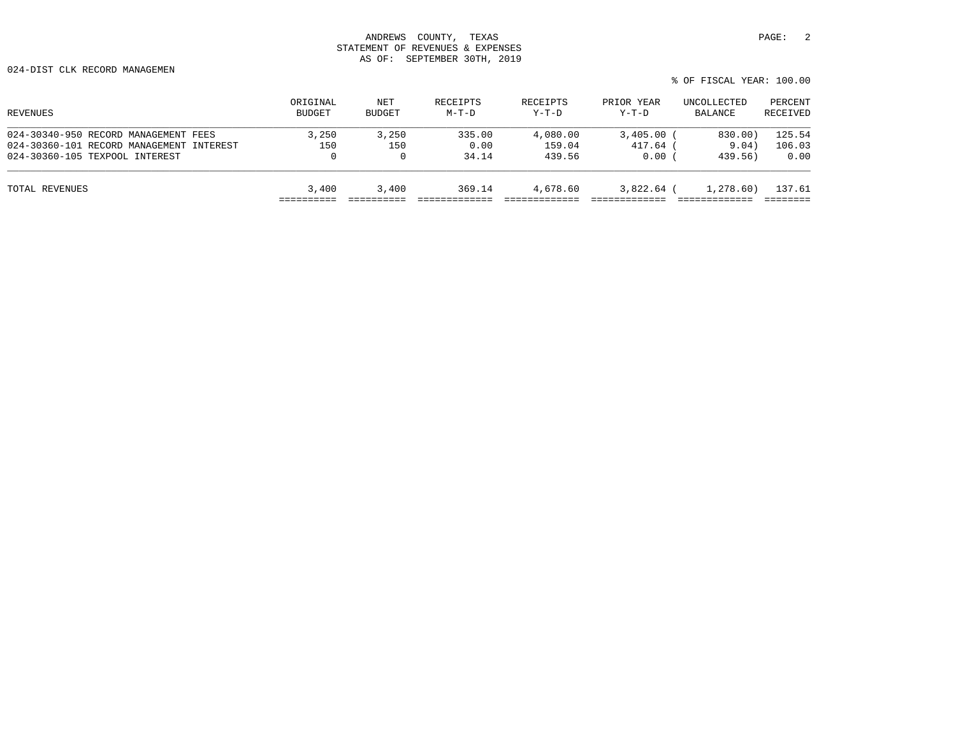| REVENUES                                 | ORIGINAL<br><b>BUDGET</b> | NET<br><b>BUDGET</b> | RECEIPTS<br>$M-T-D$ | RECEIPTS<br>$Y-T-D$ | PRIOR YEAR<br>$Y-T-D$ | UNCOLLECTED<br>BALANCE | PERCENT<br>RECEIVED |
|------------------------------------------|---------------------------|----------------------|---------------------|---------------------|-----------------------|------------------------|---------------------|
| 024-30340-950 RECORD MANAGEMENT FEES     | 3.250                     | 3,250                | 335.00              | 4,080.00            | 3,405.00              | 830.00)                | 125.54              |
| 024-30360-101 RECORD MANAGEMENT INTEREST | 150                       | 150                  | 0.00                | 159.04              | 417.64 (              | 9.04)                  | 106.03              |
| 024-30360-105 TEXPOOL INTEREST           | 0                         | $\Omega$             | 34.14               | 439.56              | 0.00                  | 439.56)                | 0.00                |
| TOTAL REVENUES                           | 3,400                     | 3,400                | 369.14              | 4,678.60            | $3,822.64$ (          | 1,278.60)              | 137.61              |
|                                          |                           |                      |                     |                     |                       |                        |                     |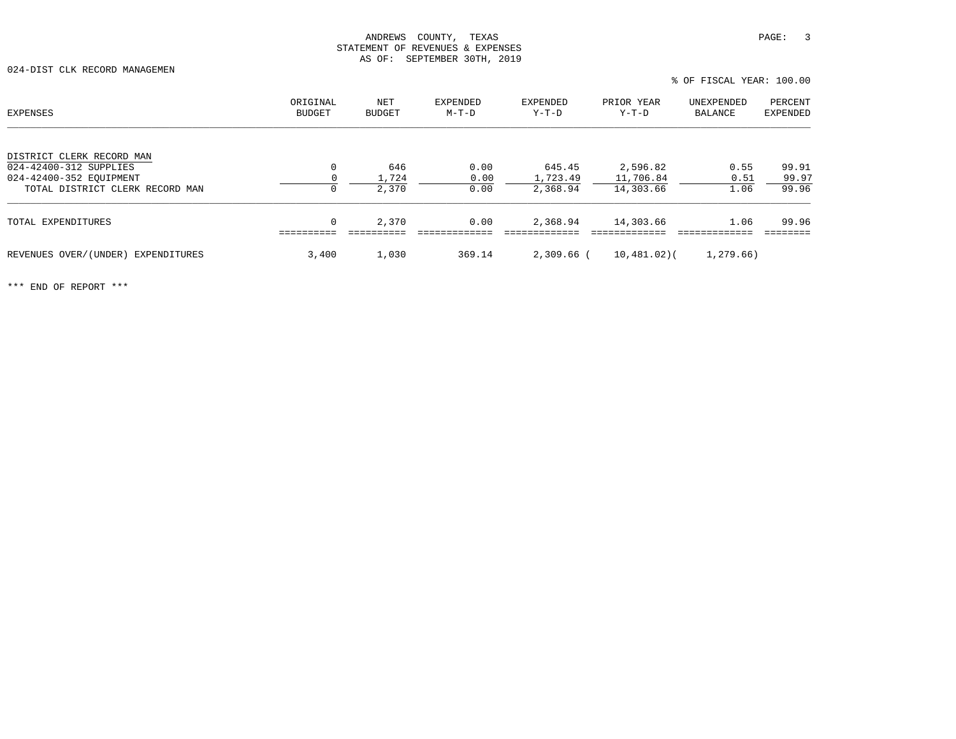024-DIST CLK RECORD MANAGEMEN

| <b>EXPENSES</b>                    | ORIGINAL<br>BUDGET | NET<br>BUDGET | EXPENDED<br>$M-T-D$ | EXPENDED<br>Y-T-D | PRIOR YEAR<br>$Y-T-D$ | UNEXPENDED<br>BALANCE | PERCENT<br><b>EXPENDED</b> |
|------------------------------------|--------------------|---------------|---------------------|-------------------|-----------------------|-----------------------|----------------------------|
| DISTRICT CLERK RECORD MAN          |                    |               |                     |                   |                       |                       |                            |
| 024-42400-312 SUPPLIES             | 0                  | 646           | 0.00                | 645.45            | 2,596.82              | 0.55                  | 99.91                      |
| 024-42400-352 EOUIPMENT            |                    | 1,724         | 0.00                | 1,723.49          | 11,706.84             | 0.51                  | 99.97                      |
| TOTAL DISTRICT CLERK RECORD MAN    | 0                  | 2,370         | 0.00                | 2,368.94          | 14,303.66             | 1.06                  | 99.96                      |
| TOTAL EXPENDITURES                 | 0                  | 2,370         | 0.00                | 2,368.94          | 14,303.66             | 1.06                  | 99.96                      |
| REVENUES OVER/(UNDER) EXPENDITURES | 3,400              | 1,030         | 369.14              | $2,309.66$ (      | $10,481,02$ (         | 1,279.66)             |                            |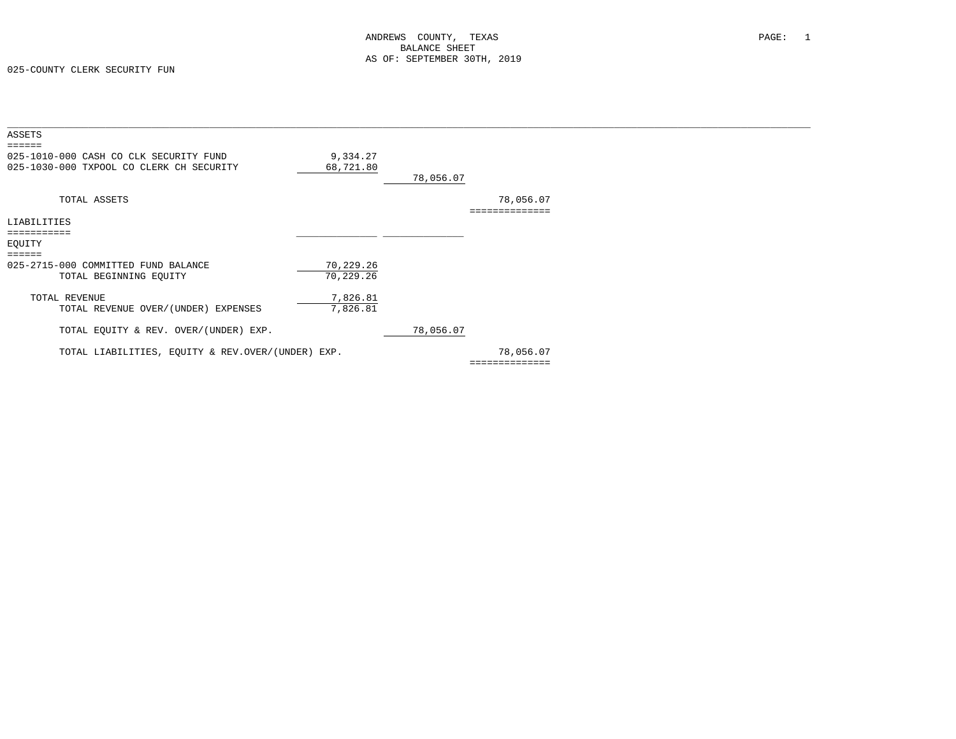| ASSETS<br>$=$ $=$ $=$ $=$ $=$                                                      |                        |           |                |  |
|------------------------------------------------------------------------------------|------------------------|-----------|----------------|--|
| 025-1010-000 CASH CO CLK SECURITY FUND<br>025-1030-000 TXPOOL CO CLERK CH SECURITY | 9,334.27<br>68,721.80  | 78,056.07 |                |  |
| TOTAL ASSETS                                                                       |                        |           | 78,056.07      |  |
| LIABILITIES<br>-----------<br>EQUITY                                               |                        |           |                |  |
| ------                                                                             |                        |           |                |  |
| 025-2715-000 COMMITTED FUND BALANCE<br>TOTAL BEGINNING EQUITY                      | 70,229.26<br>70,229.26 |           |                |  |
| TOTAL REVENUE<br>TOTAL REVENUE OVER/(UNDER) EXPENSES                               | 7,826.81<br>7,826.81   |           |                |  |
| TOTAL EQUITY & REV. OVER/(UNDER) EXP.                                              |                        | 78,056.07 |                |  |
| TOTAL LIABILITIES, EQUITY & REV.OVER/(UNDER) EXP.                                  |                        |           | 78,056.07      |  |
|                                                                                    |                        |           | ============== |  |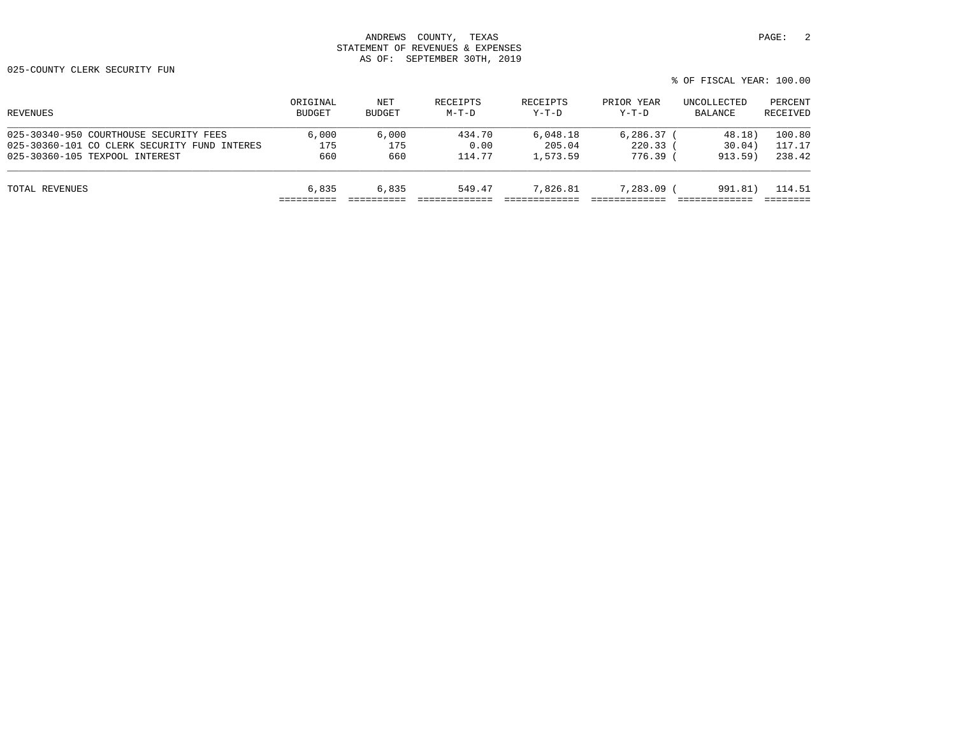| REVENUES                                     | ORIGINAL<br><b>BUDGET</b> | NET<br>BUDGET | RECEIPTS<br>$M-T-D$ | RECEIPTS<br>$Y-T-D$ | PRIOR YEAR<br>$Y-T-D$ | UNCOLLECTED<br>BALANCE | PERCENT<br>RECEIVED |
|----------------------------------------------|---------------------------|---------------|---------------------|---------------------|-----------------------|------------------------|---------------------|
| 025-30340-950 COURTHOUSE SECURITY FEES       | 6.000                     | 6.000         | 434.70              | 6,048.18            | 6, 286, 37            | 48.18)                 | 100.80              |
| 025-30360-101 CO CLERK SECURITY FUND INTERES | 175                       | 175           | 0.00                | 205.04              | 220.33                | 30.04)                 | 117.17              |
| 025-30360-105 TEXPOOL INTEREST               | 660                       | 660           | 114.77              | 1,573.59            | $776.39$ (            | 913.59                 | 238.42              |
| TOTAL REVENUES                               | 6,835                     | 6,835         | 549.47              | 7,826.81            | 7,283.09 (            | 991.81)                | 114.51              |
|                                              |                           |               |                     |                     |                       |                        |                     |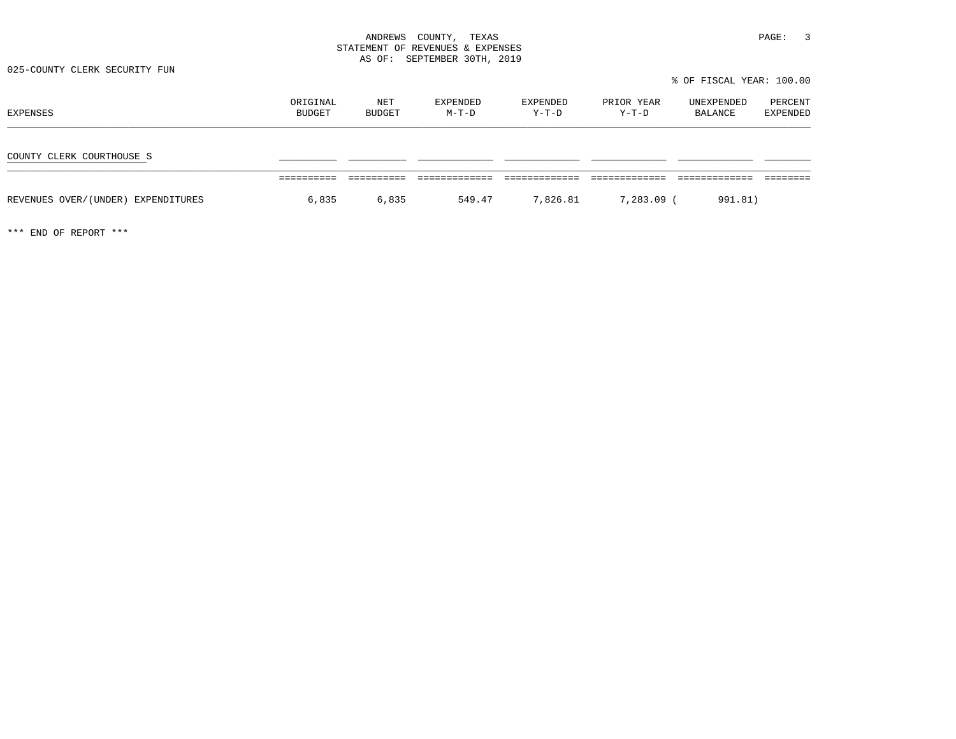025-COUNTY CLERK SECURITY FUN

% OF FISCAL YEAR: 100.00

| EXPENSES                           | ORIGINAL<br>BUDGET | NET<br>BUDGET | EXPENDED<br>$M-T-D$ | EXPENDED<br>Y-T-D | PRIOR YEAR<br>Y-T-D | UNEXPENDED<br>BALANCE | PERCENT<br>EXPENDED |
|------------------------------------|--------------------|---------------|---------------------|-------------------|---------------------|-----------------------|---------------------|
| COUNTY CLERK COURTHOUSE S          |                    |               |                     |                   |                     |                       |                     |
| REVENUES OVER/(UNDER) EXPENDITURES | 6,835              | 6,835         | 549.47              | 7,826.81          | 7,283.09 (          | 991.81)               |                     |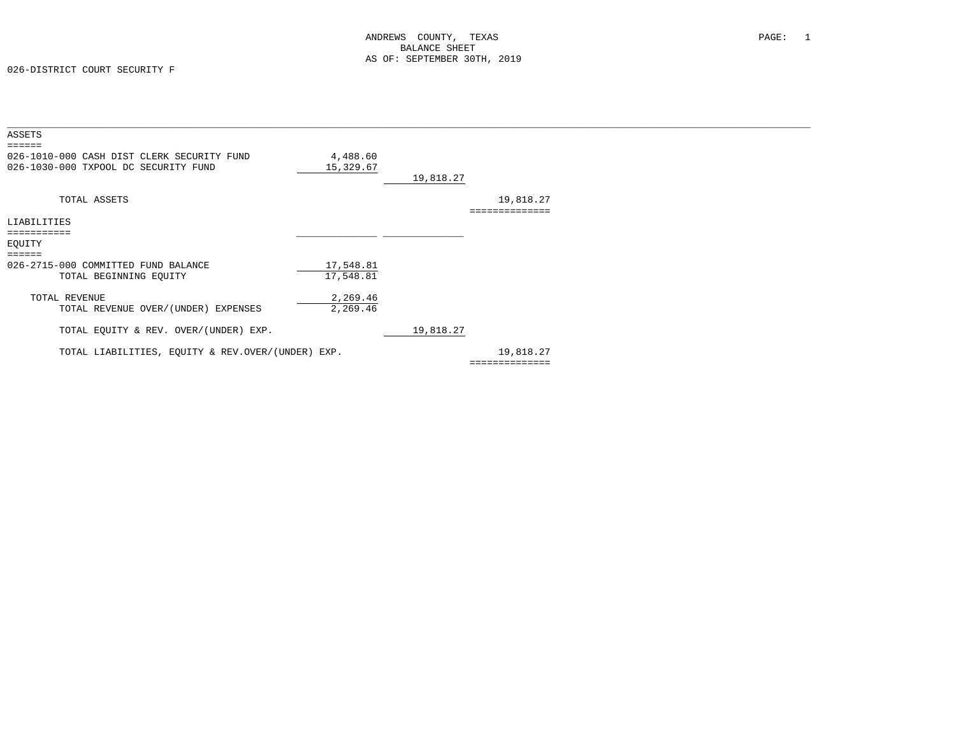| ASSETS<br>======                                  |           |           |                |
|---------------------------------------------------|-----------|-----------|----------------|
| 026-1010-000 CASH DIST CLERK SECURITY FUND        | 4,488.60  |           |                |
| 026-1030-000 TXPOOL DC SECURITY FUND              | 15,329.67 | 19,818.27 |                |
|                                                   |           |           |                |
| TOTAL ASSETS                                      |           |           | 19,818.27      |
| LIABILITIES                                       |           |           |                |
| ===========<br>EOUITY                             |           |           |                |
|                                                   |           |           |                |
| 026-2715-000 COMMITTED FUND BALANCE               | 17,548.81 |           |                |
| TOTAL BEGINNING EQUITY                            | 17,548.81 |           |                |
| TOTAL REVENUE                                     | 2,269.46  |           |                |
| TOTAL REVENUE OVER/(UNDER) EXPENSES               | 2,269.46  |           |                |
| TOTAL EQUITY & REV. OVER/(UNDER) EXP.             |           | 19,818.27 |                |
| TOTAL LIABILITIES, EQUITY & REV.OVER/(UNDER) EXP. |           |           | 19,818.27      |
|                                                   |           |           | ============== |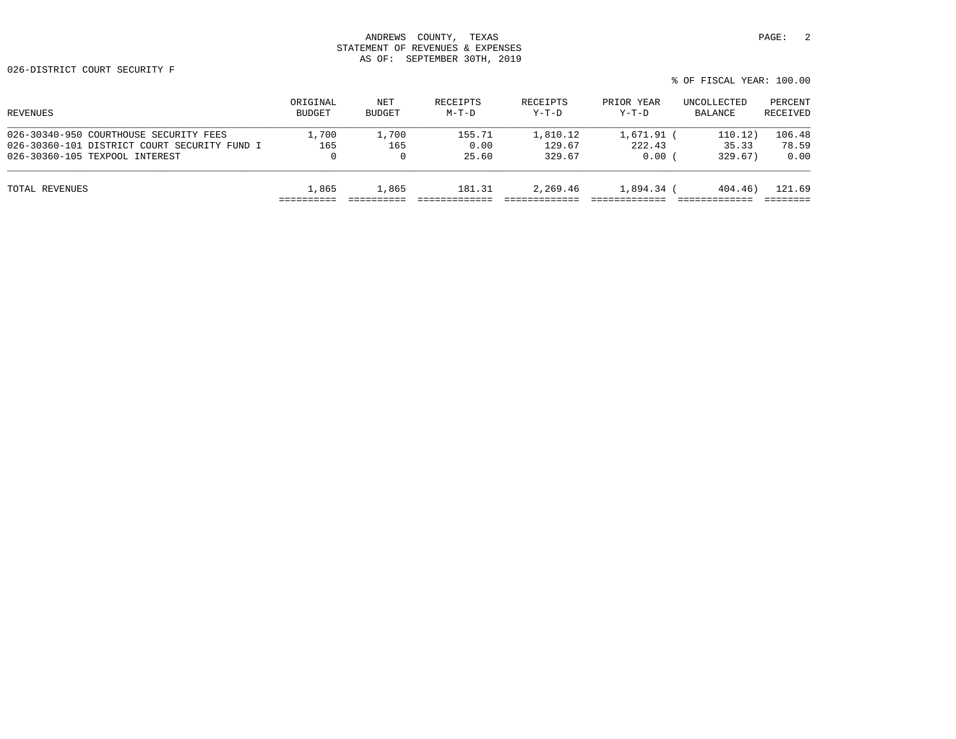| REVENUES                                     | ORIGINAL      | NET      | RECEIPTS | RECEIPTS | PRIOR YEAR | UNCOLLECTED | PERCENT  |
|----------------------------------------------|---------------|----------|----------|----------|------------|-------------|----------|
|                                              | <b>BUDGET</b> | BUDGET   | $M-T-D$  | $Y-T-D$  | $Y-T-D$    | BALANCE     | RECEIVED |
| 026-30340-950 COURTHOUSE SECURITY FEES       | 1,700         | 1,700    | 155.71   | 1,810.12 | 1,671.91   | 110.12)     | 106.48   |
| 026-30360-101 DISTRICT COURT SECURITY FUND I | 165           | 165      | 0.00     | 129.67   | 222.43     | 35.33       | 78.59    |
| 026-30360-105 TEXPOOL INTEREST               | 0             | $\Omega$ | 25.60    | 329.67   | 0.00       | 329.67)     | 0.00     |
| TOTAL REVENUES                               | 1,865         | 1,865    | 181.31   | 2,269.46 | 1,894.34 ( | 404.46)     | 121.69   |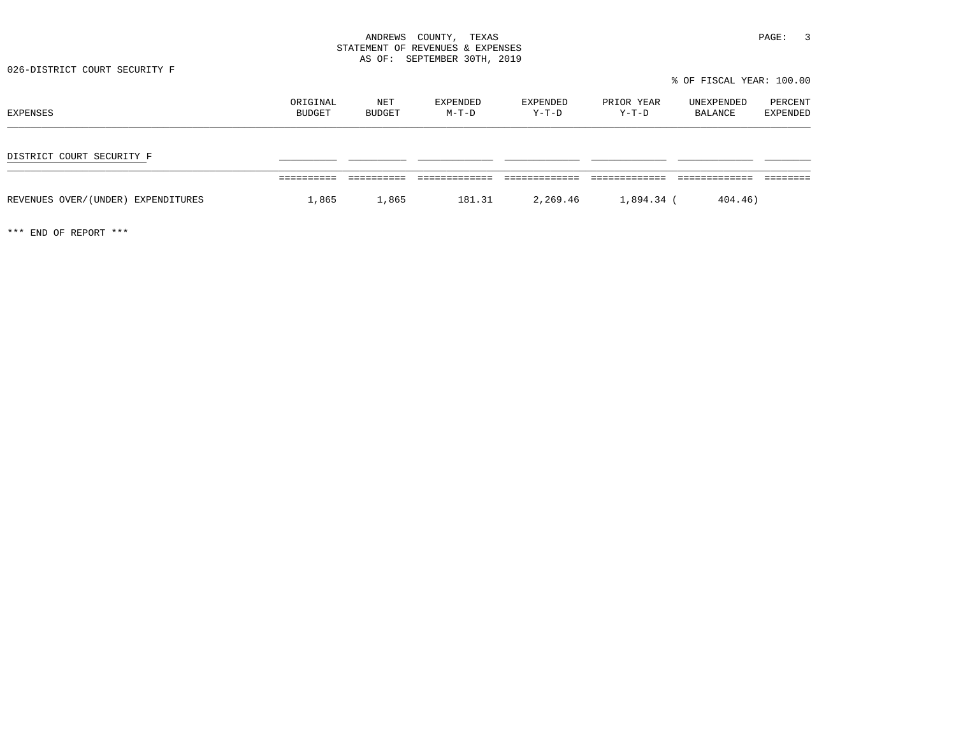026-DISTRICT COURT SECURITY F

% OF FISCAL YEAR: 100.00

| EXPENSES                           | ORIGINAL<br>BUDGET | NET<br>BUDGET | EXPENDED<br>$M-T-D$ | EXPENDED<br>$Y-T-D$ | PRIOR YEAR<br>Y-T-D | UNEXPENDED<br>BALANCE | PERCENT<br>EXPENDED |
|------------------------------------|--------------------|---------------|---------------------|---------------------|---------------------|-----------------------|---------------------|
| DISTRICT COURT SECURITY F          |                    |               |                     |                     |                     |                       |                     |
| REVENUES OVER/(UNDER) EXPENDITURES | 1,865              | 1,865         | 181.31              | 2,269.46            | 1,894.34 (          | 404.46)               |                     |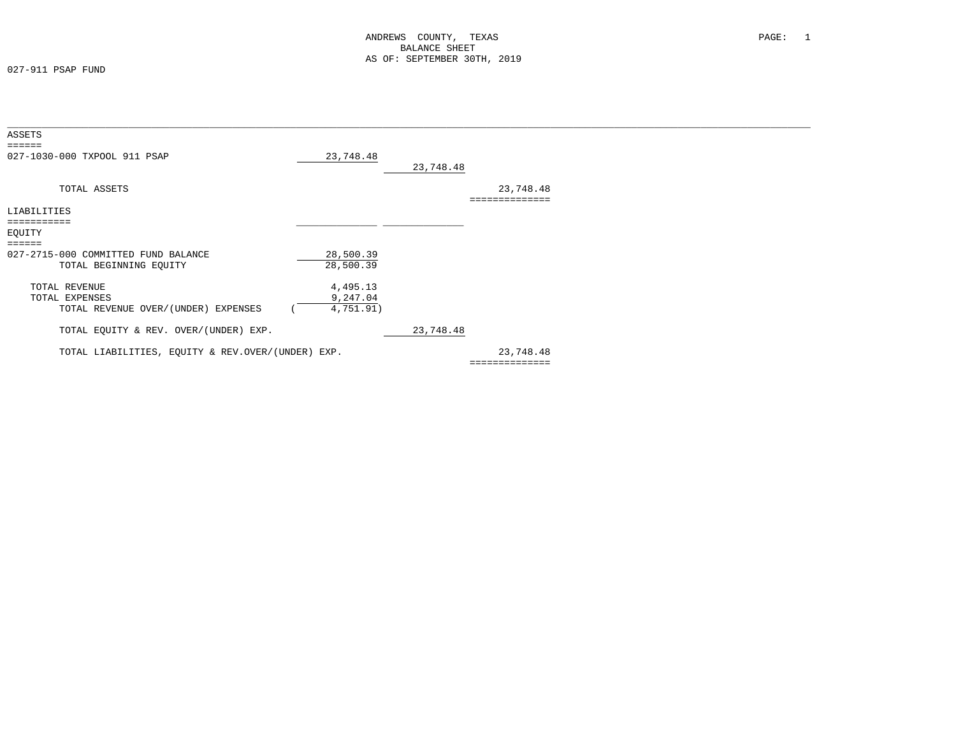027-911 PSAP FUND

| ASSETS                                            |           |           |                |  |
|---------------------------------------------------|-----------|-----------|----------------|--|
| $=$ $=$ $=$ $=$ $=$                               |           |           |                |  |
| 027-1030-000 TXPOOL 911 PSAP                      | 23,748.48 |           |                |  |
|                                                   |           | 23,748.48 |                |  |
|                                                   |           |           |                |  |
| TOTAL ASSETS                                      |           |           | 23,748.48      |  |
|                                                   |           |           | -------------- |  |
| LIABILITIES                                       |           |           |                |  |
|                                                   |           |           |                |  |
| EQUITY                                            |           |           |                |  |
| ======                                            |           |           |                |  |
| 027-2715-000 COMMITTED FUND BALANCE               | 28,500.39 |           |                |  |
| TOTAL BEGINNING EQUITY                            | 28,500.39 |           |                |  |
|                                                   |           |           |                |  |
| TOTAL REVENUE                                     | 4,495.13  |           |                |  |
| TOTAL EXPENSES                                    | 9,247.04  |           |                |  |
|                                                   |           |           |                |  |
| TOTAL REVENUE OVER/(UNDER) EXPENSES               | 4,751.91) |           |                |  |
|                                                   |           |           |                |  |
| TOTAL EQUITY & REV. OVER/(UNDER) EXP.             |           | 23,748.48 |                |  |
|                                                   |           |           |                |  |
| TOTAL LIABILITIES, EQUITY & REV.OVER/(UNDER) EXP. |           |           | 23,748.48      |  |
|                                                   |           |           | ============== |  |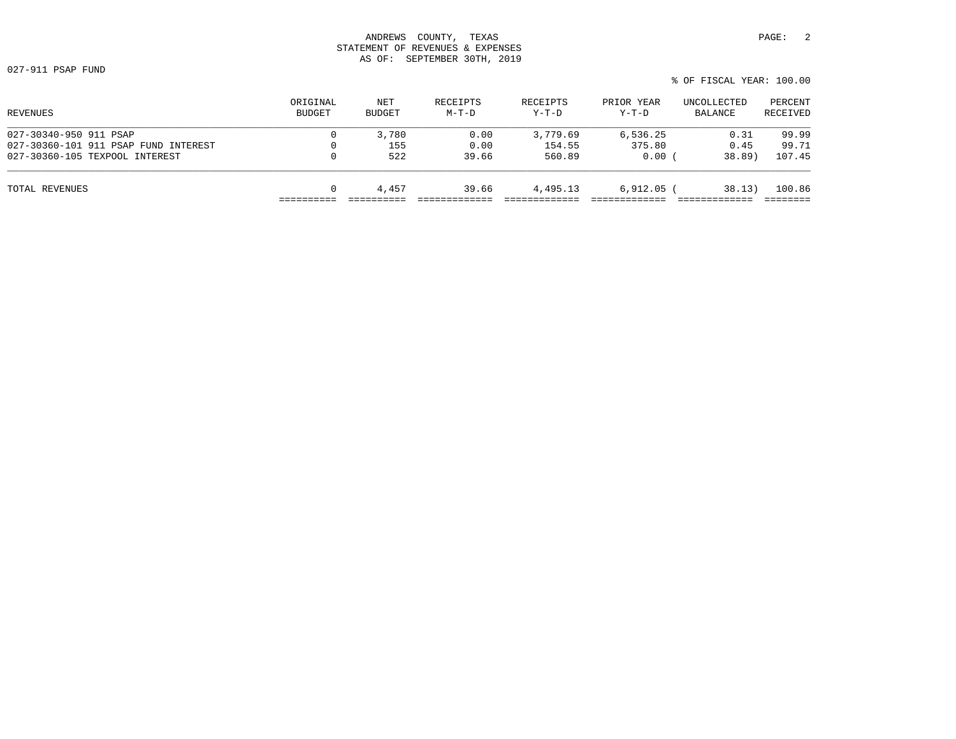027-911 PSAP FUND

| % OF FISCAL YEAR: 100.00 |
|--------------------------|
|--------------------------|

| REVENUES                             | ORIGINAL<br><b>BUDGET</b> | NET<br>BUDGET | RECEIPTS<br>$M-T-D$ | RECEIPTS<br>$Y-T-D$ | PRIOR YEAR<br>$Y-T-D$ | UNCOLLECTED<br>BALANCE | PERCENT<br>RECEIVED |
|--------------------------------------|---------------------------|---------------|---------------------|---------------------|-----------------------|------------------------|---------------------|
| 027-30340-950 911 PSAP               | 0                         | 3,780         | 0.00                | 3,779.69            | 6.536.25              | 0.31                   | 99.99               |
| 027-30360-101 911 PSAP FUND INTEREST | 0                         | 155           | 0.00                | 154.55              | 375.80                | 0.45                   | 99.71               |
| 027-30360-105 TEXPOOL INTEREST       | 0                         | 522           | 39.66               | 560.89              | 0.00                  | 38.89                  | 107.45              |
| TOTAL REVENUES                       | 0                         | 4,457         | 39.66               | 4,495.13            | $6,912.05$ (          | 38.13)                 | 100.86              |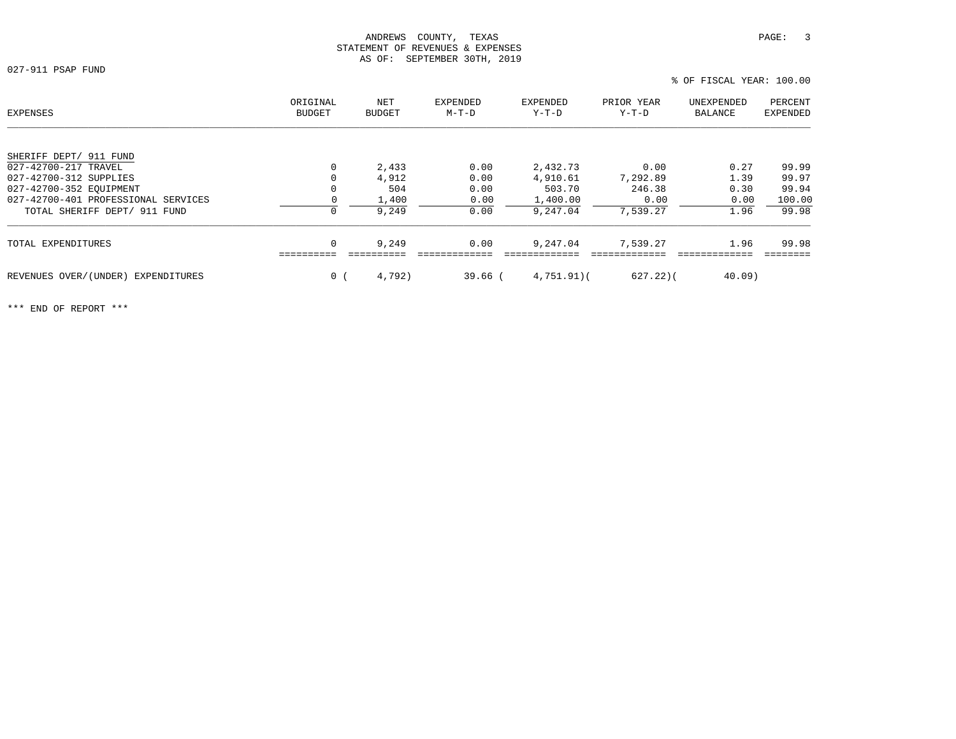027-911 PSAP FUND

% OF FISCAL YEAR: 100.00

| EXPENSES                            | ORIGINAL<br><b>BUDGET</b> | NET<br><b>BUDGET</b> | EXPENDED<br>$M-T-D$ | EXPENDED<br>Y-T-D | PRIOR YEAR<br>Y-T-D | UNEXPENDED<br>BALANCE | PERCENT<br>EXPENDED |
|-------------------------------------|---------------------------|----------------------|---------------------|-------------------|---------------------|-----------------------|---------------------|
|                                     |                           |                      |                     |                   |                     |                       |                     |
| SHERIFF DEPT/ 911 FUND              |                           |                      |                     |                   |                     |                       |                     |
| 027-42700-217 TRAVEL                | 0                         | 2,433                | 0.00                | 2,432.73          | 0.00                | 0.27                  | 99.99               |
| 027-42700-312 SUPPLIES              | 0                         | 4,912                | 0.00                | 4,910.61          | 7,292.89            | 1.39                  | 99.97               |
| 027-42700-352 EOUIPMENT             | 0                         | 504                  | 0.00                | 503.70            | 246.38              | 0.30                  | 99.94               |
| 027-42700-401 PROFESSIONAL SERVICES |                           | 1,400                | 0.00                | 1,400.00          | 0.00                | 0.00                  | 100.00              |
| TOTAL SHERIFF DEPT/ 911 FUND        | $\mathbf 0$               | 9,249                | 0.00                | 9,247.04          | 7,539.27            | 1.96                  | 99.98               |
| TOTAL EXPENDITURES                  | 0                         | 9,249                | 0.00                | 9,247.04          | 7,539.27            | 1.96                  | 99.98               |
|                                     |                           |                      |                     |                   |                     |                       |                     |
| REVENUES OVER/(UNDER) EXPENDITURES  | 0 <sub>1</sub>            | 4,792)               | $39.66$ (           | 4,751.91(         | $627.22$ )(         | $40.09$ )             |                     |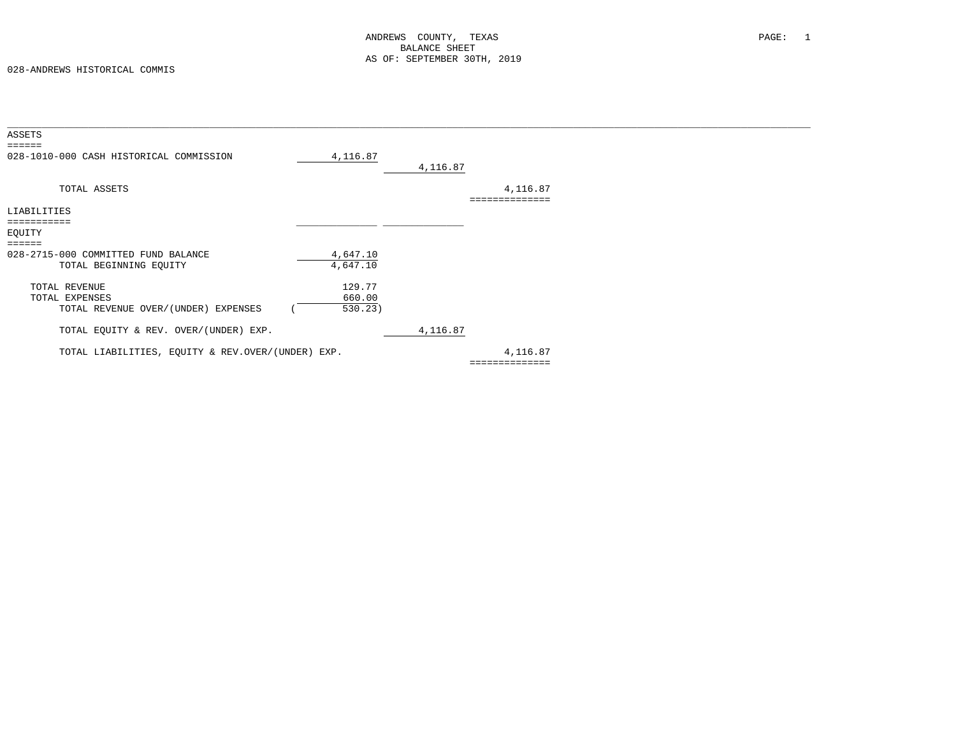| ASSETS                                            |          |          |                |  |
|---------------------------------------------------|----------|----------|----------------|--|
| $=$ $=$ $=$ $=$ $=$                               |          |          |                |  |
| 028-1010-000 CASH HISTORICAL COMMISSION           | 4,116.87 | 4,116.87 |                |  |
|                                                   |          |          |                |  |
| TOTAL ASSETS                                      |          |          | 4,116.87       |  |
|                                                   |          |          |                |  |
| LIABILITIES                                       |          |          |                |  |
| ===========                                       |          |          |                |  |
| EQUITY                                            |          |          |                |  |
| $=$ $=$ $=$ $=$ $=$                               |          |          |                |  |
| 028-2715-000 COMMITTED FUND BALANCE               | 4,647.10 |          |                |  |
| TOTAL BEGINNING EQUITY                            | 4,647.10 |          |                |  |
| TOTAL REVENUE                                     | 129.77   |          |                |  |
| TOTAL EXPENSES                                    | 660.00   |          |                |  |
|                                                   |          |          |                |  |
| TOTAL REVENUE OVER/(UNDER) EXPENSES               | 530.23)  |          |                |  |
| TOTAL EQUITY & REV. OVER/(UNDER) EXP.             |          | 4,116.87 |                |  |
|                                                   |          |          |                |  |
| TOTAL LIABILITIES, EQUITY & REV.OVER/(UNDER) EXP. |          |          | 4,116.87       |  |
|                                                   |          |          | ============== |  |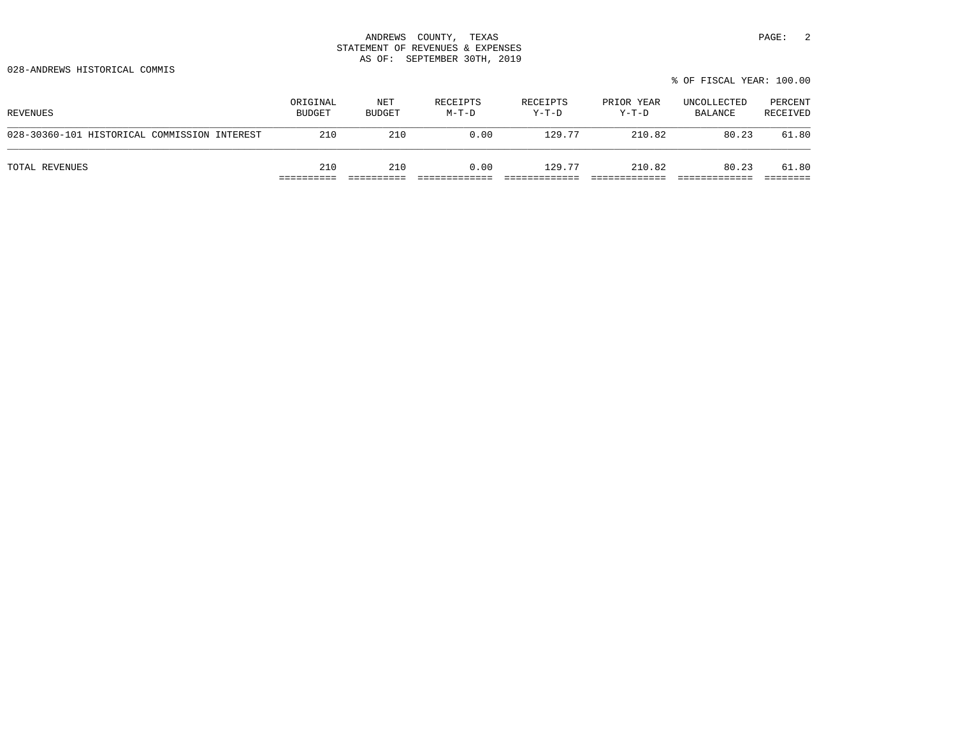028-ANDREWS HISTORICAL COMMIS

|                                              |                           |                      |                   |                   |                     | % OF FISCAL YEAR: 100.00 |                     |
|----------------------------------------------|---------------------------|----------------------|-------------------|-------------------|---------------------|--------------------------|---------------------|
| REVENUES                                     | ORIGINAL<br><b>BUDGET</b> | NET<br><b>BUDGET</b> | RECEIPTS<br>M-T-D | RECEIPTS<br>Y-T-D | PRIOR YEAR<br>Y-T-D | UNCOLLECTED<br>BALANCE   | PERCENT<br>RECEIVED |
| 028-30360-101 HISTORICAL COMMISSION INTEREST | 210                       | 210                  | 0.00              | 129.77            | 210.82              | 80.23                    | 61.80               |
| TOTAL REVENUES                               | 210                       | 210                  | 0.00              | 129.77            | 210.82              | 80.23                    | 61.80               |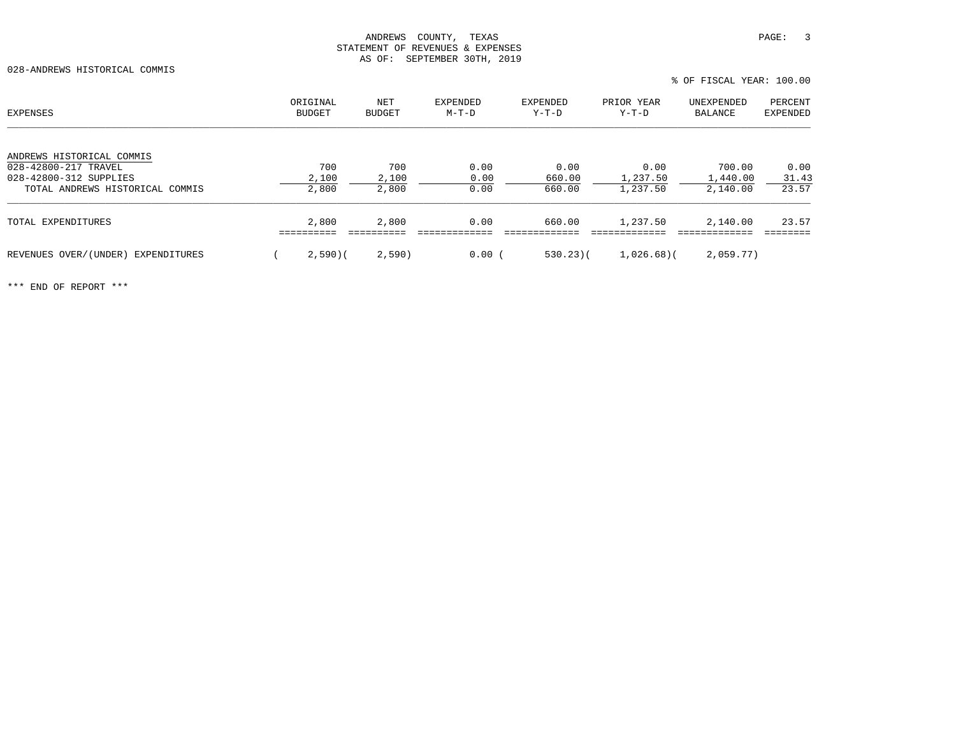028-ANDREWS HISTORICAL COMMIS

| EXPENSES                              | ORIGINAL<br>BUDGET | NET<br><b>BUDGET</b> | EXPENDED<br>M-T-D | EXPENDED<br>Y-T-D | PRIOR YEAR<br>Y-T-D | UNEXPENDED<br>BALANCE | PERCENT<br><b>EXPENDED</b> |
|---------------------------------------|--------------------|----------------------|-------------------|-------------------|---------------------|-----------------------|----------------------------|
| ANDREWS HISTORICAL COMMIS             |                    |                      |                   |                   |                     |                       |                            |
| 028-42800-217 TRAVEL                  | 700                | 700                  | 0.00              | 0.00              | 0.00                | 700.00                | 0.00                       |
| 028-42800-312 SUPPLIES                | 2,100              | 2,100                | 0.00              | 660.00            | 1,237.50            | 1,440.00              | 31.43                      |
| TOTAL ANDREWS HISTORICAL COMMIS       | 2,800              | 2,800                | 0.00              | 660.00            | 1,237.50            | 2,140.00              | 23.57                      |
| TOTAL EXPENDITURES                    | 2,800              | 2,800                | 0.00              | 660.00            | 1,237.50            | 2,140.00              | 23.57                      |
| REVENUES OVER/(UNDER)<br>EXPENDITURES | 2,590(             | 2,590)               | 0.00(             | $530.23$ (        | $1,026.68$ (        | 2,059.77)             |                            |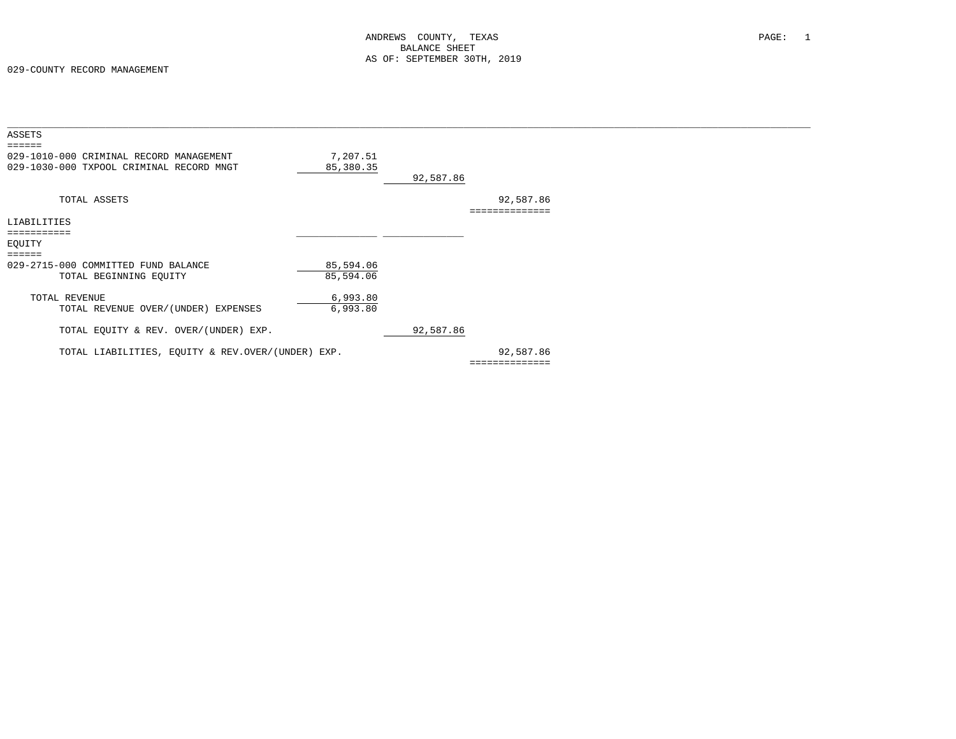| ASSETS                                            |           |           |                |  |
|---------------------------------------------------|-----------|-----------|----------------|--|
| 029-1010-000 CRIMINAL RECORD MANAGEMENT           | 7,207.51  |           |                |  |
| 029-1030-000 TXPOOL CRIMINAL RECORD MNGT          | 85,380.35 |           |                |  |
|                                                   |           | 92,587.86 |                |  |
|                                                   |           |           |                |  |
| TOTAL ASSETS                                      |           |           | 92,587.86      |  |
|                                                   |           |           |                |  |
| LIABILITIES                                       |           |           |                |  |
|                                                   |           |           |                |  |
| EQUITY                                            |           |           |                |  |
| ======                                            |           |           |                |  |
| 029-2715-000 COMMITTED FUND BALANCE               | 85,594.06 |           |                |  |
| TOTAL BEGINNING EQUITY                            | 85,594.06 |           |                |  |
| TOTAL REVENUE                                     | 6,993.80  |           |                |  |
| TOTAL REVENUE OVER/(UNDER) EXPENSES               | 6,993.80  |           |                |  |
|                                                   |           |           |                |  |
| TOTAL EQUITY & REV. OVER/(UNDER) EXP.             |           | 92,587.86 |                |  |
|                                                   |           |           |                |  |
| TOTAL LIABILITIES, EQUITY & REV.OVER/(UNDER) EXP. |           |           | 92,587.86      |  |
|                                                   |           |           | ============== |  |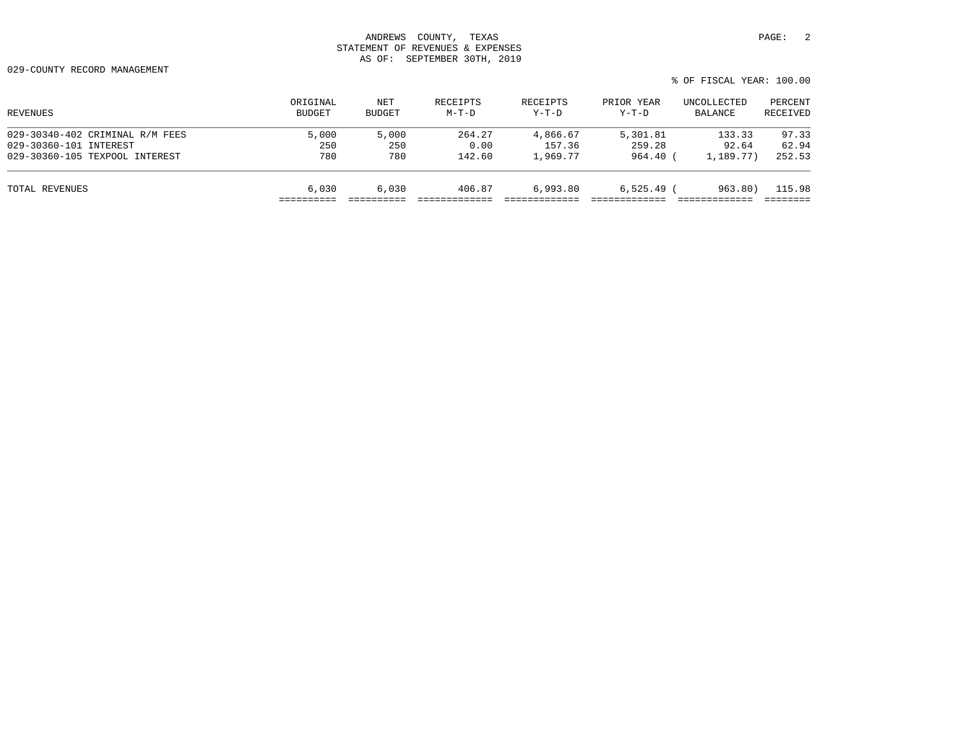029-COUNTY RECORD MANAGEMENT

| ORIGINAL<br>BUDGET | NET<br>BUDGET | RECEIPTS<br>$M-T-D$ | RECEIPTS<br>$Y-T-D$ | PRIOR YEAR<br>$Y-T-D$ | UNCOLLECTED<br>BALANCE | PERCENT<br>RECEIVED |
|--------------------|---------------|---------------------|---------------------|-----------------------|------------------------|---------------------|
| 5,000              | 5,000         | 264.27              | 4,866.67            | 5,301.81              | 133.33                 | 97.33               |
| 250                | 250           | 0.00                | 157.36              | 259.28                | 92.64                  | 62.94               |
| 780                | 780           | 142.60              | 1,969.77            | 964.40                | 1,189.77)              | 252.53              |
| 6.030              | 6.030         | 406.87              |                     |                       | 963.80)                | 115.98              |
|                    |               |                     |                     |                       | 6,993.80               | $6,525.49$ (        |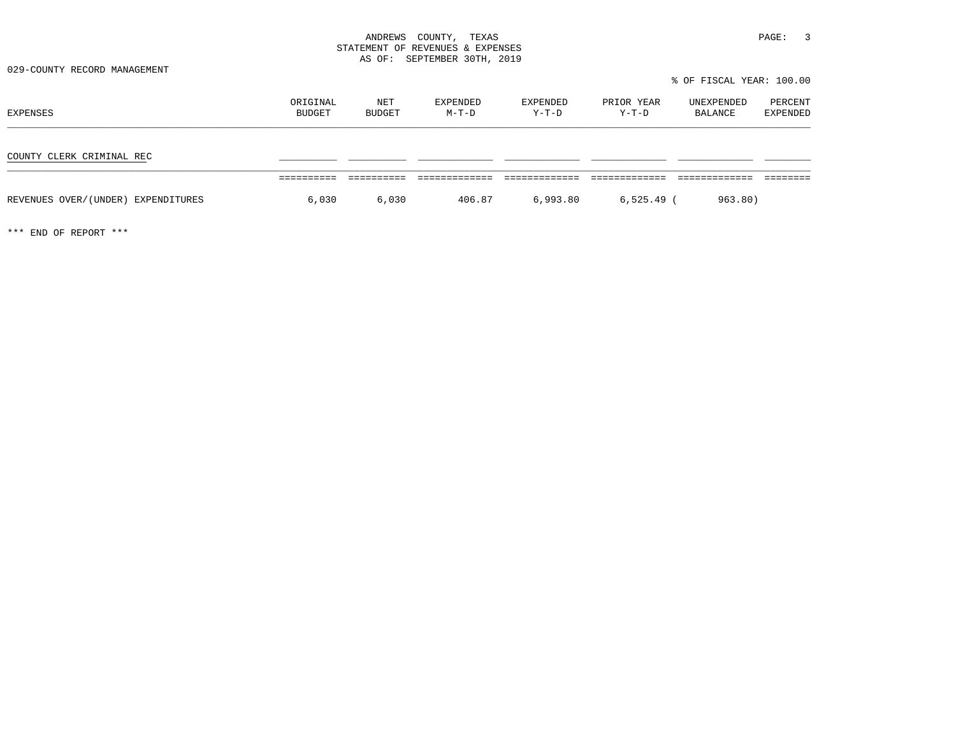029-COUNTY RECORD MANAGEMENT

% OF FISCAL YEAR: 100.00

| EXPENSES                           | ORIGINAL<br>BUDGET | NET<br>BUDGET | EXPENDED<br>M-T-D | EXPENDED<br>Y-T-D | PRIOR YEAR<br>Y-T-D | UNEXPENDED<br>BALANCE | PERCENT<br>EXPENDED |
|------------------------------------|--------------------|---------------|-------------------|-------------------|---------------------|-----------------------|---------------------|
| COUNTY CLERK CRIMINAL REC          |                    |               |                   |                   |                     |                       |                     |
|                                    |                    |               |                   |                   |                     |                       |                     |
| REVENUES OVER/(UNDER) EXPENDITURES | 6,030              | 6,030         | 406.87            | 6,993.80          | $6,525.49$ (        | 963.80)               |                     |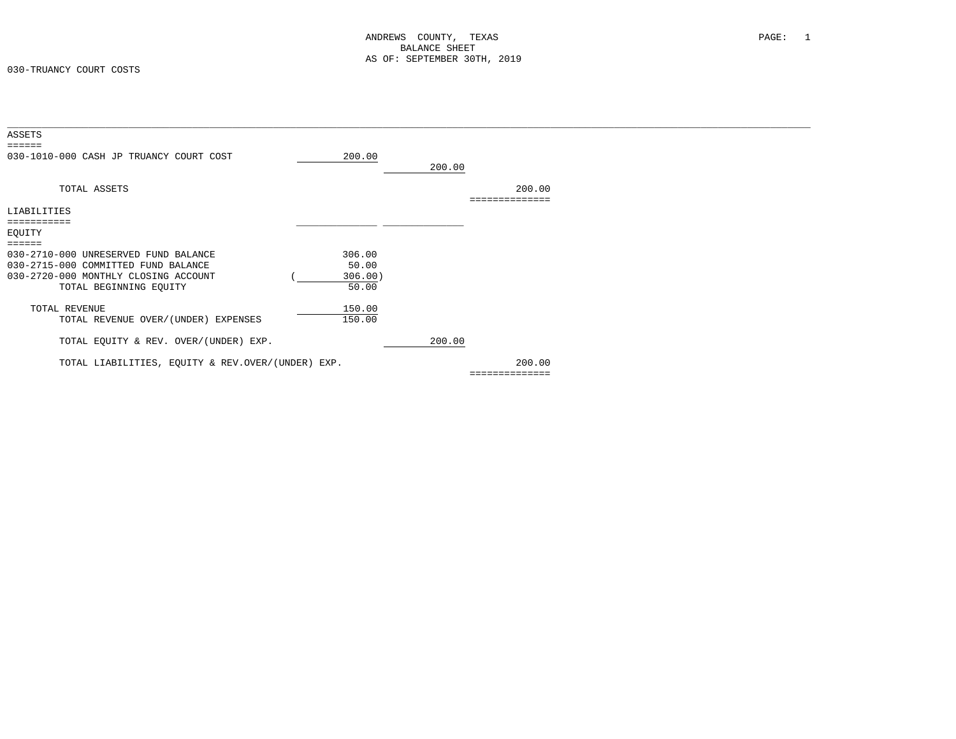| ASSETS<br>------                                  |         |        |                        |  |
|---------------------------------------------------|---------|--------|------------------------|--|
| 030-1010-000 CASH JP TRUANCY COURT COST           | 200.00  | 200.00 |                        |  |
| TOTAL ASSETS                                      |         |        | 200.00<br>============ |  |
| LIABILITIES                                       |         |        |                        |  |
|                                                   |         |        |                        |  |
| EQUITY                                            |         |        |                        |  |
| ======                                            |         |        |                        |  |
| 030-2710-000 UNRESERVED FUND BALANCE              | 306.00  |        |                        |  |
| 030-2715-000 COMMITTED FUND BALANCE               | 50.00   |        |                        |  |
| 030-2720-000 MONTHLY CLOSING ACCOUNT              | 306.00) |        |                        |  |
| TOTAL BEGINNING EQUITY                            | 50.00   |        |                        |  |
| TOTAL REVENUE                                     | 150.00  |        |                        |  |
| TOTAL REVENUE OVER/(UNDER) EXPENSES               | 150.00  |        |                        |  |
|                                                   |         |        |                        |  |
| TOTAL EQUITY & REV. OVER/(UNDER) EXP.             |         | 200.00 |                        |  |
| TOTAL LIABILITIES, EQUITY & REV.OVER/(UNDER) EXP. |         |        | 200.00                 |  |
|                                                   |         |        | ==============         |  |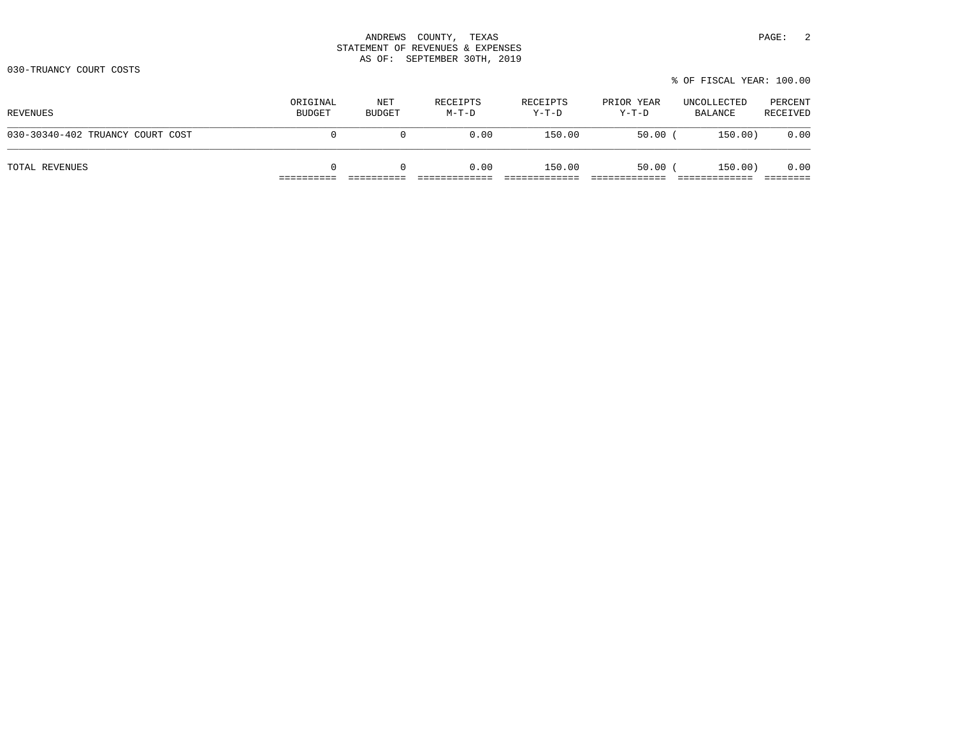030-TRUANCY COURT COSTS

|  |  | % OF FISCAL YEAR: 100.00 |  |
|--|--|--------------------------|--|
|  |  |                          |  |

| REVENUES                         | ORIGINAL<br><b>BUDGET</b> | NET<br>BUDGET | RECEIPTS<br>M-T-D | RECEIPTS<br>Y-T-D | PRIOR YEAR<br>Y-T-D | UNCOLLECTED<br>BALANCE | PERCENT<br>RECEIVED |
|----------------------------------|---------------------------|---------------|-------------------|-------------------|---------------------|------------------------|---------------------|
| 030-30340-402 TRUANCY COURT COST | 0                         | $\Omega$      | 0.00              | 150.00            | 50.00               | 150.00)                | 0.00                |
| TOTAL REVENUES                   |                           | $\Omega$      | 0.00              | 150.00            | 50.00               | 150.00)                | 0.00                |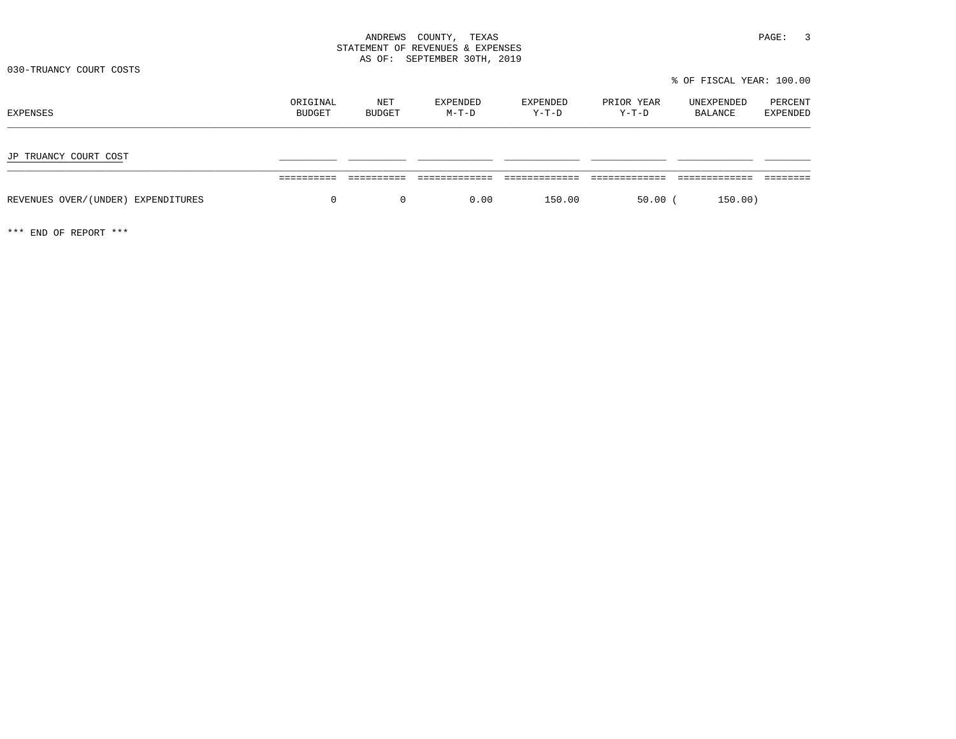030-TRUANCY COURT COSTS

 % OF FISCAL YEAR: 100.00ORIGINAL NET EXPENDED EXPENDED PRIOR YEAR UNEXPENDED PERCENT<br>BUDGET BUDGET M-T-D Y-T-D Y-T-D BALANCE EXPENDED JP TRUANCY COURT COST \_\_\_\_\_\_\_\_\_\_ \_\_\_\_\_\_\_\_\_\_ \_\_\_\_\_\_\_\_\_\_\_\_\_ \_\_\_\_\_\_\_\_\_\_\_\_\_ \_\_\_\_\_\_\_\_\_\_\_\_\_ \_\_\_\_\_\_\_\_\_\_\_\_\_ \_\_\_\_\_\_\_\_ ========== ========== ============= ============= ============= ============= ======== REVENUES OVER/(UNDER) EXPENDITURES  $0$  0 0 0.00 150.00 50.00 (150.00)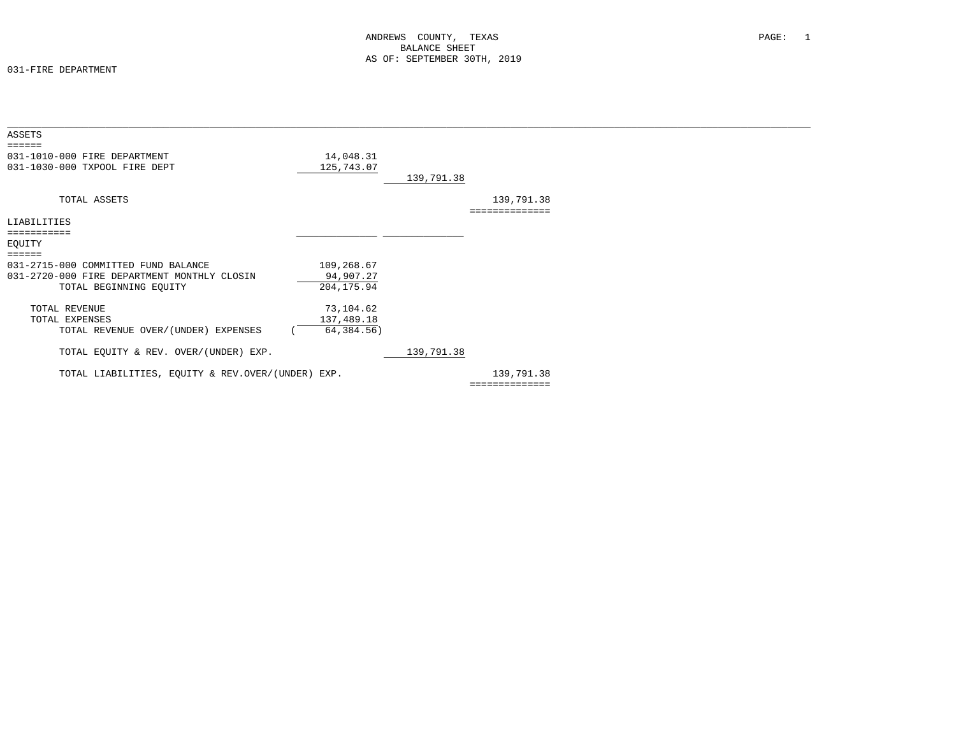031-FIRE DEPARTMENT

| ASSETS                                                        |                          |            |                              |  |
|---------------------------------------------------------------|--------------------------|------------|------------------------------|--|
| 031-1010-000 FIRE DEPARTMENT<br>031-1030-000 TXPOOL FIRE DEPT | 14,048.31<br>125,743.07  |            |                              |  |
|                                                               |                          | 139,791.38 |                              |  |
| TOTAL ASSETS                                                  |                          |            | 139,791.38<br>============== |  |
| LIABILITIES                                                   |                          |            |                              |  |
| ===========                                                   |                          |            |                              |  |
| EQUITY                                                        |                          |            |                              |  |
| $=$ $=$ $=$ $=$ $=$                                           |                          |            |                              |  |
| 031-2715-000 COMMITTED FUND BALANCE                           | 109,268.67               |            |                              |  |
| 031-2720-000 FIRE DEPARTMENT MONTHLY CLOSIN                   | 94,907.27                |            |                              |  |
| TOTAL BEGINNING EQUITY                                        | 204, 175.94              |            |                              |  |
| TOTAL REVENUE                                                 | 73,104.62                |            |                              |  |
| TOTAL EXPENSES                                                |                          |            |                              |  |
| TOTAL REVENUE OVER/(UNDER) EXPENSES                           | 137,489.18<br>64,384.56) |            |                              |  |
|                                                               |                          |            |                              |  |
| TOTAL EQUITY & REV. OVER/(UNDER) EXP.                         |                          | 139,791.38 |                              |  |
| TOTAL LIABILITIES, EQUITY & REV.OVER/(UNDER) EXP.             |                          |            | 139,791.38                   |  |
|                                                               |                          |            | ==============               |  |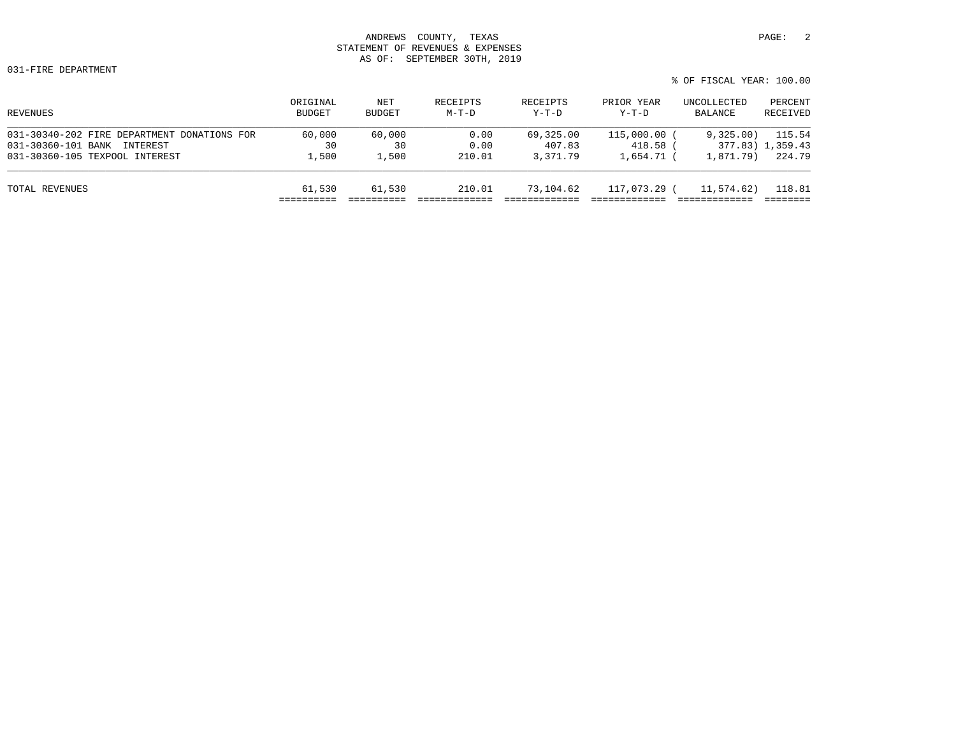| REVENUES                                    | ORIGINAL<br><b>BUDGET</b> | NET<br>BUDGET | RECEIPTS<br>$M-T-D$ | RECEIPTS<br>$Y-T-D$ | PRIOR YEAR<br>$Y-T-D$ | UNCOLLECTED<br>BALANCE | PERCENT<br>RECEIVED |
|---------------------------------------------|---------------------------|---------------|---------------------|---------------------|-----------------------|------------------------|---------------------|
| 031-30340-202 FIRE DEPARTMENT DONATIONS FOR | 60,000                    | 60,000        | 0.00                | 69,325.00           | 115,000.00 (          | 9,325.00               | 115.54              |
| 031-30360-101 BANK<br>INTEREST              | 30                        | 30            | 0.00                | 407.83              | 418.58 (              |                        | 377.83) 1,359.43    |
| 031-30360-105 TEXPOOL INTEREST              | 1,500                     | 1,500         | 210.01              | 3,371.79            | 1,654.71 (            | 1,871.79)              | 224.79              |
| TOTAL REVENUES                              | 61,530                    | 61,530        | 210.01              | 73,104.62           | 117,073.29 (          | 11,574.62)             | 118.81              |
|                                             |                           |               |                     |                     |                       |                        |                     |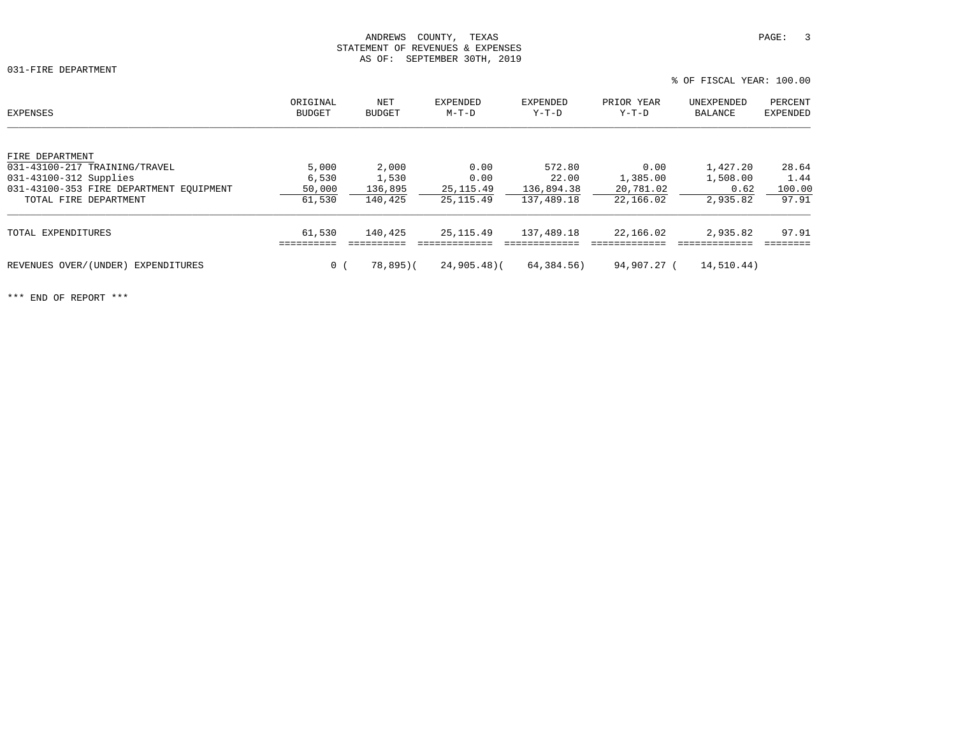031-FIRE DEPARTMENT

|                                         |                           |                      |                     |                   |                       | % OF FISCAL YEAR: 100.00 |                            |  |
|-----------------------------------------|---------------------------|----------------------|---------------------|-------------------|-----------------------|--------------------------|----------------------------|--|
| EXPENSES                                | ORIGINAL<br><b>BUDGET</b> | NET<br><b>BUDGET</b> | EXPENDED<br>$M-T-D$ | EXPENDED<br>Y-T-D | PRIOR YEAR<br>$Y-T-D$ | UNEXPENDED<br>BALANCE    | PERCENT<br><b>EXPENDED</b> |  |
| FIRE DEPARTMENT                         |                           |                      |                     |                   |                       |                          |                            |  |
| 031-43100-217 TRAINING/TRAVEL           | 5,000                     | 2,000                | 0.00                | 572.80            | 0.00                  | 1,427.20                 | 28.64                      |  |
| 031-43100-312 Supplies                  | 6,530                     | 1,530                | 0.00                | 22.00             | 1,385.00              | 1,508.00                 | 1.44                       |  |
| 031-43100-353 FIRE DEPARTMENT EOUIPMENT | 50,000                    | 136,895              | 25, 115.49          | 136,894.38        | 20,781.02             | 0.62                     | 100.00                     |  |
| TOTAL FIRE DEPARTMENT                   | 61,530                    | 140,425              | 25, 115.49          | 137,489.18        | 22,166.02             | 2,935.82                 | 97.91                      |  |
| TOTAL EXPENDITURES                      | 61,530                    | 140,425              | 25, 115, 49         | 137,489.18        | 22,166.02             | 2,935.82                 | 97.91                      |  |
|                                         |                           |                      |                     |                   |                       |                          |                            |  |
| REVENUES OVER/(UNDER)<br>EXPENDITURES   | 0 <sub>1</sub>            | 78,895)(             | $24,905.48$ (       | 64,384.56)        | 94,907.27 (           | 14,510.44)               |                            |  |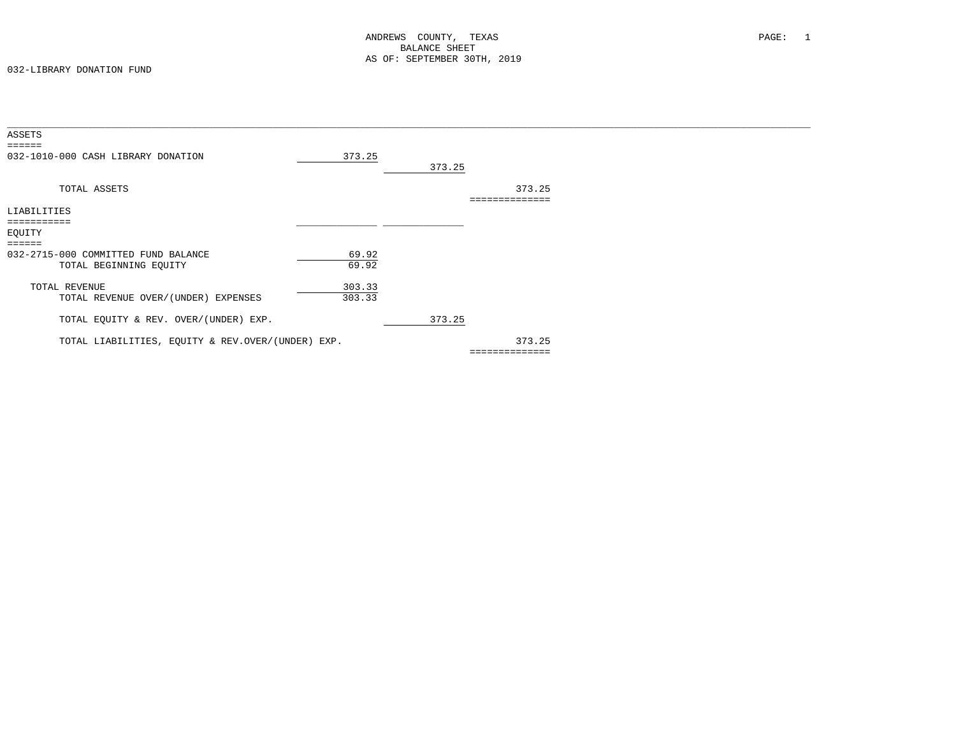| ASSETS                                            |        |        |                |  |
|---------------------------------------------------|--------|--------|----------------|--|
| ======                                            |        |        |                |  |
| 032-1010-000 CASH LIBRARY DONATION                | 373.25 |        |                |  |
|                                                   |        | 373.25 |                |  |
|                                                   |        |        |                |  |
| TOTAL ASSETS                                      |        |        | 373.25         |  |
|                                                   |        |        |                |  |
|                                                   |        |        | ============== |  |
| LIABILITIES                                       |        |        |                |  |
| ===========                                       |        |        |                |  |
| EQUITY                                            |        |        |                |  |
| $=$ $=$ $=$ $=$ $=$                               |        |        |                |  |
| 032-2715-000 COMMITTED FUND BALANCE               | 69.92  |        |                |  |
| TOTAL BEGINNING EQUITY                            | 69.92  |        |                |  |
|                                                   |        |        |                |  |
|                                                   |        |        |                |  |
| TOTAL REVENUE                                     | 303.33 |        |                |  |
| TOTAL REVENUE OVER/(UNDER) EXPENSES               | 303.33 |        |                |  |
|                                                   |        |        |                |  |
| TOTAL EQUITY & REV. OVER/(UNDER) EXP.             |        | 373.25 |                |  |
|                                                   |        |        |                |  |
| TOTAL LIABILITIES, EQUITY & REV.OVER/(UNDER) EXP. |        |        | 373.25         |  |
|                                                   |        |        | ============== |  |
|                                                   |        |        |                |  |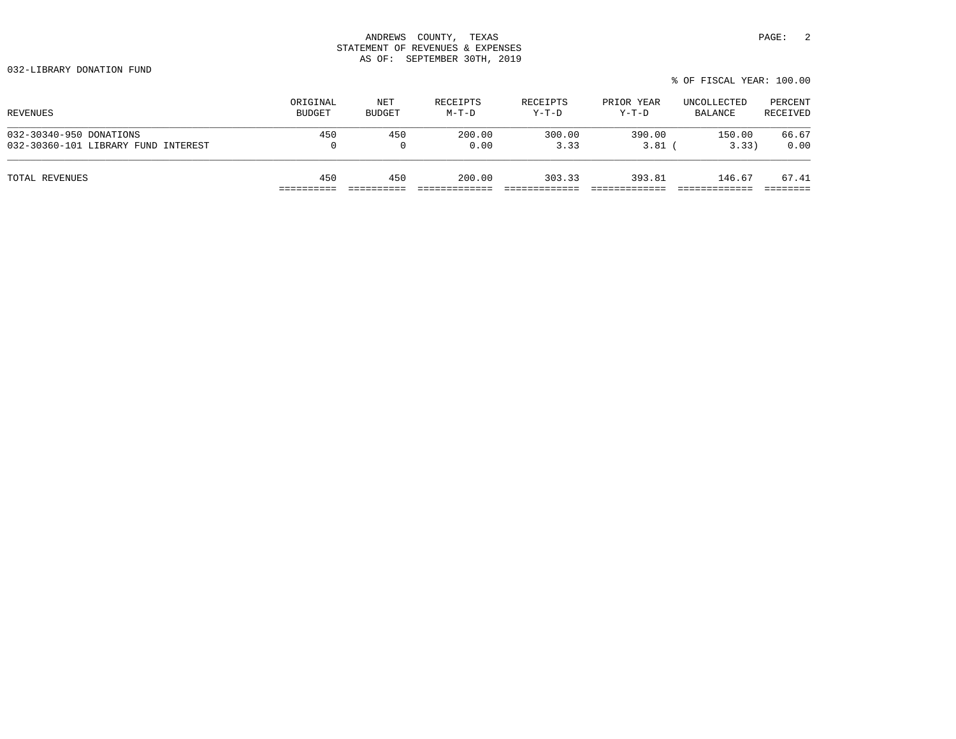|                                     |          |               |          |          |            | % OF FISCAL YEAR: 100.00 |          |
|-------------------------------------|----------|---------------|----------|----------|------------|--------------------------|----------|
| REVENUES                            | ORIGINAL | NET           | RECEIPTS | RECEIPTS | PRIOR YEAR | UNCOLLECTED              | PERCENT  |
|                                     | BUDGET   | <b>BUDGET</b> | $M-T-D$  | Y-T-D    | Y-T-D      | BALANCE                  | RECEIVED |
| 032-30340-950 DONATIONS             | 450      | 450           | 200.00   | 300.00   | 390.00     | 150.00                   | 66.67    |
| 032-30360-101 LIBRARY FUND INTEREST | 0        |               | 0.00     | 3.33     | 3.81       | 3.33)                    | 0.00     |
| TOTAL REVENUES                      | 450      | 450           | 200.00   | 303.33   | 393.81     | 146.67                   | 67.41    |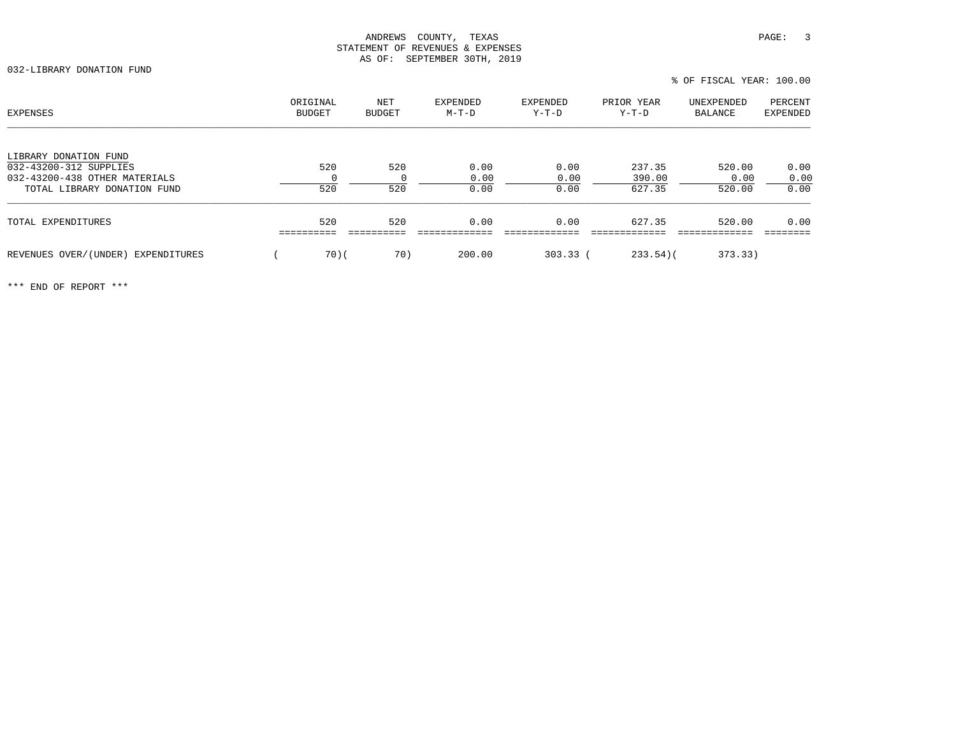| EXPENSES                                        | ORIGINAL<br>BUDGET | NET<br>BUDGET | EXPENDED<br>$M-T-D$ | EXPENDED<br>$Y-T-D$ | PRIOR YEAR<br>$Y-T-D$ | UNEXPENDED<br>BALANCE | PERCENT<br>EXPENDED |
|-------------------------------------------------|--------------------|---------------|---------------------|---------------------|-----------------------|-----------------------|---------------------|
| LIBRARY DONATION FUND<br>032-43200-312 SUPPLIES | 520                | 520           | 0.00                | 0.00                | 237.35                | 520.00                | 0.00                |
| 032-43200-438 OTHER MATERIALS                   |                    |               | 0.00                | 0.00                | 390.00                | 0.00                  | 0.00                |
| TOTAL LIBRARY DONATION FUND                     | 520                | 520           | 0.00                | 0.00                | 627.35                | 520.00                | 0.00                |
| TOTAL EXPENDITURES                              | 520                | 520           | 0.00                | 0.00                | 627.35                | 520.00                | 0.00                |
| REVENUES OVER/(UNDER)<br>EXPENDITURES           | 70(                | 70)           | 200.00              | $303.33$ (          | $233.54$ )(           | 373.33)               |                     |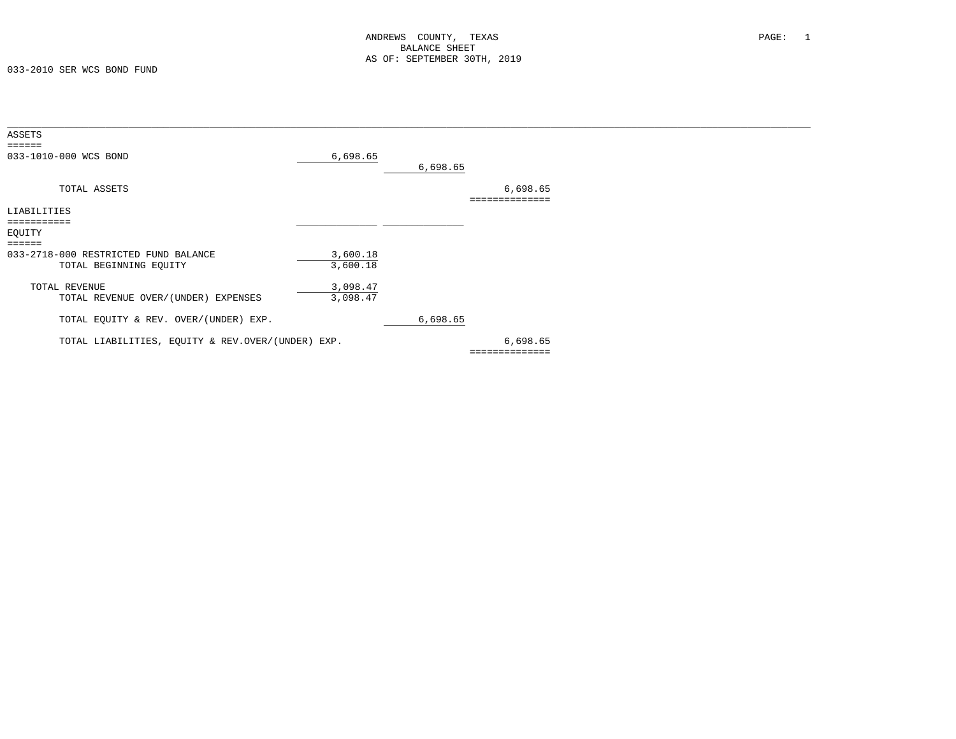| ASSETS                                            |          |          |          |  |
|---------------------------------------------------|----------|----------|----------|--|
| $=$ $=$ $=$ $=$ $=$                               |          |          |          |  |
| 033-1010-000 WCS BOND                             | 6,698.65 |          |          |  |
|                                                   |          | 6,698.65 |          |  |
|                                                   |          |          |          |  |
| TOTAL ASSETS                                      |          |          | 6,698.65 |  |
|                                                   |          |          |          |  |
| LIABILITIES                                       |          |          |          |  |
|                                                   |          |          |          |  |
| EQUITY                                            |          |          |          |  |
| ======                                            |          |          |          |  |
| 033-2718-000 RESTRICTED FUND BALANCE              | 3,600.18 |          |          |  |
| TOTAL BEGINNING EQUITY                            | 3,600.18 |          |          |  |
|                                                   |          |          |          |  |
| TOTAL REVENUE                                     | 3,098.47 |          |          |  |
| TOTAL REVENUE OVER/(UNDER) EXPENSES               | 3,098.47 |          |          |  |
|                                                   |          |          |          |  |
| TOTAL EQUITY & REV. OVER/(UNDER) EXP.             |          | 6,698.65 |          |  |
|                                                   |          |          |          |  |
| TOTAL LIABILITIES, EQUITY & REV.OVER/(UNDER) EXP. |          |          | 6,698.65 |  |
|                                                   |          |          |          |  |
|                                                   |          |          |          |  |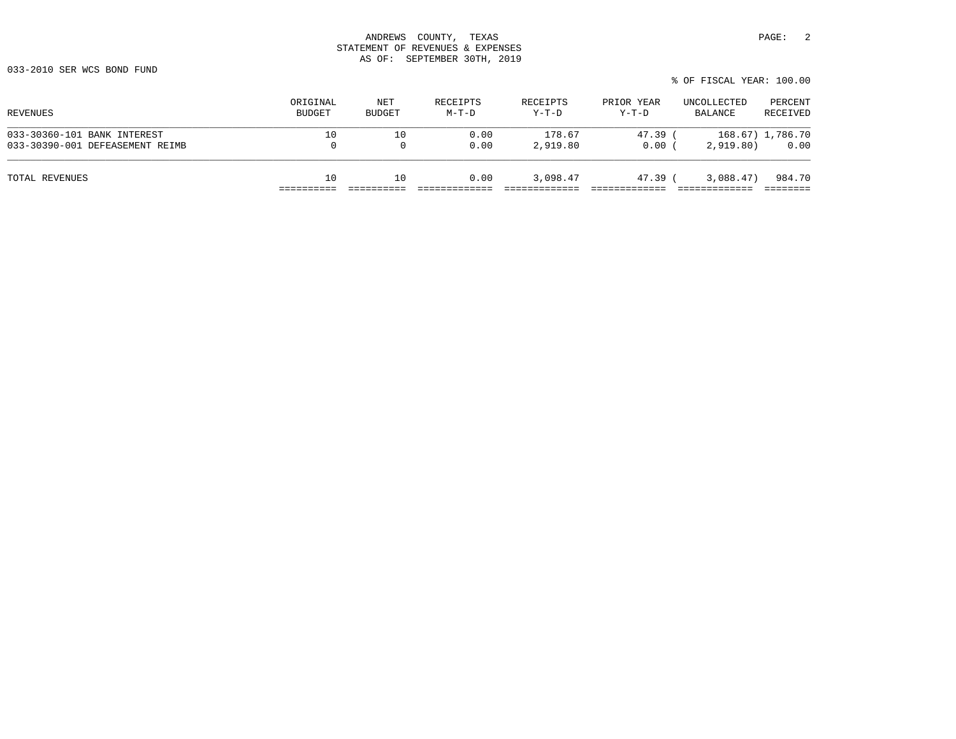|                                                                |                    |               |                     |                     |                       | % OF FISCAL YEAR: 100.00 |                          |
|----------------------------------------------------------------|--------------------|---------------|---------------------|---------------------|-----------------------|--------------------------|--------------------------|
| REVENUES                                                       | ORIGINAL<br>BUDGET | NET<br>BUDGET | RECEIPTS<br>$M-T-D$ | RECEIPTS<br>$Y-T-D$ | PRIOR YEAR<br>$Y-T-D$ | UNCOLLECTED<br>BALANCE   | PERCENT<br>RECEIVED      |
| 033-30360-101 BANK INTEREST<br>033-30390-001 DEFEASEMENT REIMB | 10<br>0            | 10            | 0.00<br>0.00        | 178.67<br>2,919.80  | 47.39 (<br>0.00(      | 2,919,80)                | 168.67) 1,786.70<br>0.00 |
| TOTAL REVENUES                                                 | 10                 | 10            | 0.00                | 3,098.47            | 47.39 (               | 3,088.47)                | 984.70                   |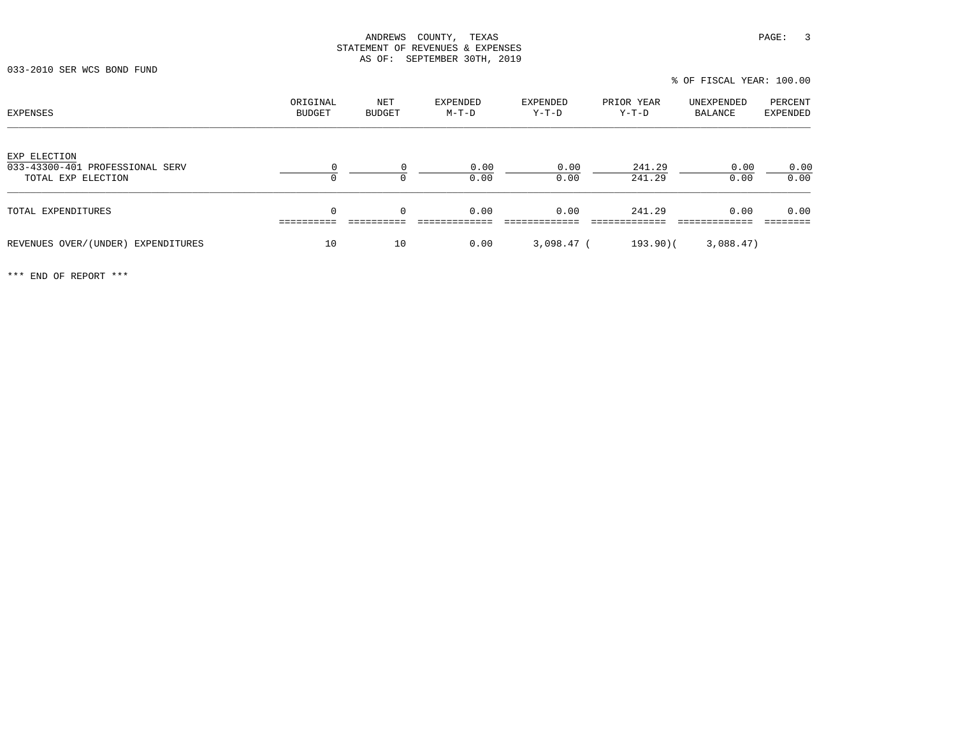% OF FISCAL YEAR: 100.00

| EXPENSES                                                              | ORIGINAL<br><b>BUDGET</b> | NET<br>BUDGET | EXPENDED<br>M-T-D | EXPENDED<br>Y-T-D | PRIOR YEAR<br>Y-T-D | UNEXPENDED<br>BALANCE | PERCENT<br>EXPENDED |
|-----------------------------------------------------------------------|---------------------------|---------------|-------------------|-------------------|---------------------|-----------------------|---------------------|
| EXP ELECTION<br>033-43300-401 PROFESSIONAL SERV<br>TOTAL EXP ELECTION |                           | $\Omega$<br>0 | 0.00<br>0.00      | 0.00<br>0.00      | 241.29<br>241.29    | 0.00<br>0.00          | 0.00<br>0.00        |
| TOTAL EXPENDITURES                                                    | $\Omega$                  | $\mathbf 0$   | 0.00              | 0.00              | 241.29              | 0.00                  | 0.00                |
| REVENUES OVER/(UNDER)<br>EXPENDITURES                                 | 10                        | 10            | 0.00              | $3,098.47$ (      | $193.90$ (          | 3,088.47)             |                     |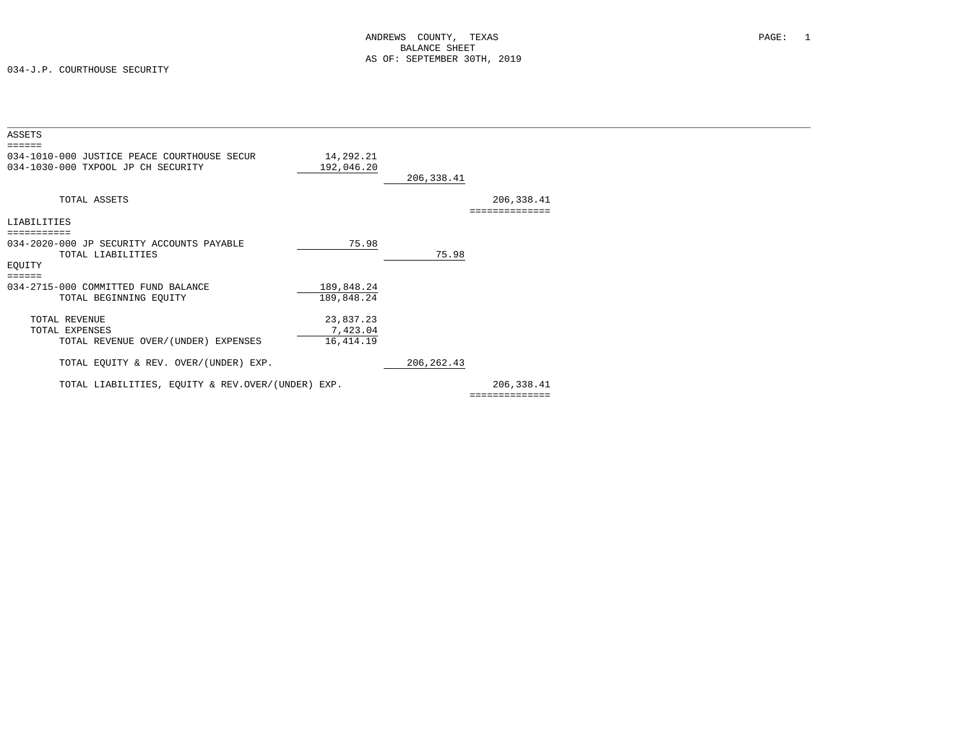034-J.P. COURTHOUSE SECURITY

| ASSETS                                            |            |             |                |  |
|---------------------------------------------------|------------|-------------|----------------|--|
|                                                   |            |             |                |  |
| 034-1010-000 JUSTICE PEACE COURTHOUSE SECUR       | 14,292.21  |             |                |  |
| 034-1030-000 TXPOOL JP CH SECURITY                | 192,046.20 |             |                |  |
|                                                   |            | 206,338.41  |                |  |
|                                                   |            |             |                |  |
| TOTAL ASSETS                                      |            |             | 206, 338.41    |  |
|                                                   |            |             | ============== |  |
| LIABILITIES                                       |            |             |                |  |
|                                                   |            |             |                |  |
| 034-2020-000 JP SECURITY ACCOUNTS PAYABLE         | 75.98      |             |                |  |
| TOTAL LIABILITIES                                 |            | 75.98       |                |  |
| EQUITY                                            |            |             |                |  |
| ======                                            |            |             |                |  |
| 034-2715-000 COMMITTED FUND BALANCE               | 189,848.24 |             |                |  |
| TOTAL BEGINNING EQUITY                            | 189,848.24 |             |                |  |
|                                                   |            |             |                |  |
| TOTAL REVENUE                                     | 23,837.23  |             |                |  |
| TOTAL EXPENSES                                    | 7,423.04   |             |                |  |
| TOTAL REVENUE OVER/(UNDER) EXPENSES               | 16, 414.19 |             |                |  |
|                                                   |            |             |                |  |
| TOTAL EQUITY & REV. OVER/(UNDER) EXP.             |            | 206, 262.43 |                |  |
|                                                   |            |             |                |  |
| TOTAL LIABILITIES, EQUITY & REV.OVER/(UNDER) EXP. |            |             | 206,338.41     |  |
|                                                   |            |             | .              |  |
|                                                   |            |             |                |  |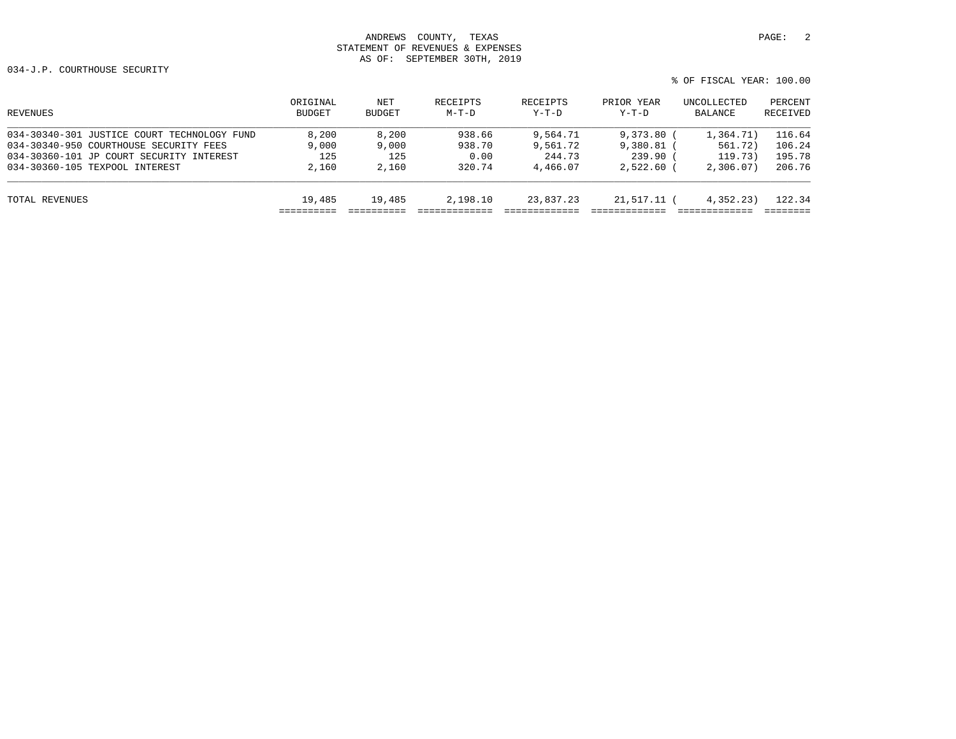| REVENUES                                    | ORIGINAL<br><b>BUDGET</b> | NET<br>BUDGET | RECEIPTS<br>$M-T-D$ | RECEIPTS<br>$Y-T-D$ | PRIOR YEAR<br>$Y-T-D$ | UNCOLLECTED<br>BALANCE | PERCENT<br>RECEIVED |
|---------------------------------------------|---------------------------|---------------|---------------------|---------------------|-----------------------|------------------------|---------------------|
| 034-30340-301 JUSTICE COURT TECHNOLOGY FUND | 8,200                     | 8,200         | 938.66              | 9,564.71            | 9,373,80              | 1,364.71)              | 116.64              |
| 034-30340-950 COURTHOUSE SECURITY FEES      | 9,000                     | 9,000         | 938.70              | 9,561.72            | $9,380.81$ (          | 561.72)                | 106.24              |
| 034-30360-101 JP COURT SECURITY INTEREST    | 125                       | 125           | 0.00                | 244.73              | $239.90$ (            | 119.73)                | 195.78              |
| 034-30360-105 TEXPOOL INTEREST              | 2,160                     | 2,160         | 320.74              | 4,466.07            | $2.522.60$ (          | 2,306,07               | 206.76              |
| TOTAL REVENUES                              | 19,485                    | 19,485        | 2,198.10            | 23,837.23           | 21,517.11 (           | 4,352.23)              | 122.34              |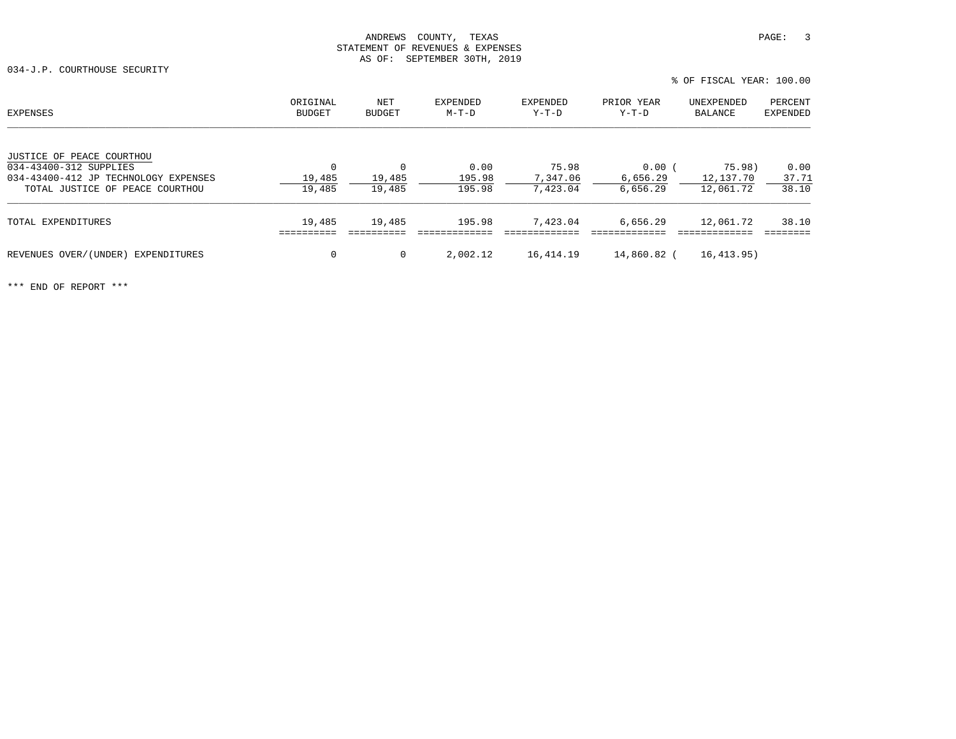034-J.P. COURTHOUSE SECURITY

| EXPENSES                                                       | ORIGINAL<br>BUDGET    | NET<br><b>BUDGET</b> | <b>EXPENDED</b><br>$M-T-D$ | EXPENDED<br>Y-T-D | PRIOR YEAR<br>Y-T-D  | UNEXPENDED<br>BALANCE | PERCENT<br><b>EXPENDED</b> |
|----------------------------------------------------------------|-----------------------|----------------------|----------------------------|-------------------|----------------------|-----------------------|----------------------------|
| JUSTICE OF PEACE COURTHOU                                      |                       |                      |                            |                   |                      |                       |                            |
| 034-43400-312 SUPPLIES<br>034-43400-412 JP TECHNOLOGY EXPENSES | $\mathbf 0$<br>19,485 | $\Omega$<br>19,485   | 0.00<br>195.98             | 75.98<br>7,347.06 | $0.00$ (<br>6,656.29 | 75.98)<br>12,137.70   | 0.00<br>37.71              |
| TOTAL JUSTICE OF PEACE COURTHOU                                | 19,485                | 19,485               | 195.98                     | 7,423.04          | 6,656.29             | 12,061.72             | 38.10                      |
| TOTAL EXPENDITURES                                             | 19,485                | 19,485               | 195.98                     | 7,423.04          | 6,656.29             | 12,061.72             | 38.10                      |
| REVENUES OVER/(UNDER)<br>EXPENDITURES                          | 0                     | 0                    | 2,002.12                   | 16,414.19         | 14,860.82 (          | 16,413.95)            |                            |

% OF FISCAL YEAR: 100.00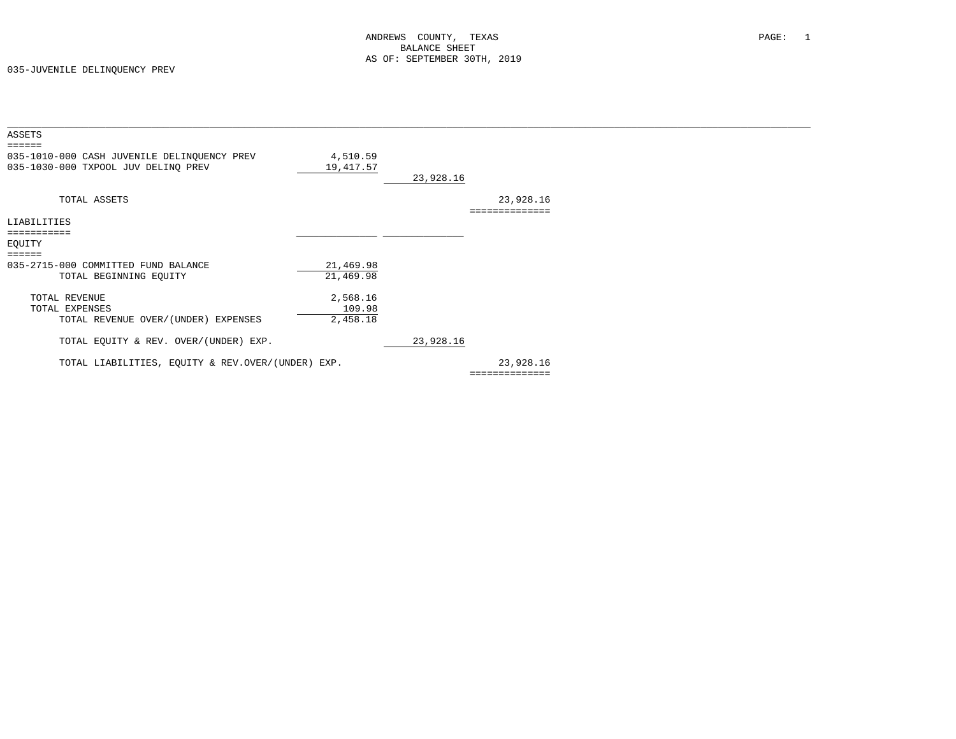| ASSETS                                                                                       |                                |           |                             |
|----------------------------------------------------------------------------------------------|--------------------------------|-----------|-----------------------------|
| ======<br>035-1010-000 CASH JUVENILE DELINQUENCY PREV<br>035-1030-000 TXPOOL JUV DELINQ PREV | 4,510.59<br>19,417.57          | 23,928.16 |                             |
| TOTAL ASSETS                                                                                 |                                |           | 23,928.16<br>============== |
| LIABILITIES                                                                                  |                                |           |                             |
| ===========<br>EQUITY                                                                        |                                |           |                             |
| ======<br>035-2715-000 COMMITTED FUND BALANCE<br>TOTAL BEGINNING EQUITY                      | 21,469.98<br>21,469.98         |           |                             |
| TOTAL REVENUE<br>TOTAL EXPENSES<br>TOTAL REVENUE OVER/(UNDER) EXPENSES                       | 2,568.16<br>109.98<br>2,458.18 |           |                             |
| TOTAL EQUITY & REV. OVER/(UNDER) EXP.                                                        |                                | 23,928.16 |                             |
| TOTAL LIABILITIES, EQUITY & REV.OVER/(UNDER) EXP.                                            |                                |           | 23,928.16                   |
|                                                                                              |                                |           | ==============              |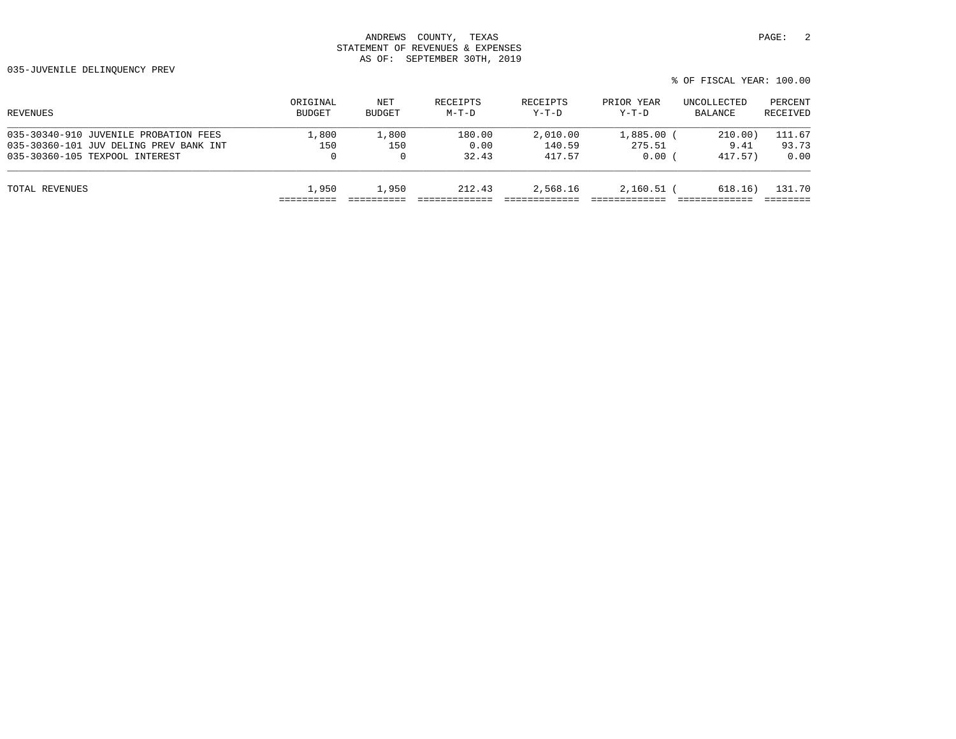| REVENUES                               | ORIGINAL      | NET          | RECEIPTS | RECEIPTS | PRIOR YEAR | UNCOLLECTED | PERCENT  |
|----------------------------------------|---------------|--------------|----------|----------|------------|-------------|----------|
|                                        | <b>BUDGET</b> | BUDGET       | $M-T-D$  | $Y-T-D$  | $Y-T-D$    | BALANCE     | RECEIVED |
| 035-30340-910 JUVENILE PROBATION FEES  | 1,800         | 1,800        | 180.00   | 2,010.00 | 1,885.00   | 210.00)     | 111.67   |
| 035-30360-101 JUV DELING PREV BANK INT | 150           | 150          | 0.00     | 140.59   | 275.51     | 9.41        | 93.73    |
| 035-30360-105 TEXPOOL INTEREST         | 0             | $\mathbf{0}$ | 32.43    | 417.57   | 0.00       | 417.57)     | 0.00     |
| TOTAL REVENUES                         | 1,950         | 1,950        | 212.43   | 2,568.16 | 2,160.51   | 618.16)     | 131.70   |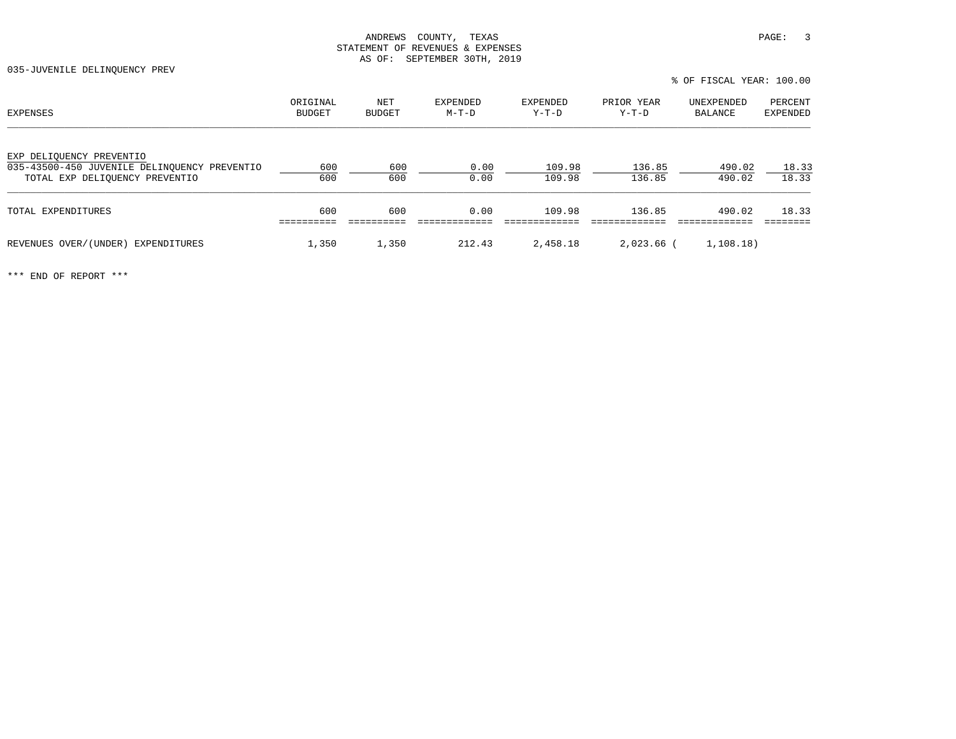035-JUVENILE DELINQUENCY PREV

| EXPENSES                                                                 | ORIGINAL<br><b>BUDGET</b> | NET<br><b>BUDGET</b> | EXPENDED<br>$M-T-D$ | EXPENDED<br>$Y-T-D$ | PRIOR YEAR<br>$Y-T-D$ | UNEXPENDED<br>BALANCE | PERCENT<br>EXPENDED |
|--------------------------------------------------------------------------|---------------------------|----------------------|---------------------|---------------------|-----------------------|-----------------------|---------------------|
| EXP DELIQUENCY PREVENTIO<br>035-43500-450 JUVENILE DELINOUENCY PREVENTIO | 600                       | 600                  | 0.00                | 109.98              | 136.85                | 490.02                | 18.33               |
| TOTAL EXP DELIOUENCY PREVENTIO                                           | 600                       | 600                  | 0.00                | 109.98              | 136.85                | 490.02                | 18.33               |
| TOTAL EXPENDITURES                                                       | 600                       | 600                  | 0.00                | 109.98              | 136.85                | 490.02                | 18.33               |
| REVENUES OVER/(UNDER) EXPENDITURES                                       | 1,350                     | 1,350                | 212.43              | 2,458.18            | 2,023.66 (            | 1, 108.18)            |                     |

% OF FISCAL YEAR: 100.00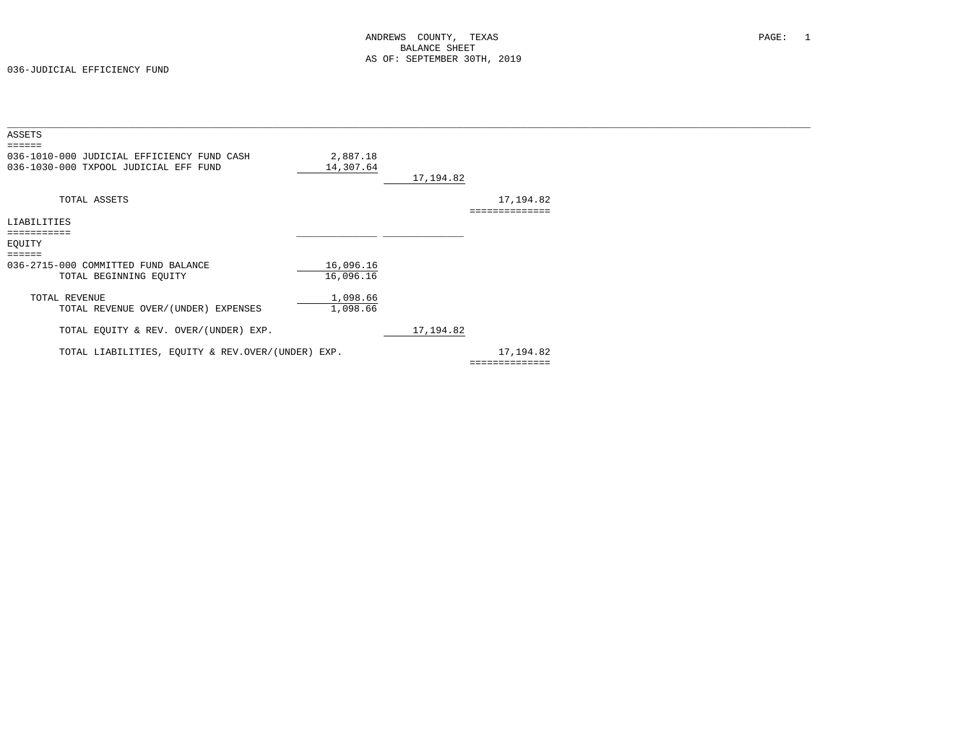| ASSETS                                            |           |            |                |  |
|---------------------------------------------------|-----------|------------|----------------|--|
| 036-1010-000 JUDICIAL EFFICIENCY FUND CASH        | 2,887.18  |            |                |  |
| 036-1030-000 TXPOOL JUDICIAL EFF FUND             | 14,307.64 |            |                |  |
|                                                   |           | 17,194.82  |                |  |
| TOTAL ASSETS                                      |           |            | 17,194.82      |  |
|                                                   |           |            |                |  |
| LIABILITIES                                       |           |            |                |  |
| ===========                                       |           |            |                |  |
| EOUITY                                            |           |            |                |  |
| $=$ $=$ $=$ $=$ $=$                               |           |            |                |  |
| 036-2715-000 COMMITTED FUND BALANCE               | 16,096.16 |            |                |  |
| TOTAL BEGINNING EQUITY                            | 16,096.16 |            |                |  |
| TOTAL REVENUE                                     | 1,098.66  |            |                |  |
| TOTAL REVENUE OVER/(UNDER) EXPENSES               | 1,098.66  |            |                |  |
|                                                   |           |            |                |  |
| TOTAL EQUITY & REV. OVER/(UNDER) EXP.             |           | 17, 194.82 |                |  |
| TOTAL LIABILITIES, EQUITY & REV.OVER/(UNDER) EXP. |           |            | 17,194.82      |  |
|                                                   |           |            | ============== |  |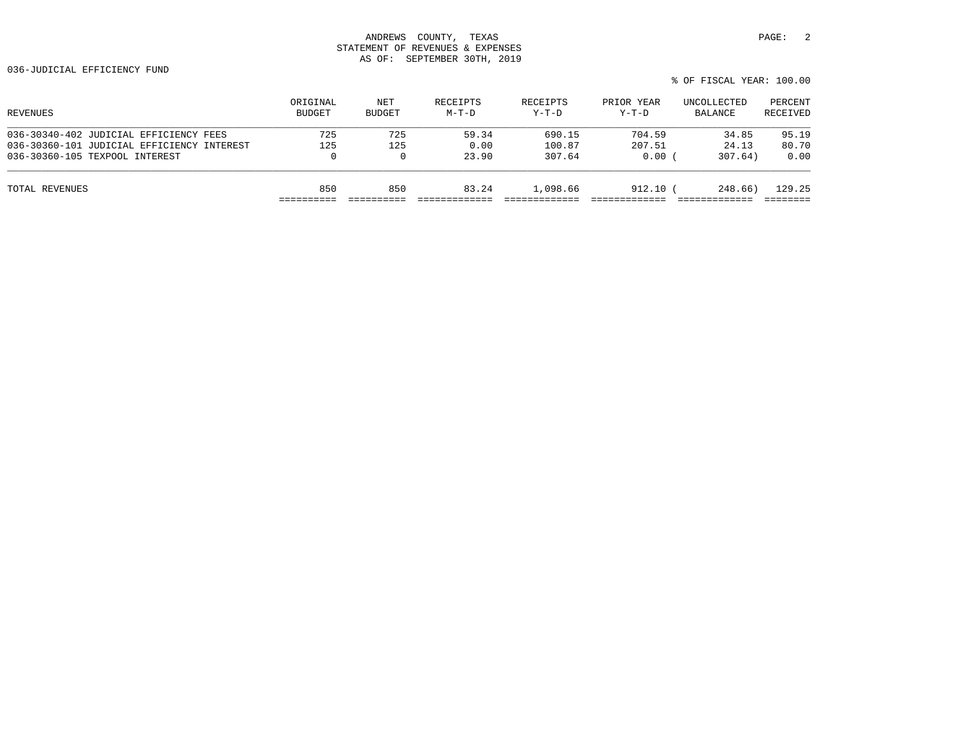| ORIGINAL<br><b>BUDGET</b> | NET<br><b>BUDGET</b> | RECEIPTS<br>$M-T-D$ | RECEIPTS<br>$Y-T-D$ | PRIOR YEAR<br>$Y-T-D$ | UNCOLLECTED<br>BALANCE | PERCENT<br>RECEIVED |
|---------------------------|----------------------|---------------------|---------------------|-----------------------|------------------------|---------------------|
| 725                       | 725                  | 59.34               | 690.15              | 704.59                | 34.85                  | 95.19               |
| 125                       | 125                  | 0.00                | 100.87              | 207.51                | 24.13                  | 80.70               |
| 0                         | $\Omega$             | 23.90               | 307.64              | 0.00                  | 307.64)                | 0.00                |
| 850                       | 850                  | 83.24               | 1,098.66            |                       | 248.66)                | 129.25              |
|                           |                      |                     |                     |                       |                        | 912.10              |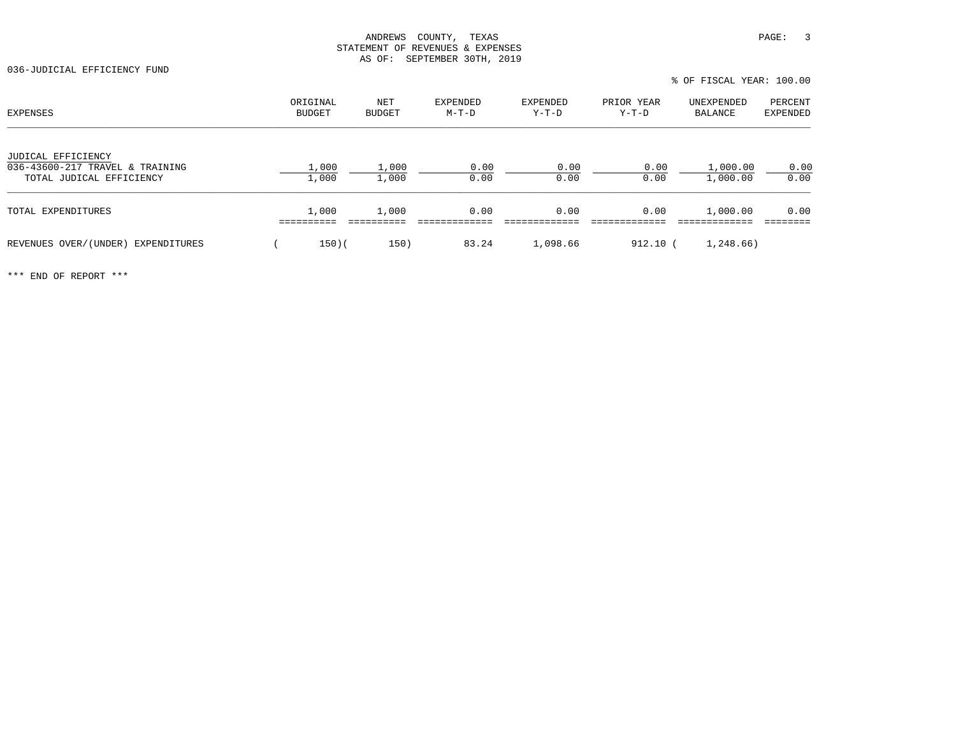036-JUDICIAL EFFICIENCY FUND

| EXPENSES                                                                          | ORIGINAL<br>BUDGET | NET<br>BUDGET  | EXPENDED<br>$M-T-D$ | EXPENDED<br>Y-T-D | PRIOR YEAR<br>Y-T-D | UNEXPENDED<br>BALANCE | PERCENT<br>EXPENDED |
|-----------------------------------------------------------------------------------|--------------------|----------------|---------------------|-------------------|---------------------|-----------------------|---------------------|
| JUDICAL EFFICIENCY<br>036-43600-217 TRAVEL & TRAINING<br>TOTAL JUDICAL EFFICIENCY | 1,000<br>1,000     | 1,000<br>1,000 | 0.00<br>0.00        | 0.00<br>0.00      | 0.00<br>0.00        | 1,000.00<br>1,000.00  | 0.00<br>0.00        |
| TOTAL EXPENDITURES                                                                | 1,000              | 1,000          | 0.00                | 0.00              | 0.00                | 1,000.00              | 0.00                |
| REVENUES OVER/(UNDER)<br>EXPENDITURES                                             | $150)$ (           | 150)           | 83.24               | 1,098.66          | 912.10              | 1,248.66)             |                     |

% OF FISCAL YEAR: 100.00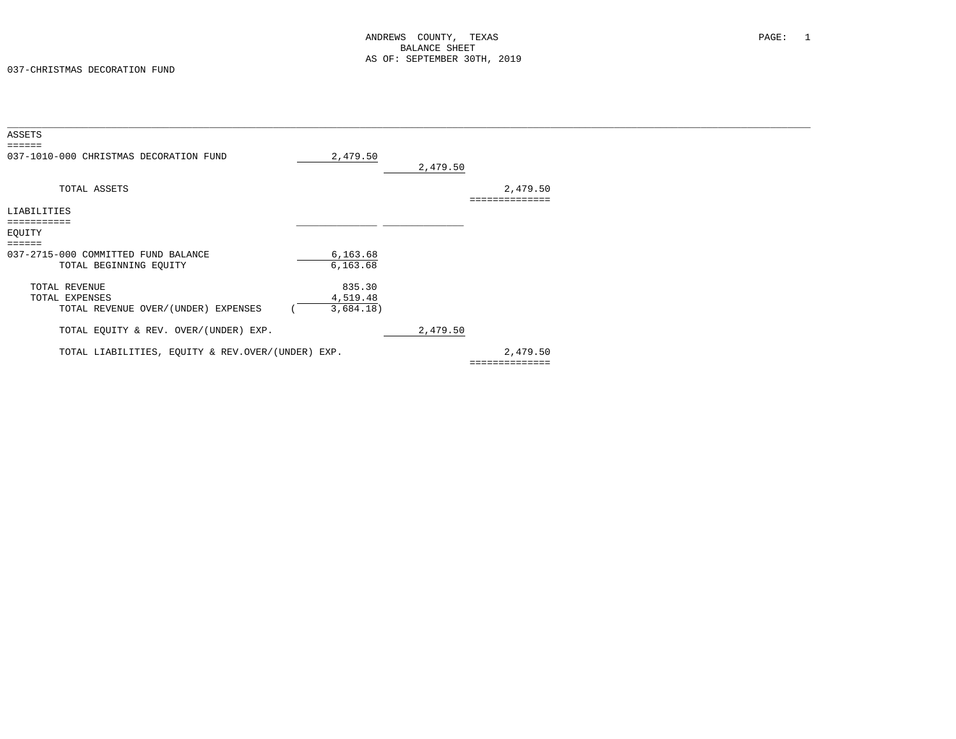| ASSETS<br>$\qquad \qquad \equiv \equiv \equiv \equiv \equiv \equiv$ |                       |          |                |  |
|---------------------------------------------------------------------|-----------------------|----------|----------------|--|
| 037-1010-000 CHRISTMAS DECORATION FUND                              | 2,479.50              | 2,479.50 |                |  |
| TOTAL ASSETS                                                        |                       |          | 2,479.50       |  |
| LIABILITIES                                                         |                       |          |                |  |
| ===========                                                         |                       |          |                |  |
| EQUITY                                                              |                       |          |                |  |
| $=$ $=$ $=$ $=$ $=$                                                 |                       |          |                |  |
| 037-2715-000 COMMITTED FUND BALANCE<br>TOTAL BEGINNING EQUITY       | 6, 163.68<br>6,163.68 |          |                |  |
| TOTAL REVENUE                                                       | 835.30                |          |                |  |
| TOTAL EXPENSES                                                      | 4,519.48              |          |                |  |
| TOTAL REVENUE OVER/(UNDER) EXPENSES                                 | 3,684.18)             |          |                |  |
| TOTAL EQUITY & REV. OVER/(UNDER) EXP.                               |                       | 2,479.50 |                |  |
| TOTAL LIABILITIES, EQUITY & REV.OVER/(UNDER) EXP.                   |                       |          | 2,479.50       |  |
|                                                                     |                       |          | ============== |  |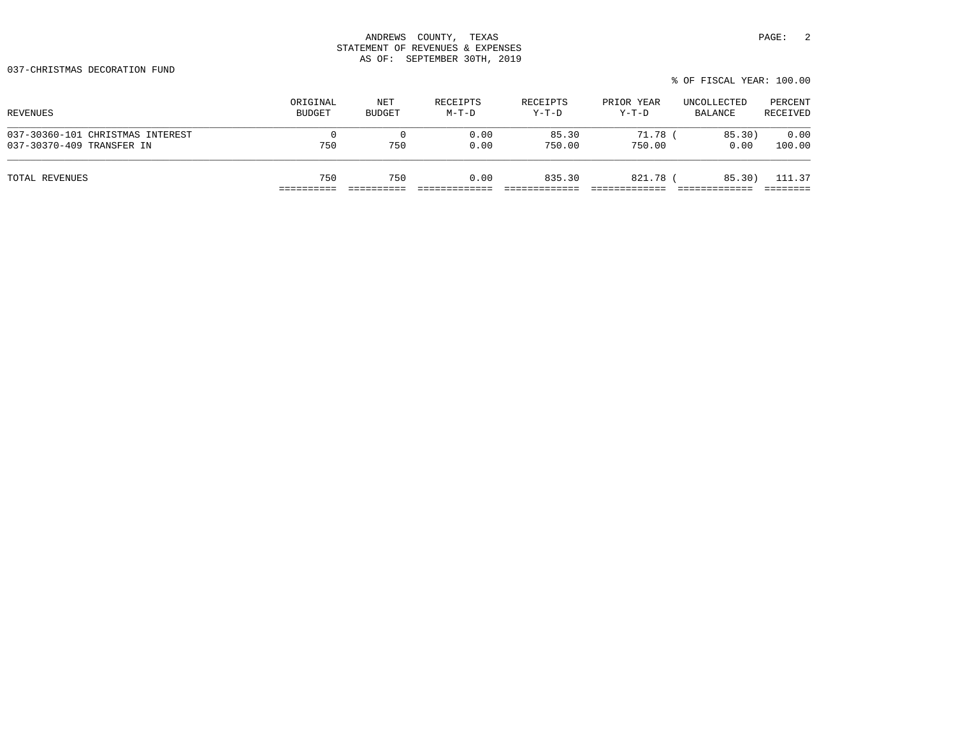037-CHRISTMAS DECORATION FUND

| REVENUES                         | ORIGINAL      | NET           | RECEIPTS | RECEIPTS | PRIOR YEAR | UNCOLLECTED | PERCENT  |
|----------------------------------|---------------|---------------|----------|----------|------------|-------------|----------|
|                                  | <b>BUDGET</b> | <b>BUDGET</b> | $M-T-D$  | Y-T-D    | Y-T-D      | BALANCE     | RECEIVED |
| 037-30360-101 CHRISTMAS INTEREST | $\Omega$      | 750           | 0.00     | 85.30    | 71.78      | 85.30)      | 0.00     |
| 037-30370-409 TRANSFER IN        | 750           |               | 0.00     | 750.00   | 750.00     | 0.00        | 100.00   |
| TOTAL REVENUES                   | 750           | 750           | 0.00     | 835.30   | 821.78     | 85.30)      | 111.37   |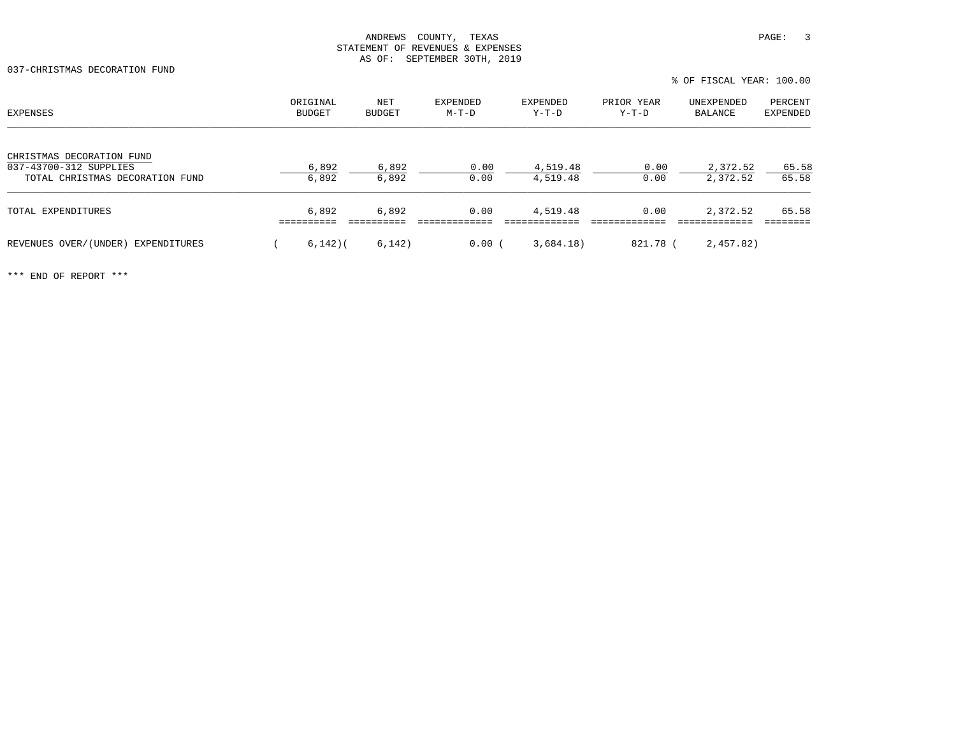037-CHRISTMAS DECORATION FUND

| <b>EXPENSES</b>                                           | ORIGINAL<br><b>BUDGET</b> | NET<br><b>BUDGET</b> | EXPENDED<br>$M-T-D$ | EXPENDED<br>$Y-T-D$  | PRIOR YEAR<br>$Y-T-D$ | UNEXPENDED<br>BALANCE | PERCENT<br><b>EXPENDED</b> |
|-----------------------------------------------------------|---------------------------|----------------------|---------------------|----------------------|-----------------------|-----------------------|----------------------------|
| CHRISTMAS DECORATION FUND                                 |                           |                      |                     |                      |                       |                       |                            |
| 037-43700-312 SUPPLIES<br>TOTAL CHRISTMAS DECORATION FUND | 6,892<br>6,892            | 6,892<br>6,892       | 0.00<br>0.00        | 4,519.48<br>4,519.48 | 0.00<br>0.00          | 2,372.52<br>2,372.52  | 65.58<br>65.58             |
| TOTAL EXPENDITURES                                        | 6,892                     | 6,892                | 0.00                | 4,519.48             | 0.00                  | 2,372.52              | 65.58                      |
| REVENUES OVER/(UNDER) EXPENDITURES                        | $6,142$ )(                | 6,142)               | 0.00(               | 3,684.18)            | 821.78 (              | 2,457.82)             |                            |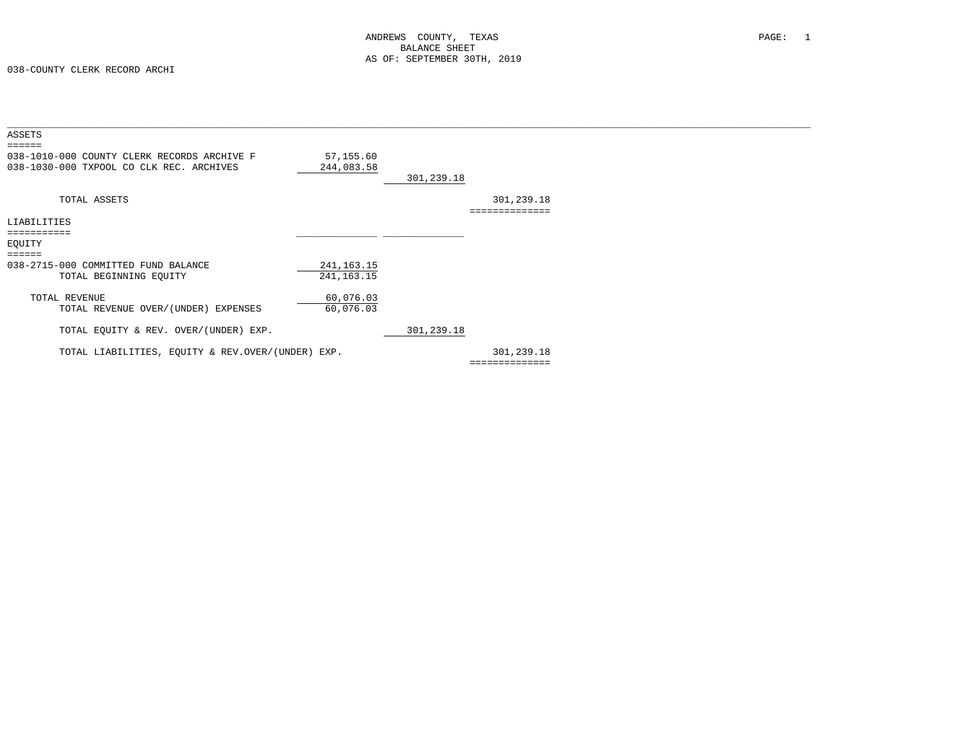| ASSETS<br>$\qquad \qquad \equiv \equiv \equiv \equiv \equiv \equiv$                     |                              |            |                |  |
|-----------------------------------------------------------------------------------------|------------------------------|------------|----------------|--|
| 038-1010-000 COUNTY CLERK RECORDS ARCHIVE F<br>038-1030-000 TXPOOL CO CLK REC. ARCHIVES | 57,155.60<br>244,083.58      | 301,239.18 |                |  |
| TOTAL ASSETS                                                                            |                              |            | 301,239.18     |  |
| LIABILITIES                                                                             |                              |            |                |  |
| .<br>EQUITY                                                                             |                              |            |                |  |
| $=$ = = = = =<br>038-2715-000 COMMITTED FUND BALANCE<br>TOTAL BEGINNING EQUITY          | 241, 163. 15<br>241, 163. 15 |            |                |  |
| TOTAL REVENUE<br>TOTAL REVENUE OVER/(UNDER) EXPENSES                                    | 60,076.03<br>60,076.03       |            |                |  |
| TOTAL EQUITY & REV. OVER/(UNDER) EXP.                                                   |                              | 301,239.18 |                |  |
| TOTAL LIABILITIES, EQUITY & REV.OVER/(UNDER) EXP.                                       |                              |            | 301,239.18     |  |
|                                                                                         |                              |            | ============== |  |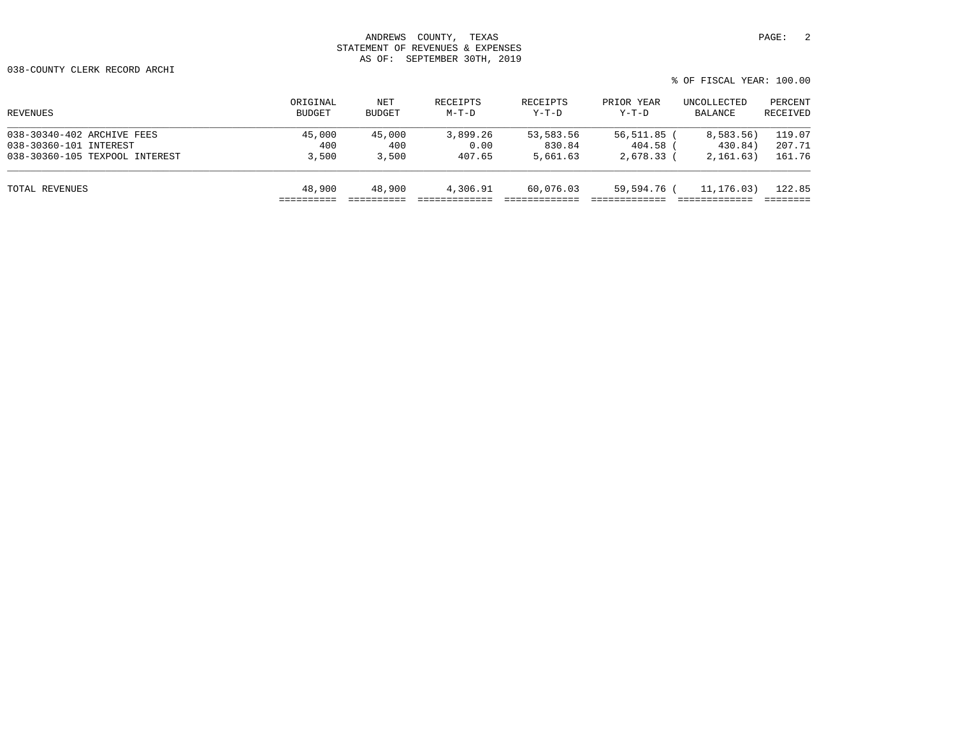038-COUNTY CLERK RECORD ARCHI

| ORIGINAL<br>BUDGET | NET<br><b>BUDGET</b> | RECEIPTS<br>$M-T-D$ | RECEIPTS<br>Y-T-D | PRIOR YEAR<br>$Y-T-D$ | UNCOLLECTED<br>BALANCE | PERCENT<br>RECEIVED                                |
|--------------------|----------------------|---------------------|-------------------|-----------------------|------------------------|----------------------------------------------------|
| 45,000             | 45,000               | 3,899.26            | 53,583.56         |                       | 8,583.56)              | 119.07                                             |
| 400                | 400                  | 0.00                | 830.84            |                       | 430.84)                | 207.71                                             |
| 3,500              | 3,500                | 407.65              | 5,661.63          |                       | 2,161.63)              | 161.76                                             |
| 48,900             | 48,900               | 4,306.91            | 60,076.03         |                       | 11,176.03)             | 122.85                                             |
|                    |                      |                     |                   |                       |                        | 56,511.85<br>404.58 (<br>2,678.33 (<br>59,594.76 ( |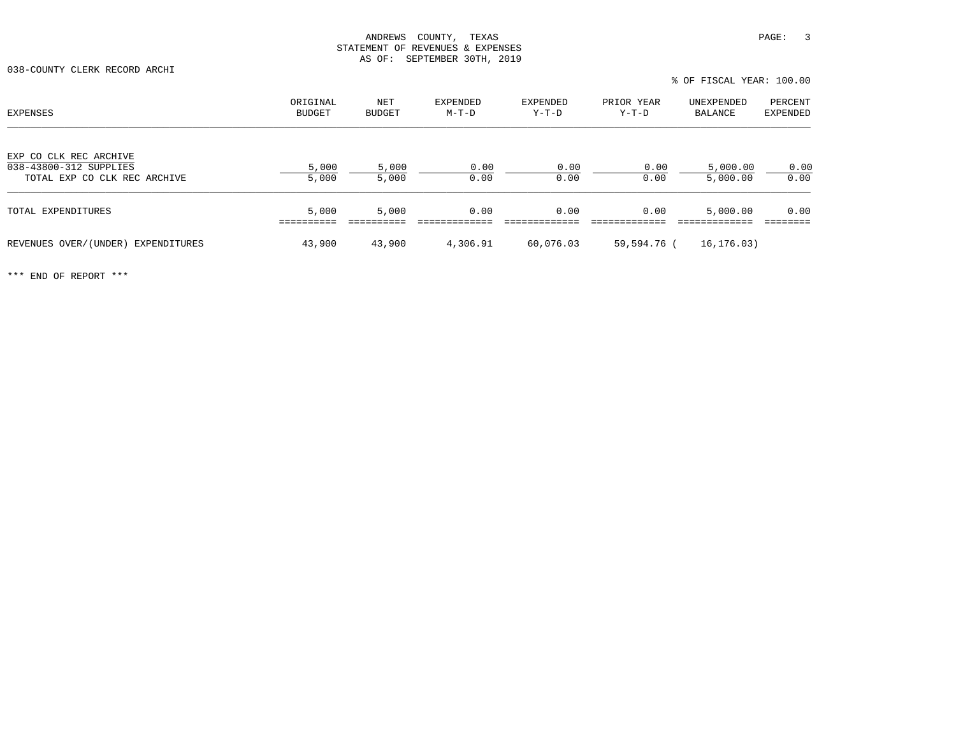038-COUNTY CLERK RECORD ARCHI

| EXPENSES                                                                         | ORIGINAL<br><b>BUDGET</b> | NET<br><b>BUDGET</b> | EXPENDED<br>M-T-D | EXPENDED<br>Y-T-D | PRIOR YEAR<br>Y-T-D | UNEXPENDED<br>BALANCE | PERCENT<br>EXPENDED |
|----------------------------------------------------------------------------------|---------------------------|----------------------|-------------------|-------------------|---------------------|-----------------------|---------------------|
| EXP CO CLK REC ARCHIVE<br>038-43800-312 SUPPLIES<br>TOTAL EXP CO CLK REC ARCHIVE | 5,000<br>5,000            | 5,000<br>5,000       | 0.00<br>0.00      | 0.00<br>0.00      | 0.00<br>0.00        | 5,000.00<br>5,000.00  | 0.00<br>0.00        |
|                                                                                  |                           |                      |                   |                   |                     |                       |                     |
| TOTAL EXPENDITURES                                                               | 5,000                     | 5,000                | 0.00              | 0.00              | 0.00                | 5,000.00              | 0.00                |
| REVENUES OVER/(UNDER)<br>EXPENDITURES                                            | 43,900                    | 43,900               | 4,306.91          | 60,076.03         | 59,594.76 (         | 16,176.03)            |                     |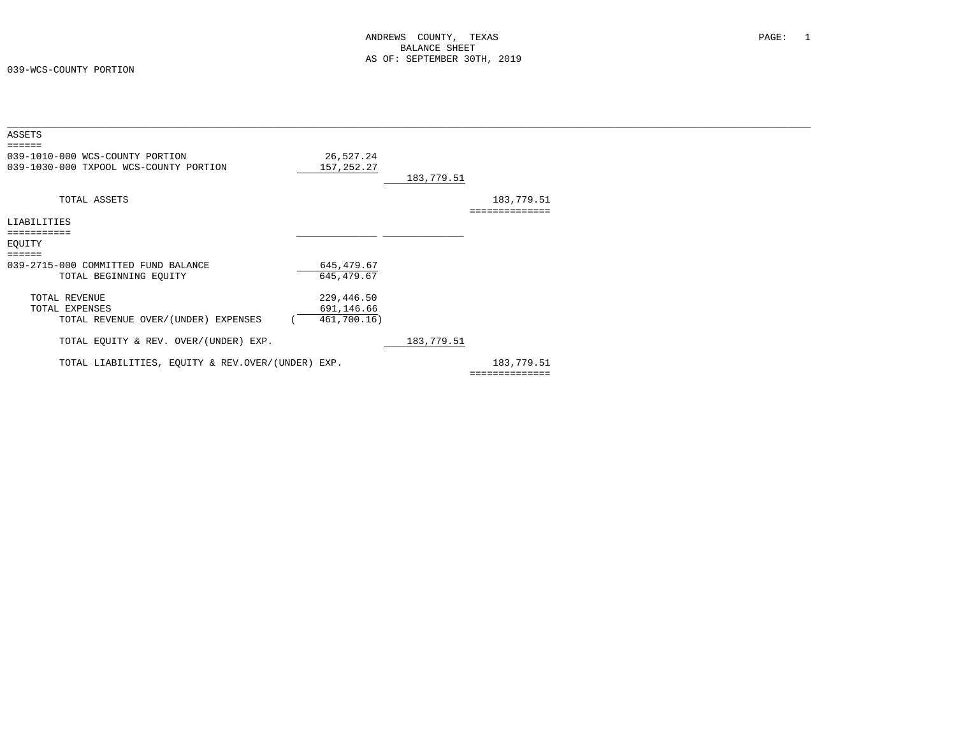| ASSETS                                                                    |                         |            |                              |
|---------------------------------------------------------------------------|-------------------------|------------|------------------------------|
| ======                                                                    |                         |            |                              |
| 039-1010-000 WCS-COUNTY PORTION<br>039-1030-000 TXPOOL WCS-COUNTY PORTION | 26,527.24<br>157,252.27 | 183,779.51 |                              |
| TOTAL ASSETS                                                              |                         |            | 183,779.51<br>============== |
| LIABILITIES                                                               |                         |            |                              |
| :=========                                                                |                         |            |                              |
| EQUITY                                                                    |                         |            |                              |
| ======                                                                    |                         |            |                              |
| 039-2715-000 COMMITTED FUND BALANCE                                       | 645,479.67              |            |                              |
| TOTAL BEGINNING EQUITY                                                    | 645, 479.67             |            |                              |
| TOTAL REVENUE                                                             | 229,446.50              |            |                              |
| TOTAL EXPENSES                                                            | 691,146.66              |            |                              |
| TOTAL REVENUE OVER/(UNDER) EXPENSES                                       | 461,700.16)             |            |                              |
|                                                                           |                         |            |                              |
| TOTAL EQUITY & REV. OVER/(UNDER) EXP.                                     |                         | 183,779.51 |                              |
|                                                                           |                         |            |                              |
| TOTAL LIABILITIES, EQUITY & REV.OVER/(UNDER) EXP.                         |                         |            | 183,779.51                   |
|                                                                           |                         |            | ==============               |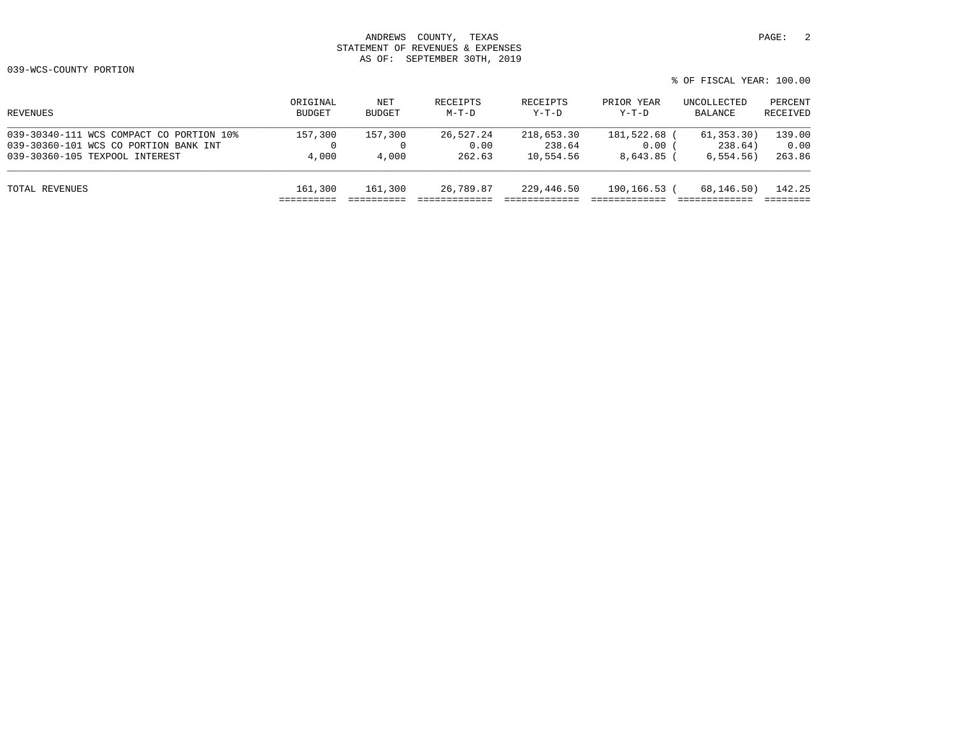| REVENUES                                 | ORIGINAL<br>BUDGET | NET<br><b>BUDGET</b> | RECEIPTS<br>$M-T-D$ | RECEIPTS<br>$Y-T-D$ | PRIOR YEAR<br>Y-T-D | UNCOLLECTED<br>BALANCE | PERCENT<br>RECEIVED |
|------------------------------------------|--------------------|----------------------|---------------------|---------------------|---------------------|------------------------|---------------------|
| 039-30340-111 WCS COMPACT CO PORTION 10% | 157,300            | 157,300              | 26,527.24           | 218,653.30          | 181,522.68 (        | 61, 353.30)            | 139.00              |
| 039-30360-101 WCS CO PORTION BANK INT    |                    | $\Omega$             | 0.00                | 238.64              | 0.00                | 238.64)                | 0.00                |
| 039-30360-105 TEXPOOL INTEREST           | 4,000              | 4,000                | 262.63              | 10,554.56           | 8,643.85 (          | 6.554.56)              | 263.86              |
| TOTAL REVENUES                           | 161,300            | 161,300              | 26,789.87           | 229,446.50          | 190,166.53 (        | 68,146.50)             | 142.25              |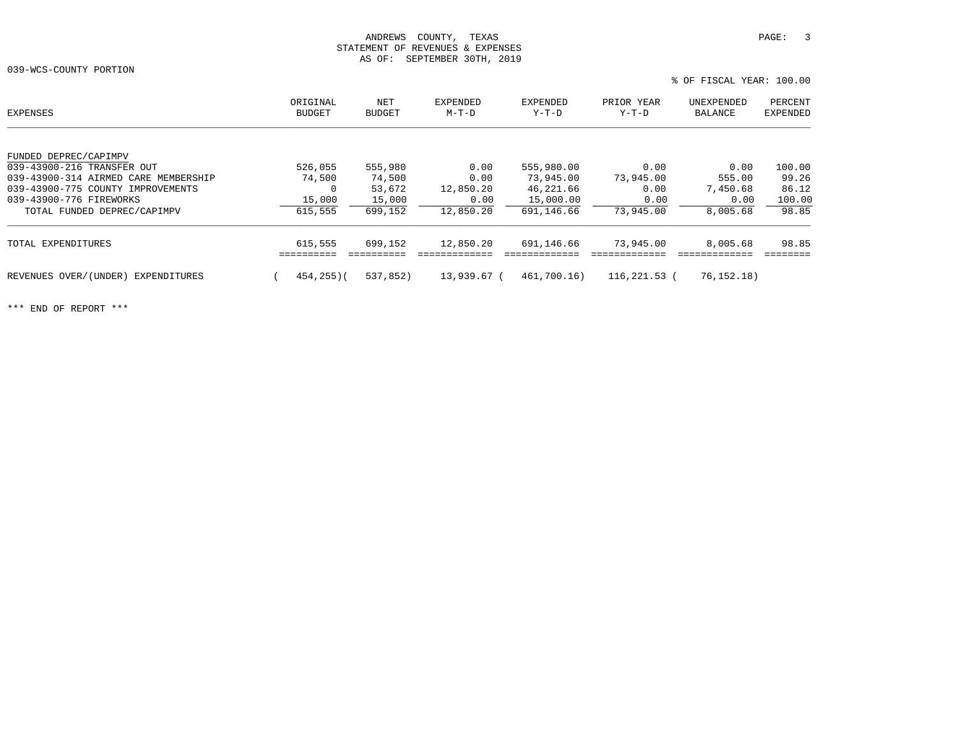039-WCS-COUNTY PORTION

% OF FISCAL YEAR: 100.00

| EXPENSES                             | ORIGINAL<br><b>BUDGET</b> | NET<br><b>BUDGET</b> | EXPENDED<br>$M-T-D$ | <b>EXPENDED</b><br>Y-T-D | PRIOR YEAR<br>Y-T-D | UNEXPENDED<br>BALANCE | PERCENT<br><b>EXPENDED</b> |
|--------------------------------------|---------------------------|----------------------|---------------------|--------------------------|---------------------|-----------------------|----------------------------|
|                                      |                           |                      |                     |                          |                     |                       |                            |
| FUNDED DEPREC/CAPIMPV                |                           |                      |                     |                          |                     |                       |                            |
| 039-43900-216 TRANSFER OUT           | 526,055                   | 555,980              | 0.00                | 555,980.00               | 0.00                | 0.00                  | 100.00                     |
| 039-43900-314 AIRMED CARE MEMBERSHIP | 74,500                    | 74,500               | 0.00                | 73,945.00                | 73,945.00           | 555.00                | 99.26                      |
| 039-43900-775 COUNTY IMPROVEMENTS    | 0                         | 53,672               | 12,850.20           | 46,221.66                | 0.00                | 7,450.68              | 86.12                      |
| 039-43900-776 FIREWORKS              | 15,000                    | 15,000               | 0.00                | 15,000.00                | 0.00                | 0.00                  | 100.00                     |
| TOTAL FUNDED DEPREC/CAPIMPV          | 615,555                   | 699,152              | 12,850.20           | 691,146.66               | 73,945.00           | 8,005.68              | 98.85                      |
| TOTAL EXPENDITURES                   | 615,555                   | 699,152              | 12,850.20           | 691,146.66               | 73,945.00           | 8,005.68              | 98.85                      |
|                                      |                           |                      |                     |                          |                     |                       |                            |
| REVENUES OVER/(UNDER) EXPENDITURES   | 454,255)(                 | 537,852)             | 13,939.67 (         | 461,700.16)              | 116,221.53 (        | 76,152.18)            |                            |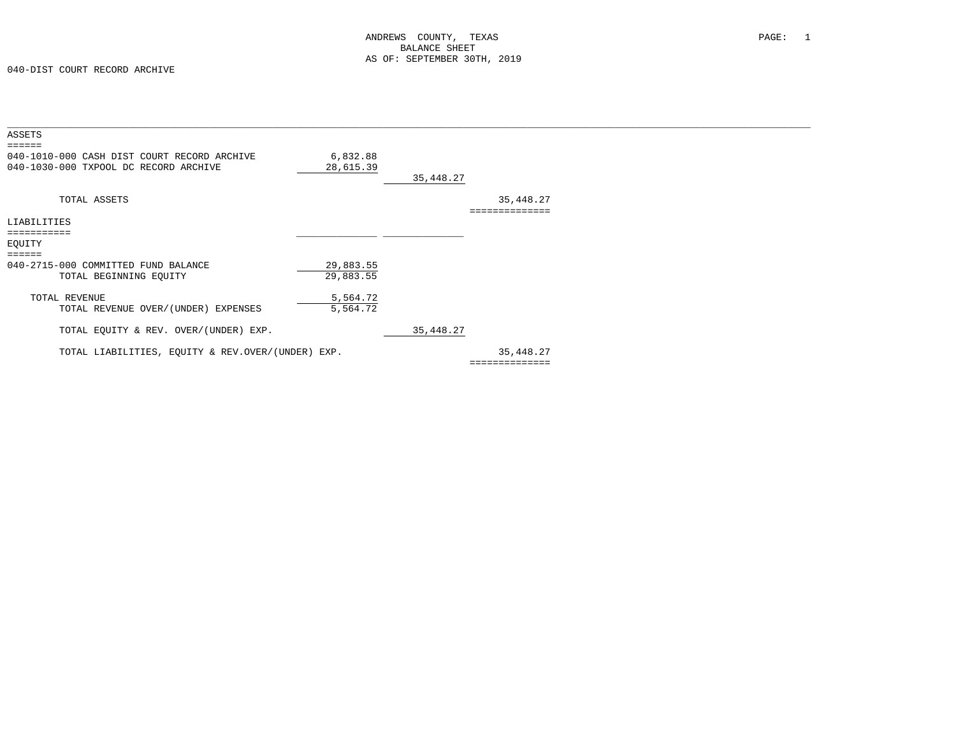| ASSETS<br>$=$ $=$ $=$ $=$ $=$                                                        |                        |           |                             |  |
|--------------------------------------------------------------------------------------|------------------------|-----------|-----------------------------|--|
| 040-1010-000 CASH DIST COURT RECORD ARCHIVE<br>040-1030-000 TXPOOL DC RECORD ARCHIVE | 6,832.88<br>28,615.39  | 35,448.27 |                             |  |
| TOTAL ASSETS                                                                         |                        |           | 35,448.27                   |  |
| LIABILITIES<br>===========                                                           |                        |           |                             |  |
| EQUITY<br>$=$ =====                                                                  |                        |           |                             |  |
| 040-2715-000 COMMITTED FUND BALANCE<br>TOTAL BEGINNING EQUITY                        | 29,883.55<br>29,883.55 |           |                             |  |
| TOTAL REVENUE<br>TOTAL REVENUE OVER/(UNDER) EXPENSES                                 | 5,564.72<br>5,564.72   |           |                             |  |
| TOTAL EQUITY & REV. OVER/(UNDER) EXP.                                                |                        | 35,448.27 |                             |  |
| TOTAL LIABILITIES, EOUITY & REV.OVER/(UNDER) EXP.                                    |                        |           | 35,448.27<br>============== |  |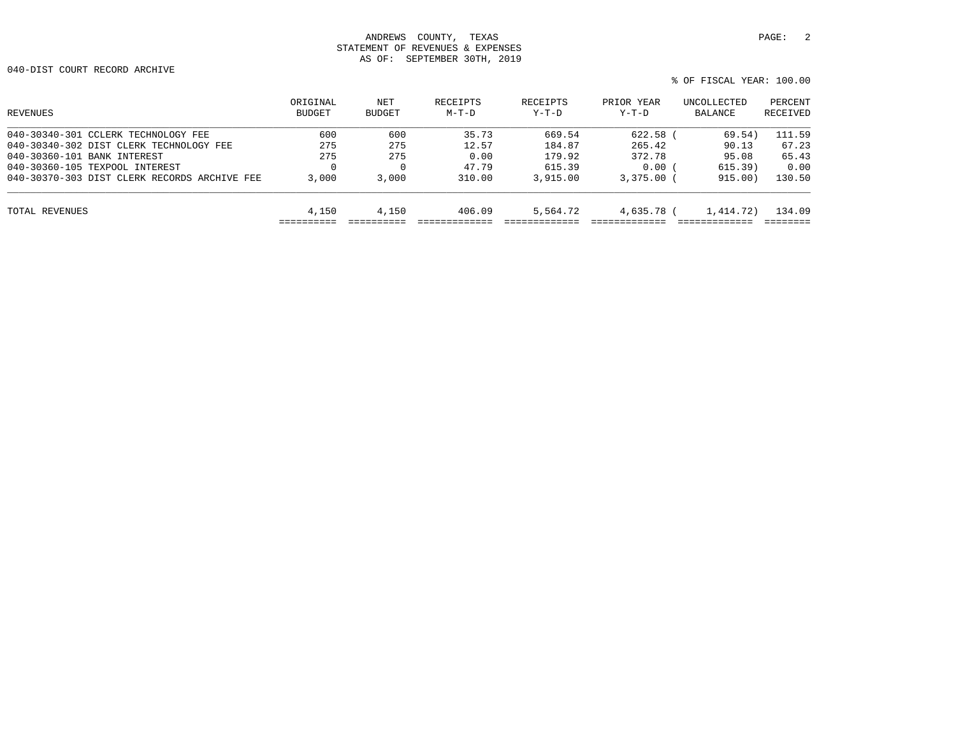040-DIST COURT RECORD ARCHIVE

| REVENUES                                     | ORIGINAL<br>BUDGET | NET<br>BUDGET | RECEIPTS<br>$M-T-D$ | RECEIPTS<br>$Y-T-D$ | PRIOR YEAR<br>Y-T-D | UNCOLLECTED<br>BALANCE | PERCENT<br>RECEIVED |
|----------------------------------------------|--------------------|---------------|---------------------|---------------------|---------------------|------------------------|---------------------|
| 040-30340-301 CCLERK TECHNOLOGY FEE          | 600                | 600           | 35.73               | 669.54              | 622.58              | 69.54)                 | 111.59              |
| 040-30340-302 DIST CLERK TECHNOLOGY FEE      | 275                | 275           | 12.57               | 184.87              | 265.42              | 90.13                  | 67.23               |
| 040-30360-101 BANK INTEREST                  | 275                | 275           | 0.00                | 179.92              | 372.78              | 95.08                  | 65.43               |
| 040-30360-105 TEXPOOL INTEREST               |                    | $\Omega$      | 47.79               | 615.39              | 0.00                | 615.39)                | 0.00                |
| 040-30370-303 DIST CLERK RECORDS ARCHIVE FEE | 3,000              | 3,000         | 310.00              | 3,915.00            | $3.375.00$ (        | 915.00)                | 130.50              |
| TOTAL REVENUES                               | 4,150              | 4,150         | 406.09              | 5,564.72            | 4,635.78 (          | 1,414.72)              | 134.09              |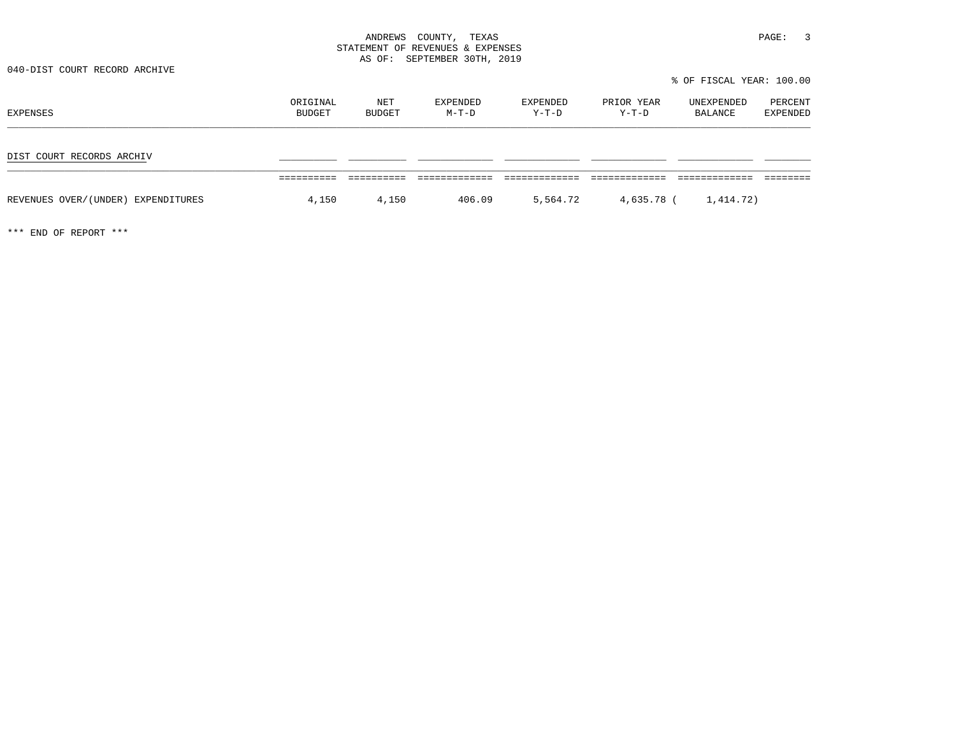040-DIST COURT RECORD ARCHIVE

% OF FISCAL YEAR: 100.00

| EXPENSES                           | ORIGINAL<br>BUDGET | NET<br>BUDGET | EXPENDED<br>$M-T-D$ | EXPENDED<br>Y-T-D | PRIOR YEAR<br>Y-T-D | UNEXPENDED<br>BALANCE | PERCENT<br>EXPENDED |
|------------------------------------|--------------------|---------------|---------------------|-------------------|---------------------|-----------------------|---------------------|
| DIST COURT RECORDS ARCHIV          |                    |               |                     |                   |                     |                       |                     |
| REVENUES OVER/(UNDER) EXPENDITURES | 4,150              | 4,150         | 406.09              | 5,564.72          | 4,635.78 (          | 1,414.72)             |                     |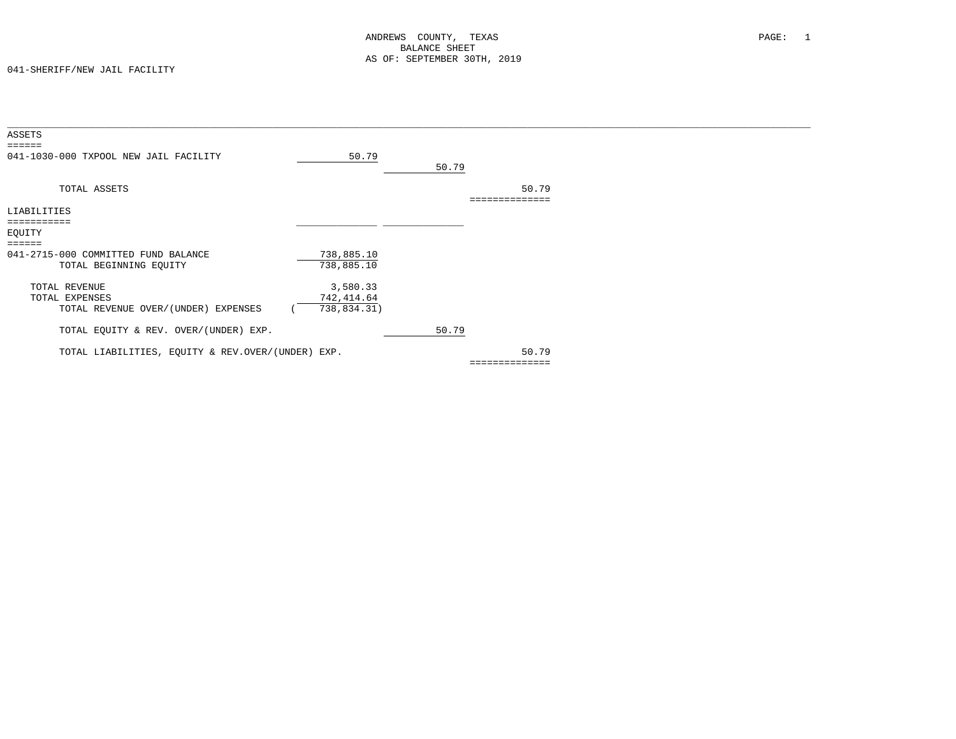| 50.79      |                                                                                             |                |                         |  |
|------------|---------------------------------------------------------------------------------------------|----------------|-------------------------|--|
|            |                                                                                             |                |                         |  |
|            |                                                                                             |                |                         |  |
|            |                                                                                             | 50.79          |                         |  |
|            |                                                                                             |                |                         |  |
|            |                                                                                             |                |                         |  |
|            |                                                                                             |                |                         |  |
|            |                                                                                             |                |                         |  |
|            |                                                                                             |                |                         |  |
| 738,885.10 |                                                                                             |                |                         |  |
| 738,885.10 |                                                                                             |                |                         |  |
|            |                                                                                             |                |                         |  |
|            |                                                                                             |                |                         |  |
|            |                                                                                             |                |                         |  |
|            |                                                                                             |                |                         |  |
|            |                                                                                             |                |                         |  |
|            |                                                                                             |                |                         |  |
|            |                                                                                             |                |                         |  |
|            |                                                                                             |                |                         |  |
|            |                                                                                             |                |                         |  |
|            | 3,580.33<br>742, 414.64<br>738,834.31)<br>TOTAL LIABILITIES, EQUITY & REV.OVER/(UNDER) EXP. | 50.79<br>50.79 | 50.79<br>============== |  |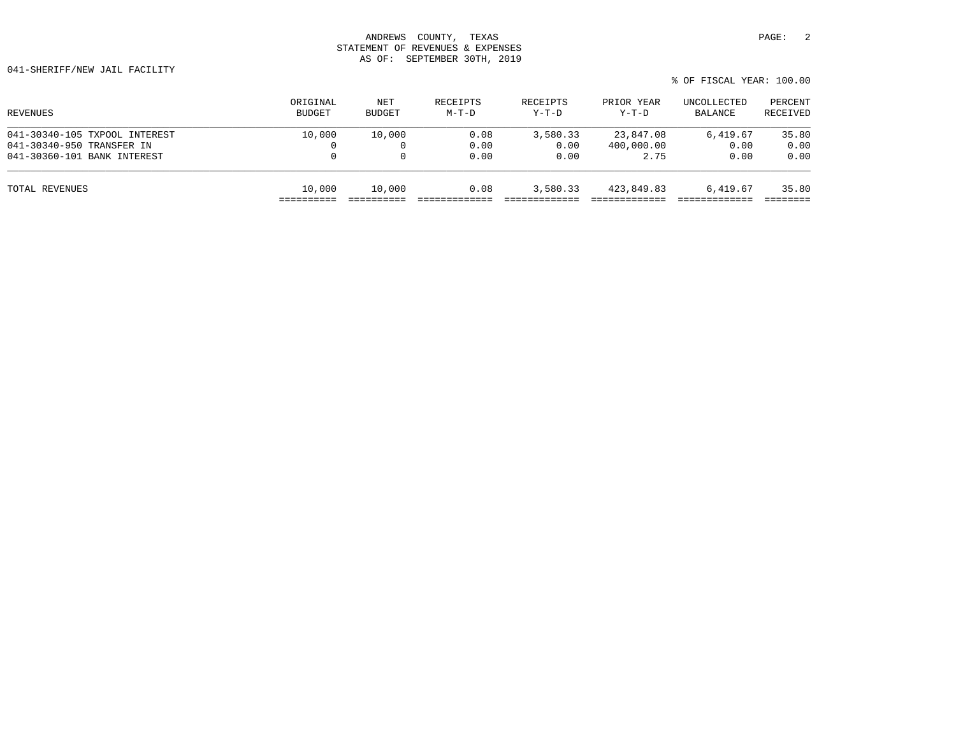| ORIGINAL<br><b>BUDGET</b> | NET<br><b>BUDGET</b> | RECEIPTS<br>$M-T-D$ | RECEIPTS<br>$Y-T-D$ | PRIOR YEAR<br>Y-T-D | UNCOLLECTED<br>BALANCE | PERCENT<br>RECEIVED |
|---------------------------|----------------------|---------------------|---------------------|---------------------|------------------------|---------------------|
| 10,000                    | 10,000               | 0.08                | 3,580.33            | 23,847.08           | 6,419.67               | 35.80               |
| 0                         |                      | 0.00                | 0.00                | 400,000.00          | 0.00                   | 0.00                |
| $\mathbf 0$               |                      | 0.00                | 0.00                | 2.75                | 0.00                   | 0.00                |
| 10,000                    | 10,000               | 0.08                | 3,580.33            | 423,849.83          | 6,419.67               | 35.80               |
|                           |                      |                     |                     |                     |                        |                     |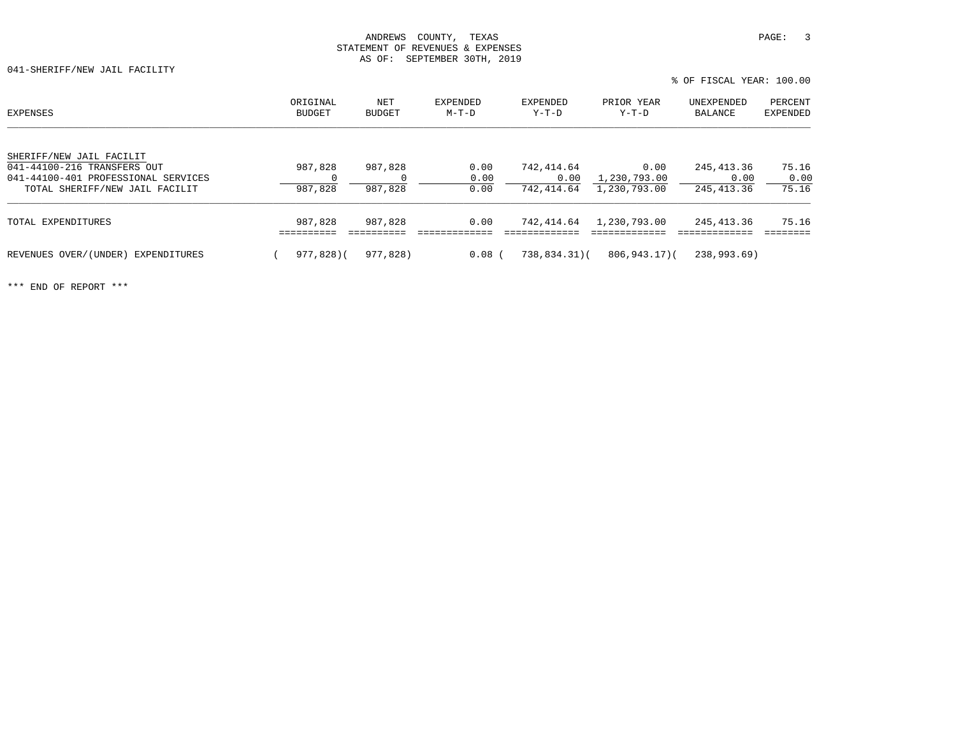041-SHERIFF/NEW JAIL FACILITY

| EXPENSES                                                                                                                         | ORIGINAL<br>BUDGET | NET<br>BUDGET      | <b>EXPENDED</b><br>$M-T-D$ | EXPENDED<br>$Y-T-D$              | PRIOR YEAR<br>Y-T-D                  | UNEXPENDED<br>BALANCE             | PERCENT<br>EXPENDED    |
|----------------------------------------------------------------------------------------------------------------------------------|--------------------|--------------------|----------------------------|----------------------------------|--------------------------------------|-----------------------------------|------------------------|
| SHERIFF/NEW JAIL FACILIT<br>041-44100-216 TRANSFERS OUT<br>041-44100-401 PROFESSIONAL SERVICES<br>TOTAL SHERIFF/NEW JAIL FACILIT | 987,828<br>987,828 | 987,828<br>987,828 | 0.00<br>0.00<br>0.00       | 742,414.64<br>0.00<br>742,414.64 | 0.00<br>1,230,793.00<br>1,230,793.00 | 245, 413.36<br>0.00<br>245,413.36 | 75.16<br>0.00<br>75.16 |
| TOTAL EXPENDITURES                                                                                                               | 987,828            | 987,828            | 0.00                       | 742,414.64                       | 1,230,793.00                         | 245,413.36                        | 75.16                  |
| REVENUES OVER/(UNDER) EXPENDITURES                                                                                               | 977,828)(          | 977,828)           | $0.08$ (                   | $738,834.31$ (                   | 806,943.17)(                         | 238,993.69)                       |                        |

% OF FISCAL YEAR: 100.00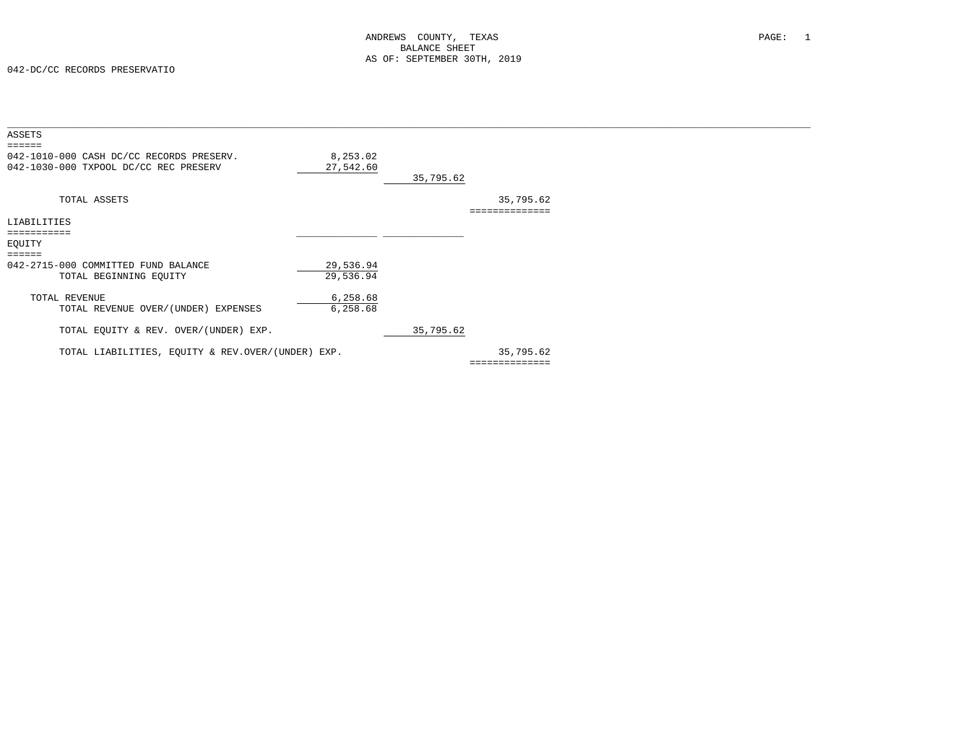| ASSETS                                                                                      |                        |           |                |  |
|---------------------------------------------------------------------------------------------|------------------------|-----------|----------------|--|
| ======<br>042-1010-000 CASH DC/CC RECORDS PRESERV.<br>042-1030-000 TXPOOL DC/CC REC PRESERV | 8,253.02<br>27,542.60  | 35,795.62 |                |  |
| TOTAL ASSETS                                                                                |                        |           | 35,795.62      |  |
| LIABILITIES                                                                                 |                        |           |                |  |
| ===========                                                                                 |                        |           |                |  |
| EOUITY                                                                                      |                        |           |                |  |
| $=$ $=$ $=$ $=$ $=$<br>042-2715-000 COMMITTED FUND BALANCE<br>TOTAL BEGINNING EQUITY        | 29,536.94<br>29,536.94 |           |                |  |
| TOTAL REVENUE<br>TOTAL REVENUE OVER/(UNDER) EXPENSES                                        | 6,258.68<br>6,258.68   |           |                |  |
| TOTAL EQUITY & REV. OVER/(UNDER) EXP.                                                       |                        | 35,795.62 |                |  |
| TOTAL LIABILITIES, EQUITY & REV.OVER/(UNDER) EXP.                                           |                        |           | 35,795.62      |  |
|                                                                                             |                        |           | ============== |  |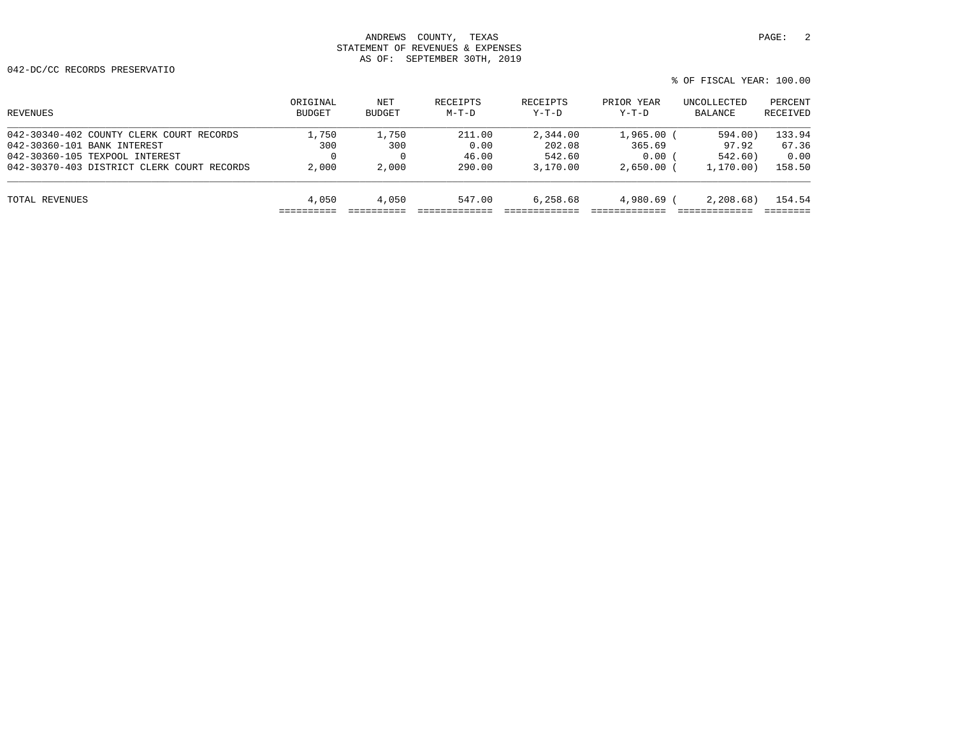042-DC/CC RECORDS PRESERVATIO

| REVENUES                                   | ORIGINAL<br>BUDGET | NET<br>BUDGET | RECEIPTS<br>$M-T-D$ | RECEIPTS<br>$Y-T-D$ | PRIOR YEAR<br>$Y-T-D$ | UNCOLLECTED<br>BALANCE | PERCENT<br>RECEIVED |
|--------------------------------------------|--------------------|---------------|---------------------|---------------------|-----------------------|------------------------|---------------------|
| 042-30340-402 COUNTY CLERK COURT RECORDS   | 1,750              | 1,750         | 211.00              | 2,344.00            | 1,965.00              | 594.00)                | 133.94              |
| 042-30360-101 BANK INTEREST                | 300                | 300           | 0.00                | 202.08              | 365.69                | 97.92                  | 67.36               |
| 042-30360-105 TEXPOOL INTEREST             |                    |               | 46.00               | 542.60              | 0.00                  | 542.60)                | 0.00                |
| 042-30370-403 DISTRICT CLERK COURT RECORDS | 2,000              | 2,000         | 290.00              | 3,170.00            | 2.650.00              | 1, 170, 00)            | 158.50              |
| TOTAL REVENUES                             | 4,050              | 4,050         | 547.00              | 6,258.68            | 4,980.69 (            | 2,208,68               | 154.54              |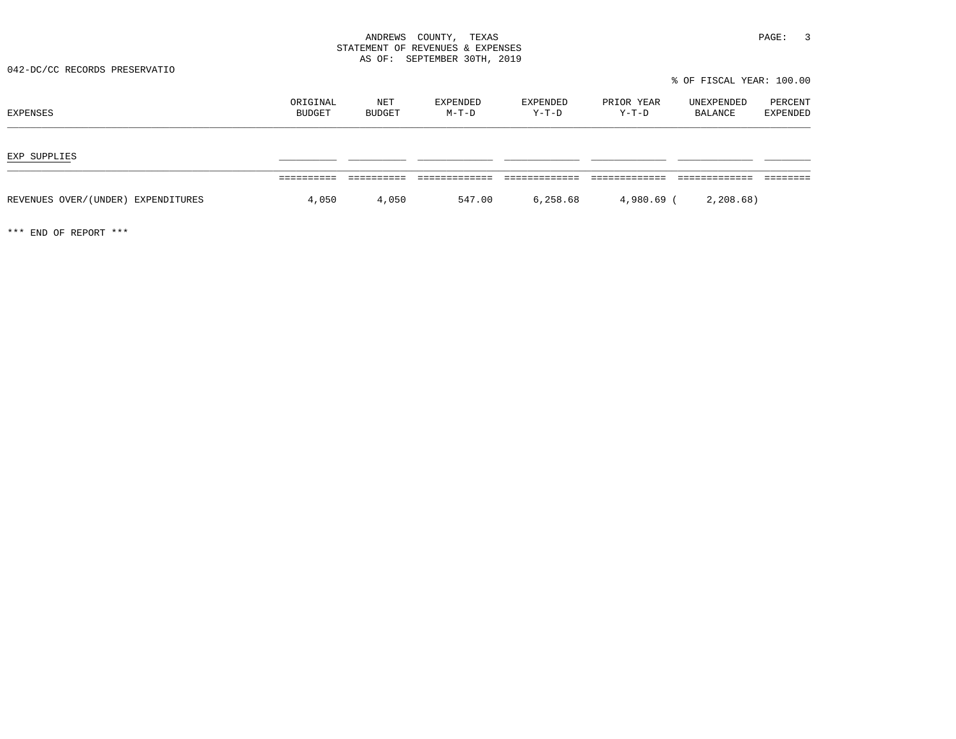042-DC/CC RECORDS PRESERVATIO

% OF FISCAL YEAR: 100.00

| EXPENSES                           | ORIGINAL<br>BUDGET | NET<br>BUDGET | EXPENDED<br>$M-T-D$ | EXPENDED<br>Y-T-D | PRIOR YEAR<br>$Y-T-D$ | UNEXPENDED<br>BALANCE | PERCENT<br>EXPENDED |
|------------------------------------|--------------------|---------------|---------------------|-------------------|-----------------------|-----------------------|---------------------|
| EXP SUPPLIES                       |                    |               |                     |                   |                       |                       |                     |
| REVENUES OVER/(UNDER) EXPENDITURES | 4,050              | 4,050         | 547.00              | 6,258.68          | 4,980.69 (            | 2, 208.68)            |                     |
|                                    |                    |               |                     |                   |                       |                       |                     |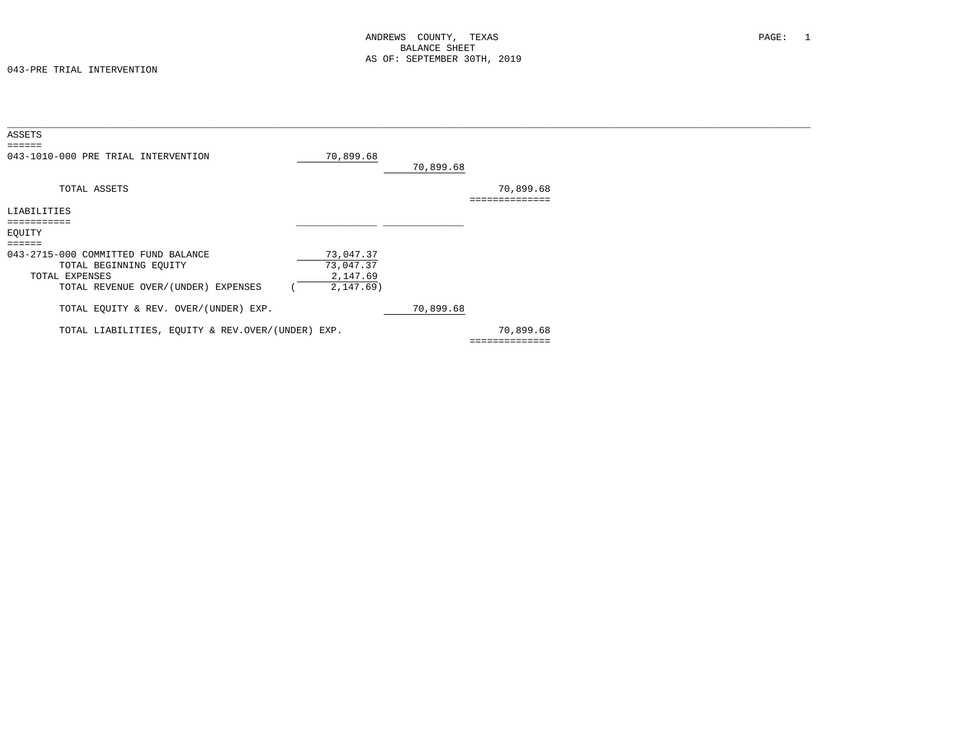| ASSETS<br>$=$ = = = = =                                                                                                |                                                  |           |                             |  |
|------------------------------------------------------------------------------------------------------------------------|--------------------------------------------------|-----------|-----------------------------|--|
| 043-1010-000 PRE TRIAL INTERVENTION                                                                                    | 70,899.68                                        | 70,899.68 |                             |  |
| TOTAL ASSETS                                                                                                           |                                                  |           | 70,899.68<br>:============  |  |
| LIABILITIES                                                                                                            |                                                  |           |                             |  |
|                                                                                                                        |                                                  |           |                             |  |
| EQUITY                                                                                                                 |                                                  |           |                             |  |
| $=$ $=$ $=$ $=$ $=$                                                                                                    |                                                  |           |                             |  |
| 043-2715-000 COMMITTED FUND BALANCE<br>TOTAL BEGINNING EQUITY<br>TOTAL EXPENSES<br>TOTAL REVENUE OVER/(UNDER) EXPENSES | 73,047.37<br>73,047.37<br>2,147.69<br>2, 147.69) |           |                             |  |
| TOTAL EQUITY & REV. OVER/(UNDER) EXP.                                                                                  |                                                  | 70,899.68 |                             |  |
| TOTAL LIABILITIES, EQUITY & REV.OVER/(UNDER) EXP.                                                                      |                                                  |           | 70,899.68<br>============== |  |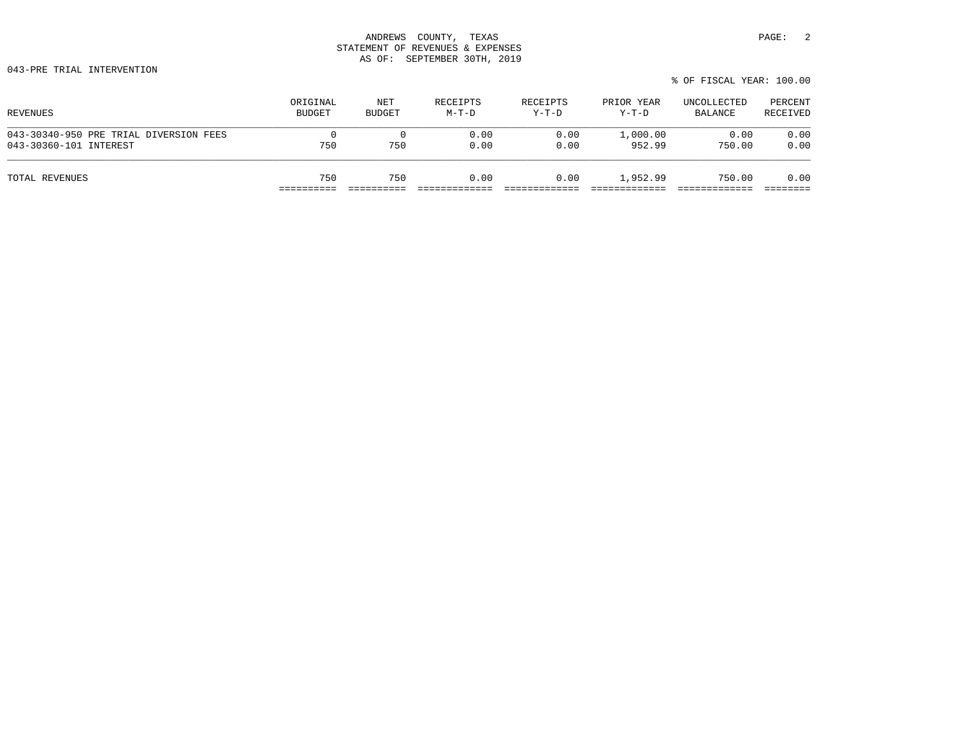043-PRE TRIAL INTERVENTION

|  | % OF FISCAL YEAR: 100.00 |  |
|--|--------------------------|--|
|  |                          |  |

| REVENUES                               | ORIGINAL      | NET           | RECEIPTS | RECEIPTS | PRIOR YEAR | UNCOLLECTED | PERCENT  |
|----------------------------------------|---------------|---------------|----------|----------|------------|-------------|----------|
|                                        | <b>BUDGET</b> | <b>BUDGET</b> | $M-T-D$  | Y-T-D    | Y-T-D      | BALANCE     | RECEIVED |
| 043-30340-950 PRE TRIAL DIVERSION FEES | 0             | 750           | 0.00     | 0.00     | 1,000.00   | 0.00        | 0.00     |
| 043-30360-101 INTEREST                 | 750           |               | 0.00     | 0.00     | 952.99     | 750.00      | 0.00     |
| TOTAL REVENUES                         | 750           | 750           | 0.00     | 0.00     | 1,952.99   | 750.00      | 0.00     |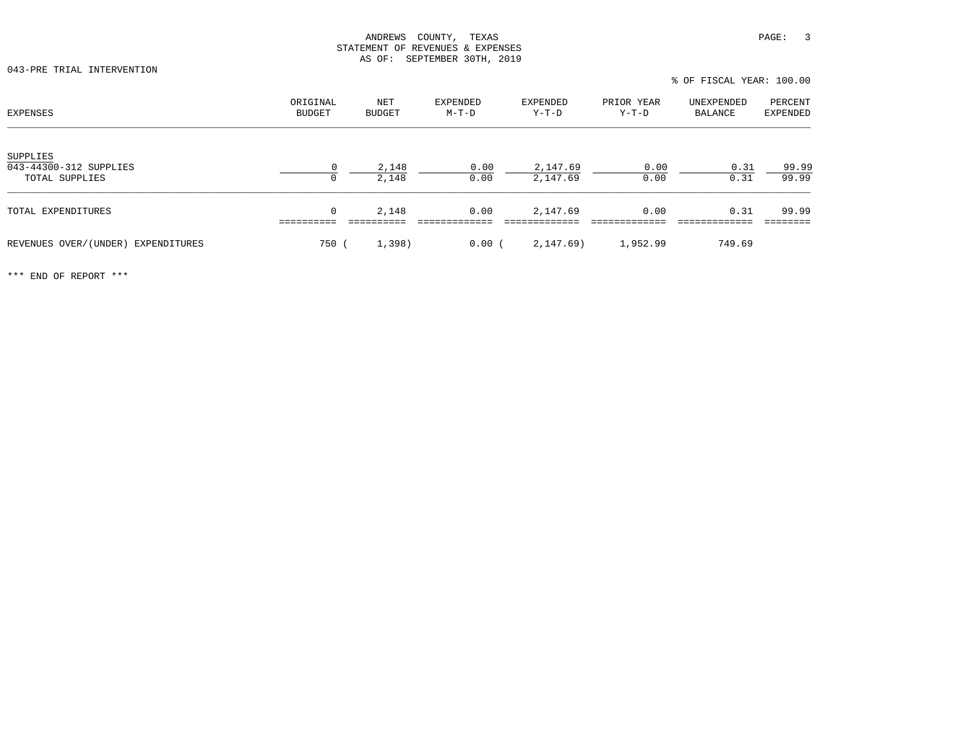043-PRE TRIAL INTERVENTION

% OF FISCAL YEAR: 100.00

| <b>EXPENSES</b>                                      | ORIGINAL<br>BUDGET | NET<br><b>BUDGET</b> | <b>EXPENDED</b><br>$M-T-D$ | <b>EXPENDED</b><br>$Y-T-D$ | PRIOR YEAR<br>$Y-T-D$ | UNEXPENDED<br>BALANCE | PERCENT<br><b>EXPENDED</b> |
|------------------------------------------------------|--------------------|----------------------|----------------------------|----------------------------|-----------------------|-----------------------|----------------------------|
| SUPPLIES<br>043-44300-312 SUPPLIES<br>TOTAL SUPPLIES | $\Omega$<br>0      | 2,148<br>2,148       | 0.00<br>0.00               | 2,147.69<br>2,147.69       | 0.00<br>0.00          | 0.31<br>0.31          | 99.99<br>99.99             |
| TOTAL EXPENDITURES                                   | 0                  | 2,148                | 0.00                       | 2,147.69                   | 0.00                  | 0.31                  | 99.99                      |
| REVENUES OVER/(UNDER) EXPENDITURES                   | 750                | 1,398)               | 0.00(                      | 2,147.69)                  | 1,952.99              | 749.69                |                            |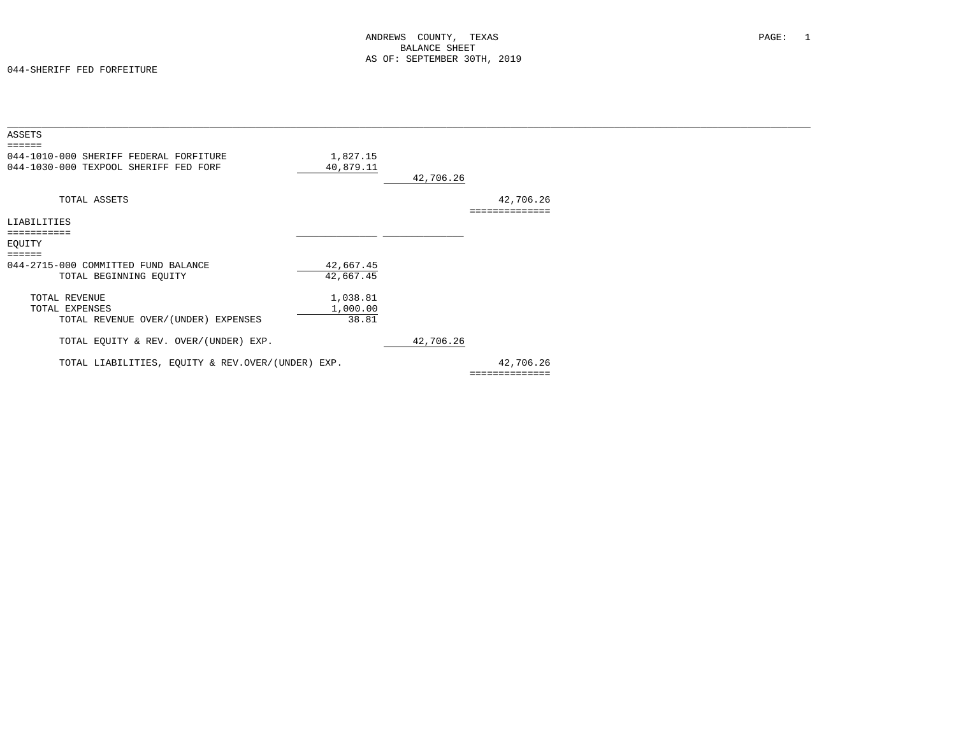| ASSETS                                            |           |           |                |  |
|---------------------------------------------------|-----------|-----------|----------------|--|
| ======                                            |           |           |                |  |
| 044-1010-000 SHERIFF FEDERAL FORFITURE            | 1,827.15  |           |                |  |
| 044-1030-000 TEXPOOL SHERIFF FED FORF             | 40,879.11 |           |                |  |
|                                                   |           | 42,706.26 |                |  |
|                                                   |           |           |                |  |
|                                                   |           |           |                |  |
| TOTAL ASSETS                                      |           |           | 42,706.26      |  |
|                                                   |           |           | ============== |  |
| LIABILITIES                                       |           |           |                |  |
| ===========                                       |           |           |                |  |
| EQUITY                                            |           |           |                |  |
| $=$ = = = = =                                     |           |           |                |  |
| 044-2715-000 COMMITTED FUND BALANCE               | 42,667.45 |           |                |  |
|                                                   | 42,667.45 |           |                |  |
| TOTAL BEGINNING EQUITY                            |           |           |                |  |
|                                                   |           |           |                |  |
| TOTAL REVENUE                                     | 1,038.81  |           |                |  |
| TOTAL EXPENSES                                    | 1,000.00  |           |                |  |
| TOTAL REVENUE OVER/(UNDER) EXPENSES               | 38.81     |           |                |  |
|                                                   |           |           |                |  |
| TOTAL EQUITY & REV. OVER/(UNDER) EXP.             |           | 42,706.26 |                |  |
| TOTAL LIABILITIES, EQUITY & REV.OVER/(UNDER) EXP. |           |           | 42,706.26      |  |
|                                                   |           |           | ============== |  |
|                                                   |           |           |                |  |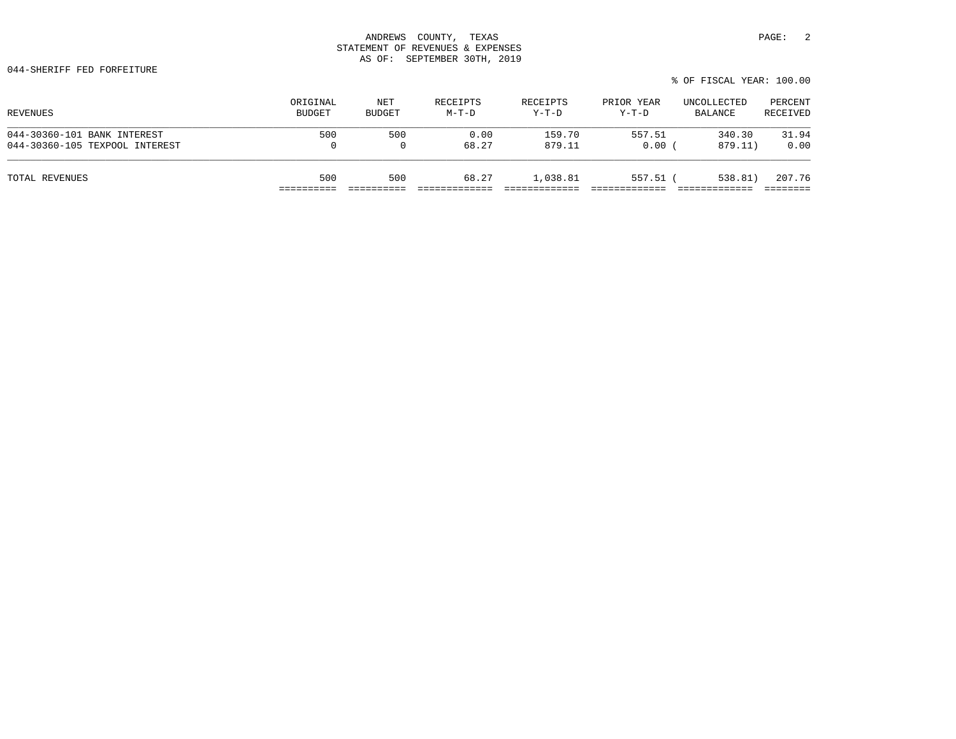| REVENUES                       | ORIGINAL      | NET           | RECEIPTS | RECEIPTS | PRIOR YEAR | UNCOLLECTED | PERCENT  |
|--------------------------------|---------------|---------------|----------|----------|------------|-------------|----------|
|                                | <b>BUDGET</b> | <b>BUDGET</b> | $M-T-D$  | $Y-T-D$  | $Y-T-D$    | BALANCE     | RECEIVED |
| 044-30360-101 BANK INTEREST    | 500           | 500           | 0.00     | 159.70   | 557.51     | 340.30      | 31.94    |
| 044-30360-105 TEXPOOL INTEREST | $\mathbf{0}$  |               | 68.27    | 879.11   | 0.00       | 879.11)     | 0.00     |
| TOTAL REVENUES                 | 500           | 500           | 68.27    | 1,038.81 | $557.51$ ( | 538.81)     | 207.76   |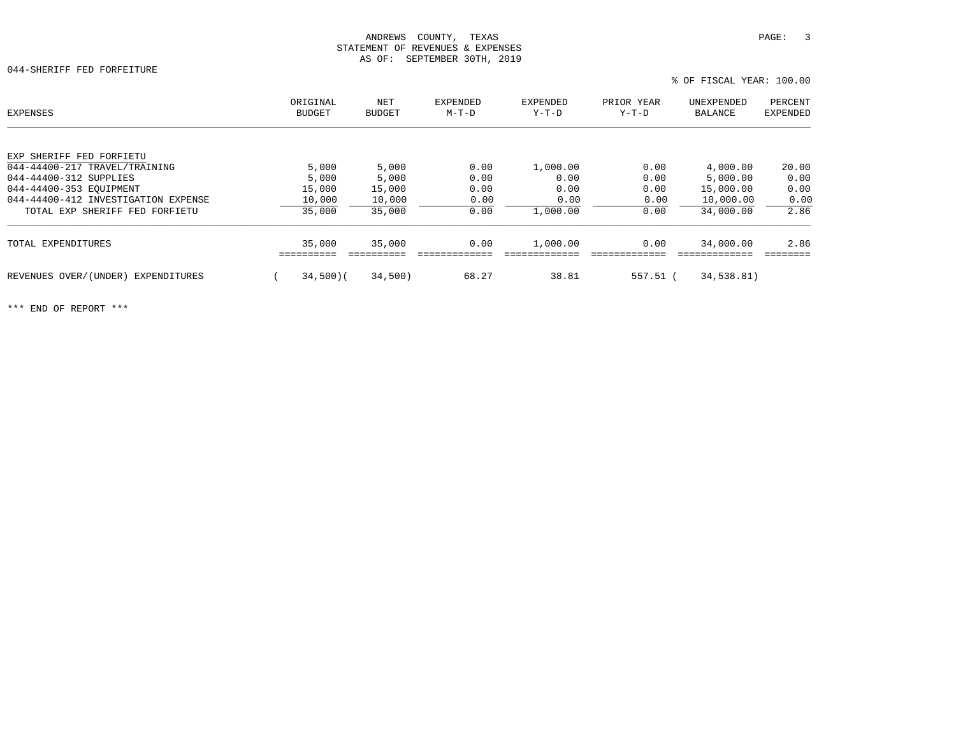044-SHERIFF FED FORFEITURE

 ORIGINAL NET EXPENDED EXPENDED PRIOR YEAR UNEXPENDED PERCENTPERCENT EXPENSES BUDGET BUDGET M-T-D Y-T-D Y-T-D BALANCE EXPENDEDEXP SHERIFF FED FORFIETU 044-44400-217 TRAVEL/TRAINING 5,000 5,000 0.00 1,000.00 0.00 4,000.00 20.00 044-44400-312 SUPPLIES 5,000 5,000 0.00 0.00 0.00 5,000.00 0.00 044-44400-353 EQUIPMENT 15,000 15,000 0.00 0.00 0.00 15,000.00 0.00 044-44400-412 INVESTIGATION EXPENSE  $10,000$   $10,000$  0.00 0.00 0.00 0.00 0.00 0.00 0.00 TOTAL EXP SHERIFF FED FORFIETU 35,000 35,000 35,000 0.00 1,000.00 0.00 34,000.00 2.86 TOTAL EXPENDITURES 35,000 35,000 0.00 1,000.00 0.00 34,000.00 2.86 ========== ========== ============= ============= ============= ============= ======== REVENUES OVER/(UNDER) EXPENDITURES ( 34,500)( 34,500) 68.27 38.81 557.51 ( 34,538.81)

\*\*\* END OF REPORT \*\*\*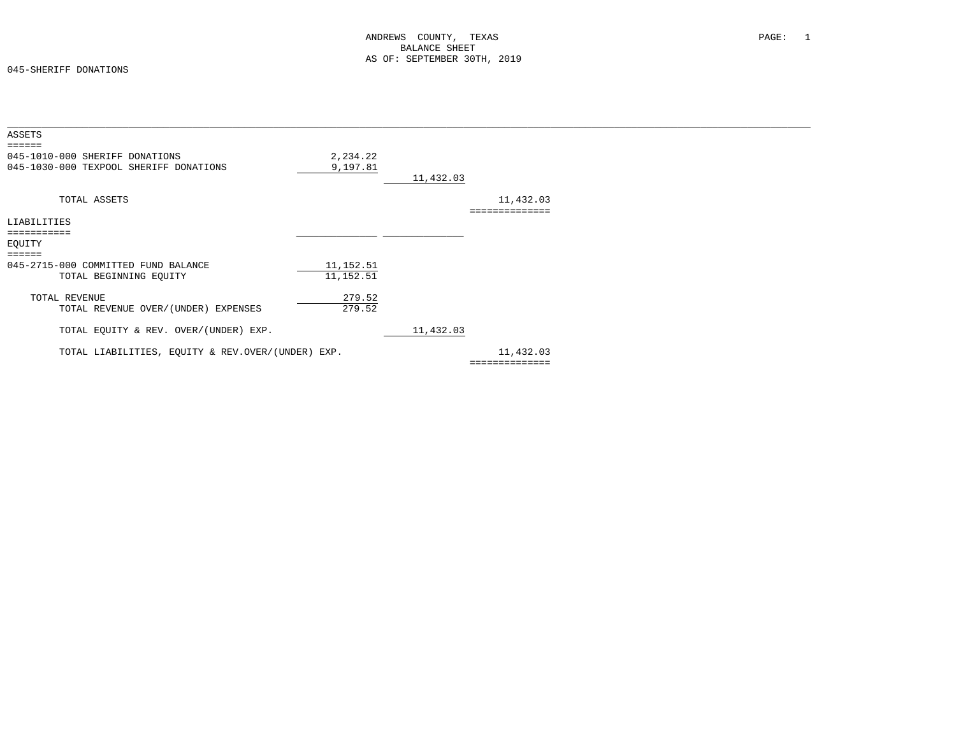#### 045-SHERIFF DONATIONS

| 2,234.22 |                                                                                        |           |                |  |
|----------|----------------------------------------------------------------------------------------|-----------|----------------|--|
| 9,197.81 |                                                                                        |           |                |  |
|          |                                                                                        |           |                |  |
|          |                                                                                        | 11,432.03 |                |  |
|          |                                                                                        |           |                |  |
|          |                                                                                        |           |                |  |
|          |                                                                                        |           |                |  |
|          |                                                                                        |           |                |  |
|          |                                                                                        |           |                |  |
|          |                                                                                        |           |                |  |
|          |                                                                                        |           |                |  |
|          |                                                                                        |           |                |  |
| 279.52   |                                                                                        |           |                |  |
|          |                                                                                        |           |                |  |
|          | 11,432.03                                                                              |           |                |  |
|          |                                                                                        | 11,432.03 |                |  |
|          |                                                                                        |           |                |  |
|          | 11, 152.51<br>11,152.51<br>279.52<br>TOTAL LIABILITIES, EQUITY & REV.OVER/(UNDER) EXP. | 11,432.03 | ============== |  |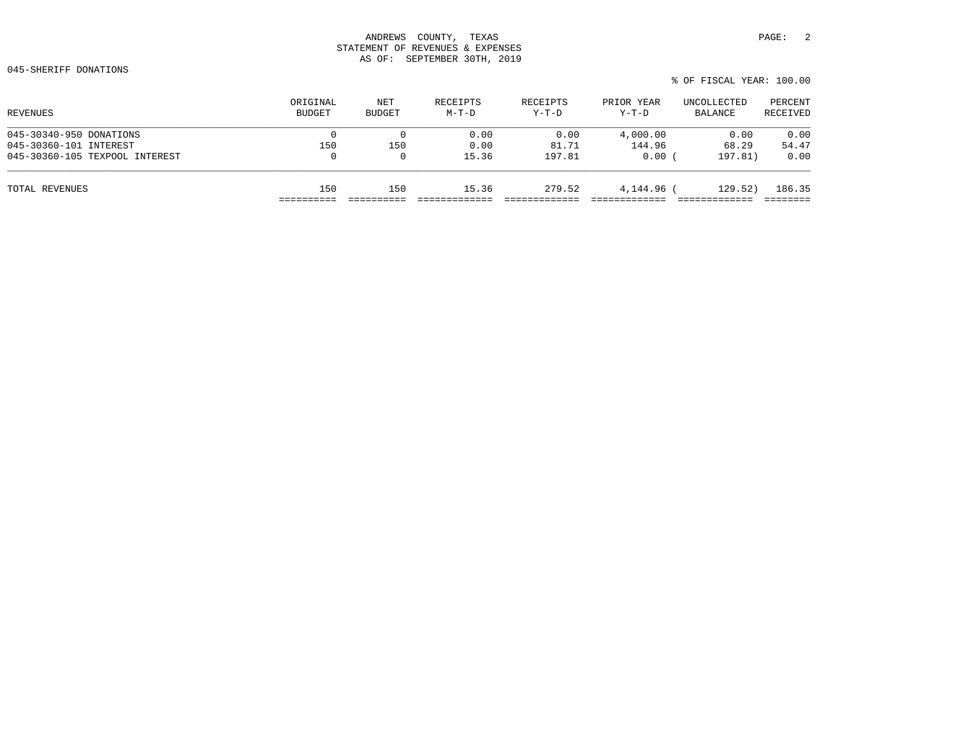|       |          |            |  |             | % OF FISCAL YEAR: 100.00 |
|-------|----------|------------|--|-------------|--------------------------|
| EIPTS | RECEIPTS | PRIOR YEAR |  | UNCOLLECTED | PERCENT                  |

| REVENUES                       | ORIGINAL<br><b>BUDGET</b> | NET<br><b>BUDGET</b> | RECEIPTS<br>$M-T-D$ | RECEIPTS<br>$Y-T-D$ | PRIOR YEAR<br>$Y-T-D$ | UNCOLLECTED<br>BALANCE | PERCENT<br>RECEIVED |
|--------------------------------|---------------------------|----------------------|---------------------|---------------------|-----------------------|------------------------|---------------------|
| 045-30340-950 DONATIONS        |                           |                      | 0.00                | 0.00                | 4,000.00              | 0.00                   | 0.00                |
| 045-30360-101 INTEREST         | 150                       | 150                  | 0.00                | 81.71               | 144.96                | 68.29                  | 54.47               |
| 045-30360-105 TEXPOOL INTEREST | 0                         | $\Omega$             | 15.36               | 197.81              | 0.00                  | 197.81)                | 0.00                |
| TOTAL REVENUES                 | 150                       | 150                  | 15.36               | 279.52              | 4,144.96              | 129.52)                | 186.35              |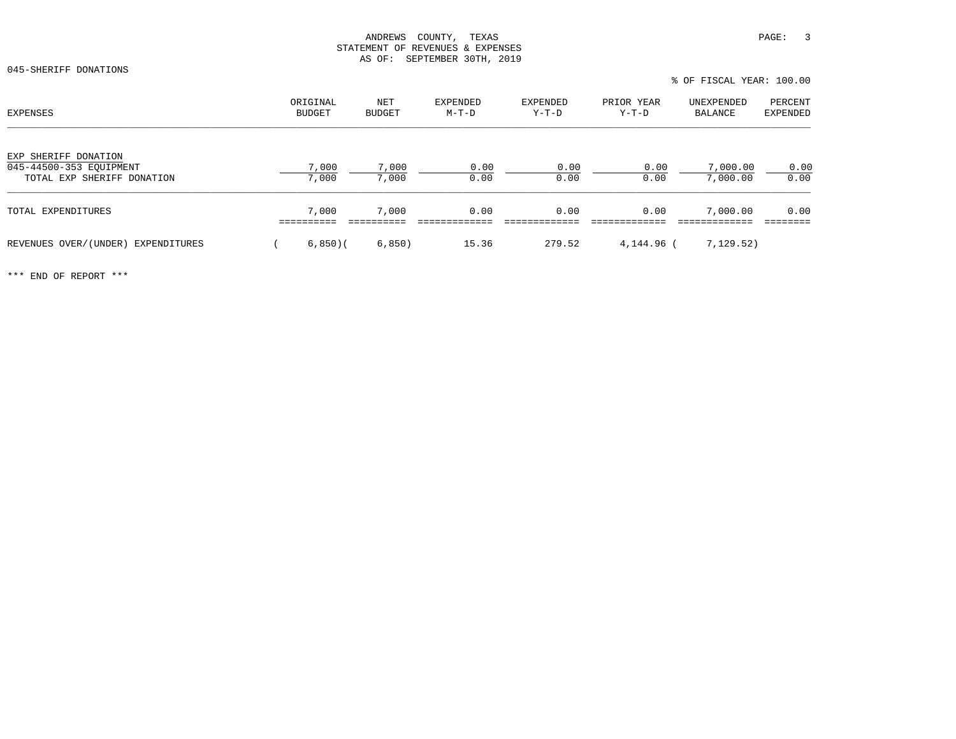045-SHERIFF DONATIONS

% OF FISCAL YEAR: 100.00

| <b>EXPENSES</b>                                       | ORIGINAL<br>BUDGET | NET<br><b>BUDGET</b> | <b>EXPENDED</b><br>$M-T-D$ | EXPENDED<br>$Y-T-D$ | PRIOR YEAR<br>$Y-T-D$ | UNEXPENDED<br>BALANCE | PERCENT<br><b>EXPENDED</b> |
|-------------------------------------------------------|--------------------|----------------------|----------------------------|---------------------|-----------------------|-----------------------|----------------------------|
| EXP SHERIFF DONATION                                  |                    |                      |                            |                     |                       |                       |                            |
| 045-44500-353 EQUIPMENT<br>TOTAL EXP SHERIFF DONATION | 7,000<br>7,000     | 7,000<br>7,000       | 0.00<br>0.00               | 0.00<br>0.00        | 0.00<br>0.00          | 7,000.00<br>7,000.00  | 0.00<br>0.00               |
| TOTAL EXPENDITURES                                    | 7,000              | 7,000                | 0.00                       | 0.00                | 0.00                  | 7,000.00              | 0.00                       |
| REVENUES OVER/(UNDER) EXPENDITURES                    | 6,850(             | 6,850)               | 15.36                      | 279.52              | 4,144.96 (            | 7,129.52)             |                            |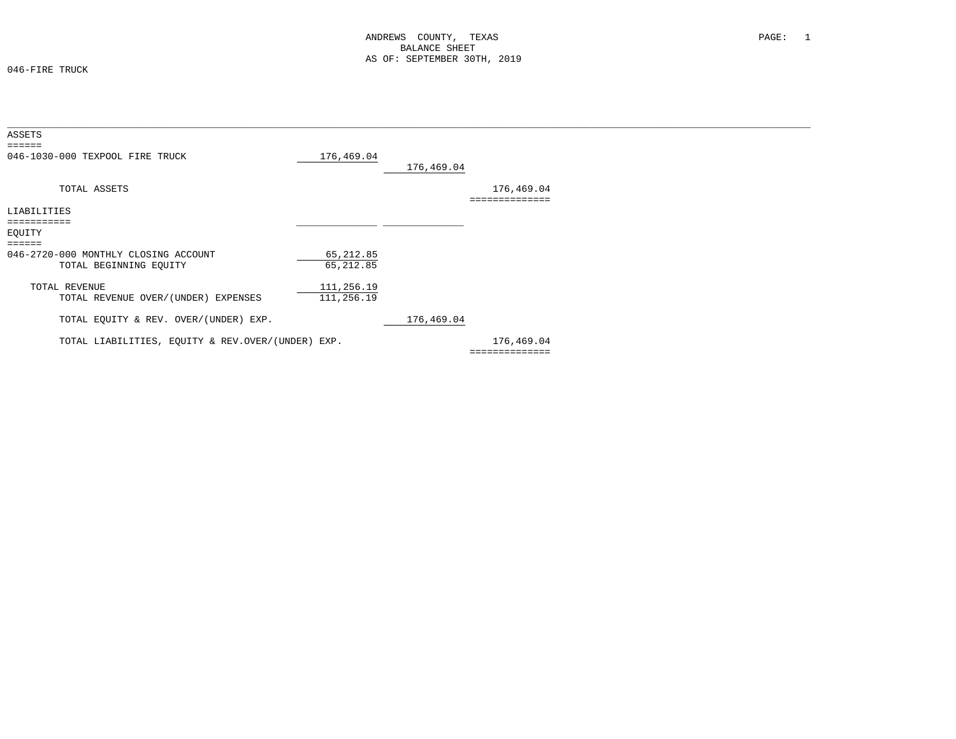046-FIRE TRUCK

| ASSETS<br>$=$ $=$ $=$ $=$ $=$                                  |                          |            |                              |  |
|----------------------------------------------------------------|--------------------------|------------|------------------------------|--|
| 046-1030-000 TEXPOOL FIRE TRUCK                                | 176,469.04               | 176,469.04 |                              |  |
| TOTAL ASSETS                                                   |                          |            | 176,469.04                   |  |
| LIABILITIES                                                    |                          |            |                              |  |
| ===========<br>EQUITY<br>======                                |                          |            |                              |  |
| 046-2720-000 MONTHLY CLOSING ACCOUNT<br>TOTAL BEGINNING EQUITY | 65,212.85<br>65,212.85   |            |                              |  |
| TOTAL REVENUE<br>TOTAL REVENUE OVER/(UNDER) EXPENSES           | 111,256.19<br>111,256.19 |            |                              |  |
| TOTAL EQUITY & REV. OVER/(UNDER) EXP.                          |                          | 176,469.04 |                              |  |
| TOTAL LIABILITIES, EQUITY & REV.OVER/(UNDER) EXP.              |                          |            | 176,469.04<br>============== |  |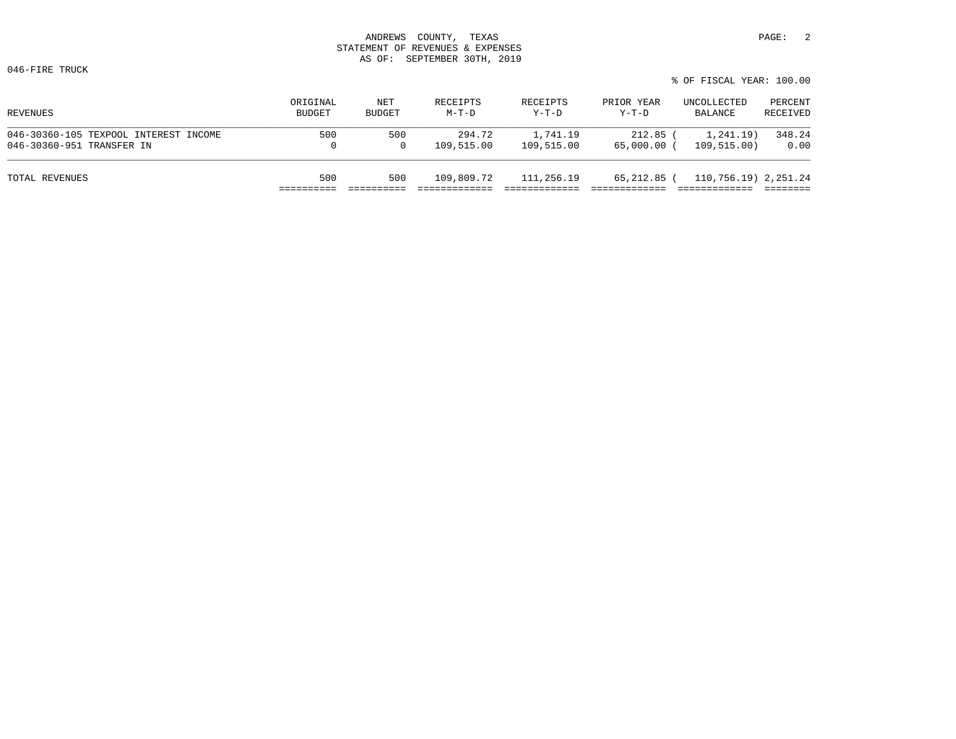046-FIRE TRUCK

| REVENUES                              | ORIGINAL      | NET           | RECEIPTS   | RECEIPTS   | PRIOR YEAR  | UNCOLLECTED          | PERCENT  |
|---------------------------------------|---------------|---------------|------------|------------|-------------|----------------------|----------|
|                                       | <b>BUDGET</b> | <b>BUDGET</b> | $M-T-D$    | $Y-T-D$    | $Y-T-D$     | BALANCE              | RECEIVED |
| 046-30360-105 TEXPOOL INTEREST INCOME | 500           | 500           | 294.72     | 1,741.19   | 212.85      | 1,241.19             | 348.24   |
| 046-30360-951 TRANSFER IN             |               | 0             | 109,515.00 | 109,515.00 | 65,000.00 ( | 109, 515.00)         | 0.00     |
| TOTAL REVENUES                        | 500           | 500           | 109,809.72 | 111,256.19 | 65,212.85 ( | 110,756.19) 2,251.24 |          |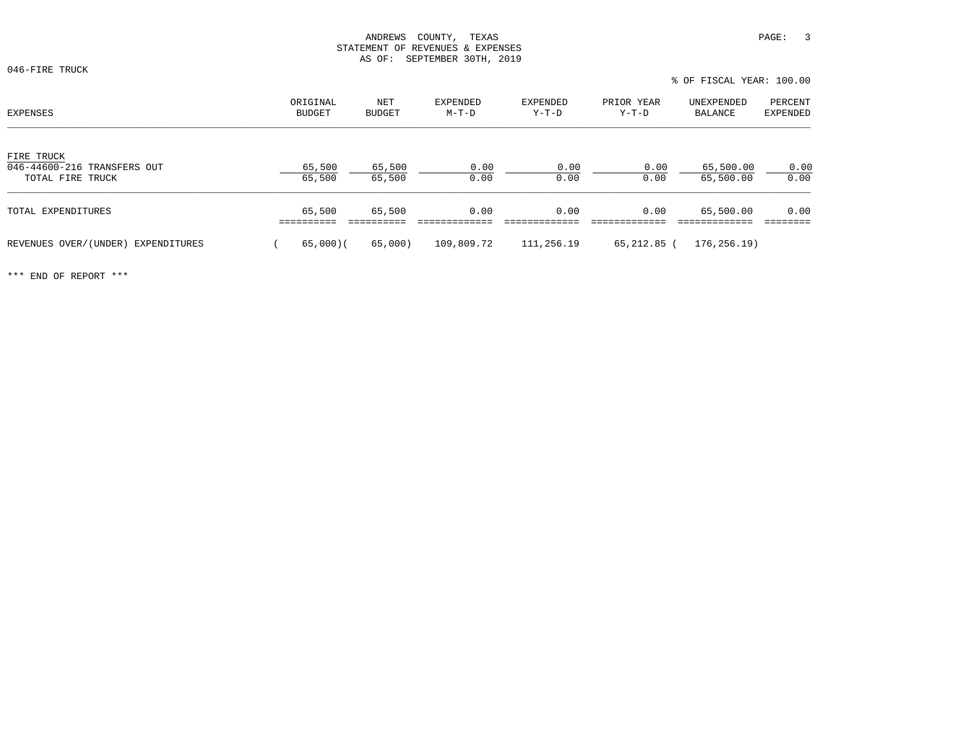046-FIRE TRUCK

|                                                               |                    |                  |                   |                     |                       | 0 OF FIOCAL IDAR TOO.OO |                     |  |
|---------------------------------------------------------------|--------------------|------------------|-------------------|---------------------|-----------------------|-------------------------|---------------------|--|
| EXPENSES                                                      | ORIGINAL<br>BUDGET | NET<br>BUDGET    | EXPENDED<br>M-T-D | EXPENDED<br>$Y-T-D$ | PRIOR YEAR<br>$Y-T-D$ | UNEXPENDED<br>BALANCE   | PERCENT<br>EXPENDED |  |
| FIRE TRUCK<br>046-44600-216 TRANSFERS OUT<br>TOTAL FIRE TRUCK | 65,500<br>65,500   | 65,500<br>65,500 | 0.00<br>0.00      | 0.00<br>0.00        | 0.00<br>0.00          | 65,500.00<br>65,500.00  | 0.00<br>0.00        |  |
| TOTAL EXPENDITURES                                            | 65,500             | 65,500           | 0.00              | 0.00                | 0.00                  | 65,500.00               | 0.00                |  |
| REVENUES OVER/(UNDER) EXPENDITURES                            | 65,000)(           | 65,000)          | 109,809.72        | 111,256.19          | 65,212.85 (           | 176, 256.19             |                     |  |

\*\*\* END OF REPORT \*\*\*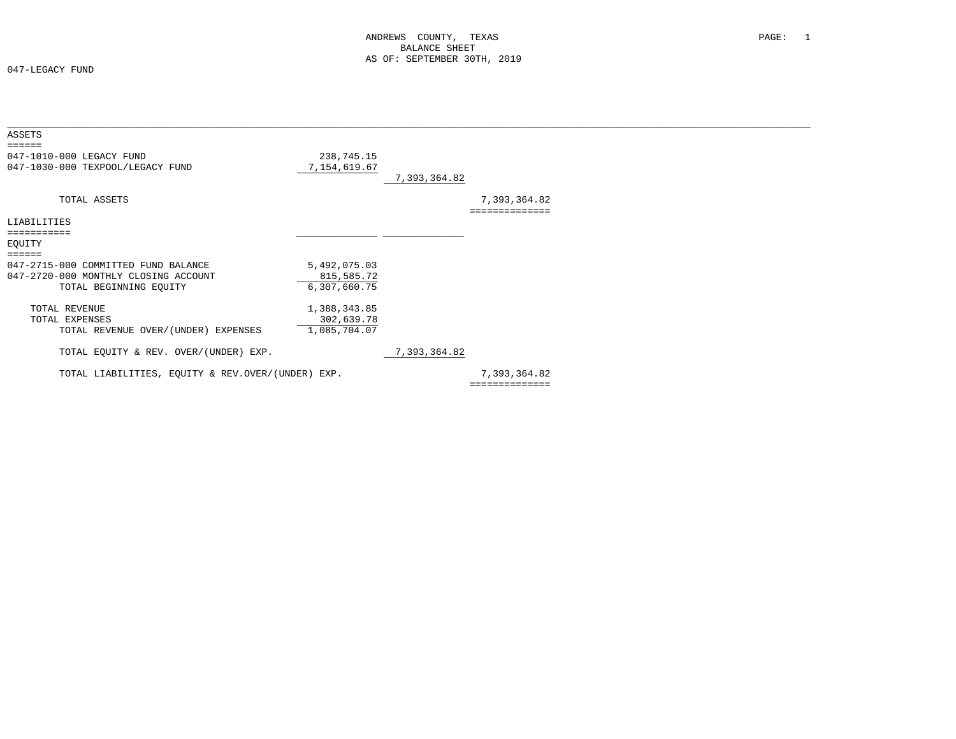047-LEGACY FUND

| ASSETS<br>======                                                                                                   |                                            |              |                                |  |
|--------------------------------------------------------------------------------------------------------------------|--------------------------------------------|--------------|--------------------------------|--|
| 047-1010-000 LEGACY FUND<br>047-1030-000 TEXPOOL/LEGACY FUND                                                       | 238,745.15<br>7,154,619.67                 | 7,393,364.82 |                                |  |
| TOTAL ASSETS                                                                                                       |                                            |              | 7,393,364.82                   |  |
| LIABILITIES                                                                                                        |                                            |              |                                |  |
| EQUITY                                                                                                             |                                            |              |                                |  |
| $=$ =====<br>047-2715-000 COMMITTED FUND BALANCE<br>047-2720-000 MONTHLY CLOSING ACCOUNT<br>TOTAL BEGINNING EQUITY | 5,492,075.03<br>815,585.72<br>6,307,660.75 |              |                                |  |
| TOTAL REVENUE<br>TOTAL EXPENSES<br>TOTAL REVENUE OVER/(UNDER) EXPENSES                                             | 1,388,343.85<br>302,639.78<br>1,085,704.07 |              |                                |  |
| TOTAL EQUITY & REV. OVER/(UNDER) EXP.                                                                              |                                            | 7,393,364.82 |                                |  |
| TOTAL LIABILITIES, EQUITY & REV.OVER/(UNDER) EXP.                                                                  |                                            |              | 7,393,364.82<br>============== |  |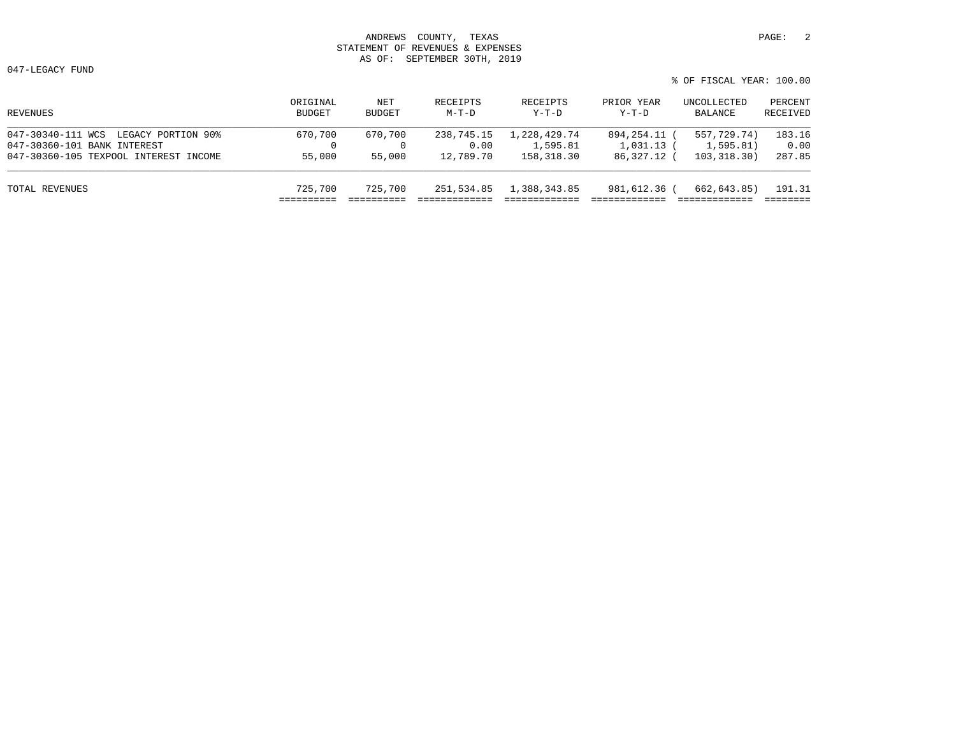047-LEGACY FUND

| REVENUES                              | ORIGINAL<br>BUDGET | NET<br>BUDGET | RECEIPTS<br>$M-T-D$ | RECEIPTS<br>$Y-T-D$ | PRIOR YEAR<br>$Y-T-D$ | UNCOLLECTED<br>BALANCE | PERCENT<br>RECEIVED |
|---------------------------------------|--------------------|---------------|---------------------|---------------------|-----------------------|------------------------|---------------------|
| 047-30340-111 WCS LEGACY PORTION 90%  | 670,700            | 670,700       | 238,745.15          | 1,228,429.74        | 894, 254, 11 (        | 557,729.74)            | 183.16              |
| 047-30360-101 BANK INTEREST           |                    |               | 0.00                | 1,595.81            | $1,031.13$ (          | 1,595.81)              | 0.00                |
| 047-30360-105 TEXPOOL INTEREST INCOME | 55,000             | 55,000        | 12,789.70           | 158,318.30          | 86,327.12 (           | 103,318.30)            | 287.85              |
| TOTAL REVENUES                        | 725,700            | 725,700       | 251,534.85          | 1,388,343.85        | 981,612.36 (          | 662,643.85)            | 191.31              |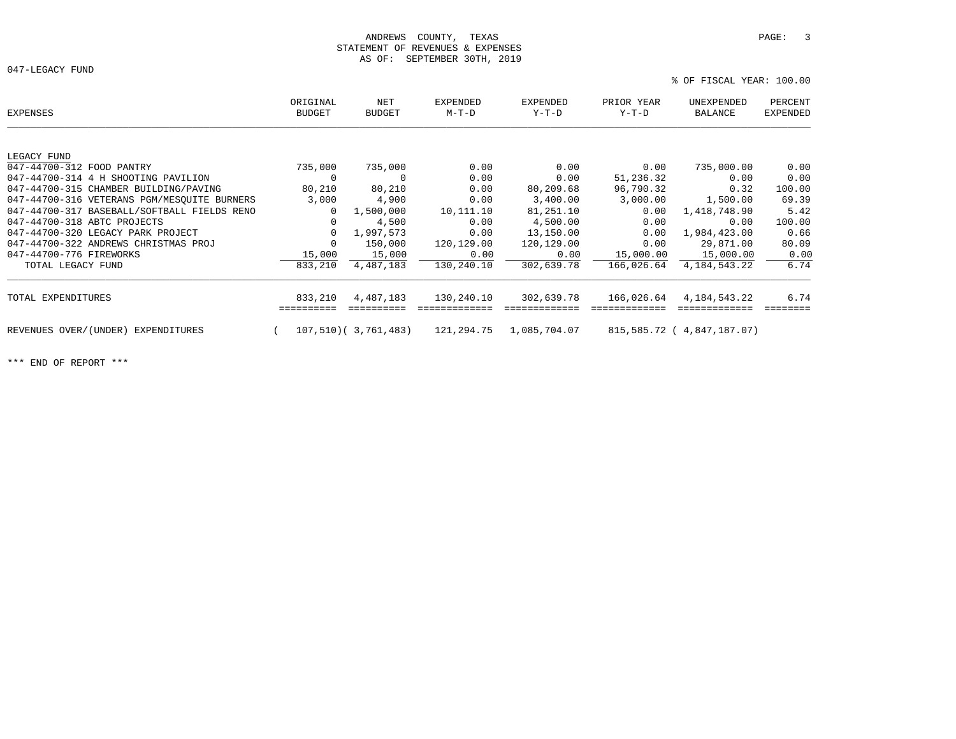047-LEGACY FUND

% OF FISCAL YEAR: 100.00

| EXPENSES                                    | ORIGINAL<br><b>BUDGET</b> | NET<br><b>BUDGET</b> | EXPENDED<br>M-T-D | EXPENDED<br>Y-T-D | PRIOR YEAR<br>Y-T-D | UNEXPENDED<br>BALANCE      | PERCENT<br><b>EXPENDED</b> |
|---------------------------------------------|---------------------------|----------------------|-------------------|-------------------|---------------------|----------------------------|----------------------------|
|                                             |                           |                      |                   |                   |                     |                            |                            |
| LEGACY FUND                                 |                           |                      |                   |                   |                     |                            |                            |
| 047-44700-312 FOOD PANTRY                   | 735,000                   | 735,000              | 0.00              | 0.00              | 0.00                | 735,000.00                 | 0.00                       |
| 047-44700-314 4 H SHOOTING PAVILION         | $\Omega$                  | $\Omega$             | 0.00              | 0.00              | 51,236.32           | 0.00                       | 0.00                       |
| 047-44700-315 CHAMBER BUILDING/PAVING       | 80,210                    | 80,210               | 0.00              | 80,209.68         | 96,790.32           | 0.32                       | 100.00                     |
| 047-44700-316 VETERANS PGM/MESOUITE BURNERS | 3,000                     | 4,900                | 0.00              | 3,400.00          | 3,000.00            | 1,500.00                   | 69.39                      |
| 047-44700-317 BASEBALL/SOFTBALL FIELDS RENO | $\Omega$                  | 1,500,000            | 10,111.10         | 81,251.10         | 0.00                | 1,418,748.90               | 5.42                       |
| 047-44700-318 ABTC PROJECTS                 | $\Omega$                  | 4,500                | 0.00              | 4,500.00          | 0.00                | 0.00                       | 100.00                     |
| 047-44700-320 LEGACY PARK PROJECT           | $\mathbf 0$               | 1,997,573            | 0.00              | 13,150.00         | 0.00                | 1,984,423.00               | 0.66                       |
| 047-44700-322 ANDREWS CHRISTMAS PROJ        | $\mathbf 0$               | 150,000              | 120,129.00        | 120,129.00        | 0.00                | 29,871.00                  | 80.09                      |
| 047-44700-776 FIREWORKS                     | 15,000                    | 15,000               | 0.00              | 0.00              | 15,000.00           | 15,000.00                  | 0.00                       |
| TOTAL LEGACY FUND                           | 833,210                   | 4,487,183            | 130,240.10        | 302,639.78        | 166,026.64          | 4, 184, 543. 22            | 6.74                       |
| TOTAL EXPENDITURES                          | 833,210                   | 4,487,183            | 130,240.10        | 302,639.78        | 166,026.64          | 4, 184, 543. 22            | 6.74                       |
| REVENUES OVER/(UNDER) EXPENDITURES          |                           | 107,510(3,761,483)   | 121,294.75        | 1,085,704.07      |                     | 815,585.72 ( 4,847,187.07) |                            |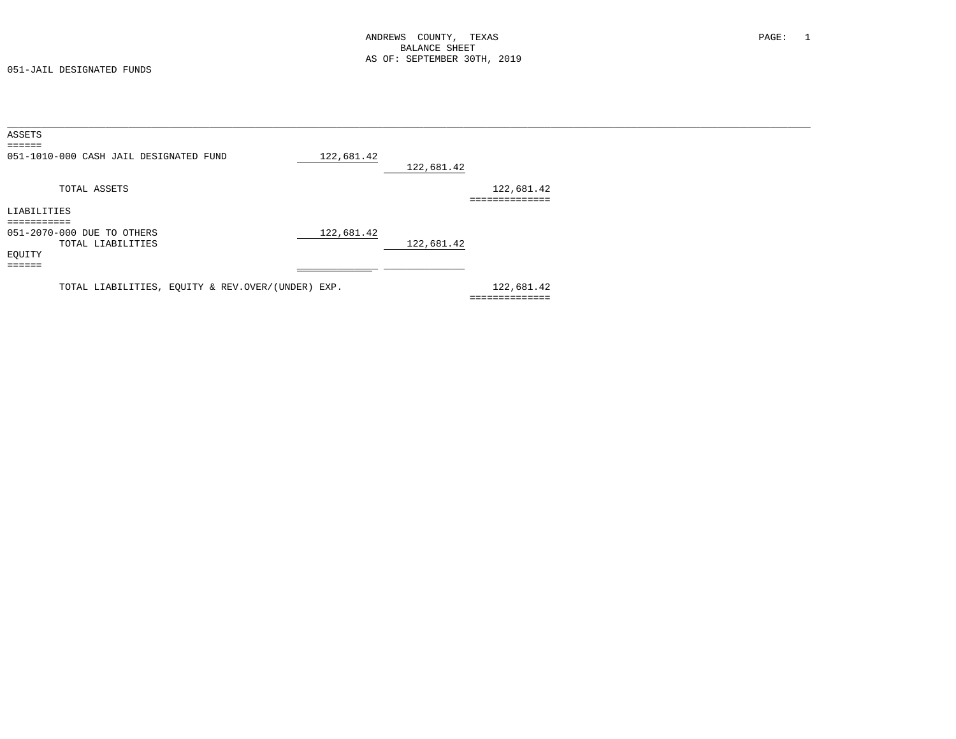051-JAIL DESIGNATED FUNDS

| ASSETS          |                                                   |            |            |                |  |  |
|-----------------|---------------------------------------------------|------------|------------|----------------|--|--|
| ======          |                                                   |            |            |                |  |  |
|                 | 051-1010-000 CASH JAIL DESIGNATED FUND            | 122,681.42 |            |                |  |  |
|                 |                                                   |            | 122,681.42 |                |  |  |
|                 | TOTAL ASSETS                                      |            |            | 122,681.42     |  |  |
|                 |                                                   |            |            | ============== |  |  |
| LIABILITIES     |                                                   |            |            |                |  |  |
| ===========     |                                                   |            |            |                |  |  |
|                 | 051-2070-000 DUE TO OTHERS                        | 122,681.42 |            |                |  |  |
|                 | TOTAL LIABILITIES                                 |            | 122,681.42 |                |  |  |
| EQUITY          |                                                   |            |            |                |  |  |
| $= = = = = = =$ |                                                   |            |            |                |  |  |
|                 |                                                   |            |            |                |  |  |
|                 | TOTAL LIABILITIES, EQUITY & REV.OVER/(UNDER) EXP. |            |            | 122,681.42     |  |  |
|                 |                                                   |            |            |                |  |  |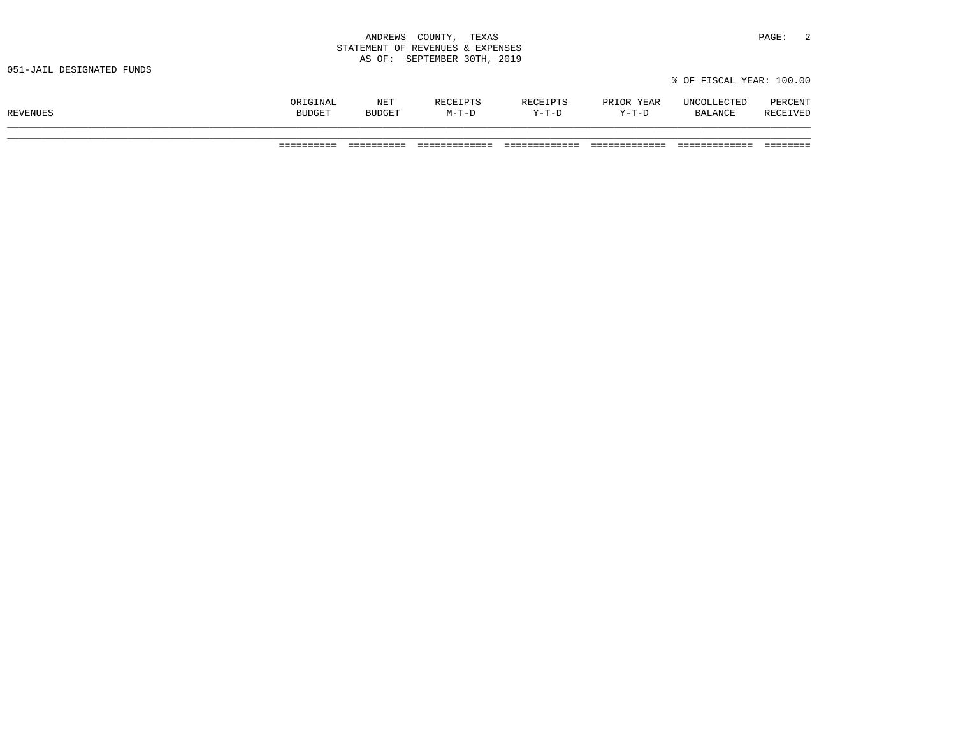| ANDREWS<br>COUNTY,<br>the contract of the contract of the contract of the contract of the contract of the contract of the contract of | TEXAS                | PAGE: |  |
|---------------------------------------------------------------------------------------------------------------------------------------|----------------------|-------|--|
| STATEMENT OF REVENUES & EXPENSES                                                                                                      |                      |       |  |
| AS OF:                                                                                                                                | SEPTEMBER 30TH, 2019 |       |  |

| <b>REVENUES</b> | ORIGINAL<br><b>BUDGET</b> | NET<br><b>BUDGET</b> | <b>RECEIPTS</b><br>$M-T-D$ | RECEIPTS<br>$Y-T-D$ | PRIOR YEAR<br>Y-T-D | UNCOLLECTED<br>BALANCE | PERCENT<br>RECEIVED |
|-----------------|---------------------------|----------------------|----------------------------|---------------------|---------------------|------------------------|---------------------|
|                 |                           |                      |                            |                     |                     |                        |                     |

========== ========== ============= ============= ============= ============= ========

% OF FISCAL YEAR: 100.00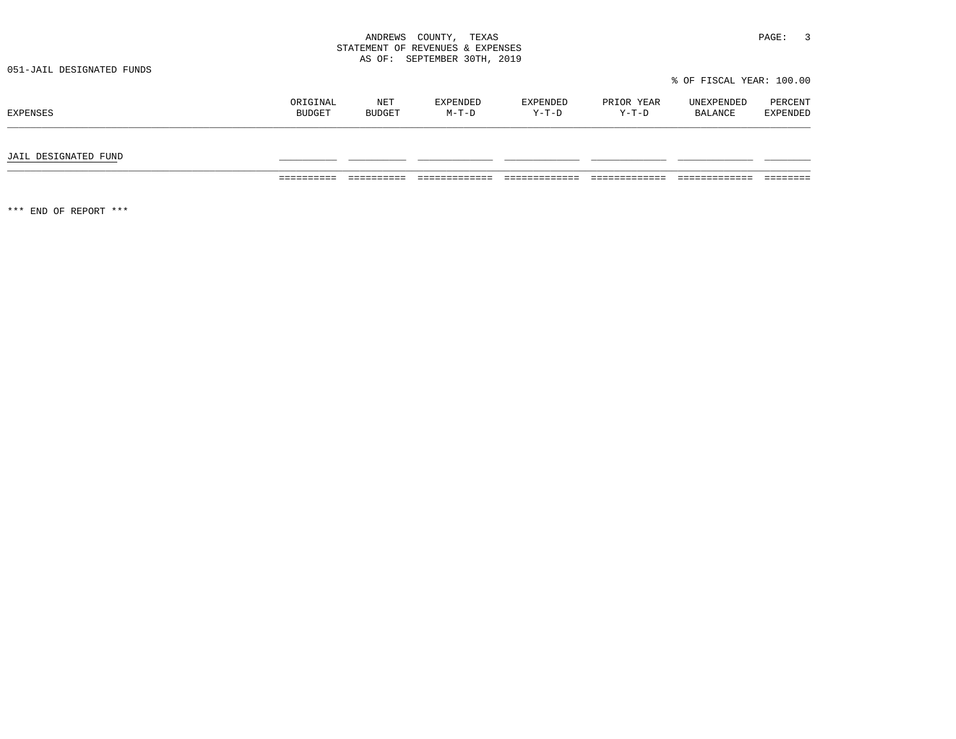| COUNTY<br>ANDREWS                  | PAGE<br>TEXAS |  |
|------------------------------------|---------------|--|
| STATEMENT OF REVENUES & EXPENSES   |               |  |
| SEPTEMBER<br>OF:<br>$\overline{2}$ | 2019<br>30TH  |  |

|  | % OF FISCAL YEAR: 100.00 |  |  |  |
|--|--------------------------|--|--|--|
|--|--------------------------|--|--|--|

| EXPENSES | ORIGINAL      | NET           | EXPENDED | EXPENDED | PRIOR YEAR | UNEXPENDED | PERCENT         |
|----------|---------------|---------------|----------|----------|------------|------------|-----------------|
|          | <b>BUDGET</b> | <b>BUDGET</b> | $M-T-D$  | Y-T-D    | $Y-T-D$    | BALANCE    | <b>EXPENDED</b> |
|          |               |               |          |          |            |            |                 |

#### JAIL DESIGNATED FUND \_\_\_\_\_\_\_\_\_\_ \_\_\_\_\_\_\_\_\_\_ \_\_\_\_\_\_\_\_\_\_\_\_\_ \_\_\_\_\_\_\_\_\_\_\_\_\_ \_\_\_\_\_\_\_\_\_\_\_\_\_ \_\_\_\_\_\_\_\_\_\_\_\_\_ \_\_\_\_\_\_\_\_

========== ========== ============= ============= ============= ============= ========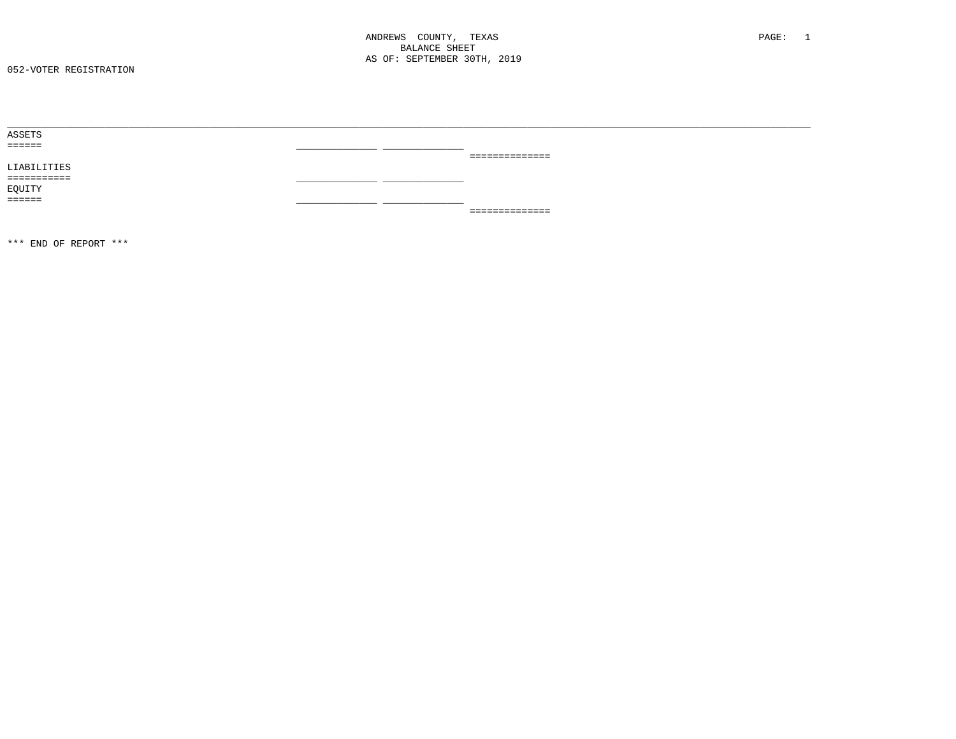| ASSETS        |  |                |  |
|---------------|--|----------------|--|
| eesses:       |  |                |  |
|               |  | ============== |  |
| LIABILITIES   |  |                |  |
| ===========   |  |                |  |
| EQUITY        |  |                |  |
| <b>EEEEEE</b> |  |                |  |
|               |  | ============== |  |
|               |  |                |  |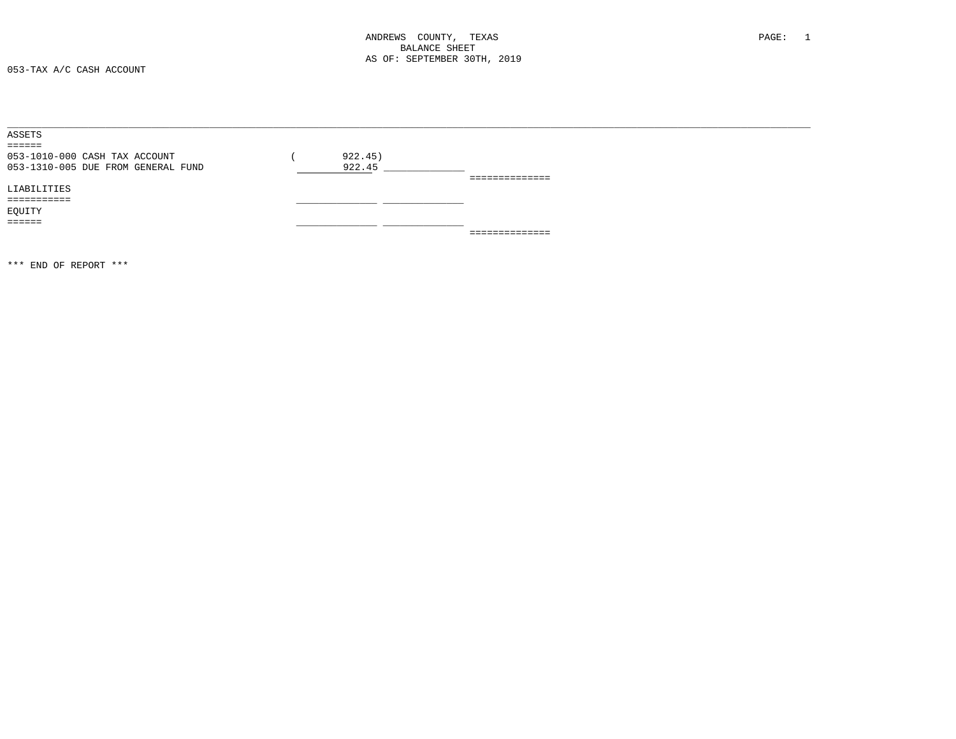053-TAX A/C CASH ACCOUNT

| ASSETS                             |         |                |
|------------------------------------|---------|----------------|
| $=$ $=$ $=$ $=$ $=$                |         |                |
| 053-1010-000 CASH TAX ACCOUNT      | 922.45) |                |
| 053-1310-005 DUE FROM GENERAL FUND | 922.45  |                |
|                                    |         | ============== |
| LIABILITIES                        |         |                |
| ----------                         |         |                |
| EQUITY                             |         |                |
| $=$ $=$ $=$ $=$ $=$                |         |                |
|                                    |         | ============== |
|                                    |         |                |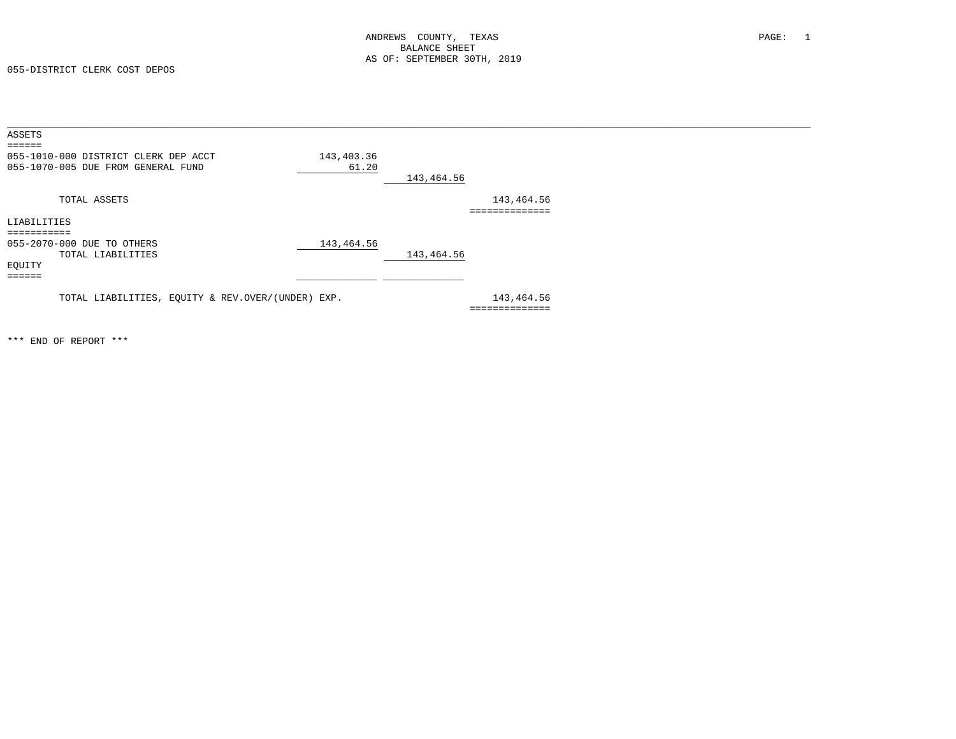055-DISTRICT CLERK COST DEPOS

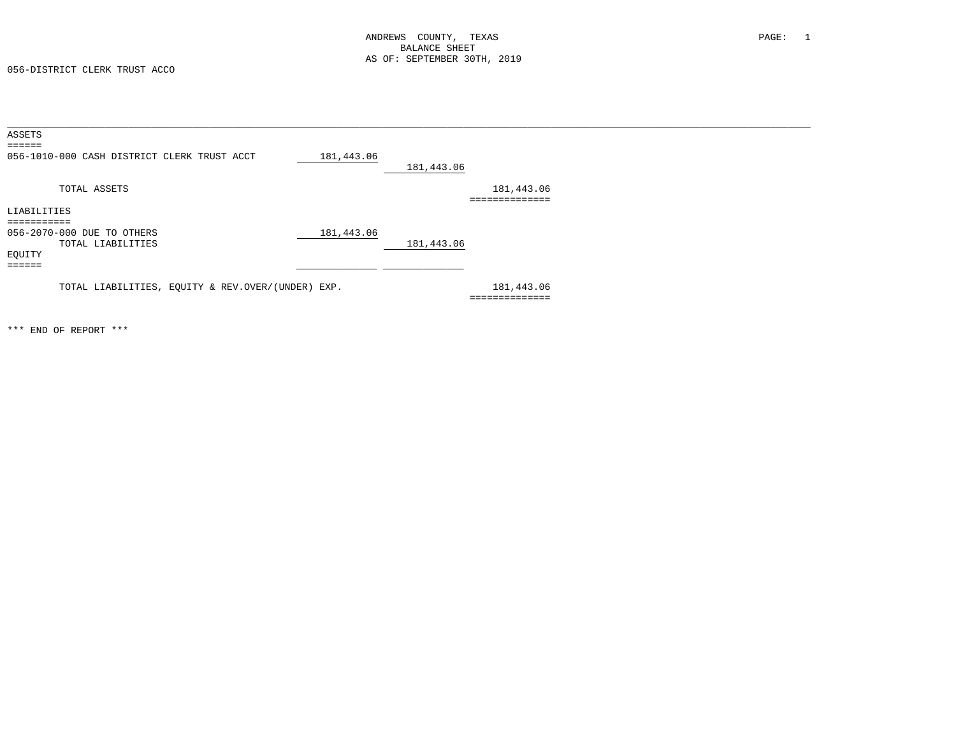056-DISTRICT CLERK TRUST ACCO

| ASSETS                                            |            |                              |  |
|---------------------------------------------------|------------|------------------------------|--|
| ======                                            |            |                              |  |
| 056-1010-000 CASH DISTRICT CLERK TRUST ACCT       | 181,443.06 | 181,443.06                   |  |
| TOTAL ASSETS                                      |            | 181,443.06<br>============== |  |
| LIABILITIES                                       |            |                              |  |
|                                                   |            |                              |  |
| 056-2070-000 DUE TO OTHERS                        | 181,443.06 |                              |  |
| TOTAL LIABILITIES                                 |            | 181,443.06                   |  |
| EQUITY                                            |            |                              |  |
| ======                                            |            |                              |  |
| TOTAL LIABILITIES, EQUITY & REV.OVER/(UNDER) EXP. |            | 181,443.06<br>============== |  |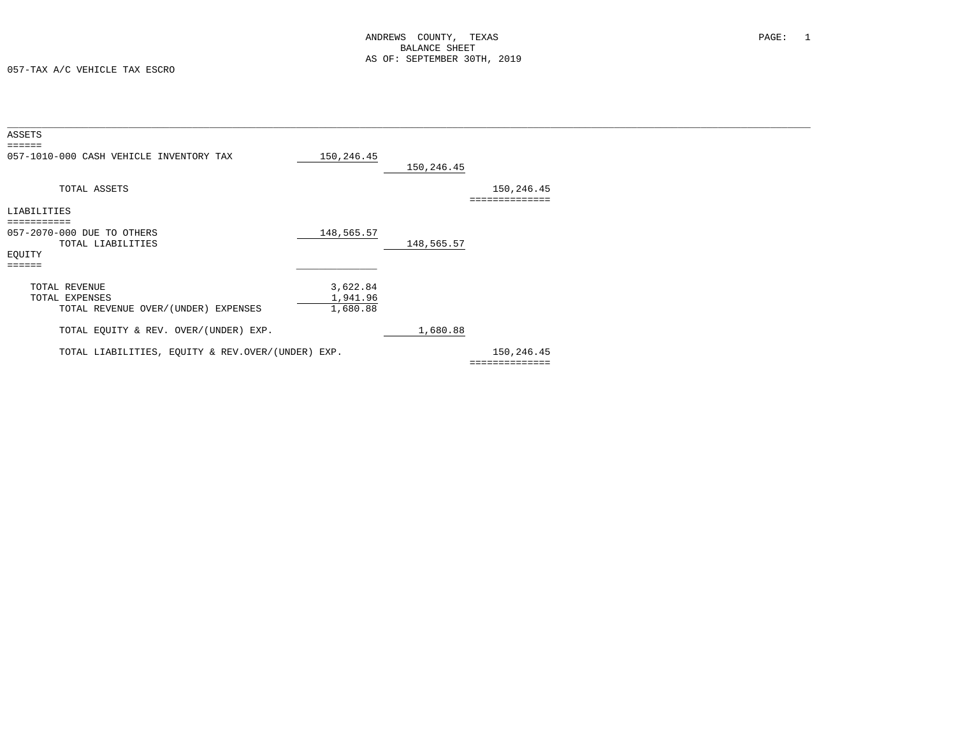057-TAX A/C VEHICLE TAX ESCRO

| ASSETS<br>======                                  |            |            |                           |  |
|---------------------------------------------------|------------|------------|---------------------------|--|
| 057-1010-000 CASH VEHICLE INVENTORY TAX           | 150,246.45 | 150,246.45 |                           |  |
| TOTAL ASSETS                                      |            |            | 150,246.45<br>=========== |  |
| LIABILITIES                                       |            |            |                           |  |
|                                                   |            |            |                           |  |
| 057-2070-000 DUE TO OTHERS<br>TOTAL LIABILITIES   | 148,565.57 | 148,565.57 |                           |  |
| EQUITY                                            |            |            |                           |  |
| ======                                            |            |            |                           |  |
| TOTAL REVENUE                                     | 3,622.84   |            |                           |  |
| TOTAL EXPENSES                                    | 1,941.96   |            |                           |  |
| TOTAL REVENUE OVER/(UNDER) EXPENSES               | 1,680.88   |            |                           |  |
| TOTAL EQUITY & REV. OVER/(UNDER) EXP.             |            | 1,680.88   |                           |  |
| TOTAL LIABILITIES, EQUITY & REV.OVER/(UNDER) EXP. |            |            | 150,246.45                |  |
|                                                   |            |            |                           |  |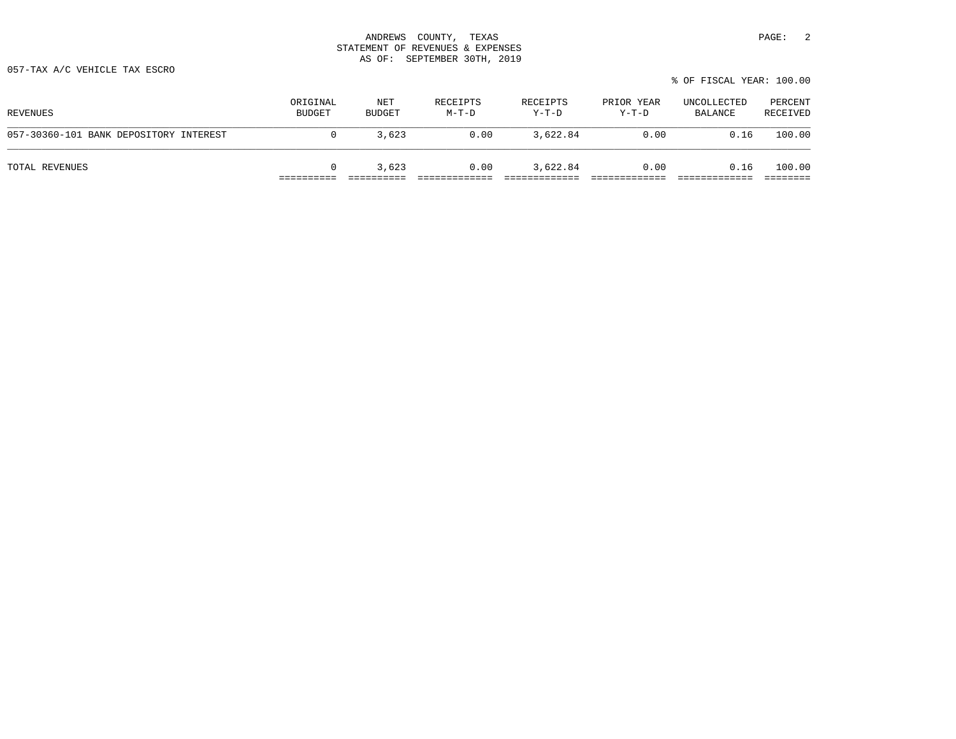057-TAX A/C VEHICLE TAX ESCRO

| % OF FISCAL YEAR: 100.00 |  |
|--------------------------|--|
|--------------------------|--|

| REVENUES                               | ORIGINAL<br><b>BUDGET</b> | NET<br>BUDGET | RECEIPTS<br>M-T-D | RECEIPTS<br>$Y-T-D$ | PRIOR YEAR<br>$Y-T-D$ | UNCOLLECTED<br>BALANCE | PERCENT<br>RECEIVED |
|----------------------------------------|---------------------------|---------------|-------------------|---------------------|-----------------------|------------------------|---------------------|
| 057-30360-101 BANK DEPOSITORY INTEREST |                           | 3,623         | 0.00              | 3,622.84            | 0.00                  | 0.16                   | 100.00              |
| TOTAL REVENUES                         |                           | 3,623         | 0.00              | 3,622.84            | 0.00                  | 0.16                   | 100.00              |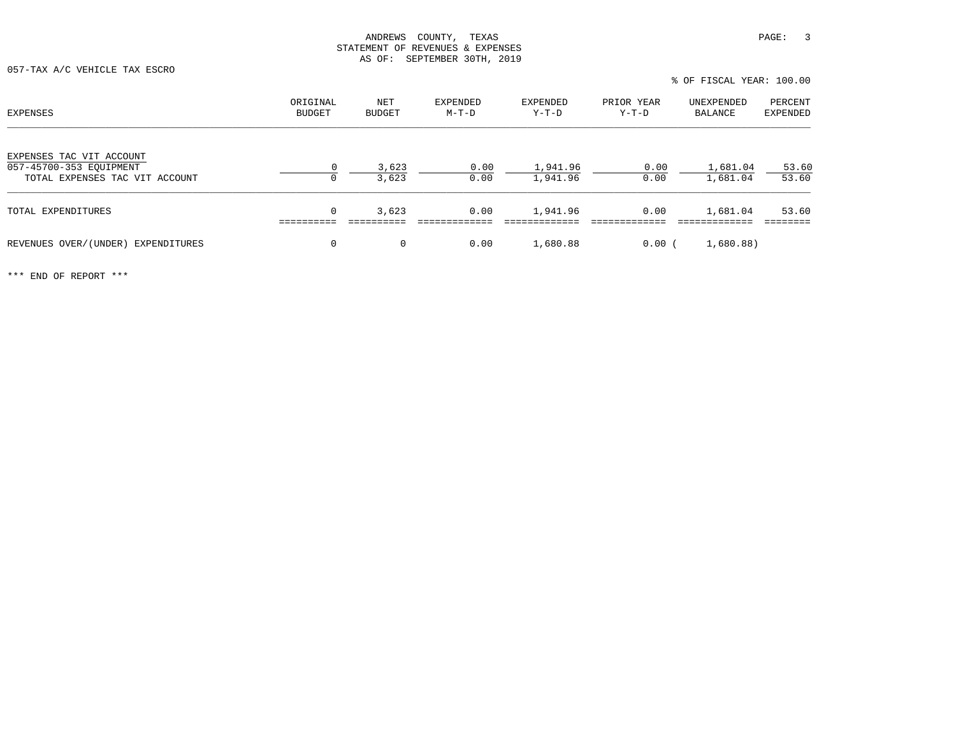| % OF FISCAL YEAR: 100.00 |
|--------------------------|
|--------------------------|

| EXPENSES                                                                              | ORIGINAL<br>BUDGET | NET<br><b>BUDGET</b> | EXPENDED<br>$M-T-D$ | EXPENDED<br>Y-T-D    | PRIOR YEAR<br>Y-T-D | UNEXPENDED<br>BALANCE | PERCENT<br>EXPENDED |
|---------------------------------------------------------------------------------------|--------------------|----------------------|---------------------|----------------------|---------------------|-----------------------|---------------------|
| EXPENSES TAC VIT ACCOUNT<br>057-45700-353 EOUIPMENT<br>TOTAL EXPENSES TAC VIT ACCOUNT | $\Omega$<br>0      | 3,623<br>3,623       | 0.00<br>0.00        | 1,941.96<br>1,941.96 | 0.00<br>0.00        | 1,681.04<br>1,681.04  | 53.60<br>53.60      |
| TOTAL EXPENDITURES                                                                    | 0                  | 3,623                | 0.00                | 1,941.96             | 0.00                | 1,681.04              | 53.60               |
| REVENUES OVER/(UNDER) EXPENDITURES                                                    | 0                  | $\Omega$             | 0.00                | 1,680.88             | 0.00(               | 1,680.88)             |                     |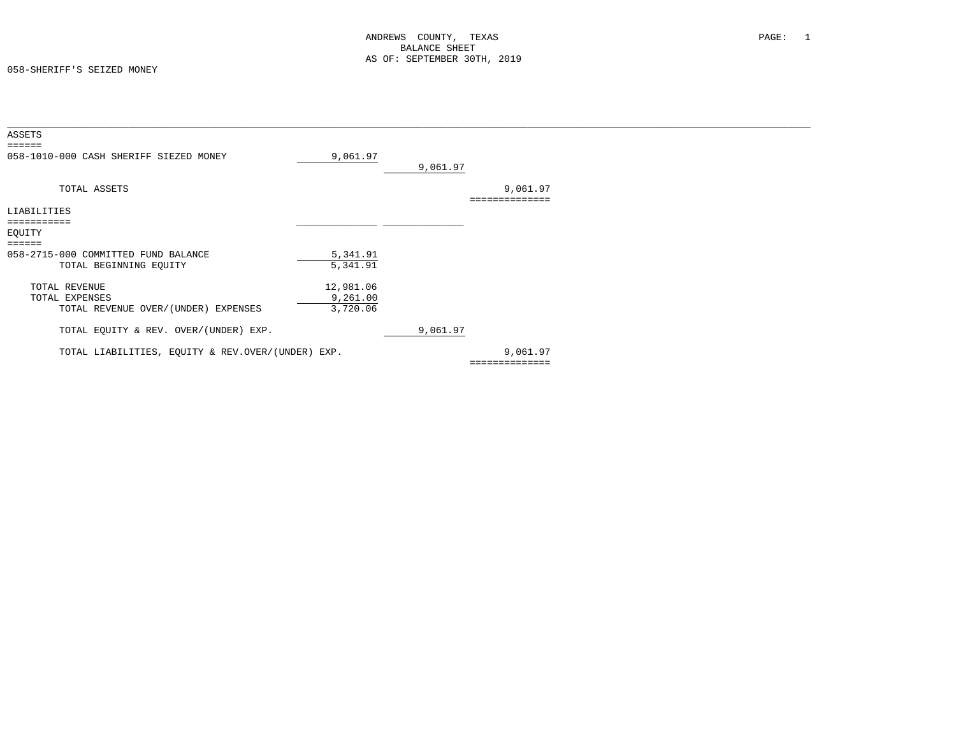| ASSETS<br>$=$ $=$ $=$ $=$ $=$                                 |                      |          |                            |  |
|---------------------------------------------------------------|----------------------|----------|----------------------------|--|
| 058-1010-000 CASH SHERIFF SIEZED MONEY                        | 9,061.97             | 9,061.97 |                            |  |
| TOTAL ASSETS                                                  |                      |          | 9,061.97<br>:============= |  |
| LIABILITIES                                                   |                      |          |                            |  |
| ===========                                                   |                      |          |                            |  |
| EQUITY                                                        |                      |          |                            |  |
| $\qquad \qquad \equiv \equiv \equiv \equiv \equiv \equiv$     |                      |          |                            |  |
| 058-2715-000 COMMITTED FUND BALANCE<br>TOTAL BEGINNING EQUITY | 5,341.91<br>5,341.91 |          |                            |  |
| TOTAL REVENUE                                                 | 12,981.06            |          |                            |  |
| TOTAL EXPENSES                                                | 9,261.00             |          |                            |  |
| TOTAL REVENUE OVER/(UNDER) EXPENSES                           | 3,720.06             |          |                            |  |
| TOTAL EQUITY & REV. OVER/(UNDER) EXP.                         |                      | 9,061.97 |                            |  |
| TOTAL LIABILITIES, EQUITY & REV.OVER/(UNDER) EXP.             |                      |          | 9,061.97                   |  |
|                                                               |                      |          | ==============             |  |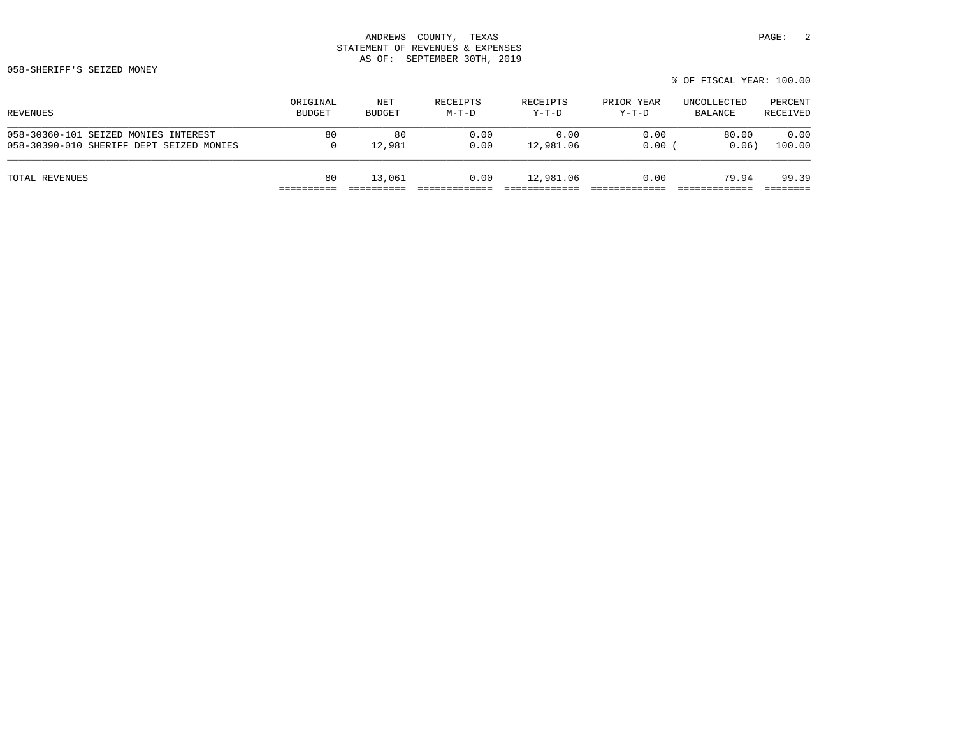058-SHERIFF'S SEIZED MONEY

|                                          |          |               |          |           |            | % OF FISCAL YEAR: 100.00 |          |
|------------------------------------------|----------|---------------|----------|-----------|------------|--------------------------|----------|
| REVENUES                                 | ORIGINAL | NET           | RECEIPTS | RECEIPTS  | PRIOR YEAR | UNCOLLECTED              | PERCENT  |
|                                          | BUDGET   | <b>BUDGET</b> | $M-T-D$  | Y-T-D     | Y-T-D      | BALANCE                  | RECEIVED |
| 058-30360-101 SEIZED MONIES INTEREST     | 80       | 80            | 0.00     | 0.00      | 0.00       | 80.00                    | 0.00     |
| 058-30390-010 SHERIFF DEPT SEIZED MONIES | 0        | 12,981        | 0.00     | 12,981.06 | 0.00       | 0.06)                    | 100.00   |
| TOTAL REVENUES                           | 80       | 13,061        | 0.00     | 12,981.06 | 0.00       | 79.94                    | 99.39    |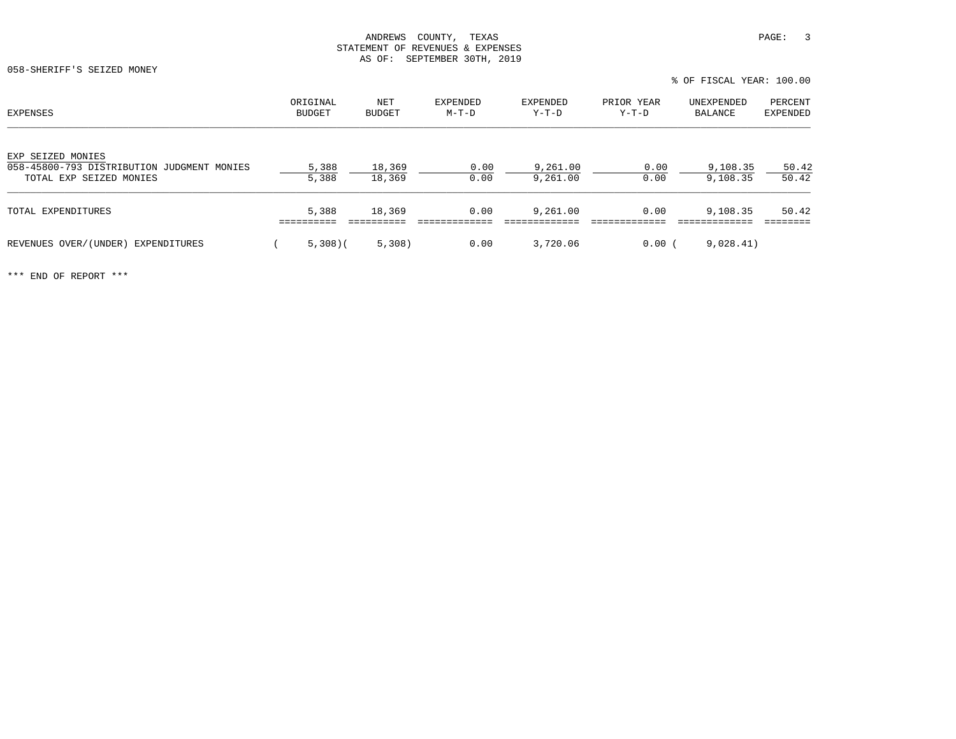058-SHERIFF'S SEIZED MONEY

| EXPENSES                                                                                   | ORIGINAL<br><b>BUDGET</b> | NET<br><b>BUDGET</b> | EXPENDED<br>$M-T-D$ | EXPENDED<br>Y-T-D    | PRIOR YEAR<br>$Y-T-D$ | UNEXPENDED<br>BALANCE | PERCENT<br><b>EXPENDED</b> |
|--------------------------------------------------------------------------------------------|---------------------------|----------------------|---------------------|----------------------|-----------------------|-----------------------|----------------------------|
| EXP SEIZED MONIES<br>058-45800-793 DISTRIBUTION JUDGMENT MONIES<br>TOTAL EXP SEIZED MONIES | 5,388<br>5,388            | 18,369<br>18,369     | 0.00<br>0.00        | 9,261.00<br>9,261.00 | 0.00<br>0.00          | 9,108.35<br>9,108.35  | 50.42<br>50.42             |
| TOTAL EXPENDITURES                                                                         | 5,388                     | 18,369               | 0.00                | 9,261.00             | 0.00                  | 9,108.35              | 50.42                      |
| REVENUES OVER/(UNDER)<br>EXPENDITURES                                                      | $5,308$ ) (               | 5,308)               | 0.00                | 3,720.06             | $0.00$ (              | 9,028.41)             |                            |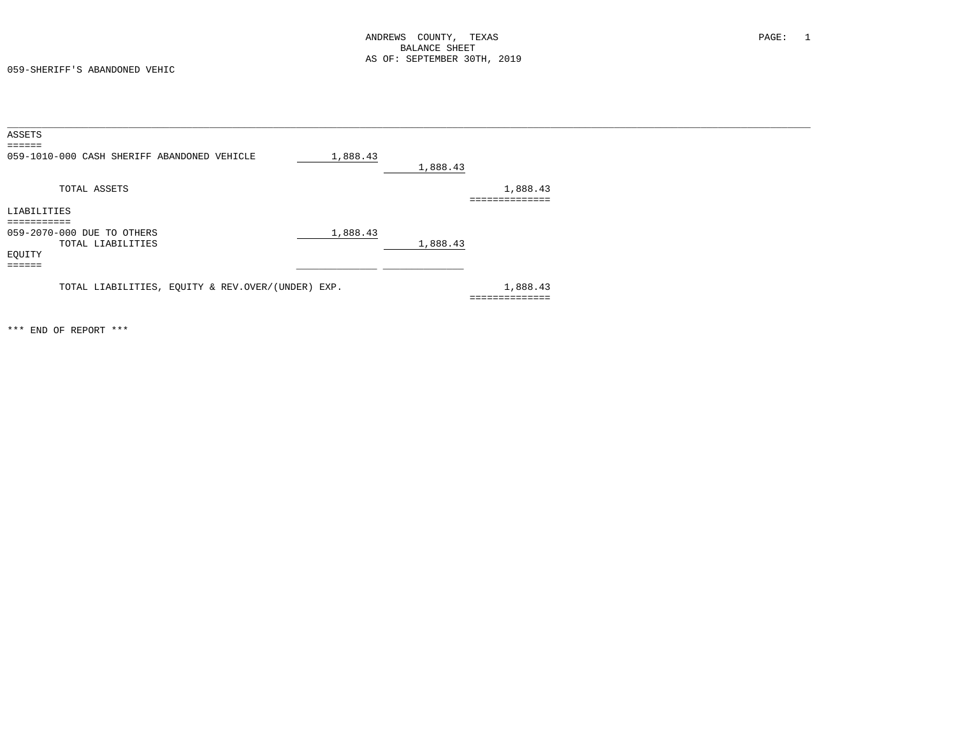059-SHERIFF'S ABANDONED VEHIC

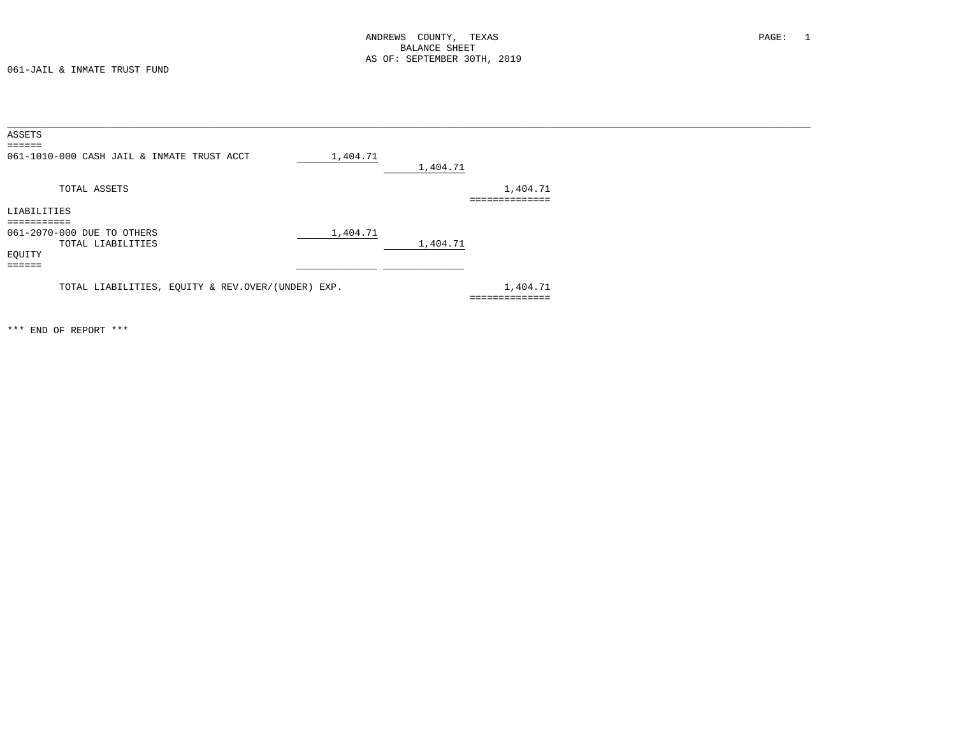061-JAIL & INMATE TRUST FUND

| ASSETS                                                                                    |                                     |
|-------------------------------------------------------------------------------------------|-------------------------------------|
| $\equiv \equiv \equiv \equiv \equiv \equiv$<br>061-1010-000 CASH JAIL & INMATE TRUST ACCT | 1,404.71<br>1,404.71                |
| TOTAL ASSETS                                                                              | 1,404.71<br>. = = = = = = = = = = = |
| LIABILITIES                                                                               |                                     |
| :=========                                                                                |                                     |
| 061-2070-000 DUE TO OTHERS                                                                | 1,404.71                            |
| TOTAL LIABILITIES<br>EQUITY<br>======                                                     | 1,404.71                            |
| TOTAL LIABILITIES, EQUITY & REV.OVER/(UNDER) EXP.                                         | 1,404.71<br>==============          |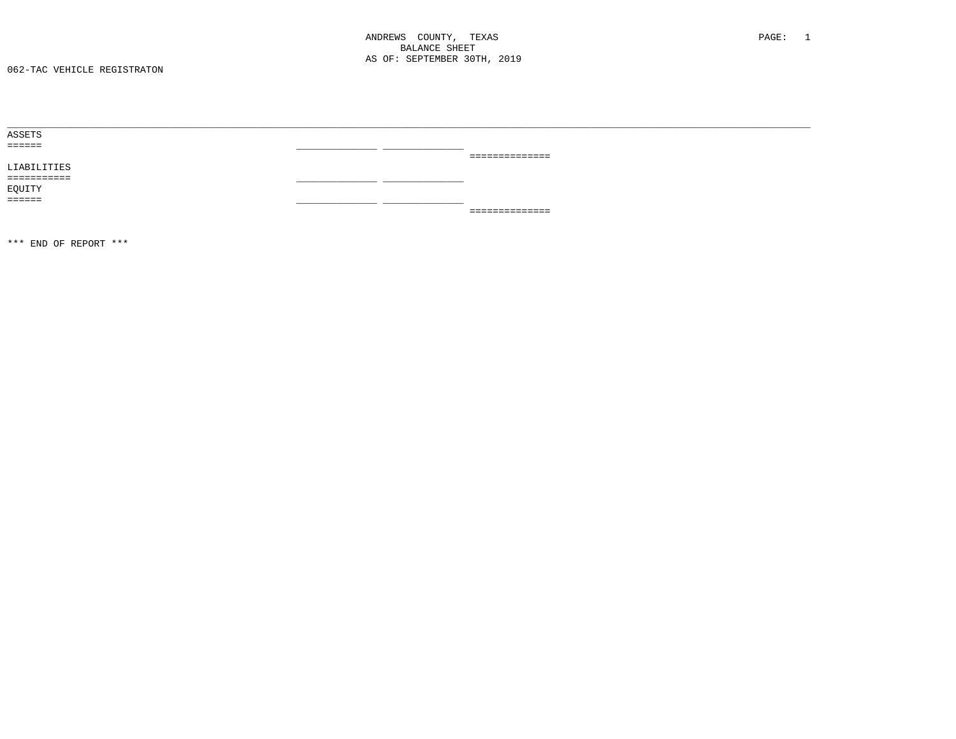| ASSETS            |                |
|-------------------|----------------|
| $=$ = = = = = $=$ |                |
|                   | ============== |
| LIABILITIES       |                |
| ===========       |                |
| EQUITY            |                |
| <b>EEEEEE</b>     |                |
|                   | ============== |
|                   |                |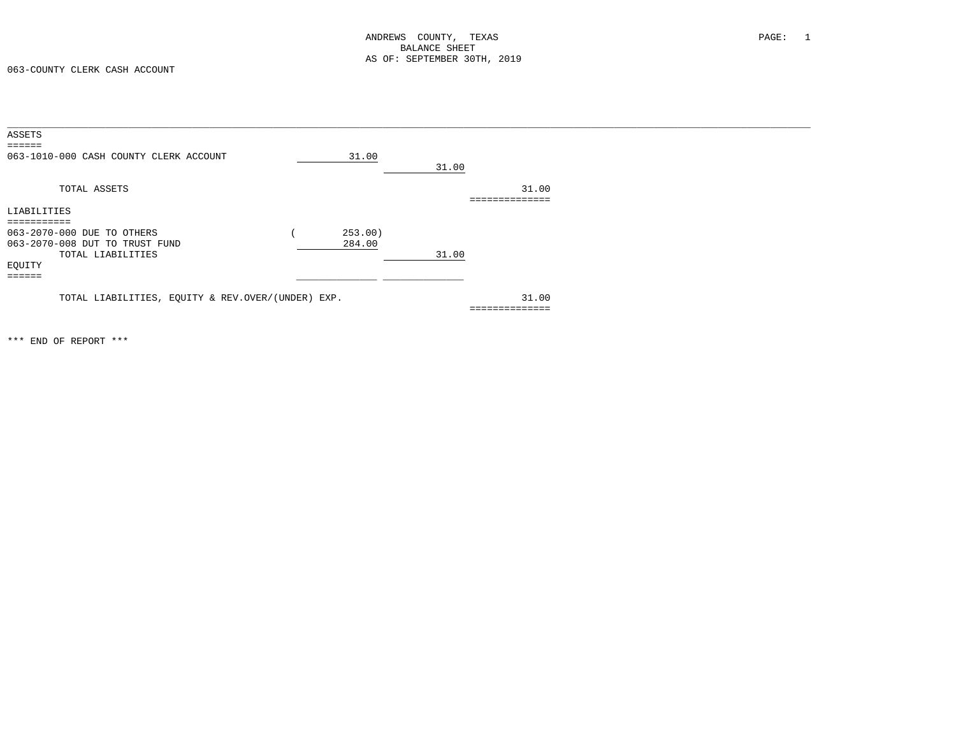063-COUNTY CLERK CASH ACCOUNT

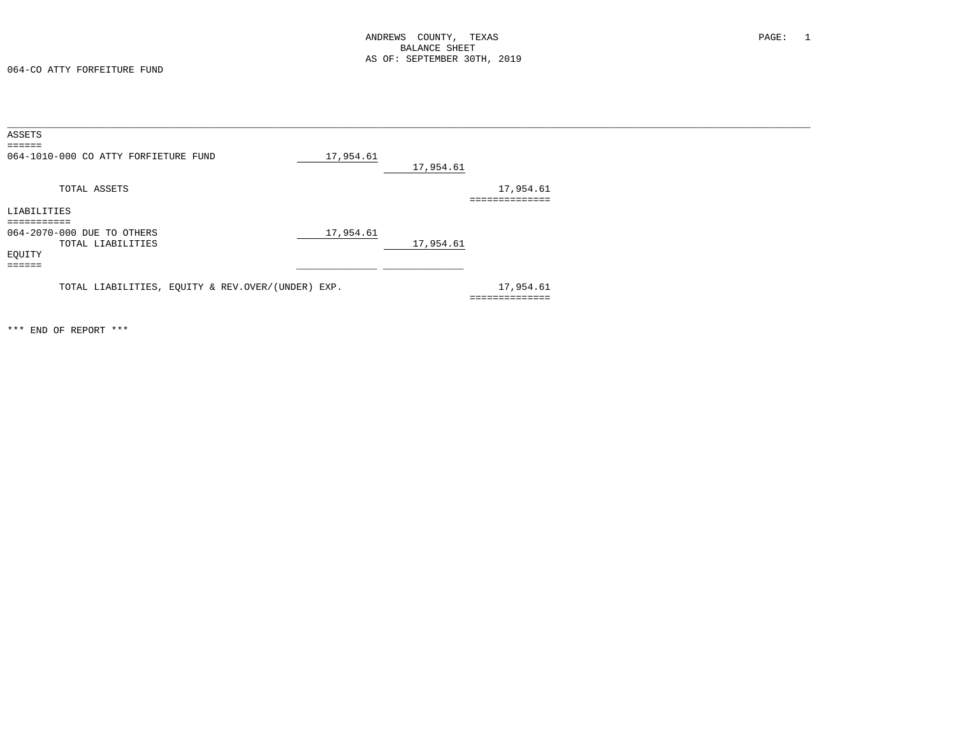064-CO ATTY FORFEITURE FUND

| ASSETS                                            |           |           |           |
|---------------------------------------------------|-----------|-----------|-----------|
| $=$ = = = = =                                     |           |           |           |
| 064-1010-000 CO ATTY FORFIETURE FUND              | 17,954.61 |           |           |
|                                                   |           | 17,954.61 |           |
| TOTAL ASSETS                                      |           |           | 17,954.61 |
|                                                   |           |           |           |
| LIABILITIES                                       |           |           |           |
| . = = = = = = = =                                 |           |           |           |
| 064-2070-000 DUE TO OTHERS                        | 17,954.61 |           |           |
| TOTAL LIABILITIES                                 |           | 17,954.61 |           |
| EQUITY                                            |           |           |           |
| ======                                            |           |           |           |
|                                                   |           |           |           |
| TOTAL LIABILITIES, EQUITY & REV.OVER/(UNDER) EXP. |           |           | 17,954.61 |
|                                                   |           |           | .         |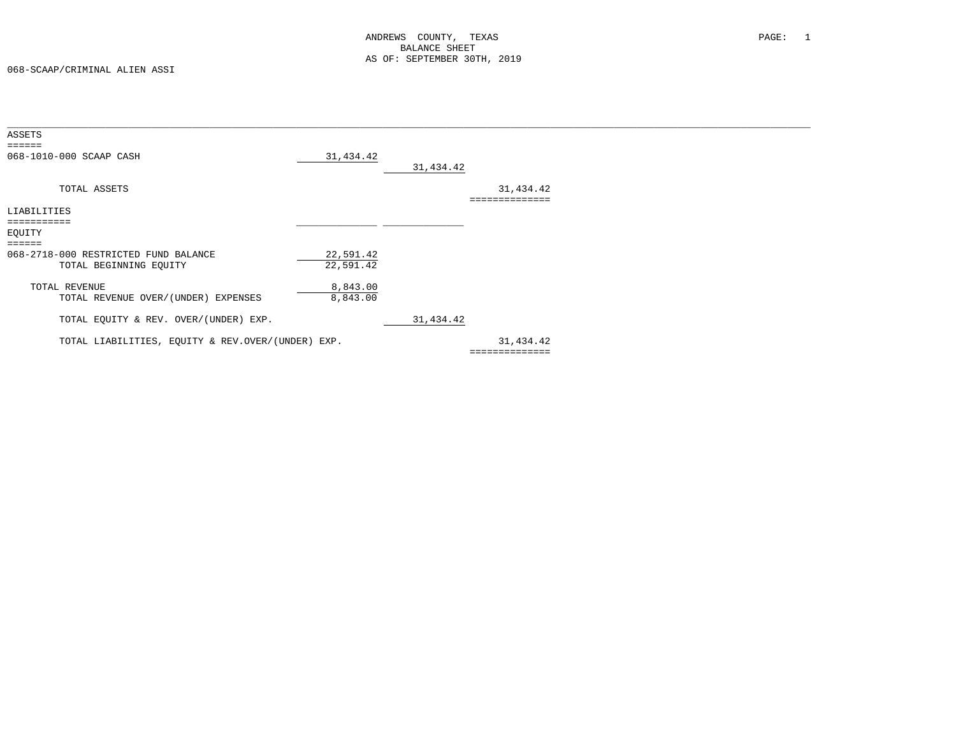| ASSETS                                                    |           |            |             |  |
|-----------------------------------------------------------|-----------|------------|-------------|--|
| $\qquad \qquad \equiv \equiv \equiv \equiv \equiv \equiv$ |           |            |             |  |
| 068-1010-000 SCAAP CASH                                   | 31,434.42 |            |             |  |
|                                                           |           | 31, 434.42 |             |  |
|                                                           |           |            |             |  |
| TOTAL ASSETS                                              |           |            | 31,434.42   |  |
|                                                           |           |            |             |  |
| LIABILITIES                                               |           |            |             |  |
| ===========                                               |           |            |             |  |
| EQUITY                                                    |           |            |             |  |
| $=$ $=$ $=$ $=$ $=$                                       |           |            |             |  |
| 068-2718-000 RESTRICTED FUND BALANCE                      | 22,591.42 |            |             |  |
| TOTAL BEGINNING EQUITY                                    | 22,591.42 |            |             |  |
|                                                           |           |            |             |  |
| TOTAL REVENUE                                             | 8,843.00  |            |             |  |
| TOTAL REVENUE OVER/(UNDER) EXPENSES                       | 8,843.00  |            |             |  |
|                                                           |           |            |             |  |
| TOTAL EQUITY & REV. OVER/(UNDER) EXP.                     |           | 31,434.42  |             |  |
|                                                           |           |            |             |  |
| TOTAL LIABILITIES, EQUITY & REV.OVER/(UNDER) EXP.         |           |            | 31,434.42   |  |
|                                                           |           |            | =========== |  |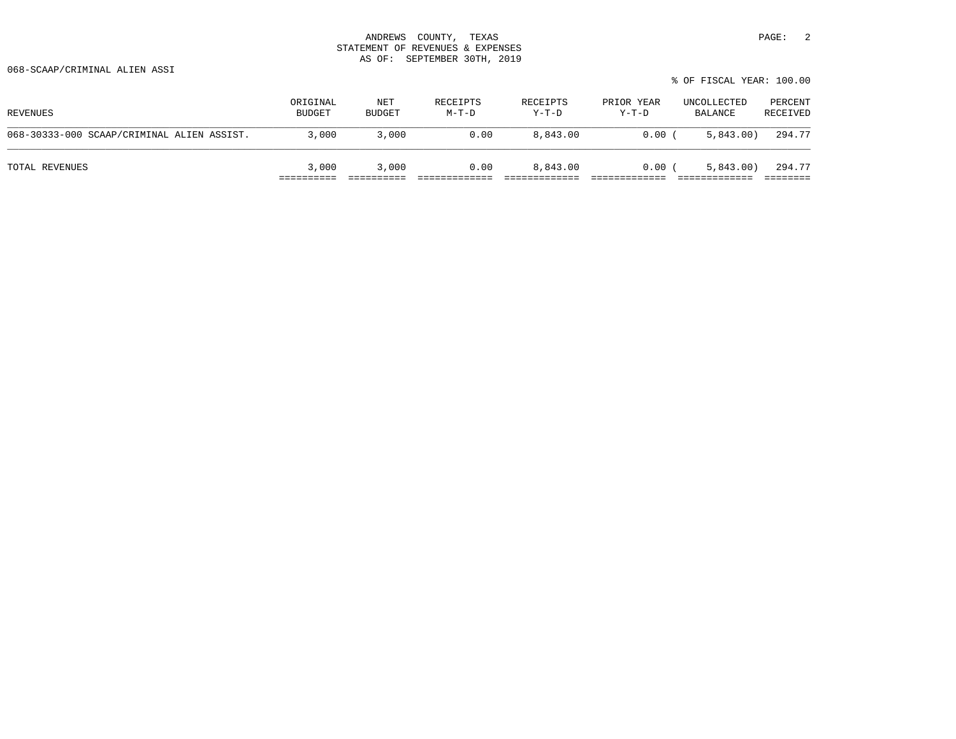| REVENUES                                   | ORIGINAL<br><b>BUDGET</b> | NET<br>BUDGET | RECEIPTS<br>M-T-D | RECEIPTS<br>$Y-T-D$ | PRIOR YEAR<br>$Y-T-D$ | UNCOLLECTED<br>BALANCE | PERCENT<br>RECEIVED |
|--------------------------------------------|---------------------------|---------------|-------------------|---------------------|-----------------------|------------------------|---------------------|
| 068-30333-000 SCAAP/CRIMINAL ALIEN ASSIST. | 3,000                     | 3,000         | 0.00              | 8,843.00            | $0.00$ (              | 5,843.00)              | 294.77              |
| TOTAL REVENUES                             | 3,000                     | 3,000         | 0.00              | 8,843.00            | $0.00$ (              | 5,843.00               | 294.77              |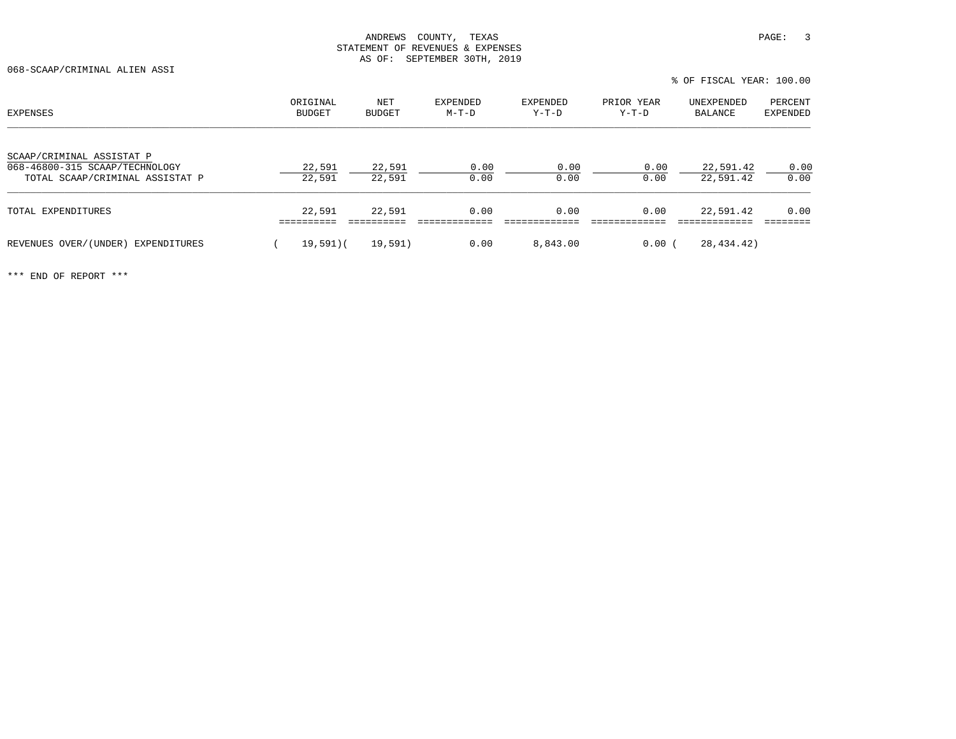068-SCAAP/CRIMINAL ALIEN ASSI

| EXPENSES                                                                                       | ORIGINAL<br>BUDGET | NET<br><b>BUDGET</b> | <b>EXPENDED</b><br>M-T-D | <b>EXPENDED</b><br>Y-T-D | PRIOR YEAR<br>Y-T-D | UNEXPENDED<br>BALANCE  | PERCENT<br>EXPENDED |
|------------------------------------------------------------------------------------------------|--------------------|----------------------|--------------------------|--------------------------|---------------------|------------------------|---------------------|
| SCAAP/CRIMINAL ASSISTAT P<br>068-46800-315 SCAAP/TECHNOLOGY<br>TOTAL SCAAP/CRIMINAL ASSISTAT P | 22,591<br>22,591   | 22,591<br>22,591     | 0.00<br>0.00             | 0.00<br>0.00             | 0.00<br>0.00        | 22,591.42<br>22,591.42 | 0.00<br>0.00        |
| TOTAL EXPENDITURES                                                                             | 22,591             | 22,591               | 0.00                     | 0.00                     | 0.00                | 22,591.42              | 0.00                |
| REVENUES OVER/(UNDER) EXPENDITURES                                                             | $19,591$ (         | 19,591)              | 0.00                     | 8,843.00                 | 0.00                | 28,434.42)             |                     |

% OF FISCAL YEAR: 100.00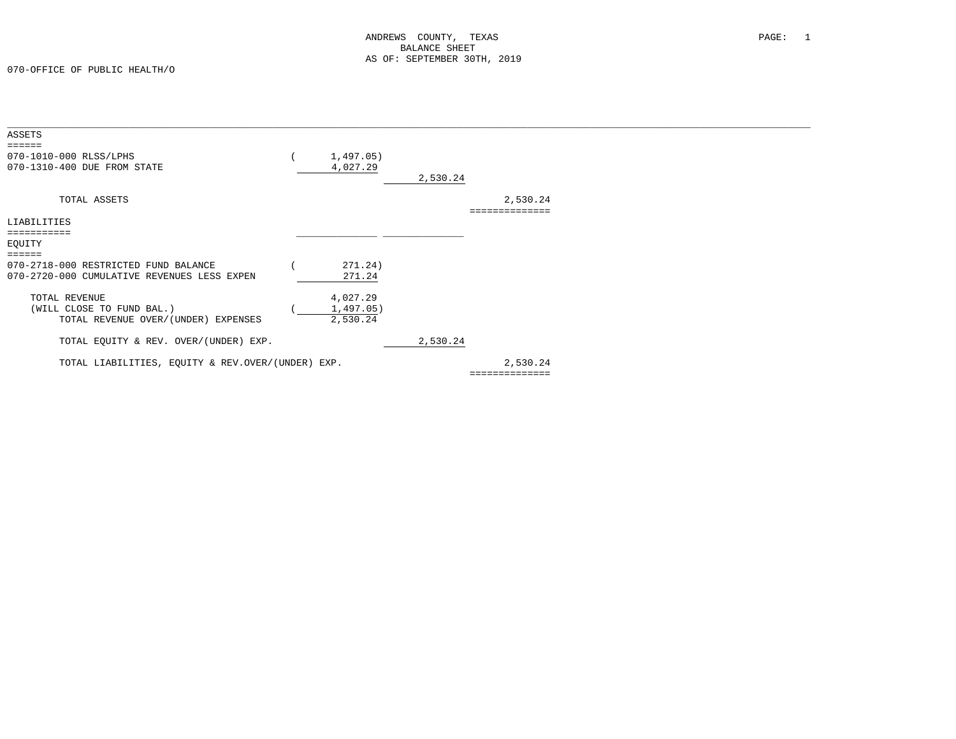070-OFFICE OF PUBLIC HEALTH/O

| <b>ASSETS</b>                                                                       |                                   |          |                            |  |
|-------------------------------------------------------------------------------------|-----------------------------------|----------|----------------------------|--|
| 070-1010-000 RLSS/LPHS<br>070-1310-400 DUE FROM STATE                               | 1,497.05)<br>4,027.29             | 2,530.24 |                            |  |
| TOTAL ASSETS                                                                        |                                   |          | 2,530.24<br>============== |  |
| LIABILITIES                                                                         |                                   |          |                            |  |
| -----------<br>EQUITY                                                               |                                   |          |                            |  |
| 070-2718-000 RESTRICTED FUND BALANCE<br>070-2720-000 CUMULATIVE REVENUES LESS EXPEN | 271.24)<br>271.24                 |          |                            |  |
| TOTAL REVENUE<br>(WILL CLOSE TO FUND BAL.)<br>TOTAL REVENUE OVER/(UNDER) EXPENSES   | 4,027.29<br>1,497.05)<br>2,530.24 |          |                            |  |
| TOTAL EQUITY & REV. OVER/(UNDER) EXP.                                               |                                   | 2,530.24 |                            |  |
| TOTAL LIABILITIES, EQUITY & REV.OVER/(UNDER) EXP.                                   |                                   |          | 2,530.24                   |  |
|                                                                                     |                                   |          | ==============             |  |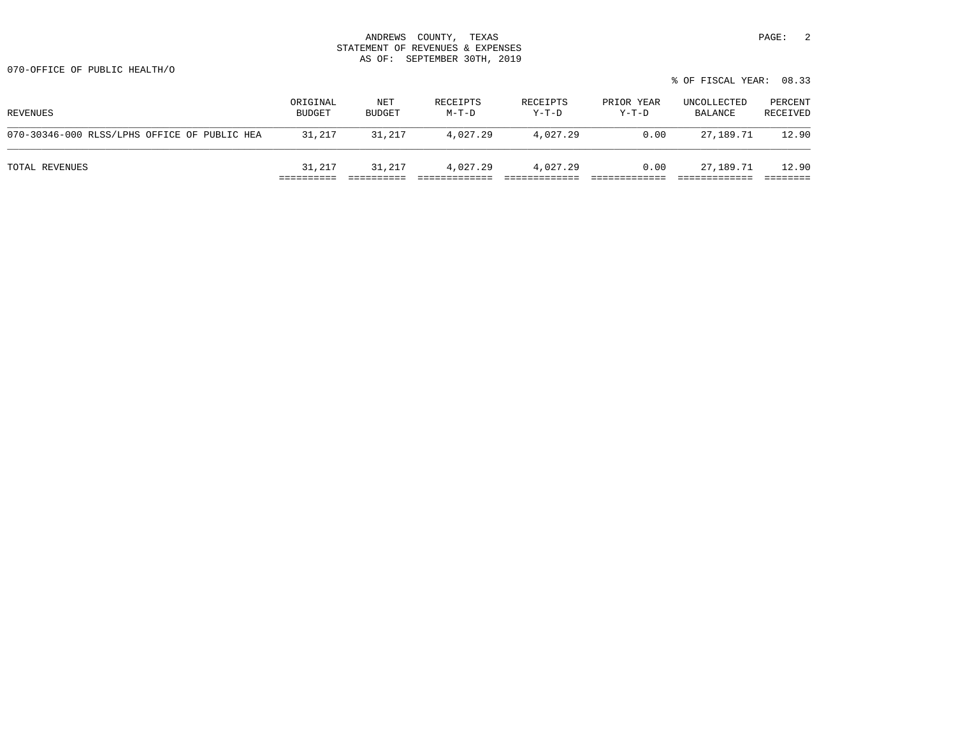|                                              |                           |                      |                     |                     |                       | % OF FISCAL YEAR: 08.33 |                     |
|----------------------------------------------|---------------------------|----------------------|---------------------|---------------------|-----------------------|-------------------------|---------------------|
| REVENUES                                     | ORIGINAL<br><b>BUDGET</b> | NET<br><b>BUDGET</b> | RECEIPTS<br>$M-T-D$ | RECEIPTS<br>$Y-T-D$ | PRIOR YEAR<br>$Y-T-D$ | UNCOLLECTED<br>BALANCE  | PERCENT<br>RECEIVED |
| 070-30346-000 RLSS/LPHS OFFICE OF PUBLIC HEA | 31,217                    | 31,217               | 4,027.29            | 4,027.29            | 0.00                  | 27,189.71               | 12.90               |

 $33$ 

TOTAL REVENUES 31,217 31,217 4,027.29 4,027.29 0.00 27,189.71 12.90 ========== ========== ============= ============= ============= ============= ========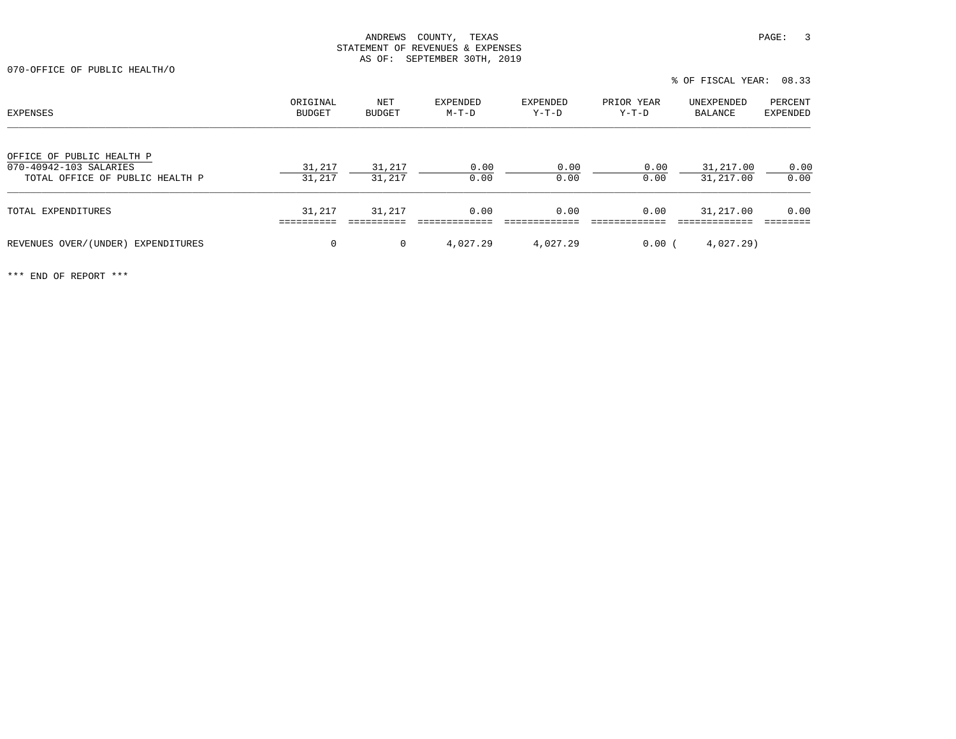% OF FISCAL YEAR: 08.33

070-OFFICE OF PUBLIC HEALTH/O

| EXPENSES                                                                               | ORIGINAL<br>BUDGET | NET<br>BUDGET    | EXPENDED<br>M-T-D | EXPENDED<br>Y-T-D | PRIOR YEAR<br>Y-T-D | UNEXPENDED<br>BALANCE  | PERCENT<br>EXPENDED |
|----------------------------------------------------------------------------------------|--------------------|------------------|-------------------|-------------------|---------------------|------------------------|---------------------|
| OFFICE OF PUBLIC HEALTH P<br>070-40942-103 SALARIES<br>TOTAL OFFICE OF PUBLIC HEALTH P | 31,217<br>31,217   | 31,217<br>31,217 | 0.00<br>0.00      | 0.00<br>0.00      | 0.00<br>0.00        | 31,217.00<br>31,217.00 | 0.00<br>0.00        |
| TOTAL EXPENDITURES                                                                     | 31,217             | 31,217           | 0.00              | 0.00              | 0.00                | 31,217.00              | 0.00                |
| REVENUES OVER/(UNDER) EXPENDITURES                                                     | 0                  | $\mathbf{0}$     | 4,027.29          | 4,027.29          | 0.00                | 4,027.29)              |                     |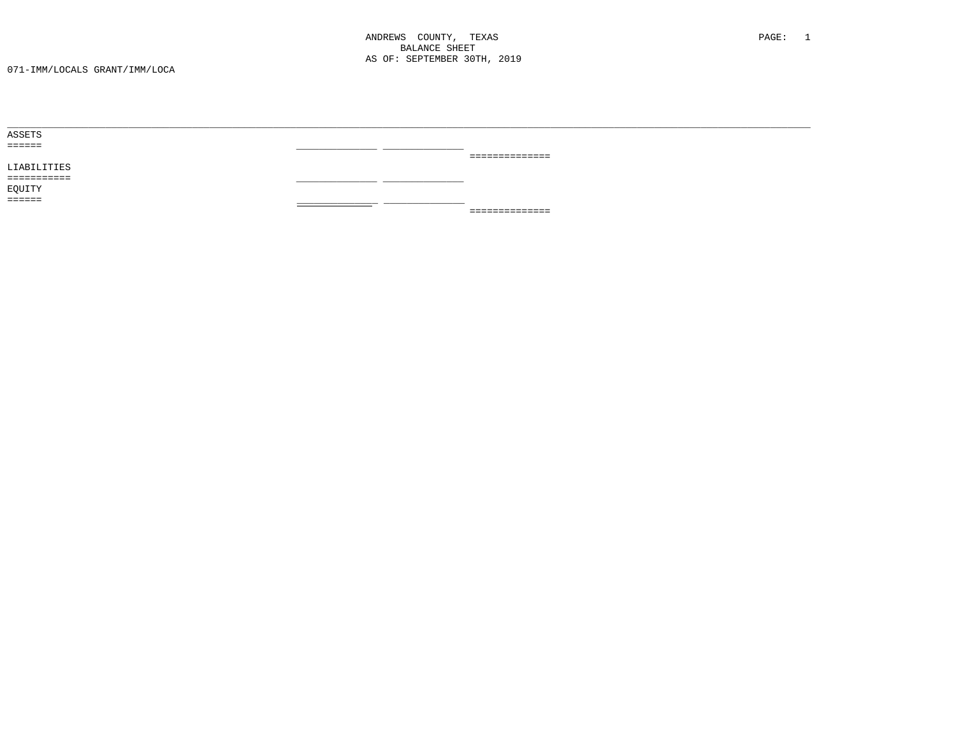| ============== |                                                                                                                 |
|----------------|-----------------------------------------------------------------------------------------------------------------|
|                |                                                                                                                 |
|                |                                                                                                                 |
|                |                                                                                                                 |
| __________     |                                                                                                                 |
| ============== |                                                                                                                 |
|                | the contract of the contract of the contract of the contract of the contract of the contract of the contract of |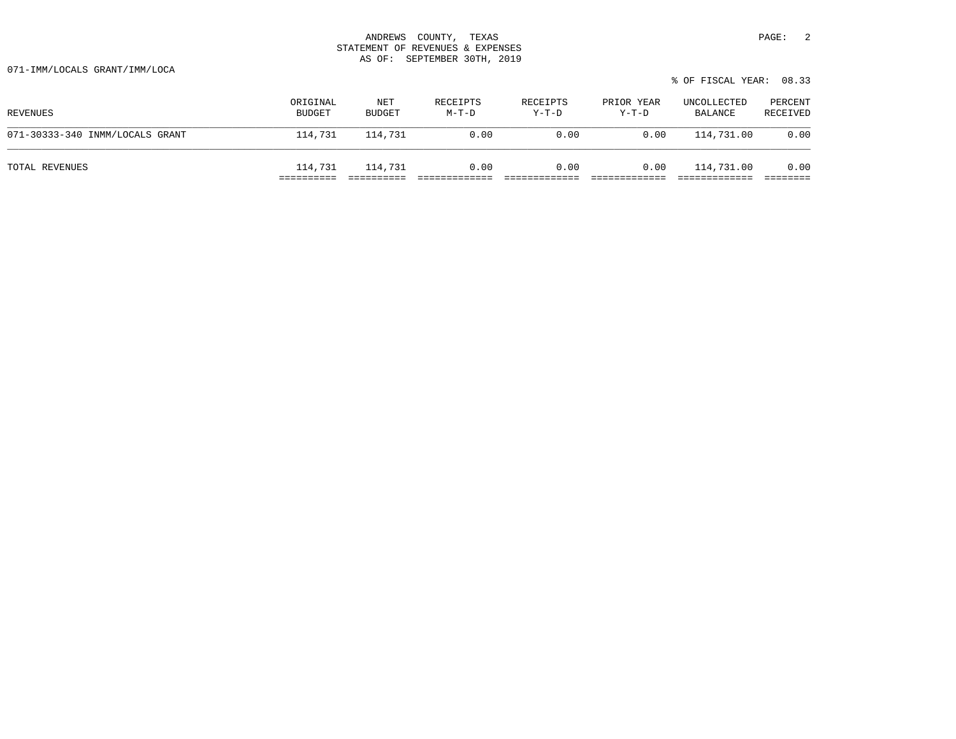071-IMM/LOCALS GRANT/IMM/LOCA

| % OF FISCAL YEAR: 08.33 |  |
|-------------------------|--|
|-------------------------|--|

| REVENUES                        | ORIGINAL<br><b>BUDGET</b> | NET<br>BUDGET | RECEIPTS<br>M-T-D | RECEIPTS<br>$Y-T-D$ | PRIOR YEAR<br>$Y-T-D$ | UNCOLLECTED<br>BALANCE | PERCENT<br>RECEIVED |
|---------------------------------|---------------------------|---------------|-------------------|---------------------|-----------------------|------------------------|---------------------|
| 071-30333-340 INMM/LOCALS GRANT | 114,731                   | 114,731       | 0.00              | 0.00                | 0.00                  | 114,731.00             | 0.00                |
| TOTAL REVENUES                  | 114,731                   | 114,731       | 0.00              | 0.00                | 0.00                  | 114,731.00             | 0.00                |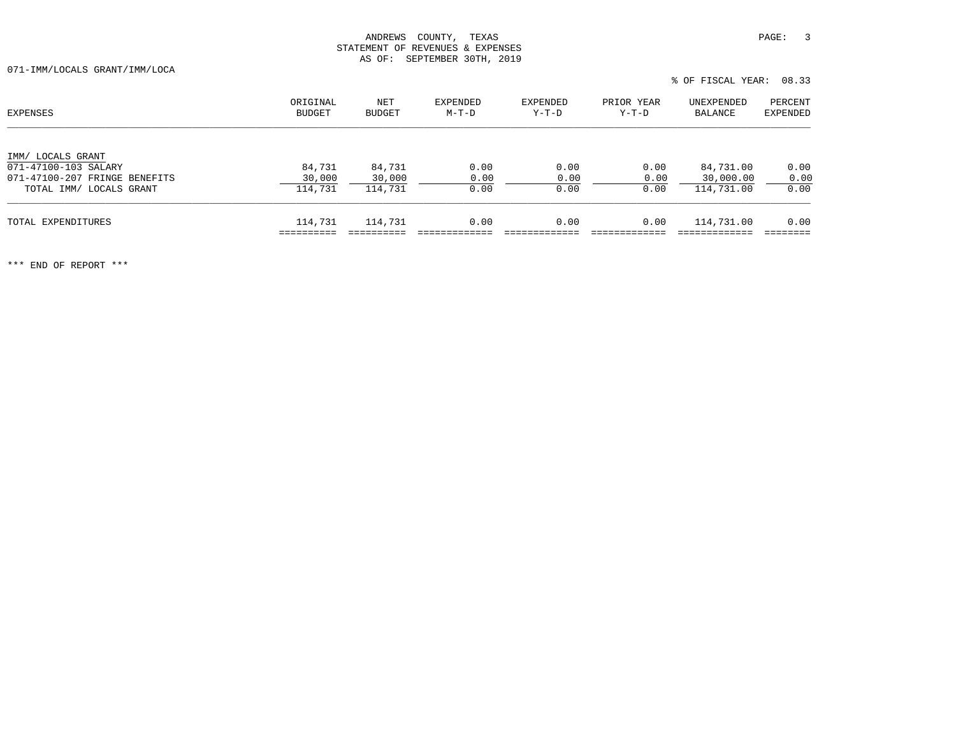071-IMM/LOCALS GRANT/IMM/LOCA

| EXPENSES                                                                                              | ORIGINAL<br>BUDGET          | NET<br>BUDGET               | EXPENDED<br>M-T-D    | EXPENDED<br>$Y-T-D$  | PRIOR YEAR<br>Y-T-D  | UNEXPENDED<br>BALANCE                | PERCENT<br>EXPENDED  |
|-------------------------------------------------------------------------------------------------------|-----------------------------|-----------------------------|----------------------|----------------------|----------------------|--------------------------------------|----------------------|
| IMM/ LOCALS GRANT<br>071-47100-103 SALARY<br>071-47100-207 FRINGE BENEFITS<br>TOTAL IMM/ LOCALS GRANT | 84,731<br>30,000<br>114,731 | 84,731<br>30,000<br>114,731 | 0.00<br>0.00<br>0.00 | 0.00<br>0.00<br>0.00 | 0.00<br>0.00<br>0.00 | 84,731.00<br>30,000.00<br>114,731.00 | 0.00<br>0.00<br>0.00 |
| TOTAL EXPENDITURES                                                                                    | 114,731                     | 114,731                     | 0.00                 | 0.00                 | 0.00                 | 114,731.00                           | 0.00                 |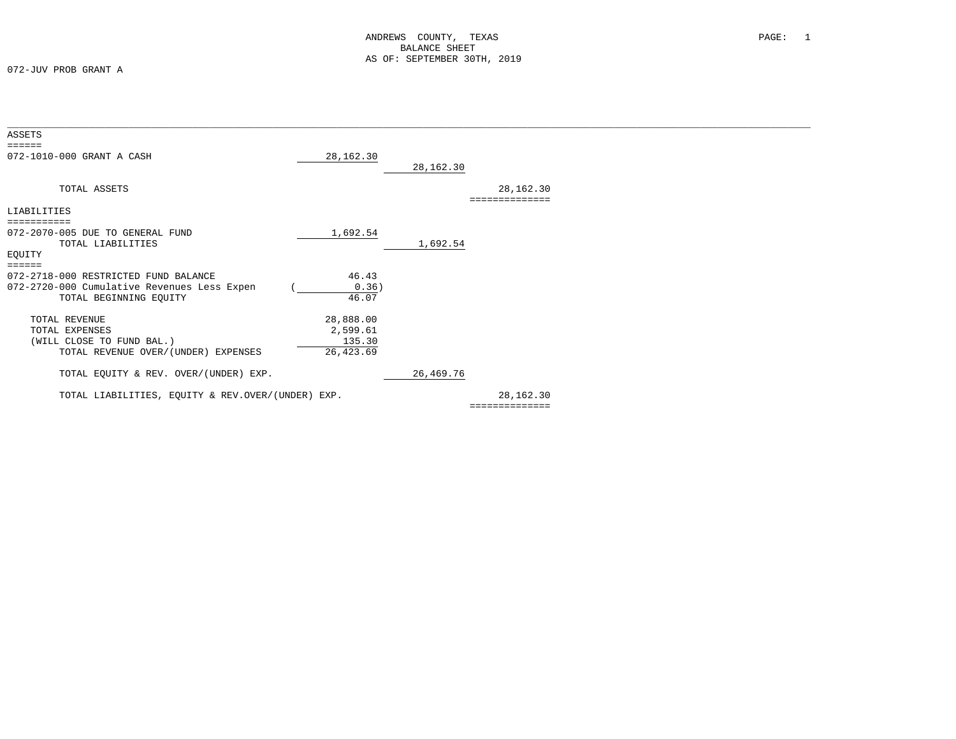072-JUV PROB GRANT A

| ASSETS<br>======                                                                                                               |                                              |             |                             |  |
|--------------------------------------------------------------------------------------------------------------------------------|----------------------------------------------|-------------|-----------------------------|--|
| 072-1010-000 GRANT A CASH                                                                                                      | 28,162.30                                    | 28,162.30   |                             |  |
| TOTAL ASSETS                                                                                                                   |                                              |             | 28,162.30<br>============== |  |
| LIABILITIES                                                                                                                    |                                              |             |                             |  |
| 072-2070-005 DUE TO GENERAL FUND<br>TOTAL LIABILITIES<br>EQUITY                                                                | 1,692.54                                     | 1,692.54    |                             |  |
| $=$ = = = = =<br>072-2718-000 RESTRICTED FUND BALANCE<br>072-2720-000 Cumulative Revenues Less Expen<br>TOTAL BEGINNING EQUITY | 46.43<br>0.36)<br>46.07                      |             |                             |  |
| TOTAL REVENUE<br>TOTAL EXPENSES<br>(WILL CLOSE TO FUND BAL.)<br>TOTAL REVENUE OVER/(UNDER) EXPENSES                            | 28,888.00<br>2,599.61<br>135.30<br>26,423.69 |             |                             |  |
| TOTAL EQUITY & REV. OVER/(UNDER) EXP.                                                                                          |                                              | 26, 469. 76 |                             |  |
| TOTAL LIABILITIES, EQUITY & REV.OVER/(UNDER) EXP.                                                                              |                                              |             | 28,162.30                   |  |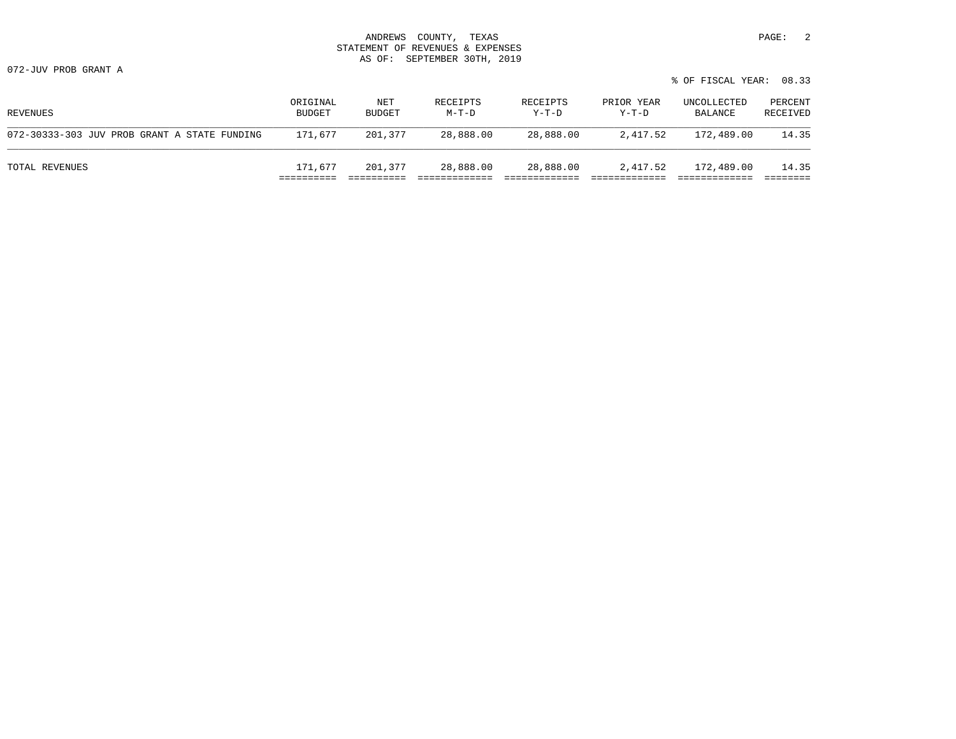| 3700777<br>ANDREWS          | PAGE<br>TEXAS<br>'OUNTY   |  |
|-----------------------------|---------------------------|--|
| STATEMENT<br>OF.            | REVENUES &<br>EXPENSES    |  |
| OF:<br>$\overline{2}$<br>טב | 30mu<br>SEPTEMBER<br>2019 |  |

072-JUV PROB GRANT A

|                                              |                           |               |                     |                     |                       | % OF FISCAL YEAR:      | 08.33               |
|----------------------------------------------|---------------------------|---------------|---------------------|---------------------|-----------------------|------------------------|---------------------|
| REVENUES                                     | ORIGINAL<br><b>BUDGET</b> | NET<br>BUDGET | RECEIPTS<br>$M-T-D$ | RECEIPTS<br>$Y-T-D$ | PRIOR YEAR<br>$Y-T-D$ | UNCOLLECTED<br>BALANCE | PERCENT<br>RECEIVED |
| 072-30333-303 JUV PROB GRANT A STATE FUNDING | 171,677                   | 201,377       | 28,888.00           | 28,888.00           | 2,417.52              | 172,489.00             | 14.35               |
| TOTAL REVENUES                               | 171,677                   | 201,377       | 28,888.00           | 28,888.00           | 2,417.52              | 172,489.00             | 14.35               |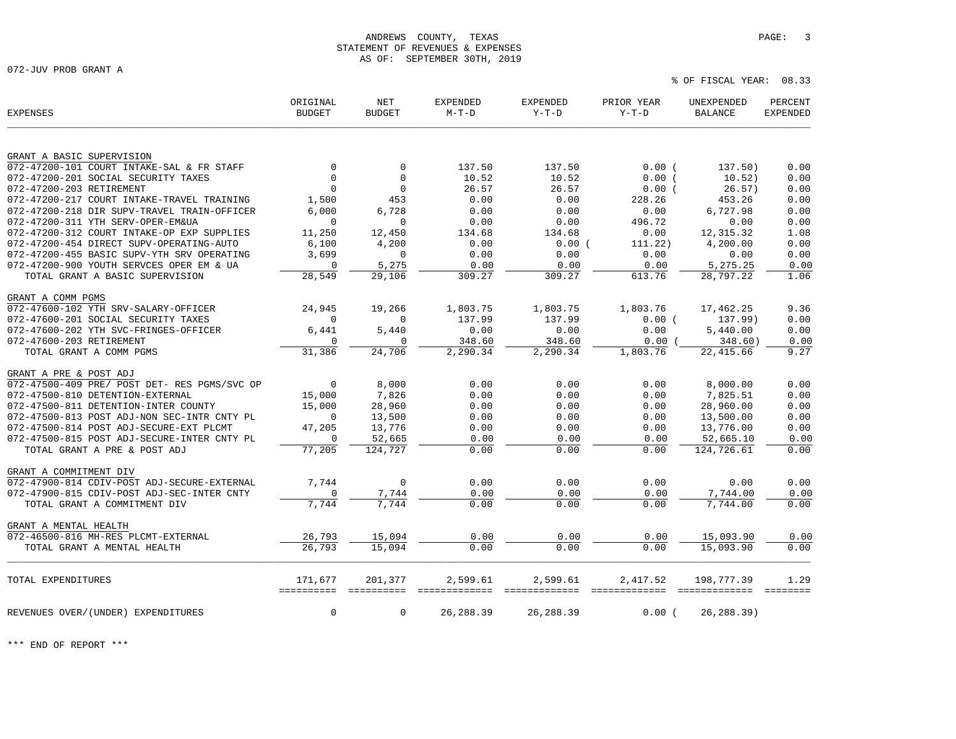072-JUV PROB GRANT A

| <b>EXPENSES</b>                              | ORIGINAL<br><b>BUDGET</b> | NET<br><b>BUDGET</b> | <b>EXPENDED</b><br>$M-T-D$ | EXPENDED<br>$Y-T-D$       | PRIOR YEAR<br>$Y-T-D$     | UNEXPENDED<br><b>BALANCE</b> | PERCENT<br><b>EXPENDED</b> |
|----------------------------------------------|---------------------------|----------------------|----------------------------|---------------------------|---------------------------|------------------------------|----------------------------|
|                                              |                           |                      |                            |                           |                           |                              |                            |
| GRANT A BASIC SUPERVISION                    |                           |                      |                            |                           |                           |                              |                            |
| 072-47200-101 COURT INTAKE-SAL & FR STAFF    | $\Omega$                  | $\Omega$             | 137.50                     | 137.50                    | 0.00(                     | 137.50)                      | 0.00                       |
| 072-47200-201 SOCIAL SECURITY TAXES          | $\Omega$                  | $\Omega$             | 10.52                      | 10.52                     | 0.00(                     | 10.52)                       | 0.00                       |
| 072-47200-203 RETIREMENT                     | $\Omega$                  | $\mathbf 0$          | 26.57                      | 26.57                     | 0.00(                     | 26.57)                       | 0.00                       |
| 072-47200-217 COURT INTAKE-TRAVEL TRAINING   | 1,500                     | 453                  | 0.00                       | 0.00                      | 228.26                    | 453.26                       | 0.00                       |
| 072-47200-218 DIR SUPV-TRAVEL TRAIN-OFFICER  | 6.000                     | 6,728                | 0.00                       | 0.00                      | 0.00                      | 6,727.98                     | 0.00                       |
| 072-47200-311 YTH SERV-OPER-EM&UA            | $\mathbf 0$               | $\mathbf 0$          | 0.00                       | 0.00                      | 496.72                    | 0.00                         | 0.00                       |
| 072-47200-312 COURT INTAKE-OP EXP SUPPLIES   | 11,250                    | 12,450               | 134.68                     | 134.68                    | 0.00                      | 12, 315.32                   | 1.08                       |
| 072-47200-454 DIRECT SUPV-OPERATING-AUTO     | 6,100                     | 4,200                | 0.00                       | 0.00(                     | 111.22)                   | 4,200.00                     | 0.00                       |
| 072-47200-455 BASIC SUPV-YTH SRV OPERATING   | 3,699                     | $\mathbf 0$          | 0.00                       | 0.00                      | 0.00                      | 0.00                         | 0.00                       |
| 072-47200-900 YOUTH SERVCES OPER EM & UA     | $\mathbf 0$               | 5,275                | 0.00                       | 0.00                      | 0.00                      | 5,275.25                     | 0.00                       |
| TOTAL GRANT A BASIC SUPERVISION              | 28,549                    | 29,106               | 309.27                     | 309.27                    | 613.76                    | 28,797.22                    | 1.06                       |
| GRANT A COMM PGMS                            |                           |                      |                            |                           |                           |                              |                            |
| 072-47600-102 YTH SRV-SALARY-OFFICER         | 24,945                    | 19,266               | 1,803.75                   | 1,803.75                  | 1,803.76                  | 17,462.25                    | 9.36                       |
| 072-47600-201 SOCIAL SECURITY TAXES          | $\mathbf 0$               | $\Omega$             | 137.99                     | 137.99                    | 0.00(                     | 137.99)                      | 0.00                       |
| 072-47600-202 YTH SVC-FRINGES-OFFICER        | 6,441                     | 5,440                | 0.00                       | 0.00                      | 0.00                      | 5,440.00                     | 0.00                       |
| 072-47600-203 RETIREMENT                     | $\mathbf 0$               | O                    | 348.60                     | 348.60                    | 0.00                      | 348.60)                      | 0.00                       |
| TOTAL GRANT A COMM PGMS                      | 31,386                    | 24,706               | 2,290.34                   | 2,290.34                  | 1,803.76                  | 22, 415.66                   | 9.27                       |
| GRANT A PRE & POST ADJ                       |                           |                      |                            |                           |                           |                              |                            |
| 072-47500-409 PRE/ POST DET- RES PGMS/SVC OP | $\mathbf 0$               | 8,000                | 0.00                       | 0.00                      | 0.00                      | 8,000.00                     | 0.00                       |
| 072-47500-810 DETENTION-EXTERNAL             | 15,000                    | 7,826                | 0.00                       | 0.00                      | 0.00                      | 7,825.51                     | 0.00                       |
| 072-47500-811 DETENTION-INTER COUNTY         | 15,000                    | 28,960               | 0.00                       | 0.00                      | 0.00                      | 28,960.00                    | 0.00                       |
| 072-47500-813 POST ADJ-NON SEC-INTR CNTY PL  | $\mathbf 0$               | 13,500               | 0.00                       | 0.00                      | 0.00                      | 13,500.00                    | 0.00                       |
| 072-47500-814 POST ADJ-SECURE-EXT PLCMT      | 47,205                    | 13,776               | 0.00                       | 0.00                      | 0.00                      | 13,776.00                    | 0.00                       |
| 072-47500-815 POST ADJ-SECURE-INTER CNTY PL  | $\Omega$                  | 52,665               | 0.00                       | 0.00                      | 0.00                      | 52,665.10                    | 0.00                       |
| TOTAL GRANT A PRE & POST ADJ                 | 77,205                    | 124,727              | 0.00                       | 0.00                      | 0.00                      | 124,726.61                   | 0.00                       |
| GRANT A COMMITMENT DIV                       |                           |                      |                            |                           |                           |                              |                            |
| 072-47900-814 CDIV-POST ADJ-SECURE-EXTERNAL  | 7.744                     | $\Omega$             | 0.00                       | 0.00                      | 0.00                      | 0.00                         | 0.00                       |
| 072-47900-815 CDIV-POST ADJ-SEC-INTER CNTY   | $\mathbf 0$               | 7,744                | 0.00                       | 0.00                      | 0.00                      | 7,744.00                     | 0.00                       |
| TOTAL GRANT A COMMITMENT DIV                 | 7.744                     | 7.744                | 0.00                       | 0.00                      | 0.00                      | 7,744.00                     | 0.00                       |
| GRANT A MENTAL HEALTH                        |                           |                      |                            |                           |                           |                              |                            |
| 072-46500-816 MH-RES PLCMT-EXTERNAL          | 26,793                    | 15,094               | 0.00                       | 0.00                      | 0.00                      | 15,093.90                    | 0.00                       |
| TOTAL GRANT A MENTAL HEALTH                  | 26,793                    | 15,094               | 0.00                       | 0.00                      | 0.00                      | 15,093.90                    | 0.00                       |
|                                              |                           |                      |                            |                           |                           |                              |                            |
| TOTAL EXPENDITURES                           | 171,677<br>==========     | 201,377              | 2,599.61<br>=============  | 2,599.61<br>============= | 2,417.52<br>============= | 198,777.39<br>=============  | 1.29<br>$=$ = = = = = = =  |
| REVENUES OVER/(UNDER) EXPENDITURES           | $\mathbf 0$               | $\mathbf 0$          | 26, 288.39                 | 26, 288.39                | 0.00                      | 26, 288.39)                  |                            |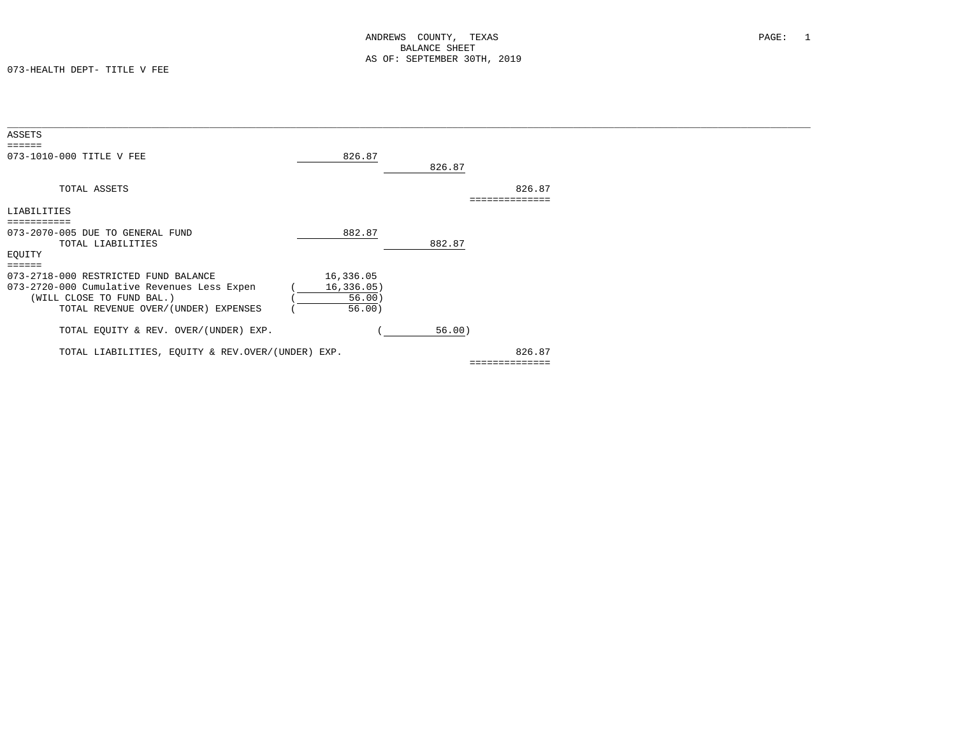| ASSETS                                            |             |        |              |  |
|---------------------------------------------------|-------------|--------|--------------|--|
| ======                                            |             |        |              |  |
| 073-1010-000 TITLE V FEE                          | 826.87      |        |              |  |
|                                                   |             | 826.87 |              |  |
| TOTAL ASSETS                                      |             |        | 826.87       |  |
|                                                   |             |        |              |  |
| LIABILITIES                                       |             |        |              |  |
|                                                   |             |        |              |  |
| 073-2070-005 DUE TO GENERAL FUND                  | 882.87      |        |              |  |
| TOTAL LIABILITIES                                 |             | 882.87 |              |  |
| EQUITY                                            |             |        |              |  |
|                                                   |             |        |              |  |
|                                                   |             |        |              |  |
| 073-2718-000 RESTRICTED FUND BALANCE              | 16,336.05   |        |              |  |
| 073-2720-000 Cumulative Revenues Less Expen       | 16, 336.05) |        |              |  |
| (WILL CLOSE TO FUND BAL.)                         | 56.00)      |        |              |  |
| TOTAL REVENUE OVER/(UNDER) EXPENSES               | 56.00)      |        |              |  |
|                                                   |             |        |              |  |
|                                                   |             |        |              |  |
| TOTAL EQUITY & REV. OVER/(UNDER) EXP.             |             | 56.00) |              |  |
|                                                   |             |        |              |  |
| TOTAL LIABILITIES, EQUITY & REV.OVER/(UNDER) EXP. |             |        | 826.87       |  |
|                                                   |             |        | ============ |  |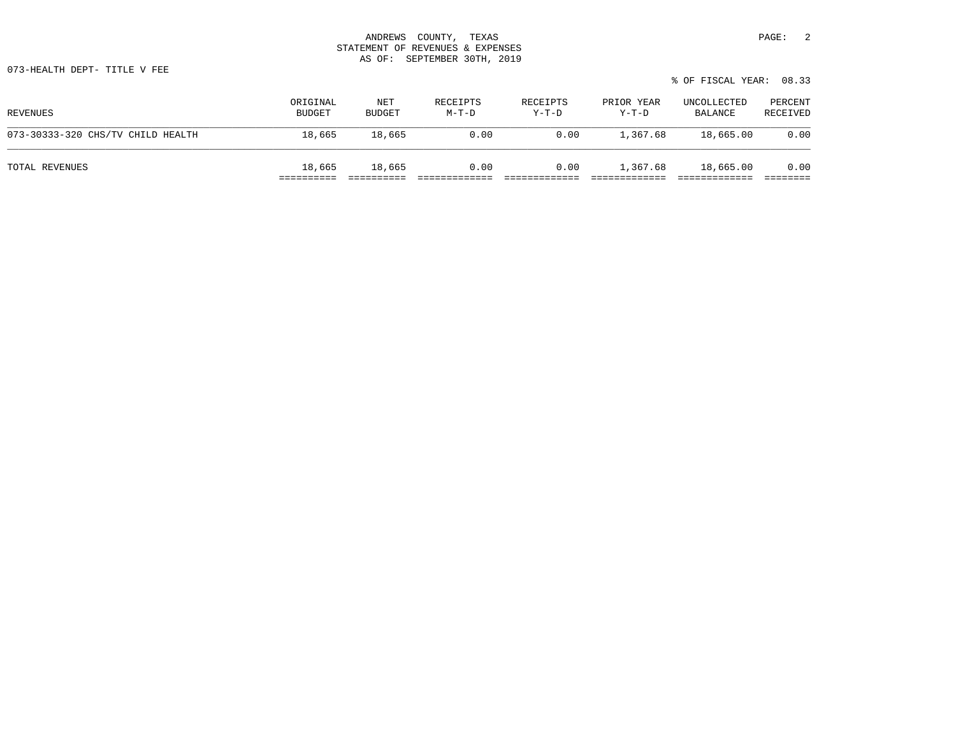|                                   |                    |               |                     |                     |                     | % OF FISCAL YEAR: 08.33 |                     |
|-----------------------------------|--------------------|---------------|---------------------|---------------------|---------------------|-------------------------|---------------------|
| REVENUES                          | ORIGINAL<br>BUDGET | NET<br>BUDGET | RECEIPTS<br>$M-T-D$ | RECEIPTS<br>$Y-T-D$ | PRIOR YEAR<br>Y-T-D | UNCOLLECTED<br>BALANCE  | PERCENT<br>RECEIVED |
| 073-30333-320 CHS/TV CHILD HEALTH | 18,665             | 18,665        | 0.00                | 0.00                | 1,367.68            | 18,665.00               | 0.00                |
|                                   |                    |               |                     |                     |                     |                         |                     |

TOTAL REVENUES 18,665 18,665 0.00 0.00 1,367.68 18,665.00 0.00 ========== ========== ============= ============= ============= ============= ========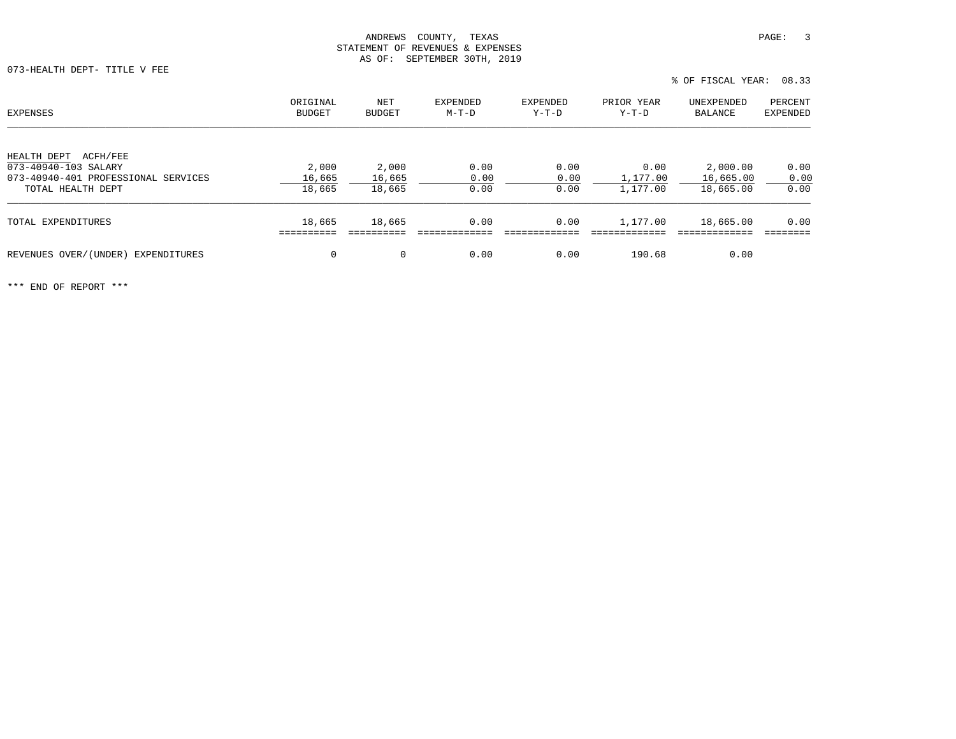073-HEALTH DEPT- TITLE V FEE

| EXPENSES                                                                               | ORIGINAL        | NET             | EXPENDED     | EXPENDED     | PRIOR YEAR       | UNEXPENDED            | PERCENT         |
|----------------------------------------------------------------------------------------|-----------------|-----------------|--------------|--------------|------------------|-----------------------|-----------------|
|                                                                                        | <b>BUDGET</b>   | BUDGET          | M-T-D        | $Y-T-D$      | Y-T-D            | BALANCE               | <b>EXPENDED</b> |
| ACFH/FEE<br>HEALTH DEPT<br>073-40940-103 SALARY<br>073-40940-401 PROFESSIONAL SERVICES | 2,000<br>16,665 | 2,000<br>16,665 | 0.00<br>0.00 | 0.00<br>0.00 | 0.00<br>1,177.00 | 2,000.00<br>16,665.00 | 0.00<br>0.00    |
| TOTAL HEALTH DEPT                                                                      | 18,665          | 18,665          | 0.00         | 0.00         | 1,177.00         | 18,665.00             | 0.00            |
| TOTAL EXPENDITURES                                                                     | 18,665          | 18,665          | 0.00         | 0.00         | 1,177.00         | 18,665.00             | 0.00            |
| REVENUES OVER/(UNDER) EXPENDITURES                                                     | $\mathbf 0$     | $\mathbf 0$     | 0.00         | 0.00         | 190.68           | 0.00                  |                 |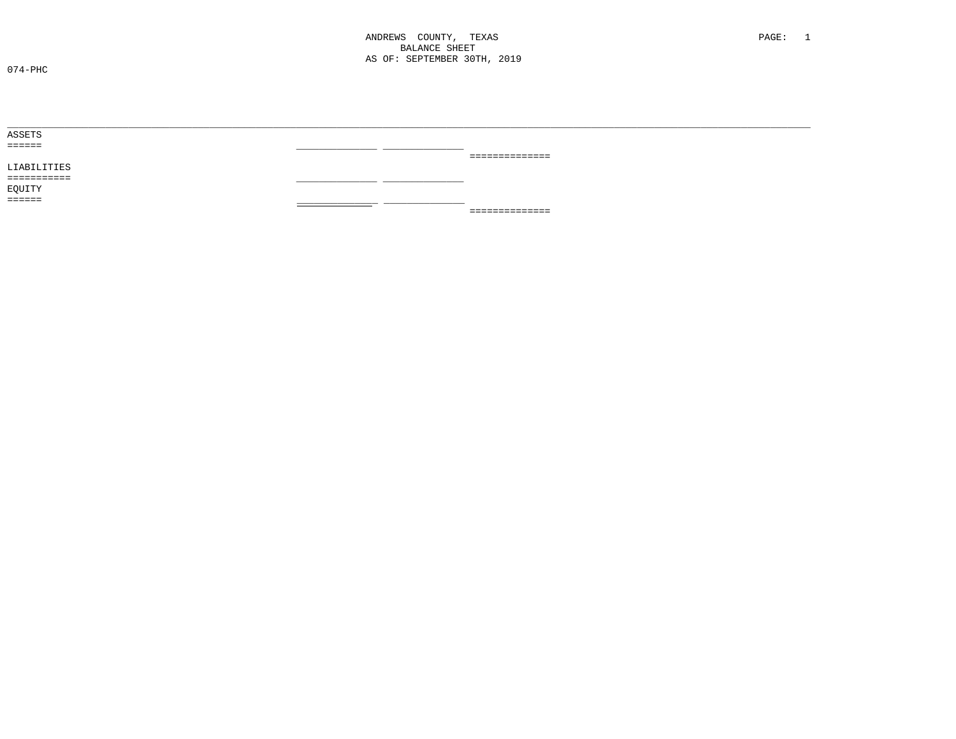ANDREWS COUNTY, TEXAS **BALANCE SHEET** AS OF: SEPTEMBER 30TH, 2019

 $074 - PHC$ 

| ______ |                 |
|--------|-----------------|
|        | _______________ |
|        |                 |
| __     |                 |
|        |                 |
|        |                 |
|        | ==============  |
|        |                 |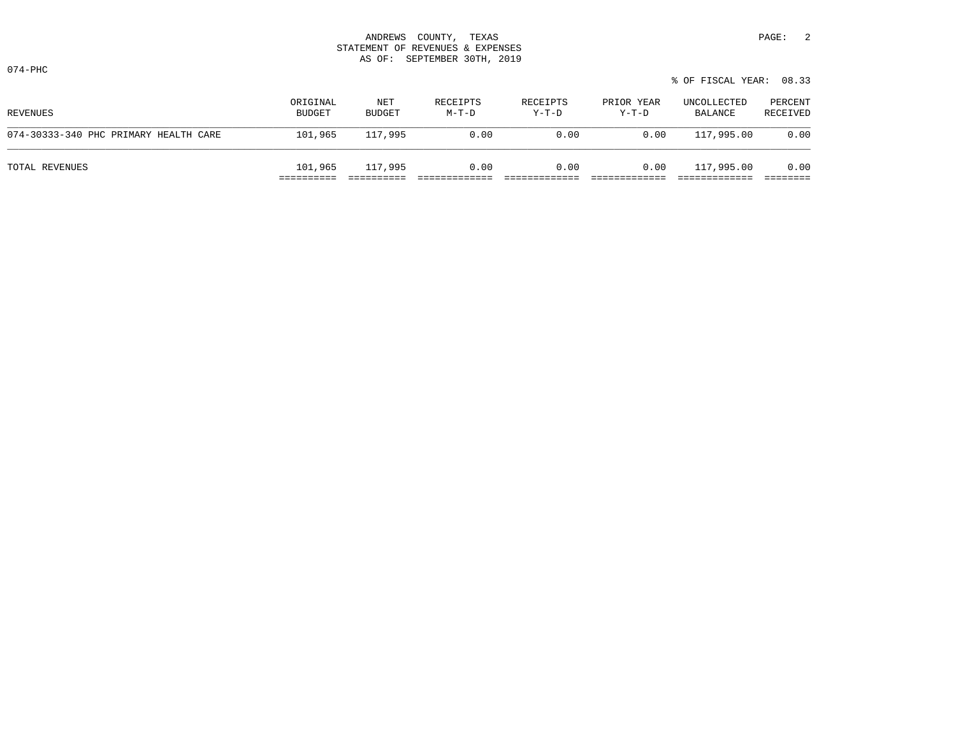074-PHC

| REVENUES                              | ORIGINAL<br>BUDGET | NET<br>BUDGET | RECEIPTS<br>M-T-D | RECEIPTS<br>Y-T-D | PRIOR YEAR<br>Y-T-D | UNCOLLECTED<br>BALANCE | PERCENT<br>RECEIVED |
|---------------------------------------|--------------------|---------------|-------------------|-------------------|---------------------|------------------------|---------------------|
| 074-30333-340 PHC PRIMARY HEALTH CARE | 101,965            | 117,995       | 0.00              | 0.00              | 0.00                | 117,995.00             | 0.00                |
| TOTAL REVENUES                        | 101,965            | 117,995       | 0.00              | 0.00              | 0.00                | 117,995.00             | 0.00                |

% OF FISCAL YEAR: 08.33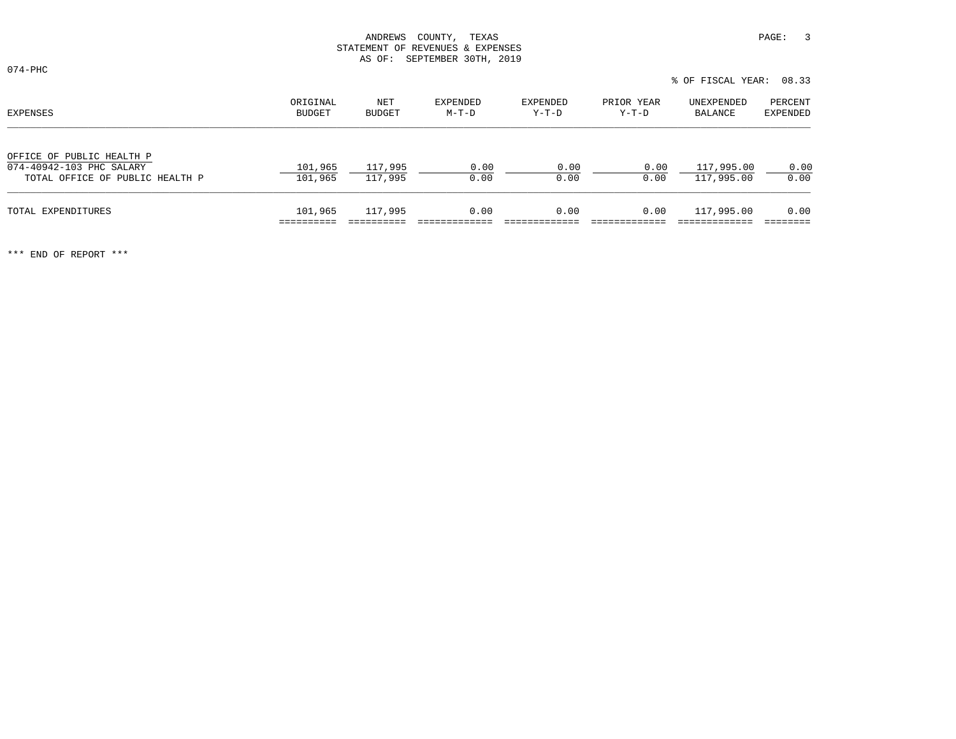074-PHC

|                                                                                          |                    |                      |                   |                   |                     | % OF FISCAL YEAR: 08.33  |                     |  |
|------------------------------------------------------------------------------------------|--------------------|----------------------|-------------------|-------------------|---------------------|--------------------------|---------------------|--|
| EXPENSES                                                                                 | ORIGINAL<br>BUDGET | NET<br><b>BUDGET</b> | EXPENDED<br>M-T-D | EXPENDED<br>Y-T-D | PRIOR YEAR<br>Y-T-D | UNEXPENDED<br>BALANCE    | PERCENT<br>EXPENDED |  |
| OFFICE OF PUBLIC HEALTH P<br>074-40942-103 PHC SALARY<br>TOTAL OFFICE OF PUBLIC HEALTH P | 101,965<br>101,965 | 117,995<br>117,995   | 0.00<br>0.00      | 0.00<br>0.00      | 0.00<br>0.00        | 117,995.00<br>117,995.00 | 0.00<br>0.00        |  |
| TOTAL EXPENDITURES                                                                       | 101,965            | 117,995              | 0.00              | 0.00              | 0.00                | 117,995.00               | 0.00                |  |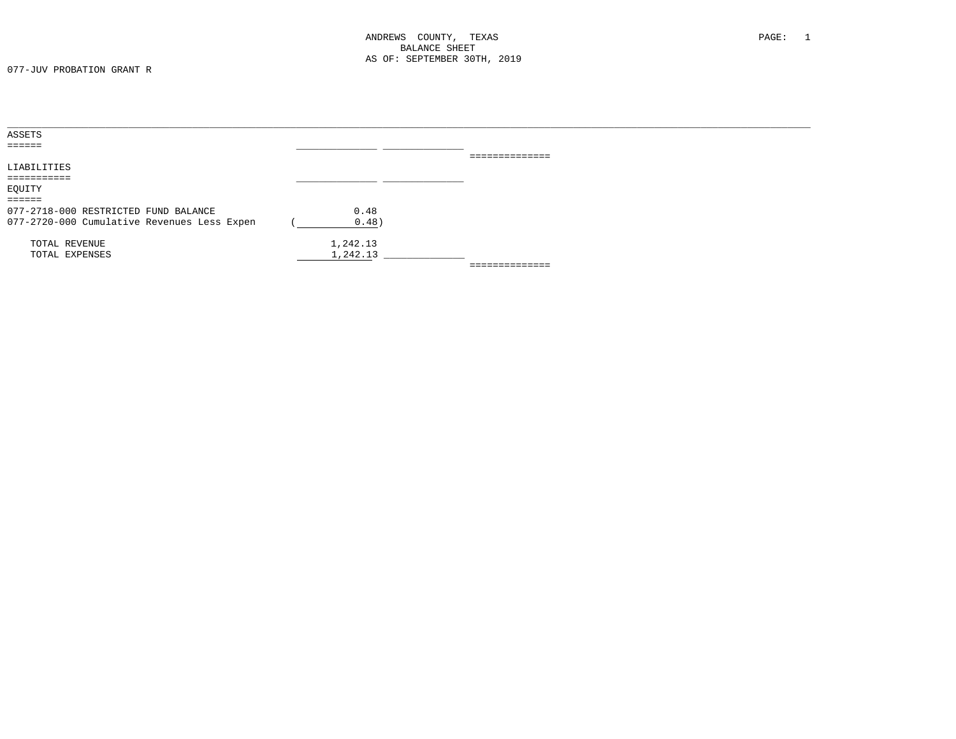| ASSETS                                      |          |                 |  |
|---------------------------------------------|----------|-----------------|--|
| $=$ $=$ $=$ $=$ $=$                         |          |                 |  |
|                                             |          | --------------  |  |
| LIABILITIES                                 |          |                 |  |
| ===========                                 |          |                 |  |
| EQUITY                                      |          |                 |  |
| $=$ $=$ $=$ $=$ $=$                         |          |                 |  |
| 077-2718-000 RESTRICTED FUND BALANCE        | 0.48     |                 |  |
| 077-2720-000 Cumulative Revenues Less Expen | 0.48)    |                 |  |
| TOTAL REVENUE                               | 1,242.13 |                 |  |
| TOTAL EXPENSES                              | 1,242.13 |                 |  |
|                                             |          | --------------- |  |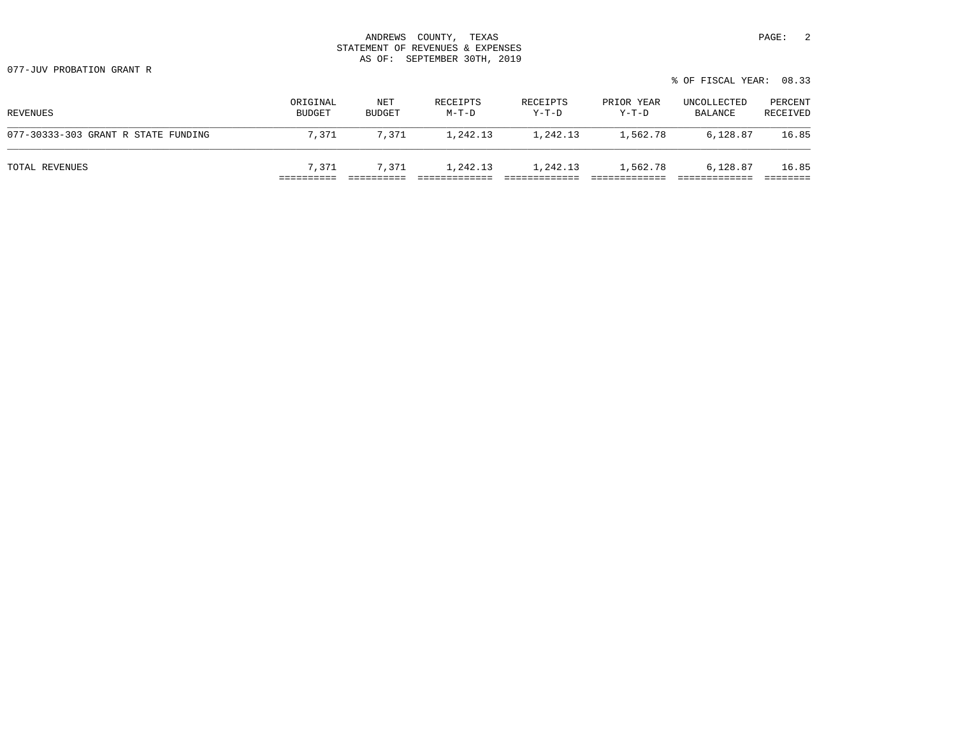077-JUV PROBATION GRANT R

|                                     |                           |               |                   |                   |                       | % OF FISCAL YEAR: 08.33 |                     |
|-------------------------------------|---------------------------|---------------|-------------------|-------------------|-----------------------|-------------------------|---------------------|
| REVENUES                            | ORIGINAL<br><b>BUDGET</b> | NET<br>BUDGET | RECEIPTS<br>M-T-D | RECEIPTS<br>Y-T-D | PRIOR YEAR<br>$Y-T-D$ | UNCOLLECTED<br>BALANCE  | PERCENT<br>RECEIVED |
| 077-30333-303 GRANT R STATE FUNDING | 7,371                     | 7.371         | 1,242.13          | 1,242.13          | 1,562.78              | 6,128.87                | 16.85               |
| TOTAL REVENUES                      | 7,371                     | 7,371         | 1,242.13          | 1,242.13          | 1,562.78              | 6,128.87                | 16.85               |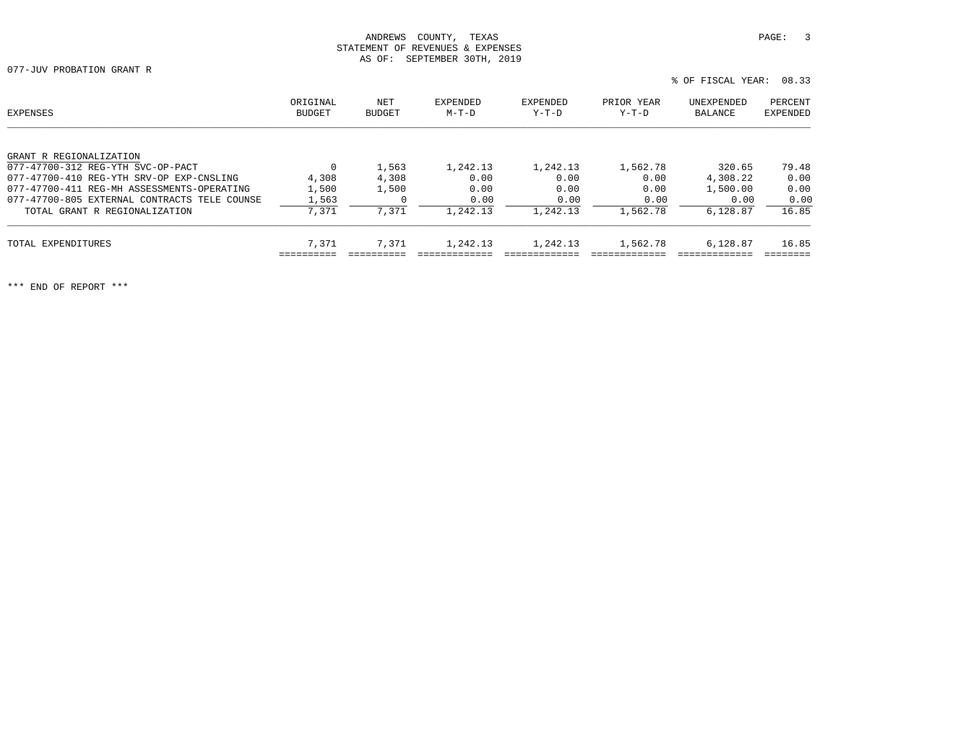077-JUV PROBATION GRANT R

% OF FISCAL YEAR: 08.33

| EXPENSES                                     | ORIGINAL<br><b>BUDGET</b> | NET<br><b>BUDGET</b> | EXPENDED<br>$M-T-D$ | EXPENDED<br>Y-T-D | PRIOR YEAR<br>Y-T-D | UNEXPENDED<br>BALANCE | PERCENT<br>EXPENDED |
|----------------------------------------------|---------------------------|----------------------|---------------------|-------------------|---------------------|-----------------------|---------------------|
| GRANT R REGIONALIZATION                      |                           |                      |                     |                   |                     |                       |                     |
| 077-47700-312 REG-YTH SVC-OP-PACT            | 0                         | 1,563                | 1,242.13            | 1,242.13          | 1,562.78            | 320.65                | 79.48               |
| 077-47700-410 REG-YTH SRV-OP EXP-CNSLING     | 4,308                     | 4,308                | 0.00                | 0.00              | 0.00                | 4,308.22              | 0.00                |
| 077-47700-411 REG-MH ASSESSMENTS-OPERATING   | 1,500                     | 1,500                | 0.00                | 0.00              | 0.00                | 1,500.00              | 0.00                |
| 077-47700-805 EXTERNAL CONTRACTS TELE COUNSE | 1,563                     |                      | 0.00                | 0.00              | 0.00                | 0.00                  | 0.00                |
| TOTAL GRANT R REGIONALIZATION                | 7,371                     | 7,371                | 1,242.13            | 1,242.13          | 1,562.78            | 6.128.87              | 16.85               |
| TOTAL EXPENDITURES                           | 7,371                     | 7.371                | 1,242.13            | 1,242.13          | 1,562.78            | 6,128.87              | 16.85               |
|                                              |                           |                      |                     |                   |                     |                       |                     |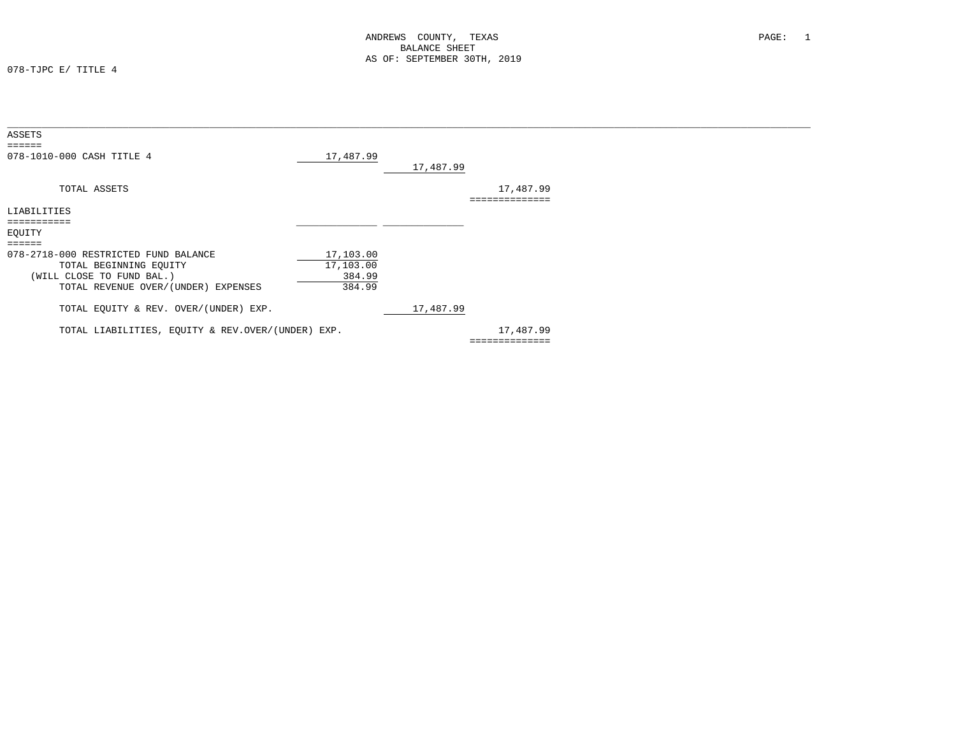078-TJPC E/ TITLE 4

| ASSETS                                            |           |           |                |
|---------------------------------------------------|-----------|-----------|----------------|
| 078-1010-000 CASH TITLE 4                         | 17,487.99 | 17,487.99 |                |
| TOTAL ASSETS                                      |           |           | 17,487.99      |
| LIABILITIES                                       |           |           |                |
| ===========                                       |           |           |                |
| EQUITY                                            |           |           |                |
| ======                                            |           |           |                |
| 078-2718-000 RESTRICTED FUND BALANCE              | 17,103.00 |           |                |
| TOTAL BEGINNING EQUITY                            | 17,103.00 |           |                |
| (WILL CLOSE TO FUND BAL.)                         | 384.99    |           |                |
| TOTAL REVENUE OVER/(UNDER) EXPENSES               | 384.99    |           |                |
| TOTAL EQUITY & REV. OVER/(UNDER) EXP.             |           | 17,487.99 |                |
| TOTAL LIABILITIES, EQUITY & REV.OVER/(UNDER) EXP. |           |           | 17,487.99      |
|                                                   |           |           | ============== |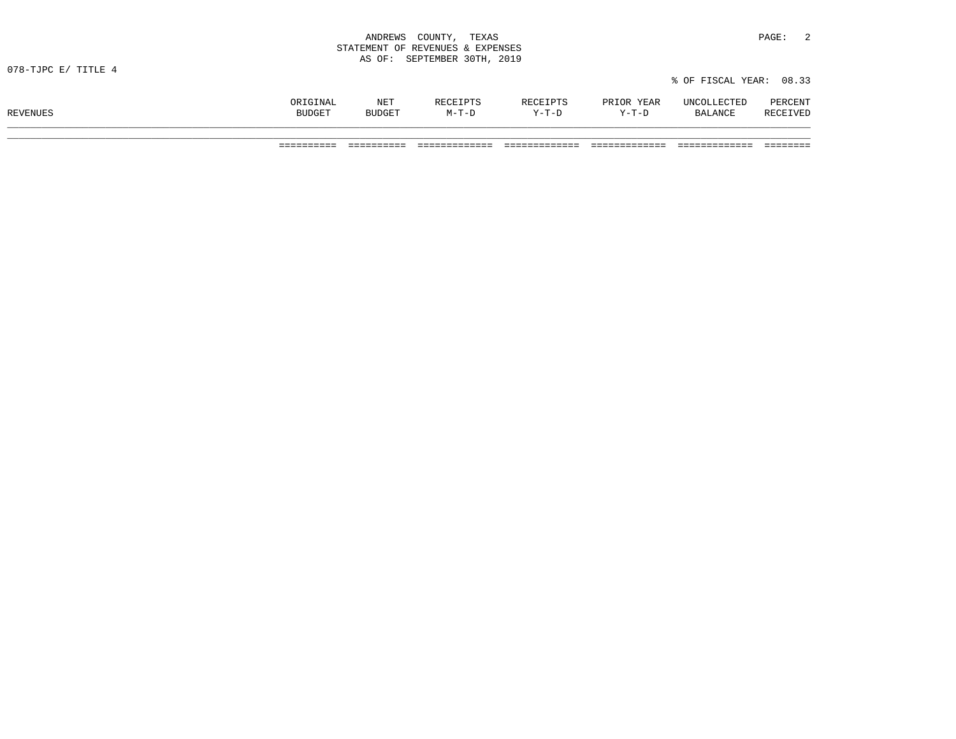|                     | STATEMENT OF REVENUES & EXPENSES |                      |                   |                   |                     |                         |                     |
|---------------------|----------------------------------|----------------------|-------------------|-------------------|---------------------|-------------------------|---------------------|
| 078-TJPC E/ TITLE 4 |                                  |                      |                   |                   |                     | % OF FISCAL YEAR: 08.33 |                     |
| REVENUES            | ORIGINAL<br>BUDGET               | NET<br><b>BUDGET</b> | RECEIPTS<br>M-T-D | RECEIPTS<br>Y-T-D | PRIOR YEAR<br>Y-T-D | UNCOLLECTED<br>BALANCE  | PERCENT<br>RECEIVED |
|                     |                                  |                      |                   |                   |                     |                         |                     |

========== ========== ============= ============= ============= ============= ========

ANDREWS COUNTY, TEXAS **PAGE:** 2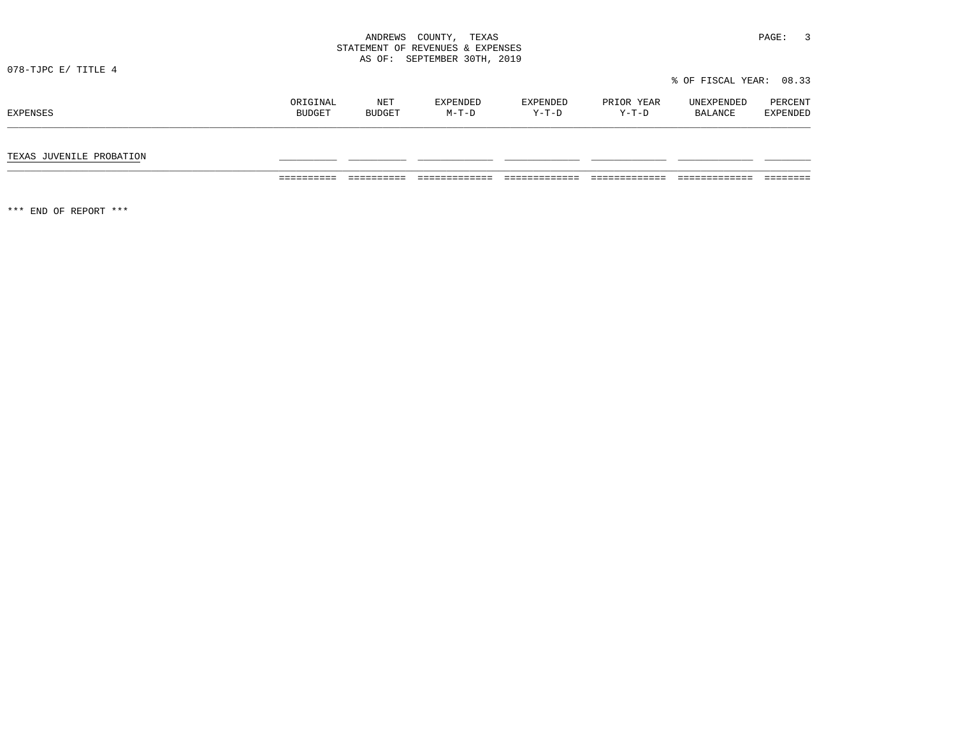|                          |                    |               | STATEMENT OF REVENUES & EXPENSES<br>AS OF: SEPTEMBER 30TH, 2019 |                   |                     |                         |                            |
|--------------------------|--------------------|---------------|-----------------------------------------------------------------|-------------------|---------------------|-------------------------|----------------------------|
| 078-TJPC E/ TITLE 4      |                    |               |                                                                 |                   |                     | % OF FISCAL YEAR: 08.33 |                            |
| EXPENSES                 | ORIGINAL<br>BUDGET | NET<br>BUDGET | EXPENDED<br>M-T-D                                               | EXPENDED<br>Y-T-D | PRIOR YEAR<br>Y-T-D | UNEXPENDED<br>BALANCE   | PERCENT<br><b>EXPENDED</b> |
| TEXAS JUVENILE PROBATION |                    |               |                                                                 |                   |                     |                         |                            |

========== ========== ============= ============= ============= ============= ========

ANDREWS COUNTY, TEXAS **PAGE:** 3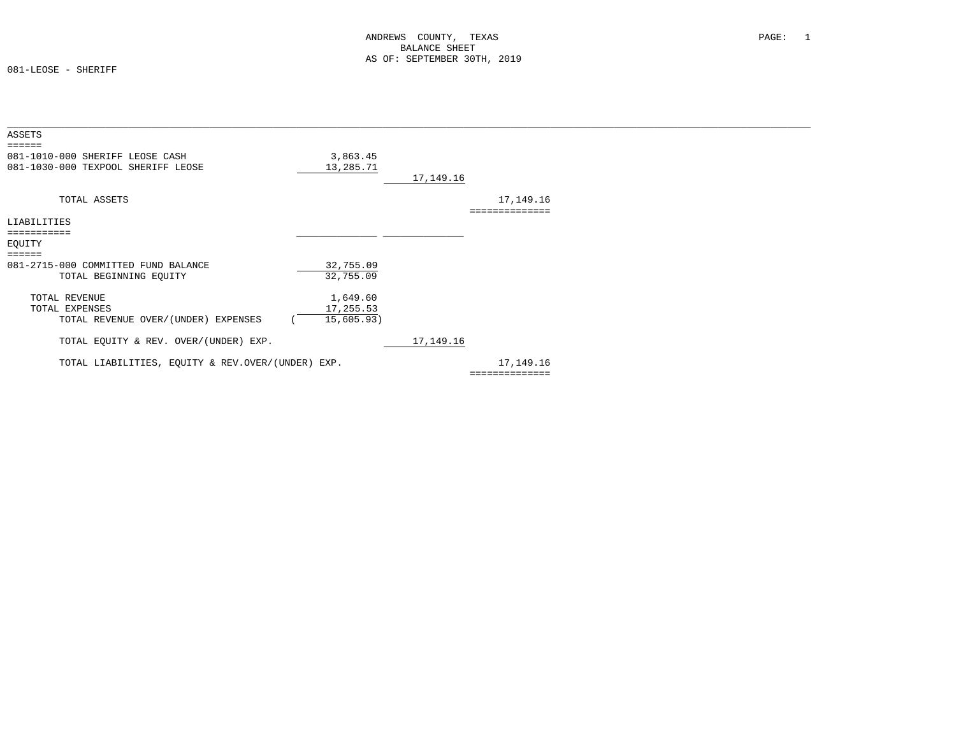081-LEOSE - SHERIFF

| ASSETS                                            |            |           |                |  |
|---------------------------------------------------|------------|-----------|----------------|--|
|                                                   |            |           |                |  |
| 081-1010-000 SHERIFF LEOSE CASH                   | 3,863.45   |           |                |  |
| 081-1030-000 TEXPOOL SHERIFF LEOSE                | 13,285.71  |           |                |  |
|                                                   |            | 17,149.16 |                |  |
|                                                   |            |           |                |  |
| TOTAL ASSETS                                      |            |           | 17,149.16      |  |
|                                                   |            |           | ============== |  |
| LIABILITIES                                       |            |           |                |  |
| ===========                                       |            |           |                |  |
| EQUITY                                            |            |           |                |  |
|                                                   |            |           |                |  |
| 081-2715-000 COMMITTED FUND BALANCE               | 32,755.09  |           |                |  |
|                                                   | 32,755.09  |           |                |  |
| TOTAL BEGINNING EQUITY                            |            |           |                |  |
| TOTAL REVENUE                                     |            |           |                |  |
|                                                   | 1,649.60   |           |                |  |
| TOTAL EXPENSES                                    | 17,255.53  |           |                |  |
| TOTAL REVENUE OVER/(UNDER) EXPENSES               | 15,605.93) |           |                |  |
|                                                   |            |           |                |  |
| TOTAL EQUITY & REV. OVER/(UNDER) EXP.             |            | 17,149.16 |                |  |
|                                                   |            |           |                |  |
| TOTAL LIABILITIES, EQUITY & REV.OVER/(UNDER) EXP. |            |           | 17,149.16      |  |
|                                                   |            |           | ============== |  |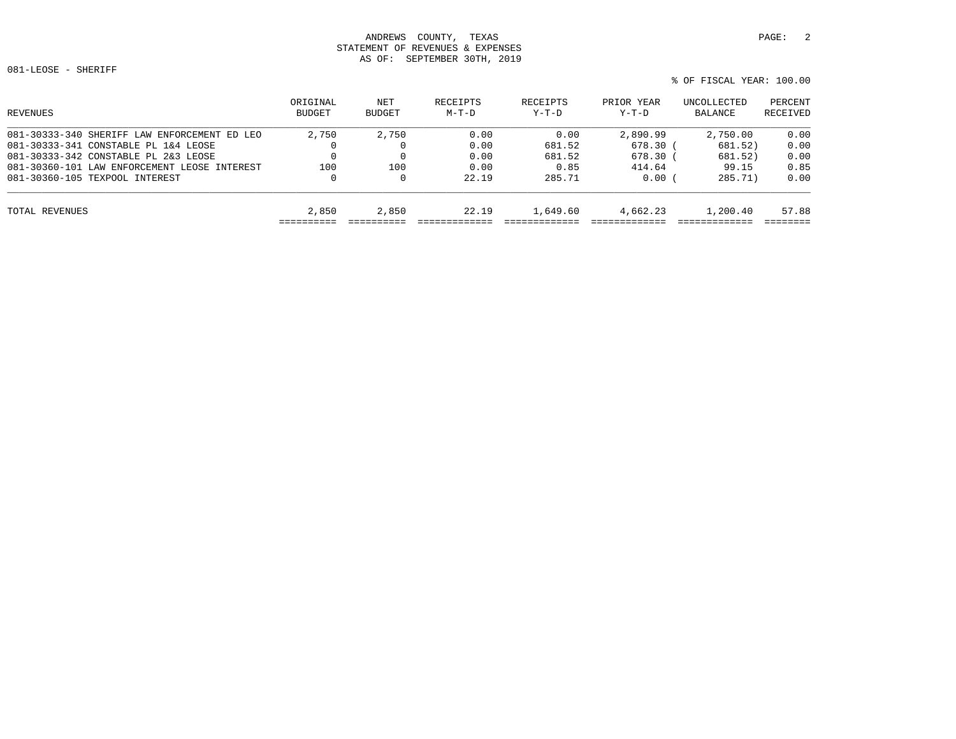081-LEOSE - SHERIFF

% OF FISCAL YEAR: 100.00

| REVENUES                                     | ORIGINAL<br><b>BUDGET</b> | NET<br>BUDGET | RECEIPTS<br>$M-T-D$ | RECEIPTS<br>$Y-T-D$ | PRIOR YEAR<br>$Y-T-D$ | UNCOLLECTED<br>BALANCE | PERCENT<br>RECEIVED |
|----------------------------------------------|---------------------------|---------------|---------------------|---------------------|-----------------------|------------------------|---------------------|
| 081-30333-340 SHERIFF LAW ENFORCEMENT ED LEO | 2,750                     | 2,750         | 0.00                | 0.00                | 2,890.99              | 2,750.00               | 0.00                |
| 081-30333-341 CONSTABLE PL 1&4 LEOSE         |                           |               | 0.00                | 681.52              | $678.30$ (            | 681.52)                | 0.00                |
| 081-30333-342 CONSTABLE PL 2&3 LEOSE         |                           |               | 0.00                | 681.52              | 678.30                | 681.52)                | 0.00                |
| 081-30360-101 LAW ENFORCEMENT LEOSE INTEREST | 100                       | 100           | 0.00                | 0.85                | 414.64                | 99.15                  | 0.85                |
| 081-30360-105 TEXPOOL INTEREST               | 0                         | 0             | 22.19               | 285.71              | 0.00                  | 285.71)                | 0.00                |
| TOTAL REVENUES                               | 2,850                     | 2,850         | 22.19               | 1,649.60            | 4,662.23              | 1,200.40               | 57.88               |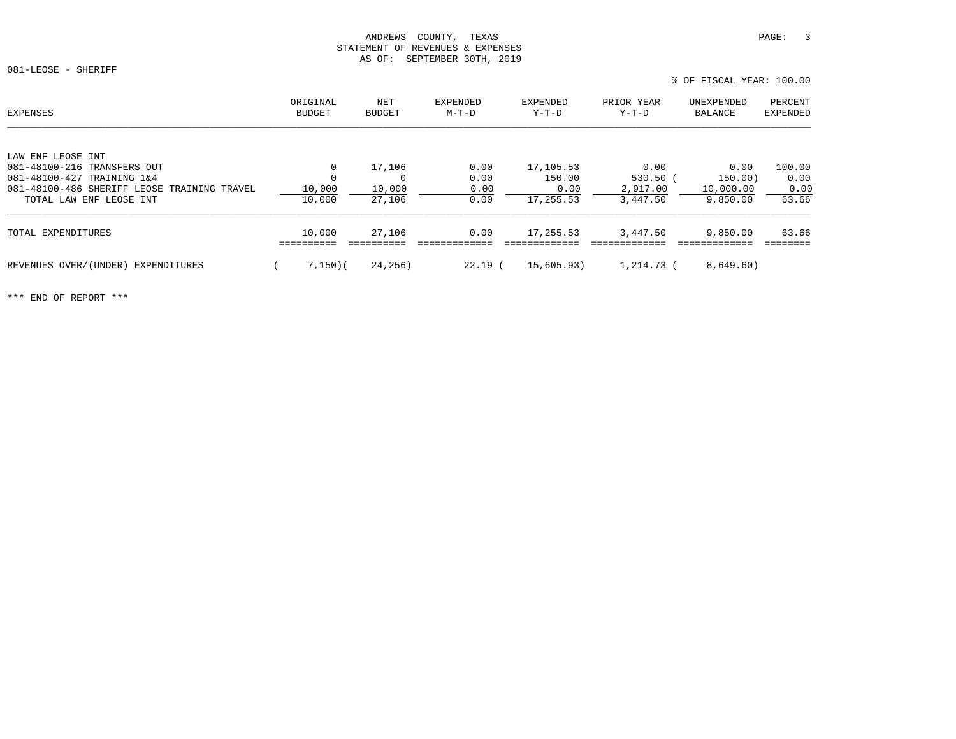081-LEOSE - SHERIFF

LAW ENF LEOSE INT

 % OF FISCAL YEAR: 100.00ORIGINAL NET EXPENDED EXPENDED PRIOR YEAR UNEXPENDED PERCENT<br>BUDGET BUDGET M-T-D Y-T-D Y-T-D BALANCE EXPENDED 081-48100-216 TRANSFERS OUT 0 17,106 0.00 17,105.53 0.00 0.00 100.00 081-48100-427 TRAINING 1&4 0 0 0.00 150.00 530.50 ( 150.00) 0.00

| 081-48100-486 SHERIFF LEOSE TRAINING TRAVEL<br>TOTAL LAW ENF LEOSE INT | 10,000<br>10,000 | 10,000<br>27,106 | 0.00<br>0.00 | 0.00<br>17,255.53 | 2,917.00<br>3,447.50 | 10,000.00<br>9,850.00 | 0.00<br>63.66 |
|------------------------------------------------------------------------|------------------|------------------|--------------|-------------------|----------------------|-----------------------|---------------|
| TOTAL EXPENDITURES                                                     | 10,000           | 27,106           | 0.00         | 17,255.53         | 3.447.50             | 9,850.00              | 63.66         |
| REVENUES OVER/(UNDER) EXPENDITURES                                     | 7,150)(          | 24,256)          | 22.19 (      | 15,605.93)        | 1,214.73 (           | 8,649.60)             |               |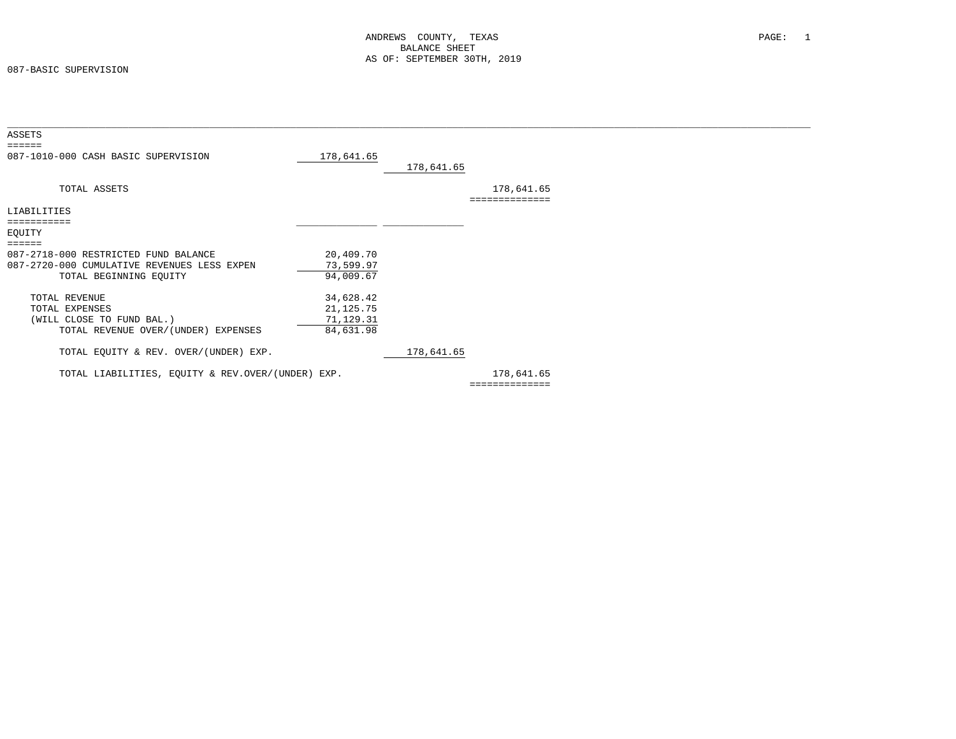| ASSETS                                            |             |            |                |  |
|---------------------------------------------------|-------------|------------|----------------|--|
| $= = = = = = =$                                   |             |            |                |  |
| 087-1010-000 CASH BASIC SUPERVISION               | 178,641.65  |            |                |  |
|                                                   |             | 178,641.65 |                |  |
| TOTAL ASSETS                                      |             |            | 178,641.65     |  |
| LIABILITIES                                       |             |            |                |  |
|                                                   |             |            |                |  |
| EQUITY                                            |             |            |                |  |
| ======                                            |             |            |                |  |
| 087-2718-000 RESTRICTED FUND BALANCE              | 20,409.70   |            |                |  |
| 087-2720-000 CUMULATIVE REVENUES LESS EXPEN       | 73,599.97   |            |                |  |
| TOTAL BEGINNING EQUITY                            | 94,009.67   |            |                |  |
| TOTAL REVENUE                                     | 34,628.42   |            |                |  |
| TOTAL EXPENSES                                    | 21, 125. 75 |            |                |  |
| (WILL CLOSE TO FUND BAL.)                         | 71,129.31   |            |                |  |
| TOTAL REVENUE OVER/(UNDER) EXPENSES               | 84,631.98   |            |                |  |
| TOTAL EQUITY & REV. OVER/(UNDER) EXP.             |             | 178,641.65 |                |  |
| TOTAL LIABILITIES, EQUITY & REV.OVER/(UNDER) EXP. |             |            | 178,641.65     |  |
|                                                   |             |            | ============== |  |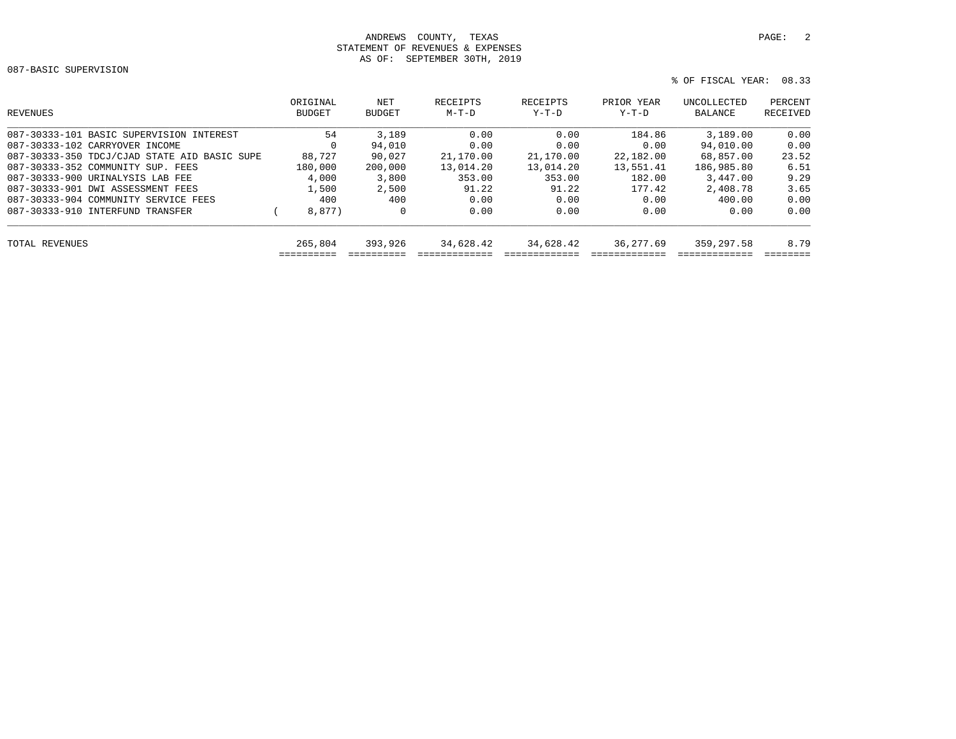087-BASIC SUPERVISION

```
 % OF FISCAL YEAR: 08.33
```

| REVENUES                                     | ORIGINAL<br><b>BUDGET</b> | NET<br><b>BUDGET</b> | RECEIPTS<br>$M-T-D$ | RECEIPTS<br>$Y-T-D$ | PRIOR YEAR<br>$Y-T-D$ | UNCOLLECTED<br>BALANCE | PERCENT<br>RECEIVED |
|----------------------------------------------|---------------------------|----------------------|---------------------|---------------------|-----------------------|------------------------|---------------------|
| 087-30333-101 BASIC SUPERVISION INTEREST     | 54                        | 3,189                | 0.00                | 0.00                | 184.86                | 3,189.00               | 0.00                |
| 087-30333-102 CARRYOVER INCOME               | $\Omega$                  | 94,010               | 0.00                | 0.00                | 0.00                  | 94,010.00              | 0.00                |
| 087-30333-350 TDCJ/CJAD STATE AID BASIC SUPE | 88,727                    | 90,027               | 21,170.00           | 21,170.00           | 22,182.00             | 68,857.00              | 23.52               |
| 087-30333-352 COMMUNITY SUP. FEES            | 180,000                   | 200,000              | 13,014.20           | 13,014.20           | 13,551.41             | 186,985.80             | 6.51                |
| 087-30333-900 URINALYSIS LAB FEE             | 4,000                     | 3,800                | 353.00              | 353.00              | 182.00                | 3,447.00               | 9.29                |
| 087-30333-901 DWI ASSESSMENT FEES            | 1,500                     | 2,500                | 91.22               | 91.22               | 177.42                | 2,408.78               | 3.65                |
| 087-30333-904 COMMUNITY SERVICE FEES         | 400                       | 400                  | 0.00                | 0.00                | 0.00                  | 400.00                 | 0.00                |
| 087-30333-910 INTERFUND TRANSFER             | 8,877)                    | 0                    | 0.00                | 0.00                | 0.00                  | 0.00                   | 0.00                |
| TOTAL REVENUES                               | 265,804                   | 393,926              | 34,628.42           | 34,628.42           | 36, 277.69            | 359,297.58             | 8.79                |
|                                              |                           |                      |                     |                     |                       |                        |                     |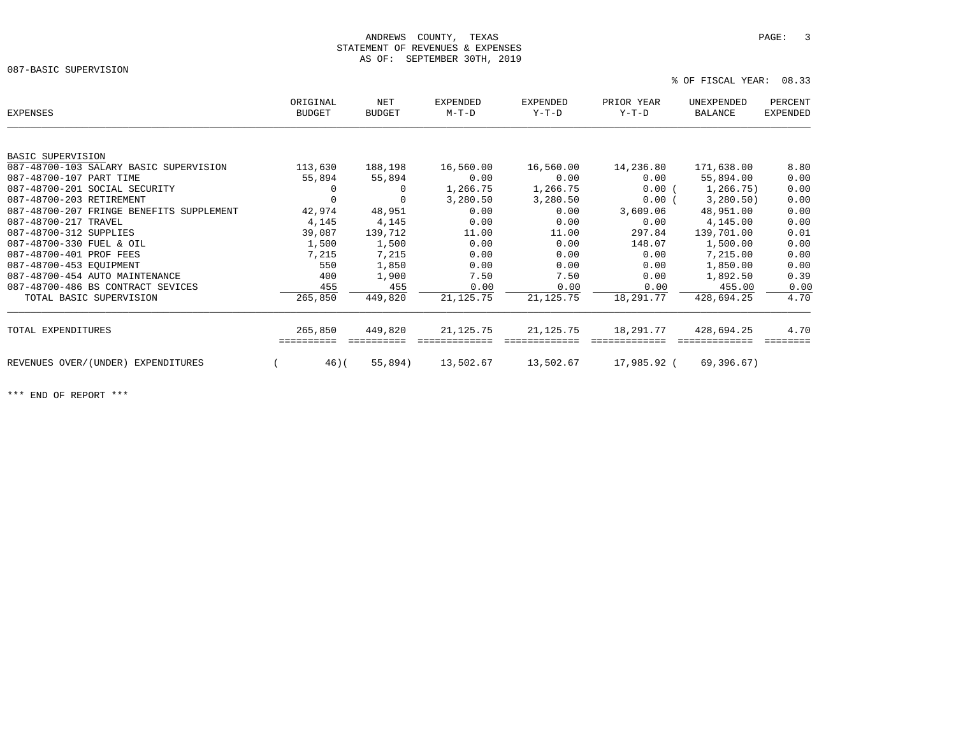087-BASIC SUPERVISION

% OF FISCAL YEAR: 08.33

| <b>EXPENSES</b>                          | ORIGINAL<br><b>BUDGET</b> | NET<br><b>BUDGET</b> | <b>EXPENDED</b><br>$M-T-D$ | <b>EXPENDED</b><br>Y-T-D | PRIOR YEAR<br>Y-T-D | UNEXPENDED<br><b>BALANCE</b> | PERCENT<br><b>EXPENDED</b> |
|------------------------------------------|---------------------------|----------------------|----------------------------|--------------------------|---------------------|------------------------------|----------------------------|
|                                          |                           |                      |                            |                          |                     |                              |                            |
| <b>BASIC SUPERVISION</b>                 |                           |                      |                            |                          |                     |                              |                            |
| 087-48700-103 SALARY BASIC SUPERVISION   | 113,630                   | 188,198              | 16,560.00                  | 16,560.00                | 14,236.80           | 171,638.00                   | 8.80                       |
| 087-48700-107 PART TIME                  | 55,894                    | 55,894               | 0.00                       | 0.00                     | 0.00                | 55,894.00                    | 0.00                       |
| 087-48700-201 SOCIAL SECURITY            | $\mathbf 0$               | 0                    | 1,266.75                   | 1,266.75                 | 0.00(               | 1,266.75)                    | 0.00                       |
| 087-48700-203 RETIREMENT                 | 0                         |                      | 3,280.50                   | 3,280.50                 | 0.00(               | 3,280.50)                    | 0.00                       |
| 087-48700-207 FRINGE BENEFITS SUPPLEMENT | 42,974                    | 48,951               | 0.00                       | 0.00                     | 3,609.06            | 48,951.00                    | 0.00                       |
| 087-48700-217 TRAVEL                     | 4,145                     | 4,145                | 0.00                       | 0.00                     | 0.00                | 4,145.00                     | 0.00                       |
| 087-48700-312 SUPPLIES                   | 39,087                    | 139,712              | 11.00                      | 11.00                    | 297.84              | 139,701.00                   | 0.01                       |
| 087-48700-330 FUEL & OIL                 | 1,500                     | 1,500                | 0.00                       | 0.00                     | 148.07              | 1,500.00                     | 0.00                       |
| 087-48700-401 PROF FEES                  | 7,215                     | 7,215                | 0.00                       | 0.00                     | 0.00                | 7,215.00                     | 0.00                       |
| 087-48700-453 EOUIPMENT                  | 550                       | 1,850                | 0.00                       | 0.00                     | 0.00                | 1,850.00                     | 0.00                       |
| 087-48700-454 AUTO MAINTENANCE           | 400                       | 1,900                | 7.50                       | 7.50                     | 0.00                | 1,892.50                     | 0.39                       |
| 087-48700-486 BS CONTRACT SEVICES        | 455                       | 455                  | 0.00                       | 0.00                     | 0.00                | 455.00                       | 0.00                       |
| TOTAL BASIC SUPERVISION                  | 265,850                   | 449,820              | 21,125.75                  | 21,125.75                | 18,291.77           | 428,694.25                   | 4.70                       |
| TOTAL EXPENDITURES                       | 265,850                   | 449,820              | 21,125.75                  | 21, 125.75               | 18,291.77           | 428,694.25                   | 4.70                       |
|                                          |                           |                      |                            |                          |                     |                              |                            |
| REVENUES OVER/(UNDER) EXPENDITURES       | 46)(                      | 55,894)              | 13,502.67                  | 13,502.67                | 17,985.92 (         | 69,396.67)                   |                            |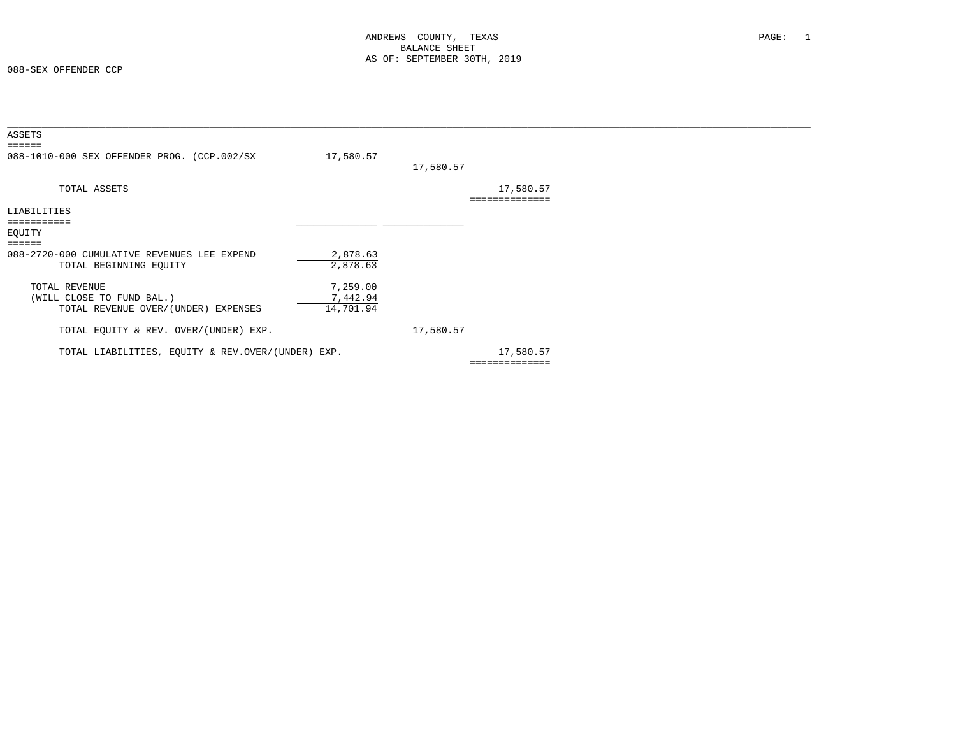| ASSETS<br>$=$ $=$ $=$ $=$ $=$                     |           |           |                             |  |
|---------------------------------------------------|-----------|-----------|-----------------------------|--|
| 088-1010-000 SEX OFFENDER PROG. (CCP.002/SX       | 17,580.57 | 17,580.57 |                             |  |
| TOTAL ASSETS                                      |           |           | 17,580.57<br>============== |  |
| LIABILITIES                                       |           |           |                             |  |
|                                                   |           |           |                             |  |
| EQUITY                                            |           |           |                             |  |
| $=$ $=$ $=$ $=$ $=$                               |           |           |                             |  |
| 088-2720-000 CUMULATIVE REVENUES LEE EXPEND       | 2,878.63  |           |                             |  |
| TOTAL BEGINNING EQUITY                            | 2,878.63  |           |                             |  |
| TOTAL REVENUE                                     | 7,259.00  |           |                             |  |
| (WILL CLOSE TO FUND BAL.)                         | 7,442.94  |           |                             |  |
| TOTAL REVENUE OVER/(UNDER) EXPENSES               | 14,701.94 |           |                             |  |
| TOTAL EQUITY & REV. OVER/(UNDER) EXP.             |           | 17,580.57 |                             |  |
| TOTAL LIABILITIES, EQUITY & REV.OVER/(UNDER) EXP. |           |           | 17,580.57                   |  |
|                                                   |           |           | ==============              |  |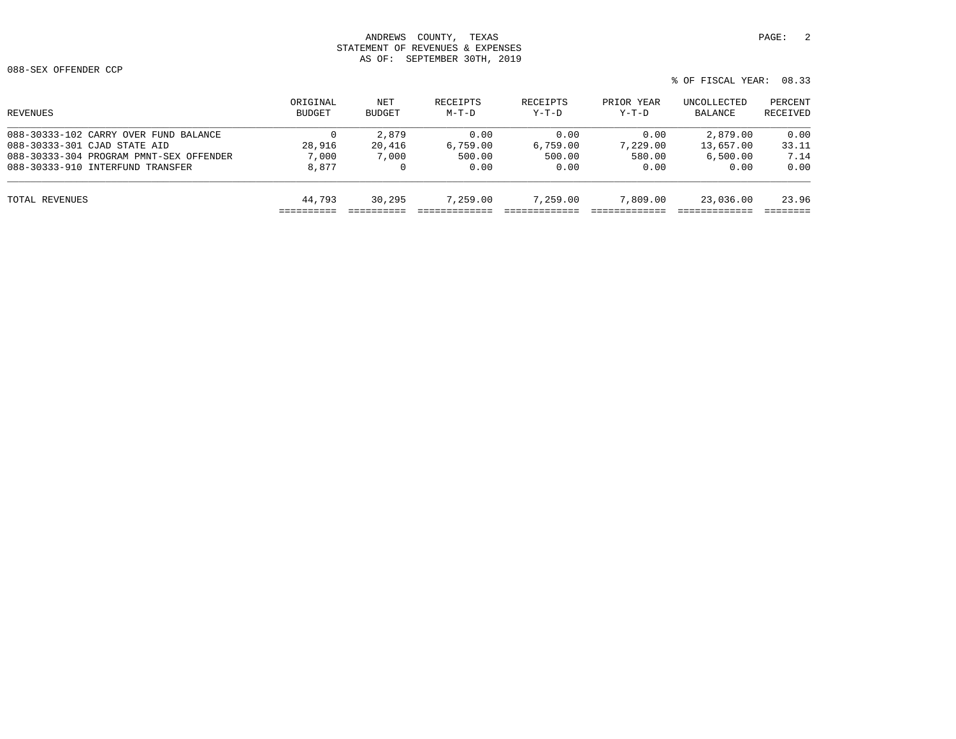088-SEX OFFENDER CCP

% OF FISCAL YEAR: 08.33

| REVENUES                                | ORIGINAL<br><b>BUDGET</b> | NET<br><b>BUDGET</b> | RECEIPTS<br>$M-T-D$ | RECEIPTS<br>$Y-T-D$ | PRIOR YEAR<br>$Y-T-D$ | UNCOLLECTED<br>BALANCE | PERCENT<br>RECEIVED |
|-----------------------------------------|---------------------------|----------------------|---------------------|---------------------|-----------------------|------------------------|---------------------|
| 088-30333-102 CARRY OVER FUND BALANCE   | 0                         | 2,879                | 0.00                | 0.00                | 0.00                  | 2,879.00               | 0.00                |
| 088-30333-301 CJAD STATE AID            | 28,916                    | 20,416               | 6,759.00            | 6.759.00            | 7,229.00              | 13,657.00              | 33.11               |
| 088-30333-304 PROGRAM PMNT-SEX OFFENDER | 7,000                     | 7,000                | 500.00              | 500.00              | 580.00                | 6,500.00               | 7.14                |
| 088-30333-910 INTERFUND TRANSFER        | 8,877                     |                      | 0.00                | 0.00                | 0.00                  | 0.00                   | 0.00                |
| TOTAL REVENUES                          | 44,793                    | 30,295               | 7.259.00            | 7,259.00            | 7,809.00              | 23,036.00              | 23.96               |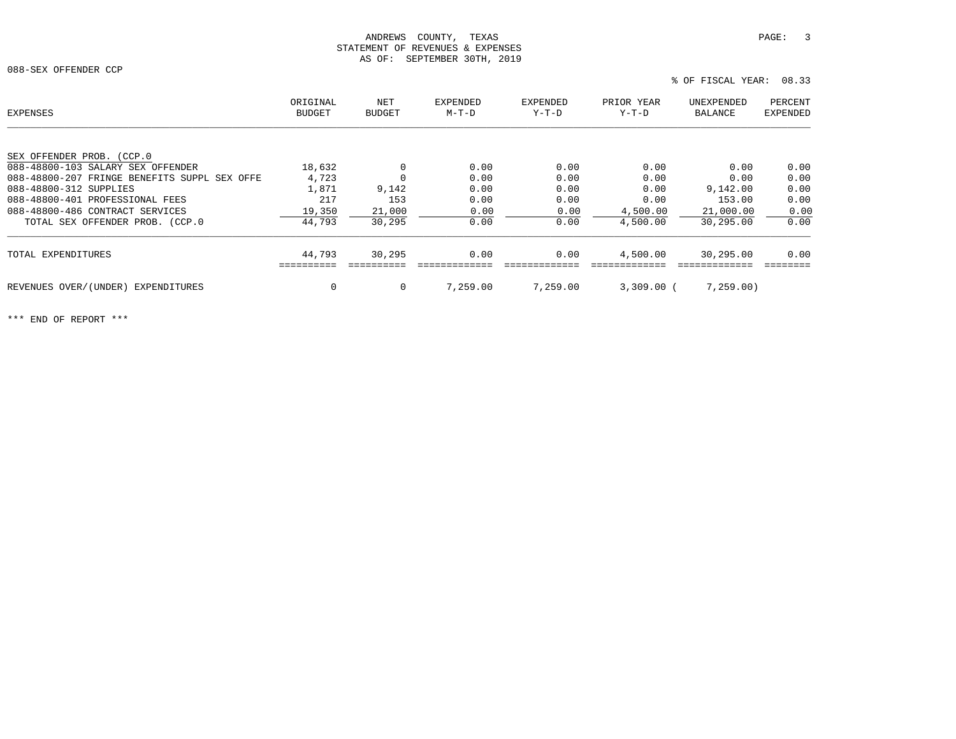088-SEX OFFENDER CCP

| EXPENSES                                     | ORIGINAL<br><b>BUDGET</b> | NET<br><b>BUDGET</b> | <b>EXPENDED</b><br>$M-T-D$ | <b>EXPENDED</b><br>$Y-T-D$ | PRIOR YEAR<br>$Y-T-D$ | UNEXPENDED<br>BALANCE | PERCENT<br><b>EXPENDED</b> |
|----------------------------------------------|---------------------------|----------------------|----------------------------|----------------------------|-----------------------|-----------------------|----------------------------|
|                                              |                           |                      |                            |                            |                       |                       |                            |
| SEX OFFENDER PROB. (CCP.0                    |                           |                      |                            |                            |                       |                       |                            |
| 088-48800-103 SALARY SEX OFFENDER            | 18,632                    |                      | 0.00                       | 0.00                       | 0.00                  | 0.00                  | 0.00                       |
| 088-48800-207 FRINGE BENEFITS SUPPL SEX OFFE | 4,723                     |                      | 0.00                       | 0.00                       | 0.00                  | 0.00                  | 0.00                       |
| 088-48800-312 SUPPLIES                       | 1,871                     | 9,142                | 0.00                       | 0.00                       | 0.00                  | 9,142.00              | 0.00                       |
| 088-48800-401 PROFESSIONAL FEES              | 217                       | 153                  | 0.00                       | 0.00                       | 0.00                  | 153.00                | 0.00                       |
| 088-48800-486 CONTRACT SERVICES              | 19,350                    | 21,000               | 0.00                       | 0.00                       | 4,500.00              | 21,000.00             | 0.00                       |
| TOTAL SEX OFFENDER PROB. (CCP.0              | 44,793                    | 30,295               | 0.00                       | 0.00                       | 4,500.00              | 30,295.00             | 0.00                       |
| TOTAL EXPENDITURES                           | 44,793                    | 30,295               | 0.00                       | 0.00                       | 4,500.00              | 30,295.00             | 0.00                       |
|                                              |                           |                      |                            |                            |                       |                       |                            |
| REVENUES OVER/(UNDER) EXPENDITURES           | 0                         | $\mathbf 0$          | 7.259.00                   | 7,259.00                   | $3,309.00$ (          | 7,259.00              |                            |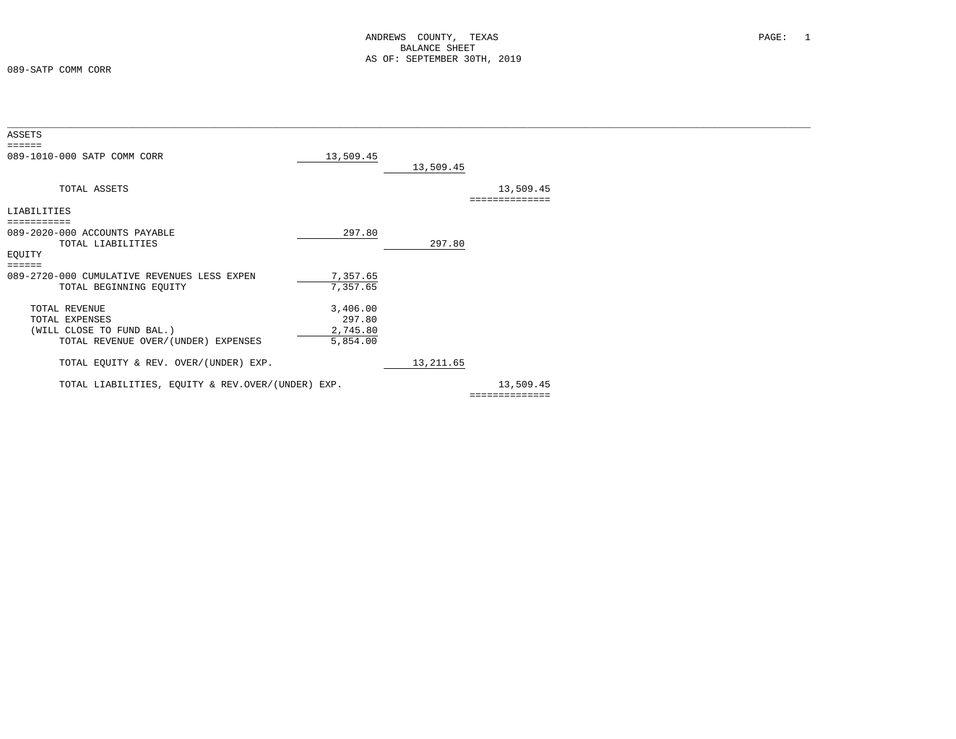| ASSETS                                            |           |            |                |  |
|---------------------------------------------------|-----------|------------|----------------|--|
| ======                                            |           |            |                |  |
| 089-1010-000 SATP COMM CORR                       | 13,509.45 |            |                |  |
|                                                   |           | 13,509.45  |                |  |
|                                                   |           |            |                |  |
| TOTAL ASSETS                                      |           |            | 13,509.45      |  |
|                                                   |           |            |                |  |
|                                                   |           |            | ============== |  |
| LIABILITIES                                       |           |            |                |  |
| ===========                                       |           |            |                |  |
| 089-2020-000 ACCOUNTS PAYABLE                     | 297.80    |            |                |  |
| TOTAL LIABILITIES                                 |           | 297.80     |                |  |
| EQUITY                                            |           |            |                |  |
|                                                   |           |            |                |  |
| ======                                            |           |            |                |  |
| 089-2720-000 CUMULATIVE REVENUES LESS EXPEN       | 7,357.65  |            |                |  |
| TOTAL BEGINNING EQUITY                            | 7,357.65  |            |                |  |
|                                                   |           |            |                |  |
| TOTAL REVENUE                                     | 3,406.00  |            |                |  |
| TOTAL EXPENSES                                    | 297.80    |            |                |  |
| (WILL CLOSE TO FUND BAL.)                         | 2,745.80  |            |                |  |
|                                                   |           |            |                |  |
| TOTAL REVENUE OVER/(UNDER) EXPENSES               | 5,854.00  |            |                |  |
|                                                   |           |            |                |  |
| TOTAL EQUITY & REV. OVER/(UNDER) EXP.             |           | 13, 211.65 |                |  |
|                                                   |           |            |                |  |
| TOTAL LIABILITIES, EQUITY & REV.OVER/(UNDER) EXP. |           |            | 13,509.45      |  |
|                                                   |           |            | ============== |  |
|                                                   |           |            |                |  |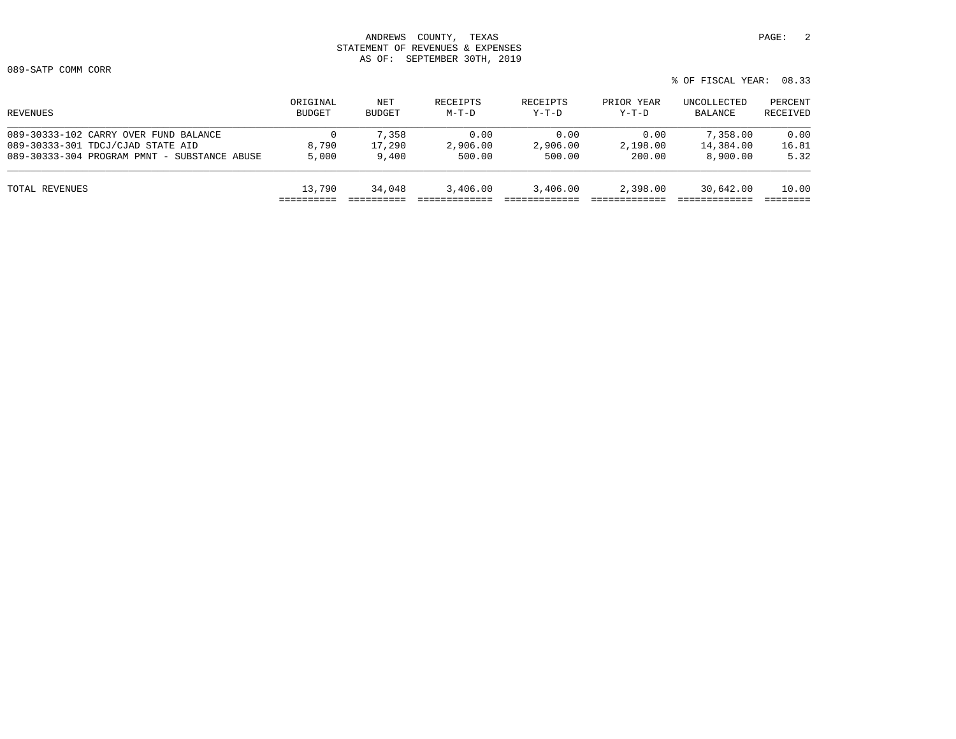089-SATP COMM CORR

% OF FISCAL YEAR: 08.33

| ORIGINAL<br><b>BUDGET</b> | NET<br><b>BUDGET</b> | RECEIPTS<br>$M-T-D$ | RECEIPTS<br>$Y-T-D$ | PRIOR YEAR<br>$Y-T-D$ | UNCOLLECTED<br>BALANCE | PERCENT<br>RECEIVED |
|---------------------------|----------------------|---------------------|---------------------|-----------------------|------------------------|---------------------|
| 0                         | 7,358                | 0.00                | 0.00                | 0.00                  | 7,358.00               | 0.00                |
| 8,790                     | 17,290               | 2,906.00            | 2,906.00            | 2,198.00              | 14,384.00              | 16.81               |
| 5,000                     | 9,400                | 500.00              | 500.00              | 200.00                | 8,900.00               | 5.32                |
| 13,790                    | 34,048               | 3,406.00            | 3,406.00            | 2,398.00              | 30,642.00              | 10.00               |
|                           |                      |                     |                     |                       |                        |                     |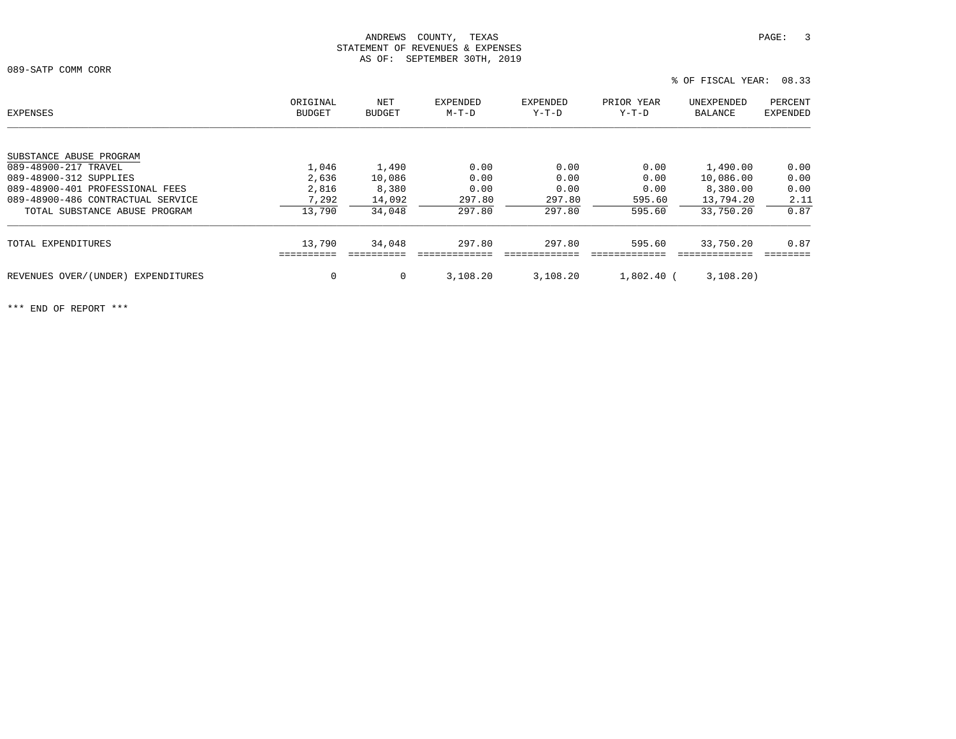089-SATP COMM CORR

| EXPENSES                              | ORIGINAL<br><b>BUDGET</b> | NET<br>BUDGET | <b>EXPENDED</b><br>$M-T-D$ | <b>EXPENDED</b><br>Y-T-D | PRIOR YEAR<br>$Y-T-D$ | UNEXPENDED<br>BALANCE | PERCENT<br><b>EXPENDED</b> |
|---------------------------------------|---------------------------|---------------|----------------------------|--------------------------|-----------------------|-----------------------|----------------------------|
|                                       |                           |               |                            |                          |                       |                       |                            |
| SUBSTANCE ABUSE PROGRAM               |                           |               |                            |                          |                       |                       |                            |
| 089-48900-217 TRAVEL                  | 1,046                     | 1,490         | 0.00                       | 0.00                     | 0.00                  | 1,490.00              | 0.00                       |
| 089-48900-312 SUPPLIES                | 2,636                     | 10,086        | 0.00                       | 0.00                     | 0.00                  | 10,086.00             | 0.00                       |
| 089-48900-401 PROFESSIONAL FEES       | 2,816                     | 8,380         | 0.00                       | 0.00                     | 0.00                  | 8,380.00              | 0.00                       |
| 089-48900-486 CONTRACTUAL SERVICE     | 7,292                     | 14,092        | 297.80                     | 297.80                   | 595.60                | 13,794.20             | 2.11                       |
| TOTAL SUBSTANCE ABUSE PROGRAM         | 13,790                    | 34,048        | 297.80                     | 297.80                   | 595.60                | 33,750.20             | 0.87                       |
| TOTAL EXPENDITURES                    | 13,790                    | 34,048        | 297.80                     | 297.80                   | 595.60                | 33,750.20             | 0.87                       |
|                                       |                           |               |                            |                          |                       |                       |                            |
| REVENUES OVER/(UNDER)<br>EXPENDITURES | 0                         | 0             | 3,108.20                   | 3,108.20                 | $1,802.40$ (          | 3,108.20)             |                            |
|                                       |                           |               |                            |                          |                       |                       |                            |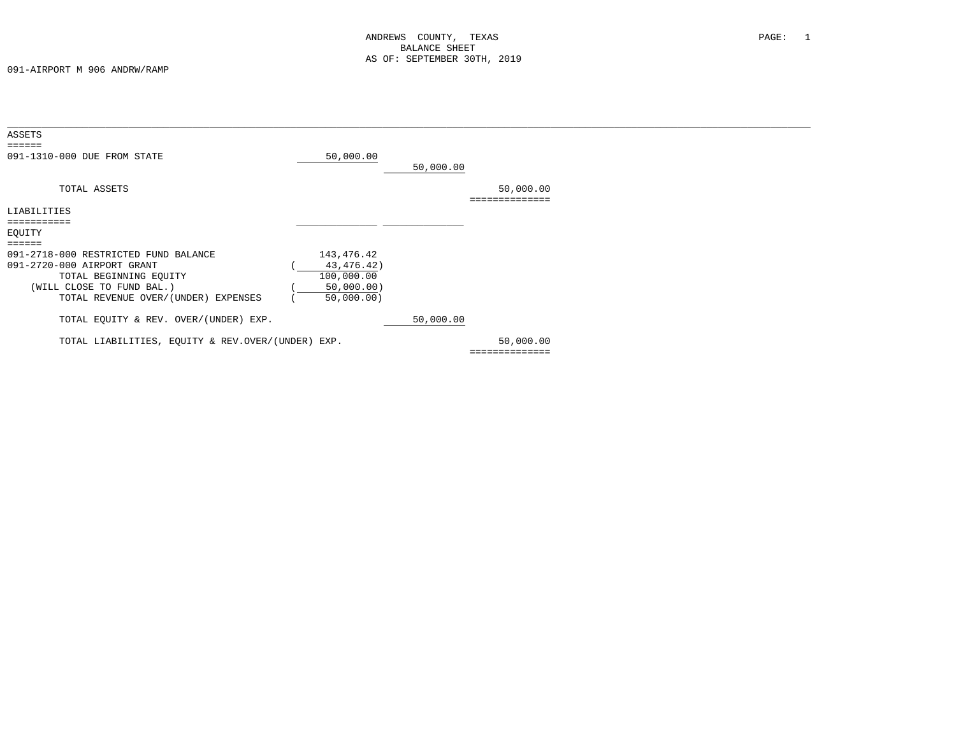| ASSETS                                                                                                                                                           |                                                                      |           |                          |  |
|------------------------------------------------------------------------------------------------------------------------------------------------------------------|----------------------------------------------------------------------|-----------|--------------------------|--|
| ======<br>091-1310-000 DUE FROM STATE                                                                                                                            | 50,000.00                                                            | 50,000.00 |                          |  |
| TOTAL ASSETS                                                                                                                                                     |                                                                      |           | 50,000.00                |  |
| LIABILITIES                                                                                                                                                      |                                                                      |           |                          |  |
| EQUITY                                                                                                                                                           |                                                                      |           |                          |  |
| 091-2718-000 RESTRICTED FUND BALANCE<br>091-2720-000 AIRPORT GRANT<br>TOTAL BEGINNING EQUITY<br>(WILL CLOSE TO FUND BAL.)<br>TOTAL REVENUE OVER/(UNDER) EXPENSES | 143,476.42<br>43, 476. 42)<br>100,000.00<br>50,000.00)<br>50,000.00) |           |                          |  |
| TOTAL EQUITY & REV. OVER/(UNDER) EXP.                                                                                                                            |                                                                      | 50,000.00 |                          |  |
| TOTAL LIABILITIES, EQUITY & REV.OVER/(UNDER) EXP.                                                                                                                |                                                                      |           | 50,000.00<br>=========== |  |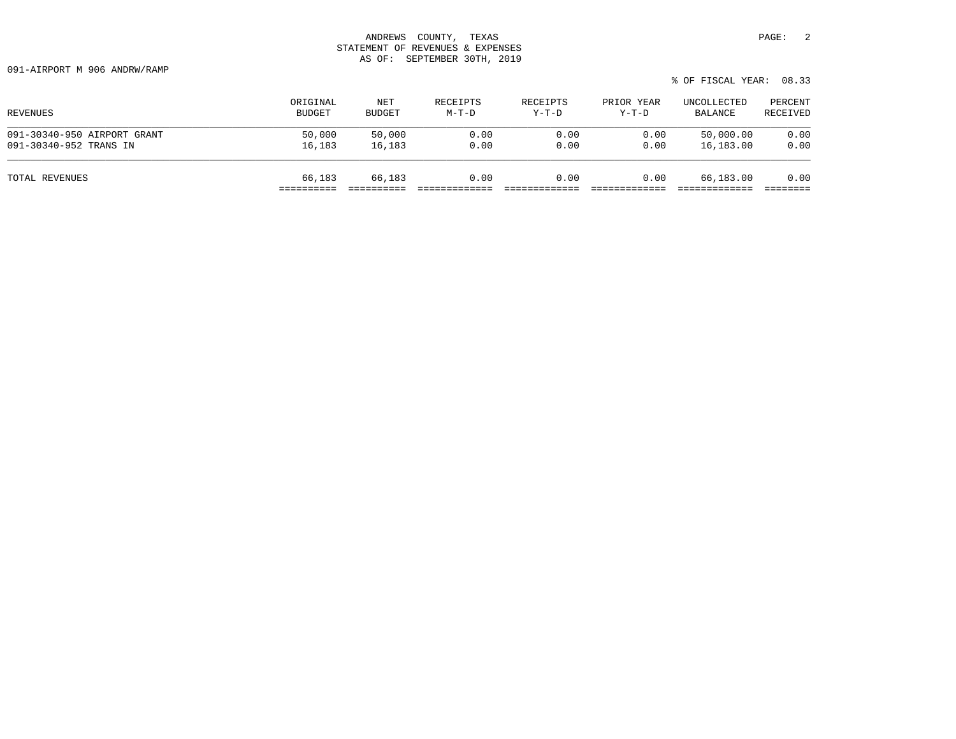091-AIRPORT M 906 ANDRW/RAMP

| REVENUES                    | ORIGINAL      | NET    | RECEIPTS | RECEIPTS | PRIOR YEAR | UNCOLLECTED | PERCENT  |
|-----------------------------|---------------|--------|----------|----------|------------|-------------|----------|
|                             | <b>BUDGET</b> | BUDGET | M-T-D    | $Y-T-D$  | $Y-T-D$    | BALANCE     | RECEIVED |
| 091-30340-950 AIRPORT GRANT | 50,000        | 50,000 | 0.00     | 0.00     | 0.00       | 50,000.00   | 0.00     |
| 091-30340-952 TRANS IN      | 16,183        | 16,183 | 0.00     | 0.00     | 0.00       | 16,183.00   | 0.00     |
| TOTAL REVENUES              | 66,183        | 66,183 | 0.00     | 0.00     | 0.00       | 66,183.00   | 0.00     |

% OF FISCAL YEAR: 08.33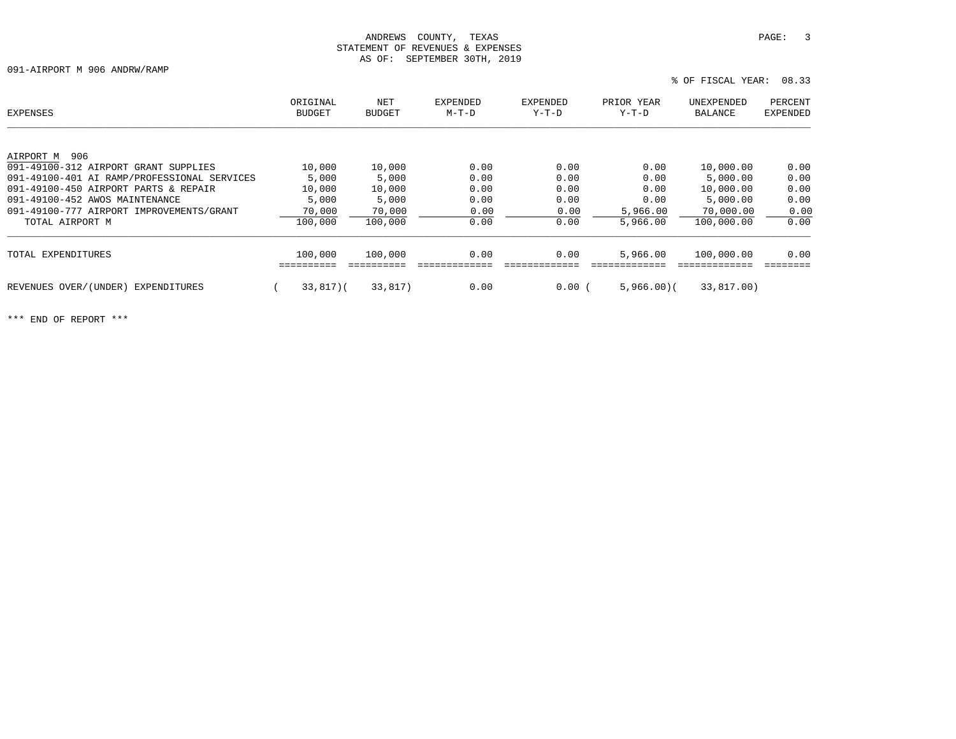091-AIRPORT M 906 ANDRW/RAMP

| EXPENSES                                    | ORIGINAL<br><b>BUDGET</b> | NET<br><b>BUDGET</b> | <b>EXPENDED</b><br>$M-T-D$ | <b>EXPENDED</b><br>$Y-T-D$ | PRIOR YEAR<br>$Y-T-D$ | UNEXPENDED<br>BALANCE | PERCENT<br><b>EXPENDED</b> |
|---------------------------------------------|---------------------------|----------------------|----------------------------|----------------------------|-----------------------|-----------------------|----------------------------|
|                                             |                           |                      |                            |                            |                       |                       |                            |
| 906<br>AIRPORT M                            |                           |                      |                            |                            |                       |                       |                            |
| 091-49100-312 AIRPORT GRANT SUPPLIES        | 10,000                    | 10,000               | 0.00                       | 0.00                       | 0.00                  | 10,000.00             | 0.00                       |
| 091-49100-401 AI RAMP/PROFESSIONAL SERVICES | 5,000                     | 5,000                | 0.00                       | 0.00                       | 0.00                  | 5,000.00              | 0.00                       |
| 091-49100-450 AIRPORT PARTS & REPAIR        | 10,000                    | 10,000               | 0.00                       | 0.00                       | 0.00                  | 10,000.00             | 0.00                       |
| 091-49100-452 AWOS MAINTENANCE              | 5,000                     | 5,000                | 0.00                       | 0.00                       | 0.00                  | 5,000.00              | 0.00                       |
| 091-49100-777 AIRPORT IMPROVEMENTS/GRANT    | 70,000                    | 70,000               | 0.00                       | 0.00                       | 5,966,00              | 70,000.00             | 0.00                       |
| TOTAL AIRPORT M                             | 100,000                   | 100,000              | 0.00                       | 0.00                       | 5,966.00              | 100,000.00            | 0.00                       |
| TOTAL EXPENDITURES                          | 100,000                   | 100,000              | 0.00                       | 0.00                       | 5,966.00              | 100,000.00            | 0.00                       |
|                                             |                           |                      |                            |                            |                       |                       |                            |
| REVENUES OVER/(UNDER)<br>EXPENDITURES       | $33,817$ $($              | 33,817)              | 0.00                       | 0.00(                      | 5,966,00(             | 33,817.00)            |                            |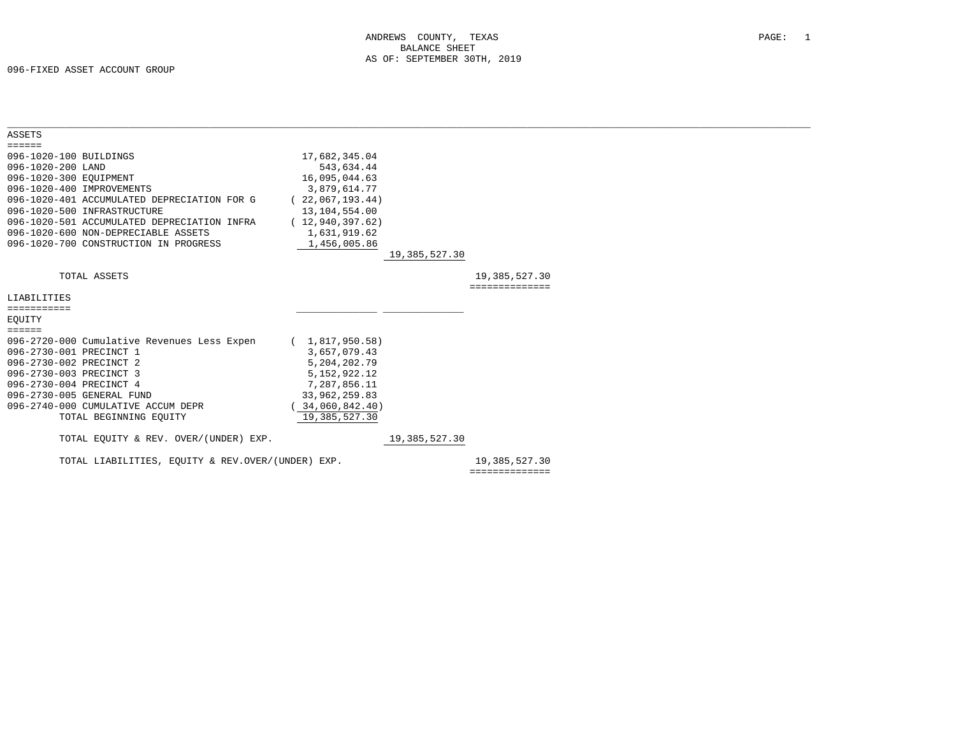| <b>ASSETS</b>                                     |                   |               |                |  |
|---------------------------------------------------|-------------------|---------------|----------------|--|
| $= = = = = =$                                     |                   |               |                |  |
| 096-1020-100 BUILDINGS                            | 17,682,345.04     |               |                |  |
| 096-1020-200 LAND                                 | 543,634.44        |               |                |  |
| 096-1020-300 EQUIPMENT                            | 16,095,044.63     |               |                |  |
| 096-1020-400 IMPROVEMENTS                         | 3,879,614.77      |               |                |  |
| 096-1020-401 ACCUMULATED DEPRECIATION FOR G       | (22,067,193.44)   |               |                |  |
| 096-1020-500 INFRASTRUCTURE                       | 13, 104, 554.00   |               |                |  |
| 096-1020-501 ACCUMULATED DEPRECIATION INFRA       | (12, 940, 397.62) |               |                |  |
| 096-1020-600 NON-DEPRECIABLE ASSETS               | 1,631,919.62      |               |                |  |
| 096-1020-700 CONSTRUCTION IN PROGRESS             | 1,456,005.86      |               |                |  |
|                                                   |                   | 19,385,527.30 |                |  |
|                                                   |                   |               |                |  |
| TOTAL ASSETS                                      |                   |               | 19,385,527.30  |  |
|                                                   |                   |               | ============== |  |
| LIABILITIES                                       |                   |               |                |  |
| ===========                                       |                   |               |                |  |
| EOUITY                                            |                   |               |                |  |
| $=$ $=$ $=$ $=$ $=$                               |                   |               |                |  |
| 096-2720-000 Cumulative Revenues Less Expen       | (1,817,950.58)    |               |                |  |
| 096-2730-001 PRECINCT 1                           | 3,657,079.43      |               |                |  |
| 096-2730-002 PRECINCT 2                           | 5,204,202.79      |               |                |  |
| 096-2730-003 PRECINCT 3                           | 5, 152, 922. 12   |               |                |  |
| 096-2730-004 PRECINCT 4                           | 7,287,856.11      |               |                |  |
| 096-2730-005 GENERAL FUND                         | 33,962,259.83     |               |                |  |
| 096-2740-000 CUMULATIVE ACCUM DEPR                | 34,060,842.40)    |               |                |  |
| TOTAL BEGINNING EQUITY                            | 19,385,527.30     |               |                |  |
|                                                   |                   |               |                |  |
| TOTAL EOUITY & REV. OVER/(UNDER) EXP.             |                   | 19,385,527.30 |                |  |
|                                                   |                   |               |                |  |
| TOTAL LIABILITIES, EOUITY & REV.OVER/(UNDER) EXP. |                   |               | 19,385,527.30  |  |
|                                                   |                   |               | ============== |  |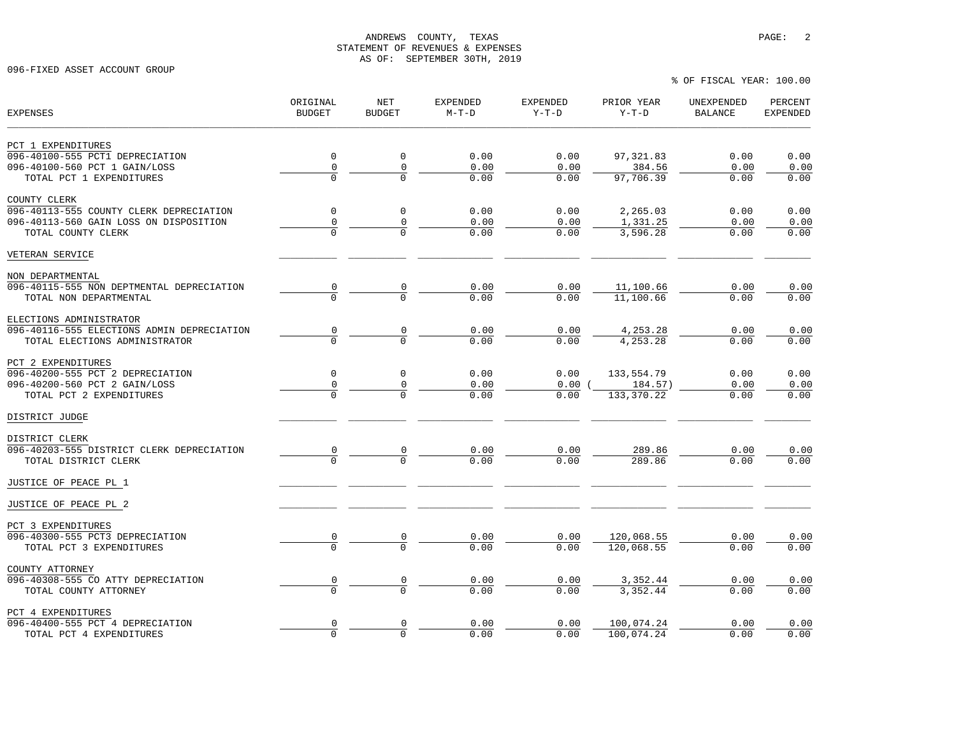% OF FISCAL YEAR: 100.00

096-FIXED ASSET ACCOUNT GROUP

| <b>EXPENSES</b>                                           | ORIGINAL<br><b>BUDGET</b> | NET<br><b>BUDGET</b> | <b>EXPENDED</b><br>$M-T-D$ | <b>EXPENDED</b><br>$Y-T-D$ | PRIOR YEAR<br>$Y-T-D$   | UNEXPENDED<br><b>BALANCE</b> | PERCENT<br><b>EXPENDED</b> |
|-----------------------------------------------------------|---------------------------|----------------------|----------------------------|----------------------------|-------------------------|------------------------------|----------------------------|
| PCT 1 EXPENDITURES                                        |                           |                      |                            |                            |                         |                              |                            |
| 096-40100-555 PCT1 DEPRECIATION                           | $\mathbf 0$               | 0                    | 0.00                       | 0.00                       | 97, 321.83              | 0.00                         | 0.00                       |
| 096-40100-560 PCT 1 GAIN/LOSS                             | 0                         | $\mathsf{O}\xspace$  | 0.00                       | 0.00                       | 384.56                  | 0.00                         | 0.00                       |
| TOTAL PCT 1 EXPENDITURES                                  | $\Omega$                  |                      | 0.00                       | 0.00                       | 97,706.39               | 0.00                         | 0.00                       |
| COUNTY CLERK                                              |                           |                      |                            |                            |                         |                              |                            |
| 096-40113-555 COUNTY CLERK DEPRECIATION                   | $\mathbf 0$               | $\mathbf 0$          | 0.00                       | 0.00                       | 2,265.03                | 0.00                         | 0.00                       |
| 096-40113-560 GAIN LOSS ON DISPOSITION                    | 0                         | 0                    | 0.00                       | 0.00                       | 1,331.25                | 0.00                         | 0.00                       |
| TOTAL COUNTY CLERK                                        | $\Omega$                  |                      | 0.00                       | 0.00                       | 3,596.28                | 0.00                         | 0.00                       |
| VETERAN SERVICE                                           |                           |                      |                            |                            |                         |                              |                            |
| NON DEPARTMENTAL                                          |                           |                      |                            |                            |                         |                              |                            |
| 096-40115-555 NON DEPTMENTAL DEPRECIATION                 | $\frac{0}{0}$             |                      | 0.00                       | 0.00                       | 11,100.66               | 0.00                         | 0.00                       |
| TOTAL NON DEPARTMENTAL                                    |                           |                      | 0.00                       | 0.00                       | 11,100.66               | 0.00                         | 0.00                       |
| ELECTIONS ADMINISTRATOR                                   |                           |                      |                            |                            |                         |                              |                            |
| 096-40116-555 ELECTIONS ADMIN DEPRECIATION                | $\frac{0}{0}$             | $\frac{0}{0}$        | 0.00                       | 0.00                       | 4,253.28                | 0.00                         | 0.00                       |
| TOTAL ELECTIONS ADMINISTRATOR                             |                           |                      | 0.00                       | 0.00                       | 4,253.28                | 0.00                         | 0.00                       |
| PCT 2 EXPENDITURES                                        |                           |                      |                            |                            |                         |                              |                            |
| 096-40200-555 PCT 2 DEPRECIATION                          | $\mathbf 0$<br>0          | 0                    | 0.00<br>0.00               | 0.00<br>0.00               | 133,554.79              | 0.00                         | 0.00                       |
| 096-40200-560 PCT 2 GAIN/LOSS<br>TOTAL PCT 2 EXPENDITURES |                           | 0                    | 0.00                       | 0.00                       | 184.57)<br>133, 370. 22 | 0.00<br>0.00                 | 0.00<br>0.00               |
|                                                           |                           |                      |                            |                            |                         |                              |                            |
| DISTRICT JUDGE                                            |                           |                      |                            |                            |                         |                              |                            |
| DISTRICT CLERK                                            |                           |                      |                            |                            |                         |                              |                            |
| 096-40203-555 DISTRICT CLERK DEPRECIATION                 |                           |                      | 0.00                       | 0.00                       | 289.86                  | 0.00                         | 0.00                       |
| TOTAL DISTRICT CLERK                                      |                           |                      | 0.00                       | 0.00                       | 289.86                  | 0.00                         | 0.00                       |
| JUSTICE OF PEACE PL 1                                     |                           |                      |                            |                            |                         |                              |                            |
| JUSTICE OF PEACE PL 2                                     |                           |                      |                            |                            |                         |                              |                            |
| PCT 3 EXPENDITURES                                        |                           |                      |                            |                            |                         |                              |                            |
| 096-40300-555 PCT3 DEPRECIATION                           | $\frac{0}{0}$             |                      | 0.00                       | 0.00                       | 120,068.55              | 0.00                         | 0.00                       |
| TOTAL PCT 3 EXPENDITURES                                  |                           |                      | 0.00                       | 0.00                       | 120,068.55              | 0.00                         | 0.00                       |
| COUNTY ATTORNEY                                           |                           |                      |                            |                            |                         |                              |                            |
| 096-40308-555 CO ATTY DEPRECIATION                        | $\frac{0}{0}$             | $\frac{0}{0}$        | 0.00                       | 0.00                       | 3,352.44                | 0.00                         | 0.00                       |
| TOTAL COUNTY ATTORNEY                                     |                           |                      | 0.00                       | 0.00                       | 3,352.44                | 0.00                         | 0.00                       |
| PCT 4 EXPENDITURES                                        |                           |                      |                            |                            |                         |                              |                            |
| 096-40400-555 PCT 4 DEPRECIATION                          | $\frac{0}{0}$             | 0                    | 0.00                       | 0.00                       | 100,074.24              | 0.00                         | 0.00                       |
| TOTAL PCT 4 EXPENDITURES                                  |                           | $\Omega$             | 0.00                       | 0.00                       | 100,074.24              | 0.00                         | 0.00                       |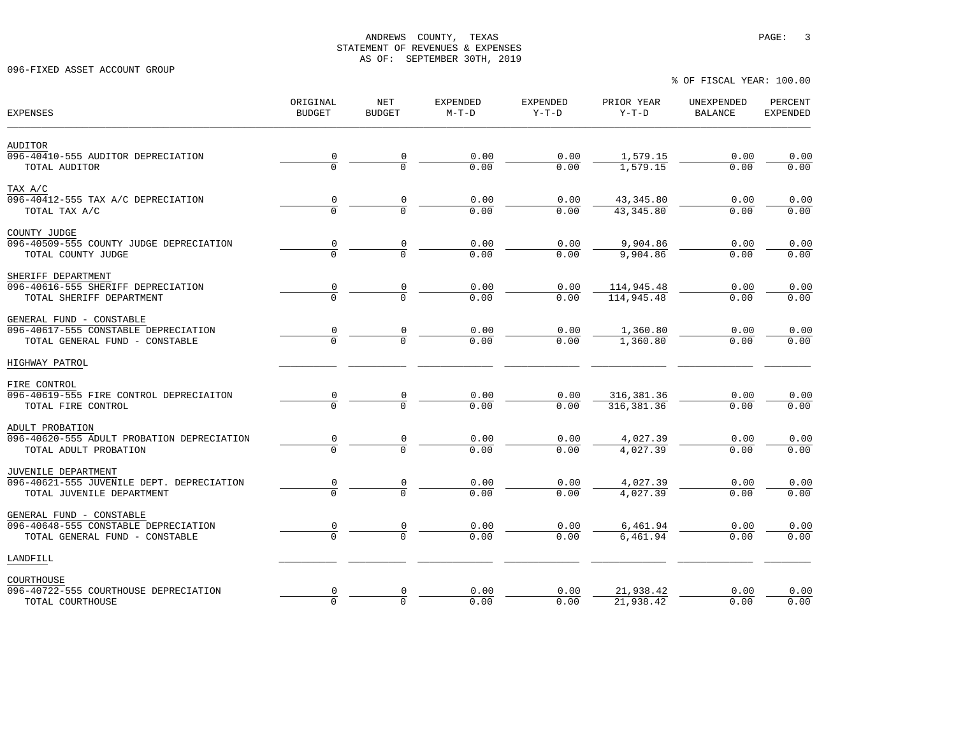096-FIXED ASSET ACCOUNT GROUP

% OF FISCAL YEAR: 100.00

| <b>EXPENSES</b>                            | ORIGINAL<br><b>BUDGET</b> | NET<br><b>BUDGET</b> | <b>EXPENDED</b><br>$M-T-D$ | EXPENDED<br>$Y-T-D$ | PRIOR YEAR<br>$Y-T-D$ | UNEXPENDED<br><b>BALANCE</b> | PERCENT<br><b>EXPENDED</b> |
|--------------------------------------------|---------------------------|----------------------|----------------------------|---------------------|-----------------------|------------------------------|----------------------------|
| AUDITOR                                    |                           |                      |                            |                     |                       |                              |                            |
| 096-40410-555 AUDITOR DEPRECIATION         |                           | $\frac{0}{0}$        | 0.00                       | 0.00                | 1,579.15              | 0.00                         | 0.00                       |
| TOTAL AUDITOR                              |                           |                      | 0.00                       | 0.00                | 1.579.15              | 0.00                         | 0.00                       |
| TAX A/C                                    |                           |                      |                            |                     |                       |                              |                            |
| 096-40412-555 TAX A/C DEPRECIATION         |                           | $\frac{0}{0}$        | 0.00                       | 0.00                | 43, 345.80            | 0.00                         | 0.00                       |
| TOTAL TAX A/C                              |                           |                      | 0.00                       | 0.00                | 43, 345.80            | 0.00                         | 0.00                       |
| COUNTY JUDGE                               |                           |                      |                            |                     |                       |                              |                            |
| 096-40509-555 COUNTY JUDGE DEPRECIATION    |                           |                      | 0.00                       | 0.00                | 9,904.86              | 0.00                         | 0.00                       |
| TOTAL COUNTY JUDGE                         |                           |                      | 0.00                       | 0.00                | 9,904.86              | 0.00                         | 0.00                       |
| SHERIFF DEPARTMENT                         |                           |                      |                            |                     |                       |                              |                            |
| 096-40616-555 SHERIFF DEPRECIATION         |                           | $\frac{0}{0}$        | 0.00                       | 0.00                | 114,945.48            | 0.00                         | 0.00                       |
| TOTAL SHERIFF DEPARTMENT                   |                           |                      | 0.00                       | 0.00                | 114,945.48            | 0.00                         | 0.00                       |
| GENERAL FUND - CONSTABLE                   |                           |                      |                            |                     |                       |                              |                            |
| 096-40617-555 CONSTABLE DEPRECIATION       |                           |                      | 0.00                       | 0.00                | 1,360.80              | 0.00                         | 0.00                       |
| TOTAL GENERAL FUND - CONSTABLE             |                           | $\frac{0}{0}$        | 0.00                       | 0.00                | 1,360.80              | 0.00                         | 0.00                       |
| HIGHWAY PATROL                             |                           |                      |                            |                     |                       |                              |                            |
| FIRE CONTROL                               |                           |                      |                            |                     |                       |                              |                            |
| 096-40619-555 FIRE CONTROL DEPRECIAITON    |                           |                      | 0.00                       | 0.00                | 316, 381.36           | 0.00                         | 0.00                       |
| TOTAL FIRE CONTROL                         |                           |                      | 0.00                       | 0.00                | 316, 381, 36          | 0.00                         | 0.00                       |
| ADULT PROBATION                            |                           |                      |                            |                     |                       |                              |                            |
| 096-40620-555 ADULT PROBATION DEPRECIATION |                           |                      | 0.00                       | 0.00                | 4,027.39              | 0.00                         | 0.00                       |
| TOTAL ADULT PROBATION                      | $\frac{0}{0}$             | $\frac{0}{0}$        | 0.00                       | 0.00                | 4,027.39              | 0.00                         | 0.00                       |
| JUVENILE DEPARTMENT                        |                           |                      |                            |                     |                       |                              |                            |
| 096-40621-555 JUVENILE DEPT. DEPRECIATION  |                           |                      | 0.00                       | 0.00                | 4,027.39              | 0.00                         | 0.00                       |
| TOTAL JUVENILE DEPARTMENT                  |                           | $\frac{0}{0}$        | 0.00                       | 0.00                | 4,027.39              | 0.00                         | 0.00                       |
| GENERAL FUND - CONSTABLE                   |                           |                      |                            |                     |                       |                              |                            |
| 096-40648-555 CONSTABLE DEPRECIATION       |                           |                      | 0.00                       | 0.00                | 6,461.94              | 0.00                         | 0.00                       |
| TOTAL GENERAL FUND - CONSTABLE             |                           | $\frac{0}{0}$        | 0.00                       | 0.00                | 6,461.94              | 0.00                         | 0.00                       |
| LANDFILL                                   |                           |                      |                            |                     |                       |                              |                            |
| COURTHOUSE                                 |                           |                      |                            |                     |                       |                              |                            |
| 096-40722-555 COURTHOUSE DEPRECIATION      | 0                         | 0                    | 0.00                       | 0.00                | 21,938.42             | 0.00                         | 0.00                       |
| TOTAL COURTHOUSE                           | $\overline{0}$            | $\Omega$             | 0.00                       | 0.00                | 21,938.42             | 0.00                         | 0.00                       |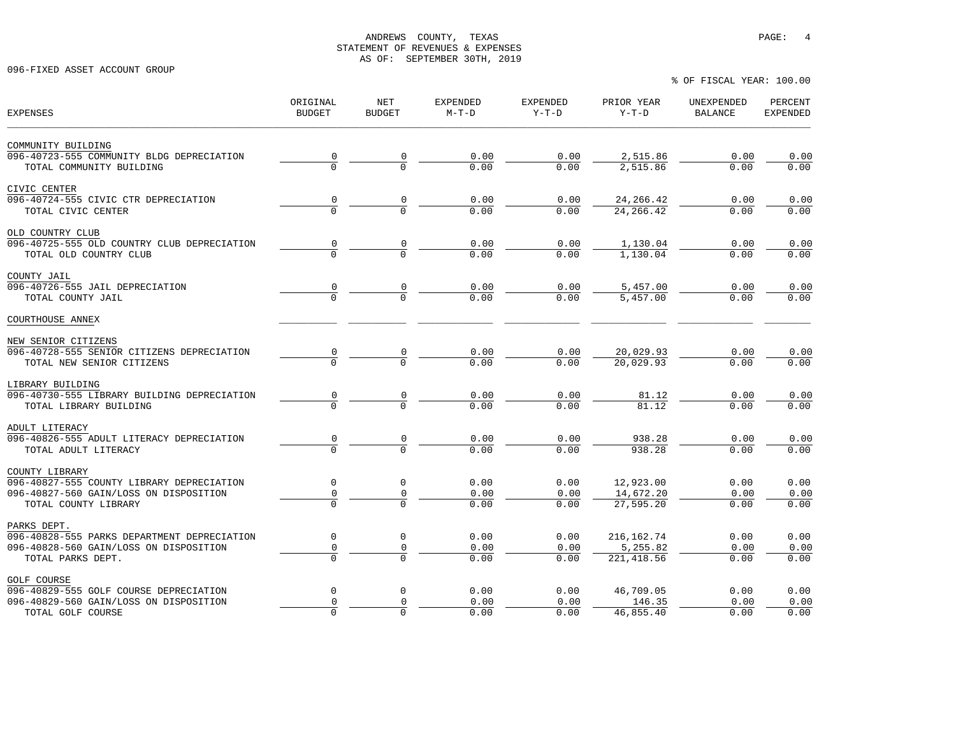096-FIXED ASSET ACCOUNT GROUP

% OF FISCAL YEAR: 100.00

| <b>EXPENSES</b>                                                                     | ORIGINAL<br><b>BUDGET</b> | NET<br><b>BUDGET</b> | EXPENDED<br>$M-T-D$ | <b>EXPENDED</b><br>$Y-T-D$ | PRIOR YEAR<br>$Y-T-D$  | UNEXPENDED<br><b>BALANCE</b> | PERCENT<br><b>EXPENDED</b> |
|-------------------------------------------------------------------------------------|---------------------------|----------------------|---------------------|----------------------------|------------------------|------------------------------|----------------------------|
| COMMUNITY BUILDING                                                                  |                           |                      |                     |                            |                        |                              |                            |
| 096-40723-555 COMMUNITY BLDG DEPRECIATION                                           |                           |                      | 0.00                | 0.00                       | 2,515.86               | 0.00                         | 0.00                       |
| TOTAL COMMUNITY BUILDING                                                            | $\frac{0}{0}$             |                      | 0.00                | 0.00                       | 2,515.86               | 0.00                         | 0.00                       |
| CIVIC CENTER                                                                        |                           |                      |                     |                            |                        |                              |                            |
| 096-40724-555 CIVIC CTR DEPRECIATION                                                | $\frac{0}{0}$             |                      | 0.00                | 0.00                       | 24, 266. 42            | 0.00                         | 0.00                       |
| TOTAL CIVIC CENTER                                                                  |                           |                      | 0.00                | 0.00                       | 24, 266. 42            | 0.00                         | 0.00                       |
| OLD COUNTRY CLUB                                                                    |                           |                      |                     |                            |                        |                              |                            |
| 096-40725-555 OLD COUNTRY CLUB DEPRECIATION                                         | 0                         | $\overline{0}$       | 0.00                | 0.00                       | 1,130.04               | 0.00                         | 0.00                       |
| TOTAL OLD COUNTRY CLUB                                                              |                           |                      | 0.00                | 0.00                       | 1,130.04               | 0.00                         | 0.00                       |
| COUNTY JAIL                                                                         |                           |                      |                     |                            |                        |                              |                            |
| 096-40726-555 JAIL DEPRECIATION                                                     | 0                         | 0                    | 0.00                | 0.00                       | 5,457.00               | 0.00                         | 0.00                       |
| TOTAL COUNTY JAIL                                                                   |                           |                      | 0.00                | 0.00                       | 5,457.00               | 0.00                         | 0.00                       |
| COURTHOUSE ANNEX                                                                    |                           |                      |                     |                            |                        |                              |                            |
| NEW SENIOR CITIZENS                                                                 |                           |                      |                     |                            |                        |                              |                            |
| 096-40728-555 SENIOR CITIZENS DEPRECIATION                                          |                           |                      | 0.00                | 0.00                       | 20,029.93              | 0.00                         | 0.00                       |
| TOTAL NEW SENIOR CITIZENS                                                           |                           |                      | 0.00                | 0.00                       | 20,029.93              | 0.00                         | 0.00                       |
| LIBRARY BUILDING                                                                    |                           |                      |                     |                            |                        |                              |                            |
| 096-40730-555 LIBRARY BUILDING DEPRECIATION                                         | 0                         |                      | 0.00                | 0.00                       | 81.12                  | 0.00                         | 0.00                       |
| TOTAL LIBRARY BUILDING                                                              |                           |                      | $\overline{0}$ , 00 | 0.00                       | 81.12                  | 0.00                         | 0.00                       |
| ADULT LITERACY                                                                      |                           |                      |                     |                            |                        |                              |                            |
| 096-40826-555 ADULT LITERACY DEPRECIATION                                           | 0<br>$\overline{0}$       | 0                    | 0.00                | 0.00                       | 938.28                 | 0.00                         | 0.00                       |
| TOTAL ADULT LITERACY                                                                |                           |                      | 0.00                | 0.00                       | 938.28                 | 0.00                         | 0.00                       |
| COUNTY LIBRARY                                                                      | $\mathbf 0$               | $\mathbf 0$          | 0.00                | 0.00                       | 12,923.00              | 0.00                         | 0.00                       |
| 096-40827-555 COUNTY LIBRARY DEPRECIATION<br>096-40827-560 GAIN/LOSS ON DISPOSITION |                           |                      |                     |                            |                        |                              |                            |
| TOTAL COUNTY LIBRARY                                                                | $\mathsf 0$               | 0                    | 0.00<br>0.00        | 0.00<br>0.00               | 14,672.20<br>27,595.20 | 0.00<br>0.00                 | 0.00<br>0.00               |
| PARKS DEPT.                                                                         |                           |                      |                     |                            |                        |                              |                            |
| 096-40828-555 PARKS DEPARTMENT DEPRECIATION                                         | $\mathbf 0$               | $\mathbf 0$          | 0.00                | 0.00                       | 216, 162. 74           | 0.00                         | 0.00                       |
| 096-40828-560 GAIN/LOSS ON DISPOSITION                                              | $\mathsf{O}\xspace$       | 0                    | 0.00                | 0.00                       | 5,255.82               | 0.00                         | 0.00                       |
| TOTAL PARKS DEPT.                                                                   | $\Omega$                  | $\cap$               | 0.00                | 0.00                       | 221, 418.56            | 0.00                         | 0.00                       |
| <b>GOLF COURSE</b>                                                                  |                           |                      |                     |                            |                        |                              |                            |
| 096-40829-555 GOLF COURSE DEPRECIATION                                              | $\mathsf 0$               | $\mathbf 0$          | 0.00                | 0.00                       | 46,709.05              | 0.00                         | 0.00                       |
| 096-40829-560 GAIN/LOSS ON DISPOSITION                                              | $\mathbf 0$               | $\Omega$             | 0.00                | 0.00                       | 146.35                 | 0.00                         | 0.00                       |
| TOTAL GOLF COURSE                                                                   | $\mathbf 0$               | $\Omega$             | 0.00                | 0.00                       | 46,855.40              | 0.00                         | 0.00                       |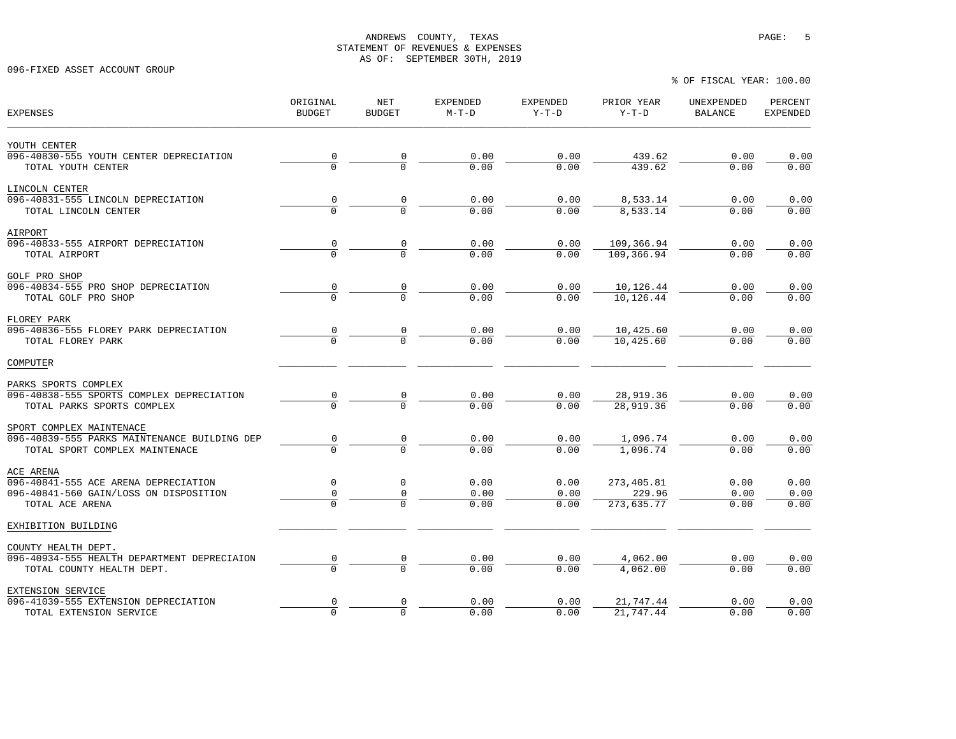096-FIXED ASSET ACCOUNT GROUP

| <b>EXPENSES</b>                                                                | ORIGINAL<br><b>BUDGET</b> | NET<br><b>BUDGET</b> | <b>EXPENDED</b><br>$M-T-D$ | <b>EXPENDED</b><br>$Y-T-D$ | PRIOR YEAR<br>$Y-T-D$    | UNEXPENDED<br><b>BALANCE</b> | PERCENT<br><b>EXPENDED</b> |
|--------------------------------------------------------------------------------|---------------------------|----------------------|----------------------------|----------------------------|--------------------------|------------------------------|----------------------------|
| YOUTH CENTER                                                                   |                           |                      |                            |                            |                          |                              |                            |
| 096-40830-555 YOUTH CENTER DEPRECIATION<br>TOTAL YOUTH CENTER                  | $\frac{0}{0}$             | $\frac{0}{0}$        | 0.00<br>0.00               | 0.00<br>0.00               | 439.62<br>439.62         | 0.00<br>0.00                 | 0.00<br>0.00               |
| LINCOLN CENTER                                                                 |                           |                      |                            |                            |                          |                              |                            |
| 096-40831-555 LINCOLN DEPRECIATION                                             | $\frac{0}{0}$             | $\frac{0}{0}$        | 0.00                       | 0.00                       | 8,533.14                 | 0.00                         | 0.00                       |
| TOTAL LINCOLN CENTER                                                           |                           |                      | 0.00                       | 0.00                       | 8,533.14                 | 0.00                         | 0.00                       |
| AIRPORT                                                                        |                           |                      |                            |                            |                          |                              |                            |
| 096-40833-555 AIRPORT DEPRECIATION<br>TOTAL AIRPORT                            | $\frac{0}{0}$             | $\frac{0}{0}$        | 0.00<br>0.00               | 0.00<br>0.00               | 109,366.94<br>109,366.94 | 0.00<br>0.00                 | 0.00<br>0.00               |
|                                                                                |                           |                      |                            |                            |                          |                              |                            |
| <b>GOLF PRO SHOP</b><br>096-40834-555 PRO SHOP DEPRECIATION                    | 0                         |                      | 0.00                       | 0.00                       | 10,126.44                | 0.00                         | 0.00                       |
| TOTAL GOLF PRO SHOP                                                            | $\overline{0}$            | $\frac{0}{0}$        | 0.00                       | 0.00                       | 10,126.44                | 0.00                         | 0.00                       |
| FLOREY PARK                                                                    |                           |                      |                            |                            |                          |                              |                            |
| 096-40836-555 FLOREY PARK DEPRECIATION                                         | 0                         |                      | 0.00                       | 0.00                       | 10,425.60                | 0.00                         | 0.00                       |
| TOTAL FLOREY PARK                                                              |                           |                      | 0.00                       | 0.00                       | 10,425.60                | 0.00                         | 0.00                       |
| COMPUTER                                                                       |                           |                      |                            |                            |                          |                              |                            |
| PARKS SPORTS COMPLEX                                                           |                           |                      |                            |                            |                          |                              |                            |
| 096-40838-555 SPORTS COMPLEX DEPRECIATION                                      | $\frac{0}{0}$             |                      | 0.00<br>0.00               | 0.00<br>0.00               | 28,919.36<br>28,919.36   | 0.00                         | 0.00                       |
| TOTAL PARKS SPORTS COMPLEX                                                     |                           |                      |                            |                            |                          | 0.00                         | 0.00                       |
| SPORT COMPLEX MAINTENACE                                                       |                           |                      |                            |                            |                          |                              |                            |
| 096-40839-555 PARKS MAINTENANCE BUILDING DEP<br>TOTAL SPORT COMPLEX MAINTENACE | $\frac{0}{0}$             | $\frac{0}{0}$        | 0.00<br>0.00               | 0.00<br>0.00               | 1,096.74<br>1,096.74     | 0.00<br>0.00                 | 0.00<br>0.00               |
|                                                                                |                           |                      |                            |                            |                          |                              |                            |
| ACE ARENA                                                                      | $\mathbf 0$               | 0                    | 0.00                       | 0.00                       |                          |                              | 0.00                       |
| 096-40841-555 ACE ARENA DEPRECIATION<br>096-40841-560 GAIN/LOSS ON DISPOSITION | 0                         | 0                    | 0.00                       | 0.00                       | 273,405.81<br>229.96     | 0.00<br>0.00                 | 0.00                       |
| TOTAL ACE ARENA                                                                |                           |                      | 0.00                       | 0.00                       | 273,635.77               | 0.00                         | 0.00                       |
| EXHIBITION BUILDING                                                            |                           |                      |                            |                            |                          |                              |                            |
| COUNTY HEALTH DEPT.                                                            |                           |                      |                            |                            |                          |                              |                            |
| 096-40934-555 HEALTH DEPARTMENT DEPRECIAION                                    | $\frac{0}{0}$             |                      | 0.00                       | 0.00                       | 4,062.00                 | 0.00                         | 0.00                       |
| TOTAL COUNTY HEALTH DEPT.                                                      |                           |                      | 0.00                       | 0.00                       | 4,062.00                 | 0.00                         | 0.00                       |
| EXTENSION SERVICE                                                              |                           |                      |                            |                            |                          |                              |                            |
| 096-41039-555 EXTENSION DEPRECIATION                                           | 0<br>$\overline{0}$       | 0<br>$\Omega$        | 0.00<br>0.00               | 0.00                       | 21,747.44<br>21,747.44   | 0.00                         | 0.00                       |
| TOTAL EXTENSION SERVICE                                                        |                           |                      |                            | 0.00                       |                          | 0.00                         | 0.00                       |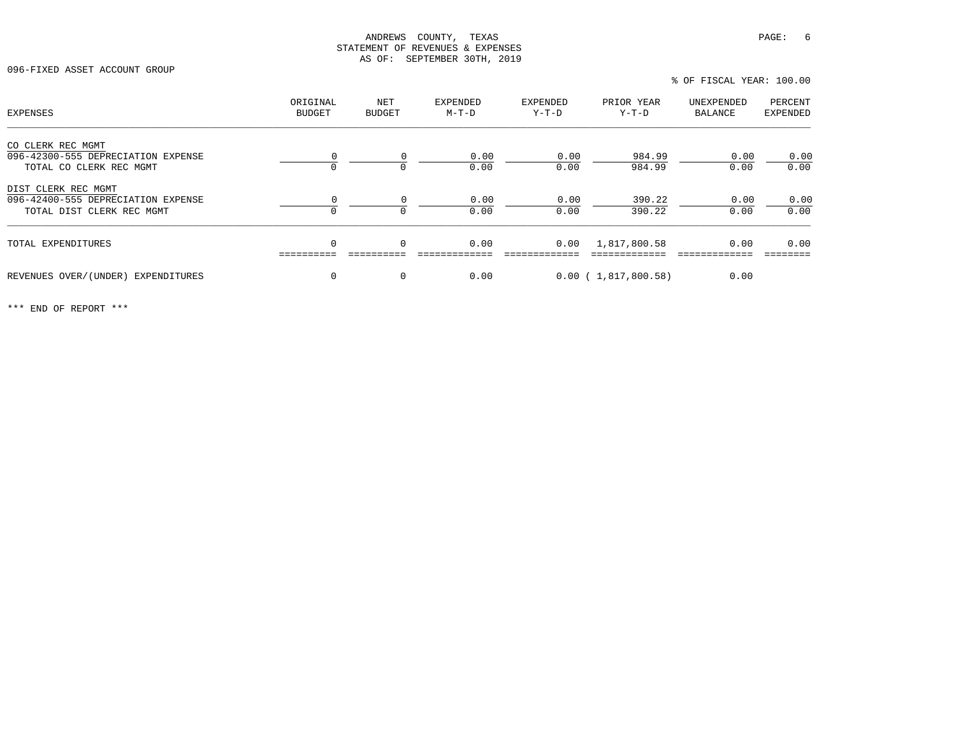096-FIXED ASSET ACCOUNT GROUP

% OF FISCAL YEAR: 100.00

| EXPENSES                                                                               | ORIGINAL<br>BUDGET | NET<br><b>BUDGET</b> | EXPENDED<br>$M-T-D$ | EXPENDED<br>$Y-T-D$ | PRIOR YEAR<br>Y-T-D    | UNEXPENDED<br>BALANCE | PERCENT<br>EXPENDED |
|----------------------------------------------------------------------------------------|--------------------|----------------------|---------------------|---------------------|------------------------|-----------------------|---------------------|
| CO CLERK REC MGMT<br>096-42300-555 DEPRECIATION EXPENSE<br>TOTAL CO CLERK REC MGMT     |                    | $\Omega$<br>$\Omega$ | 0.00<br>0.00        | 0.00<br>0.00        | 984.99<br>984.99       | 0.00<br>0.00          | 0.00<br>0.00        |
| DIST CLERK REC MGMT<br>096-42400-555 DEPRECIATION EXPENSE<br>TOTAL DIST CLERK REC MGMT |                    | $\Omega$<br>$\Omega$ | 0.00<br>0.00        | 0.00<br>0.00        | 390.22<br>390.22       | 0.00<br>0.00          | 0.00<br>0.00        |
| TOTAL EXPENDITURES                                                                     | $\Omega$           | $\mathbf 0$          | 0.00                | 0.00                | 1,817,800.58           | 0.00                  | 0.00                |
| REVENUES OVER/(UNDER) EXPENDITURES                                                     | $\Omega$           | 0                    | 0.00                |                     | $0.00$ ( 1,817,800.58) | 0.00                  |                     |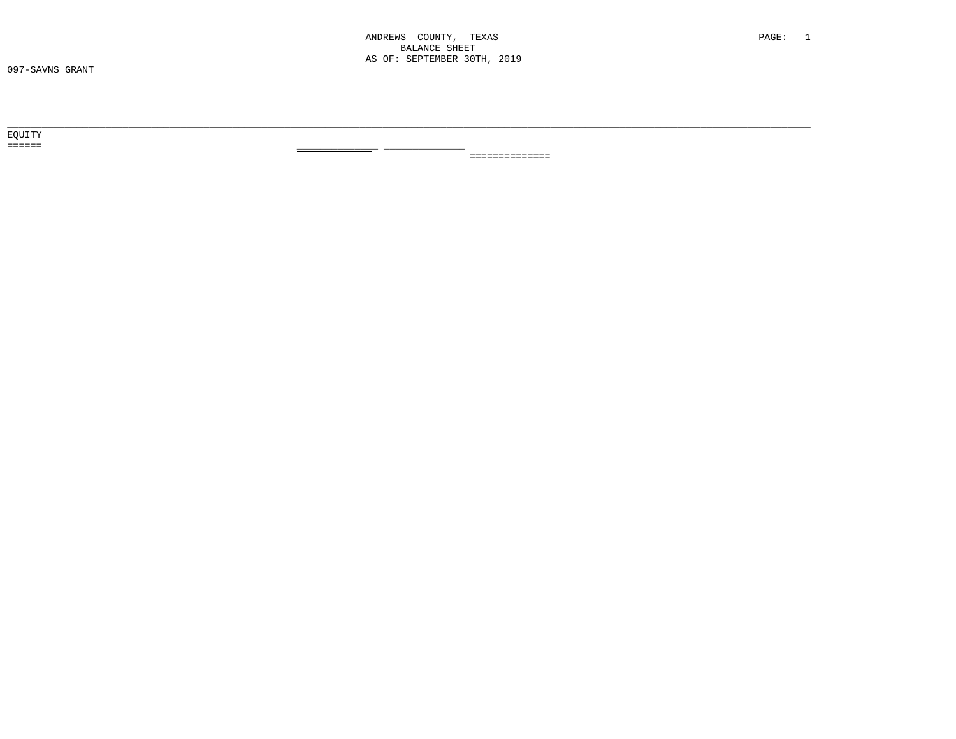$- -$ 

EQUITY  $\qquad \qquad \equiv \equiv \equiv \equiv \equiv \equiv \equiv$ 

==============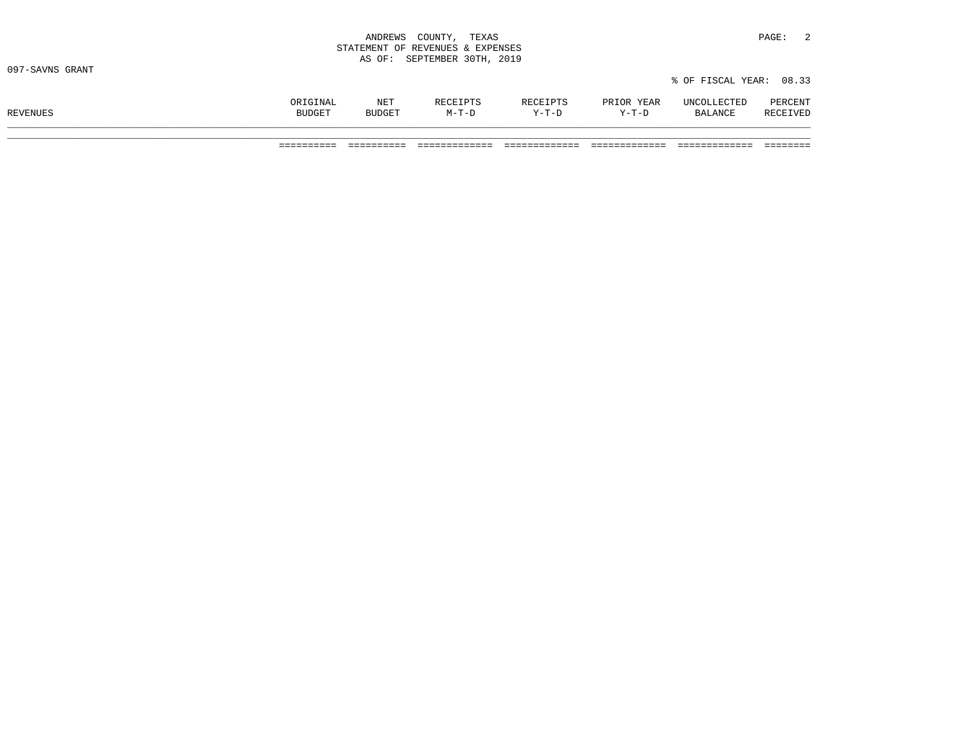|                 | ANDREWS COUNTY, TEXAS            | $\overline{2}$<br>PAGE: |
|-----------------|----------------------------------|-------------------------|
|                 | STATEMENT OF REVENUES & EXPENSES |                         |
|                 | AS OF: SEPTEMBER 30TH, 2019      |                         |
| 097-SAVNS GRANT |                                  |                         |
|                 |                                  | % OF FISCAL YEAR: 08.33 |
|                 |                                  |                         |

|          | ORIGINAL | NET    | <b>RECEIPTS</b> | RECEIPTS | PRIOR YEAR | UNCOLLECTED    | PERCENT  |
|----------|----------|--------|-----------------|----------|------------|----------------|----------|
| REVENUES | BUDGET   | BUDGET | $M-T-D$         | $Y-T-D$  | $Y-T-D$    | <b>BALANCE</b> | RECEIVEL |
|          |          |        |                 |          |            |                |          |

========== ========== ============= ============= ============= ============= ========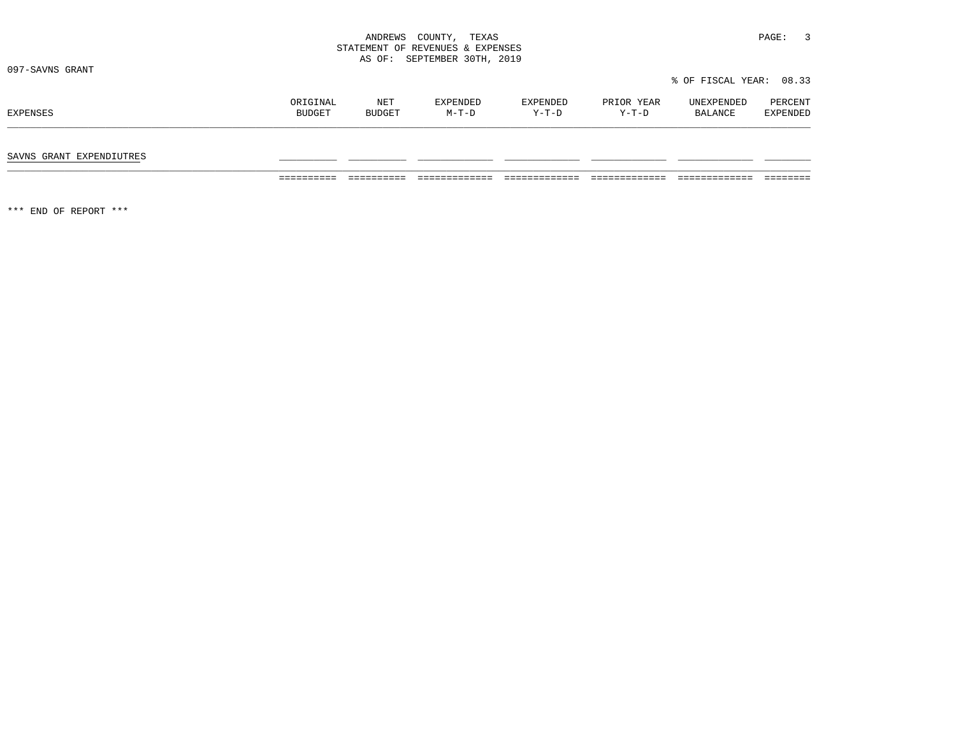|                          |                    | STATEMENT OF REVENUES & EXPENSES<br>SEPTEMBER 30TH, 2019<br>AS OF: |                   |                   |                     |                         |                     |  |
|--------------------------|--------------------|--------------------------------------------------------------------|-------------------|-------------------|---------------------|-------------------------|---------------------|--|
| 097-SAVNS GRANT          |                    |                                                                    |                   |                   |                     | % OF FISCAL YEAR: 08.33 |                     |  |
| EXPENSES                 | ORIGINAL<br>BUDGET | NET<br>BUDGET                                                      | EXPENDED<br>M-T-D | EXPENDED<br>Y-T-D | PRIOR YEAR<br>Y-T-D | UNEXPENDED<br>BALANCE   | PERCENT<br>EXPENDED |  |
| SAVNS GRANT EXPENDIUTRES |                    |                                                                    |                   |                   |                     |                         |                     |  |

========== ========== ============= ============= ============= ============= ========

\*\*\* END OF REPORT \*\*\*

ANDREWS COUNTY, TEXAS **PAGE:** 3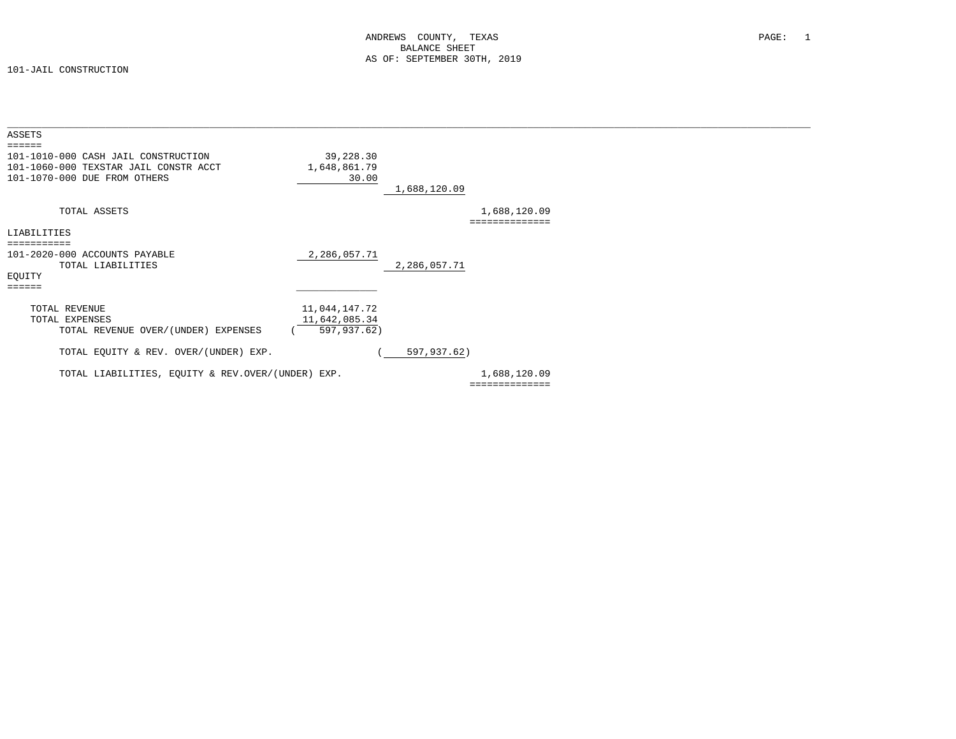| ASSETS<br>======                                                                                             |                                    |              |                                |  |
|--------------------------------------------------------------------------------------------------------------|------------------------------------|--------------|--------------------------------|--|
| 101-1010-000 CASH JAIL CONSTRUCTION<br>101-1060-000 TEXSTAR JAIL CONSTR ACCT<br>101-1070-000 DUE FROM OTHERS | 39,228.30<br>1,648,861.79<br>30.00 | 1,688,120.09 |                                |  |
| TOTAL ASSETS                                                                                                 |                                    |              | 1,688,120.09<br>============== |  |
| LIABILITIES                                                                                                  |                                    |              |                                |  |
| ===========                                                                                                  |                                    |              |                                |  |
| 101-2020-000 ACCOUNTS PAYABLE<br>TOTAL LIABILITIES                                                           | 2,286,057.71                       | 2,286,057.71 |                                |  |
| EQUITY                                                                                                       |                                    |              |                                |  |
| ======                                                                                                       |                                    |              |                                |  |
| TOTAL REVENUE                                                                                                | 11,044,147.72                      |              |                                |  |
| TOTAL EXPENSES                                                                                               | 11,642,085.34                      |              |                                |  |
| TOTAL REVENUE OVER/(UNDER) EXPENSES                                                                          | 597,937.62)                        |              |                                |  |
| TOTAL EQUITY & REV. OVER/(UNDER) EXP.                                                                        |                                    | 597,937.62)  |                                |  |
| TOTAL LIABILITIES, EOUITY & REV.OVER/(UNDER) EXP.                                                            |                                    |              | 1,688,120.09                   |  |
|                                                                                                              |                                    |              | ==============                 |  |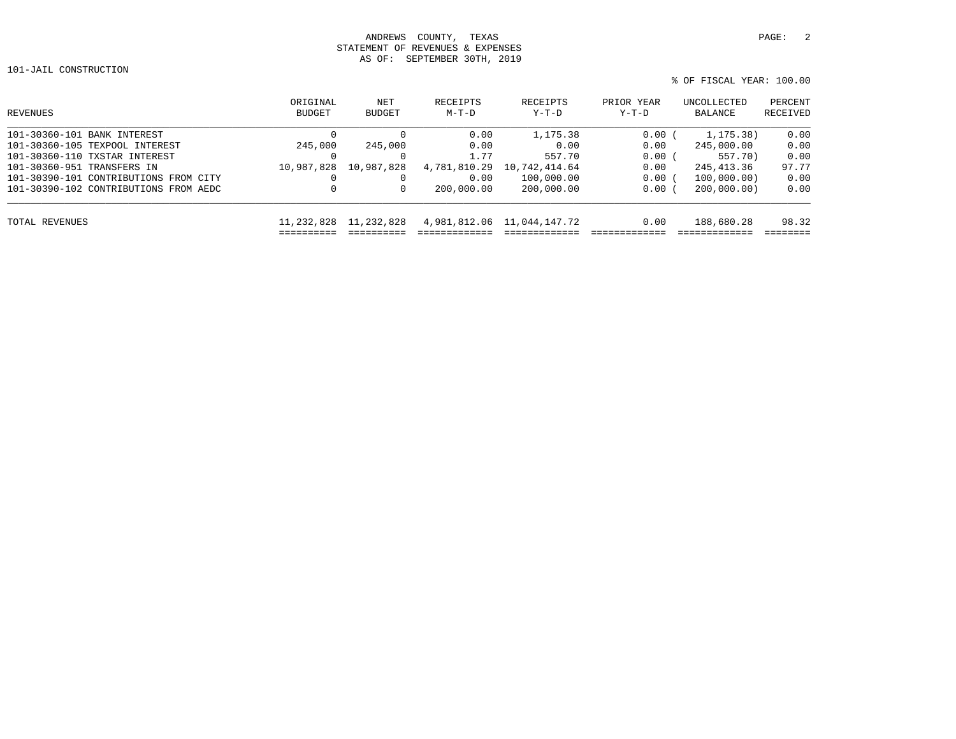101-JAIL CONSTRUCTION

```
 % OF FISCAL YEAR: 100.00
```

| REVENUES                              | ORIGINAL<br><b>BUDGET</b> | NET<br><b>BUDGET</b> | RECEIPTS<br>$M-T-D$ | RECEIPTS<br>$Y-T-D$        | PRIOR YEAR<br>$Y-T-D$ | UNCOLLECTED<br>BALANCE | PERCENT<br>RECEIVED |
|---------------------------------------|---------------------------|----------------------|---------------------|----------------------------|-----------------------|------------------------|---------------------|
| 101-30360-101 BANK INTEREST           | $\Omega$                  |                      | 0.00                | 1,175.38                   | 0.00(                 | 1,175.38)              | 0.00                |
| 101-30360-105 TEXPOOL INTEREST        | 245,000                   | 245,000              | 0.00                | 0.00                       | 0.00                  | 245,000.00             | 0.00                |
| 101-30360-110 TXSTAR INTEREST         | 0                         |                      | 1.77                | 557.70                     | 0.00                  | 557.70)                | 0.00                |
| 101-30360-951 TRANSFERS IN            | 10,987,828                | 10,987,828           | 4,781,810.29        | 10,742,414.64              | 0.00                  | 245,413.36             | 97.77               |
| 101-30390-101 CONTRIBUTIONS FROM CITY | $\Omega$                  |                      | 0.00                | 100,000.00                 | 0.00(                 | 100,000,00)            | 0.00                |
| 101-30390-102 CONTRIBUTIONS FROM AEDC | 0                         | 0                    | 200,000.00          | 200,000.00                 | $0.00$ (              | 200,000,00)            | 0.00                |
| TOTAL REVENUES                        | 11,232,828                | 11,232,828           |                     | 4,981,812.06 11,044,147.72 | 0.00                  | 188,680.28             | 98.32               |
|                                       |                           |                      |                     |                            |                       |                        |                     |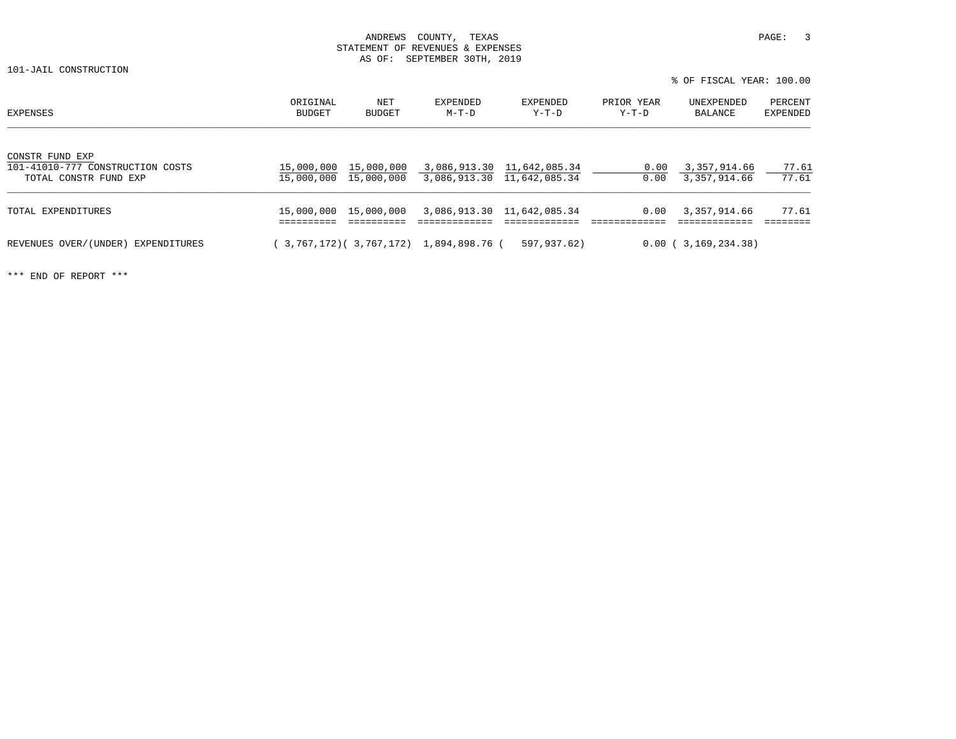% OF FISCAL YEAR: 100.00

| <b>EXPENSES</b>                                                              | ORIGINAL<br>BUDGET | NET<br>BUDGET         | EXPENDED<br>M-T-D                                   | EXPENDED<br>$Y-T-D$        | PRIOR YEAR<br>Y-T-D | UNEXPENDED<br>BALANCE        | PERCENT<br>EXPENDED |
|------------------------------------------------------------------------------|--------------------|-----------------------|-----------------------------------------------------|----------------------------|---------------------|------------------------------|---------------------|
| CONSTR FUND EXP<br>101-41010-777 CONSTRUCTION COSTS<br>TOTAL CONSTR FUND EXP | 15,000,000         | 15,000,000 15,000,000 | 15,000,000 3,086,913.30 11,642,085.34               | 3,086,913.30 11,642,085.34 | 0.00<br>0.00        | 3,357,914.66<br>3,357,914.66 | 77.61<br>77.61      |
| TOTAL EXPENDITURES                                                           |                    |                       | 15,000,000  15,000,000  3,086,913.30  11,642,085.34 |                            |                     | $0.00$ $3,357,914.66$        | 77.61               |
| REVENUES OVER/(UNDER) EXPENDITURES                                           |                    |                       | 3,767,172)( 3,767,172) 1,894,898.76 (               | 597,937.62)                |                     | 0.00(3,169,234.38)           |                     |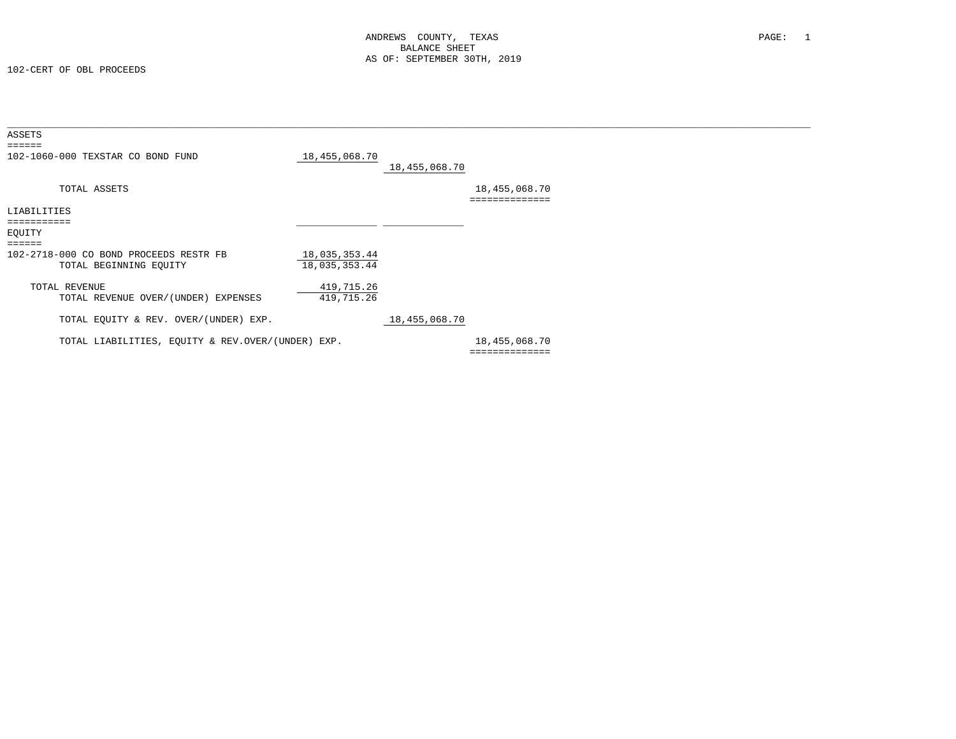| ASSETS<br>======                                  |               |               |                |  |
|---------------------------------------------------|---------------|---------------|----------------|--|
| 102-1060-000 TEXSTAR CO BOND FUND                 | 18,455,068.70 | 18,455,068.70 |                |  |
| TOTAL ASSETS                                      |               |               | 18,455,068.70  |  |
| LIABILITIES                                       |               |               |                |  |
|                                                   |               |               |                |  |
| EQUITY                                            |               |               |                |  |
| ======                                            |               |               |                |  |
| 102-2718-000 CO BOND PROCEEDS RESTR FB            | 18,035,353.44 |               |                |  |
| TOTAL BEGINNING EQUITY                            | 18,035,353.44 |               |                |  |
|                                                   |               |               |                |  |
| TOTAL REVENUE                                     | 419,715.26    |               |                |  |
| TOTAL REVENUE OVER/(UNDER) EXPENSES               | 419,715.26    |               |                |  |
|                                                   |               |               |                |  |
| TOTAL EQUITY & REV. OVER/(UNDER) EXP.             |               | 18,455,068.70 |                |  |
|                                                   |               |               |                |  |
| TOTAL LIABILITIES, EQUITY & REV.OVER/(UNDER) EXP. |               |               | 18,455,068.70  |  |
|                                                   |               |               | ============== |  |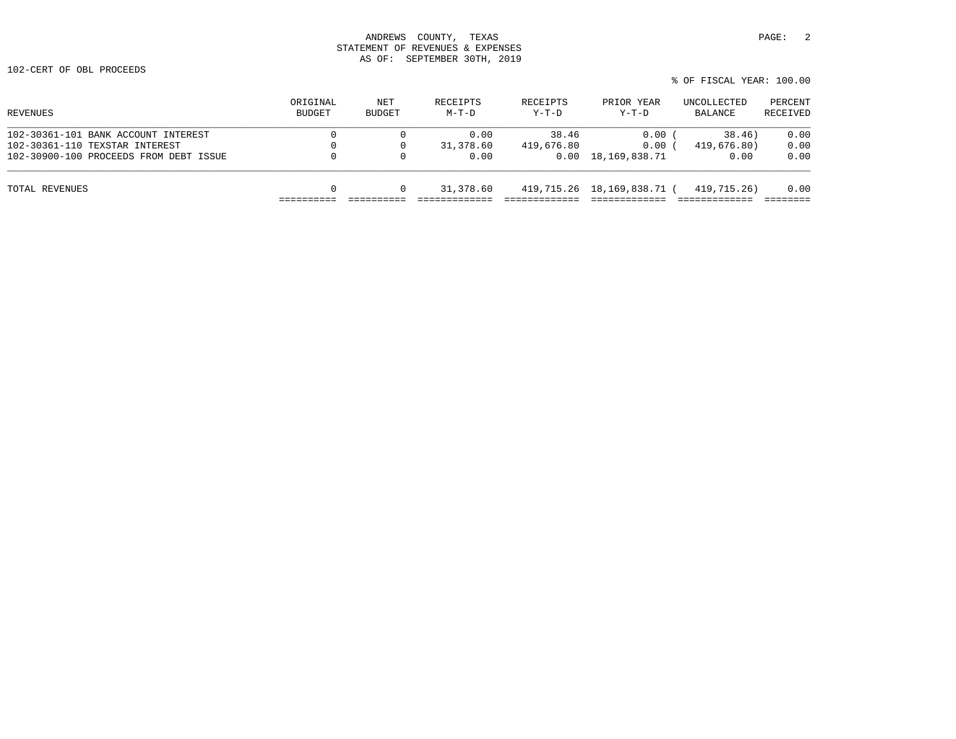% OF FISCAL YEAR: 100.00

| ORIGINAL<br><b>BUDGET</b> | NET<br>BUDGET | RECEIPTS<br>$M-T-D$ | RECEIPTS<br>$Y-T-D$ | PRIOR YEAR<br>$Y-T-D$ | UNCOLLECTED<br>BALANCE     | PERCENT<br>RECEIVED        |
|---------------------------|---------------|---------------------|---------------------|-----------------------|----------------------------|----------------------------|
|                           |               | 0.00                | 38.46               | 0.00                  | 38.46)                     | 0.00                       |
|                           | $\Omega$      | 31,378.60           | 419,676.80          | 0.00                  | 419,676.80)                | 0.00                       |
| 0                         | $\circ$       | 0.00                |                     |                       | 0.00                       | 0.00                       |
| 0                         |               | 31,378.60           |                     |                       | 419,715.26)                | 0.00                       |
|                           |               |                     |                     |                       | $0.00 \quad 18,169,838.71$ | 419,715.26 18,169,838.71 ( |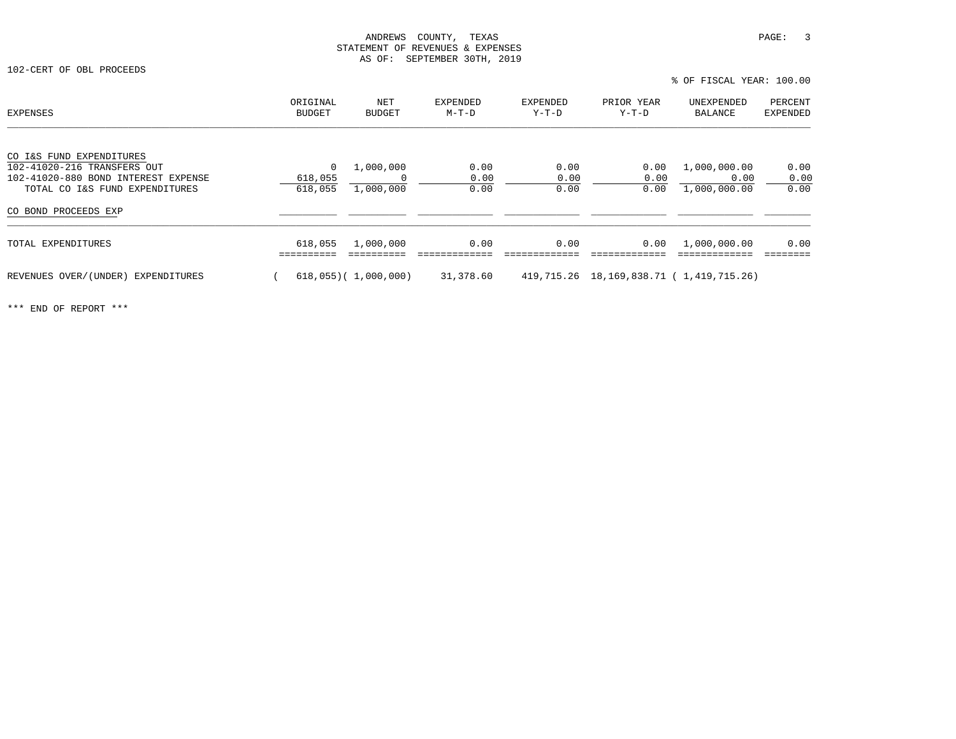102-CERT OF OBL PROCEEDS

% OF FISCAL YEAR: 100.00

| EXPENSES                            | ORIGINAL<br>BUDGET | NET<br><b>BUDGET</b>      | <b>EXPENDED</b><br>M-T-D | EXPENDED<br>Y-T-D | PRIOR YEAR<br>$Y-T-D$                        | UNEXPENDED<br>BALANCE | PERCENT<br><b>EXPENDED</b> |
|-------------------------------------|--------------------|---------------------------|--------------------------|-------------------|----------------------------------------------|-----------------------|----------------------------|
| CO I&S FUND EXPENDITURES            |                    |                           |                          |                   |                                              |                       |                            |
| 102-41020-216 TRANSFERS OUT         | 0                  | 1,000,000                 | 0.00                     | 0.00              | 0.00                                         | 1,000,000.00          | 0.00                       |
| 102-41020-880 BOND INTEREST EXPENSE | 618,055            |                           | 0.00                     | 0.00              | 0.00                                         | 0.00                  | 0.00                       |
| TOTAL CO I&S FUND EXPENDITURES      | 618,055            | 1,000,000                 | 0.00                     | 0.00              | 0.00                                         | 1,000,000.00          | 0.00                       |
| CO BOND PROCEEDS EXP                |                    |                           |                          |                   |                                              |                       |                            |
| TOTAL EXPENDITURES                  | 618,055            | 1,000,000                 | 0.00                     | 0.00              | 0.00                                         | 1,000,000.00          | 0.00                       |
| REVENUES OVER/(UNDER) EXPENDITURES  |                    | $618,055$ ( $1,000,000$ ) | 31,378.60                |                   | 419, 715.26 18, 169, 838.71 (1, 419, 715.26) |                       |                            |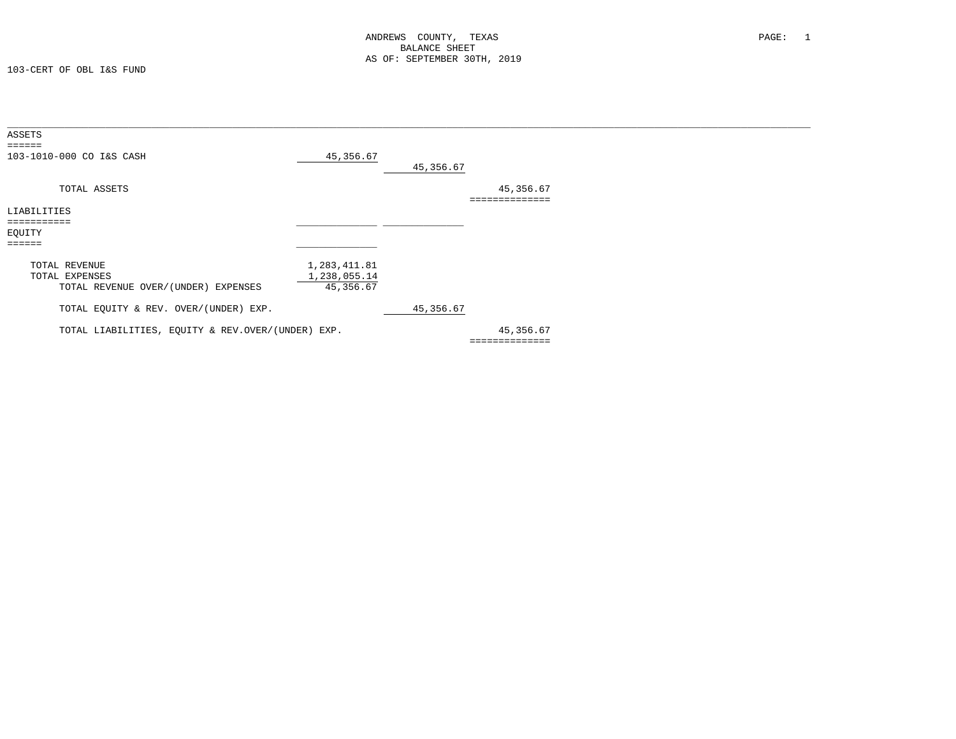| ASSETS<br>$=$ $=$ $=$ $=$ $=$                                          |                                           |           |                             |  |
|------------------------------------------------------------------------|-------------------------------------------|-----------|-----------------------------|--|
| 103-1010-000 CO I&S CASH                                               | 45,356.67                                 | 45,356.67 |                             |  |
| TOTAL ASSETS                                                           |                                           |           | 45,356.67<br>============== |  |
| LIABILITIES<br>===========                                             |                                           |           |                             |  |
| EQUITY<br>======                                                       |                                           |           |                             |  |
| TOTAL REVENUE<br>TOTAL EXPENSES<br>TOTAL REVENUE OVER/(UNDER) EXPENSES | 1,283,411.81<br>1,238,055.14<br>45,356.67 |           |                             |  |
| TOTAL EQUITY & REV. OVER/(UNDER) EXP.                                  |                                           | 45,356.67 |                             |  |
| TOTAL LIABILITIES, EQUITY & REV.OVER/(UNDER) EXP.                      |                                           |           | 45,356.67<br>============== |  |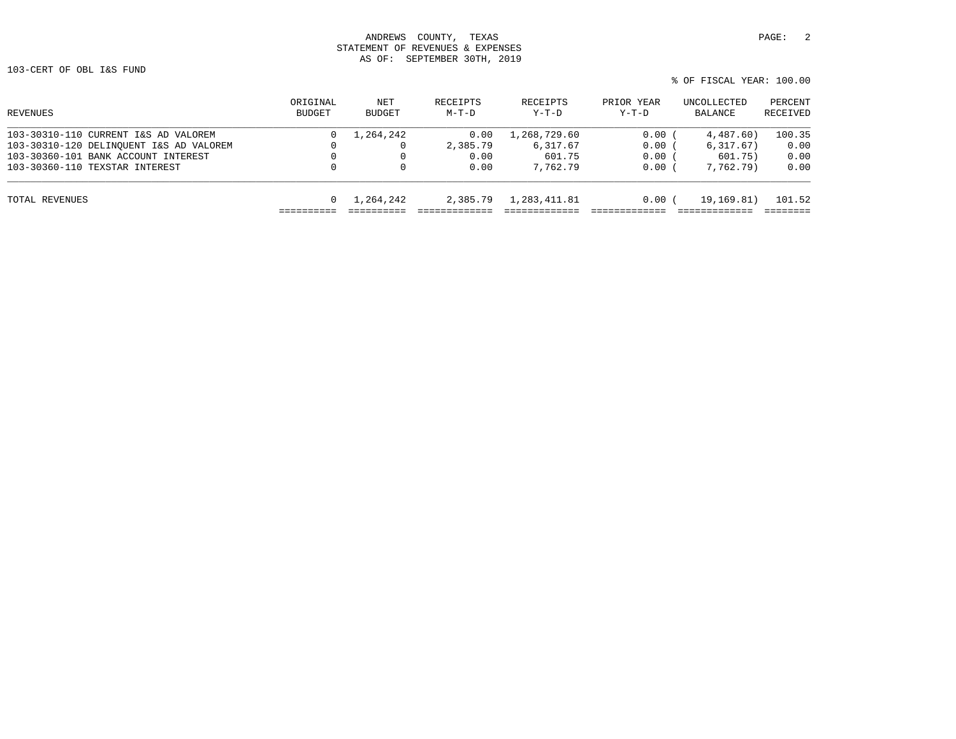# ANDREWS COUNTY, TEXAS **PAGE:** 2 STATEMENT OF REVENUES & EXPENSES AS OF: SEPTEMBER 30TH, 2019

% OF FISCAL YEAR: 100.00

| ORIGINAL<br>BUDGET | NET<br>BUDGET | RECEIPTS<br>$M-T-D$ | RECEIPTS<br>$Y-T-D$ | PRIOR YEAR<br>$Y-T-D$ | UNCOLLECTED<br>BALANCE | PERCENT<br>RECEIVED |
|--------------------|---------------|---------------------|---------------------|-----------------------|------------------------|---------------------|
|                    | 1,264,242     | 0.00                | 1,268,729.60        | 0.00                  | 4.487.60               | 100.35              |
|                    |               | 2,385.79            | 6,317.67            | 0.00(                 | 6, 317.67)             | 0.00                |
|                    |               | 0.00                | 601.75              | 0.00                  | 601.75)                | 0.00                |
| $\Omega$           |               | 0.00                | 7,762.79            | 0.00                  | 7,762,79)              | 0.00                |
|                    | 1,264,242     | 2,385.79            | 1,283,411.81        | 0.00                  | 19,169.81)             | 101.52              |
|                    |               |                     |                     |                       |                        |                     |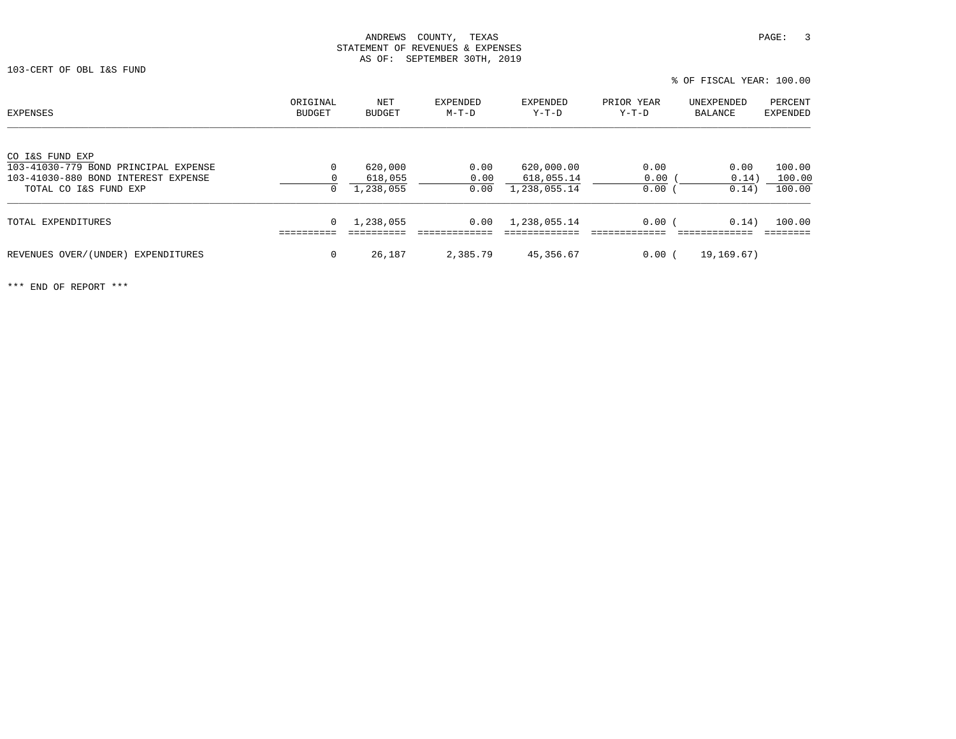| <b>EXPENSES</b>                      | ORIGINAL<br>BUDGET | NET<br><b>BUDGET</b> | EXPENDED<br>$M-T-D$ | EXPENDED<br>Y-T-D | PRIOR YEAR<br>$Y-T-D$ | UNEXPENDED<br>BALANCE | PERCENT<br>EXPENDED |
|--------------------------------------|--------------------|----------------------|---------------------|-------------------|-----------------------|-----------------------|---------------------|
| CO I&S FUND EXP                      |                    |                      |                     |                   |                       |                       |                     |
| 103-41030-779 BOND PRINCIPAL EXPENSE | 0                  | 620,000              | 0.00                | 620,000.00        | 0.00                  | 0.00                  | 100.00              |
| 103-41030-880 BOND INTEREST EXPENSE  | 0                  | 618,055              | 0.00                | 618,055.14        | 0.00                  | 0.14)                 | 100.00              |
| TOTAL CO I&S FUND EXP                | 0                  | 1,238,055            | 0.00                | 1,238,055.14      | $0.00$ (              | 0.14)                 | 100.00              |
| TOTAL EXPENDITURES                   | 0                  | 1,238,055            | 0.00                | 1,238,055.14      | 0.00(                 | 0.14)                 | 100.00              |
| REVENUES OVER/(UNDER) EXPENDITURES   | 0                  | 26,187               | 2,385.79            | 45,356.67         | 0.00(                 | 19,169.67)            |                     |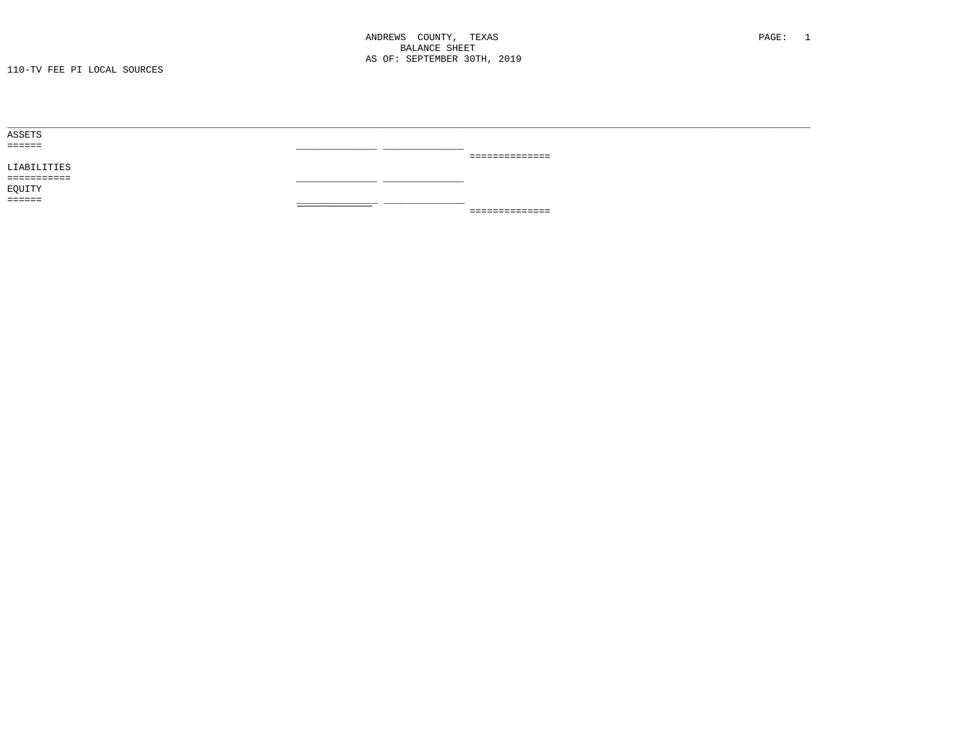| ASSETS      |     |                 |
|-------------|-----|-----------------|
| ======      |     |                 |
|             |     | _============== |
| LIABILITIES |     |                 |
| =========== | ___ |                 |
| EQUITY      |     |                 |
| ======      |     |                 |
|             |     | ==============  |
|             |     |                 |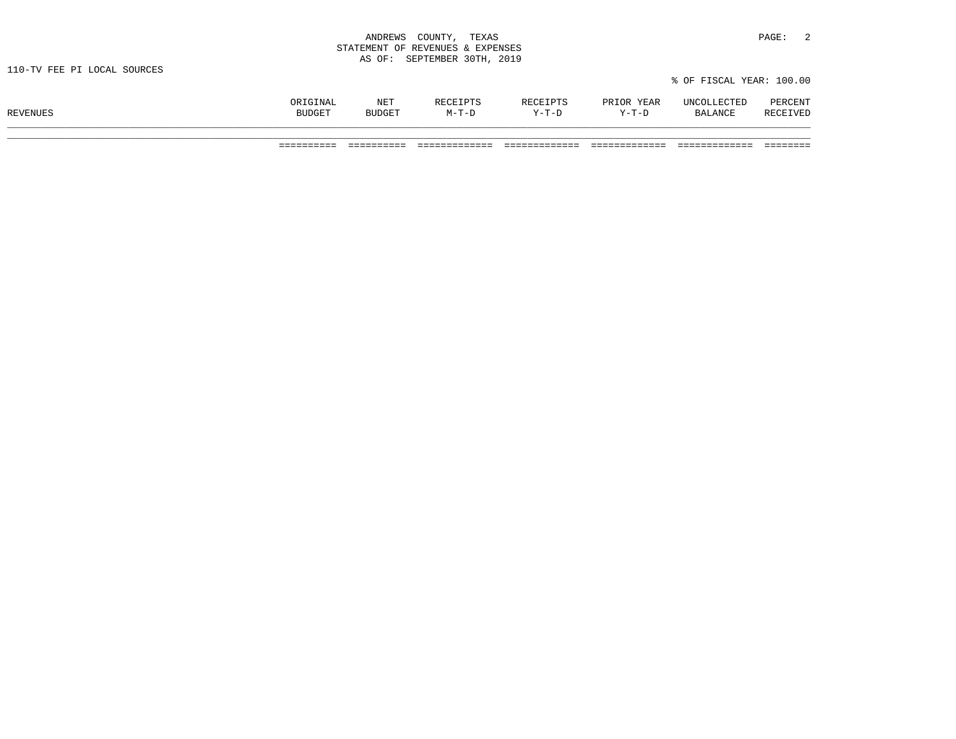| ANDREWS<br>COUNTY,<br>and the contract of the contract of the contract of the contract of the contract of the contract of the contract of | TEXAS                | PAGE: |  |
|-------------------------------------------------------------------------------------------------------------------------------------------|----------------------|-------|--|
| STATEMENT OF REVENUES & EXPENSES                                                                                                          |                      |       |  |
| AS OF:                                                                                                                                    | SEPTEMBER 30TH, 2019 |       |  |

\_\_\_\_\_\_\_\_\_\_\_\_\_\_\_\_\_\_\_\_\_\_\_\_\_\_\_\_\_\_\_\_\_\_\_\_\_\_\_\_\_\_\_\_\_\_\_\_\_\_\_\_\_\_\_\_\_\_\_\_\_\_\_\_\_\_\_\_\_\_\_\_\_\_\_\_\_\_\_\_\_\_\_\_\_\_\_\_\_\_\_\_\_\_\_\_\_\_\_\_\_\_\_\_\_\_\_\_\_\_\_\_\_\_\_\_\_\_\_\_\_\_\_\_\_\_\_\_\_\_\_\_\_\_\_\_\_\_\_

|                 | ∩RIGINAL      | NET           | RECEIPTS | RECEIPTS  | PRIOR YEAR | UNCOLLECTED    | PERCENT  |
|-----------------|---------------|---------------|----------|-----------|------------|----------------|----------|
| <b>REVENUES</b> | <b>BUDGET</b> | <b>BUDGET</b> | M-T-D    | $V-T-1$ . | $Y-T-D$    | <b>BALANCE</b> | RECEIVED |
|                 |               |               |          |           |            |                |          |

% OF FISCAL YEAR: 100.00

========== ========== ============= ============= ============= ============= ========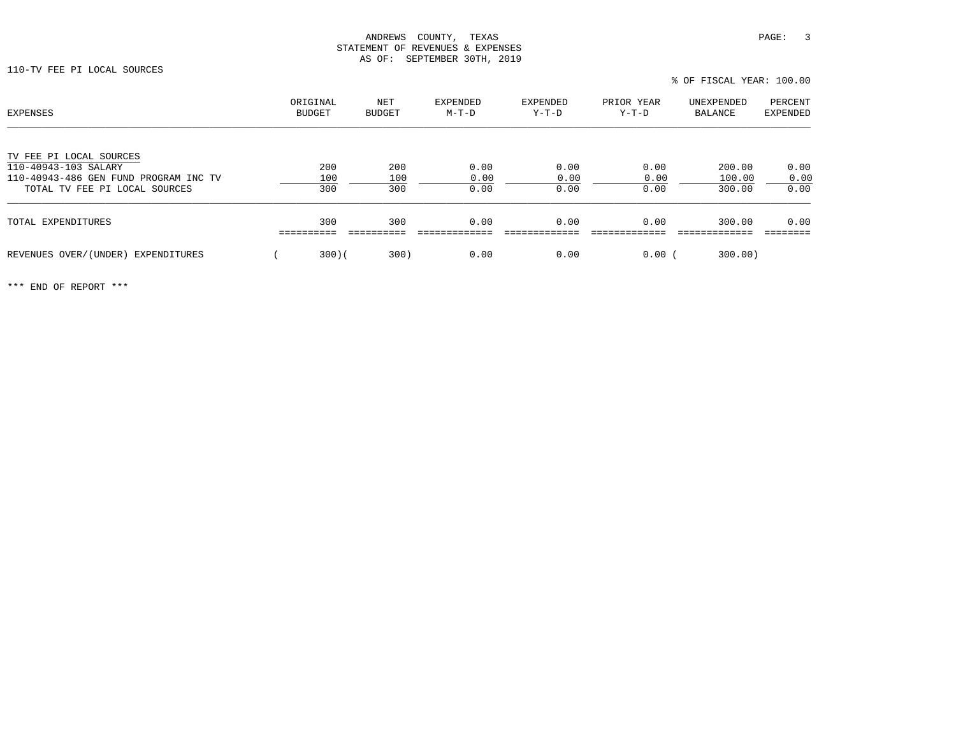# ANDREWS COUNTY, TEXAS **PAGE:** 3 STATEMENT OF REVENUES & EXPENSES AS OF: SEPTEMBER 30TH, 2019

110-TV FEE PI LOCAL SOURCES

| EXPENSES                                                               | ORIGINAL<br><b>BUDGET</b> | NET<br>BUDGET | <b>EXPENDED</b><br>$M-T-D$ | <b>EXPENDED</b><br>$Y-T-D$ | PRIOR YEAR<br>$Y-T-D$ | UNEXPENDED<br>BALANCE | PERCENT<br>EXPENDED |
|------------------------------------------------------------------------|---------------------------|---------------|----------------------------|----------------------------|-----------------------|-----------------------|---------------------|
| TV FEE PI LOCAL SOURCES<br>110-40943-103 SALARY                        | 200                       | 200           | 0.00                       | 0.00                       | 0.00                  | 200.00                | 0.00                |
| 110-40943-486 GEN FUND PROGRAM INC TV<br>TOTAL TV FEE PI LOCAL SOURCES | 100<br>300                | 100<br>300    | 0.00<br>0.00               | 0.00<br>0.00               | 0.00<br>0.00          | 100.00<br>300.00      | 0.00<br>0.00        |
| TOTAL EXPENDITURES                                                     | 300                       | 300           | 0.00                       | 0.00                       | 0.00                  | 300.00                | 0.00                |
| REVENUES OVER/(UNDER) EXPENDITURES                                     | 300(                      | 300)          | 0.00                       | 0.00                       | 0.00                  | 300.00)               |                     |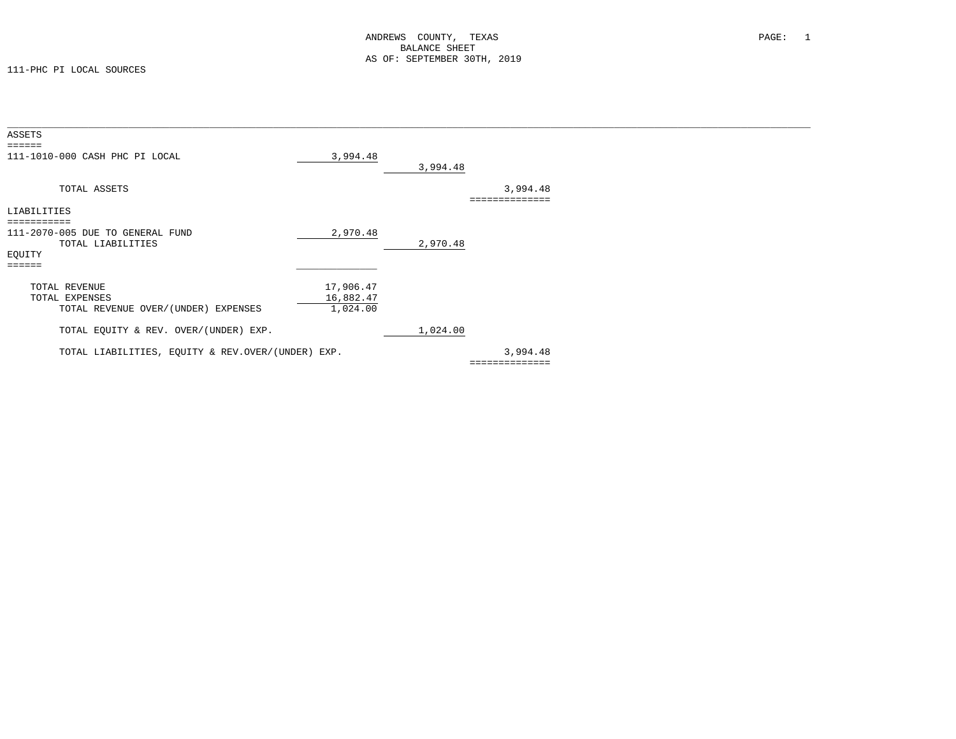| ASSETS                                            |           |          |                |  |
|---------------------------------------------------|-----------|----------|----------------|--|
| $= 2222222$                                       |           |          |                |  |
| 111-1010-000 CASH PHC PI LOCAL                    | 3,994.48  |          |                |  |
|                                                   |           | 3,994.48 |                |  |
| TOTAL ASSETS                                      |           |          | 3,994.48       |  |
|                                                   |           |          |                |  |
| LIABILITIES                                       |           |          |                |  |
|                                                   |           |          |                |  |
| 111-2070-005 DUE TO GENERAL FUND                  | 2,970.48  |          |                |  |
| TOTAL LIABILITIES                                 |           | 2,970.48 |                |  |
| EQUITY                                            |           |          |                |  |
| ======                                            |           |          |                |  |
| TOTAL REVENUE                                     | 17,906.47 |          |                |  |
| TOTAL EXPENSES                                    | 16,882.47 |          |                |  |
| TOTAL REVENUE OVER/(UNDER) EXPENSES               | 1,024.00  |          |                |  |
| TOTAL EQUITY & REV. OVER/(UNDER) EXP.             |           | 1,024.00 |                |  |
|                                                   |           |          |                |  |
| TOTAL LIABILITIES, EQUITY & REV.OVER/(UNDER) EXP. |           |          | 3,994.48       |  |
|                                                   |           |          | ============== |  |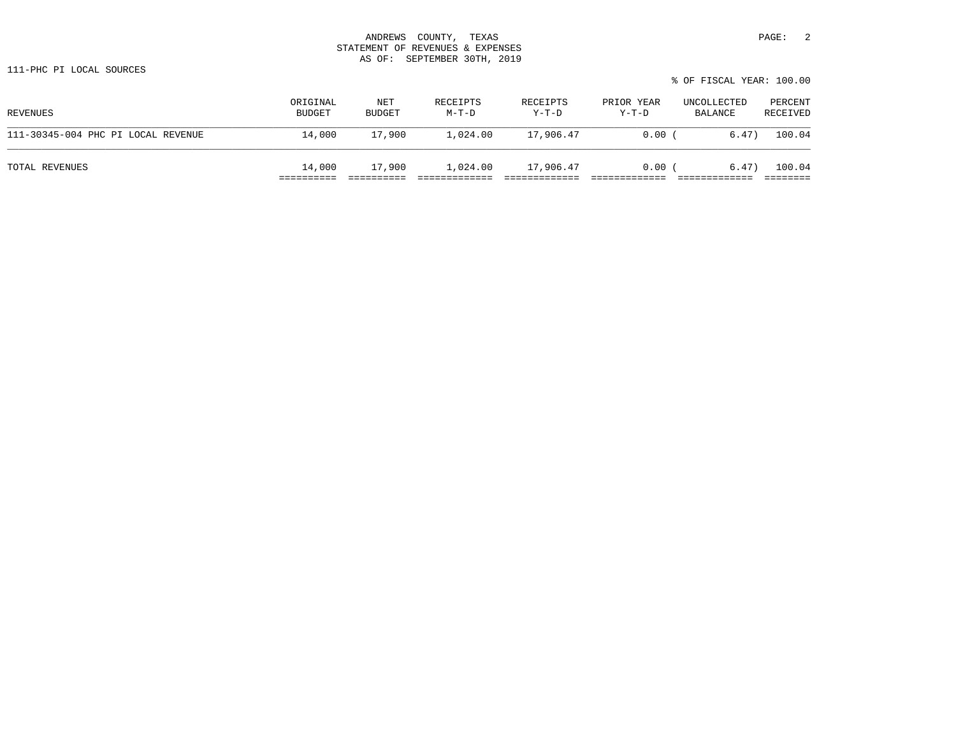### ANDREWS COUNTY, TEXAS **PAGE:** 2 STATEMENT OF REVENUES & EXPENSES AS OF: SEPTEMBER 30TH, 2019

|                                    |                           |               |                   |                     |                     | % OF FISCAL YEAR: 100.00 |                     |
|------------------------------------|---------------------------|---------------|-------------------|---------------------|---------------------|--------------------------|---------------------|
| REVENUES                           | ORIGINAL<br><b>BUDGET</b> | NET<br>BUDGET | RECEIPTS<br>M-T-D | RECEIPTS<br>$Y-T-D$ | PRIOR YEAR<br>Y-T-D | UNCOLLECTED<br>BALANCE   | PERCENT<br>RECEIVED |
| 111-30345-004 PHC PI LOCAL REVENUE | 14,000                    | 17,900        | 1,024.00          | 17,906.47           | 0.00                | 6.47)                    | 100.04              |

TOTAL REVENUES 14,000 17,900 1,024.00 17,906.47 0.00 ( 6.47) 100.04 ========== ========== ============= ============= ============= ============= ========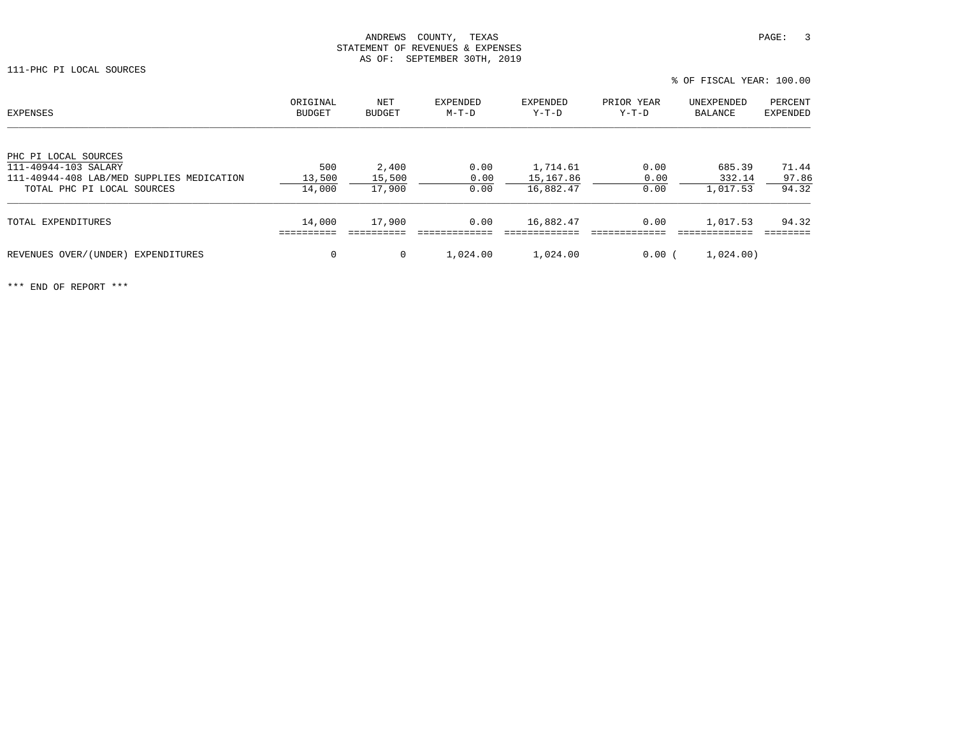| EXPENSES                                                          | ORIGINAL<br>BUDGET | NET<br><b>BUDGET</b> | EXPENDED<br>M-T-D | EXPENDED<br>Y-T-D     | PRIOR YEAR<br>Y-T-D | UNEXPENDED<br>BALANCE | PERCENT<br>EXPENDED |
|-------------------------------------------------------------------|--------------------|----------------------|-------------------|-----------------------|---------------------|-----------------------|---------------------|
| PHC PI LOCAL SOURCES                                              |                    |                      |                   |                       |                     |                       |                     |
| 111-40944-103 SALARY<br>111-40944-408 LAB/MED SUPPLIES MEDICATION | 500<br>13,500      | 2,400<br>15,500      | 0.00<br>0.00      | 1,714.61<br>15,167.86 | 0.00<br>0.00        | 685.39<br>332.14      | 71.44<br>97.86      |
| TOTAL PHC PI LOCAL SOURCES                                        | 14,000             | 17,900               | 0.00              | 16,882.47             | 0.00                | 1,017.53              | 94.32               |
| TOTAL EXPENDITURES                                                | 14,000             | 17,900               | 0.00              | 16,882.47             | 0.00                | 1,017.53              | 94.32               |
| REVENUES OVER/(UNDER) EXPENDITURES                                | $\mathbf 0$        | $\mathbf{0}$         | 1,024.00          | 1,024.00              | 0.00(               | 1,024.00)             |                     |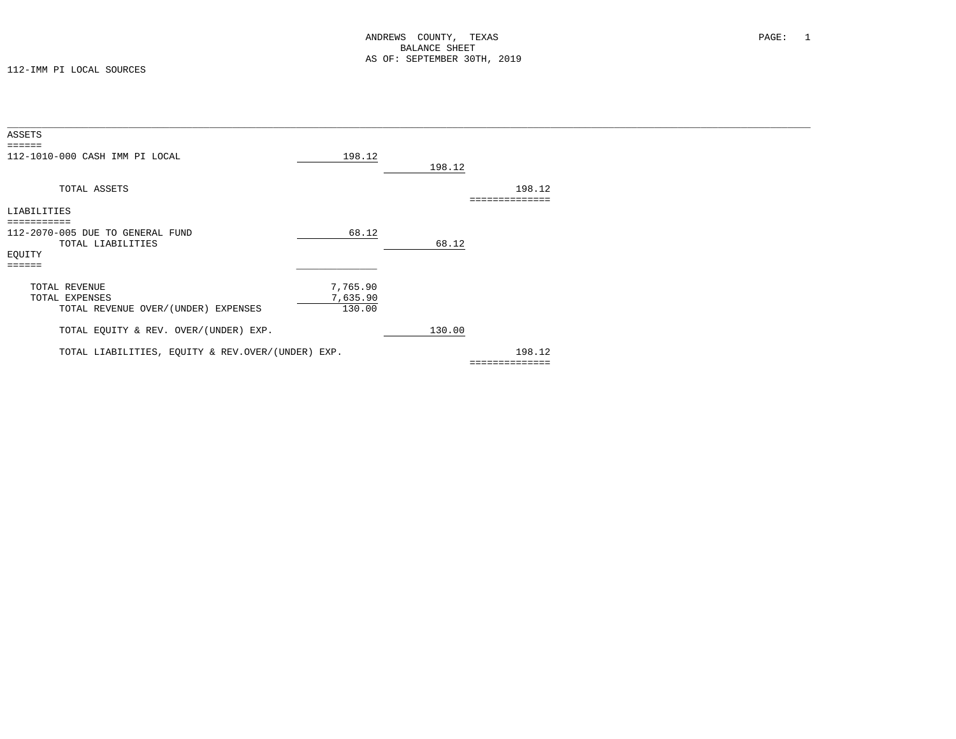| ASSETS                                            |          |        |                |  |
|---------------------------------------------------|----------|--------|----------------|--|
| $=$ $=$ $=$ $=$ $=$                               |          |        |                |  |
| 112-1010-000 CASH IMM PI LOCAL                    | 198.12   |        |                |  |
|                                                   |          | 198.12 |                |  |
| TOTAL ASSETS                                      |          |        | 198.12         |  |
|                                                   |          |        |                |  |
| LIABILITIES                                       |          |        |                |  |
| ===========                                       |          |        |                |  |
| 112-2070-005 DUE TO GENERAL FUND                  | 68.12    |        |                |  |
| TOTAL LIABILITIES                                 |          | 68.12  |                |  |
| EQUITY                                            |          |        |                |  |
| $=$ $=$ $=$ $=$ $=$                               |          |        |                |  |
| TOTAL REVENUE                                     | 7,765.90 |        |                |  |
| TOTAL EXPENSES                                    | 7,635.90 |        |                |  |
| TOTAL REVENUE OVER/(UNDER) EXPENSES               | 130.00   |        |                |  |
|                                                   |          |        |                |  |
| TOTAL EQUITY & REV. OVER/(UNDER) EXP.             |          | 130.00 |                |  |
|                                                   |          |        |                |  |
| TOTAL LIABILITIES, EQUITY & REV.OVER/(UNDER) EXP. |          |        | 198.12         |  |
|                                                   |          |        | ============== |  |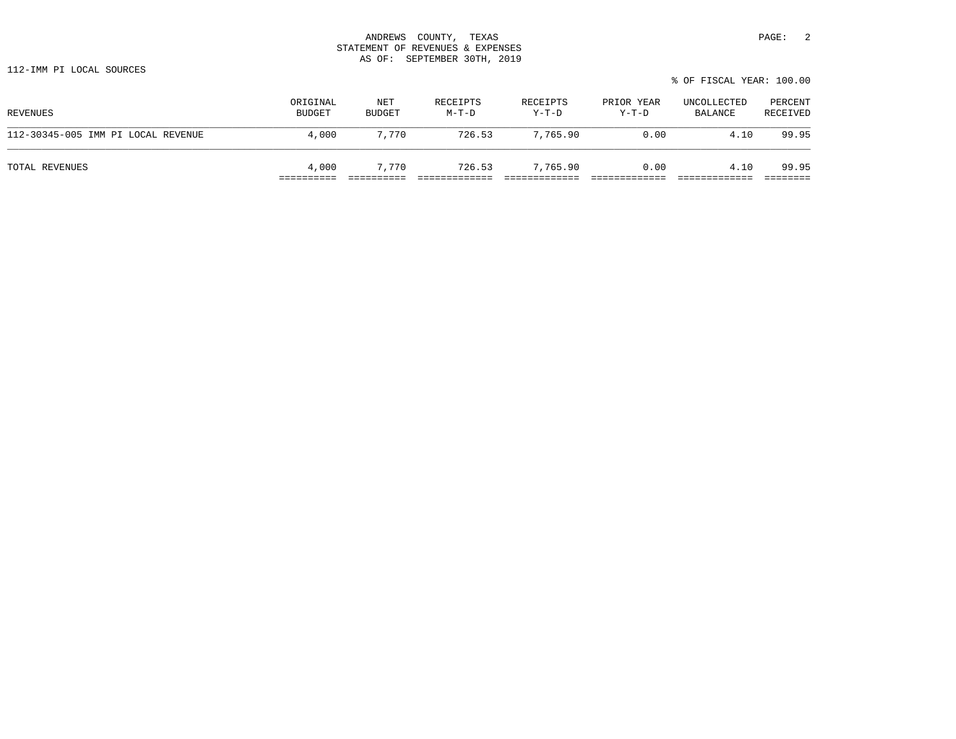### ANDREWS COUNTY, TEXAS **PAGE:** 2 STATEMENT OF REVENUES & EXPENSES AS OF: SEPTEMBER 30TH, 2019

| 112-IMM PI LOCAL SOURCES |                          |  |
|--------------------------|--------------------------|--|
|                          | % OF FISCAL YEAR: 100.00 |  |
|                          |                          |  |

| REVENUES                           | ORIGINAL<br>BUDGET | NET<br>BUDGET | RECEIPTS<br>$M-T-D$ | RECEIPTS<br>$Y-T-D$ | PRIOR YEAR<br>$Y-T-D$ | UNCOLLECTED<br>BALANCE | PERCENT<br>RECEIVED |
|------------------------------------|--------------------|---------------|---------------------|---------------------|-----------------------|------------------------|---------------------|
| 112-30345-005 IMM PI LOCAL REVENUE | 4,000              | 7,770         | 726.53              | 7,765.90            | 0.00                  | 4.10                   | 99.95               |
| TOTAL REVENUES                     | 4,000              | 7.770         | 726.53              | 7,765.90            | 0.00                  | 4.10                   | 99.95               |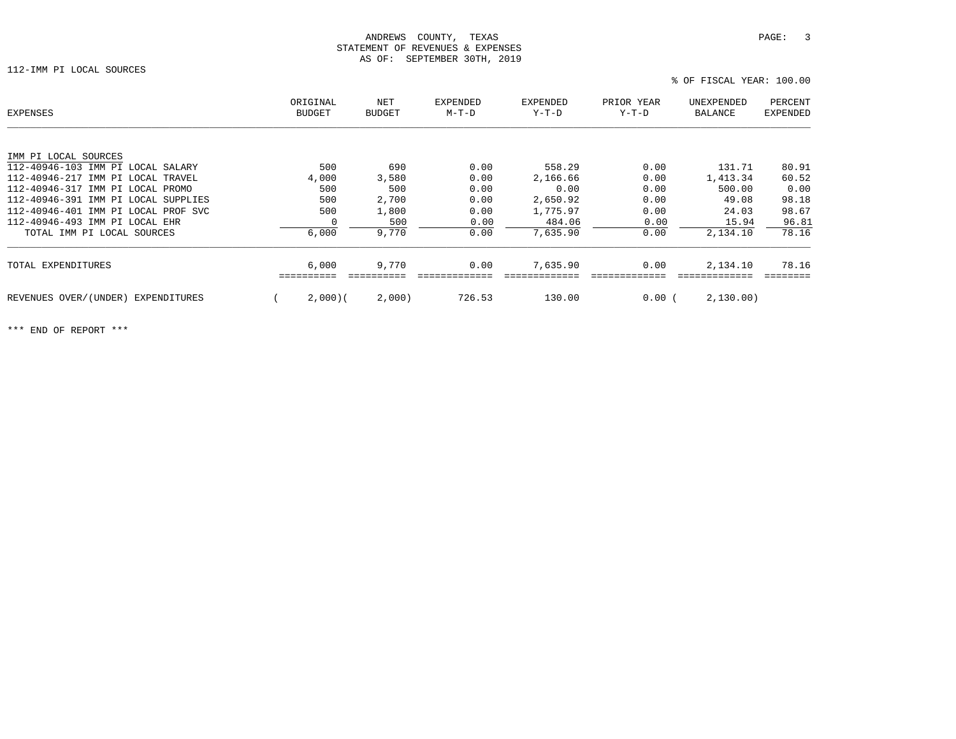### ANDREWS COUNTY, TEXAS **PAGE:** 3 STATEMENT OF REVENUES & EXPENSES AS OF: SEPTEMBER 30TH, 2019

112-IMM PI LOCAL SOURCES

| EXPENSES                            | ORIGINAL<br>BUDGET | NET<br><b>BUDGET</b> | <b>EXPENDED</b><br>$M-T-D$ | <b>EXPENDED</b><br>Y-T-D | PRIOR YEAR<br>$Y-T-D$ | UNEXPENDED<br>BALANCE | PERCENT<br><b>EXPENDED</b> |
|-------------------------------------|--------------------|----------------------|----------------------------|--------------------------|-----------------------|-----------------------|----------------------------|
| IMM PI LOCAL SOURCES                |                    |                      |                            |                          |                       |                       |                            |
| 112-40946-103 IMM PI LOCAL SALARY   | 500                | 690                  | 0.00                       | 558.29                   | 0.00                  | 131.71                | 80.91                      |
| 112-40946-217 IMM PI LOCAL TRAVEL   | 4,000              | 3,580                | 0.00                       | 2,166.66                 | 0.00                  | 1,413.34              | 60.52                      |
| 112-40946-317 IMM PI LOCAL PROMO    | 500                | 500                  | 0.00                       | 0.00                     | 0.00                  | 500.00                | 0.00                       |
| 112-40946-391 IMM PI LOCAL SUPPLIES | 500                | 2,700                | 0.00                       | 2,650.92                 | 0.00                  | 49.08                 | 98.18                      |
| 112-40946-401 IMM PI LOCAL PROF SVC | 500                | 1,800                | 0.00                       | 1,775.97                 | 0.00                  | 24.03                 | 98.67                      |
| 112-40946-493 IMM PI LOCAL EHR      | 0                  | 500                  | 0.00                       | 484.06                   | 0.00                  | 15.94                 | 96.81                      |
| TOTAL IMM PI LOCAL SOURCES          | 6,000              | 9,770                | 0.00                       | 7,635.90                 | 0.00                  | 2,134.10              | 78.16                      |
| TOTAL EXPENDITURES                  | 6,000              | 9,770                | 0.00                       | 7,635.90                 | 0.00                  | 2,134.10              | 78.16                      |
| REVENUES OVER/(UNDER) EXPENDITURES  | 2,000(             | 2,000)               | 726.53                     | 130.00                   | $0.00$ (              | 2,130.00)             |                            |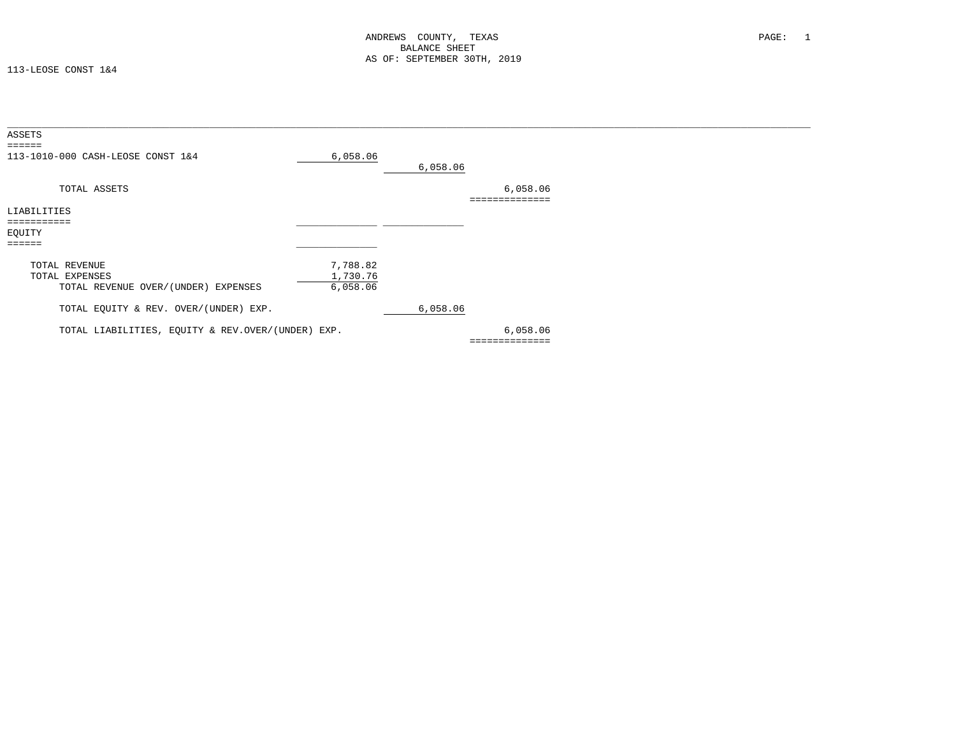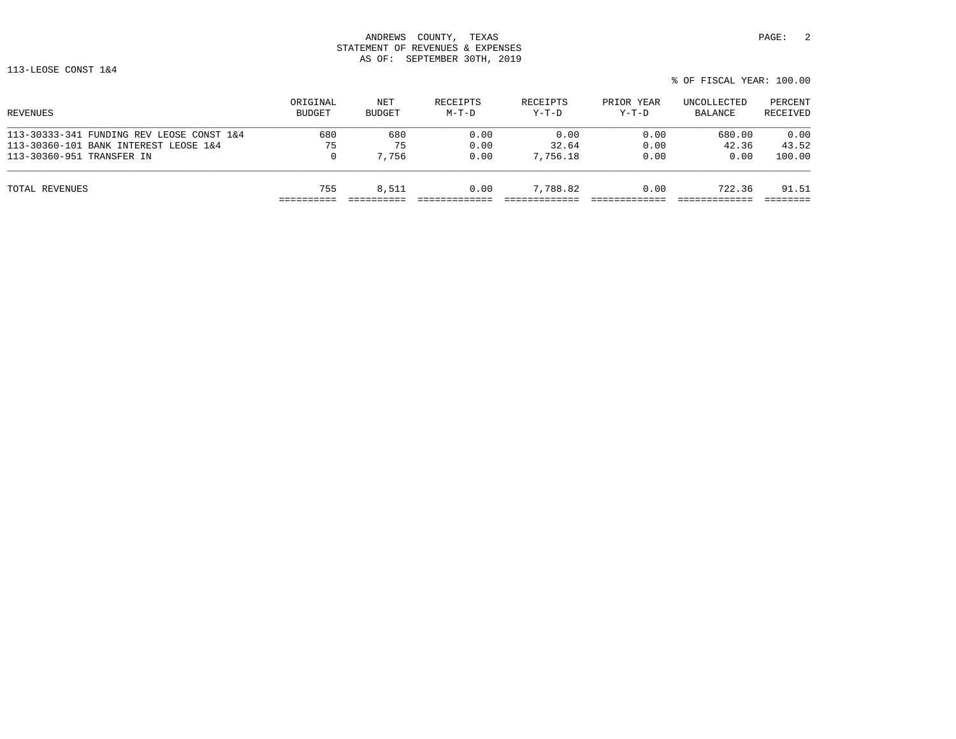# ANDREWS COUNTY, TEXAS **PAGE:** 2 STATEMENT OF REVENUES & EXPENSES AS OF: SEPTEMBER 30TH, 2019

113-LEOSE CONST 1&4

| % OF FISCAL YEAR: 100.00 |  |
|--------------------------|--|
|--------------------------|--|

| ORIGINAL<br><b>BUDGET</b> | NET<br>BUDGET | RECEIPTS<br>$M-T-D$ | RECEIPTS<br>$Y-T-D$ | PRIOR YEAR<br>$Y-T-D$ | UNCOLLECTED<br>BALANCE | PERCENT<br>RECEIVED |
|---------------------------|---------------|---------------------|---------------------|-----------------------|------------------------|---------------------|
| 680                       | 680           | 0.00                | 0.00                | 0.00                  | 680.00                 | 0.00                |
| 75                        | 75            | 0.00                | 32.64               | 0.00                  | 42.36                  | 43.52               |
| 0                         | 7,756         | 0.00                | 7,756.18            | 0.00                  | 0.00                   | 100.00              |
| 755                       | 8,511         | 0.00                | 7,788.82            | 0.00                  | 722.36                 | 91.51               |
|                           |               |                     |                     |                       |                        |                     |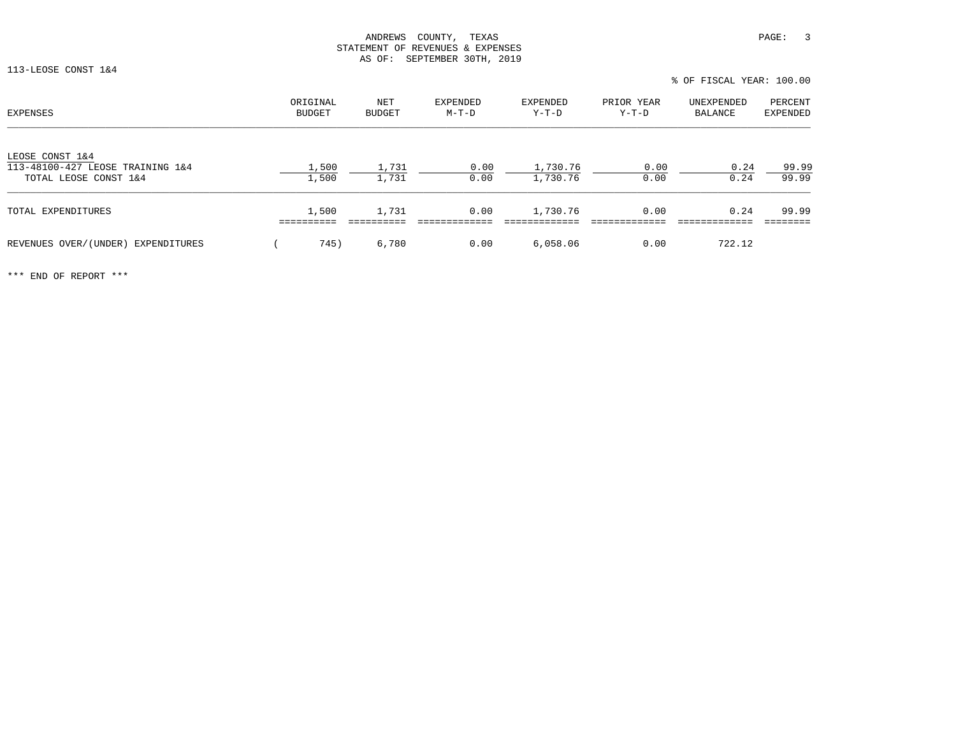113-LEOSE CONST 1&4

% OF FISCAL YEAR: 100.00

| EXPENSES                                                                     | ORIGINAL<br><b>BUDGET</b> | NET<br><b>BUDGET</b> | <b>EXPENDED</b><br>M-T-D | EXPENDED<br>$Y-T-D$  | PRIOR YEAR<br>$Y-T-D$ | UNEXPENDED<br>BALANCE | PERCENT<br><b>EXPENDED</b> |
|------------------------------------------------------------------------------|---------------------------|----------------------|--------------------------|----------------------|-----------------------|-----------------------|----------------------------|
| LEOSE CONST 1&4<br>113-48100-427 LEOSE TRAINING 1&4<br>TOTAL LEOSE CONST 1&4 | 1,500<br>1,500            | 1,731<br>1,731       | 0.00<br>0.00             | 1,730.76<br>1,730.76 | 0.00<br>0.00          | 0.24<br>0.24          | 99.99<br>99.99             |
| TOTAL EXPENDITURES                                                           | 1,500                     | 1,731                | 0.00                     | 1,730.76             | 0.00                  | 0.24                  | 99.99                      |
| REVENUES OVER/(UNDER) EXPENDITURES                                           | 745)                      | 6,780                | 0.00                     | 6.058.06             | 0.00                  | 722.12                |                            |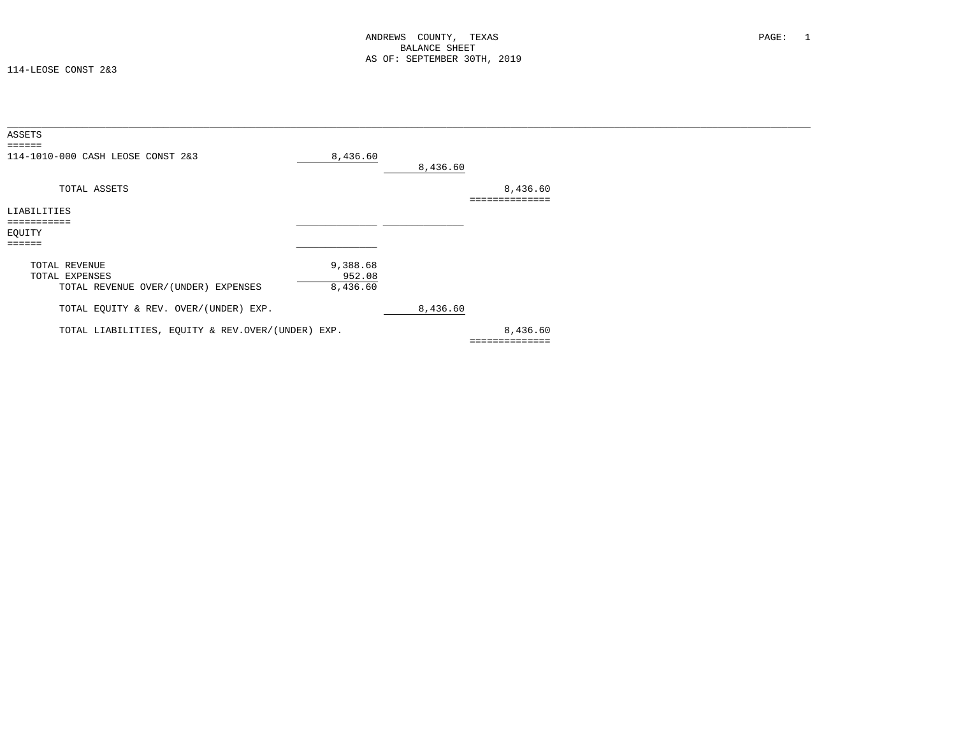114-LEOSE CONST 2&3

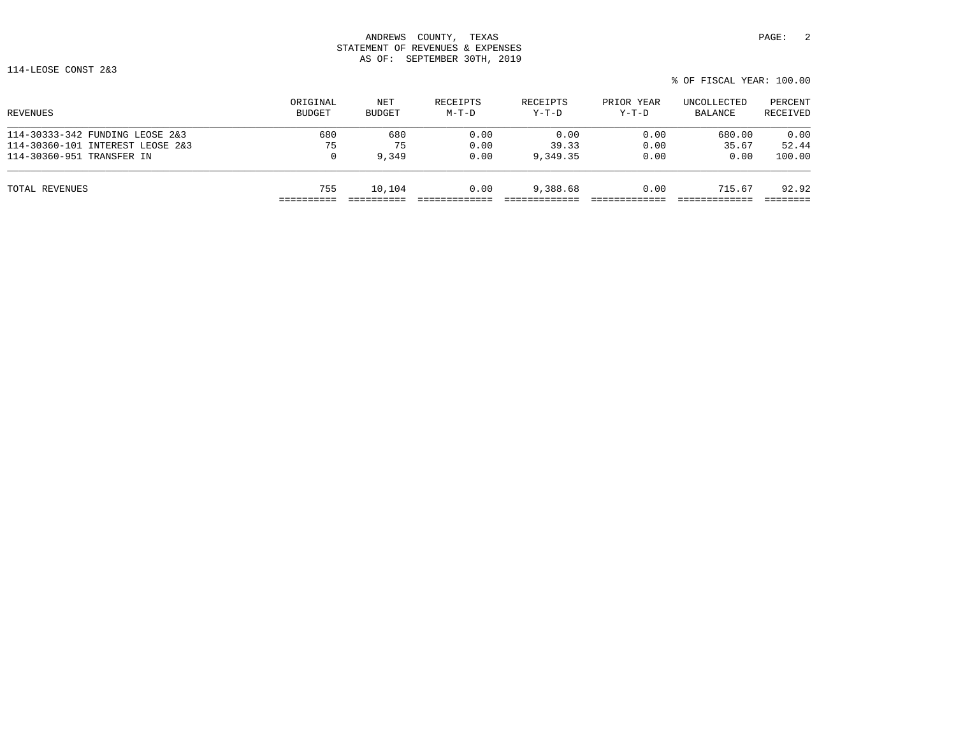## ANDREWS COUNTY, TEXAS **PAGE:** 2 STATEMENT OF REVENUES & EXPENSES AS OF: SEPTEMBER 30TH, 2019

114-LEOSE CONST 2&3

| % OF FISCAL YEAR: 100.00 |
|--------------------------|
|--------------------------|

| ORIGINAL<br><b>BUDGET</b> | NET<br>BUDGET | RECEIPTS<br>$M-T-D$ | RECEIPTS<br>$Y-T-D$ | PRIOR YEAR<br>$Y-T-D$ | UNCOLLECTED<br>BALANCE | PERCENT<br>RECEIVED |
|---------------------------|---------------|---------------------|---------------------|-----------------------|------------------------|---------------------|
| 680                       | 680           | 0.00                | 0.00                | 0.00                  | 680.00                 | 0.00                |
| 75                        | 75            | 0.00                | 39.33               | 0.00                  | 35.67                  | 52.44               |
| 0                         | 9,349         | 0.00                | 9,349.35            | 0.00                  | 0.00                   | 100.00              |
| 755                       | 10,104        | 0.00                | 9,388.68            | 0.00                  | 715.67                 | 92.92               |
|                           |               |                     |                     |                       |                        |                     |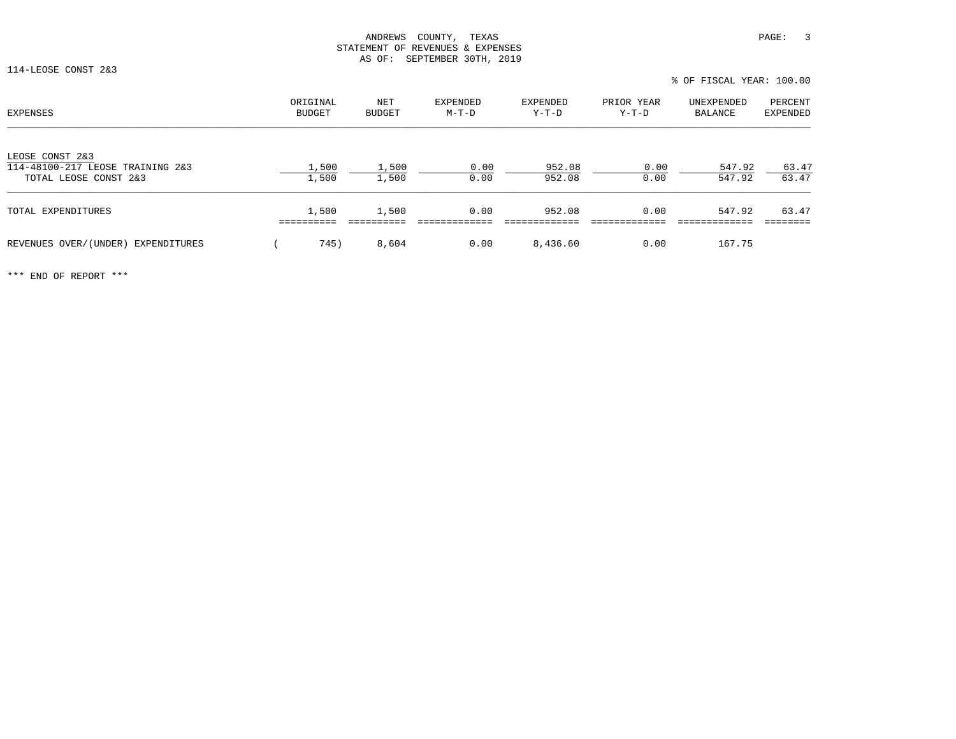114-LEOSE CONST 2&3

| EXPENSES                                                                     | ORIGINAL<br>BUDGET | NET<br><b>BUDGET</b> | EXPENDED<br>M-T-D | <b>EXPENDED</b><br>Y-T-D | PRIOR YEAR<br>Y-T-D | UNEXPENDED<br>BALANCE | PERCENT<br>EXPENDED |
|------------------------------------------------------------------------------|--------------------|----------------------|-------------------|--------------------------|---------------------|-----------------------|---------------------|
| LEOSE CONST 2&3<br>114-48100-217 LEOSE TRAINING 2&3<br>TOTAL LEOSE CONST 2&3 | 1,500<br>1,500     | 1,500<br>1,500       | 0.00<br>0.00      | 952.08<br>952.08         | 0.00<br>0.00        | 547.92<br>547.92      | 63.47<br>63.47      |
| TOTAL EXPENDITURES                                                           | 1,500              | 1,500                | 0.00              | 952.08                   | 0.00                | 547.92                | 63.47               |
| REVENUES OVER/(UNDER)<br>EXPENDITURES                                        | 745)               | 8,604                | 0.00              | 8,436.60                 | 0.00                | 167.75                |                     |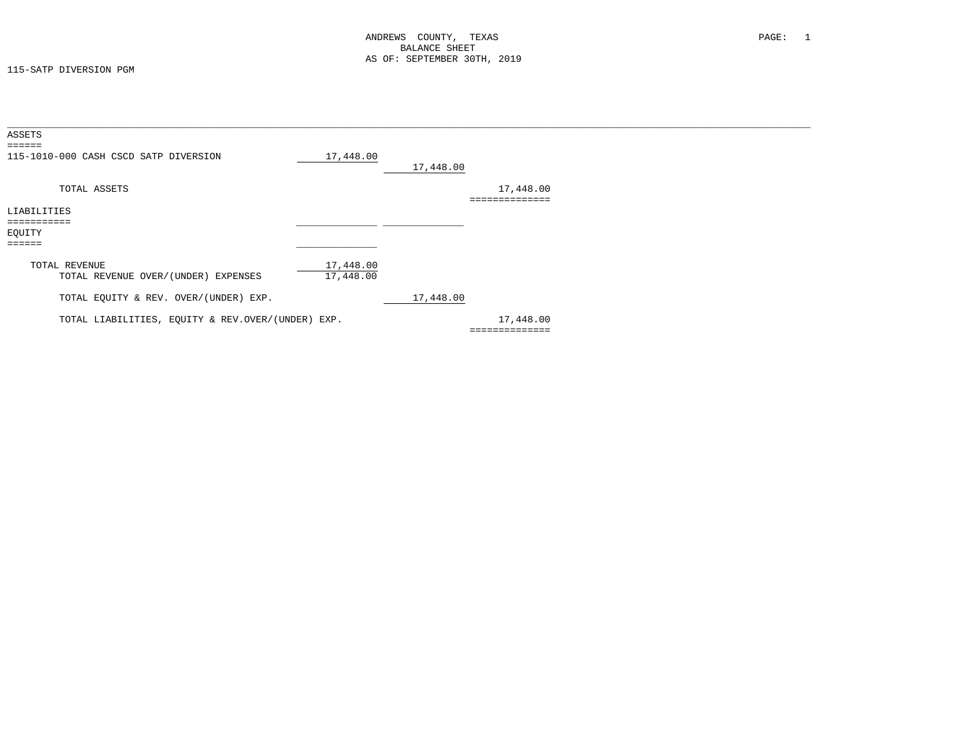115-SATP DIVERSION PGM

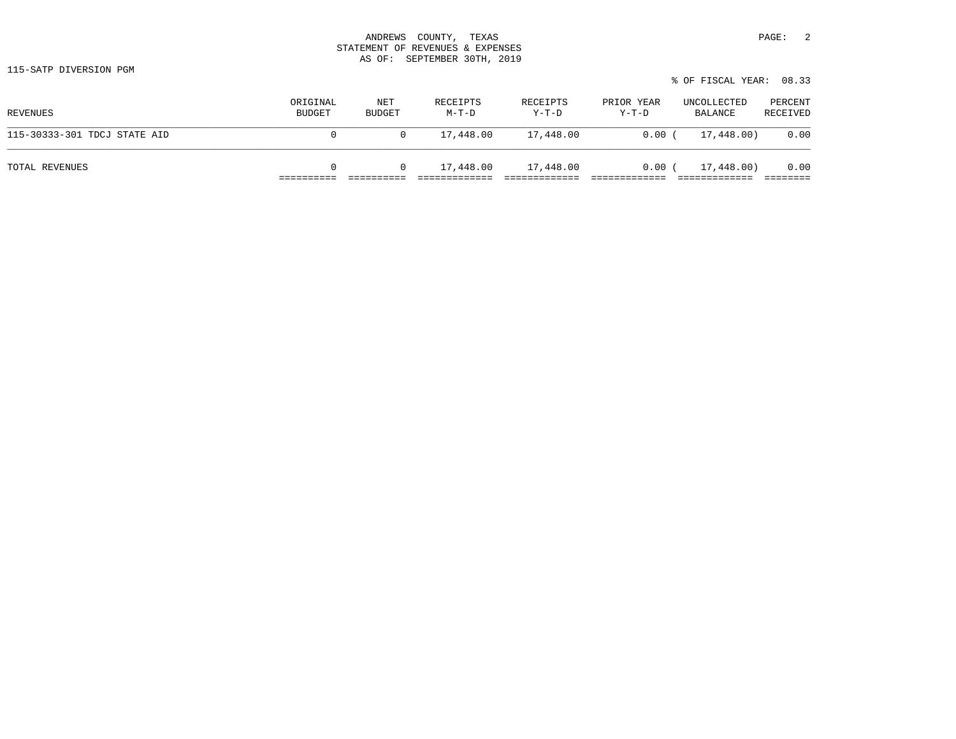| 3700777<br>ANDREWS          | PAGE<br>TEXAS<br>'OUNTY   |  |
|-----------------------------|---------------------------|--|
| STATEMENT<br>OF.            | REVENUES &<br>EXPENSES    |  |
| OF:<br>$\overline{2}$<br>טב | 30mu<br>SEPTEMBER<br>2019 |  |

115-SATP DIVERSION PGM

|                              |                           |               |                   |                     |                       | % OF FISCAL YEAR: 08.33 |                     |
|------------------------------|---------------------------|---------------|-------------------|---------------------|-----------------------|-------------------------|---------------------|
| REVENUES                     | ORIGINAL<br><b>BUDGET</b> | NET<br>BUDGET | RECEIPTS<br>M-T-D | RECEIPTS<br>$Y-T-D$ | PRIOR YEAR<br>$Y-T-D$ | UNCOLLECTED<br>BALANCE  | PERCENT<br>RECEIVED |
| 115-30333-301 TDCJ STATE AID | 0                         |               | 17,448.00         | 17,448.00           | 0.00(                 | 17,448.00)              | 0.00                |
| TOTAL REVENUES               | $\mathbf{0}$              |               | 17,448.00         | 17,448.00           | 0.00(                 | 17,448.00)              | 0.00                |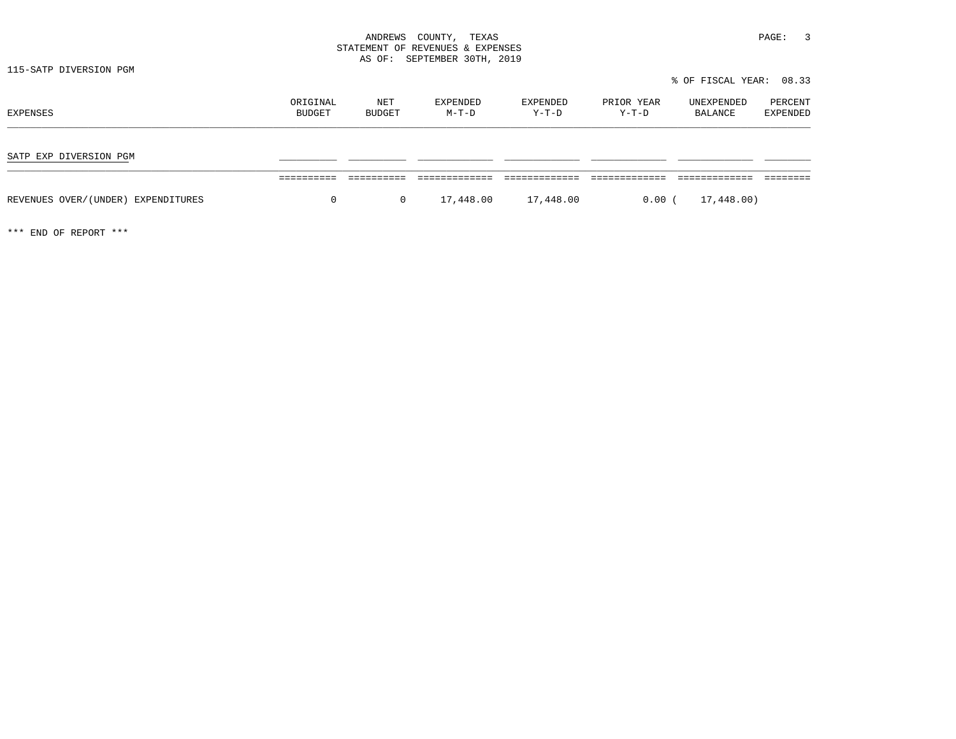# ANDREWS COUNTY, TEXAS **PAGE:** 3 STATEMENT OF REVENUES & EXPENSES AS OF: SEPTEMBER 30TH, 2019

115-SATP DIVERSION PGM

| ORIGINAL<br>BUDGET | NET<br>BUDGET | <b>EXPENDED</b><br>$M-T-D$ | EXPENDED<br>Y-T-D | PRIOR YEAR<br>Y-T-D | UNEXPENDED<br>BALANCE | PERCENT<br><b>EXPENDED</b>          |
|--------------------|---------------|----------------------------|-------------------|---------------------|-----------------------|-------------------------------------|
|                    |               |                            |                   |                     |                       |                                     |
|                    |               |                            |                   |                     |                       |                                     |
| 0                  |               |                            | 17,448.00         |                     | 17,448.00)            |                                     |
|                    |               |                            | $\overline{0}$    | 17,448.00           |                       | % OF FISCAL YEAR: 08.33<br>$0.00$ ( |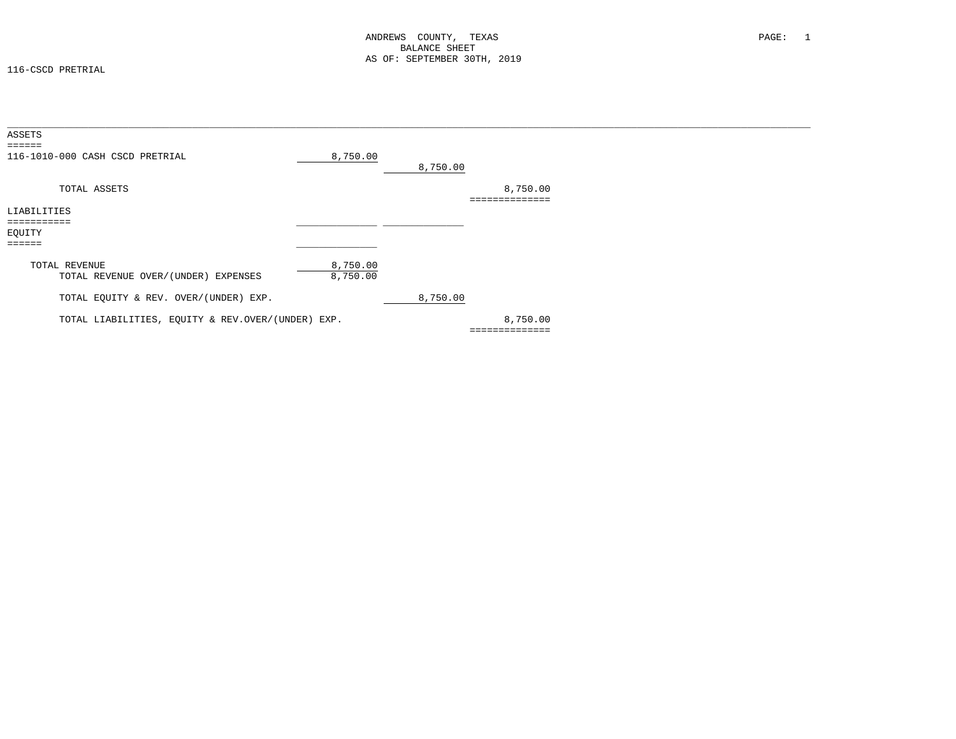116-CSCD PRETRIAL

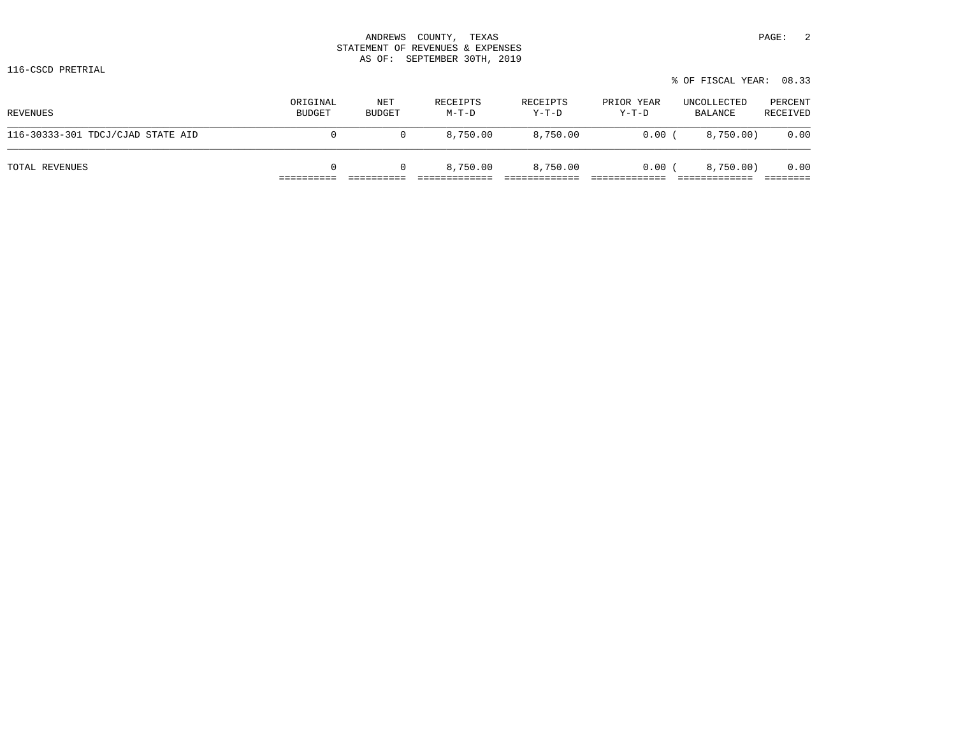| ANDREWS | TEXAS<br>COUNTY.                                                                                                                                                                                                                                       | PAGE: |  |
|---------|--------------------------------------------------------------------------------------------------------------------------------------------------------------------------------------------------------------------------------------------------------|-------|--|
|         | STATEMENT OF REVENUES & EXPENSES                                                                                                                                                                                                                       |       |  |
| AS OF:  | SEPTEMBER 30TH, 2019<br>and the contract of the contract of the contract of the contract of the contract of the contract of the contract of the contract of the contract of the contract of the contract of the contract of the contract of the contra |       |  |

116-CSCD PRETRIAL

| REVENUES                          | ORIGINAL<br><b>BUDGET</b> | NET<br>BUDGET | RECEIPTS<br>M-T-D | RECEIPTS<br>$Y-T-D$ | PRIOR YEAR<br>Y-T-D | UNCOLLECTED<br>BALANCE | PERCENT<br>RECEIVED |
|-----------------------------------|---------------------------|---------------|-------------------|---------------------|---------------------|------------------------|---------------------|
| 116-30333-301 TDCJ/CJAD STATE AID | 0                         |               | 8,750.00          | 8,750.00            | 0.00                | 8,750.00)              | 0.00                |
| TOTAL REVENUES                    | $\Omega$                  |               | 8,750.00          | 8,750.00            | $0.00$ (            | 8,750.00)              | 0.00                |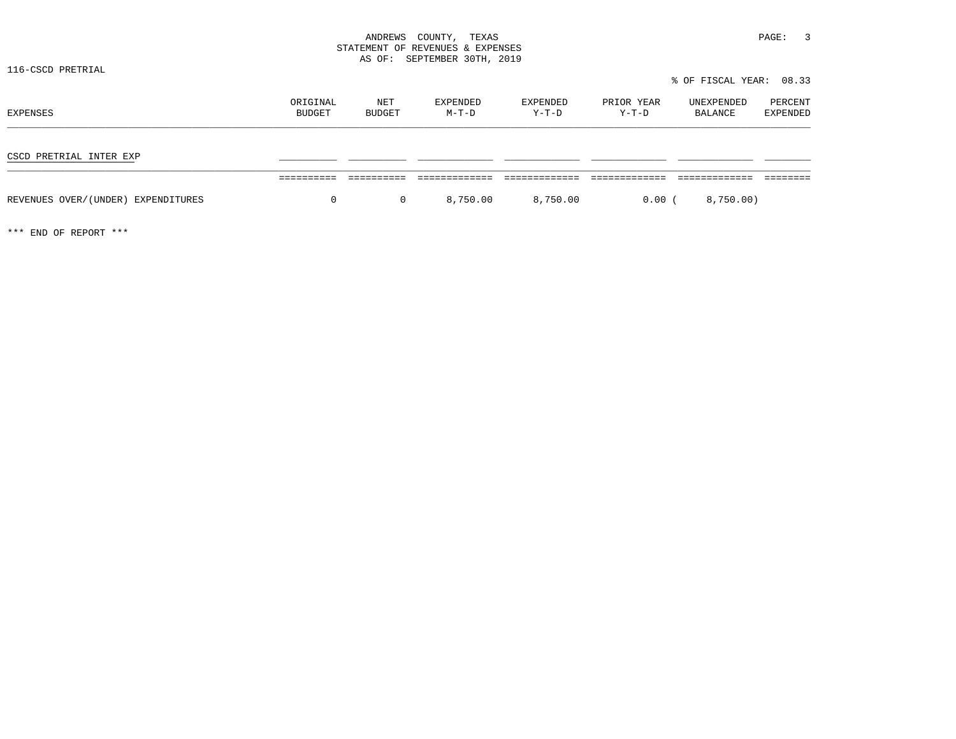% OF FISCAL YEAR: 08.33

# ANDREWS COUNTY, TEXAS **PAGE:** 3 STATEMENT OF REVENUES & EXPENSES AS OF: SEPTEMBER 30TH, 2019

116-CSCD PRETRIAL

ORIGINAL NET EXPENDED EXPENDED PRIOR YEAR UNEXPENDED PERCENT<br>BUDGET BUDGET M-T-D Y-T-D Y-T-D BALANCE EXPENDED CSCD PRETRIAL INTER EXP \_\_\_\_\_\_\_\_\_\_ \_\_\_\_\_\_\_\_\_\_ \_\_\_\_\_\_\_\_\_\_\_\_\_ \_\_\_\_\_\_\_\_\_\_\_\_\_ \_\_\_\_\_\_\_\_\_\_\_\_\_ \_\_\_\_\_\_\_\_\_\_\_\_\_ \_\_\_\_\_\_\_\_ ========== ========== ============= ============= ============= ============= ======== REVENUES OVER/(UNDER) EXPENDITURES  $0$  0 8,750.00 8,750.00 0.00 ( 8,750.00)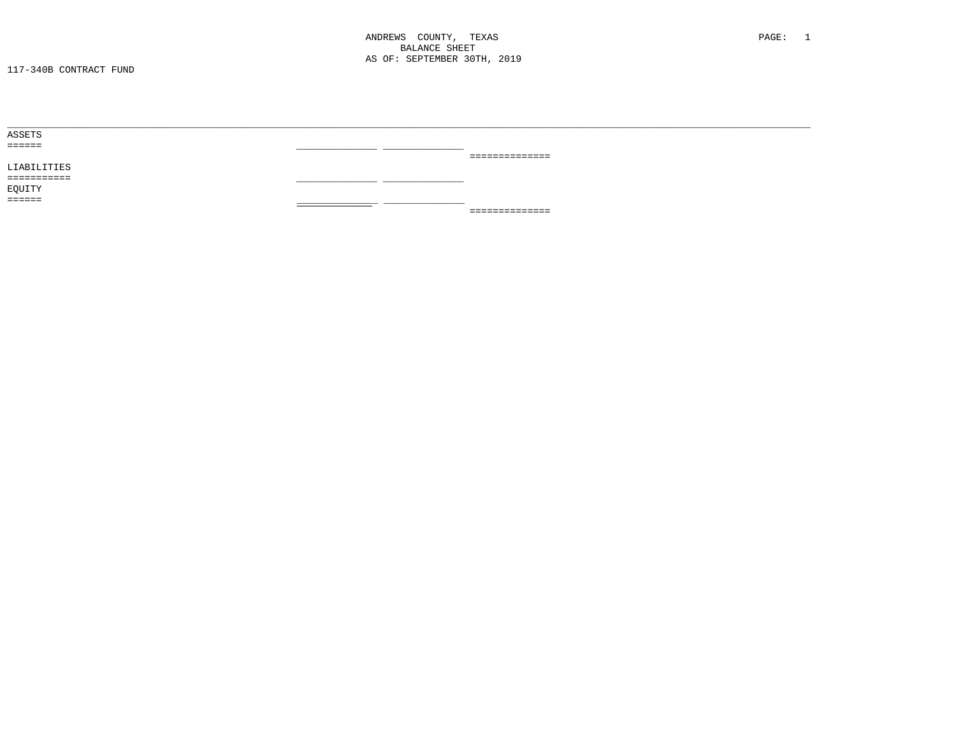| ASSETS      |               |                 |  |
|-------------|---------------|-----------------|--|
| ======      |               |                 |  |
|             |               | _______________ |  |
| LIABILITIES |               |                 |  |
| =========== | __            |                 |  |
| EQUITY      |               |                 |  |
| ======      | _____________ |                 |  |
|             |               | --------------- |  |
|             |               |                 |  |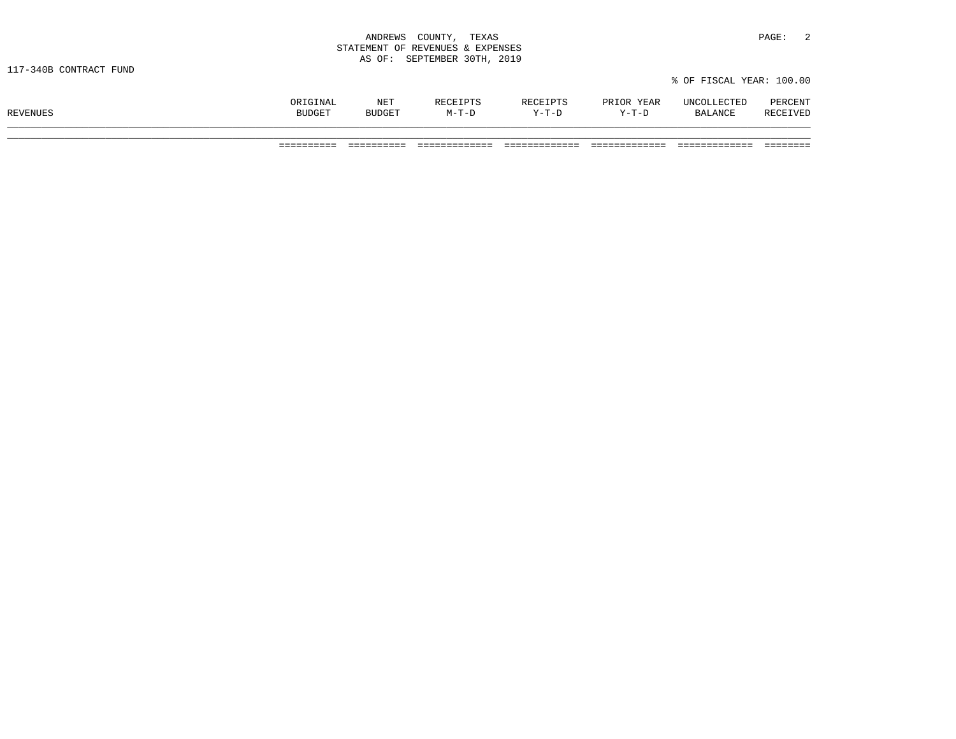| ANDREWS<br>COUNTY,<br>and the contract of the contract of the contract of the contract of the contract of the contract of the contract of | TEXAS                | PAGE: |  |
|-------------------------------------------------------------------------------------------------------------------------------------------|----------------------|-------|--|
| STATEMENT OF REVENUES & EXPENSES                                                                                                          |                      |       |  |
| AS OF:                                                                                                                                    | SEPTEMBER 30TH, 2019 |       |  |

|                 |                         | 17 T. 1 |                  |                           | YEAR      | ጥምፐ<br>IN H    | סים ס |
|-----------------|-------------------------|---------|------------------|---------------------------|-----------|----------------|-------|
| <b>REVENUES</b> | <b>DIIDOT</b><br>SUDGL. |         | $\overline{a}$ m | $\mathbf{v}$ $\mathbf{m}$ | $V-T-1$ . | <b>BALANCE</b> |       |
|                 |                         |         |                  |                           |           |                |       |

% OF FISCAL YEAR: 100.00

========== ========== ============= ============= ============= ============= ========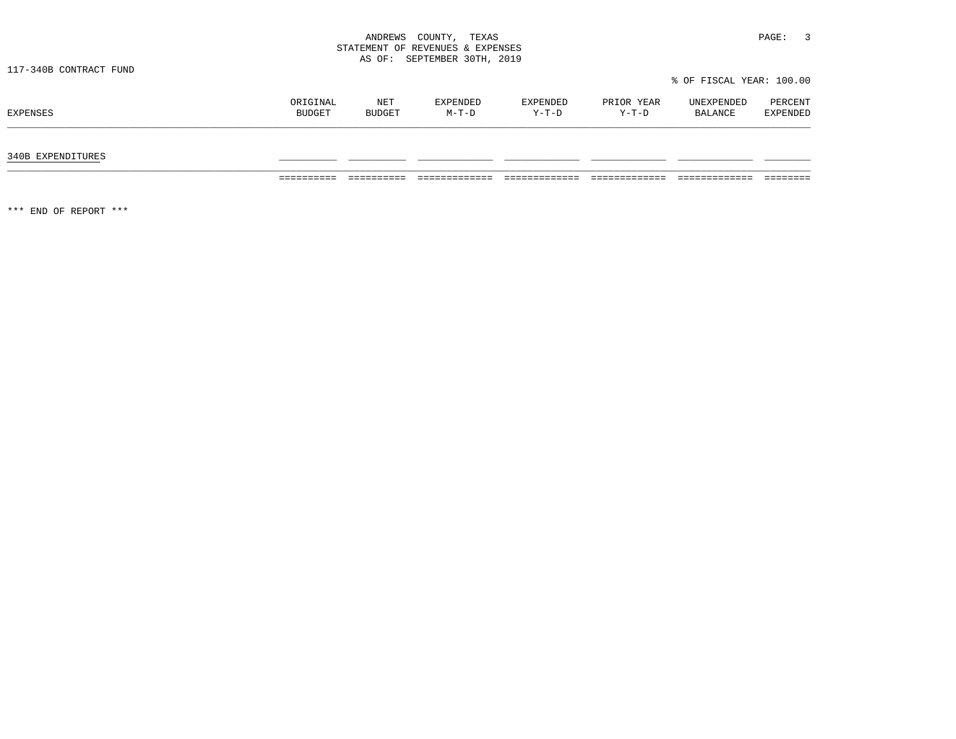| ANDREWS<br>COUNTY,               | TEXAS | PAGE: |  |
|----------------------------------|-------|-------|--|
| STATEMENT OF REVENUES & EXPENSES |       |       |  |
| AS OF: SEPTEMBER 30TH, 2019      |       |       |  |

# 340B EXPENDITURES \_\_\_\_\_\_\_\_\_\_ \_\_\_\_\_\_\_\_\_\_ \_\_\_\_\_\_\_\_\_\_\_\_\_ \_\_\_\_\_\_\_\_\_\_\_\_\_ \_\_\_\_\_\_\_\_\_\_\_\_\_ \_\_\_\_\_\_\_\_\_\_\_\_\_ \_\_\_\_\_\_\_\_

========== ========== ============= ============= ============= ============= ========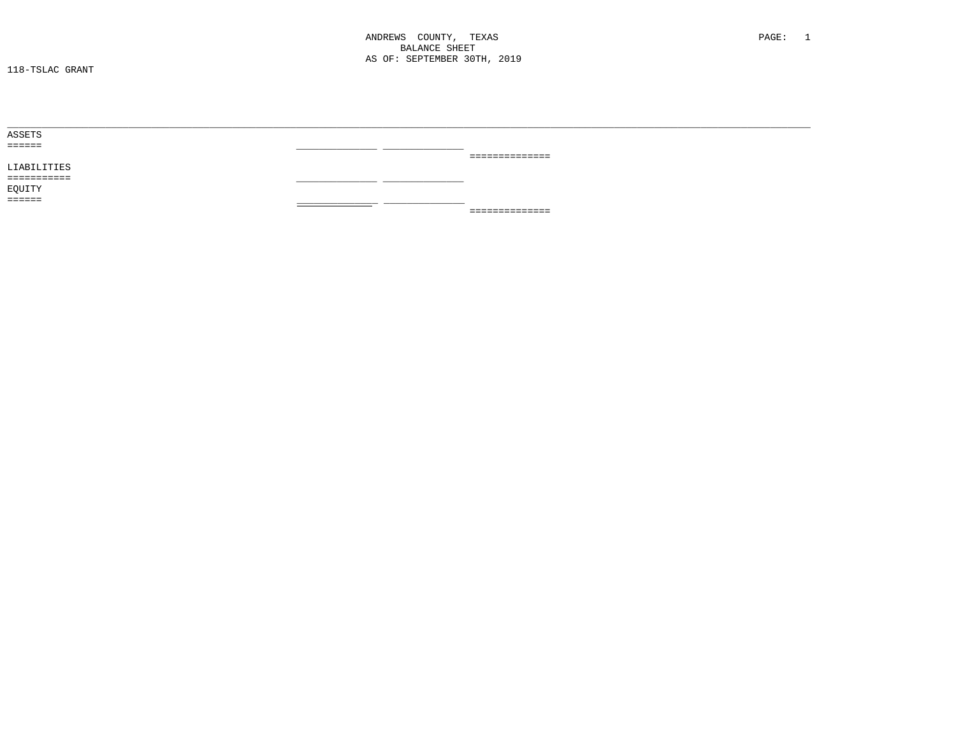ANDREWS COUNTY, TEXAS **BALANCE SHEET** AS OF: SEPTEMBER 30TH, 2019

| ASSETS      |               |                |
|-------------|---------------|----------------|
| ======      |               |                |
|             |               | ============== |
| LIABILITIES |               |                |
| =========== | __<br>$\sim$  |                |
| EQUITY      |               |                |
| ======      | _____________ |                |
|             |               | ============== |
|             |               |                |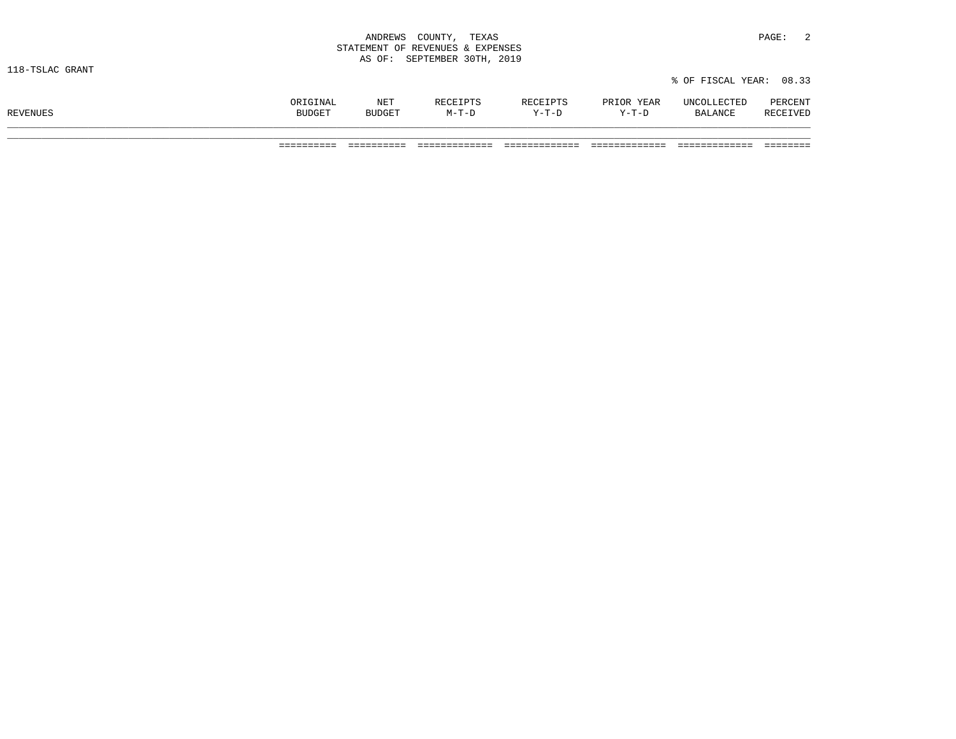|                 | ANDREWS COUNTY, TEXAS            | PAGE:                   |  |
|-----------------|----------------------------------|-------------------------|--|
|                 | STATEMENT OF REVENUES & EXPENSES |                         |  |
|                 | AS OF: SEPTEMBER 30TH, 2019      |                         |  |
| 118-TSLAC GRANT |                                  |                         |  |
|                 |                                  | % OF FISCAL YEAR: 08.33 |  |

========== ========== ============= ============= ============= ============= ========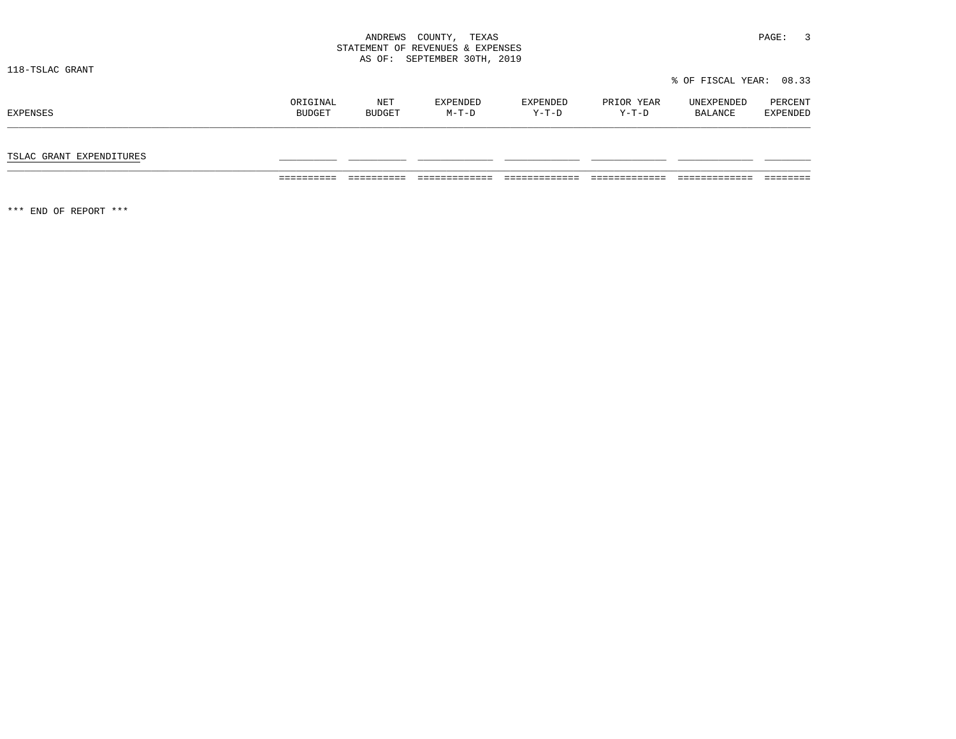|                          |                    |               | STATEMENT OF REVENUES & EXPENSES<br>AS OF: SEPTEMBER 30TH, 2019 |                   |                     |                         |                     |
|--------------------------|--------------------|---------------|-----------------------------------------------------------------|-------------------|---------------------|-------------------------|---------------------|
| 118-TSLAC GRANT          |                    |               |                                                                 |                   |                     | % OF FISCAL YEAR: 08.33 |                     |
| EXPENSES                 | ORIGINAL<br>BUDGET | NET<br>BUDGET | EXPENDED<br>$M-T-D$                                             | EXPENDED<br>Y-T-D | PRIOR YEAR<br>Y-T-D | UNEXPENDED<br>BALANCE   | PERCENT<br>EXPENDED |
| TSLAC GRANT EXPENDITURES |                    |               |                                                                 |                   |                     |                         |                     |

========== ========== ============= ============= ============= ============= ========

\*\*\* END OF REPORT \*\*\*

ANDREWS COUNTY, TEXAS **PAGE:** 3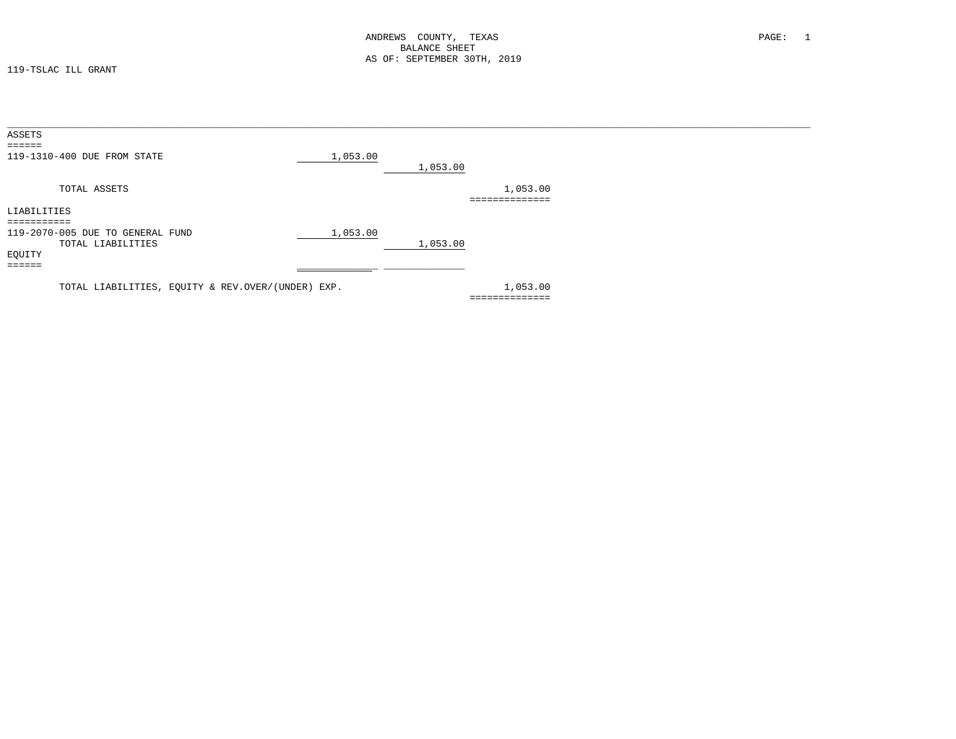119-TSLAC ILL GRANT

| ASSETS              |                                                   |          |          |                |  |
|---------------------|---------------------------------------------------|----------|----------|----------------|--|
| <b>EEEEEE</b>       |                                                   |          |          |                |  |
|                     | 119-1310-400 DUE FROM STATE                       | 1,053.00 |          |                |  |
|                     |                                                   |          | 1,053.00 |                |  |
|                     | TOTAL ASSETS                                      |          |          | 1,053.00       |  |
|                     |                                                   |          |          | ============== |  |
| LIABILITIES         |                                                   |          |          |                |  |
| ===========         |                                                   |          |          |                |  |
|                     | 119-2070-005 DUE TO GENERAL FUND                  | 1,053.00 |          |                |  |
|                     | TOTAL LIABILITIES                                 |          | 1,053.00 |                |  |
| EQUITY              |                                                   |          |          |                |  |
| $=$ $=$ $=$ $=$ $=$ |                                                   |          |          |                |  |
|                     |                                                   |          |          |                |  |
|                     | TOTAL LIABILITIES, EQUITY & REV.OVER/(UNDER) EXP. |          |          | 1,053.00       |  |
|                     |                                                   |          |          | =============  |  |
|                     |                                                   |          |          |                |  |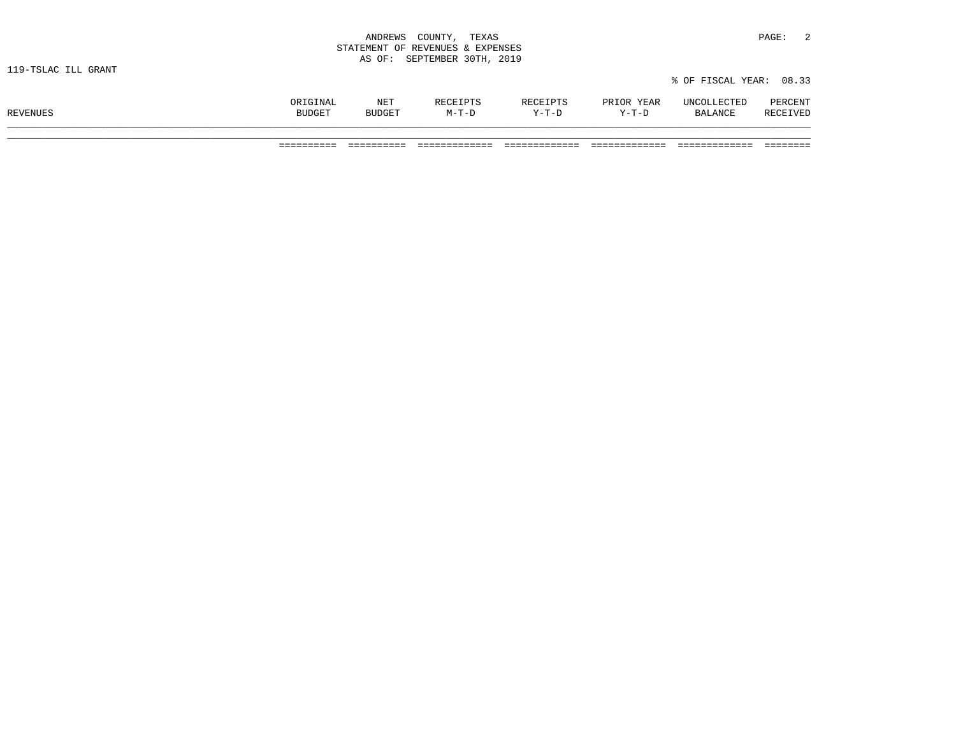| ANDREWS<br>COUNTY,<br>and the contract of the contract of the contract of the contract of the contract of the contract of the contract of | TEXAS                | PAGE: |  |
|-------------------------------------------------------------------------------------------------------------------------------------------|----------------------|-------|--|
| STATEMENT OF REVENUES & EXPENSES                                                                                                          |                      |       |  |
| AS OF:                                                                                                                                    | SEPTEMBER 30TH, 2019 |       |  |

|          | ORIGINAL      | <b>NET</b>    | RECEIPTS | RECEIPTS | PRIOR YEAR | UNCOLLECTED | PERCENT  |
|----------|---------------|---------------|----------|----------|------------|-------------|----------|
| REVENUES | <b>BUDGET</b> | <b>BUDGET</b> | $M-T-D$  | $Y-T-D$  | $Y-T-D$    | BALANCE     | RECEIVED |
|          |               |               |          |          |            |             |          |

% OF FISCAL YEAR: 08.33

========== ========== ============= ============= ============= ============= ========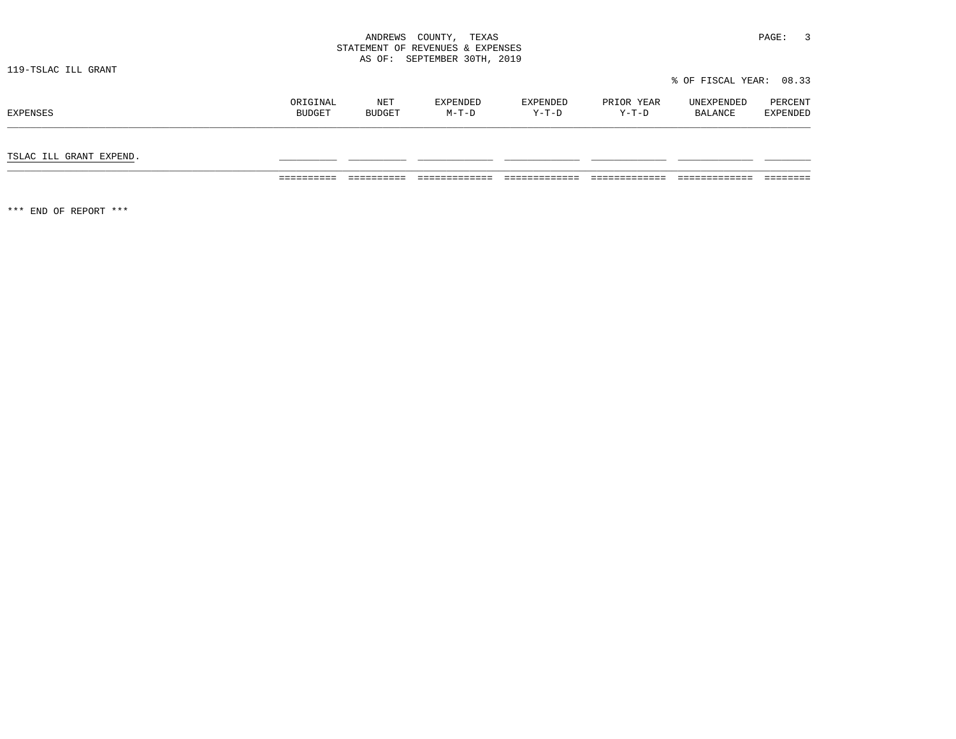|                     | ANDREWS<br>COUNTY,<br>TEXAS<br>STATEMENT OF REVENUES & EXPENSES<br>SEPTEMBER 30TH, 2019<br>AS OF: |                      |                     |                     |                       | PAGE:                   |                     |  |
|---------------------|---------------------------------------------------------------------------------------------------|----------------------|---------------------|---------------------|-----------------------|-------------------------|---------------------|--|
| 119-TSLAC ILL GRANT |                                                                                                   |                      |                     |                     |                       | % OF FISCAL YEAR: 08.33 |                     |  |
| EXPENSES            | ORIGINAL<br><b>BUDGET</b>                                                                         | NET<br><b>BUDGET</b> | EXPENDED<br>$M-T-D$ | EXPENDED<br>$Y-T-D$ | PRIOR YEAR<br>$Y-T-D$ | UNEXPENDED<br>BALANCE   | PERCENT<br>EXPENDED |  |

TSLAC ILL GRANT EXPEND. \_\_\_\_\_\_\_\_\_\_ \_\_\_\_\_\_\_\_\_\_ \_\_\_\_\_\_\_\_\_\_\_\_\_ \_\_\_\_\_\_\_\_\_\_\_\_\_ \_\_\_\_\_\_\_\_\_\_\_\_\_ \_\_\_\_\_\_\_\_\_\_\_\_\_ \_\_\_\_\_\_\_\_

========== ========== ============= ============= ============= ============= ========

\*\*\* END OF REPORT \*\*\*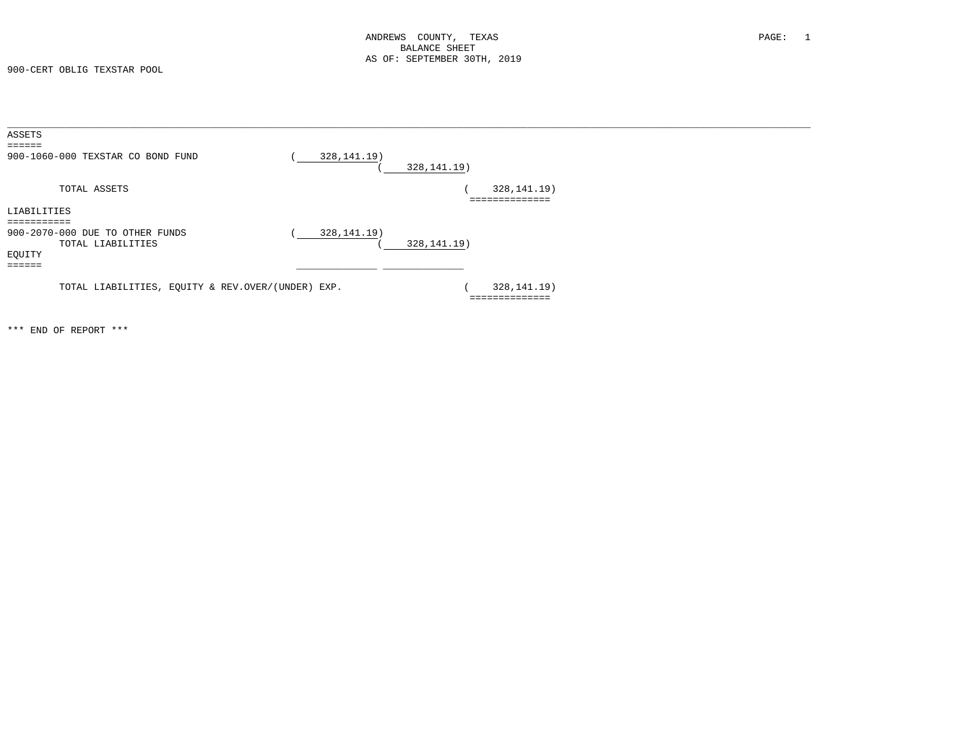900-CERT OBLIG TEXSTAR POOL

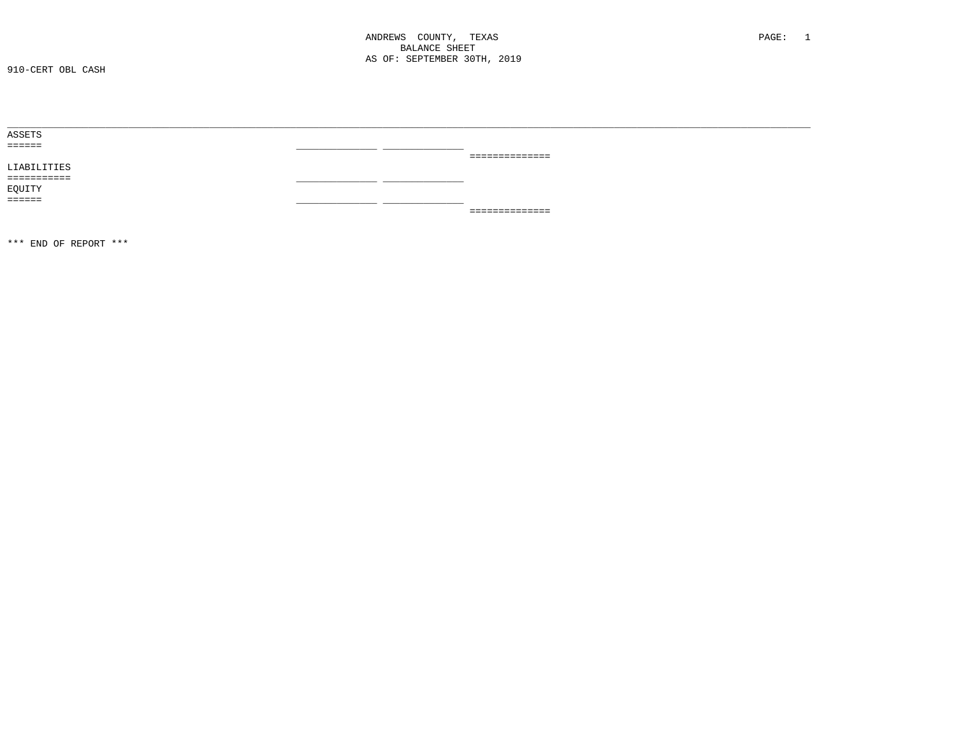| ASSETS      |  |                 |
|-------------|--|-----------------|
| ======      |  |                 |
|             |  | _______________ |
| LIABILITIES |  |                 |
| =========== |  |                 |
| EQUITY      |  |                 |
| ======      |  |                 |
|             |  | _============== |
|             |  |                 |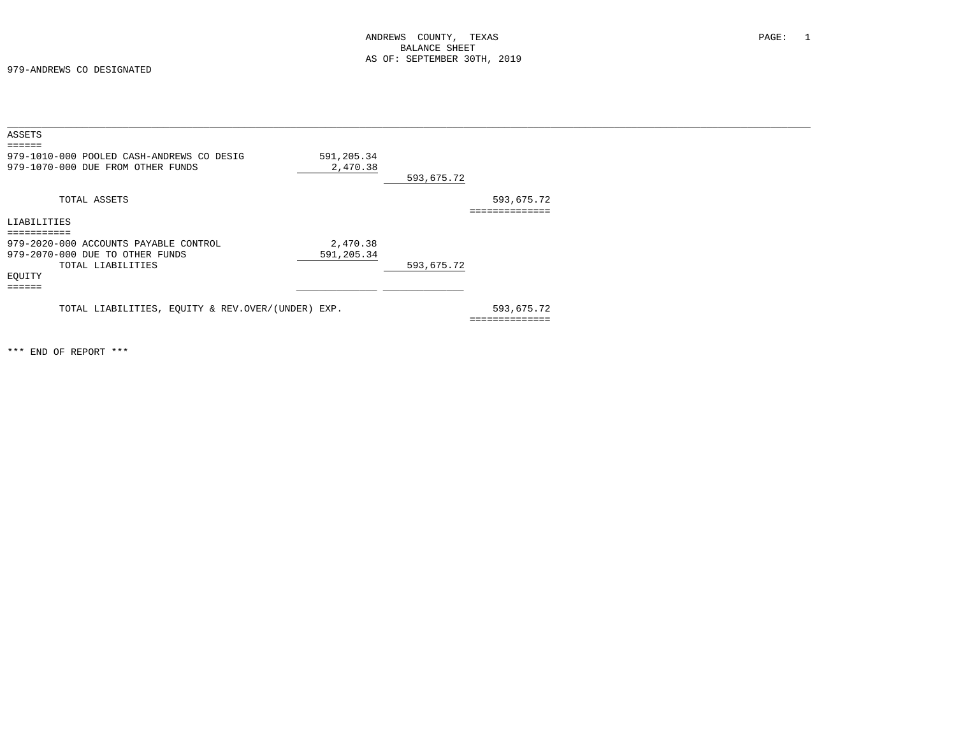979-ANDREWS CO DESIGNATED

| ASSETS                                            |            |            |                 |
|---------------------------------------------------|------------|------------|-----------------|
| 979-1010-000 POOLED CASH-ANDREWS CO DESIG         | 591,205.34 |            |                 |
| 979-1070-000 DUE FROM OTHER FUNDS                 | 2,470.38   |            |                 |
|                                                   |            | 593,675.72 |                 |
| TOTAL ASSETS                                      |            |            | 593,675.72      |
|                                                   |            |            | --------------- |
| LIABILITIES                                       |            |            |                 |
| ==========                                        |            |            |                 |
| 979-2020-000 ACCOUNTS PAYABLE CONTROL             | 2,470.38   |            |                 |
| 979-2070-000 DUE TO OTHER FUNDS                   | 591,205.34 |            |                 |
| TOTAL LIABILITIES                                 |            | 593,675.72 |                 |
| EQUITY                                            |            |            |                 |
| -----                                             |            |            |                 |
|                                                   |            |            |                 |
| TOTAL LIABILITIES, EQUITY & REV.OVER/(UNDER) EXP. |            |            | 593,675.72      |
|                                                   |            |            |                 |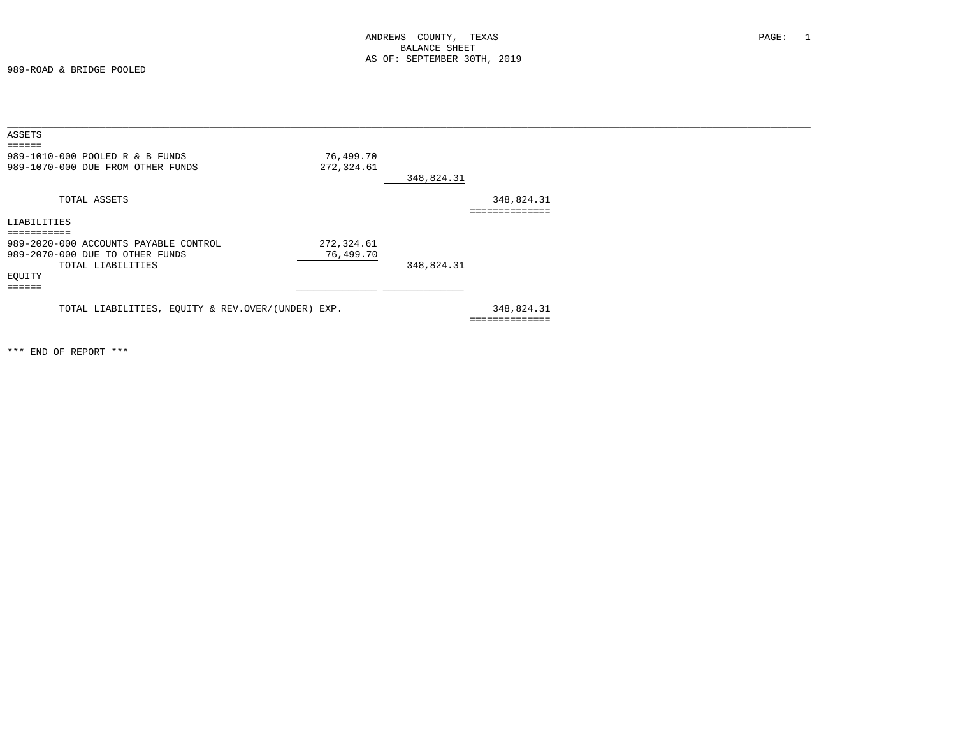989-ROAD & BRIDGE POOLED

| ASSETS                                            |            |            |                |
|---------------------------------------------------|------------|------------|----------------|
| =====                                             |            |            |                |
| 989-1010-000 POOLED R & B FUNDS                   | 76,499.70  |            |                |
| 989-1070-000 DUE FROM OTHER FUNDS                 | 272,324.61 |            |                |
|                                                   |            | 348,824.31 |                |
| TOTAL ASSETS                                      |            |            | 348,824.31     |
|                                                   |            |            | :============  |
| LIABILITIES                                       |            |            |                |
| ===========                                       |            |            |                |
| 989-2020-000 ACCOUNTS PAYABLE CONTROL             | 272,324.61 |            |                |
| 989-2070-000 DUE TO OTHER FUNDS                   | 76,499.70  |            |                |
| TOTAL LIABILITIES                                 |            | 348,824.31 |                |
| EQUITY                                            |            |            |                |
| ======                                            |            |            |                |
|                                                   |            |            |                |
| TOTAL LIABILITIES, EQUITY & REV.OVER/(UNDER) EXP. |            |            | 348,824.31     |
|                                                   |            |            | ============== |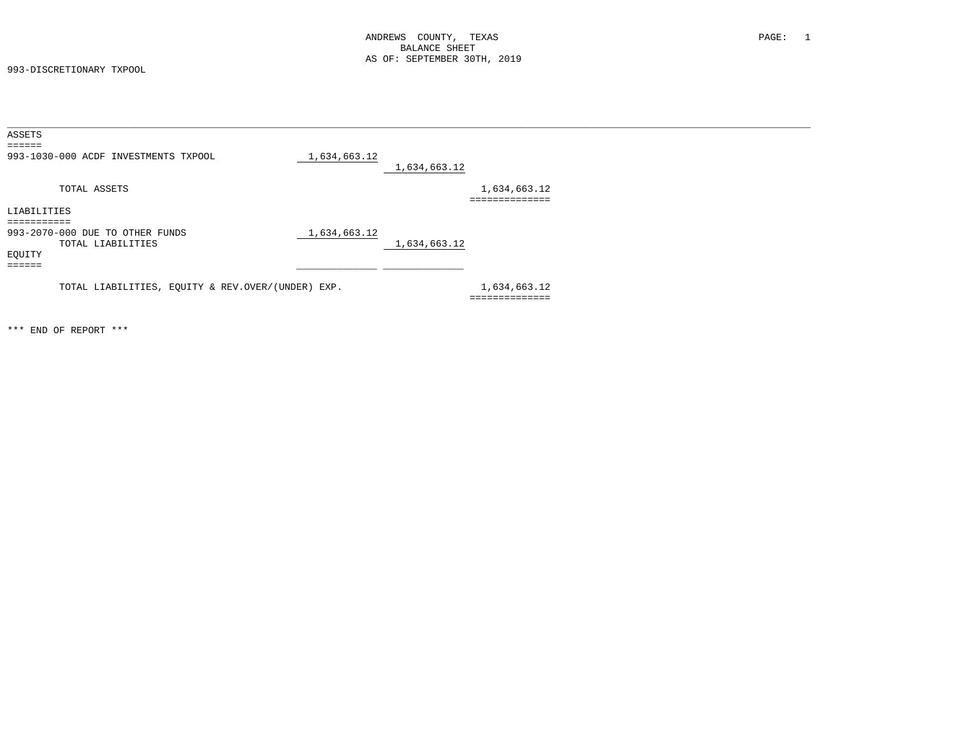993-DISCRETIONARY TXPOOL

| ASSETS                                            |              |              |                |
|---------------------------------------------------|--------------|--------------|----------------|
| ======                                            |              |              |                |
| 993-1030-000 ACDF INVESTMENTS TXPOOL              | 1,634,663.12 |              |                |
|                                                   |              | 1,634,663.12 |                |
| TOTAL ASSETS                                      |              |              | 1,634,663.12   |
|                                                   |              |              | -----------    |
| LIABILITIES                                       |              |              |                |
|                                                   |              |              |                |
| 993-2070-000 DUE TO OTHER FUNDS                   | 1,634,663.12 |              |                |
| TOTAL LIABILITIES                                 |              | 1,634,663.12 |                |
| EQUITY                                            |              |              |                |
| ------                                            |              |              |                |
| TOTAL LIABILITIES, EQUITY & REV.OVER/(UNDER) EXP. |              |              | 1,634,663.12   |
|                                                   |              |              | ============== |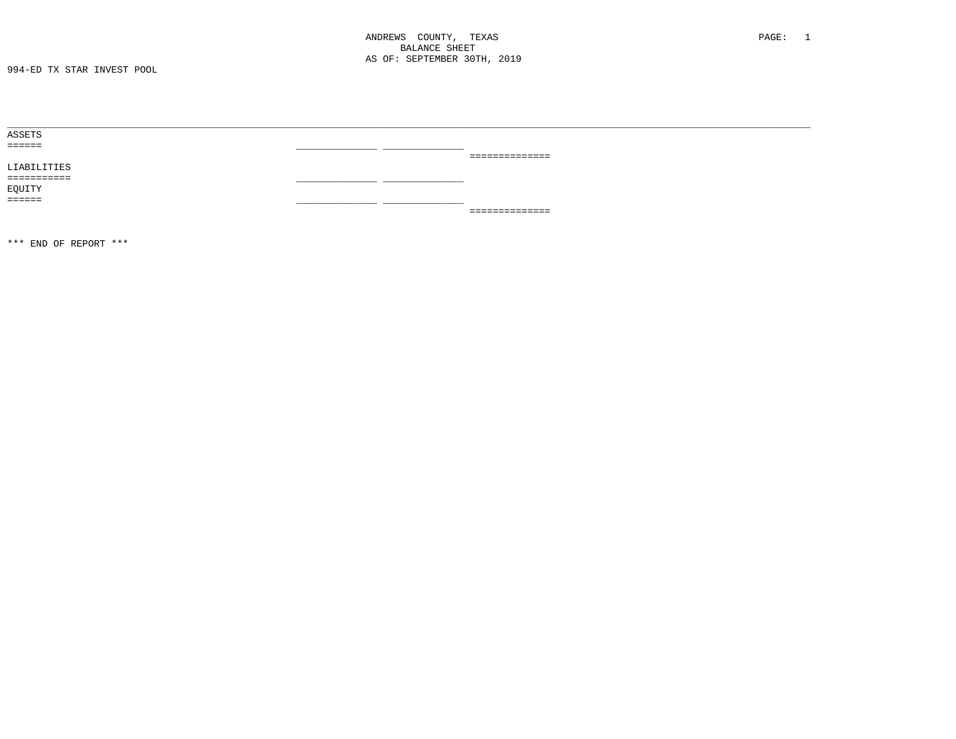| ASSETS      |  |                 |
|-------------|--|-----------------|
| ======      |  |                 |
|             |  | _============== |
| LIABILITIES |  |                 |
|             |  |                 |
| EQUITY      |  |                 |
| ======      |  |                 |
|             |  | _============== |
|             |  |                 |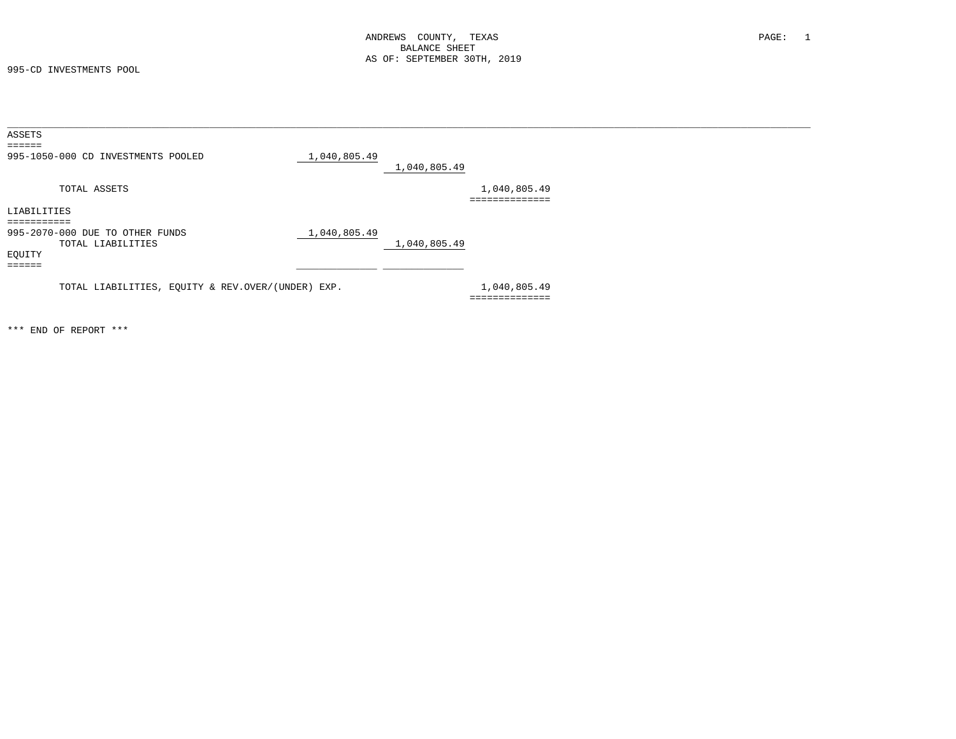995-CD INVESTMENTS POOL

| ASSETS                                            |              |              |                |
|---------------------------------------------------|--------------|--------------|----------------|
| ======                                            |              |              |                |
| 995-1050-000 CD INVESTMENTS POOLED                | 1,040,805.49 |              |                |
|                                                   |              | 1,040,805.49 |                |
| TOTAL ASSETS                                      |              |              | 1,040,805.49   |
|                                                   |              |              | ============== |
| LIABILITIES                                       |              |              |                |
|                                                   |              |              |                |
| 995-2070-000 DUE TO OTHER FUNDS                   | 1,040,805.49 |              |                |
| TOTAL LIABILITIES                                 |              | 1,040,805.49 |                |
| EQUITY                                            |              |              |                |
| ======                                            |              |              |                |
|                                                   |              |              |                |
| TOTAL LIABILITIES, EQUITY & REV.OVER/(UNDER) EXP. |              |              | 1,040,805.49   |
|                                                   |              |              | ============== |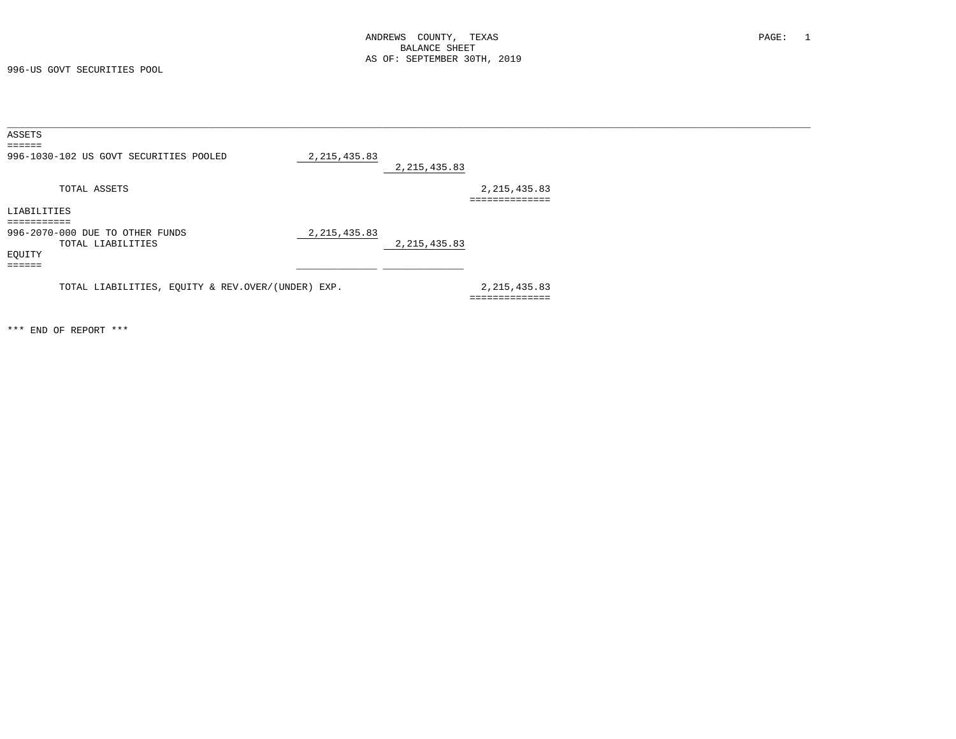996-US GOVT SECURITIES POOL

| ASSETS                                            |                |                |                           |
|---------------------------------------------------|----------------|----------------|---------------------------|
| ======                                            |                |                |                           |
| 996-1030-102 US GOVT SECURITIES POOLED            | 2, 215, 435.83 |                |                           |
|                                                   |                | 2, 215, 435.83 |                           |
| TOTAL ASSETS                                      |                |                | 2, 215, 435.83            |
|                                                   |                |                |                           |
| LIABILITIES                                       |                |                |                           |
|                                                   |                |                |                           |
| 996-2070-000 DUE TO OTHER FUNDS                   | 2, 215, 435.83 |                |                           |
| TOTAL LIABILITIES                                 |                | 2, 215, 435.83 |                           |
| EQUITY                                            |                |                |                           |
| $=$ =====                                         |                |                |                           |
|                                                   |                |                |                           |
| TOTAL LIABILITIES, EQUITY & REV.OVER/(UNDER) EXP. |                |                | 2, 215, 435.83            |
|                                                   |                |                | . _ _ _ _ _ _ _ _ _ _ _ _ |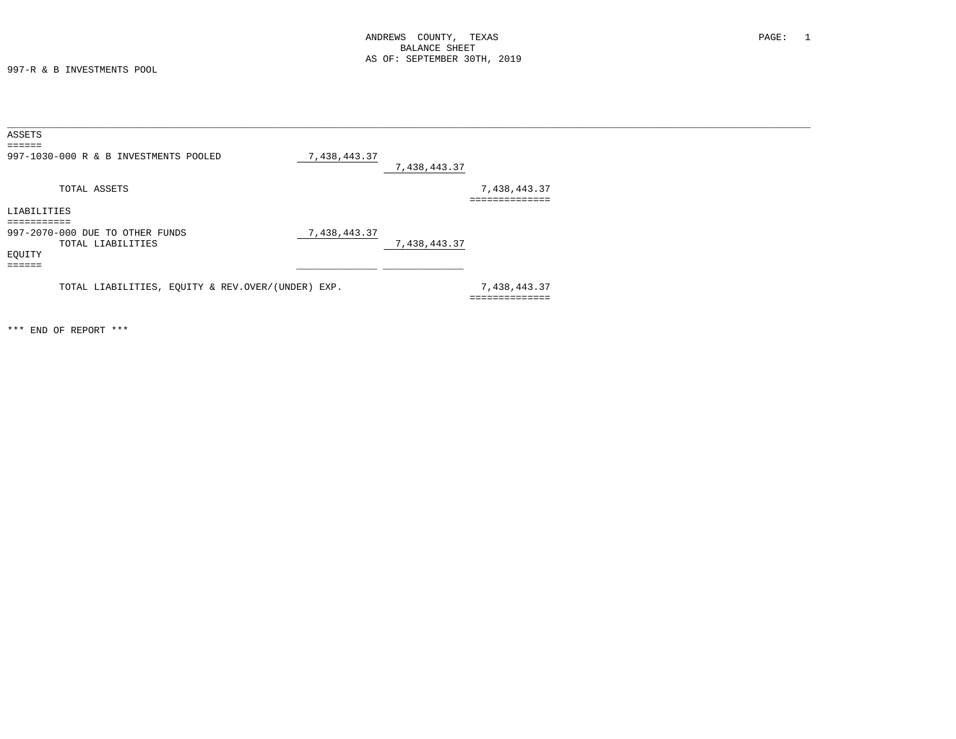997-R & B INVESTMENTS POOL

| ASSETS                                            |              |              |               |
|---------------------------------------------------|--------------|--------------|---------------|
| $=$ $=$ $=$ $=$ $=$                               |              |              |               |
| 997-1030-000 R & B INVESTMENTS POOLED             | 7,438,443.37 |              |               |
|                                                   |              | 7,438,443.37 |               |
| TOTAL ASSETS                                      |              |              | 7,438,443.37  |
|                                                   |              |              | ------------  |
| LIABILITIES                                       |              |              |               |
| ==========                                        |              |              |               |
| 997-2070-000 DUE TO OTHER FUNDS                   | 7,438,443.37 |              |               |
| TOTAL LIABILITIES                                 |              | 7,438,443.37 |               |
| EQUITY                                            |              |              |               |
| $=$ $=$ $=$ $=$ $=$                               |              |              |               |
|                                                   |              |              |               |
| TOTAL LIABILITIES, EQUITY & REV.OVER/(UNDER) EXP. |              |              | 7,438,443.37  |
|                                                   |              |              | ------------- |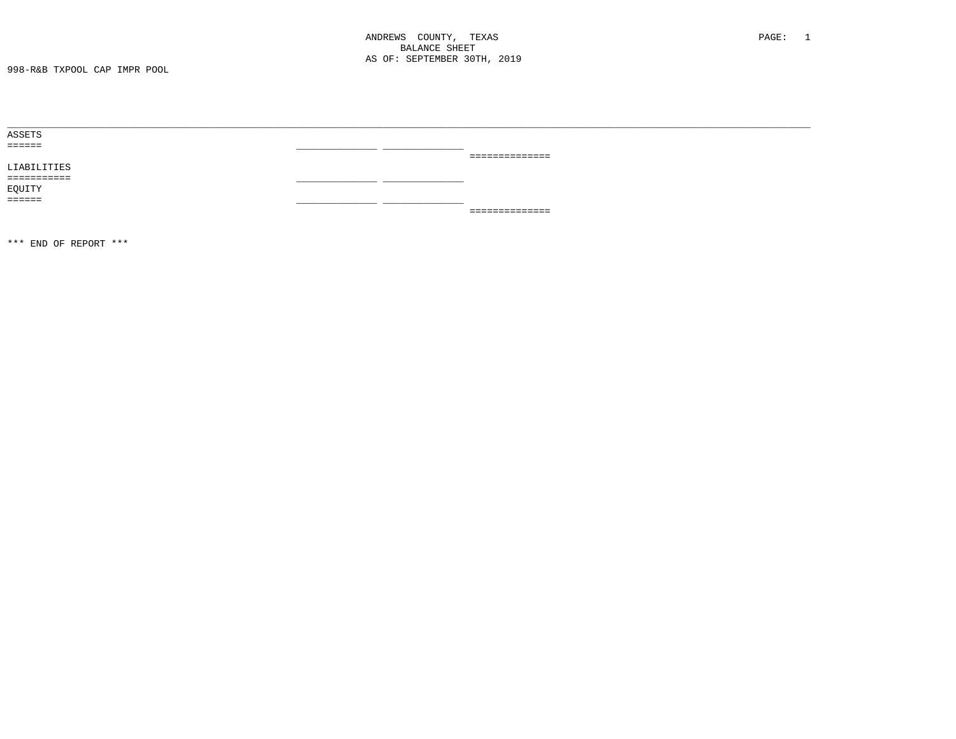998-R&B TXPOOL CAP IMPR POOL

| ASSETS              |      |                 |
|---------------------|------|-----------------|
| $=$ $=$ $=$ $=$ $=$ | ___  |                 |
|                     |      | -============== |
| LIABILITIES         |      |                 |
| ===========         |      |                 |
| EQUITY              |      |                 |
| $=$ $=$ $=$ $=$ $=$ | ____ |                 |
|                     |      | -============== |
|                     |      |                 |